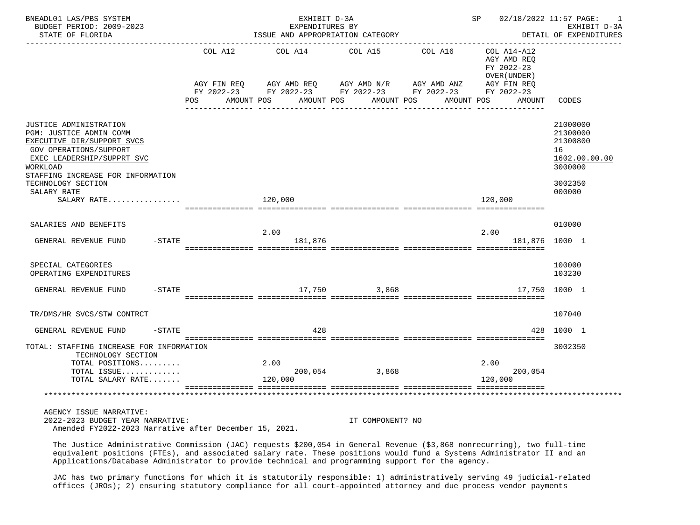| BNEADL01 LAS/PBS SYSTEM<br>BUDGET PERIOD: 2009-2023<br>STATE OF FLORIDA                                                                                                                                                                             |                       | EXHIBIT D-3A<br>EXPENDITURES BY<br>ISSUE AND APPROPRIATION CATEGORY                                                                                               | SP 02/18/2022 11:57 PAGE: 1 | EXHIBIT D-3A<br>DETAIL OF EXPENDITURES |                                                                                     |                                                                                         |
|-----------------------------------------------------------------------------------------------------------------------------------------------------------------------------------------------------------------------------------------------------|-----------------------|-------------------------------------------------------------------------------------------------------------------------------------------------------------------|-----------------------------|----------------------------------------|-------------------------------------------------------------------------------------|-----------------------------------------------------------------------------------------|
|                                                                                                                                                                                                                                                     | COL A12<br><b>POS</b> | COL A14 COL A15<br>AGY FIN REQ AGY AMD REQ AGY AMD N/R AGY AMD ANZ AGY FIN REQ<br>FY 2022-23 FY 2022-23 FY 2022-23 FY 2022-23 FY 2022-23<br>AMOUNT POS AMOUNT POS |                             | COL A16<br>AMOUNT POS                  | $COL A14- A12$<br>AGY AMD REQ<br>FY 2022-23<br>OVER (UNDER)<br>AMOUNT POS<br>AMOUNT | CODES                                                                                   |
| JUSTICE ADMINISTRATION<br>PGM: JUSTICE ADMIN COMM<br>EXECUTIVE DIR/SUPPORT SVCS<br><b>GOV OPERATIONS/SUPPORT</b><br>EXEC LEADERSHIP/SUPPRT SVC<br>WORKLOAD<br>STAFFING INCREASE FOR INFORMATION<br>TECHNOLOGY SECTION<br>SALARY RATE<br>SALARY RATE |                       | 120,000                                                                                                                                                           |                             |                                        | 120,000                                                                             | 21000000<br>21300000<br>21300800<br>16<br>1602.00.00.00<br>3000000<br>3002350<br>000000 |
|                                                                                                                                                                                                                                                     |                       |                                                                                                                                                                   |                             |                                        |                                                                                     |                                                                                         |
| SALARIES AND BENEFITS<br>$-$ STATE<br>GENERAL REVENUE FUND                                                                                                                                                                                          |                       | 2.00<br>181,876                                                                                                                                                   |                             |                                        | 2.00<br>181,876 1000 1                                                              | 010000                                                                                  |
| SPECIAL CATEGORIES<br>OPERATING EXPENDITURES                                                                                                                                                                                                        |                       |                                                                                                                                                                   |                             |                                        |                                                                                     | 100000<br>103230                                                                        |
| GENERAL REVENUE FUND -STATE                                                                                                                                                                                                                         |                       |                                                                                                                                                                   | 17,750 3,868                |                                        |                                                                                     | 17,750 1000 1                                                                           |
| TR/DMS/HR SVCS/STW CONTRCT                                                                                                                                                                                                                          |                       |                                                                                                                                                                   |                             |                                        |                                                                                     | 107040                                                                                  |
| GENERAL REVENUE FUND<br>$-$ STATE                                                                                                                                                                                                                   |                       | 428                                                                                                                                                               |                             |                                        |                                                                                     | 428 1000 1                                                                              |
| TOTAL: STAFFING INCREASE FOR INFORMATION<br>TECHNOLOGY SECTION<br>TOTAL POSITIONS<br>TOTAL ISSUE<br>TOTAL SALARY RATE                                                                                                                               |                       | 2.00<br>200,054 3,868<br>120,000                                                                                                                                  |                             |                                        | 2.00<br>200,054<br>120,000                                                          | 3002350                                                                                 |
| AGENCY ISSUE NARRATIVE:<br>2022-2023 BUDGET YEAR NARRATIVE:                                                                                                                                                                                         |                       |                                                                                                                                                                   | IT COMPONENT? NO            |                                        |                                                                                     |                                                                                         |

Amended FY2022-2023 Narrative after December 15, 2021.

 The Justice Administrative Commission (JAC) requests \$200,054 in General Revenue (\$3,868 nonrecurring), two full-time equivalent positions (FTEs), and associated salary rate. These positions would fund a Systems Administrator II and an Applications/Database Administrator to provide technical and programming support for the agency.

 JAC has two primary functions for which it is statutorily responsible: 1) administratively serving 49 judicial-related offices (JROs); 2) ensuring statutory compliance for all court-appointed attorney and due process vendor payments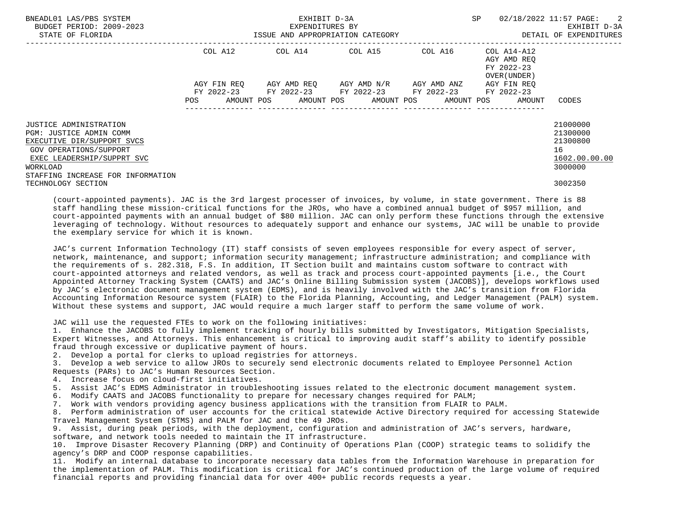| BNEADL01 LAS/PBS SYSTEM<br>BUDGET PERIOD: 2009-2023<br>STATE OF FLORIDA                                                                                                                  |                    | EXHIBIT D-3A<br>EXPENDITURES BY<br>ISSUE AND APPROPRIATION CATEGORY | SP                                                                                                                           | 02/18/2022 11:57 PAGE:<br>EXHIBIT D-3A<br>DETAIL OF EXPENDITURES |                                                          |                                                                    |
|------------------------------------------------------------------------------------------------------------------------------------------------------------------------------------------|--------------------|---------------------------------------------------------------------|------------------------------------------------------------------------------------------------------------------------------|------------------------------------------------------------------|----------------------------------------------------------|--------------------------------------------------------------------|
|                                                                                                                                                                                          | COL A12            |                                                                     | COL A14 COL A15                                                                                                              | COL A16                                                          | COL A14-A12<br>AGY AMD REO<br>FY 2022-23<br>OVER (UNDER) |                                                                    |
|                                                                                                                                                                                          | AGY FIN REO<br>POS |                                                                     | AGY AMD REO AGY AMD N/R<br>FY 2022-23 FY 2022-23 FY 2022-23 FY 2022-23<br>AMOUNT POS AMOUNT POS AMOUNT POS AMOUNT POS AMOUNT | AGY AMD ANZ                                                      | AGY FIN REO<br>FY 2022-23                                | CODES                                                              |
| JUSTICE ADMINISTRATION<br>PGM: JUSTICE ADMIN COMM<br>EXECUTIVE DIR/SUPPORT SVCS<br>GOV OPERATIONS/SUPPORT<br>EXEC LEADERSHIP/SUPPRT SVC<br>WORKLOAD<br>STAFFING INCREASE FOR INFORMATION |                    |                                                                     |                                                                                                                              |                                                                  |                                                          | 21000000<br>21300000<br>21300800<br>16<br>1602.00.00.00<br>3000000 |
| TECHNOLOGY SECTION                                                                                                                                                                       |                    |                                                                     |                                                                                                                              |                                                                  |                                                          | 3002350                                                            |

 (court-appointed payments). JAC is the 3rd largest processer of invoices, by volume, in state government. There is 88 staff handling these mission-critical functions for the JROs, who have a combined annual budget of \$957 million, and court-appointed payments with an annual budget of \$80 million. JAC can only perform these functions through the extensive leveraging of technology. Without resources to adequately support and enhance our systems, JAC will be unable to provide the exemplary service for which it is known.

 JAC's current Information Technology (IT) staff consists of seven employees responsible for every aspect of server, network, maintenance, and support; information security management; infrastructure administration; and compliance with the requirements of s. 282.318, F.S. In addition, IT Section built and maintains custom software to contract with court-appointed attorneys and related vendors, as well as track and process court-appointed payments [i.e., the Court Appointed Attorney Tracking System (CAATS) and JAC's Online Billing Submission system (JACOBS)], develops workflows used by JAC's electronic document management system (EDMS), and is heavily involved with the JAC's transition from Florida Accounting Information Resource system (FLAIR) to the Florida Planning, Accounting, and Ledger Management (PALM) system. Without these systems and support, JAC would require a much larger staff to perform the same volume of work.

JAC will use the requested FTEs to work on the following initiatives:

 1. Enhance the JACOBS to fully implement tracking of hourly bills submitted by Investigators, Mitigation Specialists, Expert Witnesses, and Attorneys. This enhancement is critical to improving audit staff's ability to identify possible fraud through excessive or duplicative payment of hours.

2. Develop a portal for clerks to upload registries for attorneys.

 3. Develop a web service to allow JROs to securely send electronic documents related to Employee Personnel Action Requests (PARs) to JAC's Human Resources Section.

4. Increase focus on cloud-first initiatives.

5. Assist JAC's EDMS Administrator in troubleshooting issues related to the electronic document management system.

6. Modify CAATS and JACOBS functionality to prepare for necessary changes required for PALM;

7. Work with vendors providing agency business applications with the transition from FLAIR to PALM.

 8. Perform administration of user accounts for the critical statewide Active Directory required for accessing Statewide Travel Management System (STMS) and PALM for JAC and the 49 JROs.

 9. Assist, during peak periods, with the deployment, configuration and administration of JAC's servers, hardware, software, and network tools needed to maintain the IT infrastructure.

 10. Improve Disaster Recovery Planning (DRP) and Continuity of Operations Plan (COOP) strategic teams to solidify the agency's DRP and COOP response capabilities.

 11. Modify an internal database to incorporate necessary data tables from the Information Warehouse in preparation for the implementation of PALM. This modification is critical for JAC's continued production of the large volume of required financial reports and providing financial data for over 400+ public records requests a year.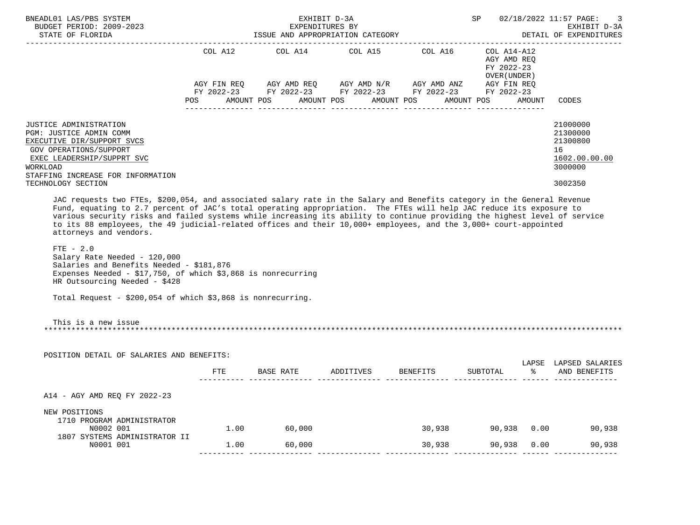| BNEADL01 LAS/PBS SYSTEM<br>BUDGET PERIOD: 2009-2023<br>STATE OF FLORIDA                                                                                                                                                                                                                                                                                                                                                                                                                                                   |      | EXHIBIT D-3A<br>EXPENDITURES BY<br>ISSUE AND APPROPRIATION CATEGORY                                                                 |                    |            | SP 02/18/2022 11:57 PAGE:<br>EXHIBIT D-3A<br>DETAIL OF EXPENDITURES |                                       |                                                                               |
|---------------------------------------------------------------------------------------------------------------------------------------------------------------------------------------------------------------------------------------------------------------------------------------------------------------------------------------------------------------------------------------------------------------------------------------------------------------------------------------------------------------------------|------|-------------------------------------------------------------------------------------------------------------------------------------|--------------------|------------|---------------------------------------------------------------------|---------------------------------------|-------------------------------------------------------------------------------|
|                                                                                                                                                                                                                                                                                                                                                                                                                                                                                                                           |      | COL A12 COL A14 COL A15 COL A16 COL A14-A12                                                                                         |                    |            | AGY AMD REO<br>FY 2022-23<br>OVER (UNDER )                          |                                       |                                                                               |
|                                                                                                                                                                                                                                                                                                                                                                                                                                                                                                                           | POS  | AGY FIN REQ AGY AMD REQ AGY AMD N/R AGY AMD ANZ AGY FIN REQ<br>FY 2022-23 FY 2022-23 FY 2022-23 FY 2022-23 FY 2022-23<br>AMOUNT POS | AMOUNT POS         | AMOUNT POS | AMOUNT POS                                                          | AMOUNT                                | CODES                                                                         |
| JUSTICE ADMINISTRATION<br>PGM: JUSTICE ADMIN COMM<br>EXECUTIVE DIR/SUPPORT SVCS<br><b>GOV OPERATIONS/SUPPORT</b><br>EXEC LEADERSHIP/SUPPRT SVC<br>WORKLOAD<br>STAFFING INCREASE FOR INFORMATION<br>TECHNOLOGY SECTION                                                                                                                                                                                                                                                                                                     |      |                                                                                                                                     |                    |            |                                                                     |                                       | 21000000<br>21300000<br>21300800<br>16<br>1602.00.00.00<br>3000000<br>3002350 |
| JAC requests two FTEs, \$200,054, and associated salary rate in the Salary and Benefits category in the General Revenue<br>Fund, equating to 2.7 percent of JAC's total operating appropriation. The FTEs will help JAC reduce its exposure to<br>various security risks and failed systems while increasing its ability to continue providing the highest level of service<br>to its 88 employees, the 49 judicial-related offices and their 10,000+ employees, and the 3,000+ court-appointed<br>attorneys and vendors. |      |                                                                                                                                     |                    |            |                                                                     |                                       |                                                                               |
| $FTE - 2.0$<br>Salary Rate Needed - 120,000<br>Salaries and Benefits Needed - \$181,876<br>Expenses Needed - \$17,750, of which \$3,868 is nonrecurring<br>HR Outsourcing Needed - \$428                                                                                                                                                                                                                                                                                                                                  |      |                                                                                                                                     |                    |            |                                                                     |                                       |                                                                               |
| Total Request - $$200,054$ of which $$3,868$ is nonrecurring.                                                                                                                                                                                                                                                                                                                                                                                                                                                             |      |                                                                                                                                     |                    |            |                                                                     |                                       |                                                                               |
| This is a new issue                                                                                                                                                                                                                                                                                                                                                                                                                                                                                                       |      |                                                                                                                                     |                    |            |                                                                     |                                       |                                                                               |
| POSITION DETAIL OF SALARIES AND BENEFITS:                                                                                                                                                                                                                                                                                                                                                                                                                                                                                 |      |                                                                                                                                     |                    |            |                                                                     |                                       |                                                                               |
|                                                                                                                                                                                                                                                                                                                                                                                                                                                                                                                           | FTE  | BASE RATE                                                                                                                           | ADDITIVES BENEFITS |            | SUBTOTAL                                                            | ာ အောက် အောက် အောက် အောက် အောက် အောက် | LAPSE LAPSED SALARIES<br>AND BENEFITS                                         |
| A14 - AGY AMD REQ FY 2022-23                                                                                                                                                                                                                                                                                                                                                                                                                                                                                              |      |                                                                                                                                     |                    |            |                                                                     |                                       |                                                                               |
| NEW POSITIONS<br>1710 PROGRAM ADMINISTRATOR<br>N0002 001                                                                                                                                                                                                                                                                                                                                                                                                                                                                  |      | $1.00$ 60,000                                                                                                                       |                    | 30,938     |                                                                     |                                       | 90,938 0.00<br>90,938                                                         |
| 1807 SYSTEMS ADMINISTRATOR II<br>N0001 001                                                                                                                                                                                                                                                                                                                                                                                                                                                                                | 1.00 | 60,000                                                                                                                              |                    | 30,938     | 90,938                                                              | 0.00                                  | 90,938                                                                        |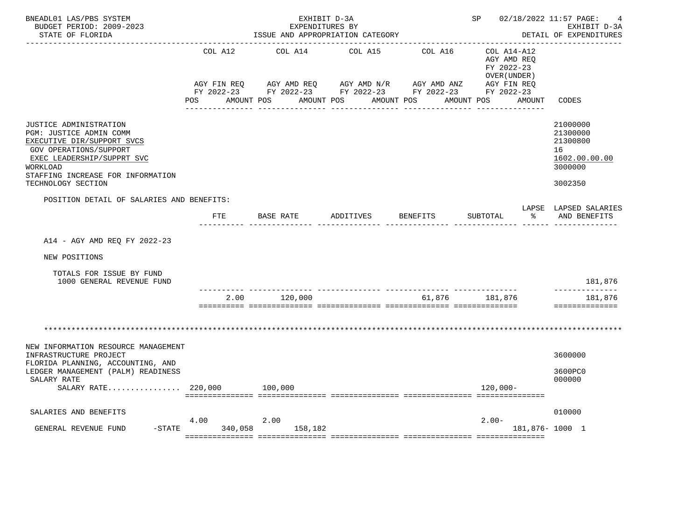| BNEADL01 LAS/PBS SYSTEM<br>BUDGET PERIOD: 2009-2023<br>STATE OF FLORIDA                                                                                                                                        |                 | EXHIBIT D-3A<br>EXPENDITURES BY | ISSUE AND APPROPRIATION CATEGORY |                                                                                                                                     | SP 02/18/2022 11:57 PAGE:                                                                                        | 4<br>EXHIBIT D-3A<br>DETAIL OF EXPENDITURES                                   |
|----------------------------------------------------------------------------------------------------------------------------------------------------------------------------------------------------------------|-----------------|---------------------------------|----------------------------------|-------------------------------------------------------------------------------------------------------------------------------------|------------------------------------------------------------------------------------------------------------------|-------------------------------------------------------------------------------|
|                                                                                                                                                                                                                | COL A12<br>POS  | COL A14<br>AMOUNT POS           | COL A15<br>AMOUNT POS AMOUNT POS | COL A16<br>AGY FIN REQ AGY AMD REQ AGY AMD N/R AGY AMD ANZ AGY FIN REQ FIN REQ AGY AMD N/R AGY AMD ANZ AGY FIN REQ<br>_____________ | COL A14-A12<br>AGY AMD REQ<br>FY 2022-23<br>OVER (UNDER)<br>AMOUNT POS<br>AMOUNT<br><u>. Bergera Bergera eta</u> | CODES                                                                         |
| JUSTICE ADMINISTRATION<br>PGM: JUSTICE ADMIN COMM<br>EXECUTIVE DIR/SUPPORT SVCS<br>GOV OPERATIONS/SUPPORT<br>EXEC LEADERSHIP/SUPPRT SVC<br>WORKLOAD<br>STAFFING INCREASE FOR INFORMATION<br>TECHNOLOGY SECTION |                 |                                 |                                  |                                                                                                                                     |                                                                                                                  | 21000000<br>21300000<br>21300800<br>16<br>1602.00.00.00<br>3000000<br>3002350 |
| POSITION DETAIL OF SALARIES AND BENEFITS:                                                                                                                                                                      | FTE             | BASE RATE                       | ADDITIVES                        | <b>BENEFITS</b>                                                                                                                     | SUBTOTAL<br>$\approx$                                                                                            | LAPSE LAPSED SALARIES<br>AND BENEFITS                                         |
| A14 - AGY AMD REQ FY 2022-23                                                                                                                                                                                   |                 |                                 |                                  |                                                                                                                                     |                                                                                                                  |                                                                               |
| NEW POSITIONS                                                                                                                                                                                                  |                 |                                 |                                  |                                                                                                                                     |                                                                                                                  |                                                                               |
| TOTALS FOR ISSUE BY FUND<br>1000 GENERAL REVENUE FUND                                                                                                                                                          |                 |                                 |                                  |                                                                                                                                     |                                                                                                                  | 181,876                                                                       |
|                                                                                                                                                                                                                | 2.00            | 120,000                         |                                  | _____________________________<br>61,876                                                                                             | 181,876                                                                                                          | -----------<br>181,876<br>==============                                      |
|                                                                                                                                                                                                                |                 |                                 |                                  |                                                                                                                                     |                                                                                                                  |                                                                               |
| NEW INFORMATION RESOURCE MANAGEMENT<br>INFRASTRUCTURE PROJECT                                                                                                                                                  |                 |                                 |                                  |                                                                                                                                     |                                                                                                                  | 3600000                                                                       |
| FLORIDA PLANNING, ACCOUNTING, AND<br>LEDGER MANAGEMENT (PALM) READINESS<br>SALARY RATE<br>$SALARY RATE$ 220,000                                                                                                |                 | 100,000                         |                                  |                                                                                                                                     | 120,000-                                                                                                         | 3600PC0<br>000000                                                             |
| SALARIES AND BENEFITS                                                                                                                                                                                          |                 |                                 |                                  |                                                                                                                                     |                                                                                                                  | 010000                                                                        |
| $-$ STATE<br>GENERAL REVENUE FUND                                                                                                                                                                              | 4.00<br>340,058 | 2.00<br>158,182                 |                                  |                                                                                                                                     | $2.00-$<br>181,876-1000 1                                                                                        |                                                                               |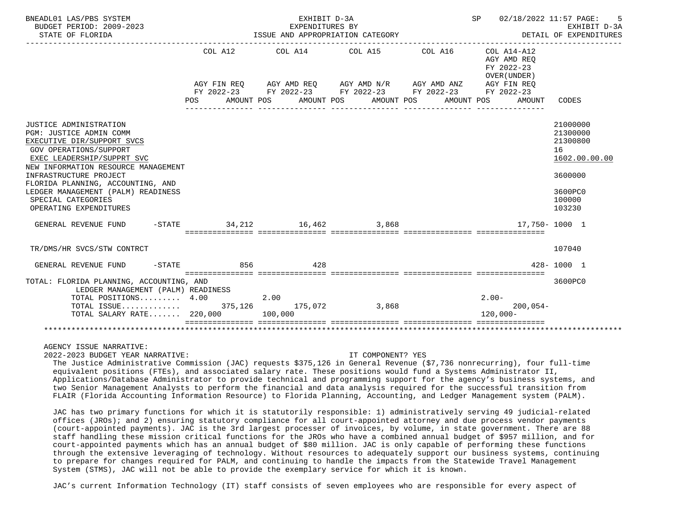| BNEADL01 LAS/PBS SYSTEM<br>BUDGET PERIOD: 2009-2023<br>STATE OF FLORIDA                                                                                                                                                                                                                                                             |              | EXHIBIT D-3A<br>EXPENDITURES BY<br>ISSUE AND APPROPRIATION CATEGORY<br>------------------------------ |                                                                                                            | SP 02/18/2022 11:57 PAGE: | EXHIBIT D-3A<br>DETAIL OF EXPENDITURES                              |                                                                                                   |
|-------------------------------------------------------------------------------------------------------------------------------------------------------------------------------------------------------------------------------------------------------------------------------------------------------------------------------------|--------------|-------------------------------------------------------------------------------------------------------|------------------------------------------------------------------------------------------------------------|---------------------------|---------------------------------------------------------------------|---------------------------------------------------------------------------------------------------|
|                                                                                                                                                                                                                                                                                                                                     |              |                                                                                                       | COL A12 COL A14 COL A15 COL A16 COL A14-A12<br>AGY FIN REQ AGY AMD REQ AGY AMD N/R AGY AMD ANZ AGY FIN REQ |                           | AGY AMD REO<br>FY 2022-23<br>OVER (UNDER )                          |                                                                                                   |
|                                                                                                                                                                                                                                                                                                                                     | POS          |                                                                                                       | FY 2022-23 FY 2022-23 FY 2022-23 FY 2022-23 FY 2022-23<br>AMOUNT POS AMOUNT POS AMOUNT POS                 | AMOUNT POS                | AMOUNT                                                              | CODES                                                                                             |
| JUSTICE ADMINISTRATION<br>PGM: JUSTICE ADMIN COMM<br>EXECUTIVE DIR/SUPPORT SVCS<br>GOV OPERATIONS/SUPPORT<br>EXEC LEADERSHIP/SUPPRT SVC<br>NEW INFORMATION RESOURCE MANAGEMENT<br>INFRASTRUCTURE PROJECT<br>FLORIDA PLANNING, ACCOUNTING, AND<br>LEDGER MANAGEMENT (PALM) READINESS<br>SPECIAL CATEGORIES<br>OPERATING EXPENDITURES |              |                                                                                                       |                                                                                                            |                           |                                                                     | 21000000<br>21300000<br>21300800<br>16<br>1602.00.00.00<br>3600000<br>3600PC0<br>100000<br>103230 |
| GENERAL REVENUE FUND -STATE 34, 212 16, 462 3, 868                                                                                                                                                                                                                                                                                  |              |                                                                                                       |                                                                                                            |                           | 17,750- 1000 1                                                      |                                                                                                   |
| TR/DMS/HR SVCS/STW CONTRCT                                                                                                                                                                                                                                                                                                          |              |                                                                                                       |                                                                                                            |                           |                                                                     | 107040                                                                                            |
| GENERAL REVENUE FUND                                                                                                                                                                                                                                                                                                                | $-STATE$ 856 | 428                                                                                                   |                                                                                                            |                           |                                                                     | $428 - 1000$ 1                                                                                    |
| TOTAL: FLORIDA PLANNING, ACCOUNTING, AND<br>LEDGER MANAGEMENT (PALM) READINESS<br>TOTAL POSITIONS 4.00<br>TOTAL SALARY RATE 220,000 100,000                                                                                                                                                                                         |              | 2.00                                                                                                  |                                                                                                            |                           | $2.00 -$<br>$200,054-$<br>$120.000 -$<br>========================== | 3600PC0                                                                                           |
|                                                                                                                                                                                                                                                                                                                                     |              |                                                                                                       |                                                                                                            |                           |                                                                     |                                                                                                   |

AGENCY ISSUE NARRATIVE:

2022-2023 BUDGET YEAR NARRATIVE: IT COMPONENT? YES

 The Justice Administrative Commission (JAC) requests \$375,126 in General Revenue (\$7,736 nonrecurring), four full-time equivalent positions (FTEs), and associated salary rate. These positions would fund a Systems Administrator II, Applications/Database Administrator to provide technical and programming support for the agency's business systems, and two Senior Management Analysts to perform the financial and data analysis required for the successful transition from FLAIR (Florida Accounting Information Resource) to Florida Planning, Accounting, and Ledger Management system (PALM).

 JAC has two primary functions for which it is statutorily responsible: 1) administratively serving 49 judicial-related offices (JROs); and 2) ensuring statutory compliance for all court-appointed attorney and due process vendor payments (court-appointed payments). JAC is the 3rd largest processer of invoices, by volume, in state government. There are 88 staff handling these mission critical functions for the JROs who have a combined annual budget of \$957 million, and for court-appointed payments which has an annual budget of \$80 million. JAC is only capable of performing these functions through the extensive leveraging of technology. Without resources to adequately support our business systems, continuing to prepare for changes required for PALM, and continuing to handle the impacts from the Statewide Travel Management System (STMS), JAC will not be able to provide the exemplary service for which it is known.

JAC's current Information Technology (IT) staff consists of seven employees who are responsible for every aspect of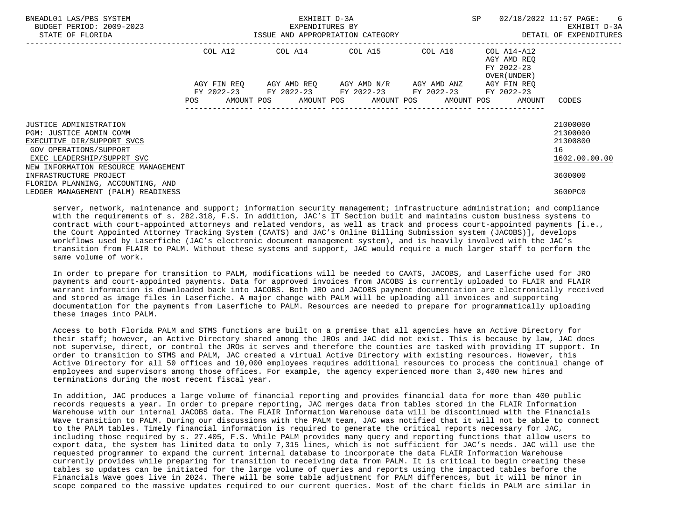| BNEADL01 LAS/PBS SYSTEM<br>BUDGET PERIOD: 2009-2023<br>STATE OF FLORIDA                                                                                                        |             | EXHIBIT D-3A<br>EXPENDITURES BY<br>ISSUE AND APPROPRIATION CATEGORY |                                     | <b>SP</b>                                                                           | 02/18/2022 11:57 PAGE: 6<br>EXHIBIT D-3A<br>DETAIL OF EXPENDITURES |
|--------------------------------------------------------------------------------------------------------------------------------------------------------------------------------|-------------|---------------------------------------------------------------------|-------------------------------------|-------------------------------------------------------------------------------------|--------------------------------------------------------------------|
|                                                                                                                                                                                | COL A12     | COL A14 COL A15 COL A16                                             |                                     | COL A14-A12<br>AGY AMD REO<br>FY 2022-23<br>OVER (UNDER)                            |                                                                    |
|                                                                                                                                                                                | AGY FIN REO | FY 2022-23 FY 2022-23 FY 2022-23 FY 2022-23                         | AGY AMD REO AGY AMD N/R AGY AMD ANZ | AGY FIN REO<br>FY 2022-23<br>POS AMOUNT POS AMOUNT POS AMOUNT POS AMOUNT POS AMOUNT | CODES                                                              |
| JUSTICE ADMINISTRATION<br>PGM: JUSTICE ADMIN COMM<br>EXECUTIVE DIR/SUPPORT SVCS<br>GOV OPERATIONS/SUPPORT<br>EXEC LEADERSHIP/SUPPRT SVC<br>NEW INFORMATION RESOURCE MANAGEMENT |             |                                                                     |                                     |                                                                                     | 21000000<br>21300000<br>21300800<br>16<br>1602.00.00.00            |
| INFRASTRUCTURE PROJECT<br>FLORIDA PLANNING, ACCOUNTING, AND<br>LEDGER MANAGEMENT (PALM) READINESS                                                                              |             |                                                                     |                                     |                                                                                     | 3600000<br>3600PC0                                                 |

server, network, maintenance and support; information security management; infrastructure administration; and compliance with the requirements of s. 282.318, F.S. In addition, JAC's IT Section built and maintains custom business systems to contract with court-appointed attorneys and related vendors, as well as track and process court-appointed payments [i.e., the Court Appointed Attorney Tracking System (CAATS) and JAC's Online Billing Submission system (JACOBS)], develops workflows used by Laserfiche (JAC's electronic document management system), and is heavily involved with the JAC's transition from FLAIR to PALM. Without these systems and support, JAC would require a much larger staff to perform the same volume of work.

 In order to prepare for transition to PALM, modifications will be needed to CAATS, JACOBS, and Laserfiche used for JRO payments and court-appointed payments. Data for approved invoices from JACOBS is currently uploaded to FLAIR and FLAIR warrant information is downloaded back into JACOBS. Both JRO and JACOBS payment documentation are electronically received and stored as image files in Laserfiche. A major change with PALM will be uploading all invoices and supporting documentation for the payments from Laserfiche to PALM. Resources are needed to prepare for programmatically uploading these images into PALM.

 Access to both Florida PALM and STMS functions are built on a premise that all agencies have an Active Directory for their staff; however, an Active Directory shared among the JROs and JAC did not exist. This is because by law, JAC does not supervise, direct, or control the JROs it serves and therefore the counties are tasked with providing IT support. In order to transition to STMS and PALM, JAC created a virtual Active Directory with existing resources. However, this Active Directory for all 50 offices and 10,000 employees requires additional resources to process the continual change of employees and supervisors among those offices. For example, the agency experienced more than 3,400 new hires and terminations during the most recent fiscal year.

 In addition, JAC produces a large volume of financial reporting and provides financial data for more than 400 public records requests a year. In order to prepare reporting, JAC merges data from tables stored in the FLAIR Information Warehouse with our internal JACOBS data. The FLAIR Information Warehouse data will be discontinued with the Financials Wave transition to PALM. During our discussions with the PALM team, JAC was notified that it will not be able to connect to the PALM tables. Timely financial information is required to generate the critical reports necessary for JAC, including those required by s. 27.405, F.S. While PALM provides many query and reporting functions that allow users to export data, the system has limited data to only 7,315 lines, which is not sufficient for JAC's needs. JAC will use the requested programmer to expand the current internal database to incorporate the data FLAIR Information Warehouse currently provides while preparing for transition to receiving data from PALM. It is critical to begin creating these tables so updates can be initiated for the large volume of queries and reports using the impacted tables before the Financials Wave goes live in 2024. There will be some table adjustment for PALM differences, but it will be minor in scope compared to the massive updates required to our current queries. Most of the chart fields in PALM are similar in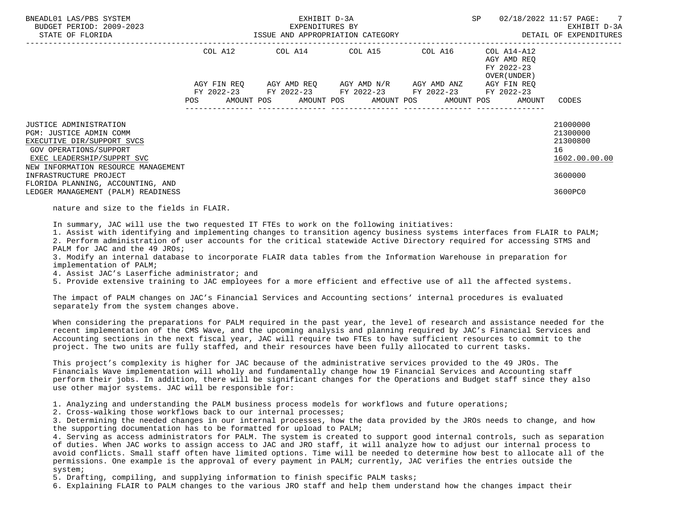| BUDGET PERIOD: 2009-2023<br>STATE OF FLORIDA                                                                                                                                                                                                                                        |            | EXPENDITURES BY<br>ISSUE AND APPROPRIATION CATEGORY                                                                                                        | DETAIL OF EXPENDITURES | 02/18/2022 11:57 PAGE: 7<br>EXHIBIT D-3A                 |                                                                               |
|-------------------------------------------------------------------------------------------------------------------------------------------------------------------------------------------------------------------------------------------------------------------------------------|------------|------------------------------------------------------------------------------------------------------------------------------------------------------------|------------------------|----------------------------------------------------------|-------------------------------------------------------------------------------|
|                                                                                                                                                                                                                                                                                     | COL A12    | COL A14 COL A15 COL A16                                                                                                                                    |                        | COL A14-A12<br>AGY AMD REQ<br>FY 2022-23<br>OVER (UNDER) |                                                                               |
|                                                                                                                                                                                                                                                                                     | <b>POS</b> | AGY FIN REO AGY AMD REO AGY AMD N/R AGY AMD ANZ<br>FY 2022-23 FY 2022-23 FY 2022-23 FY 2022-23<br>AMOUNT POS      AMOUNT POS     AMOUNT POS     AMOUNT POS |                        | AGY FIN REO<br>FY 2022-23<br>AMOUNT                      | CODES                                                                         |
| JUSTICE ADMINISTRATION<br>PGM: JUSTICE ADMIN COMM<br>EXECUTIVE DIR/SUPPORT SVCS<br>GOV OPERATIONS/SUPPORT<br>EXEC LEADERSHIP/SUPPRT SVC<br>NEW INFORMATION RESOURCE MANAGEMENT<br>INFRASTRUCTURE PROJECT<br>FLORIDA PLANNING, ACCOUNTING, AND<br>LEDGER MANAGEMENT (PALM) READINESS |            |                                                                                                                                                            |                        |                                                          | 21000000<br>21300000<br>21300800<br>16<br>1602.00.00.00<br>3600000<br>3600PC0 |

nature and size to the fields in FLAIR.

In summary, JAC will use the two requested IT FTEs to work on the following initiatives:

 1. Assist with identifying and implementing changes to transition agency business systems interfaces from FLAIR to PALM; 2. Perform administration of user accounts for the critical statewide Active Directory required for accessing STMS and

PALM for JAC and the 49 JROs;

 3. Modify an internal database to incorporate FLAIR data tables from the Information Warehouse in preparation for implementation of PALM;

4. Assist JAC's Laserfiche administrator; and

5. Provide extensive training to JAC employees for a more efficient and effective use of all the affected systems.

 The impact of PALM changes on JAC's Financial Services and Accounting sections' internal procedures is evaluated separately from the system changes above.

 When considering the preparations for PALM required in the past year, the level of research and assistance needed for the recent implementation of the CMS Wave, and the upcoming analysis and planning required by JAC's Financial Services and Accounting sections in the next fiscal year, JAC will require two FTEs to have sufficient resources to commit to the project. The two units are fully staffed, and their resources have been fully allocated to current tasks.

 This project's complexity is higher for JAC because of the administrative services provided to the 49 JROs. The Financials Wave implementation will wholly and fundamentally change how 19 Financial Services and Accounting staff perform their jobs. In addition, there will be significant changes for the Operations and Budget staff since they also use other major systems. JAC will be responsible for:

1. Analyzing and understanding the PALM business process models for workflows and future operations;

2. Cross-walking those workflows back to our internal processes;

 3. Determining the needed changes in our internal processes, how the data provided by the JROs needs to change, and how the supporting documentation has to be formatted for upload to PALM;

 4. Serving as access administrators for PALM. The system is created to support good internal controls, such as separation of duties. When JAC works to assign access to JAC and JRO staff, it will analyze how to adjust our internal process to avoid conflicts. Small staff often have limited options. Time will be needed to determine how best to allocate all of the permissions. One example is the approval of every payment in PALM; currently, JAC verifies the entries outside the system;

5. Drafting, compiling, and supplying information to finish specific PALM tasks;

6. Explaining FLAIR to PALM changes to the various JRO staff and help them understand how the changes impact their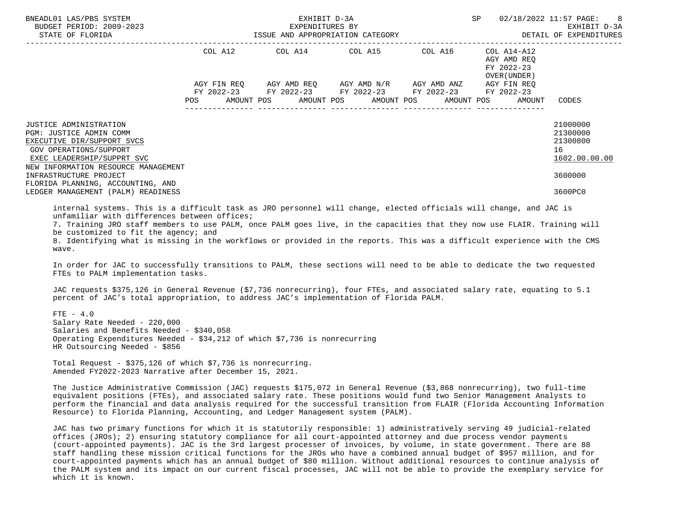| BNEADL01 LAS/PBS SYSTEM<br>BUDGET PERIOD: 2009-2023<br>STATE OF FLORIDA                                                                                                                                                                                                                                                                                                                                                                                                     |            | EXPENDITURES BY<br>ISSUE AND APPROPRIATION CATEGORY                                                                                            | EXHIBIT D-3A |                          | SP                                       | 02/18/2022 11:57 PAGE: 8<br>EXHIBIT D-3A<br>DETAIL OF EXPENDITURES            |
|-----------------------------------------------------------------------------------------------------------------------------------------------------------------------------------------------------------------------------------------------------------------------------------------------------------------------------------------------------------------------------------------------------------------------------------------------------------------------------|------------|------------------------------------------------------------------------------------------------------------------------------------------------|--------------|--------------------------|------------------------------------------|-------------------------------------------------------------------------------|
|                                                                                                                                                                                                                                                                                                                                                                                                                                                                             |            | COL A12 COL A14 COL A15 COL A16                                                                                                                |              |                          | COL A14-A12<br>AGY AMD REO<br>FY 2022-23 |                                                                               |
|                                                                                                                                                                                                                                                                                                                                                                                                                                                                             | <b>POS</b> | AGY FIN REQ AGY AMD REQ AGY AMD N/R AGY AMD ANZ AGY FIN REQ<br>FY 2022-23 FY 2022-23 FY 2022-23 FY 2022-23 FY 2022-23<br>AMOUNT POS AMOUNT POS |              | AMOUNT POS<br>AMOUNT POS | OVER (UNDER)<br>AMOUNT                   | CODES                                                                         |
| <b>JUSTICE ADMINISTRATION</b><br>PGM: JUSTICE ADMIN COMM<br>EXECUTIVE DIR/SUPPORT SVCS<br>GOV OPERATIONS/SUPPORT<br>EXEC LEADERSHIP/SUPPRT SVC<br>NEW INFORMATION RESOURCE MANAGEMENT<br>INFRASTRUCTURE PROJECT<br>FLORIDA PLANNING, ACCOUNTING, AND<br>LEDGER MANAGEMENT (PALM) READINESS                                                                                                                                                                                  |            |                                                                                                                                                |              |                          |                                          | 21000000<br>21300000<br>21300800<br>16<br>1602.00.00.00<br>3600000<br>3600PC0 |
| internal systems. This is a difficult task as JRO personnel will change, elected officials will change, and JAC is<br>unfamiliar with differences between offices;<br>7. Training JRO staff members to use PALM, once PALM goes live, in the capacities that they now use FLAIR. Training will<br>be customized to fit the agency; and<br>8. Identifying what is missing in the workflows or provided in the reports. This was a difficult experience with the CMS<br>wave. |            |                                                                                                                                                |              |                          |                                          |                                                                               |

 In order for JAC to successfully transitions to PALM, these sections will need to be able to dedicate the two requested FTEs to PALM implementation tasks.

 JAC requests \$375,126 in General Revenue (\$7,736 nonrecurring), four FTEs, and associated salary rate, equating to 5.1 percent of JAC's total appropriation, to address JAC's implementation of Florida PALM.

 $FTE - 4.0$  Salary Rate Needed - 220,000 Salaries and Benefits Needed - \$340,058 Operating Expenditures Needed - \$34,212 of which \$7,736 is nonrecurring HR Outsourcing Needed - \$856

 Total Request - \$375,126 of which \$7,736 is nonrecurring. Amended FY2022-2023 Narrative after December 15, 2021.

 The Justice Administrative Commission (JAC) requests \$175,072 in General Revenue (\$3,868 nonrecurring), two full-time equivalent positions (FTEs), and associated salary rate. These positions would fund two Senior Management Analysts to perform the financial and data analysis required for the successful transition from FLAIR (Florida Accounting Information Resource) to Florida Planning, Accounting, and Ledger Management system (PALM).

 JAC has two primary functions for which it is statutorily responsible: 1) administratively serving 49 judicial-related offices (JROs); 2) ensuring statutory compliance for all court-appointed attorney and due process vendor payments (court-appointed payments). JAC is the 3rd largest processer of invoices, by volume, in state government. There are 88 staff handling these mission critical functions for the JROs who have a combined annual budget of \$957 million, and for court-appointed payments which has an annual budget of \$80 million. Without additional resources to continue analysis of the PALM system and its impact on our current fiscal processes, JAC will not be able to provide the exemplary service for which it is known.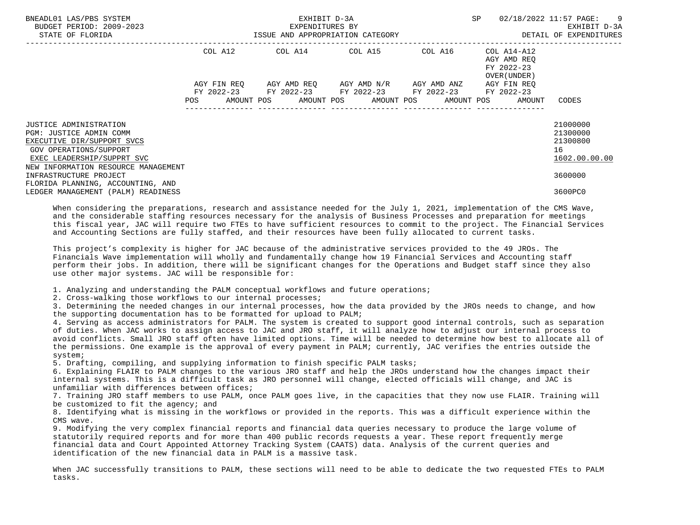| BNEADL01 LAS/PBS SYSTEM<br>BUDGET PERIOD: 2009-2023<br>STATE OF FLORIDA                                                                                                               | EXHIBIT D-3A<br>EXPENDITURES BY<br>ISSUE AND APPROPRIATION CATEGORY |         |  |                                                                                                                       |  |  | <b>SP</b> |  | 02/18/2022 11:57 PAGE: 9<br>EXHIBIT D-3A<br>DETAIL OF EXPENDITURES |                                                         |
|---------------------------------------------------------------------------------------------------------------------------------------------------------------------------------------|---------------------------------------------------------------------|---------|--|-----------------------------------------------------------------------------------------------------------------------|--|--|-----------|--|--------------------------------------------------------------------|---------------------------------------------------------|
|                                                                                                                                                                                       |                                                                     | COL A12 |  | COL A14 COL A15 COL A16                                                                                               |  |  |           |  | COL A14-A12<br>AGY AMD REO<br>FY 2022-23<br>OVER (UNDER )          |                                                         |
|                                                                                                                                                                                       |                                                                     |         |  | AGY FIN REO AGY AMD REO AGY AMD N/R AGY AMD ANZ AGY FIN REO<br>FY 2022-23 FY 2022-23 FY 2022-23 FY 2022-23 FY 2022-23 |  |  |           |  |                                                                    |                                                         |
|                                                                                                                                                                                       |                                                                     |         |  | POS AMOUNT POS AMOUNT POS AMOUNT POS AMOUNT POS AMOUNT                                                                |  |  |           |  |                                                                    | CODES                                                   |
| <b>JUSTICE ADMINISTRATION</b><br>PGM: JUSTICE ADMIN COMM<br>EXECUTIVE DIR/SUPPORT SVCS<br>GOV OPERATIONS/SUPPORT<br>EXEC LEADERSHIP/SUPPRT SVC<br>NEW INFORMATION RESOURCE MANAGEMENT |                                                                     |         |  |                                                                                                                       |  |  |           |  |                                                                    | 21000000<br>21300000<br>21300800<br>16<br>1602.00.00.00 |
| INFRASTRUCTURE PROJECT<br>FLORIDA PLANNING, ACCOUNTING, AND                                                                                                                           |                                                                     |         |  |                                                                                                                       |  |  |           |  |                                                                    | 3600000                                                 |
| LEDGER MANAGEMENT (PALM) READINESS                                                                                                                                                    |                                                                     |         |  |                                                                                                                       |  |  |           |  |                                                                    | 3600PC0                                                 |

 When considering the preparations, research and assistance needed for the July 1, 2021, implementation of the CMS Wave, and the considerable staffing resources necessary for the analysis of Business Processes and preparation for meetings this fiscal year, JAC will require two FTEs to have sufficient resources to commit to the project. The Financial Services and Accounting Sections are fully staffed, and their resources have been fully allocated to current tasks.

 This project's complexity is higher for JAC because of the administrative services provided to the 49 JROs. The Financials Wave implementation will wholly and fundamentally change how 19 Financial Services and Accounting staff perform their jobs. In addition, there will be significant changes for the Operations and Budget staff since they also use other major systems. JAC will be responsible for:

1. Analyzing and understanding the PALM conceptual workflows and future operations;

2. Cross-walking those workflows to our internal processes;

 3. Determining the needed changes in our internal processes, how the data provided by the JROs needs to change, and how the supporting documentation has to be formatted for upload to PALM;

 4. Serving as access administrators for PALM. The system is created to support good internal controls, such as separation of duties. When JAC works to assign access to JAC and JRO staff, it will analyze how to adjust our internal process to avoid conflicts. Small JRO staff often have limited options. Time will be needed to determine how best to allocate all of the permissions. One example is the approval of every payment in PALM; currently, JAC verifies the entries outside the system;

5. Drafting, compiling, and supplying information to finish specific PALM tasks;

 6. Explaining FLAIR to PALM changes to the various JRO staff and help the JROs understand how the changes impact their internal systems. This is a difficult task as JRO personnel will change, elected officials will change, and JAC is unfamiliar with differences between offices;

 7. Training JRO staff members to use PALM, once PALM goes live, in the capacities that they now use FLAIR. Training will be customized to fit the agency; and

 8. Identifying what is missing in the workflows or provided in the reports. This was a difficult experience within the CMS wave.

 9. Modifying the very complex financial reports and financial data queries necessary to produce the large volume of statutorily required reports and for more than 400 public records requests a year. These report frequently merge financial data and Court Appointed Attorney Tracking System (CAATS) data. Analysis of the current queries and identification of the new financial data in PALM is a massive task.

 When JAC successfully transitions to PALM, these sections will need to be able to dedicate the two requested FTEs to PALM tasks.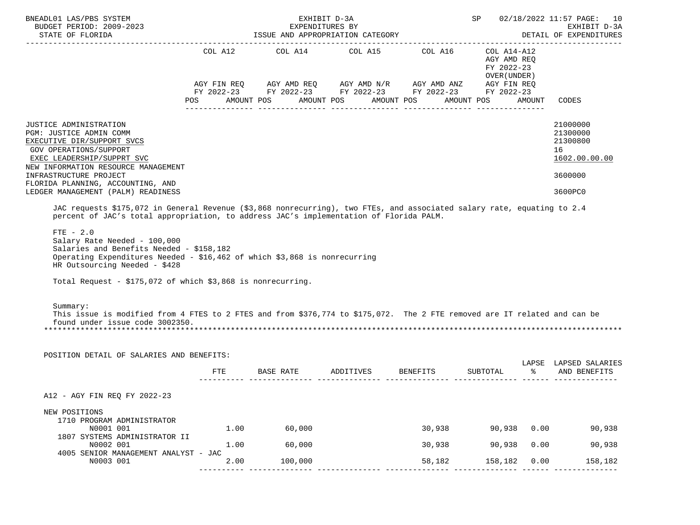| BNEADL01 LAS/PBS SYSTEM<br>BUDGET PERIOD: 2009-2023<br>STATE OF FLORIDA                                                                                                                                                                                                                                                                                                                                                                                                                                 |              | ISSUE AND APPROPRIATION CATEGORY                                                                                                                                       | EXHIBIT D-3A<br>EXPENDITURES BY |                  | <b>SP</b>                                                                                                      |               | 02/18/2022 11:57 PAGE: 10<br>EXHIBIT D-3A<br>DETAIL OF EXPENDITURES           |
|---------------------------------------------------------------------------------------------------------------------------------------------------------------------------------------------------------------------------------------------------------------------------------------------------------------------------------------------------------------------------------------------------------------------------------------------------------------------------------------------------------|--------------|------------------------------------------------------------------------------------------------------------------------------------------------------------------------|---------------------------------|------------------|----------------------------------------------------------------------------------------------------------------|---------------|-------------------------------------------------------------------------------|
|                                                                                                                                                                                                                                                                                                                                                                                                                                                                                                         | POS          | COL A12 COL A14 COL A15 COL A16<br>AGY FIN REQ AGY AMD REQ AGY AMD N/R AGY AMD ANZ AGY FIN REQ<br>FY 2022-23 FY 2022-23 FY 2022-23 FY 2022-23 FY 2022-23<br>AMOUNT POS | AMOUNT POS                      | AMOUNT POS       | -----------------------------------<br>COL A14-A12<br>AGY AMD REO<br>FY 2022-23<br>OVER (UNDER )<br>AMOUNT POS | AMOUNT        | CODES                                                                         |
| JUSTICE ADMINISTRATION<br>PGM: JUSTICE ADMIN COMM<br>EXECUTIVE DIR/SUPPORT SVCS<br>GOV OPERATIONS/SUPPORT<br>EXEC LEADERSHIP/SUPPRT SVC<br>NEW INFORMATION RESOURCE MANAGEMENT<br>INFRASTRUCTURE PROJECT<br>FLORIDA PLANNING, ACCOUNTING, AND<br>LEDGER MANAGEMENT (PALM) READINESS                                                                                                                                                                                                                     |              |                                                                                                                                                                        |                                 |                  |                                                                                                                |               | 21000000<br>21300000<br>21300800<br>16<br>1602.00.00.00<br>3600000<br>3600PC0 |
| percent of JAC's total appropriation, to address JAC's implementation of Florida PALM.<br>$FTE - 2.0$<br>Salary Rate Needed - 100,000<br>Salaries and Benefits Needed - \$158,182<br>Operating Expenditures Needed - \$16,462 of which \$3,868 is nonrecurring<br>HR Outsourcing Needed - \$428<br>Total Request - \$175,072 of which \$3,868 is nonrecurring.<br>Summary:<br>This issue is modified from 4 FTES to 2 FTES and from \$376,774 to \$175,072. The 2 FTE removed are IT related and can be |              |                                                                                                                                                                        |                                 |                  |                                                                                                                |               |                                                                               |
| found under issue code 3002350.<br>POSITION DETAIL OF SALARIES AND BENEFITS:                                                                                                                                                                                                                                                                                                                                                                                                                            |              |                                                                                                                                                                        |                                 |                  |                                                                                                                |               |                                                                               |
|                                                                                                                                                                                                                                                                                                                                                                                                                                                                                                         |              | FTE BASE RATE ADDITIVES BENEFITS SUBTOTAL                                                                                                                              |                                 |                  |                                                                                                                | $\sim$ $\sim$ | LAPSE LAPSED SALARIES<br>AND BENEFITS                                         |
| A12 - AGY FIN REQ FY 2022-23                                                                                                                                                                                                                                                                                                                                                                                                                                                                            |              |                                                                                                                                                                        |                                 |                  |                                                                                                                |               |                                                                               |
| NEW POSITIONS<br>1710 PROGRAM ADMINISTRATOR<br>N0001 001<br>1807 SYSTEMS ADMINISTRATOR II                                                                                                                                                                                                                                                                                                                                                                                                               |              | 1.00<br>60,000                                                                                                                                                         |                                 | 30,938           | 90,938   0.00                                                                                                  |               | 90,938                                                                        |
| N0002 001<br>4005 SENIOR MANAGEMENT ANALYST - JAC<br>N0003 001                                                                                                                                                                                                                                                                                                                                                                                                                                          | 1.00<br>2.00 | 60,000<br>100,000                                                                                                                                                      |                                 | 30,938<br>58,182 | 90,938<br>158,182 0.00                                                                                         | 0.00          | 90,938<br>158,182                                                             |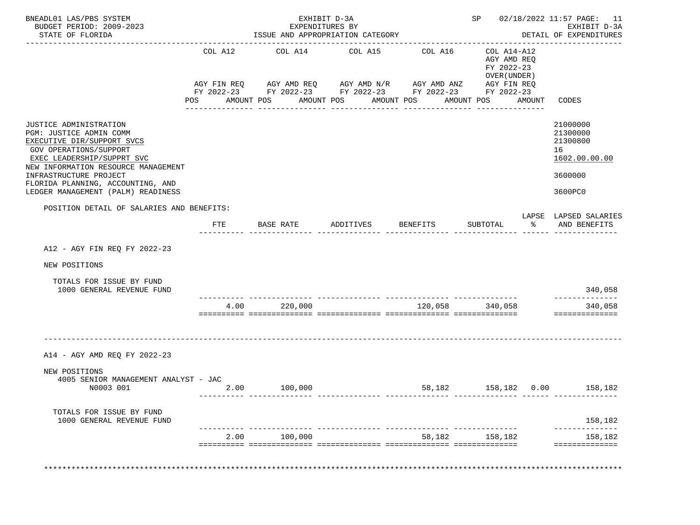| BNEADL01 LAS/PBS SYSTEM<br>BUDGET PERIOD: 2009-2023<br>STATE OF FLORIDA                                                                                                        |         | ISSUE AND APPROPRIATION CATEGORY                                         | EXHIBIT D-3A<br>EXPENDITURES BY |            |                                                                          |        | SP 02/18/2022 11:57 PAGE: 11<br>EXHIBIT D-3A<br>DETAIL OF EXPENDITURES |
|--------------------------------------------------------------------------------------------------------------------------------------------------------------------------------|---------|--------------------------------------------------------------------------|---------------------------------|------------|--------------------------------------------------------------------------|--------|------------------------------------------------------------------------|
|                                                                                                                                                                                | COL A12 | COL A14<br>AGY FIN REQ      AGY AMD REQ      AGY AMD N/R     AGY AMD ANZ | COL A15                         | COL A16    | COL A14-A12<br>AGY AMD REQ<br>FY 2022-23<br>OVER (UNDER )<br>AGY FIN REQ |        |                                                                        |
|                                                                                                                                                                                | POS     | FY 2022-23 FY 2022-23 FY 2022-23 FY 2022-23 FY 2022-23<br>AMOUNT POS     | AMOUNT POS                      | AMOUNT POS | AMOUNT POS                                                               | AMOUNT | CODES                                                                  |
|                                                                                                                                                                                |         |                                                                          |                                 |            |                                                                          |        |                                                                        |
| JUSTICE ADMINISTRATION<br>PGM: JUSTICE ADMIN COMM<br>EXECUTIVE DIR/SUPPORT SVCS<br>GOV OPERATIONS/SUPPORT<br>EXEC LEADERSHIP/SUPPRT SVC<br>NEW INFORMATION RESOURCE MANAGEMENT |         |                                                                          |                                 |            |                                                                          |        | 21000000<br>21300000<br>21300800<br>16<br>1602.00.00.00                |
| INFRASTRUCTURE PROJECT<br>FLORIDA PLANNING, ACCOUNTING, AND                                                                                                                    |         |                                                                          |                                 |            |                                                                          |        | 3600000                                                                |
| LEDGER MANAGEMENT (PALM) READINESS                                                                                                                                             |         |                                                                          |                                 |            |                                                                          |        | 3600PC0                                                                |
| POSITION DETAIL OF SALARIES AND BENEFITS:                                                                                                                                      |         |                                                                          |                                 |            |                                                                          |        | LAPSE LAPSED SALARIES                                                  |
|                                                                                                                                                                                | FTE     | BASE RATE                                                                | ADDITIVES                       | BENEFITS   | SUBTOTAL                                                                 |        | % AND BENEFITS                                                         |
| A12 - AGY FIN REQ FY 2022-23                                                                                                                                                   |         |                                                                          |                                 |            |                                                                          |        |                                                                        |
| NEW POSITIONS                                                                                                                                                                  |         |                                                                          |                                 |            |                                                                          |        |                                                                        |
| TOTALS FOR ISSUE BY FUND<br>1000 GENERAL REVENUE FUND                                                                                                                          |         |                                                                          |                                 |            |                                                                          |        | 340,058                                                                |
|                                                                                                                                                                                | 4.00    | 220,000                                                                  |                                 |            | 120,058 340,058                                                          |        | -----------<br>340,058<br>==============                               |
| A14 - AGY AMD REQ FY 2022-23                                                                                                                                                   |         |                                                                          |                                 |            |                                                                          |        |                                                                        |
| NEW POSITIONS<br>4005 SENIOR MANAGEMENT ANALYST - JAC<br>N0003 001                                                                                                             | 2.00    | 100,000                                                                  |                                 |            | 58,182   158,182   0.00   158,182                                        |        |                                                                        |
| TOTALS FOR ISSUE BY FUND<br>1000 GENERAL REVENUE FUND                                                                                                                          |         |                                                                          |                                 |            |                                                                          |        | 158,182                                                                |
|                                                                                                                                                                                |         | 2.00<br>100,000                                                          |                                 |            | 58,182 158,182                                                           |        | 158,182                                                                |
|                                                                                                                                                                                |         |                                                                          |                                 |            |                                                                          |        | ==============                                                         |
|                                                                                                                                                                                |         |                                                                          |                                 |            |                                                                          |        |                                                                        |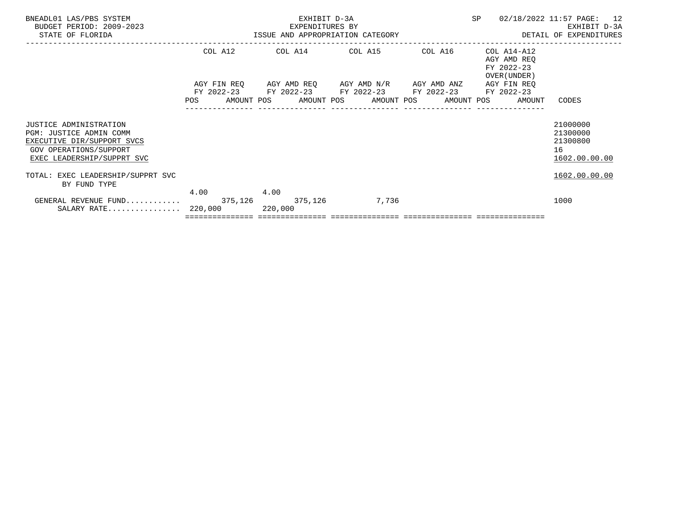| BNEADL01 LAS/PBS SYSTEM<br>BUDGET PERIOD: 2009-2023<br>STATE OF FLORIDA                                                                 |         | EXHIBIT D-3A<br>EXPENDITURES BY | SP                                                                                                                                                                              | 02/18/2022 11:57 PAGE: 12<br>EXHIBIT D-3A |                                                          |                                                         |
|-----------------------------------------------------------------------------------------------------------------------------------------|---------|---------------------------------|---------------------------------------------------------------------------------------------------------------------------------------------------------------------------------|-------------------------------------------|----------------------------------------------------------|---------------------------------------------------------|
|                                                                                                                                         | COL A12 |                                 | COL A14 COL A15 COL A16                                                                                                                                                         |                                           | COL A14-A12<br>AGY AMD REO<br>FY 2022-23<br>OVER (UNDER) |                                                         |
|                                                                                                                                         |         |                                 | AGY FIN REQ AGY AMD REQ AGY AMD N/R AGY AMD ANZ AGY FIN REQ<br>FY 2022-23 FY 2022-23 FY 2022-23 FY 2022-23 FY 2022-23<br>POS AMOUNT POS AMOUNT POS AMOUNT POS AMOUNT POS AMOUNT |                                           |                                                          | CODES                                                   |
| JUSTICE ADMINISTRATION<br>PGM: JUSTICE ADMIN COMM<br>EXECUTIVE DIR/SUPPORT SVCS<br>GOV OPERATIONS/SUPPORT<br>EXEC LEADERSHIP/SUPPRT SVC |         |                                 |                                                                                                                                                                                 |                                           |                                                          | 21000000<br>21300000<br>21300800<br>16<br>1602.00.00.00 |
| TOTAL: EXEC LEADERSHIP/SUPPRT SVC<br>BY FUND TYPE                                                                                       |         |                                 |                                                                                                                                                                                 |                                           |                                                          | 1602.00.00.00                                           |
| GENERAL REVENUE FUND 375,126 375,126 7,736<br>SALARY RATE 220,000 220,000                                                               | 4.00    | 4.00                            |                                                                                                                                                                                 |                                           |                                                          | 1000                                                    |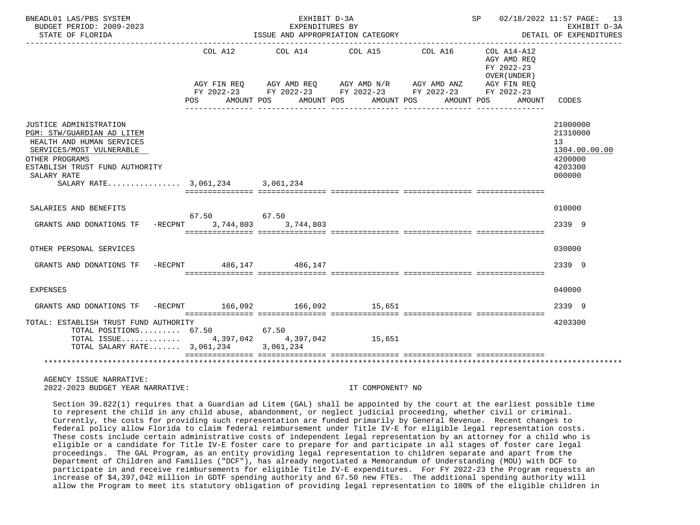| BNEADL01 LAS/PBS SYSTEM<br>BUDGET PERIOD: 2009-2023<br>STATE OF FLORIDA                                                                                                          |                         | EXHIBIT D-3A<br>EXPENDITURES BY<br>ISSUE AND APPROPRIATION CATEGORY                                                   |                                  |         | SP 02/18/2022 11:57 PAGE: 13                                                     | EXHIBIT D-3A<br>DETAIL OF EXPENDITURES                                      |
|----------------------------------------------------------------------------------------------------------------------------------------------------------------------------------|-------------------------|-----------------------------------------------------------------------------------------------------------------------|----------------------------------|---------|----------------------------------------------------------------------------------|-----------------------------------------------------------------------------|
|                                                                                                                                                                                  |                         |                                                                                                                       |                                  |         |                                                                                  |                                                                             |
|                                                                                                                                                                                  | COL A12<br>POS FOR      | COL A14<br>AGY FIN REQ AGY AMD REQ AGY AMD N/R AGY AMD ANZ AGY FIN REQ FY 2022-23 FY 2022-23 FY 2022-23<br>AMOUNT POS | COL A15<br>AMOUNT POS AMOUNT POS | COL A16 | COL A14-A12<br>AGY AMD REO<br>FY 2022-23<br>OVER (UNDER)<br>AMOUNT POS<br>AMOUNT | CODES                                                                       |
| JUSTICE ADMINISTRATION<br>PGM: STW/GUARDIAN AD LITEM<br>HEALTH AND HUMAN SERVICES<br>SERVICES/MOST VULNERABLE<br>OTHER PROGRAMS<br>ESTABLISH TRUST FUND AUTHORITY<br>SALARY RATE |                         |                                                                                                                       |                                  |         |                                                                                  | 21000000<br>21310000<br>13<br>1304.00.00.00<br>4200000<br>4203300<br>000000 |
|                                                                                                                                                                                  |                         |                                                                                                                       |                                  |         |                                                                                  |                                                                             |
| SALARIES AND BENEFITS<br>GRANTS AND DONATIONS TF -RECPNT 3,744,803 3,744,803                                                                                                     | 67.50 67.50             |                                                                                                                       |                                  |         |                                                                                  | 010000<br>2339 9                                                            |
| OTHER PERSONAL SERVICES                                                                                                                                                          |                         |                                                                                                                       |                                  |         |                                                                                  | 030000                                                                      |
| GRANTS AND DONATIONS TF                                                                                                                                                          | -RECPNT 486,147 486,147 |                                                                                                                       |                                  |         |                                                                                  | 2339 9                                                                      |
| EXPENSES                                                                                                                                                                         |                         |                                                                                                                       |                                  |         |                                                                                  | 040000                                                                      |
| GRANTS AND DONATIONS TF                                                                                                                                                          |                         | -RECPNT 166,092 166,092 15,651                                                                                        |                                  |         |                                                                                  | 2339 9                                                                      |
| TOTAL: ESTABLISH TRUST FUND AUTHORITY<br>TOTAL POSITIONS $67.50$<br>TOTAL ISSUE 4,397,042 4,397,042 15,651<br>TOTAL SALARY RATE $3,061,234$                                      |                         | 67.50<br>3,061,234                                                                                                    |                                  |         |                                                                                  | 4203300                                                                     |
|                                                                                                                                                                                  |                         |                                                                                                                       |                                  |         |                                                                                  |                                                                             |
| AGENCY ISSUE NARRATIVE:                                                                                                                                                          |                         |                                                                                                                       |                                  |         |                                                                                  |                                                                             |

2022-2023 BUDGET YEAR NARRATIVE: IT COMPONENT? NO

 Section 39.822(1) requires that a Guardian ad Litem (GAL) shall be appointed by the court at the earliest possible time to represent the child in any child abuse, abandonment, or neglect judicial proceeding, whether civil or criminal. Currently, the costs for providing such representation are funded primarily by General Revenue. Recent changes to federal policy allow Florida to claim federal reimbursement under Title IV-E for eligible legal representation costs. These costs include certain administrative costs of independent legal representation by an attorney for a child who is eligible or a candidate for Title IV-E foster care to prepare for and participate in all stages of foster care legal proceedings. The GAL Program, as an entity providing legal representation to children separate and apart from the Department of Children and Families ("DCF"), has already negotiated a Memorandum of Understanding (MOU) with DCF to participate in and receive reimbursements for eligible Title IV-E expenditures. For FY 2022-23 the Program requests an increase of \$4,397,042 million in GDTF spending authority and 67.50 new FTEs. The additional spending authority will allow the Program to meet its statutory obligation of providing legal representation to 100% of the eligible children in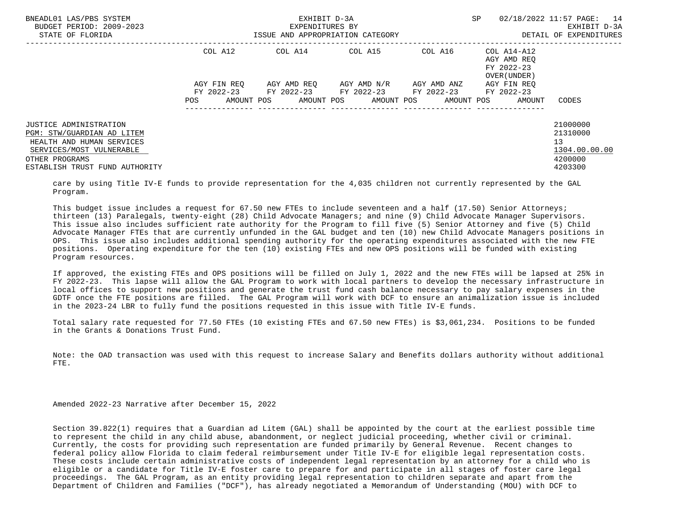| BNEADL01 LAS/PBS SYSTEM<br>BUDGET PERIOD: 2009-2023<br>STATE OF FLORIDA |             | EXHIBIT D-3A<br>EXPENDITURES BY<br>ISSUE AND APPROPRIATION CATEGORY | SP                                                          | 02/18/2022 11:57 PAGE:<br>14<br>EXHIBIT D-3A<br>DETAIL OF EXPENDITURES |                                                          |               |
|-------------------------------------------------------------------------|-------------|---------------------------------------------------------------------|-------------------------------------------------------------|------------------------------------------------------------------------|----------------------------------------------------------|---------------|
|                                                                         | COL A12     | COL A14                                                             | COL A15                                                     | COL A16                                                                | COL A14-A12<br>AGY AMD REO<br>FY 2022-23<br>OVER (UNDER) |               |
|                                                                         | AGY FIN REO |                                                                     | AGY AMD REO AGY AMD N/R                                     | AGY AMD ANZ                                                            | AGY FIN REO                                              |               |
|                                                                         |             |                                                                     | FY 2022-23 FY 2022-23 FY 2022-23 FY 2022-23 FY 2022-23      |                                                                        |                                                          |               |
|                                                                         | POS         |                                                                     | AMOUNT POS       AMOUNT POS      AMOUNT POS      AMOUNT POS |                                                                        | AMOUNT                                                   | CODES         |
| <b>JUSTICE ADMINISTRATION</b>                                           |             |                                                                     |                                                             |                                                                        |                                                          | 21000000      |
| PGM: STW/GUARDIAN AD LITEM                                              |             |                                                                     |                                                             |                                                                        |                                                          | 21310000      |
| HEALTH AND HUMAN SERVICES                                               |             |                                                                     |                                                             |                                                                        |                                                          | 13            |
| SERVICES/MOST VULNERABLE                                                |             |                                                                     |                                                             |                                                                        |                                                          | 1304.00.00.00 |
| OTHER PROGRAMS                                                          |             |                                                                     |                                                             |                                                                        |                                                          | 4200000       |
| ESTABLISH TRUST FUND AUTHORITY                                          |             |                                                                     |                                                             |                                                                        |                                                          | 4203300       |

 care by using Title IV-E funds to provide representation for the 4,035 children not currently represented by the GAL Program.

 This budget issue includes a request for 67.50 new FTEs to include seventeen and a half (17.50) Senior Attorneys; thirteen (13) Paralegals, twenty-eight (28) Child Advocate Managers; and nine (9) Child Advocate Manager Supervisors. This issue also includes sufficient rate authority for the Program to fill five (5) Senior Attorney and five (5) Child Advocate Manager FTEs that are currently unfunded in the GAL budget and ten (10) new Child Advocate Managers positions in OPS. This issue also includes additional spending authority for the operating expenditures associated with the new FTE positions. Operating expenditure for the ten (10) existing FTEs and new OPS positions will be funded with existing Program resources.

 If approved, the existing FTEs and OPS positions will be filled on July 1, 2022 and the new FTEs will be lapsed at 25% in FY 2022-23. This lapse will allow the GAL Program to work with local partners to develop the necessary infrastructure in local offices to support new positions and generate the trust fund cash balance necessary to pay salary expenses in the GDTF once the FTE positions are filled. The GAL Program will work with DCF to ensure an animalization issue is included in the 2023-24 LBR to fully fund the positions requested in this issue with Title IV-E funds.

 Total salary rate requested for 77.50 FTEs (10 existing FTEs and 67.50 new FTEs) is \$3,061,234. Positions to be funded in the Grants & Donations Trust Fund.

 Note: the OAD transaction was used with this request to increase Salary and Benefits dollars authority without additional FTE.

Amended 2022-23 Narrative after December 15, 2022

 Section 39.822(1) requires that a Guardian ad Litem (GAL) shall be appointed by the court at the earliest possible time to represent the child in any child abuse, abandonment, or neglect judicial proceeding, whether civil or criminal. Currently, the costs for providing such representation are funded primarily by General Revenue. Recent changes to federal policy allow Florida to claim federal reimbursement under Title IV-E for eligible legal representation costs. These costs include certain administrative costs of independent legal representation by an attorney for a child who is eligible or a candidate for Title IV-E foster care to prepare for and participate in all stages of foster care legal proceedings. The GAL Program, as an entity providing legal representation to children separate and apart from the Department of Children and Families ("DCF"), has already negotiated a Memorandum of Understanding (MOU) with DCF to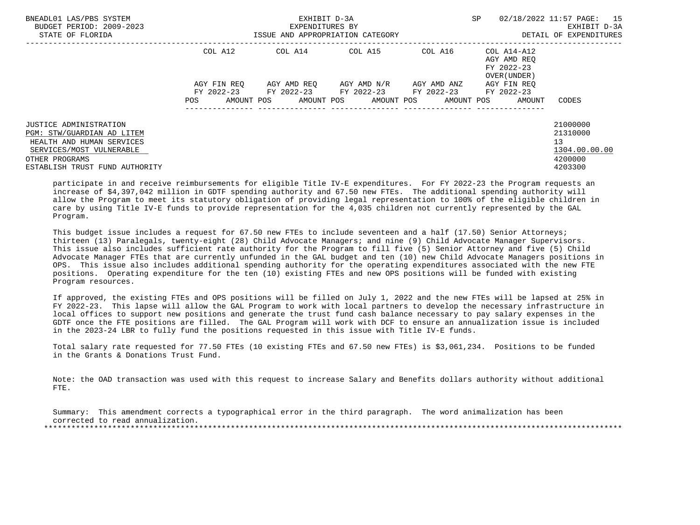| BNEADL01 LAS/PBS SYSTEM<br>BUDGET PERIOD: 2009-2023<br>STATE OF FLORIDA |             | EXHIBIT D-3A<br>EXPENDITURES BY<br>ISSUE AND APPROPRIATION CATEGORY | SP                                                     | 02/18/2022 11:57 PAGE: 15<br>EXHIBIT D-3A<br>DETAIL OF EXPENDITURES |                                                          |               |
|-------------------------------------------------------------------------|-------------|---------------------------------------------------------------------|--------------------------------------------------------|---------------------------------------------------------------------|----------------------------------------------------------|---------------|
|                                                                         | COL A12     | COL A14                                                             | COL A15                                                | COL A16                                                             | COL A14-A12<br>AGY AMD REO<br>FY 2022-23<br>OVER (UNDER) |               |
|                                                                         | AGY FIN REO |                                                                     | AGY AMD REO AGY AMD N/R                                | AGY AMD ANZ                                                         | AGY FIN REO                                              |               |
|                                                                         |             |                                                                     | FY 2022-23 FY 2022-23 FY 2022-23 FY 2022-23 FY 2022-23 |                                                                     |                                                          |               |
|                                                                         | POS         |                                                                     |                                                        |                                                                     | AMOUNT POS AMOUNT POS AMOUNT POS AMOUNT POS AMOUNT       | CODES         |
|                                                                         |             |                                                                     |                                                        |                                                                     |                                                          |               |
| JUSTICE ADMINISTRATION                                                  |             |                                                                     |                                                        |                                                                     |                                                          | 21000000      |
| PGM: STW/GUARDIAN AD LITEM                                              |             |                                                                     |                                                        |                                                                     |                                                          | 21310000      |
| HEALTH AND HUMAN SERVICES                                               |             |                                                                     |                                                        |                                                                     |                                                          | 13            |
| SERVICES/MOST VULNERABLE                                                |             |                                                                     |                                                        |                                                                     |                                                          | 1304.00.00.00 |
| OTHER PROGRAMS                                                          |             |                                                                     |                                                        |                                                                     |                                                          | 4200000       |
| ESTABLISH TRUST FUND AUTHORITY                                          |             |                                                                     |                                                        |                                                                     |                                                          | 4203300       |

 participate in and receive reimbursements for eligible Title IV-E expenditures. For FY 2022-23 the Program requests an increase of \$4,397,042 million in GDTF spending authority and 67.50 new FTEs. The additional spending authority will allow the Program to meet its statutory obligation of providing legal representation to 100% of the eligible children in care by using Title IV-E funds to provide representation for the 4,035 children not currently represented by the GAL Program.

 This budget issue includes a request for 67.50 new FTEs to include seventeen and a half (17.50) Senior Attorneys; thirteen (13) Paralegals, twenty-eight (28) Child Advocate Managers; and nine (9) Child Advocate Manager Supervisors. This issue also includes sufficient rate authority for the Program to fill five (5) Senior Attorney and five (5) Child Advocate Manager FTEs that are currently unfunded in the GAL budget and ten (10) new Child Advocate Managers positions in OPS. This issue also includes additional spending authority for the operating expenditures associated with the new FTE positions. Operating expenditure for the ten (10) existing FTEs and new OPS positions will be funded with existing Program resources.

 If approved, the existing FTEs and OPS positions will be filled on July 1, 2022 and the new FTEs will be lapsed at 25% in FY 2022-23. This lapse will allow the GAL Program to work with local partners to develop the necessary infrastructure in local offices to support new positions and generate the trust fund cash balance necessary to pay salary expenses in the GDTF once the FTE positions are filled. The GAL Program will work with DCF to ensure an annualization issue is included in the 2023-24 LBR to fully fund the positions requested in this issue with Title IV-E funds.

 Total salary rate requested for 77.50 FTEs (10 existing FTEs and 67.50 new FTEs) is \$3,061,234. Positions to be funded in the Grants & Donations Trust Fund.

 Note: the OAD transaction was used with this request to increase Salary and Benefits dollars authority without additional FTE.

 Summary: This amendment corrects a typographical error in the third paragraph. The word animalization has been corrected to read annualization. \*\*\*\*\*\*\*\*\*\*\*\*\*\*\*\*\*\*\*\*\*\*\*\*\*\*\*\*\*\*\*\*\*\*\*\*\*\*\*\*\*\*\*\*\*\*\*\*\*\*\*\*\*\*\*\*\*\*\*\*\*\*\*\*\*\*\*\*\*\*\*\*\*\*\*\*\*\*\*\*\*\*\*\*\*\*\*\*\*\*\*\*\*\*\*\*\*\*\*\*\*\*\*\*\*\*\*\*\*\*\*\*\*\*\*\*\*\*\*\*\*\*\*\*\*\*\*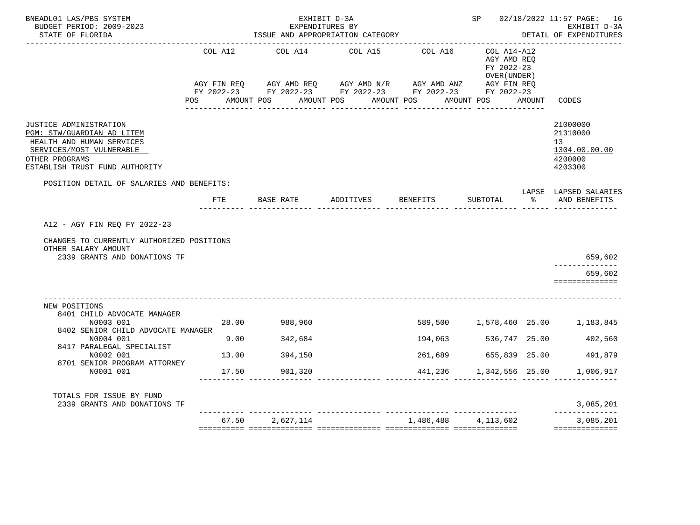| BNEADL01 LAS/PBS SYSTEM<br>BUDGET PERIOD: 2009-2023<br>STATE OF FLORIDA                                                                                           |         | EXPENDITURES BY<br>ISSUE AND APPROPRIATION CATEGORY                                                                                                                                 | EXHIBIT D-3A                              | SP 02/18/2022 11:57 PAGE: 16<br>EXHIBIT D-3A<br>DETAIL OF EXPENDITURES |                                                          |        |                                                                   |  |  |  |
|-------------------------------------------------------------------------------------------------------------------------------------------------------------------|---------|-------------------------------------------------------------------------------------------------------------------------------------------------------------------------------------|-------------------------------------------|------------------------------------------------------------------------|----------------------------------------------------------|--------|-------------------------------------------------------------------|--|--|--|
|                                                                                                                                                                   | COL A12 | COL A14<br>AGY FIN REQ AGY AMD REQ AGY AMD N/R AGY AMD ANZ AGY FIN REQ<br>FY 2022-23 FY 2022-23 FY 2022-23 FY 2022-23 FY 2022-23<br>POS AMOUNT POS AMOUNT POS AMOUNT POS AMOUNT POS | COL A15                                   | COL A16                                                                | COL A14-A12<br>AGY AMD REO<br>FY 2022-23<br>OVER (UNDER) | AMOUNT | CODES                                                             |  |  |  |
| JUSTICE ADMINISTRATION<br>PGM: STW/GUARDIAN AD LITEM<br>HEALTH AND HUMAN SERVICES<br>SERVICES/MOST VULNERABLE<br>OTHER PROGRAMS<br>ESTABLISH TRUST FUND AUTHORITY |         |                                                                                                                                                                                     |                                           |                                                                        |                                                          |        | 21000000<br>21310000<br>13<br>1304.00.00.00<br>4200000<br>4203300 |  |  |  |
| POSITION DETAIL OF SALARIES AND BENEFITS:                                                                                                                         | FTE     | BASE RATE                                                                                                                                                                           | ADDITIVES BENEFITS<br><u>------- ----</u> |                                                                        | SUBTOTAL<br>_____ _______________ ______ ____            |        | LAPSE LAPSED SALARIES<br>% AND BENEFITS                           |  |  |  |
| A12 - AGY FIN REQ FY 2022-23<br>CHANGES TO CURRENTLY AUTHORIZED POSITIONS<br>OTHER SALARY AMOUNT<br>2339 GRANTS AND DONATIONS TF                                  |         |                                                                                                                                                                                     |                                           |                                                                        |                                                          |        | 659,602<br>--------------<br>659,602<br>==============            |  |  |  |
| NEW POSITIONS<br>8401 CHILD ADVOCATE MANAGER<br>N0003 001<br>8402 SENIOR CHILD ADVOCATE MANAGER                                                                   |         | 28.00 988,960                                                                                                                                                                       |                                           |                                                                        |                                                          |        | 589,500 1,578,460 25.00 1,183,845                                 |  |  |  |
| N0004 001                                                                                                                                                         | 9.00    | 342,684                                                                                                                                                                             |                                           | 194,063                                                                | 536,747 25.00                                            |        | 402,560                                                           |  |  |  |
| 8417 PARALEGAL SPECIALIST<br>N0002 001                                                                                                                            | 13.00   | 394,150                                                                                                                                                                             |                                           | 261,689                                                                | 655,839 25.00                                            |        | 491,879                                                           |  |  |  |
| 8701 SENIOR PROGRAM ATTORNEY<br>N0001 001                                                                                                                         | 17.50   | 901,320                                                                                                                                                                             |                                           |                                                                        | 441,236 1,342,556 25.00                                  |        | 1,006,917                                                         |  |  |  |
| TOTALS FOR ISSUE BY FUND<br>2339 GRANTS AND DONATIONS TF                                                                                                          |         |                                                                                                                                                                                     |                                           |                                                                        |                                                          |        | 3,085,201                                                         |  |  |  |
|                                                                                                                                                                   |         |                                                                                                                                                                                     |                                           |                                                                        |                                                          |        | --------------                                                    |  |  |  |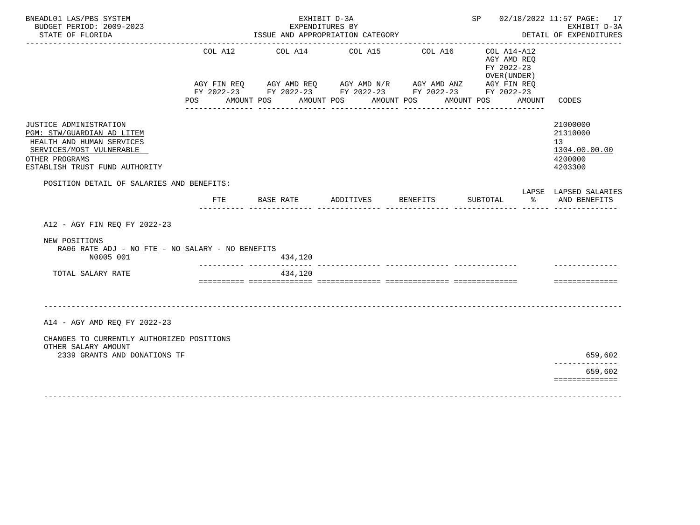|                                                            | EXPENDITURES BY                                                                                                        |                                                                                                             |                         |                                                                                             | EXHIBIT D-3A                                                                                                                                    |  |  |  |  |
|------------------------------------------------------------|------------------------------------------------------------------------------------------------------------------------|-------------------------------------------------------------------------------------------------------------|-------------------------|---------------------------------------------------------------------------------------------|-------------------------------------------------------------------------------------------------------------------------------------------------|--|--|--|--|
| ISSUE AND APPROPRIATION CATEGORY<br>DETAIL OF EXPENDITURES |                                                                                                                        |                                                                                                             |                         |                                                                                             |                                                                                                                                                 |  |  |  |  |
| COL A12<br>POS                                             |                                                                                                                        | COL A14 COL A15                                                                                             | COL A16<br>------------ | COL A14-A12<br>AGY AMD REQ<br>FY 2022-23<br>OVER (UNDER)<br>AMOUNT CODES<br>--------------- |                                                                                                                                                 |  |  |  |  |
|                                                            |                                                                                                                        |                                                                                                             |                         |                                                                                             | 21000000<br>21310000<br>13 <sup>7</sup><br>1304.00.00.00<br>4200000<br>4203300                                                                  |  |  |  |  |
| FTE                                                        |                                                                                                                        |                                                                                                             |                         | $\sim$ $\sim$                                                                               | LAPSE LAPSED SALARIES<br>AND BENEFITS                                                                                                           |  |  |  |  |
|                                                            |                                                                                                                        |                                                                                                             |                         |                                                                                             |                                                                                                                                                 |  |  |  |  |
|                                                            | 434,120                                                                                                                |                                                                                                             |                         |                                                                                             |                                                                                                                                                 |  |  |  |  |
|                                                            | 434,120                                                                                                                |                                                                                                             |                         |                                                                                             | ==============                                                                                                                                  |  |  |  |  |
|                                                            |                                                                                                                        |                                                                                                             |                         |                                                                                             | 659,602<br>------------<br>659,602                                                                                                              |  |  |  |  |
|                                                            | POSITION DETAIL OF SALARIES AND BENEFITS:<br>CHANGES TO CURRENTLY AUTHORIZED POSITIONS<br>2339 GRANTS AND DONATIONS TF | AMOUNT POS<br>BASE RATE<br>RA06 RATE ADJ - NO FTE - NO SALARY - NO BENEFITS<br>____________________________ | ADDITIVES               | AMOUNT POS AMOUNT POS<br>________________<br><b>BENEFITS</b>                                | AGY FIN REQ AGY AMD REQ AGY AMD N/R AGY AMD ANZ AGY FIN REQ<br>FY 2022-23 FY 2022-23 FY 2022-23 FY 2022-23 FY 2022-23<br>AMOUNT POS<br>SUBTOTAL |  |  |  |  |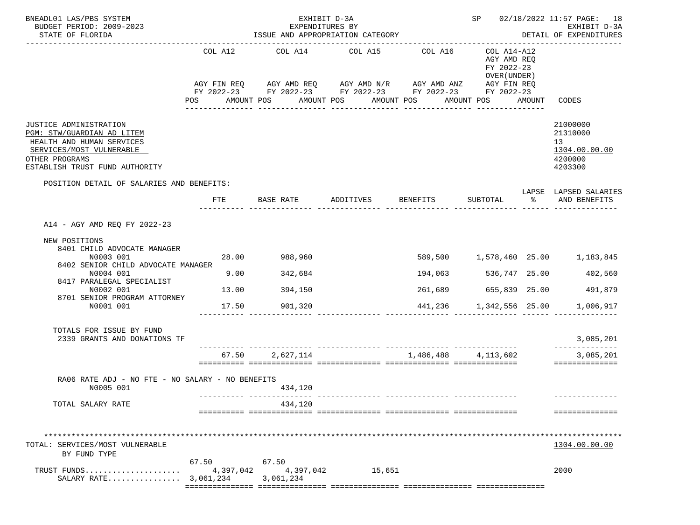| BNEADL01 LAS/PBS SYSTEM<br>BUDGET PERIOD: 2009-2023<br>STATE OF FLORIDA                                                                                           |                                                                                                                                                                                                                                                                                               | EXHIBIT D-3A<br>SP 02/18/2022 11:57 PAGE: 18<br>EXPENDITURES BY<br>EXHIBIT D-3A<br>ISSUE AND APPROPRIATION CATEGORY<br>DETAIL OF EXPENDITURES |                        |           |          |                         |       |                                                                   |  |
|-------------------------------------------------------------------------------------------------------------------------------------------------------------------|-----------------------------------------------------------------------------------------------------------------------------------------------------------------------------------------------------------------------------------------------------------------------------------------------|-----------------------------------------------------------------------------------------------------------------------------------------------|------------------------|-----------|----------|-------------------------|-------|-------------------------------------------------------------------|--|
|                                                                                                                                                                   | COL A12<br>COL A14 COL A15<br>COL A16<br>COL A14-A12<br>AGY AMD REQ<br>FY 2022-23<br>OVER (UNDER)<br>AGY FIN REQ AGY AMD REQ AGY AMD N/R AGY AMD ANZ AGY FIN REQ<br>FY 2022-23 FY 2022-23 FY 2022-23 FY 2022-23 FY 2022-23<br>AMOUNT POS<br>AMOUNT POS<br>AMOUNT POS<br>POS FOR<br>AMOUNT POS |                                                                                                                                               |                        |           |          | AMOUNT                  | CODES |                                                                   |  |
| JUSTICE ADMINISTRATION<br>PGM: STW/GUARDIAN AD LITEM<br>HEALTH AND HUMAN SERVICES<br>SERVICES/MOST VULNERABLE<br>OTHER PROGRAMS<br>ESTABLISH TRUST FUND AUTHORITY |                                                                                                                                                                                                                                                                                               |                                                                                                                                               |                        |           |          |                         |       | 21000000<br>21310000<br>13<br>1304.00.00.00<br>4200000<br>4203300 |  |
| POSITION DETAIL OF SALARIES AND BENEFITS:                                                                                                                         |                                                                                                                                                                                                                                                                                               | FTE                                                                                                                                           | BASE RATE              | ADDITIVES | BENEFITS | SUBTOTAL                | ႜ     | LAPSE LAPSED SALARIES<br>AND BENEFITS                             |  |
| A14 - AGY AMD REQ FY 2022-23<br>NEW POSITIONS                                                                                                                     |                                                                                                                                                                                                                                                                                               |                                                                                                                                               |                        |           |          |                         |       |                                                                   |  |
| 8401 CHILD ADVOCATE MANAGER<br>N0003 001<br>8402 SENIOR CHILD ADVOCATE MANAGER                                                                                    |                                                                                                                                                                                                                                                                                               | 28.00                                                                                                                                         | 988,960                |           |          |                         |       | 589,500 1,578,460 25.00 1,183,845                                 |  |
| N0004 001<br>8417 PARALEGAL SPECIALIST                                                                                                                            |                                                                                                                                                                                                                                                                                               | 9.00                                                                                                                                          | 342,684                |           | 194,063  | 536,747 25.00           |       | 402,560                                                           |  |
| N0002 001<br>8701 SENIOR PROGRAM ATTORNEY                                                                                                                         |                                                                                                                                                                                                                                                                                               | 13.00                                                                                                                                         | 394,150                |           |          | 261,689 655,839 25.00   |       | 491,879                                                           |  |
| N0001 001                                                                                                                                                         |                                                                                                                                                                                                                                                                                               | 17.50                                                                                                                                         | 901,320                |           |          | 441,236 1,342,556 25.00 |       | 1,006,917                                                         |  |
| TOTALS FOR ISSUE BY FUND<br>2339 GRANTS AND DONATIONS TF                                                                                                          |                                                                                                                                                                                                                                                                                               |                                                                                                                                               |                        |           |          |                         |       | 3,085,201<br>______________                                       |  |
|                                                                                                                                                                   |                                                                                                                                                                                                                                                                                               |                                                                                                                                               | 67.50 2,627,114        |           |          | 1,486,488 4,113,602     |       | 3,085,201<br>==============                                       |  |
| RA06 RATE ADJ - NO FTE - NO SALARY - NO BENEFITS<br>N0005 001                                                                                                     |                                                                                                                                                                                                                                                                                               |                                                                                                                                               | 434,120                |           |          |                         |       | --------------                                                    |  |
| TOTAL SALARY RATE                                                                                                                                                 |                                                                                                                                                                                                                                                                                               |                                                                                                                                               | 434,120                |           |          |                         |       | ==============                                                    |  |
| TOTAL: SERVICES/MOST VULNERABLE<br>BY FUND TYPE                                                                                                                   | 67.50                                                                                                                                                                                                                                                                                         |                                                                                                                                               | 67.50                  |           |          |                         |       | 1304.00.00.00                                                     |  |
| TRUST FUNDS<br>SALARY RATE 3,061,234                                                                                                                              |                                                                                                                                                                                                                                                                                               | 4,397,042                                                                                                                                     | 4,397,042<br>3,061,234 | 15,651    |          |                         |       | 2000                                                              |  |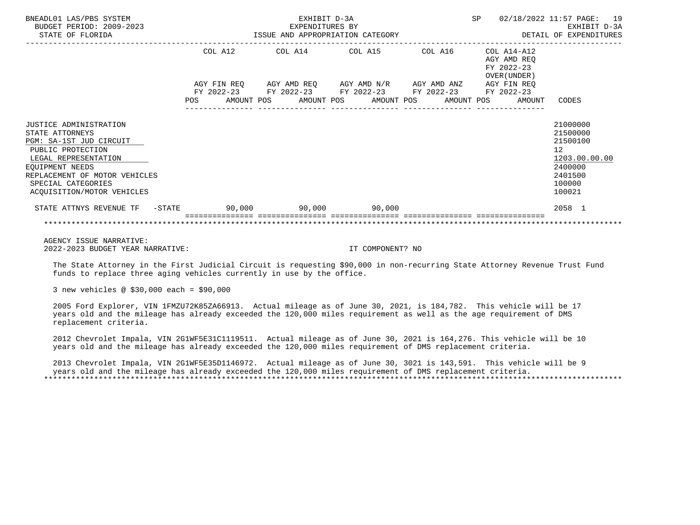| BNEADL01 LAS/PBS SYSTEM<br>BUDGET PERIOD: 2009-2023<br>STATE OF FLORIDA                                                                                                                                                          | EXHIBIT D-3A<br>EXPENDITURES BY<br>ISSUE AND APPROPRIATION CATEGORY |                        |  |  |  |                                                                                                                           |  |  | SP |                                                                                       | 02/18/2022 11:57 PAGE: 19<br>EXHIBIT D-3A<br>DETAIL OF EXPENDITURES                                            |
|----------------------------------------------------------------------------------------------------------------------------------------------------------------------------------------------------------------------------------|---------------------------------------------------------------------|------------------------|--|--|--|---------------------------------------------------------------------------------------------------------------------------|--|--|----|---------------------------------------------------------------------------------------|----------------------------------------------------------------------------------------------------------------|
|                                                                                                                                                                                                                                  |                                                                     | COL A12<br>AGY FIN REO |  |  |  | COL A14 COL A15 COL A16<br>AGY AMD REQ       AGY AMD N/R       AGY AMD ANZ<br>FY 2022-23 FY 2022-23 FY 2022-23 FY 2022-23 |  |  |    | COL A14-A12<br>AGY AMD REO<br>FY 2022-23<br>OVER (UNDER)<br>AGY FIN REO<br>FY 2022-23 |                                                                                                                |
|                                                                                                                                                                                                                                  | POS                                                                 |                        |  |  |  | AMOUNT POS AMOUNT POS AMOUNT POS AMOUNT POS                                                                               |  |  |    | AMOUNT                                                                                | CODES                                                                                                          |
| <b>JUSTICE ADMINISTRATION</b><br>STATE ATTORNEYS<br>PGM: SA-1ST JUD CIRCUIT<br>PUBLIC PROTECTION<br>LEGAL REPRESENTATION<br>EOUIPMENT NEEDS<br>REPLACEMENT OF MOTOR VEHICLES<br>SPECIAL CATEGORIES<br>ACOUISITION/MOTOR VEHICLES |                                                                     |                        |  |  |  |                                                                                                                           |  |  |    |                                                                                       | 21000000<br>21500000<br>21500100<br>12 <sup>°</sup><br>1203.00.00.00<br>2400000<br>2401500<br>100000<br>100021 |
| STATE ATTNYS REVENUE TF - STATE                                                                                                                                                                                                  |                                                                     |                        |  |  |  | $90,000$ $90,000$ $90,000$ $90,000$                                                                                       |  |  |    |                                                                                       | 2058 1                                                                                                         |
|                                                                                                                                                                                                                                  |                                                                     |                        |  |  |  |                                                                                                                           |  |  |    |                                                                                       |                                                                                                                |

 AGENCY ISSUE NARRATIVE: 2022-2023 BUDGET YEAR NARRATIVE: IT COMPONENT? NO

 The State Attorney in the First Judicial Circuit is requesting \$90,000 in non-recurring State Attorney Revenue Trust Fund funds to replace three aging vehicles currently in use by the office.

3 new vehicles @ \$30,000 each = \$90,000

 2005 Ford Explorer, VIN 1FMZU72K85ZA66913. Actual mileage as of June 30, 2021, is 184,782. This vehicle will be 17 years old and the mileage has already exceeded the 120,000 miles requirement as well as the age requirement of DMS replacement criteria.

 2012 Chevrolet Impala, VIN 2G1WF5E31C1119511. Actual mileage as of June 30, 2021 is 164,276. This vehicle will be 10 years old and the mileage has already exceeded the 120,000 miles requirement of DMS replacement criteria.

 2013 Chevrolet Impala, VIN 2G1WF5E35D1146972. Actual mileage as of June 30, 3021 is 143,591. This vehicle will be 9 years old and the mileage has already exceeded the 120,000 miles requirement of DMS replacement criteria. \*\*\*\*\*\*\*\*\*\*\*\*\*\*\*\*\*\*\*\*\*\*\*\*\*\*\*\*\*\*\*\*\*\*\*\*\*\*\*\*\*\*\*\*\*\*\*\*\*\*\*\*\*\*\*\*\*\*\*\*\*\*\*\*\*\*\*\*\*\*\*\*\*\*\*\*\*\*\*\*\*\*\*\*\*\*\*\*\*\*\*\*\*\*\*\*\*\*\*\*\*\*\*\*\*\*\*\*\*\*\*\*\*\*\*\*\*\*\*\*\*\*\*\*\*\*\*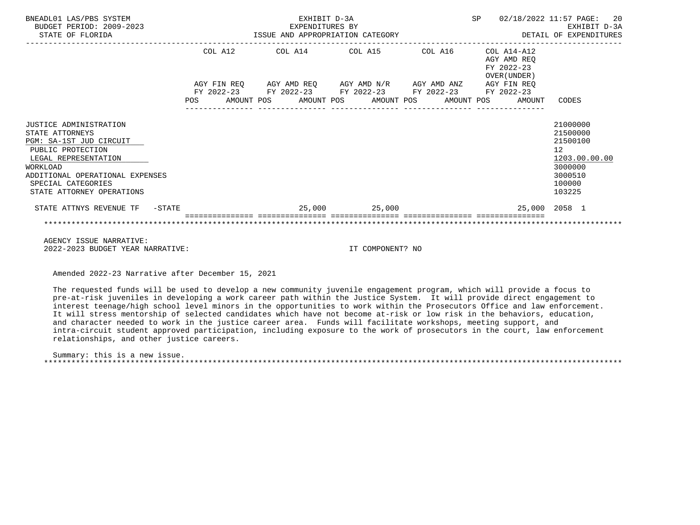| BNEADL01 LAS/PBS SYSTEM<br>BUDGET PERIOD: 2009-2023<br>STATE OF FLORIDA                                                                                                                                             | EXHIBIT D-3A<br>EXPENDITURES BY<br>ISSUE AND APPROPRIATION CATEGORY |         |  |  |  |                                                                                                                       |  |  |                                                              | SP 02/18/2022 11:57 PAGE: 20<br>EXHIBIT D-3A<br>DETAIL OF EXPENDITURES                                         |
|---------------------------------------------------------------------------------------------------------------------------------------------------------------------------------------------------------------------|---------------------------------------------------------------------|---------|--|--|--|-----------------------------------------------------------------------------------------------------------------------|--|--|--------------------------------------------------------------|----------------------------------------------------------------------------------------------------------------|
|                                                                                                                                                                                                                     |                                                                     | COL A12 |  |  |  |                                                                                                                       |  |  | AGY AMD REO<br>FY 2022-23<br>OVER (UNDER )                   |                                                                                                                |
|                                                                                                                                                                                                                     |                                                                     |         |  |  |  | AGY FIN REQ AGY AMD REQ AGY AMD N/R AGY AMD ANZ AGY FIN REQ<br>FY 2022-23 FY 2022-23 FY 2022-23 FY 2022-23 FY 2022-23 |  |  | POS AMOUNT POS AMOUNT POS AMOUNT POS AMOUNT POS AMOUNT CODES |                                                                                                                |
| JUSTICE ADMINISTRATION<br>STATE ATTORNEYS<br>PGM: SA-1ST JUD CIRCUIT<br>PUBLIC PROTECTION<br>LEGAL REPRESENTATION<br>WORKLOAD<br>ADDITIONAL OPERATIONAL EXPENSES<br>SPECIAL CATEGORIES<br>STATE ATTORNEY OPERATIONS |                                                                     |         |  |  |  |                                                                                                                       |  |  |                                                              | 21000000<br>21500000<br>21500100<br>12 <sup>°</sup><br>1203.00.00.00<br>3000000<br>3000510<br>100000<br>103225 |
| STATE ATTNYS REVENUE TF - STATE                                                                                                                                                                                     |                                                                     |         |  |  |  |                                                                                                                       |  |  | $25,000$ $25,000$ $25,000$ $2058$ $1$                        |                                                                                                                |
|                                                                                                                                                                                                                     |                                                                     |         |  |  |  |                                                                                                                       |  |  |                                                              |                                                                                                                |

 AGENCY ISSUE NARRATIVE: 2022-2023 BUDGET YEAR NARRATIVE: IT COMPONENT? NO

Amended 2022-23 Narrative after December 15, 2021

 The requested funds will be used to develop a new community juvenile engagement program, which will provide a focus to pre-at-risk juveniles in developing a work career path within the Justice System. It will provide direct engagement to interest teenage/high school level minors in the opportunities to work within the Prosecutors Office and law enforcement. It will stress mentorship of selected candidates which have not become at-risk or low risk in the behaviors, education, and character needed to work in the justice career area. Funds will facilitate workshops, meeting support, and intra-circuit student approved participation, including exposure to the work of prosecutors in the court, law enforcement relationships, and other justice careers.

 Summary: this is a new issue. \*\*\*\*\*\*\*\*\*\*\*\*\*\*\*\*\*\*\*\*\*\*\*\*\*\*\*\*\*\*\*\*\*\*\*\*\*\*\*\*\*\*\*\*\*\*\*\*\*\*\*\*\*\*\*\*\*\*\*\*\*\*\*\*\*\*\*\*\*\*\*\*\*\*\*\*\*\*\*\*\*\*\*\*\*\*\*\*\*\*\*\*\*\*\*\*\*\*\*\*\*\*\*\*\*\*\*\*\*\*\*\*\*\*\*\*\*\*\*\*\*\*\*\*\*\*\*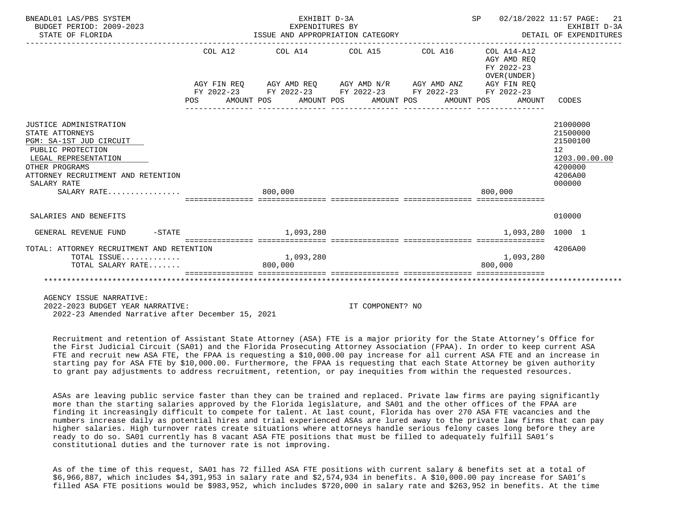| BNEADL01 LAS/PBS SYSTEM<br>BUDGET PERIOD: 2009-2023<br>STATE OF FLORIDA | EXHIBIT D-3A<br>EXPENDITURES BY<br>ISSUE AND APPROPRIATION CATEGORY | SP 02/18/2022 11:57 PAGE:<br>EXHIBIT D-3A<br>DETAIL OF EXPENDITURES | 21<br>EXHIBIT D-3A |                                                        |                    |
|-------------------------------------------------------------------------|---------------------------------------------------------------------|---------------------------------------------------------------------|--------------------|--------------------------------------------------------|--------------------|
|                                                                         |                                                                     | COL A12 COL A14 COL A15 COL A16 COL A14-A12                         |                    | AGY AMD REO<br>FY 2022-23<br>OVER (UNDER)              |                    |
|                                                                         |                                                                     | AGY FIN REO AGY AMD REO AGY AMD N/R AGY AMD ANZ AGY FIN REO         |                    |                                                        |                    |
|                                                                         |                                                                     | FY 2022-23 FY 2022-23 FY 2022-23 FY 2022-23 FY 2022-23              |                    |                                                        |                    |
|                                                                         |                                                                     |                                                                     |                    | POS AMOUNT POS AMOUNT POS AMOUNT POS AMOUNT POS AMOUNT | CODES              |
|                                                                         |                                                                     |                                                                     |                    |                                                        |                    |
| JUSTICE ADMINISTRATION                                                  |                                                                     |                                                                     |                    |                                                        | 21000000           |
| STATE ATTORNEYS                                                         |                                                                     |                                                                     |                    |                                                        | 21500000           |
| PGM: SA-1ST JUD CIRCUIT                                                 |                                                                     |                                                                     |                    |                                                        | 21500100           |
| PUBLIC PROTECTION                                                       |                                                                     |                                                                     |                    |                                                        | 12 <sup>°</sup>    |
| LEGAL REPRESENTATION                                                    |                                                                     |                                                                     |                    |                                                        | 1203.00.00.00      |
| OTHER PROGRAMS<br>ATTORNEY RECRUITMENT AND RETENTION                    |                                                                     |                                                                     |                    |                                                        | 4200000<br>4206A00 |
| SALARY RATE                                                             |                                                                     |                                                                     |                    |                                                        | 000000             |
| SALARY RATE                                                             | 800,000                                                             |                                                                     |                    | 800,000                                                |                    |
|                                                                         |                                                                     |                                                                     |                    |                                                        |                    |
| SALARIES AND BENEFITS                                                   |                                                                     |                                                                     |                    |                                                        | 010000             |
| GENERAL REVENUE FUND -STATE 6 1.093.280                                 |                                                                     |                                                                     |                    | 1,093,280 1000 1                                       |                    |
| TOTAL: ATTORNEY RECRUITMENT AND RETENTION                               |                                                                     |                                                                     |                    |                                                        | 4206A00            |
| TOTAL ISSUE                                                             | 1,093,280                                                           |                                                                     |                    | 1,093,280                                              |                    |
| TOTAL SALARY RATE                                                       | 800,000                                                             |                                                                     |                    | 800,000                                                |                    |
|                                                                         |                                                                     |                                                                     |                    |                                                        |                    |
|                                                                         |                                                                     |                                                                     |                    |                                                        |                    |

AGENCY ISSUE NARRATIVE:

 2022-2023 BUDGET YEAR NARRATIVE: IT COMPONENT? NO 2022-23 Amended Narrative after December 15, 2021

 Recruitment and retention of Assistant State Attorney (ASA) FTE is a major priority for the State Attorney's Office for the First Judicial Circuit (SA01) and the Florida Prosecuting Attorney Association (FPAA). In order to keep current ASA FTE and recruit new ASA FTE, the FPAA is requesting a \$10,000.00 pay increase for all current ASA FTE and an increase in starting pay for ASA FTE by \$10,000.00. Furthermore, the FPAA is requesting that each State Attorney be given authority to grant pay adjustments to address recruitment, retention, or pay inequities from within the requested resources.

 ASAs are leaving public service faster than they can be trained and replaced. Private law firms are paying significantly more than the starting salaries approved by the Florida legislature, and SA01 and the other offices of the FPAA are finding it increasingly difficult to compete for talent. At last count, Florida has over 270 ASA FTE vacancies and the numbers increase daily as potential hires and trial experienced ASAs are lured away to the private law firms that can pay higher salaries. High turnover rates create situations where attorneys handle serious felony cases long before they are ready to do so. SA01 currently has 8 vacant ASA FTE positions that must be filled to adequately fulfill SA01's constitutional duties and the turnover rate is not improving.

 As of the time of this request, SA01 has 72 filled ASA FTE positions with current salary & benefits set at a total of \$6,966,887, which includes \$4,391,953 in salary rate and \$2,574,934 in benefits. A \$10,000.00 pay increase for SA01's filled ASA FTE positions would be \$983,952, which includes \$720,000 in salary rate and \$263,952 in benefits. At the time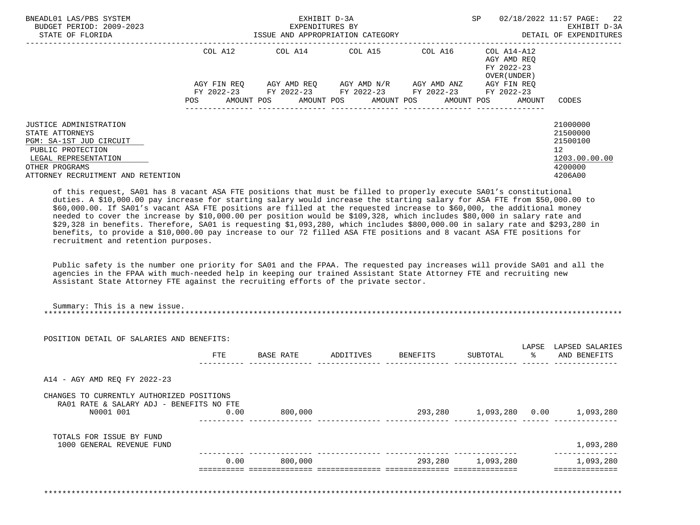| BNEADL01 LAS/PBS SYSTEM<br>BUDGET PERIOD: 2009-2023<br>STATE OF FLORIDA                                                                                                   | EXHIBIT D-3A<br>EXPENDITURES BY<br>ISSUE AND APPROPRIATION CATEGORY |                                  |  |  |  |  |  | SP |                                                                                            |  | 02/18/2022 11:57 PAGE: 22<br>EXHIBIT D-3A<br>DETAIL OF EXPENDITURES |  |                                                                                              |
|---------------------------------------------------------------------------------------------------------------------------------------------------------------------------|---------------------------------------------------------------------|----------------------------------|--|--|--|--|--|----|--------------------------------------------------------------------------------------------|--|---------------------------------------------------------------------|--|----------------------------------------------------------------------------------------------|
|                                                                                                                                                                           | COL A12                                                             |                                  |  |  |  |  |  |    | COL A14 COL A15 COL A16                                                                    |  | COL A14-A12<br>AGY AMD REO<br>FY 2022-23<br>OVER (UNDER)            |  |                                                                                              |
|                                                                                                                                                                           | AGY FIN REO                                                         |                                  |  |  |  |  |  |    | AGY AMD REO     AGY AMD N/R     AGY AMD ANZ<br>FY 2022-23 FY 2022-23 FY 2022-23 FY 2022-23 |  | AGY FIN REO<br>FY 2022-23                                           |  |                                                                                              |
|                                                                                                                                                                           | POS                                                                 | AMOUNT POS AMOUNT POS AMOUNT POS |  |  |  |  |  |    | AMOUNT POS                                                                                 |  | AMOUNT                                                              |  | CODES                                                                                        |
| JUSTICE ADMINISTRATION<br>STATE ATTORNEYS<br>PGM: SA-1ST JUD CIRCUIT<br>PUBLIC PROTECTION<br>LEGAL REPRESENTATION<br>OTHER PROGRAMS<br>ATTORNEY RECRUITMENT AND RETENTION |                                                                     |                                  |  |  |  |  |  |    |                                                                                            |  |                                                                     |  | 21000000<br>21500000<br>21500100<br>$12 \overline{ }$<br>1203.00.00.00<br>4200000<br>4206A00 |

 of this request, SA01 has 8 vacant ASA FTE positions that must be filled to properly execute SA01's constitutional duties. A \$10,000.00 pay increase for starting salary would increase the starting salary for ASA FTE from \$50,000.00 to \$60,000.00. If SA01's vacant ASA FTE positions are filled at the requested increase to \$60,000, the additional money needed to cover the increase by \$10,000.00 per position would be \$109,328, which includes \$80,000 in salary rate and \$29,328 in benefits. Therefore, SA01 is requesting \$1,093,280, which includes \$800,000.00 in salary rate and \$293,280 in benefits, to provide a \$10,000.00 pay increase to our 72 filled ASA FTE positions and 8 vacant ASA FTE positions for recruitment and retention purposes.

 Public safety is the number one priority for SA01 and the FPAA. The requested pay increases will provide SA01 and all the agencies in the FPAA with much-needed help in keeping our trained Assistant State Attorney FTE and recruiting new Assistant State Attorney FTE against the recruiting efforts of the private sector.

| POSITION DETAIL OF SALARIES AND BENEFITS:                                                          |      |           |           |                 |                   |                             |                                  |
|----------------------------------------------------------------------------------------------------|------|-----------|-----------|-----------------|-------------------|-----------------------------|----------------------------------|
|                                                                                                    | FTE  | BASE RATE | ADDITIVES | <b>BENEFITS</b> | SUBTOTAL          | LAPSE<br>$rac{1}{\sqrt{2}}$ | LAPSED SALARIES<br>AND BENEFITS  |
| A14 - AGY AMD REQ FY 2022-23                                                                       |      |           |           |                 |                   |                             |                                  |
| CHANGES TO CURRENTLY AUTHORIZED POSITIONS<br>RA01 RATE & SALARY ADJ - BENEFITS NO FTE<br>N0001 001 | 0.00 | 800,000   |           |                 |                   |                             | 293,280 1,093,280 0.00 1,093,280 |
| TOTALS FOR ISSUE BY FUND<br>1000 GENERAL REVENUE FUND                                              |      |           |           |                 |                   |                             | 1,093,280                        |
|                                                                                                    | 0.00 | 800,000   |           |                 | 293,280 1,093,280 |                             | 1,093,280                        |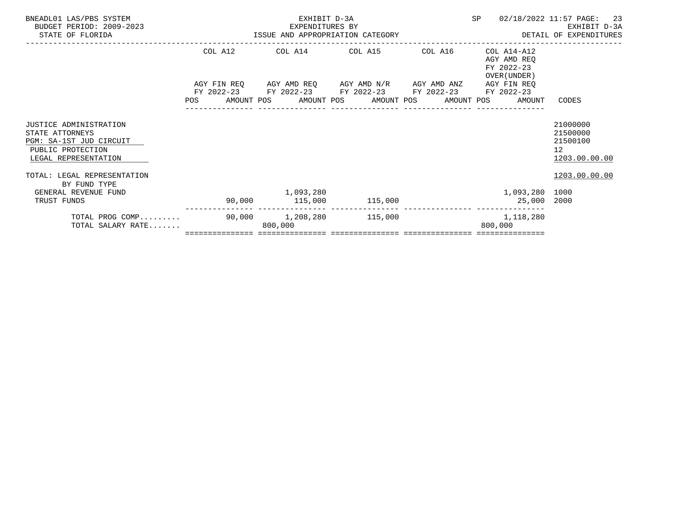| TOTAL SALARY RATE                                                           |                                                     | 800,000         |                                                                                                | 800,000                                                |                                        |
|-----------------------------------------------------------------------------|-----------------------------------------------------|-----------------|------------------------------------------------------------------------------------------------|--------------------------------------------------------|----------------------------------------|
| TOTAL PROG COMP                                                             |                                                     |                 |                                                                                                | 1, 118, 280                                            |                                        |
| TRUST FUNDS                                                                 |                                                     |                 | 90,000 115,000 115,000                                                                         | 25,000 2000                                            |                                        |
| BY FUND TYPE<br>GENERAL REVENUE FUND                                        |                                                     | 1,093,280       |                                                                                                | 1,093,280 1000                                         |                                        |
| TOTAL: LEGAL REPRESENTATION                                                 |                                                     |                 |                                                                                                |                                                        | 1203.00.00.00                          |
| PUBLIC PROTECTION<br>LEGAL REPRESENTATION                                   |                                                     |                 |                                                                                                |                                                        | 12 <sup>°</sup><br>1203.00.00.00       |
| <b>JUSTICE ADMINISTRATION</b><br>STATE ATTORNEYS<br>PGM: SA-1ST JUD CIRCUIT |                                                     |                 |                                                                                                |                                                        | 21000000<br>21500000<br>21500100       |
|                                                                             |                                                     |                 |                                                                                                |                                                        |                                        |
|                                                                             |                                                     |                 |                                                                                                | POS AMOUNT POS AMOUNT POS AMOUNT POS AMOUNT POS AMOUNT | CODES                                  |
|                                                                             |                                                     |                 | AGY FIN REQ AGY AMD REQ AGY AMD N/R AGY AMD ANZ<br>FY 2022-23 FY 2022-23 FY 2022-23 FY 2022-23 | AGY FIN REO<br>FY 2022-23                              |                                        |
|                                                                             |                                                     |                 |                                                                                                | FY 2022-23<br>OVER (UNDER)                             |                                        |
|                                                                             | COL A12                                             |                 | COL A14 COL A15 COL A16                                                                        | COL A14-A12<br>AGY AMD REO                             |                                        |
| BUDGET PERIOD: 2009-2023<br>STATE OF FLORIDA                                | EXPENDITURES BY<br>ISSUE AND APPROPRIATION CATEGORY | EXPENDITURES BY |                                                                                                |                                                        | EXHIBIT D-3A<br>DETAIL OF EXPENDITURES |
| BNEADL01 LAS/PBS SYSTEM                                                     |                                                     | EXHIBIT D-3A    |                                                                                                | SP                                                     | -23<br>02/18/2022 11:57 PAGE:          |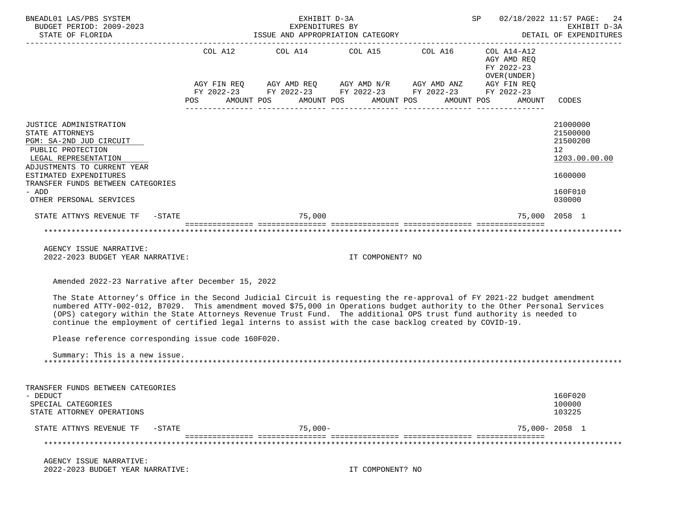| BNEADL01 LAS/PBS SYSTEM<br>BUDGET PERIOD: 2009-2023<br>STATE OF FLORIDA                                                                                                                                                                                                                                                                                                                                                                                                               | EXHIBIT D-3A<br>EXPENDITURES BY<br>ISSUE AND APPROPRIATION CATEGORY                                                                                                                                                                                                                                                                                                                                                          |                  | SP 02/18/2022 11:57 PAGE:<br>DETAIL OF EXPENDITURES               | 24<br>EXHIBIT D-3A                                                                                   |
|---------------------------------------------------------------------------------------------------------------------------------------------------------------------------------------------------------------------------------------------------------------------------------------------------------------------------------------------------------------------------------------------------------------------------------------------------------------------------------------|------------------------------------------------------------------------------------------------------------------------------------------------------------------------------------------------------------------------------------------------------------------------------------------------------------------------------------------------------------------------------------------------------------------------------|------------------|-------------------------------------------------------------------|------------------------------------------------------------------------------------------------------|
|                                                                                                                                                                                                                                                                                                                                                                                                                                                                                       | COL A12 COL A14 COL A15 COL A16 COL A14-A12<br>$\begin{array}{lllllll} {\text{AGY}} & {\text{FIN}} & {\text{REG}} & {\text{AGY}} & {\text{AMP}} & {\text{AGY}} & {\text{AMP}} & {\text{M}} & {\text{H}} & {\text{H}} & {\text{H}} & {\text{H}} \\ {\text{FY}} & 2022-23 & {\text{FY}} & 2022-23 & {\text{FY}} & 2022-23 & {\text{FY}} & 2022-23 & {\text{FY}} & 2022-23 \end{array}$<br>POS AMOUNT POS AMOUNT POS AMOUNT POS |                  | AGY AMD REO<br>FY 2022-23<br>OVER (UNDER)<br>AMOUNT POS<br>AMOUNT | CODES                                                                                                |
| JUSTICE ADMINISTRATION<br>STATE ATTORNEYS<br>PGM: SA-2ND JUD CIRCUIT<br>PUBLIC PROTECTION<br>LEGAL REPRESENTATION<br>ADJUSTMENTS TO CURRENT YEAR<br>ESTIMATED EXPENDITURES<br>TRANSFER FUNDS BETWEEN CATEGORIES<br>- ADD<br>OTHER PERSONAL SERVICES                                                                                                                                                                                                                                   |                                                                                                                                                                                                                                                                                                                                                                                                                              |                  |                                                                   | 21000000<br>21500000<br>21500200<br>12 <sup>°</sup><br>1203.00.00.00<br>1600000<br>160F010<br>030000 |
| STATE ATTNYS REVENUE TF - STATE                                                                                                                                                                                                                                                                                                                                                                                                                                                       | 75,000                                                                                                                                                                                                                                                                                                                                                                                                                       |                  |                                                                   | 75,000 2058 1                                                                                        |
| ***********************************                                                                                                                                                                                                                                                                                                                                                                                                                                                   | ******************************                                                                                                                                                                                                                                                                                                                                                                                               |                  |                                                                   |                                                                                                      |
| AGENCY ISSUE NARRATIVE:<br>2022-2023 BUDGET YEAR NARRATIVE:                                                                                                                                                                                                                                                                                                                                                                                                                           |                                                                                                                                                                                                                                                                                                                                                                                                                              | IT COMPONENT? NO |                                                                   |                                                                                                      |
| Amended 2022-23 Narrative after December 15, 2022                                                                                                                                                                                                                                                                                                                                                                                                                                     |                                                                                                                                                                                                                                                                                                                                                                                                                              |                  |                                                                   |                                                                                                      |
| The State Attorney's Office in the Second Judicial Circuit is requesting the re-approval of FY 2021-22 budget amendment<br>numbered ATTY-002-012, B7029. This amendment moved \$75,000 in Operations budget authority to the Other Personal Services<br>(OPS) category within the State Attorneys Revenue Trust Fund. The additional OPS trust fund authority is needed to<br>continue the employment of certified legal interns to assist with the case backlog created by COVID-19. |                                                                                                                                                                                                                                                                                                                                                                                                                              |                  |                                                                   |                                                                                                      |
| Please reference corresponding issue code 160F020.                                                                                                                                                                                                                                                                                                                                                                                                                                    |                                                                                                                                                                                                                                                                                                                                                                                                                              |                  |                                                                   |                                                                                                      |
| Summary: This is a new issue.                                                                                                                                                                                                                                                                                                                                                                                                                                                         |                                                                                                                                                                                                                                                                                                                                                                                                                              |                  |                                                                   |                                                                                                      |
| TRANSFER FUNDS BETWEEN CATEGORIES<br>- DEDUCT                                                                                                                                                                                                                                                                                                                                                                                                                                         |                                                                                                                                                                                                                                                                                                                                                                                                                              |                  |                                                                   | 160F020                                                                                              |

SPECIAL CATEGORIES 100000 100000 100000 100000 100000 100000 100000 100000 100000 100000 100000 100000 100000 1 STATE ATTORNEY OPERATIONS STATE ATTNYS REVENUE TF -STATE  $\begin{array}{ccc} -1.5 & 0.00 & -1.75 \\ -2.5 & 0.00 & -2.05 & -1.75 \\ \end{array}$  =============== =============== =============== =============== =============== \*\*\*\*\*\*\*\*\*\*\*\*\*\*\*\*\*\*\*\*\*\*\*\*\*\*\*\*\*\*\*\*\*\*\*\*\*\*\*\*\*\*\*\*\*\*\*\*\*\*\*\*\*\*\*\*\*\*\*\*\*\*\*\*\*\*\*\*\*\*\*\*\*\*\*\*\*\*\*\*\*\*\*\*\*\*\*\*\*\*\*\*\*\*\*\*\*\*\*\*\*\*\*\*\*\*\*\*\*\*\*\*\*\*\*\*\*\*\*\*\*\*\*\*\*\*\*

 AGENCY ISSUE NARRATIVE: 2022-2023 BUDGET YEAR NARRATIVE: IT COMPONENT? NO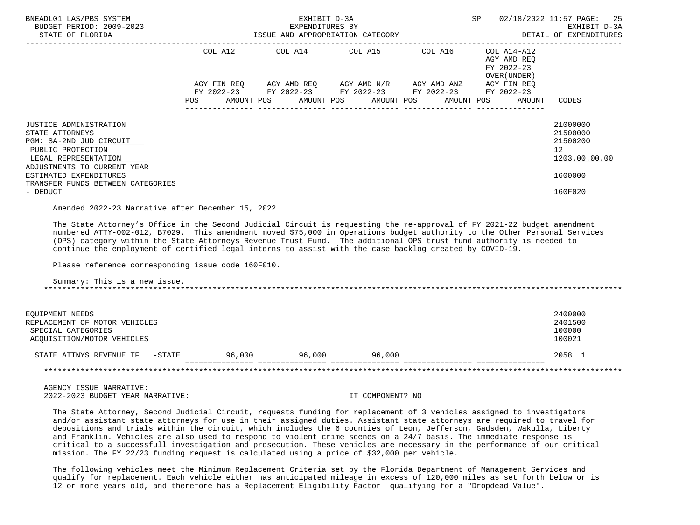| BNEADL01 LAS/PBS SYSTEM<br>BUDGET PERIOD: 2009-2023<br>STATE OF FLORIDA                                                                          |                                                                                                                |                         | SP |                                                                                                                                                            | 02/18/2022 11:57 PAGE: 25<br>EXHIBIT D-3A<br>ISSUE AND APPROPRIATION CATEGORY <b>Example 20 SETALL OF EXPENDITURES</b> |  |                                                          |                                                                      |
|--------------------------------------------------------------------------------------------------------------------------------------------------|----------------------------------------------------------------------------------------------------------------|-------------------------|----|------------------------------------------------------------------------------------------------------------------------------------------------------------|------------------------------------------------------------------------------------------------------------------------|--|----------------------------------------------------------|----------------------------------------------------------------------|
|                                                                                                                                                  |                                                                                                                | COL A12 COL A14 COL A15 |    |                                                                                                                                                            | COL A16                                                                                                                |  | COL A14-A12<br>AGY AMD REO<br>FY 2022-23<br>OVER (UNDER) |                                                                      |
|                                                                                                                                                  | POS FOR THE POST OF THE STATE STATE STATE STATE STATE STATE STATE STATE STATE STATE STATE STATE STATE STATE ST |                         |    | AGY FIN REQ      AGY AMD REQ     AGY AMD N/R     AGY AMD ANZ<br>FY 2022-23 FY 2022-23 FY 2022-23 FY 2022-23<br>AMOUNT POS AMOUNT POS AMOUNT POS AMOUNT POS |                                                                                                                        |  | AGY FIN REO<br>FY 2022-23<br>AMOUNT                      | CODES                                                                |
| JUSTICE ADMINISTRATION<br>STATE ATTORNEYS<br>PGM: SA-2ND JUD CIRCUIT<br>PUBLIC PROTECTION<br>LEGAL REPRESENTATION<br>ADJUSTMENTS TO CURRENT YEAR |                                                                                                                |                         |    |                                                                                                                                                            |                                                                                                                        |  |                                                          | 21000000<br>21500000<br>21500200<br>12 <sup>7</sup><br>1203.00.00.00 |
| ESTIMATED EXPENDITURES<br>TRANSFER FUNDS BETWEEN CATEGORIES<br>- DEDUCT                                                                          |                                                                                                                |                         |    |                                                                                                                                                            |                                                                                                                        |  |                                                          | 1600000<br>160F020                                                   |
| the contract of the contract of the contract of the contract of the contract of the contract of the contract of                                  |                                                                                                                |                         |    |                                                                                                                                                            |                                                                                                                        |  |                                                          |                                                                      |

Amended 2022-23 Narrative after December 15, 2022

 The State Attorney's Office in the Second Judicial Circuit is requesting the re-approval of FY 2021-22 budget amendment numbered ATTY-002-012, B7029. This amendment moved \$75,000 in Operations budget authority to the Other Personal Services (OPS) category within the State Attorneys Revenue Trust Fund. The additional OPS trust fund authority is needed to continue the employment of certified legal interns to assist with the case backlog created by COVID-19.

Please reference corresponding issue code 160F010.

 Summary: This is a new issue. \*\*\*\*\*\*\*\*\*\*\*\*\*\*\*\*\*\*\*\*\*\*\*\*\*\*\*\*\*\*\*\*\*\*\*\*\*\*\*\*\*\*\*\*\*\*\*\*\*\*\*\*\*\*\*\*\*\*\*\*\*\*\*\*\*\*\*\*\*\*\*\*\*\*\*\*\*\*\*\*\*\*\*\*\*\*\*\*\*\*\*\*\*\*\*\*\*\*\*\*\*\*\*\*\*\*\*\*\*\*\*\*\*\*\*\*\*\*\*\*\*\*\*\*\*\*\*

| EQUIPMENT NEEDS<br>REPLACEMENT OF MOTOR VEHICLES<br>SPECIAL CATEGORIES<br>ACOUISITION/MOTOR VEHICLES |        |        |        | 2400000<br>2401500<br>100000<br>100021 |
|------------------------------------------------------------------------------------------------------|--------|--------|--------|----------------------------------------|
| STATE ATTNYS REVENUE TF<br>$-$ STATE                                                                 | 96,000 | 96,000 | 96,000 | 2058 1                                 |
|                                                                                                      |        |        |        |                                        |

 AGENCY ISSUE NARRATIVE: 2022-2023 BUDGET YEAR NARRATIVE: IT COMPONENT? NO

 The State Attorney, Second Judicial Circuit, requests funding for replacement of 3 vehicles assigned to investigators and/or assistant state attorneys for use in their assigned duties. Assistant state attorneys are required to travel for depositions and trials within the circuit, which includes the 6 counties of Leon, Jefferson, Gadsden, Wakulla, Liberty and Franklin. Vehicles are also used to respond to violent crime scenes on a 24/7 basis. The immediate response is critical to a successfull investigation and prosecution. These vehicles are necessary in the performance of our critical mission. The FY 22/23 funding request is calculated using a price of \$32,000 per vehicle.

 The following vehicles meet the Minimum Replacement Criteria set by the Florida Department of Management Services and qualify for replacement. Each vehicle either has anticipated mileage in excess of 120,000 miles as set forth below or is 12 or more years old, and therefore has a Replacement Eligibility Factor qualifying for a "Dropdead Value".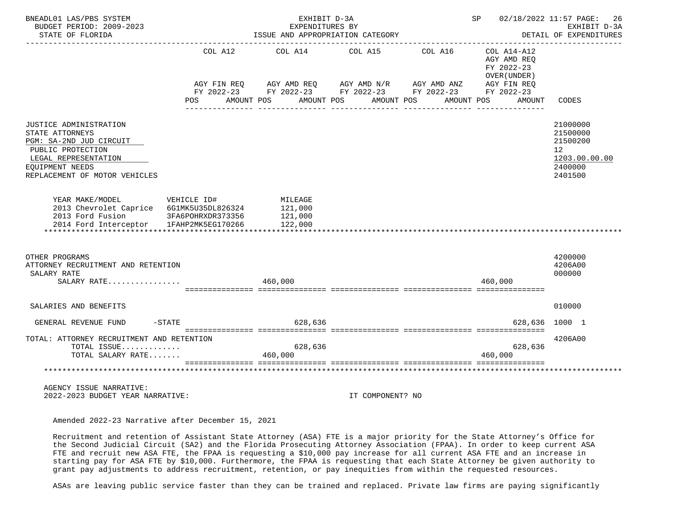| BNEADL01 LAS/PBS SYSTEM<br>BUDGET PERIOD: 2009-2023                                                                                                                   |                                                       | EXHIBIT D-3A<br>EXPENDITURES BY                                                                                                                                             |                                     |                       | SP                                                                                              | 02/18/2022 11:57 PAGE:<br>26<br>EXHIBIT D-3A                                               |
|-----------------------------------------------------------------------------------------------------------------------------------------------------------------------|-------------------------------------------------------|-----------------------------------------------------------------------------------------------------------------------------------------------------------------------------|-------------------------------------|-----------------------|-------------------------------------------------------------------------------------------------|--------------------------------------------------------------------------------------------|
| STATE OF FLORIDA                                                                                                                                                      |                                                       | ISSUE AND APPROPRIATION CATEGORY                                                                                                                                            |                                     |                       |                                                                                                 | DETAIL OF EXPENDITURES                                                                     |
|                                                                                                                                                                       | COL A12<br><b>POS</b>                                 | COL A14<br>$AGY \text{ FIN REQ} \qquad \text{AGY AMD REQ} \qquad \text{AGY AMD N/R} \qquad \text{AGY AMD ANZ}$<br>FY 2022-23 FY 2022-23 FY 2022-23 FY 2022-23<br>AMOUNT POS | COL A15<br>AMOUNT POS<br>AMOUNT POS | COL A16<br>AMOUNT POS | COL A14-A12<br>AGY AMD REO<br>FY 2022-23<br>OVER (UNDER)<br>AGY FIN REQ<br>FY 2022-23<br>AMOUNT | CODES                                                                                      |
| JUSTICE ADMINISTRATION<br>STATE ATTORNEYS<br>PGM: SA-2ND JUD CIRCUIT<br>PUBLIC PROTECTION<br>LEGAL REPRESENTATION<br>EOUIPMENT NEEDS<br>REPLACEMENT OF MOTOR VEHICLES |                                                       |                                                                                                                                                                             |                                     |                       |                                                                                                 | 21000000<br>21500000<br>21500200<br>12 <sup>°</sup><br>1203.00.00.00<br>2400000<br>2401500 |
| YEAR MAKE/MODEL<br>2013 Chevrolet Caprice 6G1MK5U35DL826324<br>2013 Ford Fusion<br>2014 Ford Interceptor                                                              | VEHICLE ID#<br>3FA6POHRXDR373356<br>1FAHP2MK5EG170266 | MILEAGE<br>121,000<br>121,000<br>122,000                                                                                                                                    |                                     |                       |                                                                                                 |                                                                                            |
| OTHER PROGRAMS<br>ATTORNEY RECRUITMENT AND RETENTION<br>SALARY RATE<br>SALARY RATE                                                                                    |                                                       | 460,000                                                                                                                                                                     |                                     |                       | 460,000                                                                                         | 4200000<br>4206A00<br>000000                                                               |
| SALARIES AND BENEFITS                                                                                                                                                 |                                                       |                                                                                                                                                                             |                                     |                       |                                                                                                 | 010000                                                                                     |
| GENERAL REVENUE FUND                                                                                                                                                  | $-STATE$                                              | 628,636                                                                                                                                                                     |                                     |                       |                                                                                                 | 628,636 1000 1                                                                             |
| TOTAL: ATTORNEY RECRUITMENT AND RETENTION<br>TOTAL ISSUE<br>TOTAL SALARY RATE                                                                                         |                                                       | 628,636<br>460,000                                                                                                                                                          |                                     |                       | 628,636<br>460,000                                                                              | 4206A00                                                                                    |
| AGENCY ISSUE NARRATIVE:<br>2022-2023 BUDGET YEAR NARRATIVE:                                                                                                           |                                                       |                                                                                                                                                                             | IT COMPONENT? NO                    |                       |                                                                                                 |                                                                                            |

Amended 2022-23 Narrative after December 15, 2021

 Recruitment and retention of Assistant State Attorney (ASA) FTE is a major priority for the State Attorney's Office for the Second Judicial Circuit (SA2) and the Florida Prosecuting Attorney Association (FPAA). In order to keep current ASA FTE and recruit new ASA FTE, the FPAA is requesting a \$10,000 pay increase for all current ASA FTE and an increase in starting pay for ASA FTE by \$10,000. Furthermore, the FPAA is requesting that each State Attorney be given authority to grant pay adjustments to address recruitment, retention, or pay inequities from within the requested resources.

ASAs are leaving public service faster than they can be trained and replaced. Private law firms are paying significantly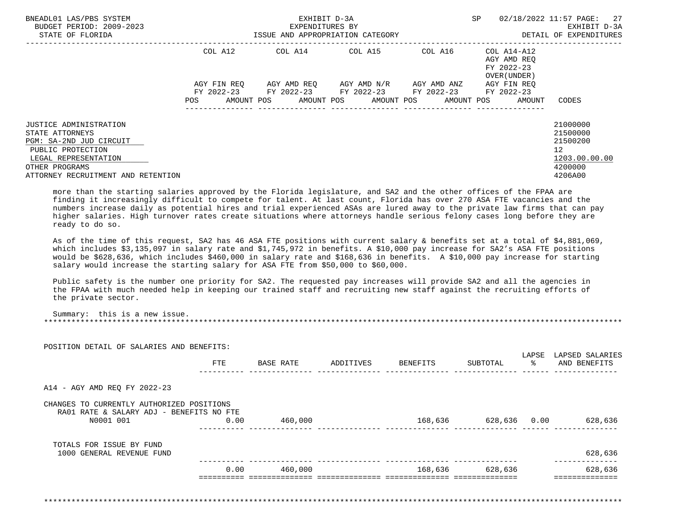| BNEADL01 LAS/PBS SYSTEM<br>BUDGET PERIOD: 2009-2023<br>STATE OF FLORIDA                                                                                                   | ISSUE AND APPROPRIATION CATEGORY | EXHIBIT D-3A<br>EXPENDITURES BY |                                                                                                                       | SP          | 02/18/2022 11:57 PAGE: 27<br>EXHIBIT D-3A<br>DETAIL OF EXPENDITURES |                                                                               |
|---------------------------------------------------------------------------------------------------------------------------------------------------------------------------|----------------------------------|---------------------------------|-----------------------------------------------------------------------------------------------------------------------|-------------|---------------------------------------------------------------------|-------------------------------------------------------------------------------|
|                                                                                                                                                                           | COL A12                          |                                 | COL A14 COL A15                                                                                                       | COL A16     | COL A14-A12<br>AGY AMD REO<br>FY 2022-23<br>OVER (UNDER)            |                                                                               |
|                                                                                                                                                                           | AGY FIN REO<br>POS               |                                 | AGY AMD REO AGY AMD N/R<br>FY 2022-23 FY 2022-23 FY 2022-23 FY 2022-23<br>AMOUNT POS AMOUNT POS AMOUNT POS AMOUNT POS | AGY AMD ANZ | AGY FIN REO<br>FY 2022-23<br>AMOUNT                                 | CODES                                                                         |
| JUSTICE ADMINISTRATION<br>STATE ATTORNEYS<br>PGM: SA-2ND JUD CIRCUIT<br>PUBLIC PROTECTION<br>LEGAL REPRESENTATION<br>OTHER PROGRAMS<br>ATTORNEY RECRUITMENT AND RETENTION |                                  |                                 |                                                                                                                       |             |                                                                     | 21000000<br>21500000<br>21500200<br>12<br>1203.00.00.00<br>4200000<br>4206A00 |

 more than the starting salaries approved by the Florida legislature, and SA2 and the other offices of the FPAA are finding it increasingly difficult to compete for talent. At last count, Florida has over 270 ASA FTE vacancies and the numbers increase daily as potential hires and trial experienced ASAs are lured away to the private law firms that can pay higher salaries. High turnover rates create situations where attorneys handle serious felony cases long before they are ready to do so.

 As of the time of this request, SA2 has 46 ASA FTE positions with current salary & benefits set at a total of \$4,881,069, which includes \$3,135,097 in salary rate and \$1,745,972 in benefits. A \$10,000 pay increase for SA2's ASA FTE positions would be \$628,636, which includes \$460,000 in salary rate and \$168,636 in benefits. A \$10,000 pay increase for starting salary would increase the starting salary for ASA FTE from \$50,000 to \$60,000.

 Public safety is the number one priority for SA2. The requested pay increases will provide SA2 and all the agencies in the FPAA with much needed help in keeping our trained staff and recruiting new staff against the recruiting efforts of the private sector.

\*\*\*\*\*\*\*\*\*\*\*\*\*\*\*\*\*\*\*\*\*\*\*\*\*\*\*\*\*\*\*\*\*\*\*\*\*\*\*\*\*\*\*\*\*\*\*\*\*\*\*\*\*\*\*\*\*\*\*\*\*\*\*\*\*\*\*\*\*\*\*\*\*\*\*\*\*\*\*\*\*\*\*\*\*\*\*\*\*\*\*\*\*\*\*\*\*\*\*\*\*\*\*\*\*\*\*\*\*\*\*\*\*\*\*\*\*\*\*\*\*\*\*\*\*\*\*

|                                                       | <b>FTE</b> | BASE RATE | ADDITIVES |             | SUBTOTAL     | LAPSE<br>ာ အေ | LAPSED SALARIES<br>AND BENEFITS |
|-------------------------------------------------------|------------|-----------|-----------|-------------|--------------|---------------|---------------------------------|
|                                                       |            |           |           | BENEFITS    |              |               |                                 |
| A14 - AGY AMD REQ FY 2022-23                          |            |           |           |             |              |               |                                 |
| CHANGES TO CURRENTLY AUTHORIZED POSITIONS             |            |           |           |             |              |               |                                 |
| RA01 RATE & SALARY ADJ - BENEFITS NO FTE<br>N0001 001 | 0.00       | 460,000   |           | 168,636 168 | 628,636 0.00 |               | 628,636                         |
|                                                       |            |           |           |             |              |               |                                 |
| TOTALS FOR ISSUE BY FUND<br>1000 GENERAL REVENUE FUND |            |           |           |             |              |               | 628,636                         |
|                                                       | 0.00       | 460,000   |           | 168,636     | 628,636      |               | 628,636                         |
|                                                       |            |           |           |             |              |               |                                 |

Summary: this is a new issue.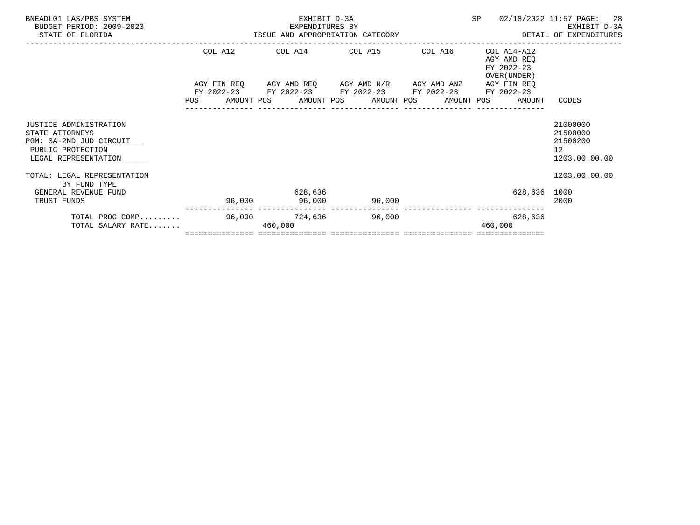| TOTAL PROG COMP<br>TOTAL SALARY RATE                                                                                     |         | 96,000 724,636 96,000<br>460,000                                                               |        |         | 628,636<br>460,000                                                                                                               |                                                                         |
|--------------------------------------------------------------------------------------------------------------------------|---------|------------------------------------------------------------------------------------------------|--------|---------|----------------------------------------------------------------------------------------------------------------------------------|-------------------------------------------------------------------------|
| TOTAL: LEGAL REPRESENTATION<br>BY FUND TYPE<br>GENERAL REVENUE FUND<br>TRUST FUNDS                                       |         | 628,636<br>96,000 96,000                                                                       | 96,000 |         | 628,636 1000                                                                                                                     | 1203.00.00.00<br>2000                                                   |
| <b>JUSTICE ADMINISTRATION</b><br>STATE ATTORNEYS<br>PGM: SA-2ND JUD CIRCUIT<br>PUBLIC PROTECTION<br>LEGAL REPRESENTATION |         |                                                                                                |        |         |                                                                                                                                  | 21000000<br>21500000<br>21500200<br>12 <sup>°</sup><br>1203.00.00.00    |
|                                                                                                                          |         | AGY FIN REQ AGY AMD REQ AGY AMD N/R AGY AMD ANZ<br>FY 2022-23 FY 2022-23 FY 2022-23 FY 2022-23 |        |         | AGY AMD REQ<br>FY 2022-23<br>OVER (UNDER)<br>AGY FIN REO<br>FY 2022-23<br>POS AMOUNT POS AMOUNT POS AMOUNT POS AMOUNT POS AMOUNT | CODES                                                                   |
|                                                                                                                          | COL A12 | COL A14 COL A15                                                                                |        | COL A16 | COL A14-A12                                                                                                                      |                                                                         |
| BNEADL01 LAS/PBS SYSTEM<br>BUDGET PERIOD: 2009-2023<br>STATE OF FLORIDA                                                  |         | EXHIBIT D-3A<br>EXPENDITURES BY<br>ISSUE AND APPROPRIATION CATEGORY                            |        |         | SP                                                                                                                               | -28<br>02/18/2022 11:57 PAGE:<br>EXHIBIT D-3A<br>DETAIL OF EXPENDITURES |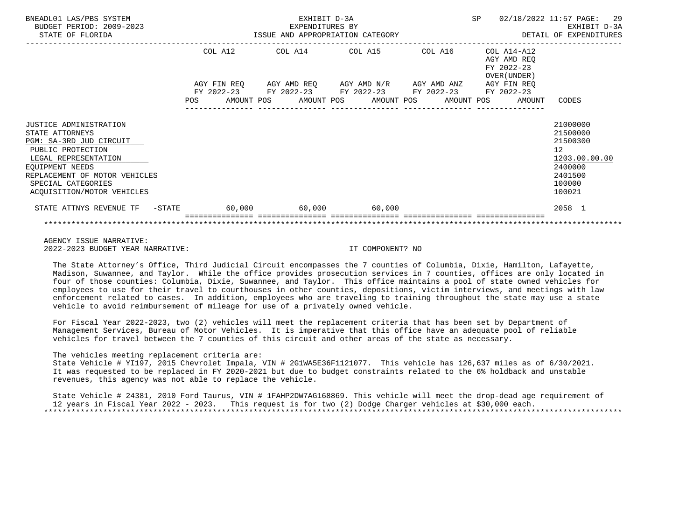| BNEADL01 LAS/PBS SYSTEM<br>BUDGET PERIOD: 2009-2023<br>STATE OF FLORIDA                                                                                                                                                   |            | ISSUE AND APPROPRIATION CATEGORY                       | EXHIBIT D-3A<br>EXPENDITURES BY |                                                                                           |  | SP |                                                           | 02/18/2022 11:57 PAGE: 29<br>EXHIBIT D-3A<br>DETAIL OF EXPENDITURES                               |
|---------------------------------------------------------------------------------------------------------------------------------------------------------------------------------------------------------------------------|------------|--------------------------------------------------------|---------------------------------|-------------------------------------------------------------------------------------------|--|----|-----------------------------------------------------------|---------------------------------------------------------------------------------------------------|
|                                                                                                                                                                                                                           |            | COL A12<br>AGY FIN REQ                                 |                                 | COL A14 COL A15 COL A16<br>AGY AMD REQ      AGY AMD N/R      AGY AMD ANZ      AGY FIN REQ |  |    | COL A14-A12<br>AGY AMD REO<br>FY 2022-23<br>OVER (UNDER ) |                                                                                                   |
|                                                                                                                                                                                                                           | <b>POS</b> | FY 2022-23 FY 2022-23 FY 2022-23 FY 2022-23 FY 2022-23 |                                 | AMOUNT POS AMOUNT POS AMOUNT POS AMOUNT POS                                               |  |    | AMOUNT                                                    | CODES                                                                                             |
| JUSTICE ADMINISTRATION<br>STATE ATTORNEYS<br>PGM: SA-3RD JUD CIRCUIT<br>PUBLIC PROTECTION<br>LEGAL REPRESENTATION<br>EQUIPMENT NEEDS<br>REPLACEMENT OF MOTOR VEHICLES<br>SPECIAL CATEGORIES<br>ACQUISITION/MOTOR VEHICLES |            |                                                        |                                 |                                                                                           |  |    |                                                           | 21000000<br>21500000<br>21500300<br>12<br>1203.00.00.00<br>2400000<br>2401500<br>100000<br>100021 |
| STATE ATTNYS REVENUE TF - STATE 60,000 60,000 60,000 60,000                                                                                                                                                               |            |                                                        |                                 |                                                                                           |  |    |                                                           | 2058 1                                                                                            |
|                                                                                                                                                                                                                           |            |                                                        |                                 |                                                                                           |  |    |                                                           |                                                                                                   |

 AGENCY ISSUE NARRATIVE: 2022-2023 BUDGET YEAR NARRATIVE: IT COMPONENT? NO

 The State Attorney's Office, Third Judicial Circuit encompasses the 7 counties of Columbia, Dixie, Hamilton, Lafayette, Madison, Suwannee, and Taylor. While the office provides prosecution services in 7 counties, offices are only located in four of those counties: Columbia, Dixie, Suwannee, and Taylor. This office maintains a pool of state owned vehicles for employees to use for their travel to courthouses in other counties, depositions, victim interviews, and meetings with law enforcement related to cases. In addition, employees who are traveling to training throughout the state may use a state vehicle to avoid reimbursement of mileage for use of a privately owned vehicle.

 For Fiscal Year 2022-2023, two (2) vehicles will meet the replacement criteria that has been set by Department of Management Services, Bureau of Motor Vehicles. It is imperative that this office have an adequate pool of reliable vehicles for travel between the 7 counties of this circuit and other areas of the state as necessary.

The vehicles meeting replacement criteria are:

 State Vehicle # YI197, 2015 Chevrolet Impala, VIN # 2G1WA5E36F1121077. This vehicle has 126,637 miles as of 6/30/2021. It was requested to be replaced in FY 2020-2021 but due to budget constraints related to the 6% holdback and unstable revenues, this agency was not able to replace the vehicle.

 State Vehicle # 24381, 2010 Ford Taurus, VIN # 1FAHP2DW7AG168869. This vehicle will meet the drop-dead age requirement of 12 years in Fiscal Year 2022 - 2023. This request is for two (2) Dodge Charger vehicles at \$30,000 each. \*\*\*\*\*\*\*\*\*\*\*\*\*\*\*\*\*\*\*\*\*\*\*\*\*\*\*\*\*\*\*\*\*\*\*\*\*\*\*\*\*\*\*\*\*\*\*\*\*\*\*\*\*\*\*\*\*\*\*\*\*\*\*\*\*\*\*\*\*\*\*\*\*\*\*\*\*\*\*\*\*\*\*\*\*\*\*\*\*\*\*\*\*\*\*\*\*\*\*\*\*\*\*\*\*\*\*\*\*\*\*\*\*\*\*\*\*\*\*\*\*\*\*\*\*\*\*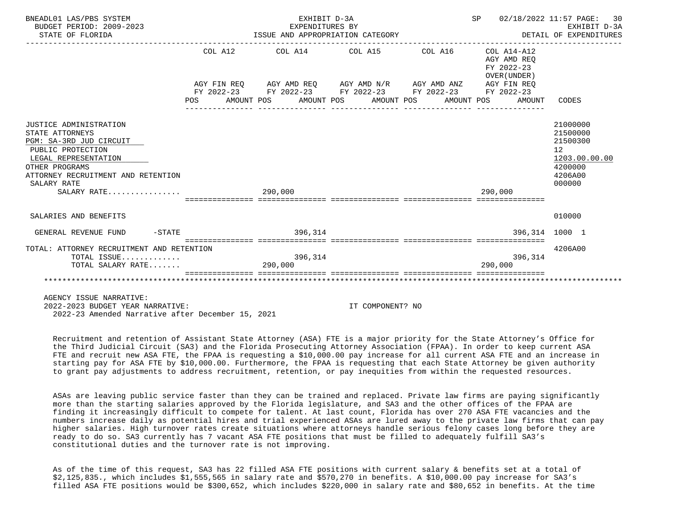| BNEADL01 LAS/PBS SYSTEM<br>BUDGET PERIOD: 2009-2023<br>STATE OF FLORIDA | ISSUE AND APPROPRIATION CATEGORY | SP 02/18/2022 11:57 PAGE: 30<br>EXHIBIT D-3A<br>EXHIBIT D-3A<br>DETAIL OF EXPENDITURES |                                                             |                                                              |                   |
|-------------------------------------------------------------------------|----------------------------------|----------------------------------------------------------------------------------------|-------------------------------------------------------------|--------------------------------------------------------------|-------------------|
|                                                                         |                                  |                                                                                        | COL A12 COL A14 COL A15 COL A16 COL A14-A12                 | AGY AMD REO<br>FY 2022-23<br>OVER (UNDER)                    |                   |
|                                                                         |                                  |                                                                                        | AGY FIN REQ AGY AMD REQ AGY AMD N/R AGY AMD ANZ AGY FIN REQ |                                                              |                   |
|                                                                         |                                  |                                                                                        | FY 2022-23 FY 2022-23 FY 2022-23 FY 2022-23 FY 2022-23      |                                                              |                   |
|                                                                         |                                  |                                                                                        |                                                             | POS AMOUNT POS AMOUNT POS AMOUNT POS AMOUNT POS AMOUNT CODES |                   |
|                                                                         |                                  |                                                                                        |                                                             |                                                              |                   |
| JUSTICE ADMINISTRATION                                                  |                                  |                                                                                        |                                                             |                                                              | 21000000          |
| STATE ATTORNEYS                                                         |                                  |                                                                                        |                                                             |                                                              | 21500000          |
| PGM: SA-3RD JUD CIRCUIT                                                 |                                  |                                                                                        |                                                             |                                                              | 21500300          |
| PUBLIC PROTECTION                                                       |                                  |                                                                                        |                                                             |                                                              | 12                |
| LEGAL REPRESENTATION                                                    |                                  |                                                                                        |                                                             |                                                              | 1203.00.00.00     |
| OTHER PROGRAMS                                                          |                                  |                                                                                        |                                                             |                                                              | 4200000           |
| ATTORNEY RECRUITMENT AND RETENTION<br>SALARY RATE                       |                                  |                                                                                        |                                                             |                                                              | 4206A00<br>000000 |
| SALARY RATE                                                             |                                  | 290,000                                                                                |                                                             | 290,000                                                      |                   |
|                                                                         |                                  |                                                                                        |                                                             |                                                              |                   |
|                                                                         |                                  |                                                                                        |                                                             |                                                              |                   |
| SALARIES AND BENEFITS                                                   |                                  |                                                                                        |                                                             |                                                              | 010000            |
| GENERAL REVENUE FUND -STATE - 296,314                                   |                                  |                                                                                        |                                                             | 396,314 1000 1                                               |                   |
| TOTAL: ATTORNEY RECRUITMENT AND RETENTION                               |                                  |                                                                                        |                                                             |                                                              | 4206A00           |
| TOTAL ISSUE                                                             |                                  | 396,314                                                                                |                                                             | 396,314                                                      |                   |
| TOTAL SALARY RATE                                                       |                                  | 290,000                                                                                |                                                             | 290.000                                                      |                   |
|                                                                         |                                  |                                                                                        |                                                             |                                                              |                   |
| ***********************                                                 |                                  |                                                                                        |                                                             |                                                              |                   |
|                                                                         |                                  |                                                                                        |                                                             |                                                              |                   |

AGENCY ISSUE NARRATIVE:

 2022-2023 BUDGET YEAR NARRATIVE: IT COMPONENT? NO 2022-23 Amended Narrative after December 15, 2021

 Recruitment and retention of Assistant State Attorney (ASA) FTE is a major priority for the State Attorney's Office for the Third Judicial Circuit (SA3) and the Florida Prosecuting Attorney Association (FPAA). In order to keep current ASA FTE and recruit new ASA FTE, the FPAA is requesting a \$10,000.00 pay increase for all current ASA FTE and an increase in starting pay for ASA FTE by \$10,000.00. Furthermore, the FPAA is requesting that each State Attorney be given authority to grant pay adjustments to address recruitment, retention, or pay inequities from within the requested resources.

 ASAs are leaving public service faster than they can be trained and replaced. Private law firms are paying significantly more than the starting salaries approved by the Florida legislature, and SA3 and the other offices of the FPAA are finding it increasingly difficult to compete for talent. At last count, Florida has over 270 ASA FTE vacancies and the numbers increase daily as potential hires and trial experienced ASAs are lured away to the private law firms that can pay higher salaries. High turnover rates create situations where attorneys handle serious felony cases long before they are ready to do so. SA3 currently has 7 vacant ASA FTE positions that must be filled to adequately fulfill SA3's constitutional duties and the turnover rate is not improving.

 As of the time of this request, SA3 has 22 filled ASA FTE positions with current salary & benefits set at a total of \$2,125,835., which includes \$1,555,565 in salary rate and \$570,270 in benefits. A \$10,000.00 pay increase for SA3's filled ASA FTE positions would be \$300,652, which includes \$220,000 in salary rate and \$80,652 in benefits. At the time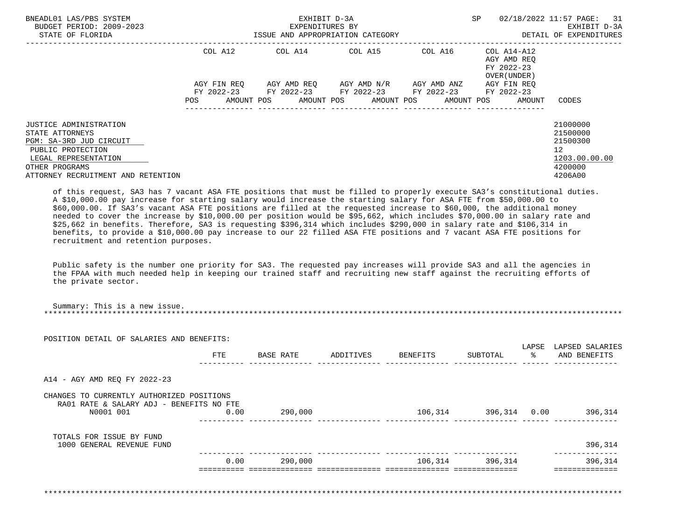| BNEADL01 LAS/PBS SYSTEM<br>BUDGET PERIOD: 2009-2023<br>STATE OF FLORIDA                                                                                                   | EXHIBIT D-3A<br>EXPENDITURES BY<br>ISSUE AND APPROPRIATION CATEGORY |  |  |  |  |  |  |                         | SP                                                         | 02/18/2022 11:57 PAGE: 31 | EXHIBIT D-3A<br>DETAIL OF EXPENDITURES                   |                                                                               |  |
|---------------------------------------------------------------------------------------------------------------------------------------------------------------------------|---------------------------------------------------------------------|--|--|--|--|--|--|-------------------------|------------------------------------------------------------|---------------------------|----------------------------------------------------------|-------------------------------------------------------------------------------|--|
|                                                                                                                                                                           | COL A12                                                             |  |  |  |  |  |  | COL A14 COL A15         | COL A16                                                    |                           | COL A14-A12<br>AGY AMD REO<br>FY 2022-23<br>OVER (UNDER) |                                                                               |  |
|                                                                                                                                                                           | AGY FIN REO                                                         |  |  |  |  |  |  | AGY AMD REO AGY AMD N/R | AGY AMD ANZ<br>FY 2022-23 FY 2022-23 FY 2022-23 FY 2022-23 |                           | AGY FIN REO<br>FY 2022-23                                |                                                                               |  |
|                                                                                                                                                                           | POS                                                                 |  |  |  |  |  |  |                         | AMOUNT POS AMOUNT POS AMOUNT POS AMOUNT POS                |                           | AMOUNT                                                   | CODES                                                                         |  |
| JUSTICE ADMINISTRATION<br>STATE ATTORNEYS<br>PGM: SA-3RD JUD CIRCUIT<br>PUBLIC PROTECTION<br>LEGAL REPRESENTATION<br>OTHER PROGRAMS<br>ATTORNEY RECRUITMENT AND RETENTION |                                                                     |  |  |  |  |  |  |                         |                                                            |                           |                                                          | 21000000<br>21500000<br>21500300<br>12<br>1203.00.00.00<br>4200000<br>4206A00 |  |

 of this request, SA3 has 7 vacant ASA FTE positions that must be filled to properly execute SA3's constitutional duties. A \$10,000.00 pay increase for starting salary would increase the starting salary for ASA FTE from \$50,000.00 to \$60,000.00. If SA3's vacant ASA FTE positions are filled at the requested increase to \$60,000, the additional money needed to cover the increase by \$10,000.00 per position would be \$95,662, which includes \$70,000.00 in salary rate and \$25,662 in benefits. Therefore, SA3 is requesting \$396,314 which includes \$290,000 in salary rate and \$106,314 in benefits, to provide a \$10,000.00 pay increase to our 22 filled ASA FTE positions and 7 vacant ASA FTE positions for recruitment and retention purposes.

 Public safety is the number one priority for SA3. The requested pay increases will provide SA3 and all the agencies in the FPAA with much needed help in keeping our trained staff and recruiting new staff against the recruiting efforts of the private sector.

| POSITION DETAIL OF SALARIES AND BENEFITS:                                                          |      |         |                                                                                                |  |                       |
|----------------------------------------------------------------------------------------------------|------|---------|------------------------------------------------------------------------------------------------|--|-----------------------|
|                                                                                                    | FTE  |         | BASE RATE         ADDITIVES         BENEFITS           SUBTOTAL                   AND BENEFITS |  | LAPSE LAPSED SALARIES |
| A14 - AGY AMD REO FY 2022-23                                                                       |      |         |                                                                                                |  |                       |
| CHANGES TO CURRENTLY AUTHORIZED POSITIONS<br>RA01 RATE & SALARY ADJ - BENEFITS NO FTE<br>N0001 001 | 0.00 | 290,000 | $106,314$ $396,314$ $0.00$ $396,314$                                                           |  |                       |
| TOTALS FOR ISSUE BY FUND<br>1000 GENERAL REVENUE FUND                                              |      |         |                                                                                                |  | 396,314               |
|                                                                                                    |      | 0.00    | $290,000$ and $106,314$ and $396,314$                                                          |  | 396,314               |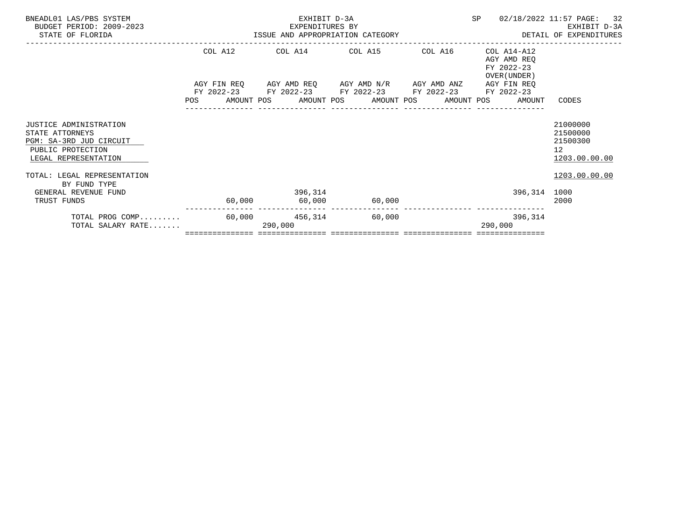| BNEADL01 LAS/PBS SYSTEM<br>BUDGET PERIOD: 2009-2023 |         | EXHIBIT D-3A<br>EXPENDITURES BY<br>EXPENDITURES BY<br>ISSUE AND APPROPRIATION CATEGORY |         | SP                        | 02/18/2022 11:57 PAGE: 32<br>EXHIBIT D-3A |
|-----------------------------------------------------|---------|----------------------------------------------------------------------------------------|---------|---------------------------|-------------------------------------------|
| STATE OF FLORIDA                                    |         |                                                                                        |         |                           | DETAIL OF EXPENDITURES                    |
|                                                     | COL A12 | COL A14 COL A15                                                                        | COL A16 | COL A14-A12               |                                           |
|                                                     |         |                                                                                        |         | AGY AMD REO<br>FY 2022-23 |                                           |
|                                                     |         |                                                                                        |         | OVER (UNDER)              |                                           |
|                                                     |         | AGY FIN REQ AGY AMD REQ AGY AMD N/R AGY AMD ANZ                                        |         | AGY FIN REO               |                                           |
|                                                     |         | FY 2022-23 FY 2022-23 FY 2022-23 FY 2022-23                                            |         | FY 2022-23                |                                           |
|                                                     |         | POS AMOUNT POS AMOUNT POS AMOUNT POS AMOUNT POS AMOUNT                                 |         |                           | CODES                                     |
| <b>JUSTICE ADMINISTRATION</b>                       |         |                                                                                        |         |                           | 21000000                                  |
| STATE ATTORNEYS                                     |         |                                                                                        |         |                           | 21500000                                  |
| PGM: SA-3RD JUD CIRCUIT                             |         |                                                                                        |         |                           | 21500300                                  |
| PUBLIC PROTECTION                                   |         |                                                                                        |         |                           | 12 <sup>°</sup>                           |
| LEGAL REPRESENTATION                                |         |                                                                                        |         |                           | 1203.00.00.00                             |
| TOTAL: LEGAL REPRESENTATION                         |         |                                                                                        |         |                           | 1203.00.00.00                             |
| BY FUND TYPE                                        |         |                                                                                        |         |                           |                                           |
| GENERAL REVENUE FUND                                |         | 396,314                                                                                |         | 396,314 1000              |                                           |
| TRUST FUNDS                                         |         | $60,000$ $60,000$ $60,000$                                                             |         |                           | 2000                                      |
| TOTAL PROG COMP                                     |         | 60,000 456,314 60,000                                                                  |         | 396,314                   |                                           |
| TOTAL SALARY RATE                                   |         | 290,000                                                                                |         | 290,000                   |                                           |
|                                                     |         |                                                                                        |         |                           |                                           |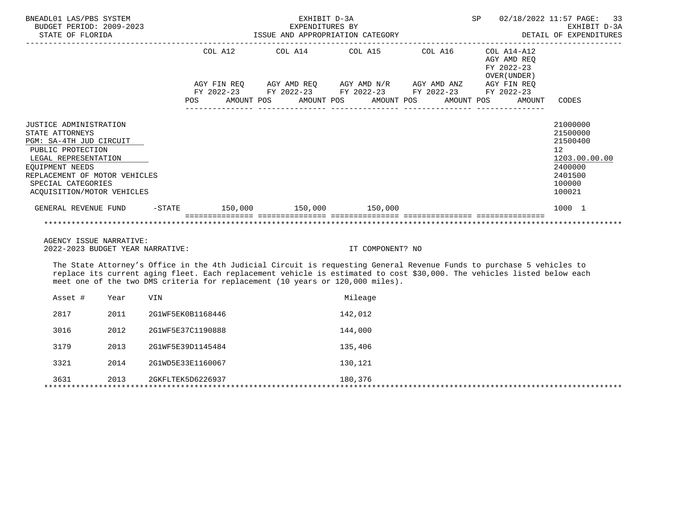| BNEADL01 LAS/PBS SYSTEM<br>BUDGET PERIOD: 2009-2023<br>STATE OF FLORIDA                                                                                                                                                                                                                                                           |                                                             | EXHIBIT D-3A | EXPENDITURES BY  |  |                                                              | SP 02/18/2022 11:57 PAGE: 33<br>EXHIBIT D-3A<br>ISSUE AND APPROPRIATION CATEGORY DETAIL OF EXPENDITURES |
|-----------------------------------------------------------------------------------------------------------------------------------------------------------------------------------------------------------------------------------------------------------------------------------------------------------------------------------|-------------------------------------------------------------|--------------|------------------|--|--------------------------------------------------------------|---------------------------------------------------------------------------------------------------------|
|                                                                                                                                                                                                                                                                                                                                   | COL A12 COL A14 COL A15 COL A16                             |              |                  |  | COL A14-A12<br>AGY AMD REO<br>FY 2022-23<br>OVER (UNDER)     |                                                                                                         |
|                                                                                                                                                                                                                                                                                                                                   | AGY FIN REQ AGY AMD REQ AGY AMD N/R AGY AMD ANZ AGY FIN REQ |              |                  |  |                                                              |                                                                                                         |
|                                                                                                                                                                                                                                                                                                                                   | FY 2022-23 FY 2022-23 FY 2022-23 FY 2022-23 FY 2022-23      |              |                  |  | POS AMOUNT POS AMOUNT POS AMOUNT POS AMOUNT POS AMOUNT CODES |                                                                                                         |
| JUSTICE ADMINISTRATION                                                                                                                                                                                                                                                                                                            |                                                             |              |                  |  |                                                              | 21000000                                                                                                |
| STATE ATTORNEYS                                                                                                                                                                                                                                                                                                                   |                                                             |              |                  |  |                                                              | 21500000                                                                                                |
| PGM: SA-4TH JUD CIRCUIT                                                                                                                                                                                                                                                                                                           |                                                             |              |                  |  |                                                              | 21500400                                                                                                |
| PUBLIC PROTECTION<br>LEGAL REPRESENTATION                                                                                                                                                                                                                                                                                         |                                                             |              |                  |  |                                                              | 12<br>1203.00.00.00                                                                                     |
| EOUIPMENT NEEDS                                                                                                                                                                                                                                                                                                                   |                                                             |              |                  |  |                                                              | 2400000                                                                                                 |
| REPLACEMENT OF MOTOR VEHICLES                                                                                                                                                                                                                                                                                                     |                                                             |              |                  |  |                                                              | 2401500                                                                                                 |
| SPECIAL CATEGORIES                                                                                                                                                                                                                                                                                                                |                                                             |              |                  |  |                                                              | 100000                                                                                                  |
| ACOUISITION/MOTOR VEHICLES                                                                                                                                                                                                                                                                                                        |                                                             |              |                  |  |                                                              | 100021                                                                                                  |
| GENERAL REVENUE FUND -STATE 150,000 150,000 150,000 150,000                                                                                                                                                                                                                                                                       |                                                             |              |                  |  |                                                              | 1000 1                                                                                                  |
|                                                                                                                                                                                                                                                                                                                                   |                                                             |              |                  |  |                                                              |                                                                                                         |
| AGENCY ISSUE NARRATIVE:                                                                                                                                                                                                                                                                                                           |                                                             |              |                  |  |                                                              |                                                                                                         |
| 2022-2023 BUDGET YEAR NARRATIVE:                                                                                                                                                                                                                                                                                                  |                                                             |              | IT COMPONENT? NO |  |                                                              |                                                                                                         |
| The State Attorney's Office in the 4th Judicial Circuit is requesting General Revenue Funds to purchase 5 vehicles to<br>replace its current aging fleet. Each replacement vehicle is estimated to cost \$30,000. The vehicles listed below each<br>meet one of the two DMS criteria for replacement (10 years or 120,000 miles). |                                                             |              |                  |  |                                                              |                                                                                                         |

| 2817<br>142,012<br>2011<br>2G1WF5EK0B1168446<br>3016<br>2G1WF5E37C1190888<br>144,000<br>2012<br>3179<br>2013<br>2G1WF5E39D1145484<br>135,406<br>3321<br>130,121<br>2014<br>2G1WD5E33E1160067<br>3631<br>2013<br>180,376<br>2GKFLTEK5D6226937 | Asset # | Year | <b>VIN</b> | Mileage |
|----------------------------------------------------------------------------------------------------------------------------------------------------------------------------------------------------------------------------------------------|---------|------|------------|---------|
|                                                                                                                                                                                                                                              |         |      |            |         |
|                                                                                                                                                                                                                                              |         |      |            |         |
|                                                                                                                                                                                                                                              |         |      |            |         |
|                                                                                                                                                                                                                                              |         |      |            |         |
|                                                                                                                                                                                                                                              |         |      |            |         |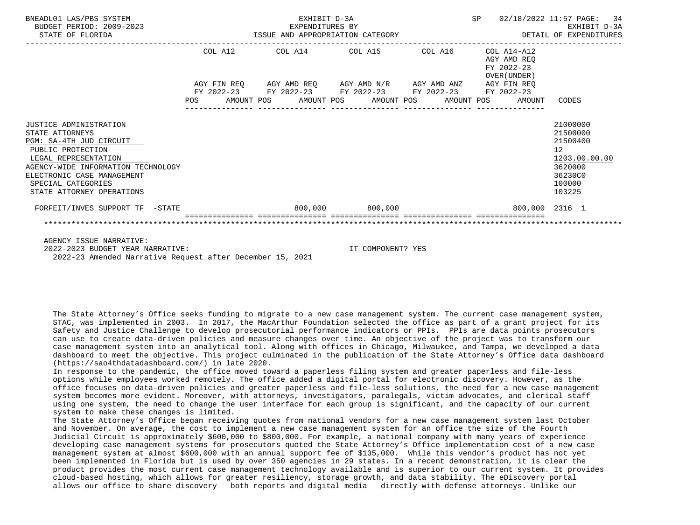| BNEADL01 LAS/PBS SYSTEM<br>BUDGET PERIOD: 2009-2023<br>STATE OF FLORIDA                                                                                                                                                                  | EXHIBIT D-3A<br>EXPENDITURES BY<br>ISSUE AND APPROPRIATION CATEGORY |         |  |                                                                                            |  | SP              |            | 02/18/2022 11:57 PAGE: 34<br>EXHIBIT D-3A<br>DETAIL OF EXPENDITURES |                                                          |                                                                                                   |
|------------------------------------------------------------------------------------------------------------------------------------------------------------------------------------------------------------------------------------------|---------------------------------------------------------------------|---------|--|--------------------------------------------------------------------------------------------|--|-----------------|------------|---------------------------------------------------------------------|----------------------------------------------------------|---------------------------------------------------------------------------------------------------|
|                                                                                                                                                                                                                                          |                                                                     | COL A12 |  | COL A14 COL A15<br>AGY FIN REQ AGY AMD REQ AGY AMD N/R AGY AMD ANZ AGY FIN REQ             |  |                 | COL A16    |                                                                     | COL A14-A12<br>AGY AMD REO<br>FY 2022-23<br>OVER (UNDER) |                                                                                                   |
|                                                                                                                                                                                                                                          | POS                                                                 |         |  | FY 2022-23 FY 2022-23 FY 2022-23 FY 2022-23 FY 2022-23<br>AMOUNT POS AMOUNT POS AMOUNT POS |  |                 | AMOUNT POS |                                                                     | AMOUNT                                                   | CODES                                                                                             |
| JUSTICE ADMINISTRATION<br>STATE ATTORNEYS<br>PGM: SA-4TH JUD CIRCUIT<br>PUBLIC PROTECTION<br>LEGAL REPRESENTATION<br>AGENCY-WIDE INFORMATION TECHNOLOGY<br>ELECTRONIC CASE MANAGEMENT<br>SPECIAL CATEGORIES<br>STATE ATTORNEY OPERATIONS |                                                                     |         |  |                                                                                            |  |                 |            |                                                                     |                                                          | 21000000<br>21500000<br>21500400<br>12<br>1203.00.00.00<br>3620000<br>36230C0<br>100000<br>103225 |
| FORFEIT/INVES SUPPORT TF -STATE                                                                                                                                                                                                          |                                                                     |         |  |                                                                                            |  | 800,000 800,000 |            |                                                                     | 800,000 2316 1                                           |                                                                                                   |
|                                                                                                                                                                                                                                          |                                                                     |         |  |                                                                                            |  |                 |            |                                                                     |                                                          |                                                                                                   |
| AGENCY ISSUE NARRATIVE:                                                                                                                                                                                                                  |                                                                     |         |  |                                                                                            |  |                 |            |                                                                     |                                                          |                                                                                                   |

 2022-2023 BUDGET YEAR NARRATIVE: IT COMPONENT? YES 2022-23 Amended Narrative Request after December 15, 2021

 The State Attorney's Office seeks funding to migrate to a new case management system. The current case management system, STAC, was implemented in 2003. In 2017, the MacArthur Foundation selected the office as part of a grant project for its Safety and Justice Challenge to develop prosecutorial performance indicators or PPIs. PPIs are data points prosecutors can use to create data-driven policies and measure changes over time. An objective of the project was to transform our case management system into an analytical tool. Along with offices in Chicago, Milwaukee, and Tampa, we developed a data dashboard to meet the objective. This project culminated in the publication of the State Attorney's Office data dashboard (https://sao4thdatadashboard.com/) in late 2020.

 In response to the pandemic, the office moved toward a paperless filing system and greater paperless and file-less options while employees worked remotely. The office added a digital portal for electronic discovery. However, as the office focuses on data-driven policies and greater paperless and file-less solutions, the need for a new case management system becomes more evident. Moreover, with attorneys, investigators, paralegals, victim advocates, and clerical staff using one system, the need to change the user interface for each group is significant, and the capacity of our current system to make these changes is limited.

 The State Attorney's Office began receiving quotes from national vendors for a new case management system last October and November. On average, the cost to implement a new case management system for an office the size of the Fourth Judicial Circuit is approximately \$600,000 to \$800,000. For example, a national company with many years of experience developing case management systems for prosecutors quoted the State Attorney's Office implementation cost of a new case management system at almost \$600,000 with an annual support fee of \$135,000. While this vendor's product has not yet been implemented in Florida but is used by over 350 agencies in 29 states. In a recent demonstration, it is clear the product provides the most current case management technology available and is superior to our current system. It provides cloud-based hosting, which allows for greater resiliency, storage growth, and data stability. The eDiscovery portal allows our office to share discovery both reports and digital media directly with defense attorneys. Unlike our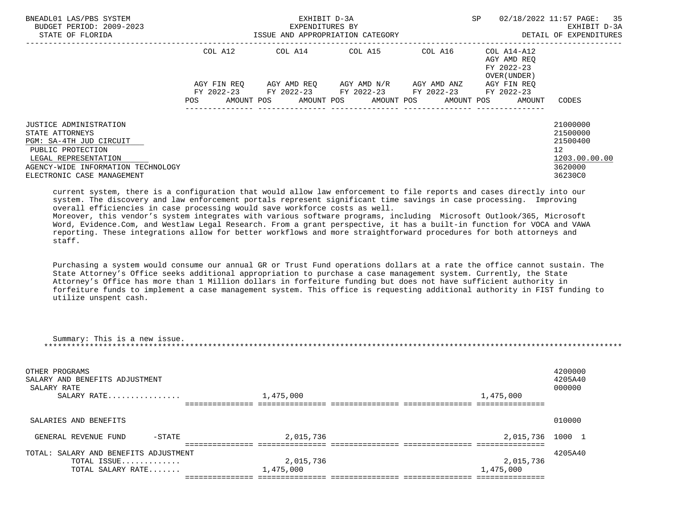| BNEADL01 LAS/PBS SYSTEM<br>BUDGET PERIOD: 2009-2023<br>STATE OF FLORIDA                                                                                                               | ISSUE AND APPROPRIATION CATEGORY | EXHIBIT D-3A<br>EXPENDITURES BY                                                            | SP.                                 | 02/18/2022 11:57 PAGE: 35<br>EXHIBIT D-3A<br>DETAIL OF EXPENDITURES |                                                          |                                                                                            |
|---------------------------------------------------------------------------------------------------------------------------------------------------------------------------------------|----------------------------------|--------------------------------------------------------------------------------------------|-------------------------------------|---------------------------------------------------------------------|----------------------------------------------------------|--------------------------------------------------------------------------------------------|
|                                                                                                                                                                                       | COL A12                          | COL A14 COL A15 COL A16                                                                    |                                     |                                                                     | COL A14-A12<br>AGY AMD REQ<br>FY 2022-23<br>OVER (UNDER) |                                                                                            |
|                                                                                                                                                                                       | AGY FIN REO<br>POS               | FY 2022-23 FY 2022-23 FY 2022-23 FY 2022-23<br>AMOUNT POS AMOUNT POS AMOUNT POS AMOUNT POS | AGY AMD REO AGY AMD N/R AGY AMD ANZ |                                                                     | AGY FIN REO<br>FY 2022-23<br>AMOUNT                      | CODES                                                                                      |
| JUSTICE ADMINISTRATION<br>STATE ATTORNEYS<br>PGM: SA-4TH JUD CIRCUIT<br>PUBLIC PROTECTION<br>LEGAL REPRESENTATION<br>AGENCY-WIDE INFORMATION TECHNOLOGY<br>ELECTRONIC CASE MANAGEMENT |                                  |                                                                                            |                                     |                                                                     |                                                          | 21000000<br>21500000<br>21500400<br>12 <sup>°</sup><br>1203.00.00.00<br>3620000<br>36230C0 |

 current system, there is a configuration that would allow law enforcement to file reports and cases directly into our system. The discovery and law enforcement portals represent significant time savings in case processing. Improving overall efficiencies in case processing would save workforce costs as well.

 Moreover, this vendor's system integrates with various software programs, including Microsoft Outlook/365, Microsoft Word, Evidence.Com, and Westlaw Legal Research. From a grant perspective, it has a built-in function for VOCA and VAWA reporting. These integrations allow for better workflows and more straightforward procedures for both attorneys and staff.

 Purchasing a system would consume our annual GR or Trust Fund operations dollars at a rate the office cannot sustain. The State Attorney's Office seeks additional appropriation to purchase a case management system. Currently, the State Attorney's Office has more than 1 Million dollars in forfeiture funding but does not have sufficient authority in forfeiture funds to implement a case management system. This office is requesting additional authority in FIST funding to utilize unspent cash.

| Summary: This is a new issue.                                                  |                        |           |                              |  |  |  |  |
|--------------------------------------------------------------------------------|------------------------|-----------|------------------------------|--|--|--|--|
| OTHER PROGRAMS<br>SALARY AND BENEFITS ADJUSTMENT<br>SALARY RATE<br>SALARY RATE | 1,475,000              | 1,475,000 | 4200000<br>4205A40<br>000000 |  |  |  |  |
|                                                                                |                        |           |                              |  |  |  |  |
| SALARIES AND BENEFITS                                                          |                        |           | 010000                       |  |  |  |  |
| GENERAL REVENUE FUND                                                           | 2,015,736<br>$-$ STATE | 2,015,736 | 1000 1                       |  |  |  |  |
|                                                                                |                        |           |                              |  |  |  |  |
| TOTAL: SALARY AND BENEFITS ADJUSTMENT                                          |                        |           | 4205A40                      |  |  |  |  |
| TOTAL ISSUE                                                                    | 2,015,736              | 2,015,736 |                              |  |  |  |  |
| TOTAL SALARY RATE                                                              | 1,475,000              | 1,475,000 |                              |  |  |  |  |
|                                                                                |                        |           |                              |  |  |  |  |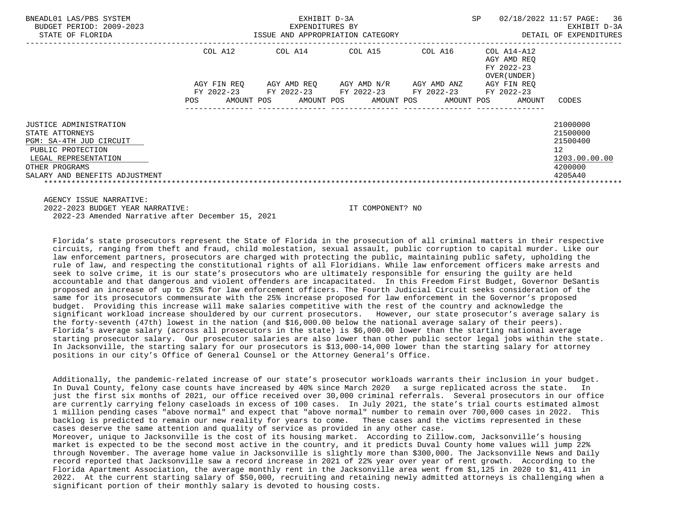| BNEADL01 LAS/PBS SYSTEM<br>BUDGET PERIOD: 2009-2023<br>STATE OF FLORIDA                                                             |                           | EXHIBIT D-3A<br>EXPENDITURES BY<br>ISSUE AND APPROPRIATION CATEGORY | SP                                                                                | 02/18/2022 11:57 PAGE: 36<br>EXHIBIT D-3A<br>DETAIL OF EXPENDITURES |                                                                   |                                                                    |
|-------------------------------------------------------------------------------------------------------------------------------------|---------------------------|---------------------------------------------------------------------|-----------------------------------------------------------------------------------|---------------------------------------------------------------------|-------------------------------------------------------------------|--------------------------------------------------------------------|
|                                                                                                                                     | COL A12                   | COL A14                                                             | COL A15                                                                           | COL A16                                                             | COL A14-A12<br>AGY AMD REO<br>FY 2022-23<br>OVER (UNDER)          |                                                                    |
|                                                                                                                                     | AGY FIN REO<br><b>POS</b> |                                                                     | AGY AMD REQ      AGY AMD N/R      AGY AMD ANZ<br>FY 2022-23 FY 2022-23 FY 2022-23 | FY 2022-23 FY 2022-23                                               | AGY FIN REO<br>AMOUNT POS AMOUNT POS AMOUNT POS AMOUNT POS AMOUNT | CODES                                                              |
| JUSTICE ADMINISTRATION<br>STATE ATTORNEYS<br>PGM: SA-4TH JUD CIRCUIT<br>PUBLIC PROTECTION<br>LEGAL REPRESENTATION<br>OTHER PROGRAMS |                           |                                                                     |                                                                                   |                                                                     |                                                                   | 21000000<br>21500000<br>21500400<br>12<br>1203.00.00.00<br>4200000 |
| SALARY AND BENEFITS ADJUSTMENT                                                                                                      |                           |                                                                     |                                                                                   |                                                                     |                                                                   | 4205A40                                                            |

AGENCY ISSUE NARRATIVE:

 2022-2023 BUDGET YEAR NARRATIVE: IT COMPONENT? NO 2022-23 Amended Narrative after December 15, 2021

 Florida's state prosecutors represent the State of Florida in the prosecution of all criminal matters in their respective circuits, ranging from theft and fraud, child molestation, sexual assault, public corruption to capital murder. Like our law enforcement partners, prosecutors are charged with protecting the public, maintaining public safety, upholding the rule of law, and respecting the constitutional rights of all Floridians. While law enforcement officers make arrests and seek to solve crime, it is our state's prosecutors who are ultimately responsible for ensuring the guilty are held accountable and that dangerous and violent offenders are incapacitated. In this Freedom First Budget, Governor DeSantis proposed an increase of up to 25% for law enforcement officers. The Fourth Judicial Circuit seeks consideration of the same for its prosecutors commensurate with the 25% increase proposed for law enforcement in the Governor's proposed budget. Providing this increase will make salaries competitive with the rest of the country and acknowledge the significant workload increase shouldered by our current prosecutors. However, our state prosecutor's average salary is the forty-seventh (47th) lowest in the nation (and \$16,000.00 below the national average salary of their peers). Florida's average salary (across all prosecutors in the state) is \$6,000.00 lower than the starting national average starting prosecutor salary. Our prosecutor salaries are also lower than other public sector legal jobs within the state. In Jacksonville, the starting salary for our prosecutors is \$13,000-14,000 lower than the starting salary for attorney positions in our city's Office of General Counsel or the Attorney General's Office.

 Additionally, the pandemic-related increase of our state's prosecutor workloads warrants their inclusion in your budget. In Duval County, felony case counts have increased by 40% since March 2020 a surge replicated across the state. In just the first six months of 2021, our office received over 30,000 criminal referrals. Several prosecutors in our office are currently carrying felony caseloads in excess of 100 cases. In July 2021, the state's trial courts estimated almost 1 million pending cases "above normal" and expect that "above normal" number to remain over 700,000 cases in 2022. This backlog is predicted to remain our new reality for years to come. These cases and the victims represented in these cases deserve the same attention and quality of service as provided in any other case.

 Moreover, unique to Jacksonville is the cost of its housing market. According to Zillow.com, Jacksonville's housing market is expected to be the second most active in the country, and it predicts Duval County home values will jump 22% through November. The average home value in Jacksonville is slightly more than \$300,000. The Jacksonville News and Daily record reported that Jacksonville saw a record increase in 2021 of 22% year over year of rent growth. According to the Florida Apartment Association, the average monthly rent in the Jacksonville area went from \$1,125 in 2020 to \$1,411 in 2022. At the current starting salary of \$50,000, recruiting and retaining newly admitted attorneys is challenging when a significant portion of their monthly salary is devoted to housing costs.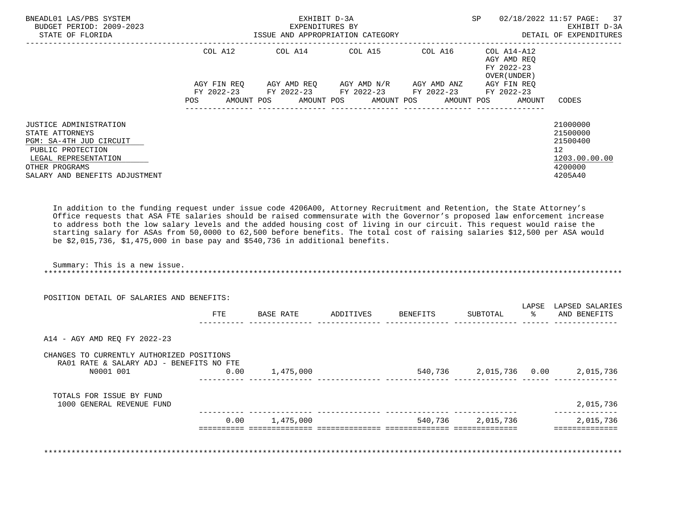| BNEADL01 LAS/PBS SYSTEM<br>BUDGET PERIOD: 2009-2023<br>STATE OF FLORIDA                                                                                                      |             | EXHIBIT D-3A<br>EXPENDITURES BY<br>ISSUE AND APPROPRIATION CATEGORY |                                     |         | SP.                                                               | 02/18/2022 11:57 PAGE: 37<br>EXHIBIT D-3A<br>DETAIL OF EXPENDITURES           |
|------------------------------------------------------------------------------------------------------------------------------------------------------------------------------|-------------|---------------------------------------------------------------------|-------------------------------------|---------|-------------------------------------------------------------------|-------------------------------------------------------------------------------|
|                                                                                                                                                                              | COL A12     | COL A14 COL A15                                                     |                                     | COL A16 | COL A14-A12<br>AGY AMD REO<br>FY 2022-23<br>OVER (UNDER)          |                                                                               |
|                                                                                                                                                                              | AGY FIN REO | FY 2022-23 FY 2022-23 FY 2022-23 FY 2022-23 FY 2022-23              | AGY AMD REO AGY AMD N/R AGY AMD ANZ |         | AGY FIN REO<br>AMOUNT POS AMOUNT POS AMOUNT POS AMOUNT POS AMOUNT | CODES                                                                         |
| <b>JUSTICE ADMINISTRATION</b><br>STATE ATTORNEYS<br>PGM: SA-4TH JUD CIRCUIT<br>PUBLIC PROTECTION<br>LEGAL REPRESENTATION<br>OTHER PROGRAMS<br>SALARY AND BENEFITS ADJUSTMENT |             |                                                                     |                                     |         |                                                                   | 21000000<br>21500000<br>21500400<br>12<br>1203.00.00.00<br>4200000<br>4205A40 |

 In addition to the funding request under issue code 4206A00, Attorney Recruitment and Retention, the State Attorney's Office requests that ASA FTE salaries should be raised commensurate with the Governor's proposed law enforcement increase to address both the low salary levels and the added housing cost of living in our circuit. This request would raise the starting salary for ASAs from 50,0000 to 62,500 before benefits. The total cost of raising salaries \$12,500 per ASA would be \$2,015,736, \$1,475,000 in base pay and \$540,736 in additional benefits.

 Summary: This is a new issue. \*\*\*\*\*\*\*\*\*\*\*\*\*\*\*\*\*\*\*\*\*\*\*\*\*\*\*\*\*\*\*\*\*\*\*\*\*\*\*\*\*\*\*\*\*\*\*\*\*\*\*\*\*\*\*\*\*\*\*\*\*\*\*\*\*\*\*\*\*\*\*\*\*\*\*\*\*\*\*\*\*\*\*\*\*\*\*\*\*\*\*\*\*\*\*\*\*\*\*\*\*\*\*\*\*\*\*\*\*\*\*\*\*\*\*\*\*\*\*\*\*\*\*\*\*\*\*

|                                                                                                    | FTE  | BASE RATE | ADDITIVES | BENEFITS | SUBTOTAL  | LAPSE | LAPSED SALARIES<br>AND BENEFITS  |
|----------------------------------------------------------------------------------------------------|------|-----------|-----------|----------|-----------|-------|----------------------------------|
| A14 - AGY AMD REQ FY 2022-23                                                                       |      |           |           |          |           |       |                                  |
| CHANGES TO CURRENTLY AUTHORIZED POSITIONS<br>RA01 RATE & SALARY ADJ - BENEFITS NO FTE<br>N0001 001 | 0.00 | 1,475,000 |           |          |           |       | 540,736 2,015,736 0.00 2,015,736 |
| TOTALS FOR ISSUE BY FUND<br>1000 GENERAL REVENUE FUND                                              |      |           |           |          |           |       | 2,015,736                        |
|                                                                                                    | 0.00 | 1,475,000 |           | 540,736  | 2,015,736 |       | 2,015,736                        |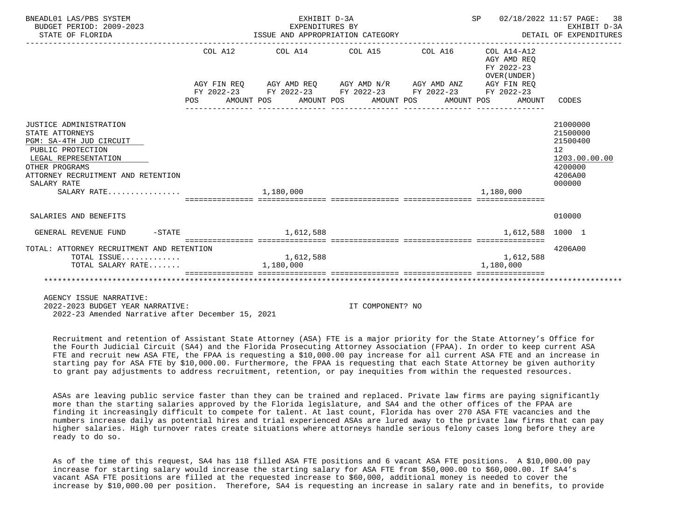| BNEADL01 LAS/PBS SYSTEM<br>BUDGET PERIOD: 2009-2023<br>STATE OF FLORIDA                                                                                                                                   |         | EXHIBIT D-3A<br>EXPENDITURES BY | ISSUE AND APPROPRIATION CATEGORY                                                                                      | SP 02/18/2022 11:57 PAGE:<br>DETAIL OF EXPENDITURES<br>___________________________________ | 38<br>EXHIBIT D-3A                                                                                   |
|-----------------------------------------------------------------------------------------------------------------------------------------------------------------------------------------------------------|---------|---------------------------------|-----------------------------------------------------------------------------------------------------------------------|--------------------------------------------------------------------------------------------|------------------------------------------------------------------------------------------------------|
|                                                                                                                                                                                                           | COL A12 |                                 | COL A14 COL A15 COL A16                                                                                               | $COL A14- A12$<br>AGY AMD REO<br>FY 2022-23<br>OVER (UNDER)                                |                                                                                                      |
|                                                                                                                                                                                                           |         |                                 | AGY FIN REQ AGY AMD REQ AGY AMD N/R AGY AMD ANZ AGY FIN REQ<br>FY 2022-23 FY 2022-23 FY 2022-23 FY 2022-23 FY 2022-23 |                                                                                            |                                                                                                      |
|                                                                                                                                                                                                           | POS FOR |                                 | AMOUNT POS      AMOUNT POS     AMOUNT POS     AMOUNT POS                                                              | AMOUNT                                                                                     | CODES                                                                                                |
| JUSTICE ADMINISTRATION<br>STATE ATTORNEYS<br>PGM: SA-4TH JUD CIRCUIT<br>PUBLIC PROTECTION<br>LEGAL REPRESENTATION<br>OTHER PROGRAMS<br>ATTORNEY RECRUITMENT AND RETENTION<br>SALARY RATE<br>$SALARY$ RATE |         | 1,180,000                       |                                                                                                                       | 1,180,000                                                                                  | 21000000<br>21500000<br>21500400<br>12 <sup>°</sup><br>1203.00.00.00<br>4200000<br>4206A00<br>000000 |
| SALARIES AND BENEFITS                                                                                                                                                                                     |         |                                 |                                                                                                                       |                                                                                            | 010000                                                                                               |
| $-$ STATE<br>GENERAL REVENUE FUND                                                                                                                                                                         |         | 1,612,588                       |                                                                                                                       | 1,612,588 1000 1                                                                           |                                                                                                      |
| TOTAL: ATTORNEY RECRUITMENT AND RETENTION<br>TOTAL ISSUE<br>TOTAL SALARY RATE                                                                                                                             |         | 1,612,588<br>1,180,000          |                                                                                                                       | 1,612,588<br>1,180,000                                                                     | 4206A00                                                                                              |
| AGENCY ISSUE NARRATIVE:                                                                                                                                                                                   |         |                                 |                                                                                                                       |                                                                                            |                                                                                                      |

 2022-2023 BUDGET YEAR NARRATIVE: IT COMPONENT? NO 2022-23 Amended Narrative after December 15, 2021

 Recruitment and retention of Assistant State Attorney (ASA) FTE is a major priority for the State Attorney's Office for the Fourth Judicial Circuit (SA4) and the Florida Prosecuting Attorney Association (FPAA). In order to keep current ASA FTE and recruit new ASA FTE, the FPAA is requesting a \$10,000.00 pay increase for all current ASA FTE and an increase in starting pay for ASA FTE by \$10,000.00. Furthermore, the FPAA is requesting that each State Attorney be given authority to grant pay adjustments to address recruitment, retention, or pay inequities from within the requested resources.

 ASAs are leaving public service faster than they can be trained and replaced. Private law firms are paying significantly more than the starting salaries approved by the Florida legislature, and SA4 and the other offices of the FPAA are finding it increasingly difficult to compete for talent. At last count, Florida has over 270 ASA FTE vacancies and the numbers increase daily as potential hires and trial experienced ASAs are lured away to the private law firms that can pay higher salaries. High turnover rates create situations where attorneys handle serious felony cases long before they are ready to do so.

 As of the time of this request, SA4 has 118 filled ASA FTE positions and 6 vacant ASA FTE positions. A \$10,000.00 pay increase for starting salary would increase the starting salary for ASA FTE from \$50,000.00 to \$60,000.00. If SA4's vacant ASA FTE positions are filled at the requested increase to \$60,000, additional money is needed to cover the increase by \$10,000.00 per position. Therefore, SA4 is requesting an increase in salary rate and in benefits, to provide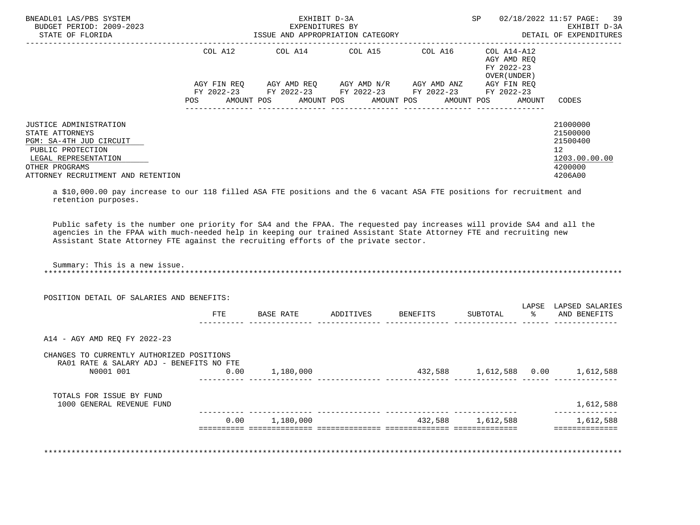| BNEADL01 LAS/PBS SYSTEM<br>BUDGET PERIOD: 2009-2023<br>STATE OF FLORIDA                                                                                                          |                           | EXHIBIT D-3A<br>EXPENDITURES BY<br>ISSUE AND APPROPRIATION CATEGORY                                          |                                                                                        | SP |                                                          | 02/18/2022 11:57 PAGE: 39<br>EXHIBIT D-3A<br>DETAIL OF EXPENDITURES                         |
|----------------------------------------------------------------------------------------------------------------------------------------------------------------------------------|---------------------------|--------------------------------------------------------------------------------------------------------------|----------------------------------------------------------------------------------------|----|----------------------------------------------------------|---------------------------------------------------------------------------------------------|
|                                                                                                                                                                                  |                           | COL A12 COL A14 COL A15 COL A16                                                                              |                                                                                        |    | COL A14-A12<br>AGY AMD REO<br>FY 2022-23<br>OVER (UNDER) |                                                                                             |
|                                                                                                                                                                                  | AGY FIN REO<br><b>POS</b> | FY 2022-23 FY 2022-23 FY 2022-23 FY 2022-23 FY 2022-23<br>AMOUNT POS AMOUNT POS AMOUNT POS AMOUNT POS AMOUNT | AGY AMD REQ        AGY AMD N/R        AGY AMD ANZ<br>---------------- ---------------- |    | AGY FIN REO                                              | CODES                                                                                       |
| <b>JUSTICE ADMINISTRATION</b><br>STATE ATTORNEYS<br>PGM: SA-4TH JUD CIRCUIT<br>PUBLIC PROTECTION<br>LEGAL REPRESENTATION<br>OTHER PROGRAMS<br>ATTORNEY RECRUITMENT AND RETENTION |                           |                                                                                                              |                                                                                        |    |                                                          | 21000000<br>21500000<br>21500400<br>12 <sup>12</sup><br>1203.00.00.00<br>4200000<br>4206A00 |

 a \$10,000.00 pay increase to our 118 filled ASA FTE positions and the 6 vacant ASA FTE positions for recruitment and retention purposes.

 Public safety is the number one priority for SA4 and the FPAA. The requested pay increases will provide SA4 and all the agencies in the FPAA with much-needed help in keeping our trained Assistant State Attorney FTE and recruiting new Assistant State Attorney FTE against the recruiting efforts of the private sector.

Summary: This is a new issue.

\*\*\*\*\*\*\*\*\*\*\*\*\*\*\*\*\*\*\*\*\*\*\*\*\*\*\*\*\*\*\*\*\*\*\*\*\*\*\*\*\*\*\*\*\*\*\*\*\*\*\*\*\*\*\*\*\*\*\*\*\*\*\*\*\*\*\*\*\*\*\*\*\*\*\*\*\*\*\*\*\*\*\*\*\*\*\*\*\*\*\*\*\*\*\*\*\*\*\*\*\*\*\*\*\*\*\*\*\*\*\*\*\*\*\*\*\*\*\*\*\*\*\*\*\*\*\*

|                                                                                                    | <b>FTE</b> | BASE RATE | ADDITIVES | BENEFITS | SUBTOTAL       | LAPSE<br>$\frac{1}{6}$ | LAPSED SALARIES<br>AND BENEFITS |
|----------------------------------------------------------------------------------------------------|------------|-----------|-----------|----------|----------------|------------------------|---------------------------------|
| A14 - AGY AMD REQ FY 2022-23                                                                       |            |           |           |          |                |                        |                                 |
| CHANGES TO CURRENTLY AUTHORIZED POSITIONS<br>RA01 RATE & SALARY ADJ - BENEFITS NO FTE<br>N0001 001 | 0.00       | 1,180,000 |           | 432,588  | 1,612,588 0.00 |                        | 1,612,588                       |
|                                                                                                    |            |           |           |          |                |                        |                                 |
| TOTALS FOR ISSUE BY FUND<br>1000 GENERAL REVENUE FUND                                              |            |           |           |          |                |                        | 1,612,588                       |

\*\*\*\*\*\*\*\*\*\*\*\*\*\*\*\*\*\*\*\*\*\*\*\*\*\*\*\*\*\*\*\*\*\*\*\*\*\*\*\*\*\*\*\*\*\*\*\*\*\*\*\*\*\*\*\*\*\*\*\*\*\*\*\*\*\*\*\*\*\*\*\*\*\*\*\*\*\*\*\*\*\*\*\*\*\*\*\*\*\*\*\*\*\*\*\*\*\*\*\*\*\*\*\*\*\*\*\*\*\*\*\*\*\*\*\*\*\*\*\*\*\*\*\*\*\*\*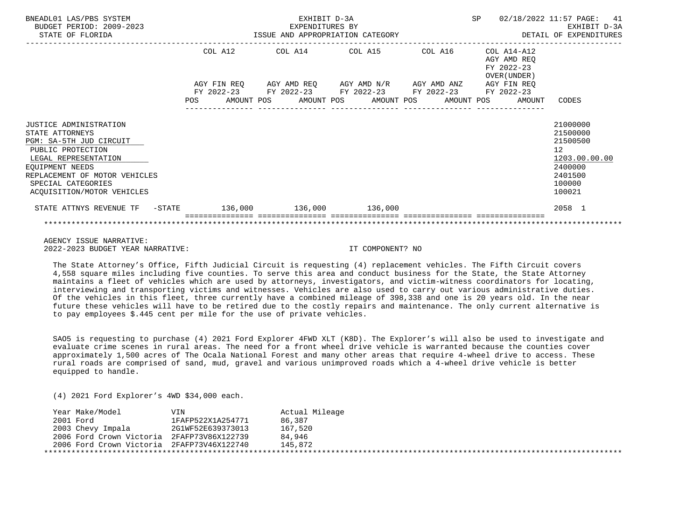| BNEADL01 LAS/PBS SYSTEM<br>BUDGET PERIOD: 2009-2023<br>STATE OF FLORIDA                                                                                                                                                   |         | EXHIBIT D-3A<br>EXPENDITURES BY<br>ISSUE AND APPROPRIATION CATEGORY                        |  | <b>SP</b>                                                 | 02/18/2022 11:57 PAGE:<br>41<br>EXHIBIT D-3A<br>DETAIL OF EXPENDITURES                                         |
|---------------------------------------------------------------------------------------------------------------------------------------------------------------------------------------------------------------------------|---------|--------------------------------------------------------------------------------------------|--|-----------------------------------------------------------|----------------------------------------------------------------------------------------------------------------|
|                                                                                                                                                                                                                           | COL A12 | COL A14 COL A15 COL A16<br>AGY FIN REQ AGY AMD REQ AGY AMD N/R AGY AMD ANZ AGY FIN REQ     |  | COL A14-A12<br>AGY AMD REO<br>FY 2022-23<br>OVER (UNDER ) |                                                                                                                |
|                                                                                                                                                                                                                           | POS     | FY 2022-23 FY 2022-23 FY 2022-23 FY 2022-23 FY 2022-23<br>AMOUNT POS AMOUNT POS AMOUNT POS |  | AMOUNT POS<br>AMOUNT                                      | CODES                                                                                                          |
| JUSTICE ADMINISTRATION<br>STATE ATTORNEYS<br>PGM: SA-5TH JUD CIRCUIT<br>PUBLIC PROTECTION<br>LEGAL REPRESENTATION<br>EQUIPMENT NEEDS<br>REPLACEMENT OF MOTOR VEHICLES<br>SPECIAL CATEGORIES<br>ACQUISITION/MOTOR VEHICLES |         |                                                                                            |  |                                                           | 21000000<br>21500000<br>21500500<br>12 <sup>°</sup><br>1203.00.00.00<br>2400000<br>2401500<br>100000<br>100021 |
| STATE ATTNYS REVENUE TF - STATE 136,000 136,000 136,000 136,000                                                                                                                                                           |         |                                                                                            |  |                                                           | 2058 1                                                                                                         |
|                                                                                                                                                                                                                           |         |                                                                                            |  |                                                           |                                                                                                                |

 AGENCY ISSUE NARRATIVE: 2022-2023 BUDGET YEAR NARRATIVE: IT COMPONENT? NO

 The State Attorney's Office, Fifth Judicial Circuit is requesting (4) replacement vehicles. The Fifth Circuit covers 4,558 square miles including five counties. To serve this area and conduct business for the State, the State Attorney maintains a fleet of vehicles which are used by attorneys, investigators, and victim-witness coordinators for locating, interviewing and transporting victims and witnesses. Vehicles are also used to carry out various administrative duties. Of the vehicles in this fleet, three currently have a combined mileage of 398,338 and one is 20 years old. In the near future these vehicles will have to be retired due to the costly repairs and maintenance. The only current alternative is to pay employees \$.445 cent per mile for the use of private vehicles.

 SAO5 is requesting to purchase (4) 2021 Ford Explorer 4FWD XLT (K8D). The Explorer's will also be used to investigate and evaluate crime scenes in rural areas. The need for a front wheel drive vehicle is warranted because the counties cover approximately 1,500 acres of The Ocala National Forest and many other areas that require 4-wheel drive to access. These rural roads are comprised of sand, mud, gravel and various unimproved roads which a 4-wheel drive vehicle is better equipped to handle.

(4) 2021 Ford Explorer's 4WD \$34,000 each.

| Year Make/Model                            | VIN               | Actual Mileage |
|--------------------------------------------|-------------------|----------------|
| 2001 Ford                                  | 1FAFP522X1A254771 | 86,387         |
| 2003 Chevy Impala                          | 2G1WF52E639373013 | 167,520        |
| 2006 Ford Crown Victoria 2FAFP73V86X122739 |                   | 84,946         |
| 2006 Ford Crown Victoria 2FAFP73V46X122740 |                   | 145.872        |
|                                            |                   |                |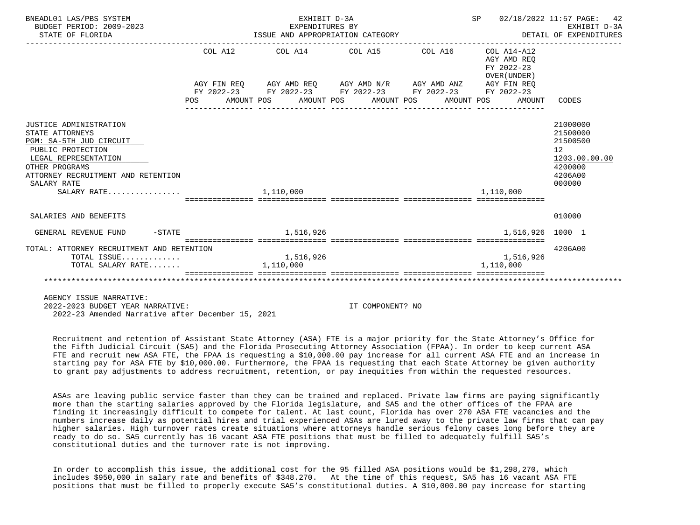| BNEADL01 LAS/PBS SYSTEM<br>BUDGET PERIOD: 2009-2023<br>STATE OF FLORIDA                                                                                                                                 |           | EXHIBIT D-3A<br>EXPENDITURES BY | ISSUE AND APPROPRIATION CATEGORY                                                                      | SP<br>DETAIL OF EXPENDITURES                             | 02/18/2022 11:57 PAGE:<br>42<br>EXHIBIT D-3A                                            |
|---------------------------------------------------------------------------------------------------------------------------------------------------------------------------------------------------------|-----------|---------------------------------|-------------------------------------------------------------------------------------------------------|----------------------------------------------------------|-----------------------------------------------------------------------------------------|
|                                                                                                                                                                                                         | COL A12   |                                 | COL A14 COL A15 COL A16                                                                               | COL A14-A12<br>AGY AMD REO<br>FY 2022-23<br>OVER (UNDER) |                                                                                         |
|                                                                                                                                                                                                         |           |                                 | AGY FIN REQ AGY AMD REQ AGY AMD N/R AGY AMD ANZ AGY FIN REQ                                           |                                                          |                                                                                         |
|                                                                                                                                                                                                         | POS DO    |                                 | FY 2022-23 FY 2022-23 FY 2022-23 FY 2022-23 FY 2022-23<br>AMOUNT POS AMOUNT POS AMOUNT POS AMOUNT POS | AMOUNT                                                   | CODES                                                                                   |
| JUSTICE ADMINISTRATION<br>STATE ATTORNEYS<br>PGM: SA-5TH JUD CIRCUIT<br>PUBLIC PROTECTION<br>LEGAL REPRESENTATION<br>OTHER PROGRAMS<br>ATTORNEY RECRUITMENT AND RETENTION<br>SALARY RATE<br>SALARY RATE |           | 1,110,000                       |                                                                                                       | 1,110,000                                                | 21000000<br>21500000<br>21500500<br>12<br>1203.00.00.00<br>4200000<br>4206A00<br>000000 |
| SALARIES AND BENEFITS                                                                                                                                                                                   |           |                                 |                                                                                                       |                                                          | 010000                                                                                  |
| $-$ STATE<br>GENERAL REVENUE FUND                                                                                                                                                                       |           | 1,516,926                       |                                                                                                       | 1,516,926 1000 1                                         |                                                                                         |
| TOTAL: ATTORNEY RECRUITMENT AND RETENTION                                                                                                                                                               |           |                                 |                                                                                                       | ================================                         | 4206A00                                                                                 |
| TOTAL ISSUE<br>TOTAL SALARY RATE                                                                                                                                                                        | 1,110,000 | 1,516,926                       |                                                                                                       | 1,516,926<br>1,110,000                                   |                                                                                         |
|                                                                                                                                                                                                         |           |                                 |                                                                                                       |                                                          |                                                                                         |
| ACFNOV ISSUE NAPPATIVE:                                                                                                                                                                                 |           |                                 |                                                                                                       |                                                          |                                                                                         |

2022-2023 BUDGET YEAR NARRATIVE: IT COMPONENT? NO

2022-23 Amended Narrative after December 15, 2021

 Recruitment and retention of Assistant State Attorney (ASA) FTE is a major priority for the State Attorney's Office for the Fifth Judicial Circuit (SA5) and the Florida Prosecuting Attorney Association (FPAA). In order to keep current ASA FTE and recruit new ASA FTE, the FPAA is requesting a \$10,000.00 pay increase for all current ASA FTE and an increase in starting pay for ASA FTE by \$10,000.00. Furthermore, the FPAA is requesting that each State Attorney be given authority to grant pay adjustments to address recruitment, retention, or pay inequities from within the requested resources.

 ASAs are leaving public service faster than they can be trained and replaced. Private law firms are paying significantly more than the starting salaries approved by the Florida legislature, and SA5 and the other offices of the FPAA are finding it increasingly difficult to compete for talent. At last count, Florida has over 270 ASA FTE vacancies and the numbers increase daily as potential hires and trial experienced ASAs are lured away to the private law firms that can pay higher salaries. High turnover rates create situations where attorneys handle serious felony cases long before they are ready to do so. SA5 currently has 16 vacant ASA FTE positions that must be filled to adequately fulfill SA5's constitutional duties and the turnover rate is not improving.

 In order to accomplish this issue, the additional cost for the 95 filled ASA positions would be \$1,298,270, which includes \$950,000 in salary rate and benefits of \$348.270. At the time of this request, SA5 has 16 vacant ASA FTE positions that must be filled to properly execute SA5's constitutional duties. A \$10,000.00 pay increase for starting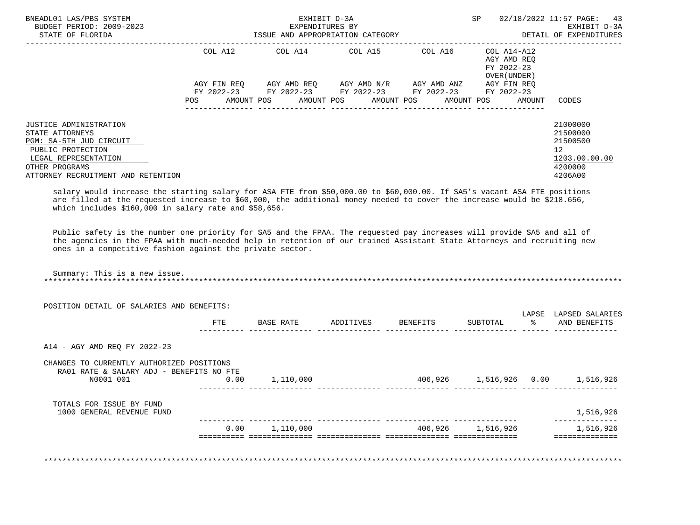| BNEADL01 LAS/PBS SYSTEM<br>BUDGET PERIOD: 2009-2023<br>STATE OF FLORIDA                                                                                                                                                                                                                                      |             | EXHIBIT D-3A<br>EXPENDITURES BY | ISSUE AND APPROPRIATION CATEGORY                                                            |            | SP                                                       | 02/18/2022 11:57 PAGE:<br>43<br>EXHIBIT D-3A<br>DETAIL OF EXPENDITURES                     |
|--------------------------------------------------------------------------------------------------------------------------------------------------------------------------------------------------------------------------------------------------------------------------------------------------------------|-------------|---------------------------------|---------------------------------------------------------------------------------------------|------------|----------------------------------------------------------|--------------------------------------------------------------------------------------------|
|                                                                                                                                                                                                                                                                                                              | COL A12     |                                 | COL A14 COL A15                                                                             | COL A16    | COL A14-A12<br>AGY AMD REO<br>FY 2022-23<br>OVER (UNDER) |                                                                                            |
|                                                                                                                                                                                                                                                                                                              | AGY FIN REO |                                 | AGY AMD REQ      AGY AMD N/R     AGY AMD ANZ<br>FY 2022-23 FY 2022-23 FY 2022-23 FY 2022-23 |            | AGY FIN REO<br>FY 2022-23                                |                                                                                            |
|                                                                                                                                                                                                                                                                                                              | <b>POS</b>  |                                 | AMOUNT POS AMOUNT POS AMOUNT POS                                                            | AMOUNT POS | AMOUNT                                                   | CODES                                                                                      |
| JUSTICE ADMINISTRATION<br>STATE ATTORNEYS<br>PGM: SA-5TH JUD CIRCUIT<br>PUBLIC PROTECTION<br>LEGAL REPRESENTATION<br>OTHER PROGRAMS<br>ATTORNEY RECRUITMENT AND RETENTION                                                                                                                                    |             |                                 |                                                                                             |            |                                                          | 21000000<br>21500000<br>21500500<br>12 <sup>°</sup><br>1203.00.00.00<br>4200000<br>4206A00 |
| salary would increase the starting salary for ASA FTE from \$50,000.00 to \$60,000.00. If SA5's vacant ASA FTE positions<br>are filled at the requested increase to \$60,000, the additional money needed to cover the increase would be \$218.656,<br>which includes \$160,000 in salary rate and \$58,656. |             |                                 |                                                                                             |            |                                                          |                                                                                            |

 Public safety is the number one priority for SA5 and the FPAA. The requested pay increases will provide SA5 and all of the agencies in the FPAA with much-needed help in retention of our trained Assistant State Attorneys and recruiting new ones in a competitive fashion against the private sector.

| Summary: This is a new issue. |  |  |
|-------------------------------|--|--|
|                               |  |  |

|                                                       | <b>FTE</b> | BASE RATE | ADDITIVES | BENEFITS | SUBTOTAL | LAPSE<br>ႜၟ | LAPSED SALARIES<br>AND BENEFITS |
|-------------------------------------------------------|------------|-----------|-----------|----------|----------|-------------|---------------------------------|
|                                                       |            |           |           |          |          |             |                                 |
| A14 - AGY AMD REQ FY 2022-23                          |            |           |           |          |          |             |                                 |
| CHANGES TO CURRENTLY AUTHORIZED POSITIONS             |            |           |           |          |          |             |                                 |
| RA01 RATE & SALARY ADJ - BENEFITS NO FTE<br>N0001 001 | 0.00       | 1,110,000 |           | 406,926  |          |             | 1,516,926                       |
|                                                       |            |           |           |          |          |             |                                 |
| TOTALS FOR ISSUE BY FUND                              |            |           |           |          |          |             | 1,516,926                       |
| 1000 GENERAL REVENUE FUND                             |            |           |           |          |          |             |                                 |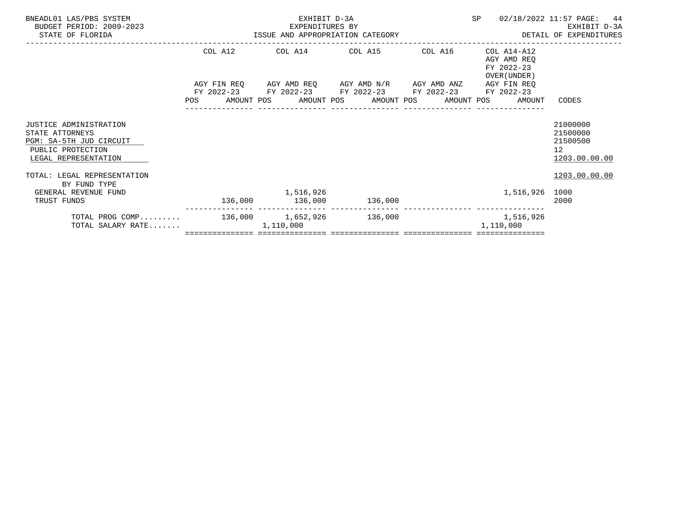| BNEADL01 LAS/PBS SYSTEM<br>BUDGET PERIOD: 2009-2023<br>STATE OF FLORIDA                                                  | EXPENDITURES BY<br>ISSUE AND APPROPRIATION CATEGORY | EXHIBIT D-3A<br>EXPENDITURES BY |                                                                                                      |         | SP                                                                                                  | 02/18/2022 11:57 PAGE: 44<br>EXHIBIT D-3A<br>DETAIL OF EXPENDITURES  |
|--------------------------------------------------------------------------------------------------------------------------|-----------------------------------------------------|---------------------------------|------------------------------------------------------------------------------------------------------|---------|-----------------------------------------------------------------------------------------------------|----------------------------------------------------------------------|
|                                                                                                                          | COL A12                                             |                                 | COL A14 COL A15                                                                                      | COL A16 | COL A14-A12<br>AGY AMD REO<br>FY 2022-23                                                            |                                                                      |
|                                                                                                                          |                                                     |                                 | AGY FIN REQ 6 AGY AMD REQ 6 AGY AMD N/R 6 AGY AMD ANZ<br>FY 2022-23 FY 2022-23 FY 2022-23 FY 2022-23 |         | OVER (UNDER)<br>AGY FIN REO<br>FY 2022-23<br>POS AMOUNT POS AMOUNT POS AMOUNT POS AMOUNT POS AMOUNT | CODES                                                                |
| <b>JUSTICE ADMINISTRATION</b><br>STATE ATTORNEYS<br>PGM: SA-5TH JUD CIRCUIT<br>PUBLIC PROTECTION<br>LEGAL REPRESENTATION |                                                     |                                 |                                                                                                      |         |                                                                                                     | 21000000<br>21500000<br>21500500<br>12 <sup>°</sup><br>1203.00.00.00 |
| TOTAL: LEGAL REPRESENTATION<br>BY FUND TYPE                                                                              |                                                     |                                 |                                                                                                      |         |                                                                                                     | 1203.00.00.00                                                        |
| GENERAL REVENUE FUND<br>TRUST FUNDS                                                                                      |                                                     | 1,516,926                       | 136,000 136,000 136,000                                                                              |         | 1,516,926 1000                                                                                      | 2000                                                                 |
| TOTAL PROG COMP 136,000 1,652,926 136,000<br>TOTAL SALARY RATE                                                           |                                                     | 1,110,000                       |                                                                                                      |         | 1,516,926<br>1,110,000                                                                              |                                                                      |
|                                                                                                                          |                                                     |                                 |                                                                                                      |         |                                                                                                     |                                                                      |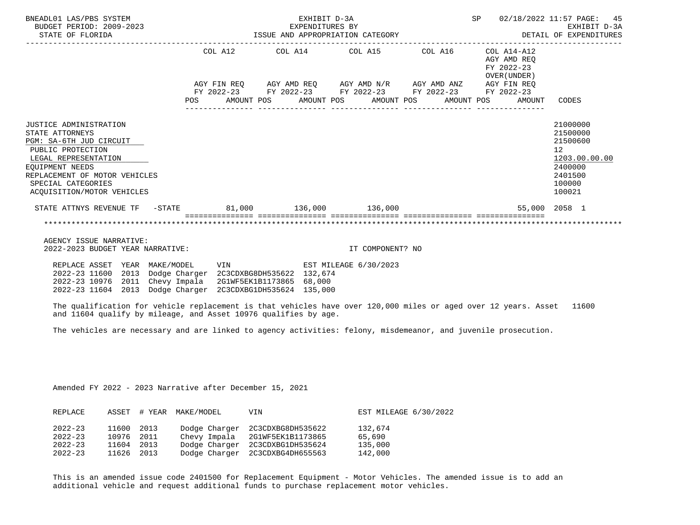| BNEADL01 LAS/PBS SYSTEM<br>BUDGET PERIOD: 2009-2023<br>STATE OF FLORIDA                                                                                                                                                   |                                                                            | EXHIBIT D-3A<br>EXPENDITURES BY<br>EXPENDITURES BI<br>ISSUE AND APPROPRIATION CATEGORY <b>AND ALL CALL DETAIL OF EXPENDITURES</b> | SP 02/18/2022 11:57 PAGE: 45                             | EXHIBIT D-3A                                                                                                   |
|---------------------------------------------------------------------------------------------------------------------------------------------------------------------------------------------------------------------------|----------------------------------------------------------------------------|-----------------------------------------------------------------------------------------------------------------------------------|----------------------------------------------------------|----------------------------------------------------------------------------------------------------------------|
|                                                                                                                                                                                                                           |                                                                            | COL A12 COL A14 COL A15 COL A16                                                                                                   | COL A14-A12<br>AGY AMD REO<br>FY 2022-23<br>OVER (UNDER) |                                                                                                                |
|                                                                                                                                                                                                                           |                                                                            | AGY FIN REQ AGY AMD REQ AGY AMD N/R AGY AMD ANZ AGY FIN REQ                                                                       |                                                          |                                                                                                                |
|                                                                                                                                                                                                                           |                                                                            | FY 2022-23 FY 2022-23 FY 2022-23 FY 2022-23 FY 2022-23<br>POS AMOUNT POS AMOUNT POS AMOUNT POS AMOUNT POS AMOUNT CODES            |                                                          |                                                                                                                |
| JUSTICE ADMINISTRATION<br>STATE ATTORNEYS<br>PGM: SA-6TH JUD CIRCUIT<br>PUBLIC PROTECTION<br>LEGAL REPRESENTATION<br>EOUIPMENT NEEDS<br>REPLACEMENT OF MOTOR VEHICLES<br>SPECIAL CATEGORIES<br>ACOUISITION/MOTOR VEHICLES |                                                                            |                                                                                                                                   |                                                          | 21000000<br>21500000<br>21500600<br>12 <sup>°</sup><br>1203.00.00.00<br>2400000<br>2401500<br>100000<br>100021 |
| STATE ATTNYS REVENUE TF - STATE 81,000 136,000 136,000                                                                                                                                                                    |                                                                            |                                                                                                                                   | 55,000 2058 1                                            |                                                                                                                |
|                                                                                                                                                                                                                           |                                                                            |                                                                                                                                   |                                                          |                                                                                                                |
| AGENCY ISSUE NARRATIVE:<br>2022-2023 BUDGET YEAR NARRATIVE:                                                                                                                                                               |                                                                            | IT COMPONENT? NO                                                                                                                  |                                                          |                                                                                                                |
| REPLACE ASSET<br>YEAR MAKE/MODEL<br>2022-23 11600<br>2013<br>2022-23 10976 2011 Chevy Impala<br>2022-23 11604 2013 Dodge Charger 2C3CDXBG1DH535624 135,000                                                                | VIN<br>Dodge Charger 2C3CDXBG8DH535622 132,674<br>2G1WF5EK1B1173865 68,000 | EST MILEAGE 6/30/2023                                                                                                             |                                                          |                                                                                                                |

 The qualification for vehicle replacement is that vehicles have over 120,000 miles or aged over 12 years. Asset 11600 and 11604 qualify by mileage, and Asset 10976 qualifies by age.

The vehicles are necessary and are linked to agency activities: felony, misdemeanor, and juvenile prosecution.

Amended FY 2022 - 2023 Narrative after December 15, 2021

| REPLACE     |       |      | ASSET # YEAR MAKE/MODEL | VIN                             | EST MILEAGE 6/30/2022 |
|-------------|-------|------|-------------------------|---------------------------------|-----------------------|
| $2022 - 23$ | 11600 | 2013 |                         | Dodge Charger 2C3CDXBG8DH535622 | 132,674               |
| $2022 - 23$ | 10976 | 2011 | Chevy Impala            | 2G1WF5EK1B1173865               | 65,690                |
| $2022 - 23$ | 11604 | 2013 | Dodge Charger           | 2C3CDXBG1DH535624               | 135,000               |
| $2022 - 23$ | 11626 | 2013 |                         | Dodge Charger 2C3CDXBG4DH655563 | 142,000               |

 This is an amended issue code 2401500 for Replacement Equipment - Motor Vehicles. The amended issue is to add an additional vehicle and request additional funds to purchase replacement motor vehicles.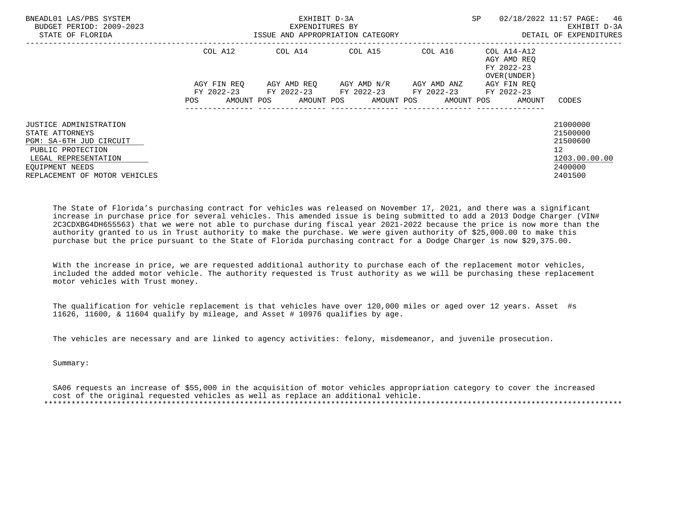| SP<br>02/18/2022 11:57 PAGE:<br>BNEADL01 LAS/PBS SYSTEM<br>EXHIBIT D-3A<br>BUDGET PERIOD: 2009-2023<br>EXPENDITURES BY<br>STATE OF FLORIDA<br>ISSUE AND APPROPRIATION CATEGORY | 46<br>EXHIBIT D-3A<br>DETAIL OF EXPENDITURES |
|--------------------------------------------------------------------------------------------------------------------------------------------------------------------------------|----------------------------------------------|
| COL A14 COL A15 COL A16 COL A14-A12<br>COL A12<br>AGY AMD REO<br>FY 2022-23<br>OVER (UNDER)                                                                                    |                                              |
| AGY AMD REO AGY AMD N/R AGY AMD ANZ<br>AGY FIN REO<br>AGY FIN REO                                                                                                              |                                              |
| FY 2022-23 FY 2022-23 FY 2022-23 FY 2022-23 FY 2022-23<br>AMOUNT POS AMOUNT POS AMOUNT POS AMOUNT POS<br><b>POS</b><br>AMOUNT                                                  | CODES                                        |
| <b>JUSTICE ADMINISTRATION</b><br>STATE ATTORNEYS<br>PGM: SA-6TH JUD CIRCUIT                                                                                                    | 21000000<br>21500000<br>21500600             |
| PUBLIC PROTECTION<br>LEGAL REPRESENTATION                                                                                                                                      | 12 <sup>°</sup><br>1203.00.00.00             |
| EOUIPMENT NEEDS<br>REPLACEMENT OF MOTOR VEHICLES                                                                                                                               | 2400000<br>2401500                           |

 The State of Florida's purchasing contract for vehicles was released on November 17, 2021, and there was a significant increase in purchase price for several vehicles. This amended issue is being submitted to add a 2013 Dodge Charger (VIN# 2C3CDXBG4DH655563) that we were not able to purchase during fiscal year 2021-2022 because the price is now more than the authority granted to us in Trust authority to make the purchase. We were given authority of \$25,000.00 to make this purchase but the price pursuant to the State of Florida purchasing contract for a Dodge Charger is now \$29,375.00.

 With the increase in price, we are requested additional authority to purchase each of the replacement motor vehicles, included the added motor vehicle. The authority requested is Trust authority as we will be purchasing these replacement motor vehicles with Trust money.

 The qualification for vehicle replacement is that vehicles have over 120,000 miles or aged over 12 years. Asset #s 11626, 11600, & 11604 qualify by mileage, and Asset # 10976 qualifies by age.

The vehicles are necessary and are linked to agency activities: felony, misdemeanor, and juvenile prosecution.

Summary:

 SA06 requests an increase of \$55,000 in the acquisition of motor vehicles appropriation category to cover the increased cost of the original requested vehicles as well as replace an additional vehicle. \*\*\*\*\*\*\*\*\*\*\*\*\*\*\*\*\*\*\*\*\*\*\*\*\*\*\*\*\*\*\*\*\*\*\*\*\*\*\*\*\*\*\*\*\*\*\*\*\*\*\*\*\*\*\*\*\*\*\*\*\*\*\*\*\*\*\*\*\*\*\*\*\*\*\*\*\*\*\*\*\*\*\*\*\*\*\*\*\*\*\*\*\*\*\*\*\*\*\*\*\*\*\*\*\*\*\*\*\*\*\*\*\*\*\*\*\*\*\*\*\*\*\*\*\*\*\*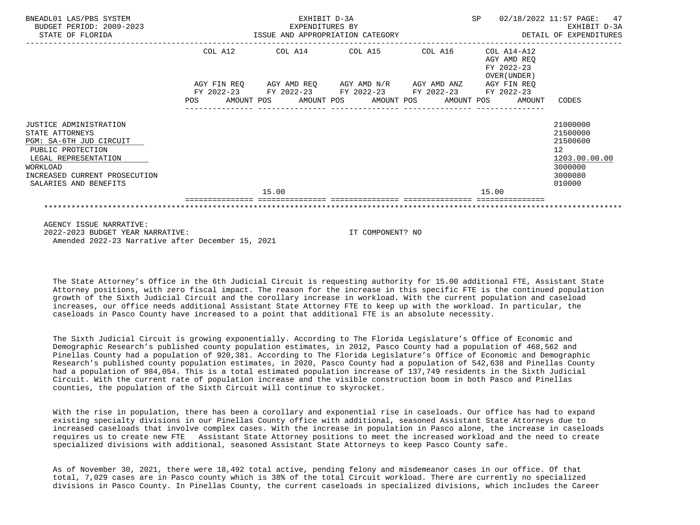| BNEADL01 LAS/PBS SYSTEM<br>BUDGET PERIOD: 2009-2023<br>STATE OF FLORIDA                                                                                                                        |            |         |       | EXHIBIT D-3A<br>EXPENDITURES BY<br>ISSUE AND APPROPRIATION CATEGORY                                                                                             |                  |  | <b>SP</b> | 02/18/2022 11:57 PAGE:                                   | 47<br>EXHIBIT D-3A<br>DETAIL OF EXPENDITURES                                            |
|------------------------------------------------------------------------------------------------------------------------------------------------------------------------------------------------|------------|---------|-------|-----------------------------------------------------------------------------------------------------------------------------------------------------------------|------------------|--|-----------|----------------------------------------------------------|-----------------------------------------------------------------------------------------|
|                                                                                                                                                                                                |            | COL A12 |       | COL A14 COL A15 COL A16                                                                                                                                         |                  |  |           | COL A14-A12<br>AGY AMD REO<br>FY 2022-23<br>OVER (UNDER) |                                                                                         |
|                                                                                                                                                                                                | <b>POS</b> |         |       | AGY FIN REQ 6 AGY AMD REQ 6 AGY AMD N/R 66 AGY AMD ANZ<br>FY 2022-23 FY 2022-23 FY 2022-23 FY 2022-23 FY 2022-23<br>AMOUNT POS AMOUNT POS AMOUNT POS AMOUNT POS |                  |  |           | AGY FIN REO<br>AMOUNT                                    | CODES                                                                                   |
| <b>JUSTICE ADMINISTRATION</b><br>STATE ATTORNEYS<br>PGM: SA-6TH JUD CIRCUIT<br>PUBLIC PROTECTION<br>LEGAL REPRESENTATION<br>WORKLOAD<br>INCREASED CURRENT PROSECUTION<br>SALARIES AND BENEFITS |            |         |       |                                                                                                                                                                 |                  |  |           |                                                          | 21000000<br>21500000<br>21500600<br>12<br>1203.00.00.00<br>3000000<br>3000080<br>010000 |
|                                                                                                                                                                                                |            |         | 15.00 |                                                                                                                                                                 |                  |  |           | 15.00                                                    |                                                                                         |
| AGENCY ISSUE NARRATIVE:<br>2022-2023 BUDGET YEAR NARRATIVE:<br>Amended 2022-23 Narrative after December 15, 2021                                                                               |            |         |       |                                                                                                                                                                 | IT COMPONENT? NO |  |           |                                                          |                                                                                         |

 The State Attorney's Office in the 6th Judicial Circuit is requesting authority for 15.00 additional FTE, Assistant State Attorney positions, with zero fiscal impact. The reason for the increase in this specific FTE is the continued population growth of the Sixth Judicial Circuit and the corollary increase in workload. With the current population and caseload increases, our office needs additional Assistant State Attorney FTE to keep up with the workload. In particular, the caseloads in Pasco County have increased to a point that additional FTE is an absolute necessity.

 The Sixth Judicial Circuit is growing exponentially. According to The Florida Legislature's Office of Economic and Demographic Research's published county population estimates, in 2012, Pasco County had a population of 468,562 and Pinellas County had a population of 920,381. According to The Florida Legislature's Office of Economic and Demographic Research's published county population estimates, in 2020, Pasco County had a population of 542,638 and Pinellas County had a population of 984,054. This is a total estimated population increase of 137,749 residents in the Sixth Judicial Circuit. With the current rate of population increase and the visible construction boom in both Pasco and Pinellas counties, the population of the Sixth Circuit will continue to skyrocket.

 With the rise in population, there has been a corollary and exponential rise in caseloads. Our office has had to expand existing specialty divisions in our Pinellas County office with additional, seasoned Assistant State Attorneys due to increased caseloads that involve complex cases. With the increase in population in Pasco alone, the increase in caseloads requires us to create new FTE Assistant State Attorney positions to meet the increased workload and the need to create specialized divisions with additional, seasoned Assistant State Attorneys to keep Pasco County safe.

 As of November 30, 2021, there were 18,492 total active, pending felony and misdemeanor cases in our office. Of that total, 7,029 cases are in Pasco county which is 38% of the total Circuit workload. There are currently no specialized divisions in Pasco County. In Pinellas County, the current caseloads in specialized divisions, which includes the Career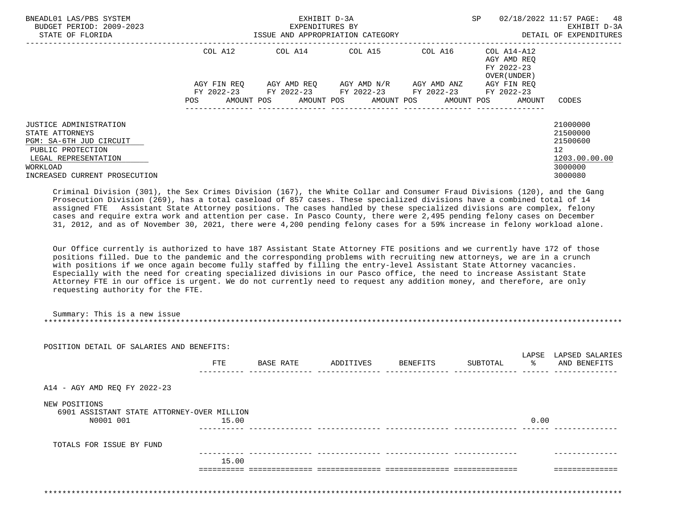| BNEADL01 LAS/PBS SYSTEM<br>BUDGET PERIOD: 2009-2023<br>STATE OF FLORIDA                                                                                        | EXHIBIT D-3A<br>EXPENDITURES BY<br>ISSUE AND APPROPRIATION CATEGORY |  |                                                                                                                                             |                  | <b>SP</b>                                                | 02/18/2022 11:57 PAGE: 48<br>EXHIBIT D-3A<br>DETAIL OF EXPENDITURES                        |
|----------------------------------------------------------------------------------------------------------------------------------------------------------------|---------------------------------------------------------------------|--|---------------------------------------------------------------------------------------------------------------------------------------------|------------------|----------------------------------------------------------|--------------------------------------------------------------------------------------------|
|                                                                                                                                                                | COL A12                                                             |  | COL A14 COL A15                                                                                                                             | COL A16          | COL A14-A12<br>AGY AMD REO<br>FY 2022-23<br>OVER (UNDER) |                                                                                            |
|                                                                                                                                                                | AGY FIN REO<br>POS                                                  |  | AGY AMD REO      AGY AMD N/R      AGY AMD ANZ<br>FY 2022-23 FY 2022-23 FY 2022-23 FY 2022-23<br>AMOUNT POS AMOUNT POS AMOUNT POS AMOUNT POS | ---------------- | AGY FIN REO<br>FY 2022-23<br>AMOUNT                      | CODES                                                                                      |
| JUSTICE ADMINISTRATION<br>STATE ATTORNEYS<br>PGM: SA-6TH JUD CIRCUIT<br>PUBLIC PROTECTION<br>LEGAL REPRESENTATION<br>WORKLOAD<br>INCREASED CURRENT PROSECUTION |                                                                     |  |                                                                                                                                             |                  |                                                          | 21000000<br>21500000<br>21500600<br>12 <sup>°</sup><br>1203.00.00.00<br>3000000<br>3000080 |

 Criminal Division (301), the Sex Crimes Division (167), the White Collar and Consumer Fraud Divisions (120), and the Gang Prosecution Division (269), has a total caseload of 857 cases. These specialized divisions have a combined total of 14 assigned FTE Assistant State Attorney positions. The cases handled by these specialized divisions are complex, felony cases and require extra work and attention per case. In Pasco County, there were 2,495 pending felony cases on December 31, 2012, and as of November 30, 2021, there were 4,200 pending felony cases for a 59% increase in felony workload alone.

 Our Office currently is authorized to have 187 Assistant State Attorney FTE positions and we currently have 172 of those positions filled. Due to the pandemic and the corresponding problems with recruiting new attorneys, we are in a crunch with positions if we once again become fully staffed by filling the entry-level Assistant State Attorney vacancies. Especially with the need for creating specialized divisions in our Pasco office, the need to increase Assistant State Attorney FTE in our office is urgent. We do not currently need to request any addition money, and therefore, are only requesting authority for the FTE.

|                                                             | POSITION DETAIL OF SALARIES AND BENEFITS: |           |           |          |          |                   |                                 |
|-------------------------------------------------------------|-------------------------------------------|-----------|-----------|----------|----------|-------------------|---------------------------------|
|                                                             | FTE                                       | BASE RATE | ADDITIVES | BENEFITS | SUBTOTAL | LAPSE<br>$\sim$ 8 | LAPSED SALARIES<br>AND BENEFITS |
| A14 - AGY AMD REQ FY 2022-23                                |                                           |           |           |          |          |                   |                                 |
| NEW POSITIONS<br>6901 ASSISTANT STATE ATTORNEY-OVER MILLION | 15.00                                     |           |           |          |          | 0.00              |                                 |
|                                                             |                                           |           |           |          |          |                   |                                 |
| N0001 001                                                   |                                           |           |           |          |          |                   |                                 |
| TOTALS FOR ISSUE BY FUND                                    |                                           |           |           |          |          |                   |                                 |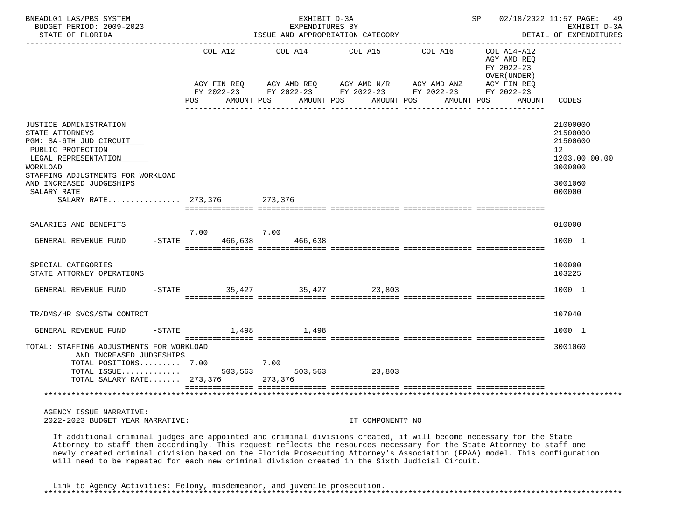| BNEADL01 LAS/PBS SYSTEM<br>BUDGET PERIOD: 2009-2023<br>STATE OF FLORIDA                                                                                                                                                                     |                                  | EXHIBIT D-3A<br>EXPENDITURES BY | ISSUE AND APPROPRIATION CATEGORY                  |                                                           | SP 02/18/2022 11:57 PAGE: 49                              | EXHIBIT D-3A<br>DETAIL OF EXPENDITURES                                          |
|---------------------------------------------------------------------------------------------------------------------------------------------------------------------------------------------------------------------------------------------|----------------------------------|---------------------------------|---------------------------------------------------|-----------------------------------------------------------|-----------------------------------------------------------|---------------------------------------------------------------------------------|
|                                                                                                                                                                                                                                             | COL A12                          | COL A14                         | COL A15                                           | COL A16                                                   | COL A14-A12<br>AGY AMD REQ<br>FY 2022-23<br>OVER (UNDER ) |                                                                                 |
|                                                                                                                                                                                                                                             | AGY FIN REO<br>POS<br>AMOUNT POS | AMOUNT POS                      | AGY AMD REQ AGY AMD N/R AGY AMD ANZ<br>AMOUNT POS | FY 2022-23 FY 2022-23 FY 2022-23 FY 2022-23<br>AMOUNT POS | AGY FIN REQ<br>FY 2022-23<br>AMOUNT                       | CODES                                                                           |
|                                                                                                                                                                                                                                             |                                  |                                 |                                                   |                                                           |                                                           |                                                                                 |
| <b>JUSTICE ADMINISTRATION</b><br>STATE ATTORNEYS<br>PGM: SA-6TH JUD CIRCUIT<br>PUBLIC PROTECTION<br>LEGAL REPRESENTATION<br>WORKLOAD                                                                                                        |                                  |                                 |                                                   |                                                           |                                                           | 21000000<br>21500000<br>21500600<br>12 <sup>°</sup><br>1203.00.00.00<br>3000000 |
| STAFFING ADJUSTMENTS FOR WORKLOAD<br>AND INCREASED JUDGESHIPS<br>SALARY RATE<br>SALARY RATE 273,376 273,376                                                                                                                                 |                                  |                                 |                                                   |                                                           |                                                           | 3001060<br>000000                                                               |
| SALARIES AND BENEFITS                                                                                                                                                                                                                       |                                  |                                 |                                                   |                                                           |                                                           | 010000                                                                          |
| GENERAL REVENUE FUND                                                                                                                                                                                                                        | 7.00<br>$-STATE$<br>466,638      | 7.00<br>466,638                 |                                                   |                                                           |                                                           | 1000 1                                                                          |
| SPECIAL CATEGORIES<br>STATE ATTORNEY OPERATIONS                                                                                                                                                                                             |                                  |                                 |                                                   |                                                           |                                                           | 100000<br>103225                                                                |
| GENERAL REVENUE FUND                                                                                                                                                                                                                        | $-$ STATE                        | 35,427 35,427                   | 23,803                                            |                                                           |                                                           | 1000 1                                                                          |
| TR/DMS/HR SVCS/STW CONTRCT                                                                                                                                                                                                                  |                                  |                                 |                                                   |                                                           |                                                           | 107040                                                                          |
| -STATE<br>GENERAL REVENUE FUND                                                                                                                                                                                                              | 1,498                            | 1,498                           |                                                   |                                                           |                                                           | 1000 1                                                                          |
| TOTAL: STAFFING ADJUSTMENTS FOR WORKLOAD<br>AND INCREASED JUDGESHIPS<br>TOTAL POSITIONS 7.00<br>TOTAL SALARY RATE 273,376                                                                                                                   |                                  | 7.00<br>503,563<br>273,376      | 23,803                                            |                                                           |                                                           | 3001060                                                                         |
|                                                                                                                                                                                                                                             |                                  |                                 |                                                   |                                                           |                                                           |                                                                                 |
| AGENCY ISSUE NARRATIVE:<br>2022-2023 BUDGET YEAR NARRATIVE:                                                                                                                                                                                 |                                  |                                 | IT COMPONENT? NO                                  |                                                           |                                                           |                                                                                 |
| If additional criminal judges are appointed and criminal divisions created, it will become necessary for the State<br>Attorney to staff them accordingly. This request reflects the resources necessary for the State Attorney to staff one |                                  |                                 |                                                   |                                                           |                                                           |                                                                                 |

 Attorney to staff them accordingly. This request reflects the resources necessary for the State Attorney to staff one newly created criminal division based on the Florida Prosecuting Attorney's Association (FPAA) model. This configuration will need to be repeated for each new criminal division created in the Sixth Judicial Circuit.

 Link to Agency Activities: Felony, misdemeanor, and juvenile prosecution. \*\*\*\*\*\*\*\*\*\*\*\*\*\*\*\*\*\*\*\*\*\*\*\*\*\*\*\*\*\*\*\*\*\*\*\*\*\*\*\*\*\*\*\*\*\*\*\*\*\*\*\*\*\*\*\*\*\*\*\*\*\*\*\*\*\*\*\*\*\*\*\*\*\*\*\*\*\*\*\*\*\*\*\*\*\*\*\*\*\*\*\*\*\*\*\*\*\*\*\*\*\*\*\*\*\*\*\*\*\*\*\*\*\*\*\*\*\*\*\*\*\*\*\*\*\*\*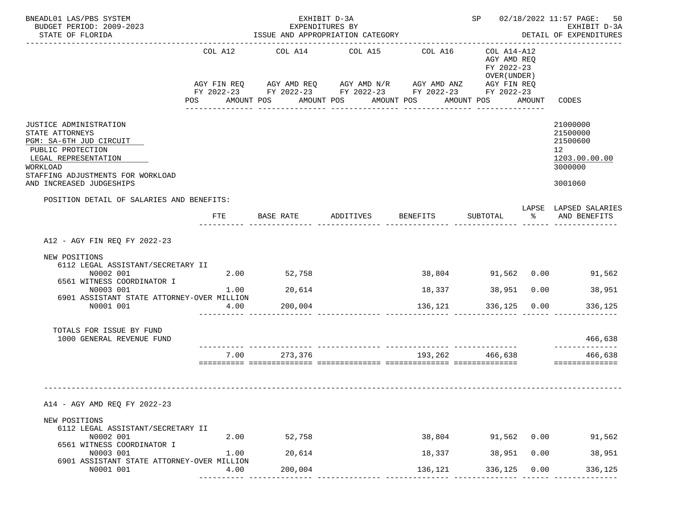| BNEADL01 LAS/PBS SYSTEM                                                                                                                                                                                                           |              | EXHIBIT D-3A                     |                                                                                                                                                                                            |                   |                                                          |      | SP 02/18/2022 11:57 PAGE: 50<br>EXHIBIT D-3A                                  |  |
|-----------------------------------------------------------------------------------------------------------------------------------------------------------------------------------------------------------------------------------|--------------|----------------------------------|--------------------------------------------------------------------------------------------------------------------------------------------------------------------------------------------|-------------------|----------------------------------------------------------|------|-------------------------------------------------------------------------------|--|
| BUDGET PERIOD: 2009-2023<br>STATE OF FLORIDA                                                                                                                                                                                      |              | EXPENDITURES BY                  | ISSUE AND APPROPRIATION CATEGORY                                                                                                                                                           |                   |                                                          |      | DETAIL OF EXPENDITURES                                                        |  |
|                                                                                                                                                                                                                                   | COL A12      | COL A14                          | COL A15<br>AGY FIN REQ AGY AMD REQ AGY AMD N/R AGY AMD ANZ AGY FIN REQ<br>FY 2022-23 FY 2022-23 FY 2022-23 FY 2022-23 FY 2022-23<br>POS AMOUNT POS AMOUNT POS AMOUNT POS AMOUNT POS AMOUNT | COL A16           | COL A14-A12<br>AGY AMD REQ<br>FY 2022-23<br>OVER (UNDER) |      | CODES                                                                         |  |
| JUSTICE ADMINISTRATION<br>STATE ATTORNEYS<br>PGM: SA-6TH JUD CIRCUIT<br>PUBLIC PROTECTION<br>LEGAL REPRESENTATION<br>WORKLOAD<br>STAFFING ADJUSTMENTS FOR WORKLOAD<br>AND INCREASED JUDGESHIPS                                    |              |                                  |                                                                                                                                                                                            |                   |                                                          |      | 21000000<br>21500000<br>21500600<br>12<br>1203.00.00.00<br>3000000<br>3001060 |  |
| POSITION DETAIL OF SALARIES AND BENEFITS:                                                                                                                                                                                         |              |                                  |                                                                                                                                                                                            |                   |                                                          |      | LAPSE LAPSED SALARIES                                                         |  |
|                                                                                                                                                                                                                                   | FTE          | BASE RATE                        | ADDITIVES BENEFITS                                                                                                                                                                         |                   | SUBTOTAL                                                 |      | % AND BENEFITS                                                                |  |
| A12 - AGY FIN REQ FY 2022-23<br>NEW POSITIONS<br>6112 LEGAL ASSISTANT/SECRETARY II<br>N0002 001<br>6561 WITNESS COORDINATOR I<br>N0003 001<br>6901 ASSISTANT STATE ATTORNEY-OVER MILLION<br>N0001 001<br>TOTALS FOR ISSUE BY FUND | 2.00<br>4.00 | 52,758<br>1.00 20,614<br>200,004 |                                                                                                                                                                                            | 18,337<br>136,121 | 38,951   0.00<br>336,125 0.00                            |      | 38,804 91,562 0.00 91,562<br>38,951<br>336,125                                |  |
| 1000 GENERAL REVENUE FUND                                                                                                                                                                                                         |              |                                  |                                                                                                                                                                                            |                   |                                                          |      | 466,638                                                                       |  |
|                                                                                                                                                                                                                                   | 7.00         | 273,376                          | soosoosoo aadoodoodooda aadoodoodooda aadoodoodooda aadoodoodoodo                                                                                                                          | 193,262 466,638   |                                                          |      | --------------<br>466,638<br>==============                                   |  |
| A14 - AGY AMD REQ FY 2022-23<br>NEW POSITIONS                                                                                                                                                                                     |              |                                  |                                                                                                                                                                                            |                   |                                                          |      |                                                                               |  |
| 6112 LEGAL ASSISTANT/SECRETARY II<br>N0002 001                                                                                                                                                                                    | 2.00         | 52,758                           |                                                                                                                                                                                            | 38,804            | 91,562 0.00                                              |      | 91,562                                                                        |  |
| 6561 WITNESS COORDINATOR I<br>N0003 001                                                                                                                                                                                           | 1.00         | 20,614                           |                                                                                                                                                                                            | 18,337            | 38,951                                                   | 0.00 | 38,951                                                                        |  |
| 6901 ASSISTANT STATE ATTORNEY-OVER MILLION<br>N0001 001                                                                                                                                                                           | 4.00         | 200,004                          |                                                                                                                                                                                            | 136,121           | 336,125                                                  | 0.00 | 336,125                                                                       |  |
|                                                                                                                                                                                                                                   |              |                                  |                                                                                                                                                                                            |                   |                                                          |      |                                                                               |  |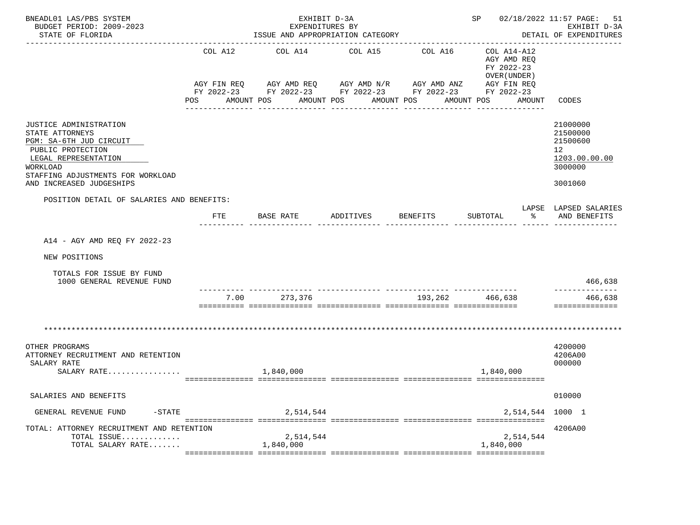| BNEADL01 LAS/PBS SYSTEM<br>BUDGET PERIOD: 2009-2023<br>STATE OF FLORIDA                                                                                                                               |                                                                                                                           | EXHIBIT D-3A<br>EXPENDITURES BY<br>ISSUE AND APPROPRIATION CATEGORY |                                                                                                                                                           | SP 02/18/2022 11:57 PAGE:<br>-------------------------- | 51<br>EXHIBIT D-3A<br>DETAIL OF EXPENDITURES                                                               |                                                                                            |
|-------------------------------------------------------------------------------------------------------------------------------------------------------------------------------------------------------|---------------------------------------------------------------------------------------------------------------------------|---------------------------------------------------------------------|-----------------------------------------------------------------------------------------------------------------------------------------------------------|---------------------------------------------------------|------------------------------------------------------------------------------------------------------------|--------------------------------------------------------------------------------------------|
|                                                                                                                                                                                                       | COL A12<br>POS FOR THE POST OF THE STATE STATE STATE STATE STATE STATE STATE STATE STATE STATE STATE STATE STATE STATE ST | COL A14<br>AMOUNT POS                                               | COL A15<br>AGY FIN REQ AGY AMD REQ AGY AMD N/R AGY AMD ANZ AGY FIN REQ<br>FY 2022-23 FY 2022-23 FY 2022-23 FY 2022-23 FY 2022-23<br>AMOUNT POS AMOUNT POS | COL A16<br>---------------                              | COL A14-A12<br>AGY AMD REO<br>FY 2022-23<br>OVER (UNDER)<br>AMOUNT POS<br>AMOUNT CODES<br>---------------- |                                                                                            |
| <b>JUSTICE ADMINISTRATION</b><br>STATE ATTORNEYS<br>PGM: SA-6TH JUD CIRCUIT<br>PUBLIC PROTECTION<br>LEGAL REPRESENTATION<br>WORKLOAD<br>STAFFING ADJUSTMENTS FOR WORKLOAD<br>AND INCREASED JUDGESHIPS |                                                                                                                           |                                                                     |                                                                                                                                                           |                                                         |                                                                                                            | 21000000<br>21500000<br>21500600<br>12 <sup>°</sup><br>1203.00.00.00<br>3000000<br>3001060 |
| POSITION DETAIL OF SALARIES AND BENEFITS:                                                                                                                                                             | FTE                                                                                                                       | BASE RATE                                                           | ADDITIVES                                                                                                                                                 | <b>BENEFITS</b>                                         | $\sim$ $\sim$ $\sim$<br>SUBTOTAL                                                                           | LAPSE LAPSED SALARIES<br>AND BENEFITS                                                      |
| A14 - AGY AMD REQ FY 2022-23<br>NEW POSITIONS<br>TOTALS FOR ISSUE BY FUND<br>1000 GENERAL REVENUE FUND                                                                                                |                                                                                                                           |                                                                     |                                                                                                                                                           |                                                         |                                                                                                            | 466,638                                                                                    |
|                                                                                                                                                                                                       |                                                                                                                           | 7.00 273,376                                                        |                                                                                                                                                           | 193,262 466,638                                         |                                                                                                            | ------------<br>466,638<br>==============                                                  |
| OTHER PROGRAMS<br>ATTORNEY RECRUITMENT AND RETENTION<br>SALARY RATE<br>SALARY RATE                                                                                                                    |                                                                                                                           | 1,840,000                                                           |                                                                                                                                                           |                                                         | 1,840,000                                                                                                  | 4200000<br>4206A00<br>000000                                                               |
| SALARIES AND BENEFITS                                                                                                                                                                                 |                                                                                                                           |                                                                     |                                                                                                                                                           |                                                         |                                                                                                            | 010000                                                                                     |
| GENERAL REVENUE FUND<br>$-$ STATE                                                                                                                                                                     |                                                                                                                           | 2,514,544                                                           |                                                                                                                                                           |                                                         | 2,514,544                                                                                                  | 1000 1                                                                                     |
| TOTAL: ATTORNEY RECRUITMENT AND RETENTION<br>TOTAL ISSUE<br>TOTAL SALARY RATE                                                                                                                         |                                                                                                                           | 2,514,544<br>1,840,000                                              |                                                                                                                                                           |                                                         | 2,514,544<br>1,840,000                                                                                     | 4206A00                                                                                    |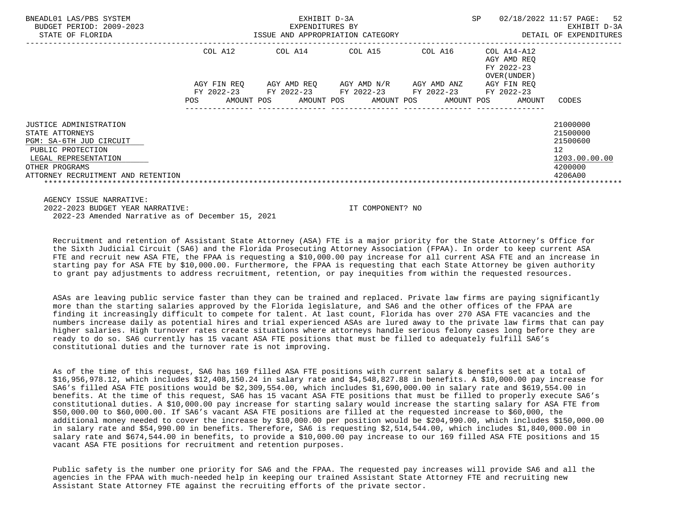| BNEADL01 LAS/PBS SYSTEM<br>BUDGET PERIOD: 2009-2023                                                                                                                       |                                                 | EXHIBIT D-3A<br>EXPENDITURES BY | SP                                                             | 02/18/2022 11:57 PAGE:<br>52<br>EXHIBIT D-3A |                                                          |                                                                               |
|---------------------------------------------------------------------------------------------------------------------------------------------------------------------------|-------------------------------------------------|---------------------------------|----------------------------------------------------------------|----------------------------------------------|----------------------------------------------------------|-------------------------------------------------------------------------------|
| STATE OF FLORIDA                                                                                                                                                          |                                                 |                                 | ISSUE AND APPROPRIATION CATEGORY                               |                                              |                                                          | DETAIL OF EXPENDITURES                                                        |
|                                                                                                                                                                           | COL A12                                         | COL A14                         | COL A15                                                        | COL A16                                      | COL A14-A12<br>AGY AMD REO<br>FY 2022-23<br>OVER (UNDER) |                                                                               |
|                                                                                                                                                                           | AGY FIN REO<br>FY 2022-23<br>AMOUNT POS<br>POS. | FY 2022-23                      | AGY AMD REO AGY AMD N/R<br>FY 2022-23<br>AMOUNT POS AMOUNT POS | AGY AMD ANZ<br>FY 2022-23<br>AMOUNT POS      | AGY FIN REO<br>FY 2022-23<br>AMOUNT                      | CODES                                                                         |
| JUSTICE ADMINISTRATION<br>STATE ATTORNEYS<br>PGM: SA-6TH JUD CIRCUIT<br>PUBLIC PROTECTION<br>LEGAL REPRESENTATION<br>OTHER PROGRAMS<br>ATTORNEY RECRUITMENT AND RETENTION |                                                 |                                 |                                                                |                                              |                                                          | 21000000<br>21500000<br>21500600<br>12<br>1203.00.00.00<br>4200000<br>4206A00 |

 AGENCY ISSUE NARRATIVE: 2022-2023 BUDGET YEAR NARRATIVE: IT COMPONENT? NO 2022-23 Amended Narrative as of December 15, 2021

 Recruitment and retention of Assistant State Attorney (ASA) FTE is a major priority for the State Attorney's Office for the Sixth Judicial Circuit (SA6) and the Florida Prosecuting Attorney Association (FPAA). In order to keep current ASA FTE and recruit new ASA FTE, the FPAA is requesting a \$10,000.00 pay increase for all current ASA FTE and an increase in starting pay for ASA FTE by \$10,000.00. Furthermore, the FPAA is requesting that each State Attorney be given authority to grant pay adjustments to address recruitment, retention, or pay inequities from within the requested resources.

 ASAs are leaving public service faster than they can be trained and replaced. Private law firms are paying significantly more than the starting salaries approved by the Florida legislature, and SA6 and the other offices of the FPAA are finding it increasingly difficult to compete for talent. At last count, Florida has over 270 ASA FTE vacancies and the numbers increase daily as potential hires and trial experienced ASAs are lured away to the private law firms that can pay higher salaries. High turnover rates create situations where attorneys handle serious felony cases long before they are ready to do so. SA6 currently has 15 vacant ASA FTE positions that must be filled to adequately fulfill SA6's constitutional duties and the turnover rate is not improving.

 As of the time of this request, SA6 has 169 filled ASA FTE positions with current salary & benefits set at a total of \$16,956,978.12, which includes \$12,408,150.24 in salary rate and \$4,548,827.88 in benefits. A \$10,000.00 pay increase for SA6's filled ASA FTE positions would be \$2,309,554.00, which includes \$1,690,000.00 in salary rate and \$619,554.00 in benefits. At the time of this request, SA6 has 15 vacant ASA FTE positions that must be filled to properly execute SA6's constitutional duties. A \$10,000.00 pay increase for starting salary would increase the starting salary for ASA FTE from \$50,000.00 to \$60,000.00. If SA6's vacant ASA FTE positions are filled at the requested increase to \$60,000, the additional money needed to cover the increase by \$10,000.00 per position would be \$204,990.00, which includes \$150,000.00 in salary rate and \$54,990.00 in benefits. Therefore, SA6 is requesting \$2,514,544.00, which includes \$1,840,000.00 in salary rate and \$674,544.00 in benefits, to provide a \$10,000.00 pay increase to our 169 filled ASA FTE positions and 15 vacant ASA FTE positions for recruitment and retention purposes.

 Public safety is the number one priority for SA6 and the FPAA. The requested pay increases will provide SA6 and all the agencies in the FPAA with much-needed help in keeping our trained Assistant State Attorney FTE and recruiting new Assistant State Attorney FTE against the recruiting efforts of the private sector.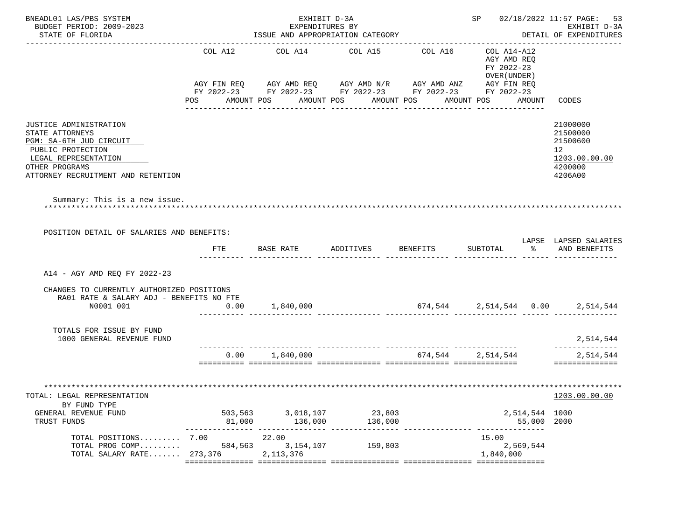| BNEADL01 LAS/PBS SYSTEM<br>BUDGET PERIOD: 2009-2023<br>STATE OF FLORIDA                                                                                                   |                           | EXHIBIT D-3A<br>EXPENDITURES BY   | ISSUE AND APPROPRIATION CATEGORY                                                                                             |                   | SP 02/18/2022 11:57 PAGE: 53                                             | EXHIBIT D-3A<br>DETAIL OF EXPENDITURES                                                     |
|---------------------------------------------------------------------------------------------------------------------------------------------------------------------------|---------------------------|-----------------------------------|------------------------------------------------------------------------------------------------------------------------------|-------------------|--------------------------------------------------------------------------|--------------------------------------------------------------------------------------------|
|                                                                                                                                                                           | COL A12                   |                                   | COL A14 COL A15<br>AGY FIN REQ AGY AMD REQ AGY AMD N/R AGY AMD ANZ<br>FY 2022-23 FY 2022-23 FY 2022-23 FY 2022-23 FY 2022-23 | COL A16           | COL A14-A12<br>AGY AMD REQ<br>FY 2022-23<br>OVER (UNDER )<br>AGY FIN REQ |                                                                                            |
|                                                                                                                                                                           |                           | POS AMOUNT POS AMOUNT POS         | AMOUNT POS<br>___________________________________                                                                            | -------------     | AMOUNT POS AMOUNT<br>----------------                                    | CODES                                                                                      |
| JUSTICE ADMINISTRATION<br>STATE ATTORNEYS<br>PGM: SA-6TH JUD CIRCUIT<br>PUBLIC PROTECTION<br>LEGAL REPRESENTATION<br>OTHER PROGRAMS<br>ATTORNEY RECRUITMENT AND RETENTION |                           |                                   |                                                                                                                              |                   |                                                                          | 21000000<br>21500000<br>21500600<br>12 <sup>°</sup><br>1203.00.00.00<br>4200000<br>4206A00 |
| Summary: This is a new issue.                                                                                                                                             |                           |                                   |                                                                                                                              |                   |                                                                          |                                                                                            |
| POSITION DETAIL OF SALARIES AND BENEFITS:                                                                                                                                 | FTE                       | BASE RATE                         | ADDITIVES                                                                                                                    | BENEFITS          | SUBTOTAL                                                                 | LAPSE LAPSED SALARIES<br>% AND BENEFITS                                                    |
|                                                                                                                                                                           |                           |                                   |                                                                                                                              |                   |                                                                          |                                                                                            |
| A14 - AGY AMD REQ FY 2022-23                                                                                                                                              |                           |                                   |                                                                                                                              |                   |                                                                          |                                                                                            |
| CHANGES TO CURRENTLY AUTHORIZED POSITIONS<br>RA01 RATE & SALARY ADJ - BENEFITS NO FTE<br>N0001 001                                                                        | 0.00                      | 1,840,000                         |                                                                                                                              |                   | $674,544$ 2,514,544 0.00                                                 | 2,514,544                                                                                  |
| TOTALS FOR ISSUE BY FUND<br>1000 GENERAL REVENUE FUND                                                                                                                     |                           |                                   |                                                                                                                              |                   |                                                                          | 2,514,544                                                                                  |
|                                                                                                                                                                           |                           | 0.00 1,840,000                    |                                                                                                                              | 674,544 2,514,544 |                                                                          | 2,514,544<br>==============                                                                |
| TOTAL: LEGAL REPRESENTATION<br>BY FUND TYPE                                                                                                                               |                           |                                   |                                                                                                                              |                   |                                                                          | 1203.00.00.00                                                                              |
| GENERAL REVENUE FUND<br>TRUST FUNDS                                                                                                                                       | 81,000                    | 503,563 3,018,107<br>136,000      | 23,803<br>136,000                                                                                                            |                   | 2,514,544 1000<br>55,000 2000<br>---------                               |                                                                                            |
| TOTAL POSITIONS 7.00<br>TOTAL PROG COMP<br>TOTAL SALARY RATE 273,376                                                                                                      | --------------<br>584,563 | 22.00<br>3, 154, 107<br>2,113,376 | 159,803                                                                                                                      |                   | 15.00<br>2,569,544<br>1,840,000                                          |                                                                                            |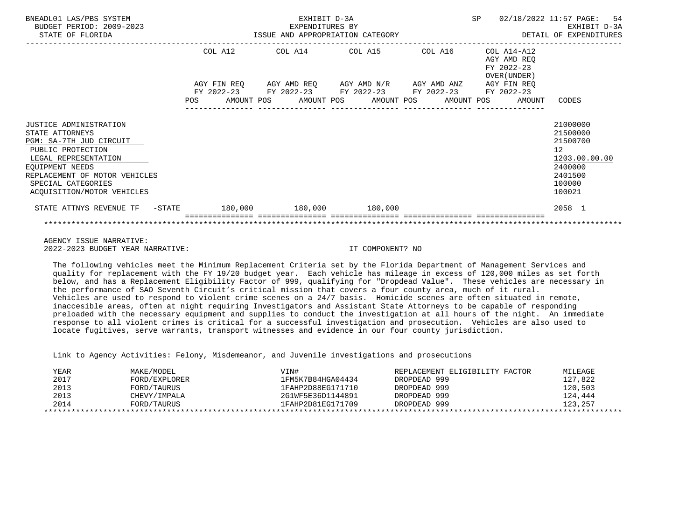| BNEADL01 LAS/PBS SYSTEM<br>BUDGET PERIOD: 2009-2023<br>STATE OF FLORIDA                                                                                                                                                   |            |                        | EXHIBIT D-3A<br>EXPENDITURES BY | ISSUE AND APPROPRIATION CATEGORY                                                                      |  | <b>SP</b> |                                                           | 02/18/2022 11:57 PAGE: 54<br>EXHIBIT D-3A<br>DETAIL OF EXPENDITURES                               |
|---------------------------------------------------------------------------------------------------------------------------------------------------------------------------------------------------------------------------|------------|------------------------|---------------------------------|-------------------------------------------------------------------------------------------------------|--|-----------|-----------------------------------------------------------|---------------------------------------------------------------------------------------------------|
|                                                                                                                                                                                                                           |            | COL A12<br>AGY FIN REQ |                                 | COL A14 COL A15 COL A16<br>AGY AMD REQ AGY AMD N/R AGY AMD ANZ AGY FIN REQ                            |  |           | COL A14-A12<br>AGY AMD REO<br>FY 2022-23<br>OVER (UNDER ) |                                                                                                   |
|                                                                                                                                                                                                                           | <b>POS</b> |                        |                                 | FY 2022-23 FY 2022-23 FY 2022-23 FY 2022-23 FY 2022-23<br>AMOUNT POS AMOUNT POS AMOUNT POS AMOUNT POS |  |           | AMOUNT                                                    | CODES                                                                                             |
| JUSTICE ADMINISTRATION<br>STATE ATTORNEYS<br>PGM: SA-7TH JUD CIRCUIT<br>PUBLIC PROTECTION<br>LEGAL REPRESENTATION<br>EQUIPMENT NEEDS<br>REPLACEMENT OF MOTOR VEHICLES<br>SPECIAL CATEGORIES<br>ACQUISITION/MOTOR VEHICLES |            |                        |                                 |                                                                                                       |  |           |                                                           | 21000000<br>21500000<br>21500700<br>12<br>1203.00.00.00<br>2400000<br>2401500<br>100000<br>100021 |
| STATE ATTNYS REVENUE TF - STATE 180,000 180,000 180,000 180,000                                                                                                                                                           |            |                        |                                 |                                                                                                       |  |           |                                                           | 2058 1                                                                                            |
|                                                                                                                                                                                                                           |            |                        |                                 |                                                                                                       |  |           |                                                           |                                                                                                   |

 AGENCY ISSUE NARRATIVE: 2022-2023 BUDGET YEAR NARRATIVE: IT COMPONENT? NO

 The following vehicles meet the Minimum Replacement Criteria set by the Florida Department of Management Services and quality for replacement with the FY 19/20 budget year. Each vehicle has mileage in excess of 120,000 miles as set forth below, and has a Replacement Eligibility Factor of 999, qualifying for "Dropdead Value". These vehicles are necessary in the performance of SAO Seventh Circuit's critical mission that covers a four county area, much of it rural. Vehicles are used to respond to violent crime scenes on a 24/7 basis. Homicide scenes are often situated in remote, inaccesible areas, often at night requiring Investigators and Assistant State Attorneys to be capable of responding preloaded with the necessary equipment and supplies to conduct the investigation at all hours of the night. An immediate response to all violent crimes is critical for a successful investigation and prosecution. Vehicles are also used to locate fugitives, serve warrants, transport witnesses and evidence in our four county jurisdiction.

Link to Agency Activities: Felony, Misdemeanor, and Juvenile investigations and prosecutions

| YEAR | MAKE/MODEL    | VIN#              | REPLACEMENT ELIGIBILITY FACTOR | MILEAGE |
|------|---------------|-------------------|--------------------------------|---------|
| 2017 | FORD/EXPLORER | 1FM5K7B84HGA04434 | DROPDEAD 999                   | 127,822 |
| 2013 | FORD/TAURUS   | 1FAHP2D88EG171710 | DROPDEAD 999                   | 120,503 |
| 2013 | CHEVY/IMPALA  | 2G1WF5E36D1144891 | DROPDEAD 999                   | 124,444 |
| 2014 | FORD/TAURUS   | 1FAHP2D81EG171709 | DROPDEAD 999                   | 123,257 |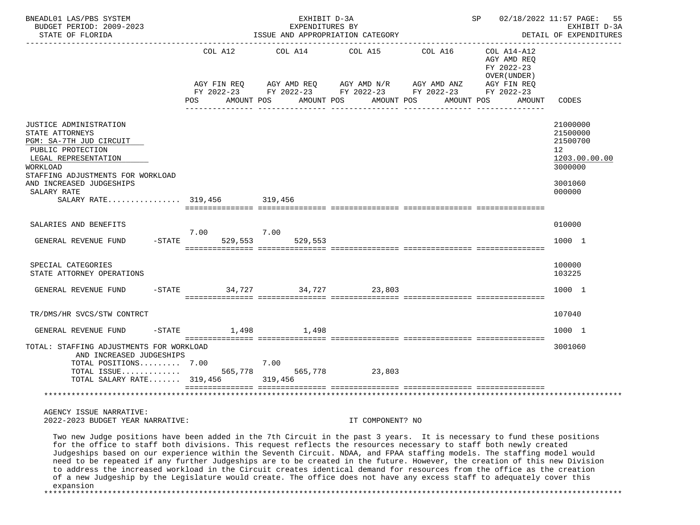| BNEADL01 LAS/PBS SYSTEM<br>BUDGET PERIOD: 2009-2023<br>STATE OF FLORIDA                                                                                                                                                                                                                                                                                                                                                                                                                                                                                                                                                                                                                                                                                   |                             | EXHIBIT D-3A<br>EXPENDITURES BY<br>ISSUE AND APPROPRIATION CATEGORY                                                     |                                     |         | SP 02/18/2022 11:57 PAGE:                                                                                     | 55<br>EXHIBIT D-3A<br>DETAIL OF EXPENDITURES                                                         |
|-----------------------------------------------------------------------------------------------------------------------------------------------------------------------------------------------------------------------------------------------------------------------------------------------------------------------------------------------------------------------------------------------------------------------------------------------------------------------------------------------------------------------------------------------------------------------------------------------------------------------------------------------------------------------------------------------------------------------------------------------------------|-----------------------------|-------------------------------------------------------------------------------------------------------------------------|-------------------------------------|---------|---------------------------------------------------------------------------------------------------------------|------------------------------------------------------------------------------------------------------|
|                                                                                                                                                                                                                                                                                                                                                                                                                                                                                                                                                                                                                                                                                                                                                           | COL A12<br>POS              | COL A14<br>AGY FIN REQ AGY AMD REQ AGY AMD N/R AGY AMD ANZ<br>FY 2022-23 FY 2022-23 FY 2022-23 FY 2022-23<br>AMOUNT POS | COL A15<br>AMOUNT POS<br>AMOUNT POS | COL A16 | COL A14-A12<br>AGY AMD REQ<br>FY 2022-23<br>OVER (UNDER)<br>AGY FIN REQ<br>FY 2022-23<br>AMOUNT POS<br>AMOUNT | CODES                                                                                                |
| JUSTICE ADMINISTRATION<br>STATE ATTORNEYS<br>PGM: SA-7TH JUD CIRCUIT<br>PUBLIC PROTECTION<br>LEGAL REPRESENTATION<br>WORKLOAD<br>STAFFING ADJUSTMENTS FOR WORKLOAD<br>AND INCREASED JUDGESHIPS<br>SALARY RATE<br>SALARY RATE 319,456 319,456                                                                                                                                                                                                                                                                                                                                                                                                                                                                                                              |                             |                                                                                                                         |                                     |         |                                                                                                               | 21000000<br>21500000<br>21500700<br>12 <sup>°</sup><br>1203.00.00.00<br>3000000<br>3001060<br>000000 |
| SALARIES AND BENEFITS<br>$-STATE$<br>GENERAL REVENUE FUND                                                                                                                                                                                                                                                                                                                                                                                                                                                                                                                                                                                                                                                                                                 | 7.00<br>529,553             | 7.00<br>529,553                                                                                                         |                                     |         |                                                                                                               | 010000<br>1000 1                                                                                     |
| SPECIAL CATEGORIES<br>STATE ATTORNEY OPERATIONS                                                                                                                                                                                                                                                                                                                                                                                                                                                                                                                                                                                                                                                                                                           |                             |                                                                                                                         |                                     |         |                                                                                                               | 100000<br>103225                                                                                     |
| GENERAL REVENUE FUND                                                                                                                                                                                                                                                                                                                                                                                                                                                                                                                                                                                                                                                                                                                                      | -STATE 34,727 34,727 23,803 |                                                                                                                         |                                     |         |                                                                                                               | 1000 1                                                                                               |
| TR/DMS/HR SVCS/STW CONTRCT                                                                                                                                                                                                                                                                                                                                                                                                                                                                                                                                                                                                                                                                                                                                |                             |                                                                                                                         |                                     |         |                                                                                                               | 107040                                                                                               |
| GENERAL REVENUE FUND                                                                                                                                                                                                                                                                                                                                                                                                                                                                                                                                                                                                                                                                                                                                      | $-$ STATE $1,498$ $1,498$   |                                                                                                                         |                                     |         |                                                                                                               | 1000 1                                                                                               |
| TOTAL: STAFFING ADJUSTMENTS FOR WORKLOAD<br>AND INCREASED JUDGESHIPS<br>TOTAL POSITIONS 7.00<br>TOTAL ISSUE 565,778 565,778 23,803<br>TOTAL SALARY RATE 319,456 319,456                                                                                                                                                                                                                                                                                                                                                                                                                                                                                                                                                                                   |                             | 7.00                                                                                                                    |                                     |         |                                                                                                               | 3001060                                                                                              |
| AGENCY ISSUE NARRATIVE:<br>2022-2023 BUDGET YEAR NARRATIVE:                                                                                                                                                                                                                                                                                                                                                                                                                                                                                                                                                                                                                                                                                               |                             |                                                                                                                         | IT COMPONENT? NO                    |         |                                                                                                               |                                                                                                      |
| Two new Judge positions have been added in the 7th Circuit in the past 3 years. It is necessary to fund these positions<br>for the office to staff both divisions. This request reflects the resources necessary to staff both newly created<br>Judgeships based on our experience within the Seventh Circuit. NDAA, and FPAA staffing models. The staffing model would<br>need to be repeated if any further Judgeships are to be created in the future. However, the creation of this new Division<br>to address the increased workload in the Circuit creates identical demand for resources from the office as the creation<br>of a new Judgeship by the Legislature would create. The office does not have any excess staff to adequately cover this |                             |                                                                                                                         |                                     |         |                                                                                                               |                                                                                                      |

expansion

\*\*\*\*\*\*\*\*\*\*\*\*\*\*\*\*\*\*\*\*\*\*\*\*\*\*\*\*\*\*\*\*\*\*\*\*\*\*\*\*\*\*\*\*\*\*\*\*\*\*\*\*\*\*\*\*\*\*\*\*\*\*\*\*\*\*\*\*\*\*\*\*\*\*\*\*\*\*\*\*\*\*\*\*\*\*\*\*\*\*\*\*\*\*\*\*\*\*\*\*\*\*\*\*\*\*\*\*\*\*\*\*\*\*\*\*\*\*\*\*\*\*\*\*\*\*\*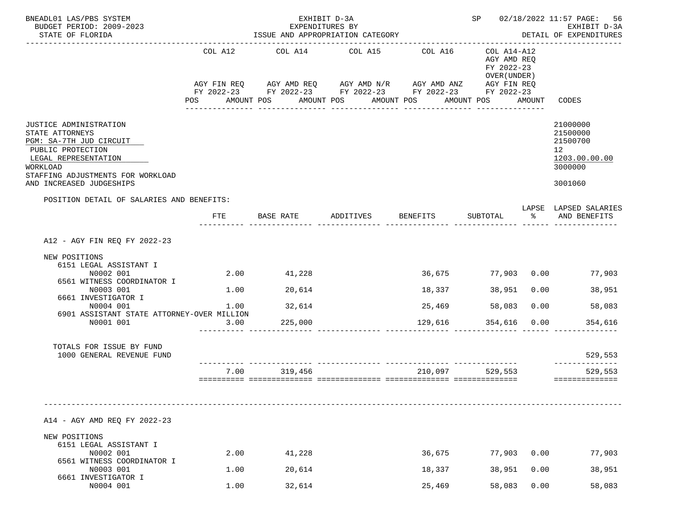| BNEADL01 LAS/PBS SYSTEM                                                                                                                                                                        |              | EXHIBIT D-3A                                                                                                                                                                                       |                 |                                       |                                                          |              | SP 02/18/2022 11:57 PAGE: 56                                                                |
|------------------------------------------------------------------------------------------------------------------------------------------------------------------------------------------------|--------------|----------------------------------------------------------------------------------------------------------------------------------------------------------------------------------------------------|-----------------|---------------------------------------|----------------------------------------------------------|--------------|---------------------------------------------------------------------------------------------|
| BUDGET PERIOD: 2009-2023<br>STATE OF FLORIDA                                                                                                                                                   |              | ISSUE AND APPROPRIATION CATEGORY                                                                                                                                                                   | EXPENDITURES BY |                                       |                                                          |              | EXHIBIT D-3A<br>DETAIL OF EXPENDITURES                                                      |
|                                                                                                                                                                                                | COL A12      | COL A14 COL A15<br>AGY FIN REQ AGY AMD REQ AGY AMD N/R AGY AMD ANZ AGY FIN REQ<br>FY 2022-23 FY 2022-23 FY 2022-23 FY 2022-23 FY 2022-23<br>POS AMOUNT POS AMOUNT POS AMOUNT POS AMOUNT POS AMOUNT |                 | COL A16<br>_______________            | COL A14-A12<br>AGY AMD REQ<br>FY 2022-23<br>OVER (UNDER) |              | CODES                                                                                       |
| JUSTICE ADMINISTRATION<br>STATE ATTORNEYS<br>PGM: SA-7TH JUD CIRCUIT<br>PUBLIC PROTECTION<br>LEGAL REPRESENTATION<br>WORKLOAD<br>STAFFING ADJUSTMENTS FOR WORKLOAD<br>AND INCREASED JUDGESHIPS |              |                                                                                                                                                                                                    |                 |                                       |                                                          |              | 21000000<br>21500000<br>21500700<br>12 <sup>12</sup><br>1203.00.00.00<br>3000000<br>3001060 |
| POSITION DETAIL OF SALARIES AND BENEFITS:                                                                                                                                                      |              |                                                                                                                                                                                                    |                 |                                       |                                                          |              | LAPSE LAPSED SALARIES                                                                       |
|                                                                                                                                                                                                | FTE          | BASE RATE                                                                                                                                                                                          | ADDITIVES       | <b>BENEFITS</b>                       | SUBTOTAL                                                 |              | % AND BENEFITS                                                                              |
| A12 - AGY FIN REQ FY 2022-23                                                                                                                                                                   |              |                                                                                                                                                                                                    |                 |                                       |                                                          |              |                                                                                             |
| NEW POSITIONS<br>6151 LEGAL ASSISTANT I<br>N0002 001<br>6561 WITNESS COORDINATOR I<br>N0003 001<br>6661 INVESTIGATOR I<br>N0004 001<br>6901 ASSISTANT STATE ATTORNEY-OVER MILLION<br>N0001 001 | 3.00         | 2.00 41,228<br>$1.00$ 20,614<br>$1.00$ 32,614<br>225,000                                                                                                                                           |                 | 36,675<br>18,337<br>25,469<br>129,616 | 58,083<br>354,616 0.00                                   |              | 77,903 0.00 77,903<br>38,951 0.00<br>38,951<br>0.00<br>58,083<br>354,616                    |
| TOTALS FOR ISSUE BY FUND<br>1000 GENERAL REVENUE FUND                                                                                                                                          |              |                                                                                                                                                                                                    |                 |                                       |                                                          |              | 529,553                                                                                     |
|                                                                                                                                                                                                | 7.00         | 319,456                                                                                                                                                                                            |                 | 210,097                               | 529,553                                                  |              | 529,553<br>==============                                                                   |
| A14 - AGY AMD REO FY 2022-23<br>NEW POSITIONS<br>6151 LEGAL ASSISTANT I<br>N0002 001<br>6561 WITNESS COORDINATOR I<br>N0003 001                                                                | 2.00<br>1.00 | 41,228<br>20,614                                                                                                                                                                                   |                 | 36,675<br>18,337                      | 77,903<br>38,951                                         | 0.00<br>0.00 | 77,903<br>38,951                                                                            |
| 6661 INVESTIGATOR I<br>N0004 001                                                                                                                                                               | 1.00         | 32,614                                                                                                                                                                                             |                 | 25,469                                | 58,083                                                   | 0.00         | 58,083                                                                                      |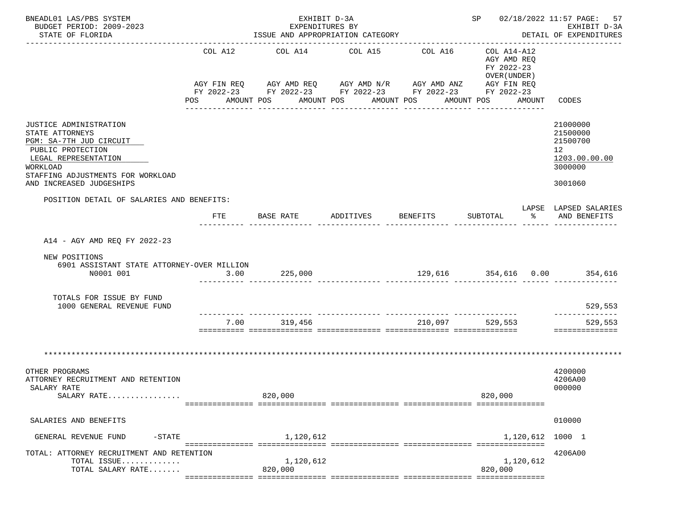| BNEADL01 LAS/PBS SYSTEM<br>BUDGET PERIOD: 2009-2023                                                                                                                                            |         | EXHIBIT D-3A<br>EXPENDITURES BY |                                                                                                                                                                      |                             |                                                                                                      | SP 02/18/2022 11:57 PAGE: 57<br>EXHIBIT D-3A                                               |
|------------------------------------------------------------------------------------------------------------------------------------------------------------------------------------------------|---------|---------------------------------|----------------------------------------------------------------------------------------------------------------------------------------------------------------------|-----------------------------|------------------------------------------------------------------------------------------------------|--------------------------------------------------------------------------------------------|
| STATE OF FLORIDA                                                                                                                                                                               |         |                                 | ISSUE AND APPROPRIATION CATEGORY                                                                                                                                     |                             | -------------------------                                                                            | DETAIL OF EXPENDITURES                                                                     |
|                                                                                                                                                                                                | COL A12 | COL A14                         | COL A15<br>AGY FIN REQ AGY AMD REQ AGY AMD N/R AGY AMD ANZ AGY FIN REQ<br>FY 2022-23 FY 2022-23 FY 2022-23 FY 2022-23 FY 2022-23<br>AMOUNT POS AMOUNT POS AMOUNT POS | COL A16<br>________________ | COL A14-A12<br>AGY AMD REQ<br>FY 2022-23<br>OVER (UNDER)<br>AMOUNT POS<br>AMOUNT<br>---------------- | CODES                                                                                      |
| JUSTICE ADMINISTRATION<br>STATE ATTORNEYS<br>PGM: SA-7TH JUD CIRCUIT<br>PUBLIC PROTECTION<br>LEGAL REPRESENTATION<br>WORKLOAD<br>STAFFING ADJUSTMENTS FOR WORKLOAD<br>AND INCREASED JUDGESHIPS |         |                                 |                                                                                                                                                                      |                             |                                                                                                      | 21000000<br>21500000<br>21500700<br>12 <sup>°</sup><br>1203.00.00.00<br>3000000<br>3001060 |
| POSITION DETAIL OF SALARIES AND BENEFITS:                                                                                                                                                      |         |                                 |                                                                                                                                                                      |                             |                                                                                                      | LAPSE LAPSED SALARIES                                                                      |
|                                                                                                                                                                                                | FTE     | BASE RATE                       | ADDITIVES                                                                                                                                                            | BENEFITS                    | SUBTOTAL                                                                                             | % AND BENEFITS                                                                             |
| A14 - AGY AMD REQ FY 2022-23<br>NEW POSITIONS<br>6901 ASSISTANT STATE ATTORNEY-OVER MILLION<br>N0001 001                                                                                       | 3.00    | 225,000                         |                                                                                                                                                                      |                             | 129,616 354,616 0.00 354,616                                                                         |                                                                                            |
| TOTALS FOR ISSUE BY FUND<br>1000 GENERAL REVENUE FUND                                                                                                                                          |         |                                 |                                                                                                                                                                      |                             |                                                                                                      | 529,553                                                                                    |
|                                                                                                                                                                                                | 7.00    | 319,456                         |                                                                                                                                                                      | 210,097                     | 529,553                                                                                              | -------------<br>529,553<br>==============                                                 |
|                                                                                                                                                                                                |         |                                 |                                                                                                                                                                      |                             |                                                                                                      |                                                                                            |
| OTHER PROGRAMS<br>ATTORNEY RECRUITMENT AND RETENTION<br>SALARY RATE<br>SALARY RATE                                                                                                             |         | 820,000                         |                                                                                                                                                                      |                             | 820,000                                                                                              | 4200000<br>4206A00<br>000000                                                               |
| SALARIES AND BENEFITS                                                                                                                                                                          |         |                                 |                                                                                                                                                                      |                             |                                                                                                      | 010000                                                                                     |
| GENERAL REVENUE FUND<br>$-STATE$                                                                                                                                                               |         | 1,120,612                       |                                                                                                                                                                      |                             | 1,120,612                                                                                            | 1000 1                                                                                     |
| TOTAL: ATTORNEY RECRUITMENT AND RETENTION<br>TOTAL ISSUE<br>TOTAL SALARY RATE                                                                                                                  |         | 1,120,612<br>820,000            |                                                                                                                                                                      |                             | 1,120,612<br>820,000                                                                                 | 4206A00                                                                                    |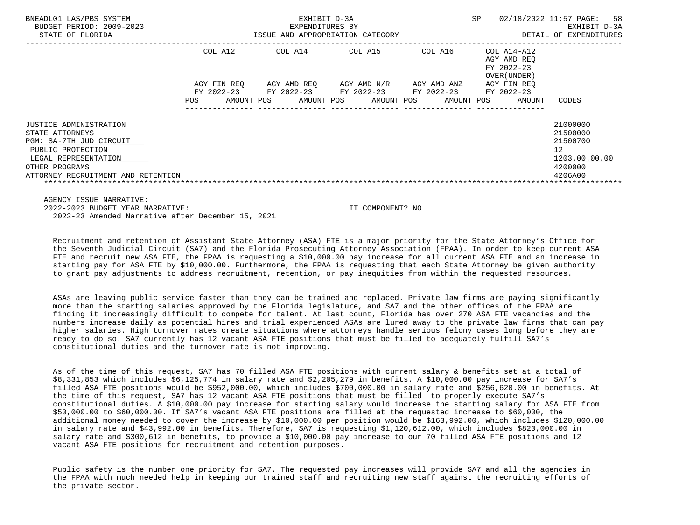| BNEADL01 LAS/PBS SYSTEM<br>BUDGET PERIOD: 2009-2023                                                                                                                       |                                                 | EXHIBIT D-3A<br>EXPENDITURES BY |                                                       |                                         | SP                                                       | 02/18/2022 11:57 PAGE:<br>58<br>EXHIBIT D-3A                                  |
|---------------------------------------------------------------------------------------------------------------------------------------------------------------------------|-------------------------------------------------|---------------------------------|-------------------------------------------------------|-----------------------------------------|----------------------------------------------------------|-------------------------------------------------------------------------------|
| STATE OF FLORIDA                                                                                                                                                          |                                                 |                                 | ISSUE AND APPROPRIATION CATEGORY                      |                                         |                                                          | DETAIL OF EXPENDITURES                                                        |
|                                                                                                                                                                           | COL A12                                         | COL A14                         | COL A15                                               | COL A16                                 | COL A14-A12<br>AGY AMD REO<br>FY 2022-23<br>OVER (UNDER) |                                                                               |
|                                                                                                                                                                           | AGY FIN REO<br>FY 2022-23<br>AMOUNT POS<br>POS. | AGY AMD REQ<br>FY 2022-23       | AGY AMD N/R<br>FY 2022-23<br>AMOUNT POS<br>AMOUNT POS | AGY AMD ANZ<br>FY 2022-23<br>AMOUNT POS | AGY FIN REO<br>FY 2022-23<br>AMOUNT                      | CODES                                                                         |
| JUSTICE ADMINISTRATION<br>STATE ATTORNEYS<br>PGM: SA-7TH JUD CIRCUIT<br>PUBLIC PROTECTION<br>LEGAL REPRESENTATION<br>OTHER PROGRAMS<br>ATTORNEY RECRUITMENT AND RETENTION |                                                 |                                 |                                                       |                                         |                                                          | 21000000<br>21500000<br>21500700<br>12<br>1203.00.00.00<br>4200000<br>4206A00 |

 AGENCY ISSUE NARRATIVE: 2022-2023 BUDGET YEAR NARRATIVE: IT COMPONENT? NO 2022-23 Amended Narrative after December 15, 2021

 Recruitment and retention of Assistant State Attorney (ASA) FTE is a major priority for the State Attorney's Office for the Seventh Judicial Circuit (SA7) and the Florida Prosecuting Attorney Association (FPAA). In order to keep current ASA FTE and recruit new ASA FTE, the FPAA is requesting a \$10,000.00 pay increase for all current ASA FTE and an increase in starting pay for ASA FTE by \$10,000.00. Furthermore, the FPAA is requesting that each State Attorney be given authority to grant pay adjustments to address recruitment, retention, or pay inequities from within the requested resources.

 ASAs are leaving public service faster than they can be trained and replaced. Private law firms are paying significantly more than the starting salaries approved by the Florida legislature, and SA7 and the other offices of the FPAA are finding it increasingly difficult to compete for talent. At last count, Florida has over 270 ASA FTE vacancies and the numbers increase daily as potential hires and trial experienced ASAs are lured away to the private law firms that can pay higher salaries. High turnover rates create situations where attorneys handle serious felony cases long before they are ready to do so. SA7 currently has 12 vacant ASA FTE positions that must be filled to adequately fulfill SA7's constitutional duties and the turnover rate is not improving.

 As of the time of this request, SA7 has 70 filled ASA FTE positions with current salary & benefits set at a total of \$8,331,853 which includes \$6,125,774 in salary rate and \$2,205,279 in benefits. A \$10,000.00 pay increase for SA7's filled ASA FTE positions would be \$952,000.00, which includes \$700,000.00 in salary rate and \$256,620.00 in benefits. At the time of this request, SA7 has 12 vacant ASA FTE positions that must be filled to properly execute SA7's constitutional duties. A \$10,000.00 pay increase for starting salary would increase the starting salary for ASA FTE from \$50,000.00 to \$60,000.00. If SA7's vacant ASA FTE positions are filled at the requested increase to \$60,000, the additional money needed to cover the increase by \$10,000.00 per position would be \$163,992.00, which includes \$120,000.00 in salary rate and \$43,992.00 in benefits. Therefore, SA7 is requesting \$1,120,612.00, which includes \$820,000.00 in salary rate and \$300,612 in benefits, to provide a \$10,000.00 pay increase to our 70 filled ASA FTE positions and 12 vacant ASA FTE positions for recruitment and retention purposes.

 Public safety is the number one priority for SA7. The requested pay increases will provide SA7 and all the agencies in the FPAA with much needed help in keeping our trained staff and recruiting new staff against the recruiting efforts of the private sector.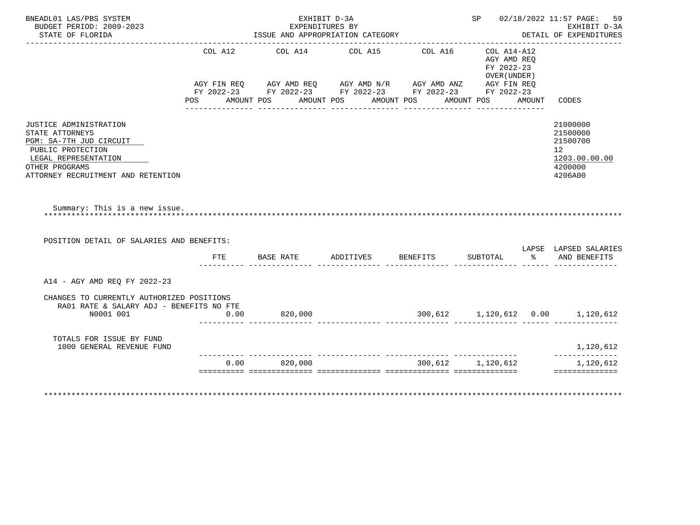| BNEADL01 LAS/PBS SYSTEM<br>BUDGET PERIOD: 2009-2023<br>STATE OF FLORIDA                                                            |            |         | EXHIBIT D-3A<br>EXPENDITURES BY<br>ISSUE AND APPROPRIATION CATEGORY                                                                                                                                         |                                                          |        | SP 02/18/2022 11:57 PAGE: 59<br>EXHIBIT D-3A<br>DETAIL OF EXPENDITURES                     |
|------------------------------------------------------------------------------------------------------------------------------------|------------|---------|-------------------------------------------------------------------------------------------------------------------------------------------------------------------------------------------------------------|----------------------------------------------------------|--------|--------------------------------------------------------------------------------------------|
|                                                                                                                                    |            |         | COL A12 COL A14 COL A15 COL A16<br>AGY FIN REQ AGY AMD REQ AGY AMD N/R AGY AMD ANZ AGY FIN REQ<br>FY 2022-23 FY 2022-23 FY 2022-23 FY 2022-23 FY 2022-23<br>POS AMOUNT POS AMOUNT POS AMOUNT POS AMOUNT POS | COL A14-A12<br>AGY AMD REO<br>FY 2022-23<br>OVER (UNDER) | AMOUNT | CODES                                                                                      |
| JUSTICE ADMINISTRATION<br>STATE ATTORNEYS<br>PGM: SA-7TH JUD CIRCUIT<br>PUBLIC PROTECTION<br>LEGAL REPRESENTATION                  |            |         |                                                                                                                                                                                                             |                                                          |        | 21000000<br>21500000<br>21500700<br>12 <sup>°</sup><br>1203.00.00.00<br>4200000<br>4206A00 |
| OTHER PROGRAMS<br>ATTORNEY RECRUITMENT AND RETENTION                                                                               |            |         |                                                                                                                                                                                                             |                                                          |        |                                                                                            |
| Summary: This is a new issue.<br>POSITION DETAIL OF SALARIES AND BENEFITS:                                                         | <b>FTE</b> |         | BASE RATE ADDITIVES BENEFITS                                                                                                                                                                                | SUBTOTAL                                                 |        | LAPSE LAPSED SALARIES<br>% AND BENEFITS                                                    |
|                                                                                                                                    |            |         |                                                                                                                                                                                                             |                                                          |        |                                                                                            |
| A14 - AGY AMD REQ FY 2022-23<br>CHANGES TO CURRENTLY AUTHORIZED POSITIONS<br>RA01 RATE & SALARY ADJ - BENEFITS NO FTE<br>N0001 001 | 0.00       | 820,000 |                                                                                                                                                                                                             |                                                          |        | $300,612$ 1,120,612 0.00 1,120,612                                                         |
| TOTALS FOR ISSUE BY FUND<br>1000 GENERAL REVENUE FUND                                                                              |            |         |                                                                                                                                                                                                             |                                                          |        | 1,120,612<br>______________                                                                |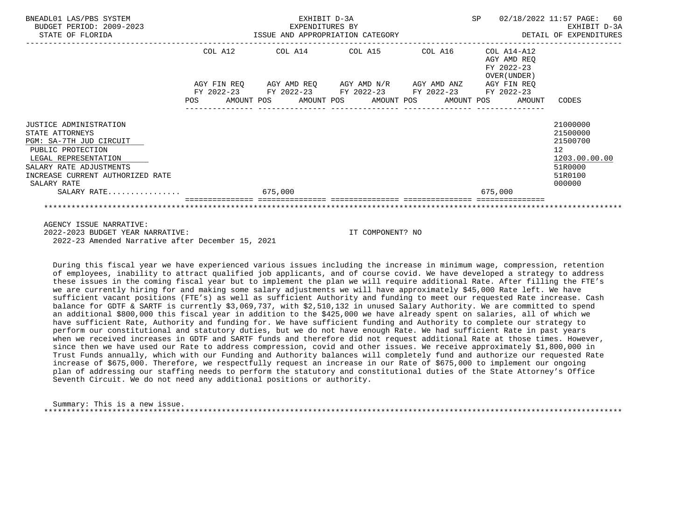| BNEADL01 LAS/PBS SYSTEM<br>BUDGET PERIOD: 2009-2023<br>ISSUE AND APPROPRIATION CATEGORY<br>STATE OF FLORIDA                                                                                     |         | EXHIBIT D-3A<br>EXPENDITURES BY |                  |                                                                                                                               |         |                                                          | SP 02/18/2022 11:57 PAGE:<br>EXHIBIT D-3A<br>DETAIL OF EXPENDITURES                                  | 60 |
|-------------------------------------------------------------------------------------------------------------------------------------------------------------------------------------------------|---------|---------------------------------|------------------|-------------------------------------------------------------------------------------------------------------------------------|---------|----------------------------------------------------------|------------------------------------------------------------------------------------------------------|----|
|                                                                                                                                                                                                 | COL A12 |                                 |                  | COL A14 COL A15 COL A16                                                                                                       |         | COL A14-A12<br>AGY AMD REO<br>FY 2022-23<br>OVER (UNDER) |                                                                                                      |    |
|                                                                                                                                                                                                 |         |                                 |                  | AGY FIN REQ 6 AGY AMD REQ 6 AGY AMD N/R 6 AGY AMD ANZ 6 AGY FIN REQ<br>FY 2022-23 FY 2022-23 FY 2022-23 FY 2022-23 FY 2022-23 |         |                                                          |                                                                                                      |    |
|                                                                                                                                                                                                 |         |                                 |                  | POS AMOUNT POS AMOUNT POS AMOUNT POS AMOUNT POS AMOUNT CODES<br>---------------                                               |         |                                                          |                                                                                                      |    |
| JUSTICE ADMINISTRATION<br>STATE ATTORNEYS<br>PGM: SA-7TH JUD CIRCUIT<br>PUBLIC PROTECTION<br>LEGAL REPRESENTATION<br>SALARY RATE ADJUSTMENTS<br>INCREASE CURRENT AUTHORIZED RATE<br>SALARY RATE |         |                                 |                  |                                                                                                                               |         |                                                          | 21000000<br>21500000<br>21500700<br>12 <sup>°</sup><br>1203.00.00.00<br>51R0000<br>51R0100<br>000000 |    |
| SALARY RATE                                                                                                                                                                                     | 675,000 |                                 |                  |                                                                                                                               | 675,000 |                                                          |                                                                                                      |    |
|                                                                                                                                                                                                 |         |                                 |                  |                                                                                                                               |         |                                                          |                                                                                                      |    |
| AGENCY ISSUE NARRATIVE:<br>2022-2023 BUDGET YEAR NARRATIVE:                                                                                                                                     |         |                                 | IT COMPONENT? NO |                                                                                                                               |         |                                                          |                                                                                                      |    |

2022-23 Amended Narrative after December 15, 2021

 During this fiscal year we have experienced various issues including the increase in minimum wage, compression, retention of employees, inability to attract qualified job applicants, and of course covid. We have developed a strategy to address these issues in the coming fiscal year but to implement the plan we will require additional Rate. After filling the FTE's we are currently hiring for and making some salary adjustments we will have approximately \$45,000 Rate left. We have sufficient vacant positions (FTE's) as well as sufficient Authority and funding to meet our requested Rate increase. Cash balance for GDTF & SARTF is currently \$3,069,737, with \$2,510,132 in unused Salary Authority. We are committed to spend an additional \$800,000 this fiscal year in addition to the \$425,000 we have already spent on salaries, all of which we have sufficient Rate, Authority and funding for. We have sufficient funding and Authority to complete our strategy to perform our constitutional and statutory duties, but we do not have enough Rate. We had sufficient Rate in past years when we received increases in GDTF and SARTF funds and therefore did not request additional Rate at those times. However, since then we have used our Rate to address compression, covid and other issues. We receive approximately \$1,800,000 in Trust Funds annually, which with our Funding and Authority balances will completely fund and authorize our requested Rate increase of \$675,000. Therefore, we respectfully request an increase in our Rate of \$675,000 to implement our ongoing plan of addressing our staffing needs to perform the statutory and constitutional duties of the State Attorney's Office Seventh Circuit. We do not need any additional positions or authority.

 Summary: This is a new issue. \*\*\*\*\*\*\*\*\*\*\*\*\*\*\*\*\*\*\*\*\*\*\*\*\*\*\*\*\*\*\*\*\*\*\*\*\*\*\*\*\*\*\*\*\*\*\*\*\*\*\*\*\*\*\*\*\*\*\*\*\*\*\*\*\*\*\*\*\*\*\*\*\*\*\*\*\*\*\*\*\*\*\*\*\*\*\*\*\*\*\*\*\*\*\*\*\*\*\*\*\*\*\*\*\*\*\*\*\*\*\*\*\*\*\*\*\*\*\*\*\*\*\*\*\*\*\*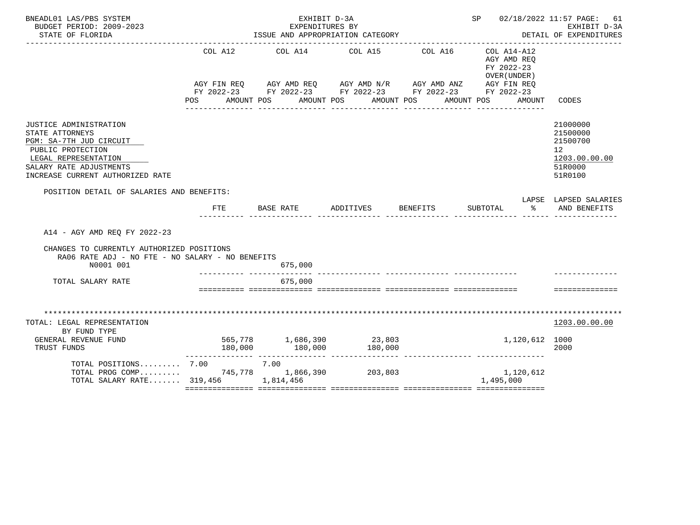| BNEADL01 LAS/PBS SYSTEM<br>BUDGET PERIOD: 2009-2023<br>STATE OF FLORIDA                                                                                                          |                                                 | EXHIBIT D-3A<br>EXPENDITURES BY | ISSUE AND APPROPRIATION CATEGORY                                                                                      | SP 02/18/2022 11:57 PAGE: 61                        | EXHIBIT D-3A<br>DETAIL OF EXPENDITURES                                        |
|----------------------------------------------------------------------------------------------------------------------------------------------------------------------------------|-------------------------------------------------|---------------------------------|-----------------------------------------------------------------------------------------------------------------------|-----------------------------------------------------|-------------------------------------------------------------------------------|
|                                                                                                                                                                                  | POS AMOUNT POS AMOUNT POS AMOUNT POS AMOUNT POS |                                 | AGY FIN REQ AGY AMD REQ AGY AMD N/R AGY AMD ANZ AGY FIN REQ<br>FY 2022-23 FY 2022-23 FY 2022-23 FY 2022-23 FY 2022-23 | AGY AMD REO<br>FY 2022-23<br>OVER (UNDER)<br>AMOUNT | CODES                                                                         |
| JUSTICE ADMINISTRATION<br>STATE ATTORNEYS<br>PGM: SA-7TH JUD CIRCUIT<br>PUBLIC PROTECTION<br>LEGAL REPRESENTATION<br>SALARY RATE ADJUSTMENTS<br>INCREASE CURRENT AUTHORIZED RATE |                                                 |                                 |                                                                                                                       |                                                     | 21000000<br>21500000<br>21500700<br>12<br>1203.00.00.00<br>51R0000<br>51R0100 |
| POSITION DETAIL OF SALARIES AND BENEFITS:                                                                                                                                        |                                                 |                                 |                                                                                                                       |                                                     | LAPSE LAPSED SALARIES                                                         |
|                                                                                                                                                                                  | FTE                                             | BASE RATE                       | ADDITIVES BENEFITS                                                                                                    | SUBTOTAL                                            | % AND BENEFITS                                                                |
| A14 - AGY AMD REO FY 2022-23<br>CHANGES TO CURRENTLY AUTHORIZED POSITIONS<br>RA06 RATE ADJ - NO FTE - NO SALARY - NO BENEFITS<br>N0001 001                                       |                                                 | 675,000                         |                                                                                                                       |                                                     |                                                                               |
| TOTAL SALARY RATE                                                                                                                                                                | ___________ ____________                        | 675,000                         |                                                                                                                       |                                                     |                                                                               |
|                                                                                                                                                                                  |                                                 |                                 |                                                                                                                       |                                                     | ---------------                                                               |
| TOTAL: LEGAL REPRESENTATION<br>BY FUND TYPE                                                                                                                                      |                                                 |                                 |                                                                                                                       |                                                     | 1203.00.00.00                                                                 |
| GENERAL REVENUE FUND<br>TRUST FUNDS                                                                                                                                              | 565,778 1,686,390 23,803                        |                                 |                                                                                                                       | 1,120,612 1000                                      | 2000                                                                          |
| TOTAL POSITIONS $7.00$ 7.00<br>TOTAL PROG COMP 745,778 1,866,390 203,803<br>TOTAL SALARY RATE 319,456 1,814,456                                                                  |                                                 |                                 |                                                                                                                       | 1,120,612<br>1,495,000                              |                                                                               |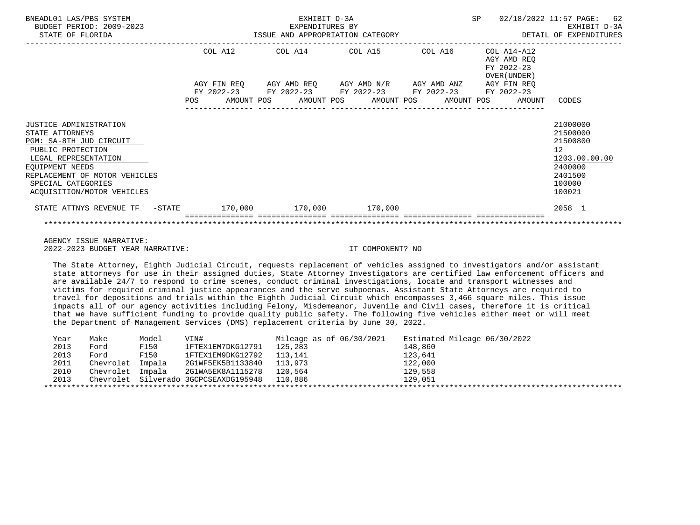| BNEADL01 LAS/PBS SYSTEM<br>BUDGET PERIOD: 2009-2023<br>STATE OF FLORIDA                                                                                                                                                          |            |                        | EXHIBIT D-3A<br>EXPENDITURES BY | ISSUE AND APPROPRIATION CATEGORY                                                                      |  | SP |                                                           | 02/18/2022 11:57 PAGE: 62<br>EXHIBIT D-3A<br>DETAIL OF EXPENDITURES                               |
|----------------------------------------------------------------------------------------------------------------------------------------------------------------------------------------------------------------------------------|------------|------------------------|---------------------------------|-------------------------------------------------------------------------------------------------------|--|----|-----------------------------------------------------------|---------------------------------------------------------------------------------------------------|
|                                                                                                                                                                                                                                  |            | COL A12<br>AGY FIN REO |                                 | COL A14 COL A15 COL A16<br>AGY AMD REQ AGY AMD N/R AGY AMD ANZ AGY FIN REQ                            |  |    | COL A14-A12<br>AGY AMD REO<br>FY 2022-23<br>OVER (UNDER ) |                                                                                                   |
|                                                                                                                                                                                                                                  | <b>POS</b> |                        |                                 | FY 2022-23 FY 2022-23 FY 2022-23 FY 2022-23 FY 2022-23<br>AMOUNT POS AMOUNT POS AMOUNT POS AMOUNT POS |  |    | AMOUNT                                                    | CODES                                                                                             |
| <b>JUSTICE ADMINISTRATION</b><br>STATE ATTORNEYS<br>PGM: SA-8TH JUD CIRCUIT<br>PUBLIC PROTECTION<br>LEGAL REPRESENTATION<br>EQUIPMENT NEEDS<br>REPLACEMENT OF MOTOR VEHICLES<br>SPECIAL CATEGORIES<br>ACQUISITION/MOTOR VEHICLES |            |                        |                                 |                                                                                                       |  |    |                                                           | 21000000<br>21500000<br>21500800<br>12<br>1203.00.00.00<br>2400000<br>2401500<br>100000<br>100021 |
| STATE ATTNYS REVENUE TF - STATE 170,000 170,000 170,000 170,000                                                                                                                                                                  |            |                        |                                 |                                                                                                       |  |    |                                                           | 2058 1                                                                                            |
|                                                                                                                                                                                                                                  |            |                        |                                 |                                                                                                       |  |    |                                                           |                                                                                                   |

 AGENCY ISSUE NARRATIVE: 2022-2023 BUDGET YEAR NARRATIVE: IT COMPONENT? NO

 The State Attorney, Eighth Judicial Circuit, requests replacement of vehicles assigned to investigators and/or assistant state attorneys for use in their assigned duties, State Attorney Investigators are certified law enforcement officers and are available 24/7 to respond to crime scenes, conduct criminal investigations, locate and transport witnesses and victims for required criminal justice appearances and the serve subpoenas. Assistant State Attorneys are required to travel for depositions and trials within the Eighth Judicial Circuit which encompasses 3,466 square miles. This issue impacts all of our agency activities including Felony, Misdemeanor, Juvenile and Civil cases, therefore it is critical that we have sufficient funding to provide quality public safety. The following five vehicles either meet or will meet the Department of Management Services (DMS) replacement criteria by June 30, 2022.

| Year | Make             | Model | VIN#                                          | Mileage as of 06/30/2021 | Estimated Mileage 06/30/2022 |
|------|------------------|-------|-----------------------------------------------|--------------------------|------------------------------|
| 2013 | Ford             | F150  | 1FTEX1EM7DKG12791                             | 125,283                  | 148,860                      |
| 2013 | Ford             | F150  | 1FTEX1EM9DKG12792                             | 113,141                  | 123,641                      |
| 2011 | Chevrolet Impala |       | 2G1WF5EK5B1133840                             | 113,973                  | 122,000                      |
| 2010 | Chevrolet Impala |       | 2G1WA5EK8A1115278                             | 120,564                  | 129,558                      |
| 2013 |                  |       | Chevrolet Silverado 3GCPCSEAXDG195948 110,886 |                          | 129,051                      |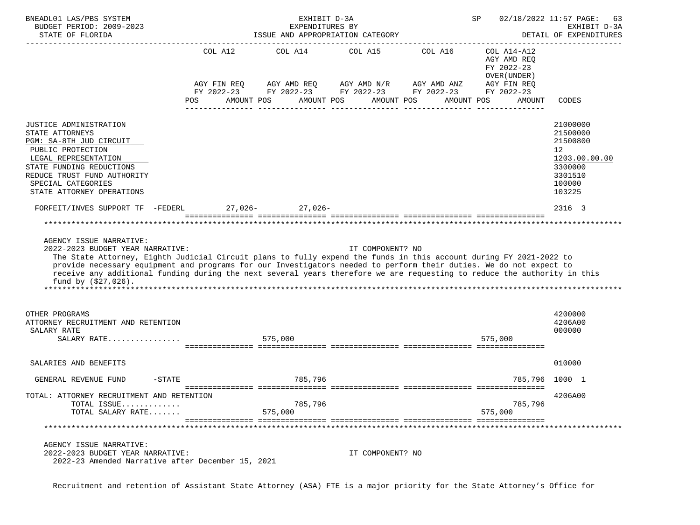| BNEADL01 LAS/PBS SYSTEM<br>BUDGET PERIOD: 2009-2023<br>STATE OF FLORIDA                                                                                                                                                                                                                                                                                                                                                                                       |                | EXHIBIT D-3A<br>EXPENDITURES BY<br>ISSUE AND APPROPRIATION CATEGORY |                  |                                                                                                                                                                              | SP                                                                  | 02/18/2022 11:57 PAGE:<br>63<br>EXHIBIT D-3A<br>DETAIL OF EXPENDITURES                                                   |
|---------------------------------------------------------------------------------------------------------------------------------------------------------------------------------------------------------------------------------------------------------------------------------------------------------------------------------------------------------------------------------------------------------------------------------------------------------------|----------------|---------------------------------------------------------------------|------------------|------------------------------------------------------------------------------------------------------------------------------------------------------------------------------|---------------------------------------------------------------------|--------------------------------------------------------------------------------------------------------------------------|
|                                                                                                                                                                                                                                                                                                                                                                                                                                                               | COL A12<br>POS | AMOUNT POS                                                          | AMOUNT POS       | COL A14 COL A15 COL A16<br>AGY FIN REQ AGY AMD REQ AGY AMD N/R AGY AMD ANZ AGY FIN REQ<br>FY 2022-23 FY 2022-23 FY 2022-23 FY 2022-23 FY 2022-23<br>AMOUNT POS<br>AMOUNT POS | COL A14-A12<br>AGY AMD REQ<br>FY 2022-23<br>OVER (UNDER )<br>AMOUNT |                                                                                                                          |
|                                                                                                                                                                                                                                                                                                                                                                                                                                                               |                |                                                                     |                  |                                                                                                                                                                              |                                                                     | CODES                                                                                                                    |
| JUSTICE ADMINISTRATION<br>STATE ATTORNEYS<br>PGM: SA-8TH JUD CIRCUIT<br>PUBLIC PROTECTION<br>LEGAL REPRESENTATION<br>STATE FUNDING REDUCTIONS<br>REDUCE TRUST FUND AUTHORITY<br>SPECIAL CATEGORIES<br>STATE ATTORNEY OPERATIONS<br>FORFEIT/INVES SUPPORT TF -FEDERL 27,026- 27,026-                                                                                                                                                                           |                |                                                                     |                  |                                                                                                                                                                              |                                                                     | 21000000<br>21500000<br>21500800<br>12 <sup>°</sup><br>1203.00.00.00<br>3300000<br>3301510<br>100000<br>103225<br>2316 3 |
| AGENCY ISSUE NARRATIVE:<br>2022-2023 BUDGET YEAR NARRATIVE:<br>The State Attorney, Eighth Judicial Circuit plans to fully expend the funds in this account during FY 2021-2022 to<br>provide necessary equipment and programs for our Investigators needed to perform their duties. We do not expect to<br>receive any additional funding during the next several years therefore we are requesting to reduce the authority in this<br>fund by $( $27,026)$ . |                |                                                                     | IT COMPONENT? NO |                                                                                                                                                                              |                                                                     |                                                                                                                          |
| OTHER PROGRAMS<br>ATTORNEY RECRUITMENT AND RETENTION<br>SALARY RATE<br>SALARY RATE                                                                                                                                                                                                                                                                                                                                                                            | 575,000        |                                                                     |                  |                                                                                                                                                                              | 575,000                                                             | 4200000<br>4206A00<br>000000                                                                                             |
| SALARIES AND BENEFITS                                                                                                                                                                                                                                                                                                                                                                                                                                         |                |                                                                     |                  |                                                                                                                                                                              |                                                                     | 010000                                                                                                                   |
| $-$ STATE<br>GENERAL REVENUE FUND                                                                                                                                                                                                                                                                                                                                                                                                                             |                | 785,796                                                             |                  |                                                                                                                                                                              | 785,796 1000 1                                                      |                                                                                                                          |
| TOTAL: ATTORNEY RECRUITMENT AND RETENTION<br>TOTAL ISSUE<br>TOTAL SALARY RATE<br>***************                                                                                                                                                                                                                                                                                                                                                              |                | 785,796<br>575,000                                                  |                  |                                                                                                                                                                              | 785,796<br>575,000                                                  | 4206A00                                                                                                                  |
| AGENCY ISSUE NARRATIVE:<br>2022-2023 BUDGET YEAR NARRATIVE:<br>2022-23 Amended Narrative after December 15, 2021                                                                                                                                                                                                                                                                                                                                              |                |                                                                     | IT COMPONENT? NO |                                                                                                                                                                              |                                                                     |                                                                                                                          |

Recruitment and retention of Assistant State Attorney (ASA) FTE is a major priority for the State Attorney's Office for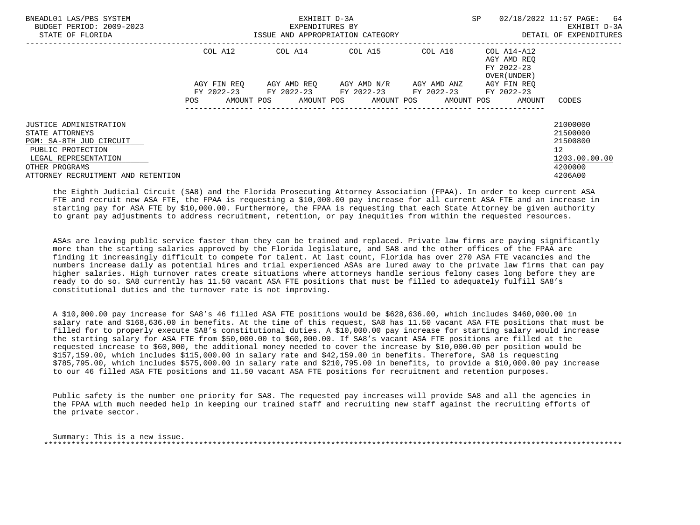| BNEADL01 LAS/PBS SYSTEM<br>BUDGET PERIOD: 2009-2023<br>STATE OF FLORIDA                                                             |                          | EXHIBIT D-3A<br>EXPENDITURES BY<br>ISSUE AND APPROPRIATION CATEGORY                                             |                       | <b>SP</b>                                                                                      | 02/18/2022 11:57 PAGE: 64<br>EXHIBIT D-3A<br>DETAIL OF EXPENDITURES |
|-------------------------------------------------------------------------------------------------------------------------------------|--------------------------|-----------------------------------------------------------------------------------------------------------------|-----------------------|------------------------------------------------------------------------------------------------|---------------------------------------------------------------------|
|                                                                                                                                     | COL A12<br>AGY FIN REO   | COL A14 COL A15<br>AGY AMD REO      AGY AMD N/R      AGY AMD ANZ<br>FY 2022-23 FY 2022-23 FY 2022-23 FY 2022-23 |                       | COL A16 COL A14-A12<br>AGY AMD REO<br>FY 2022-23<br>OVER (UNDER )<br>AGY FIN REO<br>FY 2022-23 |                                                                     |
|                                                                                                                                     | AMOUNT POS<br><b>POS</b> |                                                                                                                 | AMOUNT POS AMOUNT POS | AMOUNT POS<br>AMOUNT                                                                           | CODES                                                               |
| JUSTICE ADMINISTRATION<br>STATE ATTORNEYS<br>PGM: SA-8TH JUD CIRCUIT<br>PUBLIC PROTECTION<br>LEGAL REPRESENTATION<br>OTHER PROGRAMS |                          |                                                                                                                 |                       |                                                                                                | 21000000<br>21500000<br>21500800<br>12<br>1203.00.00.00<br>4200000  |
| ATTORNEY RECRUITMENT AND RETENTION                                                                                                  |                          |                                                                                                                 |                       |                                                                                                | 4206A00                                                             |

 the Eighth Judicial Circuit (SA8) and the Florida Prosecuting Attorney Association (FPAA). In order to keep current ASA FTE and recruit new ASA FTE, the FPAA is requesting a \$10,000.00 pay increase for all current ASA FTE and an increase in starting pay for ASA FTE by \$10,000.00. Furthermore, the FPAA is requesting that each State Attorney be given authority to grant pay adjustments to address recruitment, retention, or pay inequities from within the requested resources.

 ASAs are leaving public service faster than they can be trained and replaced. Private law firms are paying significantly more than the starting salaries approved by the Florida legislature, and SA8 and the other offices of the FPAA are finding it increasingly difficult to compete for talent. At last count, Florida has over 270 ASA FTE vacancies and the numbers increase daily as potential hires and trial experienced ASAs are lured away to the private law firms that can pay higher salaries. High turnover rates create situations where attorneys handle serious felony cases long before they are ready to do so. SA8 currently has 11.50 vacant ASA FTE positions that must be filled to adequately fulfill SA8's constitutional duties and the turnover rate is not improving.

 A \$10,000.00 pay increase for SA8's 46 filled ASA FTE positions would be \$628,636.00, which includes \$460,000.00 in salary rate and \$168,636.00 in benefits. At the time of this request, SA8 has 11.50 vacant ASA FTE positions that must be filled for to properly execute SA8's constitutional duties. A \$10,000.00 pay increase for starting salary would increase the starting salary for ASA FTE from \$50,000.00 to \$60,000.00. If SA8's vacant ASA FTE positions are filled at the requested increase to \$60,000, the additional money needed to cover the increase by \$10,000.00 per position would be \$157,159.00, which includes \$115,000.00 in salary rate and \$42,159.00 in benefits. Therefore, SA8 is requesting \$785,795.00, which includes \$575,000.00 in salary rate and \$210,795.00 in benefits, to provide a \$10,000.00 pay increase to our 46 filled ASA FTE positions and 11.50 vacant ASA FTE positions for recruitment and retention purposes.

 Public safety is the number one priority for SA8. The requested pay increases will provide SA8 and all the agencies in the FPAA with much needed help in keeping our trained staff and recruiting new staff against the recruiting efforts of the private sector.

 Summary: This is a new issue. \*\*\*\*\*\*\*\*\*\*\*\*\*\*\*\*\*\*\*\*\*\*\*\*\*\*\*\*\*\*\*\*\*\*\*\*\*\*\*\*\*\*\*\*\*\*\*\*\*\*\*\*\*\*\*\*\*\*\*\*\*\*\*\*\*\*\*\*\*\*\*\*\*\*\*\*\*\*\*\*\*\*\*\*\*\*\*\*\*\*\*\*\*\*\*\*\*\*\*\*\*\*\*\*\*\*\*\*\*\*\*\*\*\*\*\*\*\*\*\*\*\*\*\*\*\*\*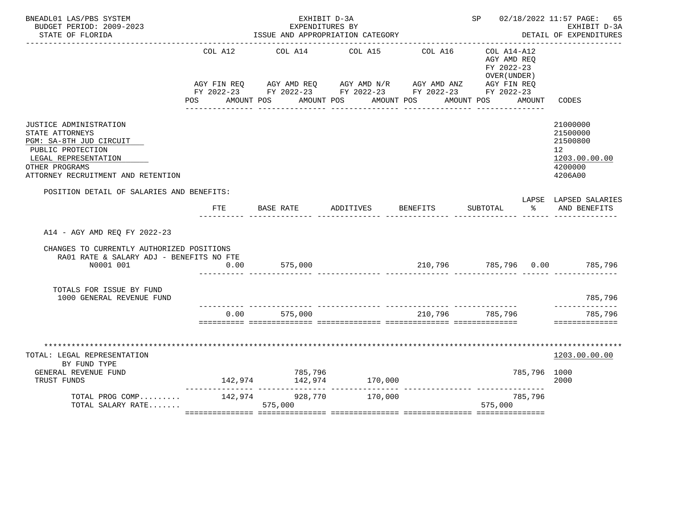| BNEADL01 LAS/PBS SYSTEM<br>BUDGET PERIOD: 2009-2023<br>STATE OF FLORIDA                                                                                                   |                | EXHIBIT D-3A<br>EXPENDITURES BY<br>ISSUE AND APPROPRIATION CATEGORY                                                                                       |                 |          | SP 02/18/2022 11:57 PAGE: 65                                                        | EXHIBIT D-3A<br>DETAIL OF EXPENDITURES                                                     |
|---------------------------------------------------------------------------------------------------------------------------------------------------------------------------|----------------|-----------------------------------------------------------------------------------------------------------------------------------------------------------|-----------------|----------|-------------------------------------------------------------------------------------|--------------------------------------------------------------------------------------------|
|                                                                                                                                                                           | COL A12<br>POS | AGY FIN REQ AGY AMD REQ AGY AMD N/R AGY AMD ANZ AGY FIN REQ<br>FY 2022-23 FY 2022-23 FY 2022-23 FY 2022-23 FY 2022-23<br>AMOUNT POS AMOUNT POS AMOUNT POS | COL A14 COL A15 | COL A16  | $COL A14- A12$<br>AGY AMD REQ<br>FY 2022-23<br>OVER (UNDER)<br>AMOUNT POS<br>AMOUNT | CODES                                                                                      |
| JUSTICE ADMINISTRATION<br>STATE ATTORNEYS<br>PGM: SA-8TH JUD CIRCUIT<br>PUBLIC PROTECTION<br>LEGAL REPRESENTATION<br>OTHER PROGRAMS<br>ATTORNEY RECRUITMENT AND RETENTION |                |                                                                                                                                                           |                 |          |                                                                                     | 21000000<br>21500000<br>21500800<br>12 <sup>7</sup><br>1203.00.00.00<br>4200000<br>4206A00 |
| POSITION DETAIL OF SALARIES AND BENEFITS:                                                                                                                                 | FTE            | BASE RATE                                                                                                                                                 | ADDITIVES       | BENEFITS | SUBTOTAL<br>$\sim$ $\approx$                                                        | LAPSE LAPSED SALARIES<br>AND BENEFITS                                                      |
| A14 - AGY AMD REQ FY 2022-23<br>CHANGES TO CURRENTLY AUTHORIZED POSITIONS<br>RA01 RATE & SALARY ADJ - BENEFITS NO FTE<br>N0001 001                                        | 0.00           | 575,000                                                                                                                                                   |                 |          | 210,796 785,796 0.00 785,796                                                        |                                                                                            |
| TOTALS FOR ISSUE BY FUND<br>1000 GENERAL REVENUE FUND                                                                                                                     |                |                                                                                                                                                           |                 |          |                                                                                     | 785,796                                                                                    |
|                                                                                                                                                                           |                | $0.00$ 575,000                                                                                                                                            |                 |          | 210,796 785,796                                                                     | _________<br>785,796<br>==============                                                     |
| *******************************<br>TOTAL: LEGAL REPRESENTATION<br>BY FUND TYPE<br>GENERAL REVENUE FUND<br>TRUST FUNDS                                                     |                | 785,796                                                                                                                                                   |                 |          | 785,796 1000                                                                        | ****************<br>1203.00.00.00<br>2000                                                  |
| TOTAL PROG COMP<br>TOTAL SALARY RATE                                                                                                                                      |                | 142,974 928,770<br>575,000                                                                                                                                | 170,000         |          | 785,796<br>575,000                                                                  |                                                                                            |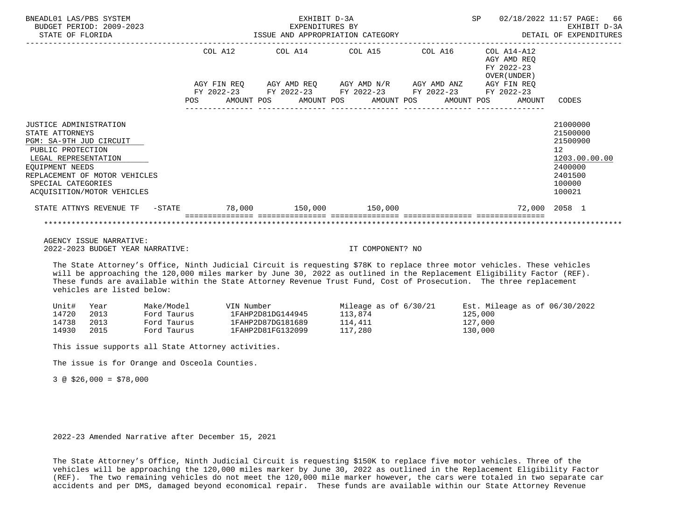| BNEADL01 LAS/PBS SYSTEM<br>BUDGET PERIOD: 2009-2023<br>STATE OF FLORIDA                                                                                                                                                   |            | EXHIBIT D-3A<br>EXPENDITURES BY |                                  | ISSUE AND APPROPRIATION CATEGORY                                                                                         | SP                                                       | 66<br>02/18/2022 11:57 PAGE:<br>EXHIBIT D-3A<br>DETAIL OF EXPENDITURES                            |
|---------------------------------------------------------------------------------------------------------------------------------------------------------------------------------------------------------------------------|------------|---------------------------------|----------------------------------|--------------------------------------------------------------------------------------------------------------------------|----------------------------------------------------------|---------------------------------------------------------------------------------------------------|
|                                                                                                                                                                                                                           | COL A12    |                                 |                                  | COL A14 COL A15 COL A16                                                                                                  | COL A14-A12<br>AGY AMD REO<br>FY 2022-23<br>OVER (UNDER) |                                                                                                   |
|                                                                                                                                                                                                                           | <b>POS</b> |                                 | AMOUNT POS AMOUNT POS AMOUNT POS | AGY FIN REQ AGY AMD REQ AGY AMD N/R AGY AMD ANZ AGY FIN REQ<br>FY 2022-23 FY 2022-23 FY 2022-23 FY 2022-23<br>AMOUNT POS | FY 2022-23<br>AMOUNT                                     | CODES                                                                                             |
| JUSTICE ADMINISTRATION<br>STATE ATTORNEYS<br>PGM: SA-9TH JUD CIRCUIT<br>PUBLIC PROTECTION<br>LEGAL REPRESENTATION<br>EOUIPMENT NEEDS<br>REPLACEMENT OF MOTOR VEHICLES<br>SPECIAL CATEGORIES<br>ACOUISITION/MOTOR VEHICLES |            |                                 |                                  |                                                                                                                          |                                                          | 21000000<br>21500000<br>21500900<br>12<br>1203.00.00.00<br>2400000<br>2401500<br>100000<br>100021 |
| STATE ATTNYS REVENUE TF - STATE 578,000 150,000 150,000 150,000                                                                                                                                                           |            |                                 |                                  |                                                                                                                          |                                                          | 72,000 2058 1                                                                                     |
|                                                                                                                                                                                                                           |            |                                 |                                  |                                                                                                                          |                                                          |                                                                                                   |

 AGENCY ISSUE NARRATIVE: 2022-2023 BUDGET YEAR NARRATIVE: IT COMPONENT? NO

 The State Attorney's Office, Ninth Judicial Circuit is requesting \$78K to replace three motor vehicles. These vehicles will be approaching the 120,000 miles marker by June 30, 2022 as outlined in the Replacement Eligibility Factor (REF). These funds are available within the State Attorney Revenue Trust Fund, Cost of Prosecution. The three replacement vehicles are listed below:

| Unit# | Year | Make/Model  | VIN Number        | Mileage as of $6/30/21$ | Est. Mileage as of $06/30/2022$ |
|-------|------|-------------|-------------------|-------------------------|---------------------------------|
| 14720 | 2013 | Ford Taurus | 1FAHP2D81DG144945 | 113,874                 | 125,000                         |
| 14738 | 2013 | Ford Taurus | 1FAHP2D87DG181689 | 114,411                 | 127,000                         |
| 14930 | 2015 | Ford Taurus | 1FAHP2D81FG132099 | 117,280                 | 130,000                         |

This issue supports all State Attorney activities.

The issue is for Orange and Osceola Counties.

3 @ \$26,000 = \$78,000

2022-23 Amended Narrative after December 15, 2021

 The State Attorney's Office, Ninth Judicial Circuit is requesting \$150K to replace five motor vehicles. Three of the vehicles will be approaching the 120,000 miles marker by June 30, 2022 as outlined in the Replacement Eligibility Factor (REF). The two remaining vehicles do not meet the 120,000 mile marker however, the cars were totaled in two separate car accidents and per DMS, damaged beyond economical repair. These funds are available within our State Attorney Revenue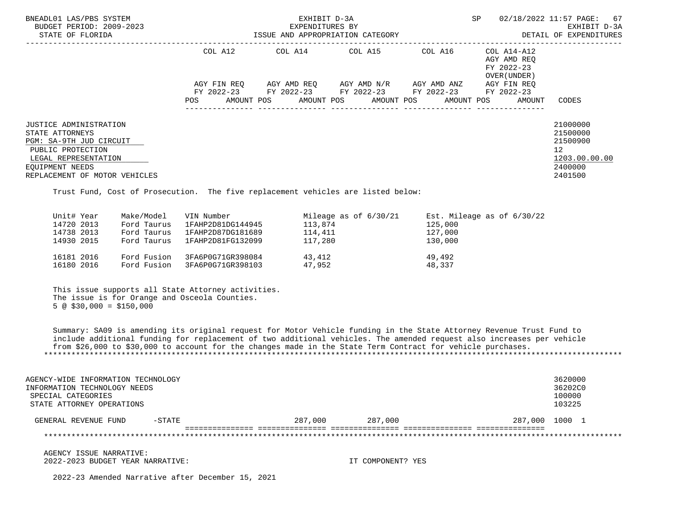| BNEADL01 LAS/PBS SYSTEM<br>BUDGET PERIOD: 2009-2023<br>STATE OF FLORIDA                                                                                                      |         | EXHIBIT D-3A<br>EXPENDITURES BY | ISSUE AND APPROPRIATION CATEGORY                                                                                                              |         | SP                                                       | 02/18/2022 11:57 PAGE: 67<br>EXHIBIT D-3A<br>DETAIL OF EXPENDITURES           |
|------------------------------------------------------------------------------------------------------------------------------------------------------------------------------|---------|---------------------------------|-----------------------------------------------------------------------------------------------------------------------------------------------|---------|----------------------------------------------------------|-------------------------------------------------------------------------------|
|                                                                                                                                                                              | COL A12 |                                 | COL A14 COL A15                                                                                                                               | COL A16 | COL A14-A12<br>AGY AMD REO<br>FY 2022-23<br>OVER (UNDER) |                                                                               |
|                                                                                                                                                                              | POS     |                                 | AGY FIN REQ 6GY AMD REQ 6GY AMD N/R 6GY AMD ANZ<br>FY 2022-23 FY 2022-23 FY 2022-23 FY 2022-23<br>AMOUNT POS AMOUNT POS AMOUNT POS AMOUNT POS |         | AGY FIN REO<br>FY 2022-23<br>AMOUNT                      | CODES                                                                         |
| <b>JUSTICE ADMINISTRATION</b><br>STATE ATTORNEYS<br>PGM: SA-9TH JUD CIRCUIT<br>PUBLIC PROTECTION<br>LEGAL REPRESENTATION<br>EOUIPMENT NEEDS<br>REPLACEMENT OF MOTOR VEHICLES |         |                                 |                                                                                                                                               |         |                                                          | 21000000<br>21500000<br>21500900<br>12<br>1203.00.00.00<br>2400000<br>2401500 |

Trust Fund, Cost of Prosecution. The five replacement vehicles are listed below:

| Unit# Year |            | Make/Model  | VIN Number        | Mileage as of $6/30/21$ | Est. Mileage as of $6/30/22$ |
|------------|------------|-------------|-------------------|-------------------------|------------------------------|
| 14720 2013 |            | Ford Taurus | 1FAHP2D81DG144945 | 113,874                 | 125,000                      |
| 14738 2013 |            | Ford Taurus | 1FAHP2D87DG181689 | 114,411                 | 127,000                      |
|            | 14930 2015 | Ford Taurus | 1FAHP2D81FG132099 | 117,280                 | 130,000                      |
| 16181 2016 |            | Ford Fusion | 3FA6P0G71GR398084 | 43,412                  | 49,492                       |
|            | 16180 2016 | Ford Fusion | 3FA6P0G71GR398103 | 47,952                  | 48,337                       |

 This issue supports all State Attorney activities. The issue is for Orange and Osceola Counties.  $5 \circledcirc$  \$30,000 = \$150,000

 Summary: SA09 is amending its original request for Motor Vehicle funding in the State Attorney Revenue Trust Fund to include additional funding for replacement of two additional vehicles. The amended request also increases per vehicle from \$26,000 to \$30,000 to account for the changes made in the State Term Contract for vehicle purchases. \*\*\*\*\*\*\*\*\*\*\*\*\*\*\*\*\*\*\*\*\*\*\*\*\*\*\*\*\*\*\*\*\*\*\*\*\*\*\*\*\*\*\*\*\*\*\*\*\*\*\*\*\*\*\*\*\*\*\*\*\*\*\*\*\*\*\*\*\*\*\*\*\*\*\*\*\*\*\*\*\*\*\*\*\*\*\*\*\*\*\*\*\*\*\*\*\*\*\*\*\*\*\*\*\*\*\*\*\*\*\*\*\*\*\*\*\*\*\*\*\*\*\*\*\*\*\*

| AGENCY-WIDE INFORMATION TECHNOLOGY<br>INFORMATION TECHNOLOGY NEEDS<br>SPECIAL CATEGORIES<br>STATE ATTORNEY OPERATIONS |          |         |         |                | 3620000<br>36202C0<br>100000<br>103225 |  |
|-----------------------------------------------------------------------------------------------------------------------|----------|---------|---------|----------------|----------------------------------------|--|
| GENERAL REVENUE FUND                                                                                                  | $-STATE$ | 287,000 | 287,000 | 287,000 1000 1 |                                        |  |
|                                                                                                                       |          |         |         |                |                                        |  |

 AGENCY ISSUE NARRATIVE: 2022-2023 BUDGET YEAR NARRATIVE: IT COMPONENT? YES

2022-23 Amended Narrative after December 15, 2021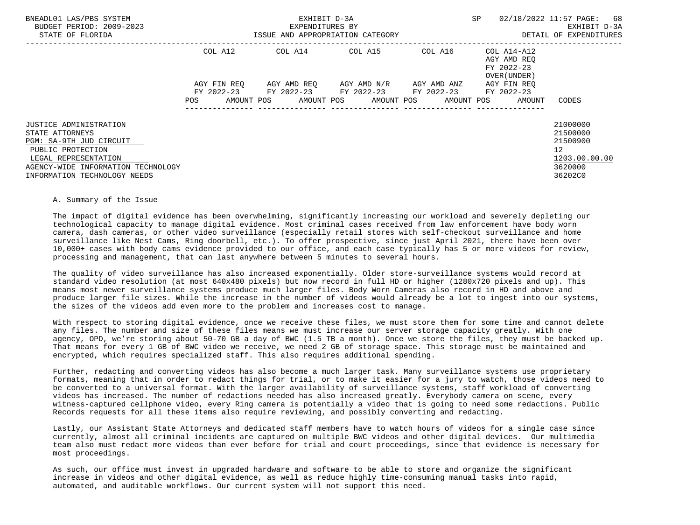| BNEADL01 LAS/PBS SYSTEM<br>BUDGET PERIOD: 2009-2023<br>STATE OF FLORIDA |     |             | EXHIBIT D-3A<br>EXPENDITURES BY<br>ISSUE AND APPROPRIATION CATEGORY |  |             |                          | SP |                                                                  | 02/18/2022 11:57 PAGE:<br>68<br>EXHIBIT D-3A<br>DETAIL OF EXPENDITURES |  |
|-------------------------------------------------------------------------|-----|-------------|---------------------------------------------------------------------|--|-------------|--------------------------|----|------------------------------------------------------------------|------------------------------------------------------------------------|--|
|                                                                         |     | COL A12     | COL A14 COL A15                                                     |  |             |                          |    | COL A16 COL A14-A12<br>AGY AMD REO<br>FY 2022-23<br>OVER (UNDER) |                                                                        |  |
|                                                                         |     | AGY FIN REO | AGY AMD REO AGY AMD N/R                                             |  | AGY AMD ANZ |                          |    | AGY FIN REO                                                      |                                                                        |  |
|                                                                         | POS | AMOUNT POS  | FY 2022-23 FY 2022-23 FY 2022-23<br>AMOUNT POS AMOUNT POS           |  |             | FY 2022-23<br>AMOUNT POS |    | FY 2022-23<br>AMOUNT                                             | CODES                                                                  |  |
|                                                                         |     |             |                                                                     |  |             |                          |    |                                                                  |                                                                        |  |
| JUSTICE ADMINISTRATION                                                  |     |             |                                                                     |  |             |                          |    |                                                                  | 21000000                                                               |  |
| STATE ATTORNEYS                                                         |     |             |                                                                     |  |             |                          |    |                                                                  | 21500000                                                               |  |
| PGM: SA-9TH JUD CIRCUIT                                                 |     |             |                                                                     |  |             |                          |    |                                                                  | 21500900                                                               |  |
| PUBLIC PROTECTION                                                       |     |             |                                                                     |  |             |                          |    |                                                                  | 12 <sup>°</sup>                                                        |  |
| LEGAL REPRESENTATION                                                    |     |             |                                                                     |  |             |                          |    |                                                                  | 1203.00.00.00                                                          |  |
| AGENCY-WIDE INFORMATION TECHNOLOGY                                      |     |             |                                                                     |  |             |                          |    |                                                                  | 3620000                                                                |  |
| INFORMATION TECHNOLOGY NEEDS                                            |     |             |                                                                     |  |             |                          |    |                                                                  | 36202C0                                                                |  |

## A. Summary of the Issue

 The impact of digital evidence has been overwhelming, significantly increasing our workload and severely depleting our technological capacity to manage digital evidence. Most criminal cases received from law enforcement have body worn camera, dash cameras, or other video surveillance (especially retail stores with self-checkout surveillance and home surveillance like Nest Cams, Ring doorbell, etc.). To offer prospective, since just April 2021, there have been over 10,000+ cases with body cams evidence provided to our office, and each case typically has 5 or more videos for review, processing and management, that can last anywhere between 5 minutes to several hours.

 The quality of video surveillance has also increased exponentially. Older store-surveillance systems would record at standard video resolution (at most 640x480 pixels) but now record in full HD or higher (1280x720 pixels and up). This means most newer surveillance systems produce much larger files. Body Worn Cameras also record in HD and above and produce larger file sizes. While the increase in the number of videos would already be a lot to ingest into our systems, the sizes of the videos add even more to the problem and increases cost to manage.

 With respect to storing digital evidence, once we receive these files, we must store them for some time and cannot delete any files. The number and size of these files means we must increase our server storage capacity greatly. With one agency, OPD, we're storing about 50-70 GB a day of BWC (1.5 TB a month). Once we store the files, they must be backed up. That means for every 1 GB of BWC video we receive, we need 2 GB of storage space. This storage must be maintained and encrypted, which requires specialized staff. This also requires additional spending.

 Further, redacting and converting videos has also become a much larger task. Many surveillance systems use proprietary formats, meaning that in order to redact things for trial, or to make it easier for a jury to watch, those videos need to be converted to a universal format. With the larger availability of surveillance systems, staff workload of converting videos has increased. The number of redactions needed has also increased greatly. Everybody camera on scene, every witness-captured cellphone video, every Ring camera is potentially a video that is going to need some redactions. Public Records requests for all these items also require reviewing, and possibly converting and redacting.

 Lastly, our Assistant State Attorneys and dedicated staff members have to watch hours of videos for a single case since currently, almost all criminal incidents are captured on multiple BWC videos and other digital devices. Our multimedia team also must redact more videos than ever before for trial and court proceedings, since that evidence is necessary for most proceedings.

 As such, our office must invest in upgraded hardware and software to be able to store and organize the significant increase in videos and other digital evidence, as well as reduce highly time-consuming manual tasks into rapid, automated, and auditable workflows. Our current system will not support this need.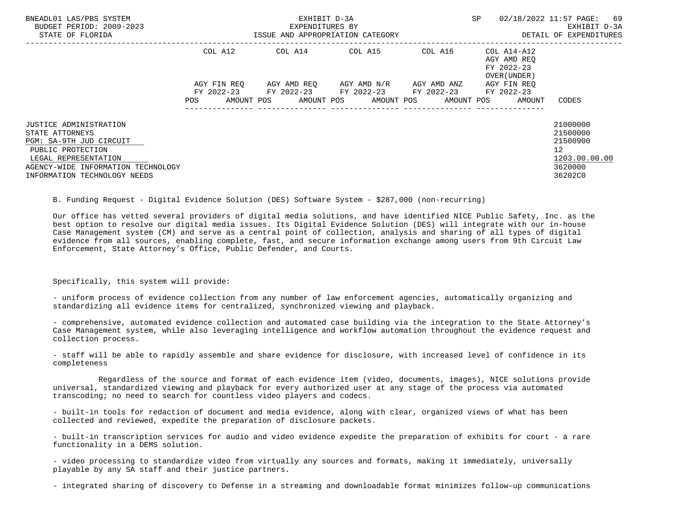| BNEADL01 LAS/PBS SYSTEM<br>BUDGET PERIOD: 2009-2023<br>STATE OF FLORIDA         |             | EXHIBIT D-3A<br>EXPENDITURES BY<br>ISSUE AND APPROPRIATION CATEGORY |                                     |                     | <b>SP</b>                                 | 02/18/2022 11:57 PAGE:<br>69<br>EXHIBIT D-3A<br>DETAIL OF EXPENDITURES |
|---------------------------------------------------------------------------------|-------------|---------------------------------------------------------------------|-------------------------------------|---------------------|-------------------------------------------|------------------------------------------------------------------------|
|                                                                                 | COL A12     | COL A14 COL A15                                                     |                                     | COL A16 COL A14-A12 | AGY AMD REO<br>FY 2022-23<br>OVER (UNDER) |                                                                        |
|                                                                                 | AGY FIN REO | FY 2022-23 FY 2022-23 FY 2022-23 FY 2022-23 FY 2022-23              | AGY AMD REO AGY AMD N/R AGY AMD ANZ |                     | AGY FIN REO                               |                                                                        |
|                                                                                 | POS         | AMOUNT POS AMOUNT POS AMOUNT POS AMOUNT POS                         |                                     |                     | AMOUNT                                    | CODES                                                                  |
| JUSTICE ADMINISTRATION<br>STATE ATTORNEYS<br>PGM: SA-9TH JUD CIRCUIT            |             |                                                                     |                                     |                     |                                           | 21000000<br>21500000<br>21500900                                       |
| PUBLIC PROTECTION<br>LEGAL REPRESENTATION<br>AGENCY-WIDE INFORMATION TECHNOLOGY |             |                                                                     |                                     |                     |                                           | 12 <sup>°</sup><br>1203.00.00.00<br>3620000                            |
| INFORMATION TECHNOLOGY NEEDS                                                    |             |                                                                     |                                     |                     |                                           | 36202C0                                                                |

B. Funding Request - Digital Evidence Solution (DES) Software System - \$287,000 (non-recurring)

 Our office has vetted several providers of digital media solutions, and have identified NICE Public Safety, Inc. as the best option to resolve our digital media issues. Its Digital Evidence Solution (DES) will integrate with our in-house Case Management system (CM) and serve as a central point of collection, analysis and sharing of all types of digital evidence from all sources, enabling complete, fast, and secure information exchange among users from 9th Circuit Law Enforcement, State Attorney's Office, Public Defender, and Courts.

Specifically, this system will provide:

 - uniform process of evidence collection from any number of law enforcement agencies, automatically organizing and standardizing all evidence items for centralized, synchronized viewing and playback.

 - comprehensive, automated evidence collection and automated case building via the integration to the State Attorney's Case Management system, while also leveraging intelligence and workflow automation throughout the evidence request and collection process.

 - staff will be able to rapidly assemble and share evidence for disclosure, with increased level of confidence in its completeness

 Regardless of the source and format of each evidence item (video, documents, images), NICE solutions provide universal, standardized viewing and playback for every authorized user at any stage of the process via automated transcoding; no need to search for countless video players and codecs.

 - built-in tools for redaction of document and media evidence, along with clear, organized views of what has been collected and reviewed, expedite the preparation of disclosure packets.

 - built-in transcription services for audio and video evidence expedite the preparation of exhibits for court - a rare functionality in a DEMS solution.

 - video processing to standardize video from virtually any sources and formats, making it immediately, universally playable by any SA staff and their justice partners.

- integrated sharing of discovery to Defense in a streaming and downloadable format minimizes follow-up communications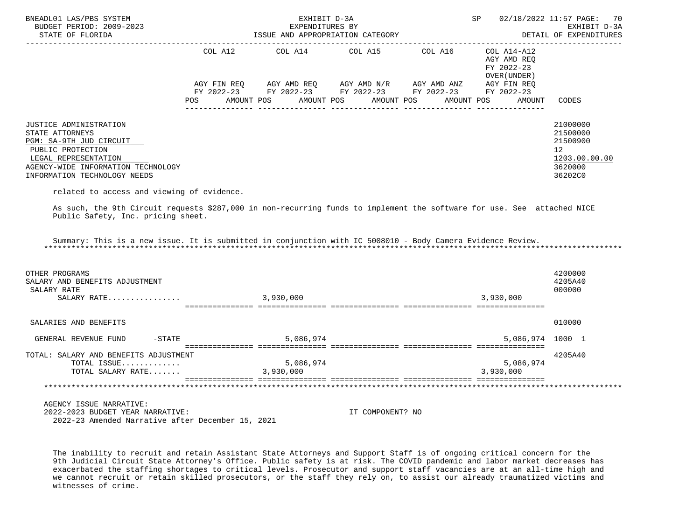| BNEADL01 LAS/PBS SYSTEM<br>BUDGET PERIOD: 2009-2023<br>STATE OF FLORIDA                                                                                                                                                               |            | EXHIBIT D-3A<br>EXPENDITURES BY<br>ISSUE AND APPROPRIATION CATEGORY                        |                  | SP 02/18/2022 11:57 PAGE: 70                              | EXHIBIT D-3A<br>DETAIL OF EXPENDITURES                                        |
|---------------------------------------------------------------------------------------------------------------------------------------------------------------------------------------------------------------------------------------|------------|--------------------------------------------------------------------------------------------|------------------|-----------------------------------------------------------|-------------------------------------------------------------------------------|
|                                                                                                                                                                                                                                       |            | COL A12 COL A14 COL A15 COL A16                                                            |                  | COL A14-A12<br>AGY AMD REQ<br>FY 2022-23<br>OVER (UNDER ) |                                                                               |
|                                                                                                                                                                                                                                       |            | AGY FIN REQ AGY AMD REQ AGY AMD N/R AGY AMD ANZ AGY FIN REQ                                |                  |                                                           |                                                                               |
|                                                                                                                                                                                                                                       | <b>POS</b> | FY 2022-23 FY 2022-23 FY 2022-23 FY 2022-23 FY 2022-23<br>AMOUNT POS AMOUNT POS AMOUNT POS |                  | AMOUNT POS<br>AMOUNT                                      | CODES                                                                         |
| JUSTICE ADMINISTRATION<br>STATE ATTORNEYS<br>PGM: SA-9TH JUD CIRCUIT<br>PUBLIC PROTECTION<br>LEGAL REPRESENTATION<br>AGENCY-WIDE INFORMATION TECHNOLOGY<br>INFORMATION TECHNOLOGY NEEDS<br>related to access and viewing of evidence. |            |                                                                                            |                  |                                                           | 21000000<br>21500000<br>21500900<br>12<br>1203.00.00.00<br>3620000<br>36202C0 |
| As such, the 9th Circuit requests \$287,000 in non-recurring funds to implement the software for use. See attached NICE<br>Public Safety, Inc. pricing sheet.                                                                         |            |                                                                                            |                  |                                                           |                                                                               |
| Summary: This is a new issue. It is submitted in conjunction with IC 5008010 - Body Camera Evidence Review.                                                                                                                           |            |                                                                                            |                  |                                                           |                                                                               |
| OTHER PROGRAMS<br>SALARY AND BENEFITS ADJUSTMENT<br>SALARY RATE<br>SALARY RATE                                                                                                                                                        |            | 3,930,000                                                                                  |                  | 3,930,000                                                 | 4200000<br>4205A40<br>000000                                                  |
|                                                                                                                                                                                                                                       |            |                                                                                            |                  |                                                           |                                                                               |
| SALARIES AND BENEFITS                                                                                                                                                                                                                 |            |                                                                                            |                  |                                                           | 010000                                                                        |
| GENERAL REVENUE FUND                                                                                                                                                                                                                  | $-STATE$   | 5,086,974                                                                                  |                  | 5,086,974 1000 1                                          |                                                                               |
| TOTAL: SALARY AND BENEFITS ADJUSTMENT<br>TOTAL ISSUE<br>TOTAL SALARY RATE                                                                                                                                                             |            | 5,086,974<br>3,930,000                                                                     |                  | 5,086,974<br>3,930,000                                    | 4205A40                                                                       |
|                                                                                                                                                                                                                                       |            |                                                                                            |                  |                                                           |                                                                               |
|                                                                                                                                                                                                                                       |            |                                                                                            |                  |                                                           |                                                                               |
| AGENCY ISSUE NARRATIVE:<br>2022-2023 BUDGET YEAR NARRATIVE:<br>2022-23 Amended Narrative after December 15, 2021                                                                                                                      |            |                                                                                            | IT COMPONENT? NO |                                                           |                                                                               |

 The inability to recruit and retain Assistant State Attorneys and Support Staff is of ongoing critical concern for the 9th Judicial Circuit State Attorney's Office. Public safety is at risk. The COVID pandemic and labor market decreases has exacerbated the staffing shortages to critical levels. Prosecutor and support staff vacancies are at an all-time high and we cannot recruit or retain skilled prosecutors, or the staff they rely on, to assist our already traumatized victims and witnesses of crime.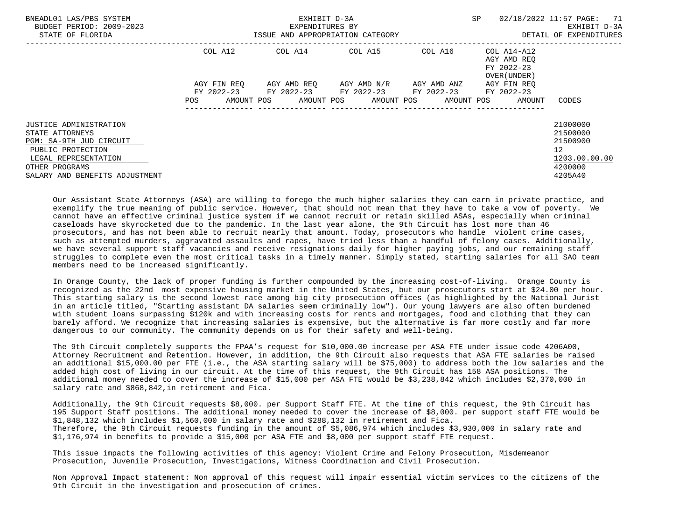| BNEADL01 LAS/PBS SYSTEM<br>BUDGET PERIOD: 2009-2023<br>STATE OF FLORIDA                                                                                               |                          | EXHIBIT D-3A<br>EXPENDITURES BY<br>ISSUE AND APPROPRIATION CATEGORY |                         |             | SP                                                      | 02/18/2022 11:57 PAGE:<br>-71<br>EXHIBIT D-3A<br>DETAIL OF EXPENDITURES                    |
|-----------------------------------------------------------------------------------------------------------------------------------------------------------------------|--------------------------|---------------------------------------------------------------------|-------------------------|-------------|---------------------------------------------------------|--------------------------------------------------------------------------------------------|
|                                                                                                                                                                       | COL A12                  | COL A14 COL A15 COL A16 COL A14-A12                                 |                         |             | AGY AMD REO<br>FY 2022-23<br>OVER (UNDER)               |                                                                                            |
|                                                                                                                                                                       | AGY FIN REO              | FY 2022-23 FY 2022-23 FY 2022-23 FY 2022-23 FY 2022-23              | AGY AMD REO AGY AMD N/R | AGY AMD ANZ | AGY FIN REO                                             |                                                                                            |
|                                                                                                                                                                       | <b>POS</b><br>AMOUNT POS |                                                                     |                         |             | AMOUNT POS       AMOUNT POS      AMOUNT POS      AMOUNT | CODES                                                                                      |
| JUSTICE ADMINISTRATION<br>STATE ATTORNEYS<br>PGM: SA-9TH JUD CIRCUIT<br>PUBLIC PROTECTION<br>LEGAL REPRESENTATION<br>OTHER PROGRAMS<br>SALARY AND BENEFITS ADJUSTMENT |                          |                                                                     |                         |             |                                                         | 21000000<br>21500000<br>21500900<br>12 <sup>°</sup><br>1203.00.00.00<br>4200000<br>4205A40 |

 Our Assistant State Attorneys (ASA) are willing to forego the much higher salaries they can earn in private practice, and exemplify the true meaning of public service. However, that should not mean that they have to take a vow of poverty. We cannot have an effective criminal justice system if we cannot recruit or retain skilled ASAs, especially when criminal caseloads have skyrocketed due to the pandemic. In the last year alone, the 9th Circuit has lost more than 46 prosecutors, and has not been able to recruit nearly that amount. Today, prosecutors who handle violent crime cases, such as attempted murders, aggravated assaults and rapes, have tried less than a handful of felony cases. Additionally, we have several support staff vacancies and receive resignations daily for higher paying jobs, and our remaining staff struggles to complete even the most critical tasks in a timely manner. Simply stated, starting salaries for all SAO team members need to be increased significantly.

 In Orange County, the lack of proper funding is further compounded by the increasing cost-of-living. Orange County is recognized as the 22nd most expensive housing market in the United States, but our prosecutors start at \$24.00 per hour. This starting salary is the second lowest rate among big city prosecution offices (as highlighted by the National Jurist in an article titled, "Starting assistant DA salaries seem criminally low"). Our young lawyers are also often burdened with student loans surpassing \$120k and with increasing costs for rents and mortgages, food and clothing that they can barely afford. We recognize that increasing salaries is expensive, but the alternative is far more costly and far more dangerous to our community. The community depends on us for their safety and well-being.

 The 9th Circuit completely supports the FPAA's request for \$10,000.00 increase per ASA FTE under issue code 4206A00, Attorney Recruitment and Retention. However, in addition, the 9th Circuit also requests that ASA FTE salaries be raised an additional \$15,000.00 per FTE (i.e., the ASA starting salary will be \$75,000) to address both the low salaries and the added high cost of living in our circuit. At the time of this request, the 9th Circuit has 158 ASA positions. The additional money needed to cover the increase of \$15,000 per ASA FTE would be \$3,238,842 which includes \$2,370,000 in salary rate and \$868,842,in retirement and Fica.

 Additionally, the 9th Circuit requests \$8,000. per Support Staff FTE. At the time of this request, the 9th Circuit has 195 Support Staff positions. The additional money needed to cover the increase of \$8,000. per support staff FTE would be \$1,848,132 which includes \$1,560,000 in salary rate and \$288,132 in retirement and Fica. Therefore, the 9th Circuit requests funding in the amount of \$5,086,974 which includes \$3,930,000 in salary rate and \$1,176,974 in benefits to provide a \$15,000 per ASA FTE and \$8,000 per support staff FTE request.

 This issue impacts the following activities of this agency: Violent Crime and Felony Prosecution, Misdemeanor Prosecution, Juvenile Prosecution, Investigations, Witness Coordination and Civil Prosecution.

 Non Approval Impact statement: Non approval of this request will impair essential victim services to the citizens of the 9th Circuit in the investigation and prosecution of crimes.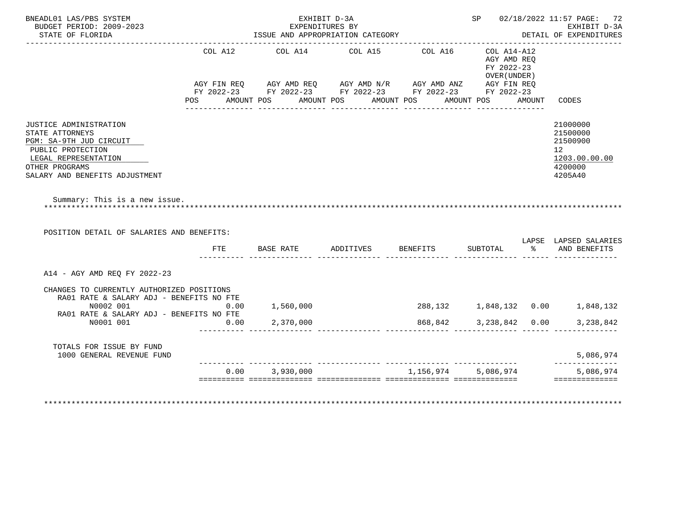| BNEADL01 LAS/PBS SYSTEM                                                                                    |            |            | EXHIBIT D-3A                                                                                                                                                         |                        |                                                          |        | SP 02/18/2022 11:57 PAGE: 72                                                               |
|------------------------------------------------------------------------------------------------------------|------------|------------|----------------------------------------------------------------------------------------------------------------------------------------------------------------------|------------------------|----------------------------------------------------------|--------|--------------------------------------------------------------------------------------------|
| BUDGET PERIOD: 2009-2023<br>STATE OF FLORIDA                                                               |            |            | EXPENDITURES BY<br>ISSUE AND APPROPRIATION CATEGORY                                                                                                                  |                        |                                                          |        | EXHIBIT D-3A<br>DETAIL OF EXPENDITURES                                                     |
| POS                                                                                                        | COL A12    | AMOUNT POS | COL A14 COL A15<br>AGY FIN REQ AGY AMD REQ AGY AMD N/R AGY AMD ANZ AGY FIN REQ<br>FY 2022-23 FY 2022-23 FY 2022-23 FY 2022-23 FY 2022-23<br>AMOUNT POS<br>AMOUNT POS | COL A16<br>AMOUNT POS  | COL A14-A12<br>AGY AMD REO<br>FY 2022-23<br>OVER (UNDER) | AMOUNT | CODES                                                                                      |
| JUSTICE ADMINISTRATION<br>STATE ATTORNEYS<br>PGM: SA-9TH JUD CIRCUIT<br>PUBLIC PROTECTION                  |            |            |                                                                                                                                                                      |                        |                                                          |        | 21000000<br>21500000<br>21500900<br>12 <sup>°</sup><br>1203.00.00.00<br>4200000<br>4205A40 |
| LEGAL REPRESENTATION<br>OTHER PROGRAMS<br>SALARY AND BENEFITS ADJUSTMENT                                   |            |            |                                                                                                                                                                      |                        |                                                          |        |                                                                                            |
| Summary: This is a new issue.<br>POSITION DETAIL OF SALARIES AND BENEFITS:                                 |            |            |                                                                                                                                                                      |                        |                                                          |        | LAPSE LAPSED SALARIES                                                                      |
|                                                                                                            | <b>FTE</b> | BASE RATE  | ADDITIVES BENEFITS                                                                                                                                                   |                        | SUBTOTAL                                                 |        | % AND BENEFITS                                                                             |
| A14 - AGY AMD REO FY 2022-23                                                                               |            |            |                                                                                                                                                                      |                        |                                                          |        |                                                                                            |
| CHANGES TO CURRENTLY AUTHORIZED POSITIONS<br>RA01 RATE & SALARY ADJ - BENEFITS NO FTE<br>N0002 001<br>0.00 |            | 1,560,000  |                                                                                                                                                                      |                        |                                                          |        | 288,132 1,848,132 0.00 1,848,132                                                           |
| RA01 RATE & SALARY ADJ - BENEFITS NO FTE<br>N0001 001                                                      | 0.00       | 2,370,000  |                                                                                                                                                                      | 868,842 3,238,842 0.00 |                                                          |        | 3,238,842                                                                                  |
| TOTALS FOR ISSUE BY FUND<br>1000 GENERAL REVENUE FUND                                                      |            |            |                                                                                                                                                                      |                        |                                                          |        | 5,086,974<br>-------------                                                                 |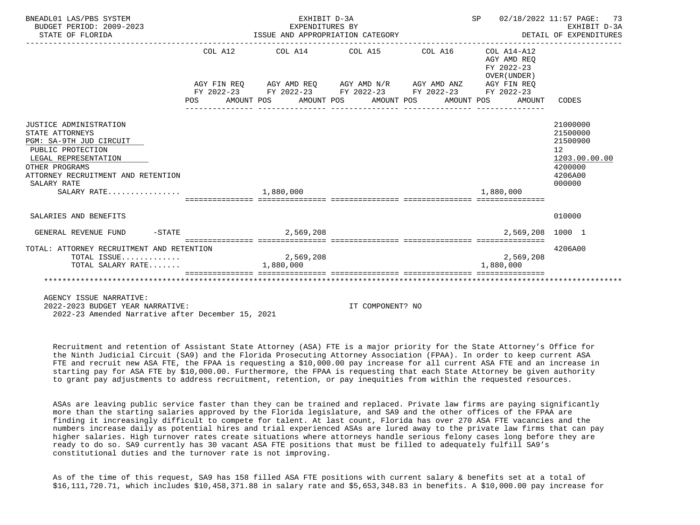| BNEADL01 LAS/PBS SYSTEM<br>BUDGET PERIOD: 2009-2023<br>STATE OF FLORIDA                                                                                                                                 |     | EXHIBIT D-3A<br>EXPENDITURES BY<br>ISSUE AND APPROPRIATION CATEGORY<br>--------------------------------- | SP 02/18/2022 11:57 PAGE:<br>___________________________________                                                                                                                             | 73<br>EXHIBIT D-3A<br>DETAIL OF EXPENDITURES |                                                                    |                                                                                                      |
|---------------------------------------------------------------------------------------------------------------------------------------------------------------------------------------------------------|-----|----------------------------------------------------------------------------------------------------------|----------------------------------------------------------------------------------------------------------------------------------------------------------------------------------------------|----------------------------------------------|--------------------------------------------------------------------|------------------------------------------------------------------------------------------------------|
|                                                                                                                                                                                                         | POS |                                                                                                          | COL A12 COL A14 COL A15 COL A16<br>AGY FIN REQ AGY AMD REQ AGY AMD N/R AGY AMD ANZ AGY FIN REQ<br>FY 2022-23 FY 2022-23 FY 2022-23 FY 2022-23 FY 2022-23<br>AMOUNT POS AMOUNT POS AMOUNT POS | AMOUNT POS                                   | COL A14-A12<br>AGY AMD REO<br>FY 2022-23<br>OVER (UNDER)<br>AMOUNT | CODES                                                                                                |
| JUSTICE ADMINISTRATION<br>STATE ATTORNEYS<br>PGM: SA-9TH JUD CIRCUIT<br>PUBLIC PROTECTION<br>LEGAL REPRESENTATION<br>OTHER PROGRAMS<br>ATTORNEY RECRUITMENT AND RETENTION<br>SALARY RATE<br>SALARY RATE |     | 1,880,000                                                                                                |                                                                                                                                                                                              |                                              | 1,880,000                                                          | 21000000<br>21500000<br>21500900<br>12 <sup>°</sup><br>1203.00.00.00<br>4200000<br>4206A00<br>000000 |
| SALARIES AND BENEFITS                                                                                                                                                                                   |     |                                                                                                          |                                                                                                                                                                                              |                                              |                                                                    | 010000                                                                                               |
| GENERAL REVENUE FUND                                                                                                                                                                                    |     | $-$ STATE 2,569,208                                                                                      |                                                                                                                                                                                              |                                              | 2,569,208 1000 1                                                   |                                                                                                      |
| TOTAL: ATTORNEY RECRUITMENT AND RETENTION<br>TOTAL ISSUE<br>TOTAL SALARY RATE                                                                                                                           |     | 2,569,208<br>1,880,000                                                                                   |                                                                                                                                                                                              |                                              | 2,569,208<br>1,880,000                                             | 4206A00                                                                                              |
|                                                                                                                                                                                                         |     |                                                                                                          |                                                                                                                                                                                              |                                              |                                                                    |                                                                                                      |
| AGENCY ISSUE NARRATIVE:                                                                                                                                                                                 |     |                                                                                                          |                                                                                                                                                                                              |                                              |                                                                    |                                                                                                      |

 2022-2023 BUDGET YEAR NARRATIVE: IT COMPONENT? NO 2022-23 Amended Narrative after December 15, 2021

 Recruitment and retention of Assistant State Attorney (ASA) FTE is a major priority for the State Attorney's Office for the Ninth Judicial Circuit (SA9) and the Florida Prosecuting Attorney Association (FPAA). In order to keep current ASA FTE and recruit new ASA FTE, the FPAA is requesting a \$10,000.00 pay increase for all current ASA FTE and an increase in starting pay for ASA FTE by \$10,000.00. Furthermore, the FPAA is requesting that each State Attorney be given authority to grant pay adjustments to address recruitment, retention, or pay inequities from within the requested resources.

 ASAs are leaving public service faster than they can be trained and replaced. Private law firms are paying significantly more than the starting salaries approved by the Florida legislature, and SA9 and the other offices of the FPAA are finding it increasingly difficult to compete for talent. At last count, Florida has over 270 ASA FTE vacancies and the numbers increase daily as potential hires and trial experienced ASAs are lured away to the private law firms that can pay higher salaries. High turnover rates create situations where attorneys handle serious felony cases long before they are ready to do so. SA9 currently has 30 vacant ASA FTE positions that must be filled to adequately fulfill SA9's constitutional duties and the turnover rate is not improving.

 As of the time of this request, SA9 has 158 filled ASA FTE positions with current salary & benefits set at a total of \$16,111,720.71, which includes \$10,458,371.88 in salary rate and \$5,653,348.83 in benefits. A \$10,000.00 pay increase for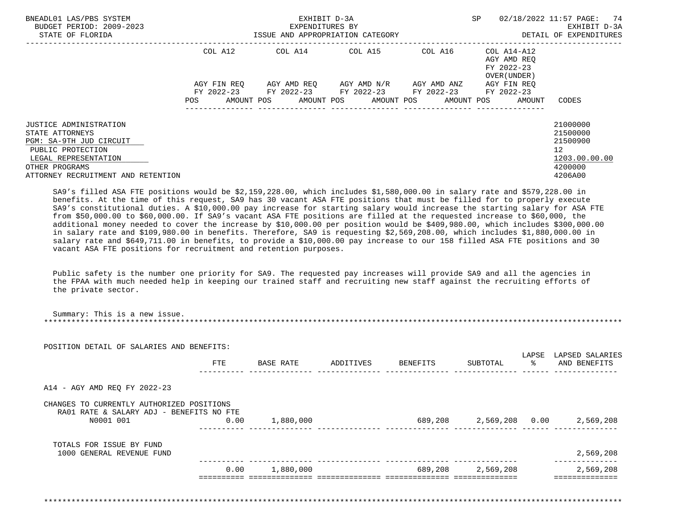| BNEADL01 LAS/PBS SYSTEM<br>BUDGET PERIOD: 2009-2023<br>STATE OF FLORIDA                                                                                                   |                                      | EXHIBIT D-3A<br>EXPENDITURES BY<br>ISSUE AND APPROPRIATION CATEGORY                                                                          | SP                                            | 02/18/2022 11:57 PAGE: 74<br>EXHIBIT D-3A<br>DETAIL OF EXPENDITURES |                                                                     |                                                                                            |
|---------------------------------------------------------------------------------------------------------------------------------------------------------------------------|--------------------------------------|----------------------------------------------------------------------------------------------------------------------------------------------|-----------------------------------------------|---------------------------------------------------------------------|---------------------------------------------------------------------|--------------------------------------------------------------------------------------------|
|                                                                                                                                                                           | COL A12<br>AGY FIN REO<br><b>POS</b> | COL A14 COL A15 COL A16 COL A14-A12<br>FY 2022-23 FY 2022-23 FY 2022-23 FY 2022-23 FY 2022-23<br>AMOUNT POS AMOUNT POS AMOUNT POS AMOUNT POS | AGY AMD REO      AGY AMD N/R      AGY AMD ANZ |                                                                     | AGY AMD REO<br>FY 2022-23<br>OVER (UNDER )<br>AGY FIN REO<br>AMOUNT | CODES                                                                                      |
| JUSTICE ADMINISTRATION<br>STATE ATTORNEYS<br>PGM: SA-9TH JUD CIRCUIT<br>PUBLIC PROTECTION<br>LEGAL REPRESENTATION<br>OTHER PROGRAMS<br>ATTORNEY RECRUITMENT AND RETENTION |                                      |                                                                                                                                              |                                               |                                                                     |                                                                     | 21000000<br>21500000<br>21500900<br>12 <sup>°</sup><br>1203.00.00.00<br>4200000<br>4206A00 |

 SA9's filled ASA FTE positions would be \$2,159,228.00, which includes \$1,580,000.00 in salary rate and \$579,228.00 in benefits. At the time of this request, SA9 has 30 vacant ASA FTE positions that must be filled for to properly execute SA9's constitutional duties. A \$10,000.00 pay increase for starting salary would increase the starting salary for ASA FTE from \$50,000.00 to \$60,000.00. If SA9's vacant ASA FTE positions are filled at the requested increase to \$60,000, the additional money needed to cover the increase by \$10,000.00 per position would be \$409,980.00, which includes \$300,000.00 in salary rate and \$109,980.00 in benefits. Therefore, SA9 is requesting \$2,569,208.00, which includes \$1,880,000.00 in salary rate and \$649,711.00 in benefits, to provide a \$10,000.00 pay increase to our 158 filled ASA FTE positions and 30 vacant ASA FTE positions for recruitment and retention purposes.

 Public safety is the number one priority for SA9. The requested pay increases will provide SA9 and all the agencies in the FPAA with much needed help in keeping our trained staff and recruiting new staff against the recruiting efforts of the private sector.

Summary: This is a new issue.

| POSITION DETAIL OF SALARIES AND BENEFITS:             |      |           |                    |                   |                                         |
|-------------------------------------------------------|------|-----------|--------------------|-------------------|-----------------------------------------|
|                                                       | FTE  | BASE RATE | ADDITIVES BENEFITS | SUBTOTAL          | LAPSE LAPSED SALARIES<br>% AND BENEFITS |
| A14 - AGY AMD REQ FY 2022-23                          |      |           |                    |                   |                                         |
| CHANGES TO CURRENTLY AUTHORIZED POSITIONS             |      |           |                    |                   |                                         |
| RA01 RATE & SALARY ADJ - BENEFITS NO FTE<br>N0001 001 | 0.00 | 1,880,000 |                    |                   | 689,208 2,569,208 0.00 2,569,208        |
| TOTALS FOR ISSUE BY FUND                              |      |           |                    |                   |                                         |
| 1000 GENERAL REVENUE FUND                             |      |           |                    |                   | 2,569,208                               |
|                                                       | 0.00 | 1,880,000 |                    | 689,208 2,569,208 | 2,569,208                               |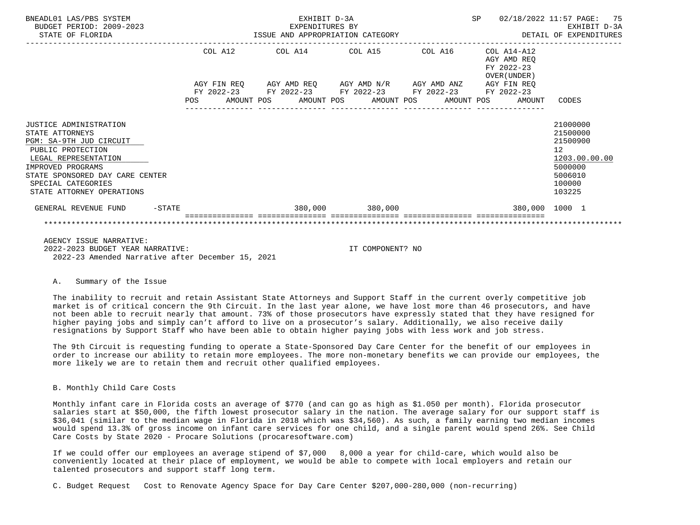| BNEADL01 LAS/PBS SYSTEM<br>BUDGET PERIOD: 2009-2023<br>STATE OF FLORIDA                                                                                                                                                      |         | EXHIBIT D-3A<br>EXPENDITURES BY<br>ISSUE AND APPROPRIATION CATEGORY                                                                                       |                 | SP 02/18/2022 11:57 PAGE: 75                                 | EXHIBIT D-3A<br>DETAIL OF EXPENDITURES                                                            |
|------------------------------------------------------------------------------------------------------------------------------------------------------------------------------------------------------------------------------|---------|-----------------------------------------------------------------------------------------------------------------------------------------------------------|-----------------|--------------------------------------------------------------|---------------------------------------------------------------------------------------------------|
|                                                                                                                                                                                                                              | COL A12 | COL A14 COL A15 COL A16                                                                                                                                   |                 | $COL A14 - A12$<br>AGY AMD REO<br>FY 2022-23<br>OVER (UNDER) |                                                                                                   |
|                                                                                                                                                                                                                              | POS     | AGY FIN REQ AGY AMD REQ AGY AMD N/R AGY AMD ANZ AGY FIN REQ<br>FY 2022-23 FY 2022-23 FY 2022-23 FY 2022-23 FY 2022-23<br>AMOUNT POS AMOUNT POS AMOUNT POS |                 | AMOUNT POS<br>AMOUNT                                         | CODES                                                                                             |
| JUSTICE ADMINISTRATION<br>STATE ATTORNEYS<br>PGM: SA-9TH JUD CIRCUIT<br>PUBLIC PROTECTION<br>LEGAL REPRESENTATION<br>IMPROVED PROGRAMS<br>STATE SPONSORED DAY CARE CENTER<br>SPECIAL CATEGORIES<br>STATE ATTORNEY OPERATIONS |         |                                                                                                                                                           |                 |                                                              | 21000000<br>21500000<br>21500900<br>12<br>1203.00.00.00<br>5000000<br>5006010<br>100000<br>103225 |
| GENERAL REVENUE FUND<br>$-$ STATE                                                                                                                                                                                            |         |                                                                                                                                                           | 380,000 380,000 | 380,000 1000 1                                               |                                                                                                   |
| AGENCY ISSUE NARRATIVE:                                                                                                                                                                                                      |         |                                                                                                                                                           |                 |                                                              |                                                                                                   |

 2022-2023 BUDGET YEAR NARRATIVE: IT COMPONENT? NO 2022-23 Amended Narrative after December 15, 2021

## A. Summary of the Issue

 The inability to recruit and retain Assistant State Attorneys and Support Staff in the current overly competitive job market is of critical concern the 9th Circuit. In the last year alone, we have lost more than 46 prosecutors, and have not been able to recruit nearly that amount. 73% of those prosecutors have expressly stated that they have resigned for higher paying jobs and simply can't afford to live on a prosecutor's salary. Additionally, we also receive daily resignations by Support Staff who have been able to obtain higher paying jobs with less work and job stress.

 The 9th Circuit is requesting funding to operate a State-Sponsored Day Care Center for the benefit of our employees in order to increase our ability to retain more employees. The more non-monetary benefits we can provide our employees, the more likely we are to retain them and recruit other qualified employees.

## B. Monthly Child Care Costs

 Monthly infant care in Florida costs an average of \$770 (and can go as high as \$1.050 per month). Florida prosecutor salaries start at \$50,000, the fifth lowest prosecutor salary in the nation. The average salary for our support staff is \$36,041 (similar to the median wage in Florida in 2018 which was \$34,560). As such, a family earning two median incomes would spend 13.3% of gross income on infant care services for one child, and a single parent would spend 26%. See Child Care Costs by State 2020 - Procare Solutions (procaresoftware.com)

 If we could offer our employees an average stipend of \$7,000 8,000 a year for child-care, which would also be conveniently located at their place of employment, we would be able to compete with local employers and retain our talented prosecutors and support staff long term.

C. Budget Request Cost to Renovate Agency Space for Day Care Center \$207,000-280,000 (non-recurring)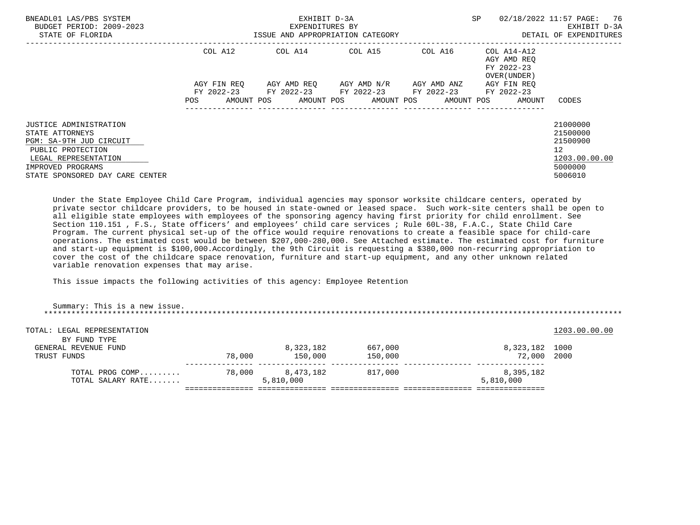| BNEADL01 LAS/PBS SYSTEM<br>BUDGET PERIOD: 2009-2023<br>STATE OF FLORIDA                                           |                           | EXHIBIT D-3A<br>EXPENDITURES BY<br>ISSUE AND APPROPRIATION CATEGORY | SP                      | 02/18/2022 11:57 PAGE: 76<br>EXHIBIT D-3A<br>DETAIL OF EXPENDITURES |                                                           |                                                         |
|-------------------------------------------------------------------------------------------------------------------|---------------------------|---------------------------------------------------------------------|-------------------------|---------------------------------------------------------------------|-----------------------------------------------------------|---------------------------------------------------------|
|                                                                                                                   | COL A12                   |                                                                     | COL A14 COL A15         | COL A16                                                             | COL A14-A12<br>AGY AMD REO<br>FY 2022-23<br>OVER (UNDER ) |                                                         |
|                                                                                                                   | AGY FIN REO<br>FY 2022-23 | FY 2022-23 FY 2022-23                                               | AGY AMD REO AGY AMD N/R | AGY AMD ANZ<br>FY 2022-23                                           | AGY FIN REO<br>FY 2022-23                                 |                                                         |
|                                                                                                                   | AMOUNT POS<br>POS.        |                                                                     | AMOUNT POS AMOUNT POS   | AMOUNT POS                                                          | AMOUNT                                                    | CODES                                                   |
| JUSTICE ADMINISTRATION<br>STATE ATTORNEYS<br>PGM: SA-9TH JUD CIRCUIT<br>PUBLIC PROTECTION<br>LEGAL REPRESENTATION |                           |                                                                     |                         |                                                                     |                                                           | 21000000<br>21500000<br>21500900<br>12<br>1203.00.00.00 |
| IMPROVED PROGRAMS<br>STATE SPONSORED DAY CARE CENTER                                                              |                           |                                                                     |                         |                                                                     |                                                           | 5000000<br>5006010                                      |

 Under the State Employee Child Care Program, individual agencies may sponsor worksite childcare centers, operated by private sector childcare providers, to be housed in state-owned or leased space. Such work-site centers shall be open to all eligible state employees with employees of the sponsoring agency having first priority for child enrollment. See Section 110.151 , F.S., State officers' and employees' child care services ; Rule 60L-38, F.A.C., State Child Care Program. The current physical set-up of the office would require renovations to create a feasible space for child-care operations. The estimated cost would be between \$207,000-280,000. See Attached estimate. The estimated cost for furniture and start-up equipment is \$100,000.Accordingly, the 9th Circuit is requesting a \$380,000 non-recurring appropriation to cover the cost of the childcare space renovation, furniture and start-up equipment, and any other unknown related variable renovation expenses that may arise.

This issue impacts the following activities of this agency: Employee Retention

| Summary: This is a new issue.                       |        |                        |                    |                               |               |
|-----------------------------------------------------|--------|------------------------|--------------------|-------------------------------|---------------|
| TOTAL: LEGAL REPRESENTATION                         |        |                        |                    |                               | 1203.00.00.00 |
| BY FUND TYPE<br>GENERAL REVENUE FUND<br>TRUST FUNDS | 78,000 | 8,323,182<br>150,000   | 667,000<br>150,000 | 8,323,182 1000<br>72,000 2000 |               |
| TOTAL PROG COMP<br>TOTAL SALARY RATE                | 78,000 | 8,473,182<br>5,810,000 | 817,000            | 8,395,182<br>5,810,000        |               |
|                                                     |        |                        |                    |                               |               |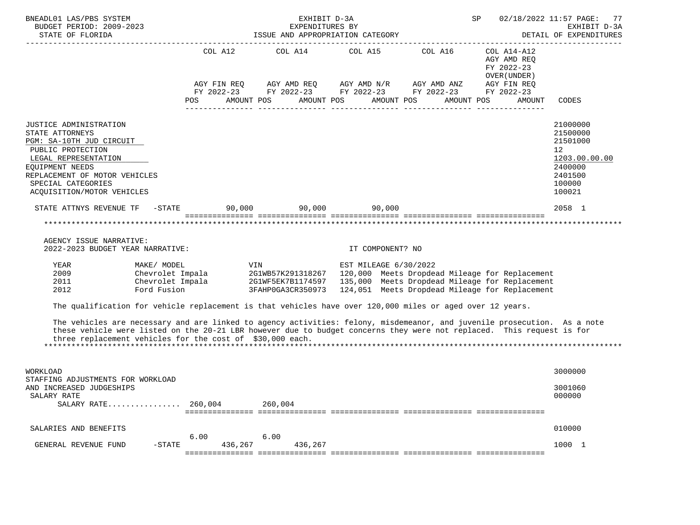| BNEADL01 LAS/PBS SYSTEM<br>BUDGET PERIOD: 2009-2023<br>STATE OF FLORIDA                                                                                                                                                                                                                                        |                          | EXHIBIT D-3A<br>EXPENDITURES BY<br>ISSUE AND APPROPRIATION CATEGORY                                                                                                                                                                                                                                                                                                                                           |                                           | SP                                                                                                                                       | 02/18/2022 11:57 PAGE: 77<br>EXHIBIT D-3A<br>DETAIL OF EXPENDITURES  |
|----------------------------------------------------------------------------------------------------------------------------------------------------------------------------------------------------------------------------------------------------------------------------------------------------------------|--------------------------|---------------------------------------------------------------------------------------------------------------------------------------------------------------------------------------------------------------------------------------------------------------------------------------------------------------------------------------------------------------------------------------------------------------|-------------------------------------------|------------------------------------------------------------------------------------------------------------------------------------------|----------------------------------------------------------------------|
|                                                                                                                                                                                                                                                                                                                | COL A12                  | COL A14 COL A15 COL A16 COL A14-A12<br>$\begin{array}{lllllll} \textsc{AGY} & \textsc{FIN} & \textsc{REG} & \textsc{AGY} & \textsc{AND} & \textsc{NN} \textsc{N} / \textsc{R} & \textsc{AGY} & \textsc{AND} & \textsc{ANZ} & \textsc{AGY} & \textsc{FIN} & \textsc{REG} \\ \textsc{FY} & 2022-23 & \textsc{FY} & 2022-23 & \textsc{FY} & 2022-23 & \textsc{FY} & 2022-23 & \textsc{FY} & 2022-23 \end{array}$ |                                           | AGY AMD REQ<br>FY 2022-23<br>OVER (UNDER )                                                                                               |                                                                      |
|                                                                                                                                                                                                                                                                                                                | AMOUNT POS<br><b>POS</b> |                                                                                                                                                                                                                                                                                                                                                                                                               | AMOUNT POS AMOUNT POS                     | AMOUNT POS<br>AMOUNT                                                                                                                     | CODES                                                                |
| JUSTICE ADMINISTRATION<br>STATE ATTORNEYS<br>PGM: SA-10TH JUD CIRCUIT<br>PUBLIC PROTECTION<br>LEGAL REPRESENTATION                                                                                                                                                                                             |                          |                                                                                                                                                                                                                                                                                                                                                                                                               |                                           |                                                                                                                                          | 21000000<br>21500000<br>21501000<br>12 <sup>°</sup><br>1203.00.00.00 |
| EOUIPMENT NEEDS<br>REPLACEMENT OF MOTOR VEHICLES<br>SPECIAL CATEGORIES<br>ACQUISITION/MOTOR VEHICLES                                                                                                                                                                                                           |                          |                                                                                                                                                                                                                                                                                                                                                                                                               |                                           |                                                                                                                                          | 2400000<br>2401500<br>100000<br>100021                               |
| STATE ATTNYS REVENUE TF $-$ STATE 90,000 90,000 90,000 90,000                                                                                                                                                                                                                                                  |                          |                                                                                                                                                                                                                                                                                                                                                                                                               |                                           |                                                                                                                                          | 2058 1                                                               |
| AGENCY ISSUE NARRATIVE:<br>2022-2023 BUDGET YEAR NARRATIVE:<br>YEAR<br>MAKE/ MODEL<br>2009                                                                                                                                                                                                                     |                          | VIN OF THE USE OF THE USE OF THE USE OF THE USE OF THE USE OF THE USE OF THE USE OF THE USE OF THE USE OF THE                                                                                                                                                                                                                                                                                                 | IT COMPONENT? NO<br>EST MILEAGE 6/30/2022 | Chevrolet Impala 2G1WB57K291318267 120,000 Meets Dropdead Mileage for Replacement                                                        |                                                                      |
| 2011<br>Ford Fusion<br>2012                                                                                                                                                                                                                                                                                    | Chevrolet Impala         |                                                                                                                                                                                                                                                                                                                                                                                                               |                                           | 2G1WF5EK7B1174597 135,000 Meets Dropdead Mileage for Replacement<br>3FAHP0GA3CR350973   124,051   Meets Dropdead Mileage for Replacement |                                                                      |
| The qualification for vehicle replacement is that vehicles have over 120,000 miles or aged over 12 years.                                                                                                                                                                                                      |                          |                                                                                                                                                                                                                                                                                                                                                                                                               |                                           |                                                                                                                                          |                                                                      |
| The vehicles are necessary and are linked to agency activities: felony, misdemeanor, and juvenile prosecution. As a note<br>these vehicle were listed on the 20-21 LBR however due to budget concerns they were not replaced. This request is for<br>three replacement vehicles for the cost of \$30,000 each. |                          |                                                                                                                                                                                                                                                                                                                                                                                                               |                                           |                                                                                                                                          |                                                                      |
| WORKLOAD                                                                                                                                                                                                                                                                                                       |                          |                                                                                                                                                                                                                                                                                                                                                                                                               |                                           |                                                                                                                                          | 3000000                                                              |
| STAFFING ADJUSTMENTS FOR WORKLOAD<br>AND INCREASED JUDGESHIPS<br>SALARY RATE<br>$SALARY RATE$ 260,004                                                                                                                                                                                                          |                          | 260,004                                                                                                                                                                                                                                                                                                                                                                                                       |                                           |                                                                                                                                          | 3001060<br>000000                                                    |
|                                                                                                                                                                                                                                                                                                                |                          |                                                                                                                                                                                                                                                                                                                                                                                                               |                                           |                                                                                                                                          |                                                                      |
| SALARIES AND BENEFITS                                                                                                                                                                                                                                                                                          |                          |                                                                                                                                                                                                                                                                                                                                                                                                               |                                           |                                                                                                                                          | 010000                                                               |
| GENERAL REVENUE FUND<br>$-$ STATE                                                                                                                                                                                                                                                                              | 6.00<br>436,267          | 6.00<br>436,267                                                                                                                                                                                                                                                                                                                                                                                               |                                           |                                                                                                                                          | 1000 1                                                               |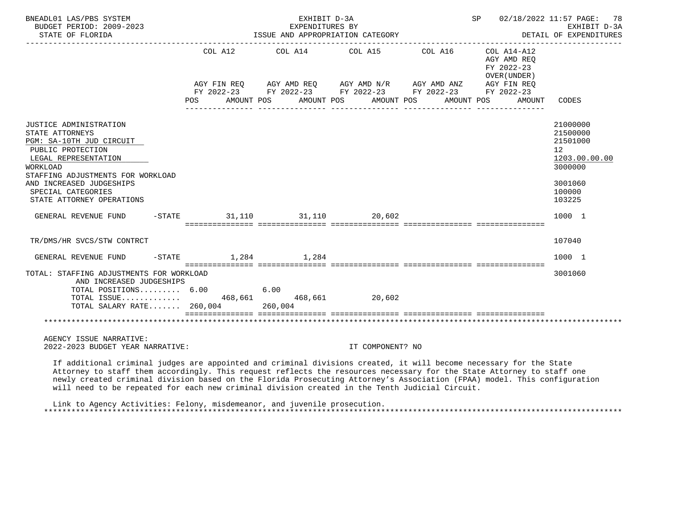| BNEADL01 LAS/PBS SYSTEM<br>BUDGET PERIOD: 2009-2023<br>STATE OF FLORIDA                                                               |         |            |         | EXHIBIT D-3A<br>EXPENDITURES BY   | ISSUE AND APPROPRIATION CATEGORY                                                                                                               |            |                                                          | SP 02/18/2022 11:57 PAGE: 78<br>EXHIBIT D-3A<br>DETAIL OF EXPENDITURES          |
|---------------------------------------------------------------------------------------------------------------------------------------|---------|------------|---------|-----------------------------------|------------------------------------------------------------------------------------------------------------------------------------------------|------------|----------------------------------------------------------|---------------------------------------------------------------------------------|
|                                                                                                                                       |         | COL A12    |         | COL A14 COL A15                   |                                                                                                                                                | COL A16    | COL A14-A12<br>AGY AMD REO<br>FY 2022-23<br>OVER (UNDER) |                                                                                 |
|                                                                                                                                       | POS FOR | AMOUNT POS |         |                                   | AGY FIN REQ AGY AMD REQ AGY AMD N/R AGY AMD ANZ AGY FIN REQ<br>FY 2022-23 FY 2022-23 FY 2022-23 FY 2022-23 FY 2022-23<br>AMOUNT POS AMOUNT POS | AMOUNT POS |                                                          | AMOUNT CODES                                                                    |
| JUSTICE ADMINISTRATION<br>STATE ATTORNEYS<br>PGM: SA-10TH JUD CIRCUIT<br>PUBLIC PROTECTION<br>LEGAL REPRESENTATION<br><b>WORKLOAD</b> |         |            |         |                                   |                                                                                                                                                |            |                                                          | 21000000<br>21500000<br>21501000<br>12 <sup>°</sup><br>1203.00.00.00<br>3000000 |
| STAFFING ADJUSTMENTS FOR WORKLOAD<br>AND INCREASED JUDGESHIPS<br>SPECIAL CATEGORIES<br>STATE ATTORNEY OPERATIONS                      |         |            |         |                                   |                                                                                                                                                |            |                                                          | 3001060<br>100000<br>103225                                                     |
| GENERAL REVENUE FUND                                                                                                                  |         |            |         |                                   | $-$ STATE $31,110$ $31,110$ $20,602$                                                                                                           |            |                                                          | 1000 1                                                                          |
| TR/DMS/HR SVCS/STW CONTRCT                                                                                                            |         |            |         |                                   |                                                                                                                                                |            |                                                          | 107040                                                                          |
| GENERAL REVENUE FUND                                                                                                                  |         |            |         | $-$ STATE 1, 284 1, 284           |                                                                                                                                                |            |                                                          | 1000 1                                                                          |
| TOTAL: STAFFING ADJUSTMENTS FOR WORKLOAD<br>AND INCREASED JUDGESHIPS<br>TOTAL POSITIONS 6.00<br>TOTAL ISSUE 468,661 468,661 20,602    |         |            | 6.00    |                                   |                                                                                                                                                |            |                                                          | 3001060                                                                         |
| TOTAL SALARY RATE $260,004$                                                                                                           |         |            | 260,004 | ================================= |                                                                                                                                                |            |                                                          |                                                                                 |
| AGENCY ISSUE NARRATIVE:<br>2022-2023 BUDGET YEAR NARRATIVE:                                                                           |         |            |         |                                   | IT COMPONENT? NO                                                                                                                               |            |                                                          |                                                                                 |
| If additional aximinal judges are appointed and griminal divisions greated it will become pessessy for the State                      |         |            |         |                                   |                                                                                                                                                |            |                                                          |                                                                                 |

 If additional criminal judges are appointed and criminal divisions created, it will become necessary for the State Attorney to staff them accordingly. This request reflects the resources necessary for the State Attorney to staff one newly created criminal division based on the Florida Prosecuting Attorney's Association (FPAA) model. This configuration will need to be repeated for each new criminal division created in the Tenth Judicial Circuit.

 Link to Agency Activities: Felony, misdemeanor, and juvenile prosecution. \*\*\*\*\*\*\*\*\*\*\*\*\*\*\*\*\*\*\*\*\*\*\*\*\*\*\*\*\*\*\*\*\*\*\*\*\*\*\*\*\*\*\*\*\*\*\*\*\*\*\*\*\*\*\*\*\*\*\*\*\*\*\*\*\*\*\*\*\*\*\*\*\*\*\*\*\*\*\*\*\*\*\*\*\*\*\*\*\*\*\*\*\*\*\*\*\*\*\*\*\*\*\*\*\*\*\*\*\*\*\*\*\*\*\*\*\*\*\*\*\*\*\*\*\*\*\*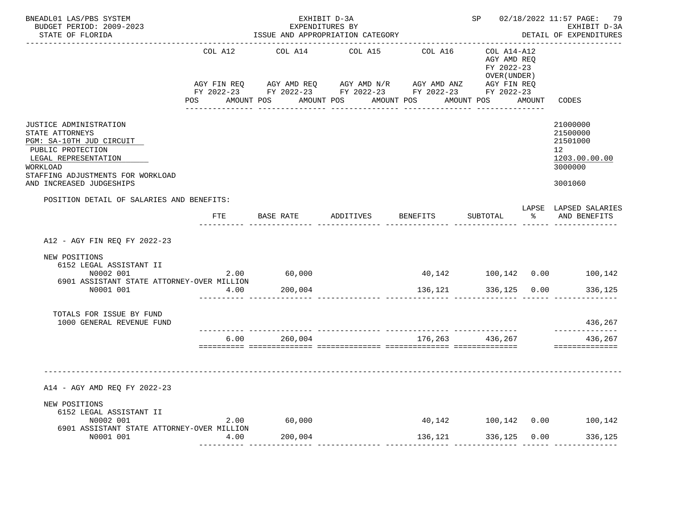| BNEADL01 LAS/PBS SYSTEM<br>BUDGET PERIOD: 2009-2023<br>STATE OF FLORIDA                                                                                                                         |         | EXHIBIT D-3A<br>EXPENDITURES BY | ISSUE AND APPROPRIATION CATEGORY                                                                                                                                                    |                 |                                                          | SP 02/18/2022 11:57 PAGE: 79<br>EXHIBIT D-3A<br>DETAIL OF EXPENDITURES        |
|-------------------------------------------------------------------------------------------------------------------------------------------------------------------------------------------------|---------|---------------------------------|-------------------------------------------------------------------------------------------------------------------------------------------------------------------------------------|-----------------|----------------------------------------------------------|-------------------------------------------------------------------------------|
|                                                                                                                                                                                                 | COL A12 | COL A14                         | COL A15<br>AGY FIN REQ AGY AMD REQ AGY AMD N/R AGY AMD ANZ AGY FIN REQ<br>FY 2022-23 FY 2022-23 FY 2022-23 FY 2022-23 FY 2022-23<br>POS AMOUNT POS AMOUNT POS AMOUNT POS AMOUNT POS | COL A16         | COL A14-A12<br>AGY AMD REQ<br>FY 2022-23<br>OVER (UNDER) | AMOUNT CODES                                                                  |
| JUSTICE ADMINISTRATION<br>STATE ATTORNEYS<br>PGM: SA-10TH JUD CIRCUIT<br>PUBLIC PROTECTION<br>LEGAL REPRESENTATION<br>WORKLOAD<br>STAFFING ADJUSTMENTS FOR WORKLOAD<br>AND INCREASED JUDGESHIPS |         |                                 |                                                                                                                                                                                     |                 |                                                          | 21000000<br>21500000<br>21501000<br>12<br>1203.00.00.00<br>3000000<br>3001060 |
| POSITION DETAIL OF SALARIES AND BENEFITS:                                                                                                                                                       | FTE     | BASE RATE                       | ADDITIVES BENEFITS                                                                                                                                                                  |                 | SUBTOTAL                                                 | LAPSE LAPSED SALARIES<br>% AND BENEFITS                                       |
| A12 - AGY FIN REQ FY 2022-23                                                                                                                                                                    |         |                                 |                                                                                                                                                                                     |                 |                                                          |                                                                               |
| NEW POSITIONS<br>6152 LEGAL ASSISTANT II<br>N0002 001<br>6901 ASSISTANT STATE ATTORNEY-OVER MILLION                                                                                             |         | 2.00 60,000                     |                                                                                                                                                                                     |                 |                                                          |                                                                               |
| N0001 001                                                                                                                                                                                       | 4.00    | 200,004                         |                                                                                                                                                                                     | 136,121         | 336,125 0.00                                             | 336,125                                                                       |
| TOTALS FOR ISSUE BY FUND<br>1000 GENERAL REVENUE FUND                                                                                                                                           |         |                                 |                                                                                                                                                                                     |                 |                                                          | 436,267<br>-------------                                                      |
|                                                                                                                                                                                                 | 6.00    | 260,004                         |                                                                                                                                                                                     | 176,263 436,267 |                                                          | 436,267<br>==============                                                     |
| A14 - AGY AMD REQ FY 2022-23                                                                                                                                                                    |         |                                 |                                                                                                                                                                                     |                 |                                                          |                                                                               |
| NEW POSITIONS<br>6152 LEGAL ASSISTANT II<br>N0002 001                                                                                                                                           |         | 2.00 60,000                     |                                                                                                                                                                                     |                 |                                                          |                                                                               |
| 6901 ASSISTANT STATE ATTORNEY-OVER MILLION<br>N0001 001                                                                                                                                         | 4.00    | 200,004                         |                                                                                                                                                                                     | 136, 121        | 336,125 0.00                                             | 336,125                                                                       |
|                                                                                                                                                                                                 |         |                                 |                                                                                                                                                                                     |                 |                                                          |                                                                               |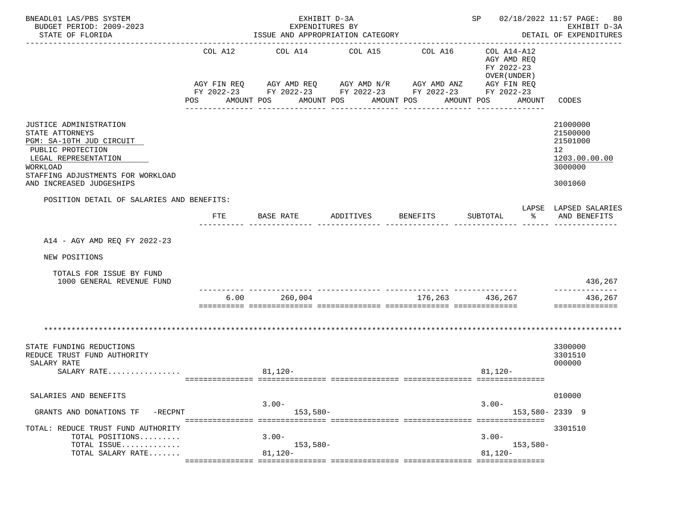| BNEADL01 LAS/PBS SYSTEM<br>BUDGET PERIOD: 2009-2023<br>STATE OF FLORIDA                                                                                                                                |                           | EXHIBIT D-3A<br>EXPENDITURES BY     | ISSUE AND APPROPRIATION CATEGORY                                                                                                                                  |                             | SP 02/18/2022 11:57 PAGE: 80                                                                               | EXHIBIT D-3A<br>DETAIL OF EXPENDITURES                                                     |
|--------------------------------------------------------------------------------------------------------------------------------------------------------------------------------------------------------|---------------------------|-------------------------------------|-------------------------------------------------------------------------------------------------------------------------------------------------------------------|-----------------------------|------------------------------------------------------------------------------------------------------------|--------------------------------------------------------------------------------------------|
|                                                                                                                                                                                                        | COL A12<br>POS AMOUNT POS |                                     | COL A14 COL A15<br>AGY FIN REQ AGY AMD REQ AGY AMD N/R AGY AMD ANZ AGY FIN REQ<br>FY 2022-23 FY 2022-23 FY 2022-23 FY 2022-23 FY 2022-23<br>AMOUNT POS AMOUNT POS | COL A16<br>________________ | COL A14-A12<br>AGY AMD REO<br>FY 2022-23<br>OVER (UNDER)<br>AMOUNT POS<br>AMOUNT CODES<br>________________ |                                                                                            |
| <b>JUSTICE ADMINISTRATION</b><br>STATE ATTORNEYS<br>PGM: SA-10TH JUD CIRCUIT<br>PUBLIC PROTECTION<br>LEGAL REPRESENTATION<br>WORKLOAD<br>STAFFING ADJUSTMENTS FOR WORKLOAD<br>AND INCREASED JUDGESHIPS |                           |                                     |                                                                                                                                                                   |                             |                                                                                                            | 21000000<br>21500000<br>21501000<br>12 <sup>°</sup><br>1203.00.00.00<br>3000000<br>3001060 |
| POSITION DETAIL OF SALARIES AND BENEFITS:                                                                                                                                                              | FTE                       | BASE RATE                           | ADDITIVES                                                                                                                                                         | <b>BENEFITS</b>             | $\frac{1}{6}$<br>SUBTOTAL                                                                                  | LAPSE LAPSED SALARIES<br>AND BENEFITS                                                      |
| A14 - AGY AMD REQ FY 2022-23                                                                                                                                                                           |                           |                                     |                                                                                                                                                                   |                             |                                                                                                            |                                                                                            |
| NEW POSITIONS                                                                                                                                                                                          |                           |                                     |                                                                                                                                                                   |                             |                                                                                                            |                                                                                            |
| TOTALS FOR ISSUE BY FUND<br>1000 GENERAL REVENUE FUND                                                                                                                                                  |                           |                                     |                                                                                                                                                                   |                             |                                                                                                            | 436,267                                                                                    |
|                                                                                                                                                                                                        | 6.00                      | 260,004                             |                                                                                                                                                                   | 176,263 436,267             |                                                                                                            | ______________<br>436,267<br>==============                                                |
|                                                                                                                                                                                                        |                           |                                     |                                                                                                                                                                   |                             |                                                                                                            |                                                                                            |
| STATE FUNDING REDUCTIONS<br>REDUCE TRUST FUND AUTHORITY<br>SALARY RATE<br>SALARY RATE                                                                                                                  |                           | $81,120-$                           |                                                                                                                                                                   |                             | $81,120-$                                                                                                  | 3300000<br>3301510<br>000000                                                               |
| SALARIES AND BENEFITS                                                                                                                                                                                  |                           |                                     |                                                                                                                                                                   |                             |                                                                                                            | 010000                                                                                     |
| GRANTS AND DONATIONS TF<br>-RECPNT                                                                                                                                                                     |                           | $3.00 -$<br>$153,580-$              |                                                                                                                                                                   |                             | $3.00 -$<br>153,580-2339 9                                                                                 |                                                                                            |
| TOTAL: REDUCE TRUST FUND AUTHORITY<br>TOTAL POSITIONS<br>TOTAL ISSUE<br>TOTAL SALARY RATE                                                                                                              |                           | $3.00 -$<br>$153,580-$<br>$81,120-$ |                                                                                                                                                                   |                             | $3.00 -$<br>153,580-<br>$81,120-$                                                                          | 3301510                                                                                    |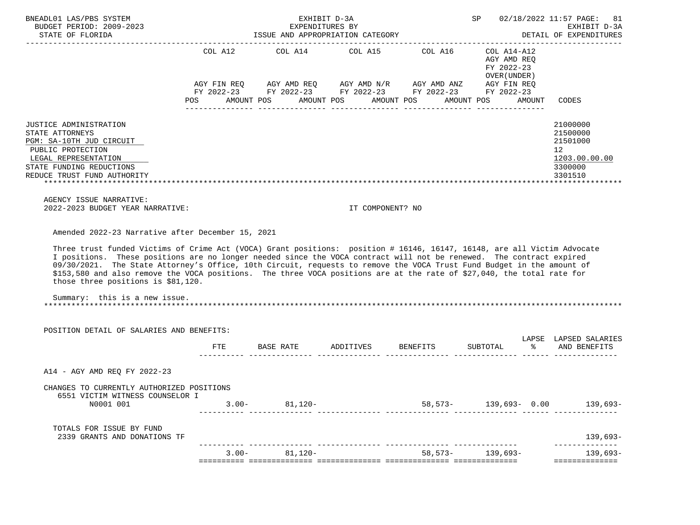| BNEADL01 LAS/PBS SYSTEM<br>BUDGET PERIOD: 2009-2023<br>STATE OF FLORIDA 1SSUE AND APPROPRIATION CATEGORY DETAIL OF EXPENDITURES                                                                                                                                                                                                                                                                                                                                                                                                                                                                                               |          |                                      | EXHIBIT D-3A<br>EXPENDITURES BY |         |                                                                                                                                                                                                                                                                                    | SP 02/18/2022 11:57 PAGE: 81<br>EXHIBIT D-3A<br>DETAIL OF EXPENDITURES                     |
|-------------------------------------------------------------------------------------------------------------------------------------------------------------------------------------------------------------------------------------------------------------------------------------------------------------------------------------------------------------------------------------------------------------------------------------------------------------------------------------------------------------------------------------------------------------------------------------------------------------------------------|----------|--------------------------------------|---------------------------------|---------|------------------------------------------------------------------------------------------------------------------------------------------------------------------------------------------------------------------------------------------------------------------------------------|--------------------------------------------------------------------------------------------|
|                                                                                                                                                                                                                                                                                                                                                                                                                                                                                                                                                                                                                               |          | POS AMOUNT POS AMOUNT POS AMOUNT POS |                                 |         | COL A12 $\qquad$ COL A14 $\qquad$ COL A15 $\qquad$ COL A16 $\qquad$ COL A14-A12<br>AGY AMD REQ<br>FY 2022-23<br>OVER ( UNDER )<br>AGY FIN REQ AGY AMD REQ AGY AMD N/R AGY AMD ANZ AGY FIN REQ<br>FY 2022-23 FY 2022-23 FY 2022-23 FY 2022-23 FY 2022-23<br>AMOUNT POS AMOUNT CODES |                                                                                            |
| JUSTICE ADMINISTRATION<br>STATE ATTORNEYS<br>PGM: SA-10TH JUD CIRCUIT<br>PUBLIC PROTECTION<br>LEGAL REPRESENTATION<br>STATE FUNDING REDUCTIONS<br>REDUCE TRUST FUND AUTHORITY                                                                                                                                                                                                                                                                                                                                                                                                                                                 |          |                                      |                                 |         |                                                                                                                                                                                                                                                                                    | 21000000<br>21500000<br>21501000<br>12 <sup>°</sup><br>1203.00.00.00<br>3300000<br>3301510 |
| AGENCY ISSUE NARRATIVE:<br>2022-2023 BUDGET YEAR NARRATIVE:                                                                                                                                                                                                                                                                                                                                                                                                                                                                                                                                                                   |          |                                      | IT COMPONENT? NO                |         |                                                                                                                                                                                                                                                                                    |                                                                                            |
| Amended 2022-23 Narrative after December 15, 2021<br>Three trust funded Victims of Crime Act (VOCA) Grant positions: position # 16146, 16147, 16148, are all Victim Advocate<br>I positions. These positions are no longer needed since the VOCA contract will not be renewed. The contract expired<br>09/30/2021. The State Attorney's Office, 10th Circuit, requests to remove the VOCA Trust Fund Budget in the amount of<br>\$153,580 and also remove the VOCA positions. The three VOCA positions are at the rate of \$27,040, the total rate for<br>those three positions is \$81,120.<br>Summary: this is a new issue. |          |                                      |                                 |         |                                                                                                                                                                                                                                                                                    |                                                                                            |
| POSITION DETAIL OF SALARIES AND BENEFITS:                                                                                                                                                                                                                                                                                                                                                                                                                                                                                                                                                                                     |          |                                      |                                 |         |                                                                                                                                                                                                                                                                                    | LAPSE LAPSED SALARIES                                                                      |
|                                                                                                                                                                                                                                                                                                                                                                                                                                                                                                                                                                                                                               |          |                                      |                                 |         | FTE BASE RATE ADDITIVES BENEFITS SUBTOTAL $\ast$ AND BENEFITS                                                                                                                                                                                                                      |                                                                                            |
| A14 - AGY AMD REQ FY 2022-23                                                                                                                                                                                                                                                                                                                                                                                                                                                                                                                                                                                                  |          |                                      |                                 |         |                                                                                                                                                                                                                                                                                    |                                                                                            |
| CHANGES TO CURRENTLY AUTHORIZED POSITIONS<br>6551 VICTIM WITNESS COUNSELOR I<br>N0001 001                                                                                                                                                                                                                                                                                                                                                                                                                                                                                                                                     |          | $3.00 - 81,120 -$                    | ------------- ---------         |         | 58,573- 139,693- 0.00                                                                                                                                                                                                                                                              | $139,693-$                                                                                 |
| TOTALS FOR ISSUE BY FUND<br>2339 GRANTS AND DONATIONS TF                                                                                                                                                                                                                                                                                                                                                                                                                                                                                                                                                                      |          |                                      |                                 |         |                                                                                                                                                                                                                                                                                    | $139,693-$                                                                                 |
|                                                                                                                                                                                                                                                                                                                                                                                                                                                                                                                                                                                                                               | $3.00 -$ | 81,120-                              |                                 | 58,573- | 139,693-                                                                                                                                                                                                                                                                           | --------------<br>139,693-<br>==============                                               |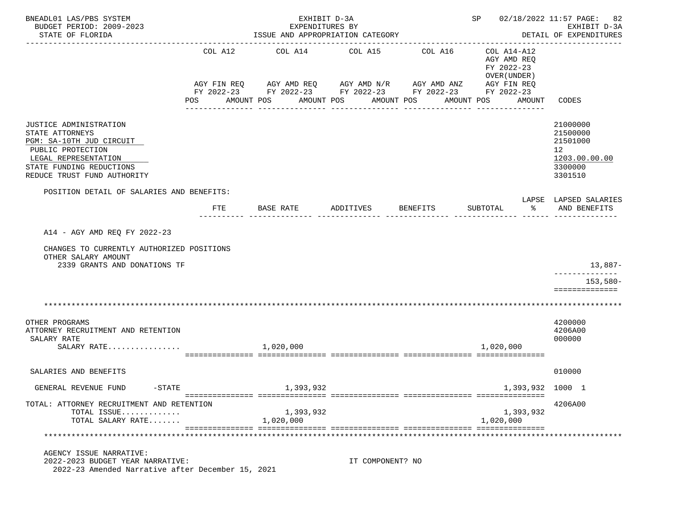| BNEADL01 LAS/PBS SYSTEM<br>BUDGET PERIOD: 2009-2023<br>STATE OF FLORIDA                                                                                                       |                               | EXHIBIT D-3A<br>EXPENDITURES BY<br>ISSUE AND APPROPRIATION CATEGORY                                                 |                               | ------------------------------------ | SP 02/18/2022 11:57 PAGE:                                                                                     | 82<br>EXHIBIT D-3A<br>DETAIL OF EXPENDITURES                                               |
|-------------------------------------------------------------------------------------------------------------------------------------------------------------------------------|-------------------------------|---------------------------------------------------------------------------------------------------------------------|-------------------------------|--------------------------------------|---------------------------------------------------------------------------------------------------------------|--------------------------------------------------------------------------------------------|
|                                                                                                                                                                               | COL A12<br>AGY FIN REQ<br>POS | COL A14 COL A15<br>AGY AMD REQ AGY AMD N/R AGY AMD ANZ<br>FY 2022-23 FY 2022-23 FY 2022-23 FY 2022-23<br>AMOUNT POS | AMOUNT POS<br>_______________ | COL A16<br>AMOUNT POS                | COL A14-A12<br>AGY AMD REQ<br>FY 2022-23<br>OVER (UNDER)<br>AGY FIN REQ<br>FY 2022-23<br>AMOUNT POS<br>AMOUNT | CODES                                                                                      |
| JUSTICE ADMINISTRATION<br>STATE ATTORNEYS<br>PGM: SA-10TH JUD CIRCUIT<br>PUBLIC PROTECTION<br>LEGAL REPRESENTATION<br>STATE FUNDING REDUCTIONS<br>REDUCE TRUST FUND AUTHORITY |                               |                                                                                                                     |                               |                                      |                                                                                                               | 21000000<br>21500000<br>21501000<br>12 <sup>°</sup><br>1203.00.00.00<br>3300000<br>3301510 |
| POSITION DETAIL OF SALARIES AND BENEFITS:                                                                                                                                     |                               |                                                                                                                     |                               |                                      |                                                                                                               | LAPSE LAPSED SALARIES                                                                      |
|                                                                                                                                                                               | FTE                           | BASE RATE                                                                                                           | ADDITIVES                     | BENEFITS                             | SUBTOTAL<br>ႜ                                                                                                 | AND BENEFITS                                                                               |
| A14 - AGY AMD REO FY 2022-23<br>CHANGES TO CURRENTLY AUTHORIZED POSITIONS<br>OTHER SALARY AMOUNT<br>2339 GRANTS AND DONATIONS TF                                              |                               |                                                                                                                     |                               |                                      |                                                                                                               | 13,887-<br>$153,580-$<br>==============                                                    |
|                                                                                                                                                                               |                               |                                                                                                                     |                               |                                      |                                                                                                               |                                                                                            |
| OTHER PROGRAMS<br>ATTORNEY RECRUITMENT AND RETENTION<br>SALARY RATE<br>SALARY RATE                                                                                            |                               | 1,020,000                                                                                                           |                               |                                      | 1,020,000                                                                                                     | 4200000<br>4206A00<br>000000                                                               |
| SALARIES AND BENEFITS                                                                                                                                                         |                               |                                                                                                                     |                               |                                      |                                                                                                               | 010000                                                                                     |
| $-\mathtt{STATE}$<br>GENERAL REVENUE FUND                                                                                                                                     |                               | 1,393,932                                                                                                           |                               |                                      | 1,393,932 1000 1                                                                                              |                                                                                            |
| TOTAL: ATTORNEY RECRUITMENT AND RETENTION<br>TOTAL ISSUE<br>TOTAL SALARY RATE                                                                                                 |                               | 1,393,932<br>1,020,000                                                                                              |                               |                                      | 1,393,932<br>1,020,000                                                                                        | 4206A00                                                                                    |
|                                                                                                                                                                               |                               |                                                                                                                     |                               |                                      |                                                                                                               |                                                                                            |
| AGENCY ISSUE NARRATIVE:<br>2022-2023 BUDGET YEAR NARRATIVE:<br>2022-23 Amended Narrative after December 15, 2021                                                              |                               |                                                                                                                     | IT COMPONENT? NO              |                                      |                                                                                                               |                                                                                            |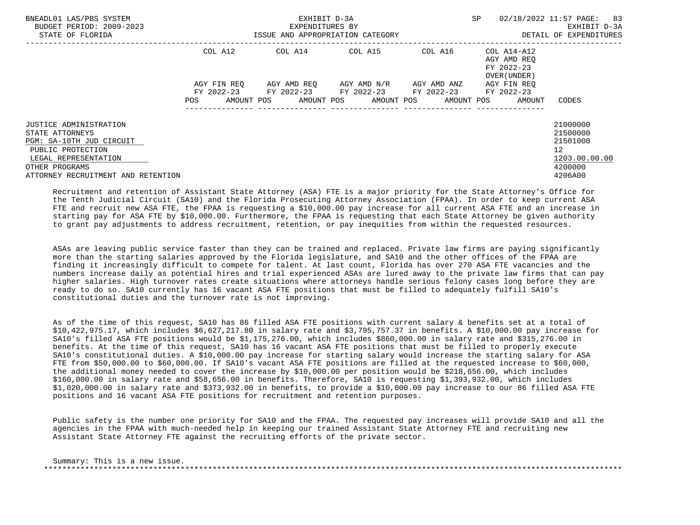| BNEADL01 LAS/PBS SYSTEM<br>BUDGET PERIOD: 2009-2023<br>STATE OF FLORIDA                                            |             | EXHIBIT D-3A<br>EXPENDITURES BY<br>ISSUE AND APPROPRIATION CATEGORY | <b>SP</b>                                     | 02/18/2022 11:57 PAGE: 83<br>EXHIBIT D-3A<br>DETAIL OF EXPENDITURES |                                           |                                                         |
|--------------------------------------------------------------------------------------------------------------------|-------------|---------------------------------------------------------------------|-----------------------------------------------|---------------------------------------------------------------------|-------------------------------------------|---------------------------------------------------------|
|                                                                                                                    | COL A12     |                                                                     |                                               |                                                                     | AGY AMD REO<br>FY 2022-23<br>OVER (UNDER) |                                                         |
|                                                                                                                    | AGY FIN REO | FY 2022-23 FY 2022-23 FY 2022-23 FY 2022-23 FY 2022-23              | AGY AMD REO      AGY AMD N/R      AGY AMD ANZ |                                                                     | AGY FIN REO                               |                                                         |
|                                                                                                                    | <b>POS</b>  | AMOUNT POS AMOUNT POS AMOUNT POS                                    |                                               |                                                                     | AMOUNT POS<br>AMOUNT                      | CODES                                                   |
| JUSTICE ADMINISTRATION<br>STATE ATTORNEYS<br>PGM: SA-10TH JUD CIRCUIT<br>PUBLIC PROTECTION<br>LEGAL REPRESENTATION |             |                                                                     |                                               |                                                                     |                                           | 21000000<br>21500000<br>21501000<br>12<br>1203.00.00.00 |
| OTHER PROGRAMS<br>ATTORNEY RECRUITMENT AND RETENTION                                                               |             |                                                                     |                                               |                                                                     |                                           | 4200000<br>4206A00                                      |

 Recruitment and retention of Assistant State Attorney (ASA) FTE is a major priority for the State Attorney's Office for the Tenth Judicial Circuit (SA10) and the Florida Prosecuting Attorney Association (FPAA). In order to keep current ASA FTE and recruit new ASA FTE, the FPAA is requesting a \$10,000.00 pay increase for all current ASA FTE and an increase in starting pay for ASA FTE by \$10,000.00. Furthermore, the FPAA is requesting that each State Attorney be given authority to grant pay adjustments to address recruitment, retention, or pay inequities from within the requested resources.

 ASAs are leaving public service faster than they can be trained and replaced. Private law firms are paying significantly more than the starting salaries approved by the Florida legislature, and SA10 and the other offices of the FPAA are finding it increasingly difficult to compete for talent. At last count, Florida has over 270 ASA FTE vacancies and the numbers increase daily as potential hires and trial experienced ASAs are lured away to the private law firms that can pay higher salaries. High turnover rates create situations where attorneys handle serious felony cases long before they are ready to do so. SA10 currently has 16 vacant ASA FTE positions that must be filled to adequately fulfill SA10's constitutional duties and the turnover rate is not improving.

 As of the time of this request, SA10 has 86 filled ASA FTE positions with current salary & benefits set at a total of \$10,422,975.17, which includes \$6,627,217.80 in salary rate and \$3,795,757.37 in benefits. A \$10,000.00 pay increase for SA10's filled ASA FTE positions would be \$1,175,276.00, which includes \$860,000.00 in salary rate and \$315,276.00 in benefits. At the time of this request, SA10 has 16 vacant ASA FTE positions that must be filled to properly execute SA10's constitutional duties. A \$10,000.00 pay increase for starting salary would increase the starting salary for ASA FTE from \$50,000.00 to \$60,000.00. If SA10's vacant ASA FTE positions are filled at the requested increase to \$60,000, the additional money needed to cover the increase by \$10,000.00 per position would be \$218,656.00, which includes \$160,000.00 in salary rate and \$58,656.00 in benefits. Therefore, SA10 is requesting \$1,393,932.00, which includes \$1,020,000.00 in salary rate and \$373,932.00 in benefits, to provide a \$10,000.00 pay increase to our 86 filled ASA FTE positions and 16 vacant ASA FTE positions for recruitment and retention purposes.

 Public safety is the number one priority for SA10 and the FPAA. The requested pay increases will provide SA10 and all the agencies in the FPAA with much-needed help in keeping our trained Assistant State Attorney FTE and recruiting new Assistant State Attorney FTE against the recruiting efforts of the private sector.

 Summary: This is a new issue. \*\*\*\*\*\*\*\*\*\*\*\*\*\*\*\*\*\*\*\*\*\*\*\*\*\*\*\*\*\*\*\*\*\*\*\*\*\*\*\*\*\*\*\*\*\*\*\*\*\*\*\*\*\*\*\*\*\*\*\*\*\*\*\*\*\*\*\*\*\*\*\*\*\*\*\*\*\*\*\*\*\*\*\*\*\*\*\*\*\*\*\*\*\*\*\*\*\*\*\*\*\*\*\*\*\*\*\*\*\*\*\*\*\*\*\*\*\*\*\*\*\*\*\*\*\*\*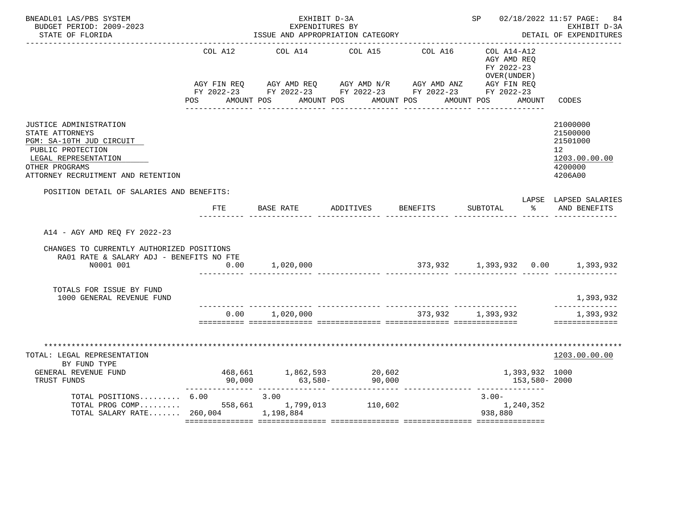| BNEADL01 LAS/PBS SYSTEM<br>BUDGET PERIOD: 2009-2023<br>STATE OF FLORIDA                                                                                                    |                       | EXHIBIT D-3A<br>EXPENDITURES BY<br>ISSUE AND APPROPRIATION CATEGORY                                                                                                             |                    |         | SP 02/18/2022 11:57 PAGE:                                           | 84<br>EXHIBIT D-3A<br>DETAIL OF EXPENDITURES                                               |
|----------------------------------------------------------------------------------------------------------------------------------------------------------------------------|-----------------------|---------------------------------------------------------------------------------------------------------------------------------------------------------------------------------|--------------------|---------|---------------------------------------------------------------------|--------------------------------------------------------------------------------------------|
|                                                                                                                                                                            | COL A12<br><b>POS</b> | COL A14<br>AGY FIN REQ AGY AMD REQ AGY AMD N/R AGY AMD ANZ AGY FIN REQ<br>FY 2022-23 FY 2022-23 FY 2022-23 FY 2022-23 FY 2022-23<br>AMOUNT POS AMOUNT POS AMOUNT POS AMOUNT POS | COL A15            | COL A16 | COL A14-A12<br>AGY AMD REO<br>FY 2022-23<br>OVER (UNDER )<br>AMOUNT | CODES                                                                                      |
| JUSTICE ADMINISTRATION<br>STATE ATTORNEYS<br>PGM: SA-10TH JUD CIRCUIT<br>PUBLIC PROTECTION<br>LEGAL REPRESENTATION<br>OTHER PROGRAMS<br>ATTORNEY RECRUITMENT AND RETENTION |                       |                                                                                                                                                                                 |                    |         |                                                                     | 21000000<br>21500000<br>21501000<br>12 <sup>°</sup><br>1203.00.00.00<br>4200000<br>4206A00 |
| POSITION DETAIL OF SALARIES AND BENEFITS:                                                                                                                                  | FTE                   | BASE RATE                                                                                                                                                                       | ADDITIVES BENEFITS |         | SUBTOTAL                                                            | LAPSE LAPSED SALARIES<br>% AND BENEFITS                                                    |
| A14 - AGY AMD REO FY 2022-23<br>CHANGES TO CURRENTLY AUTHORIZED POSITIONS<br>RA01 RATE & SALARY ADJ - BENEFITS NO FTE<br>N0001 001                                         | 0.00                  | 1,020,000                                                                                                                                                                       |                    |         |                                                                     |                                                                                            |
| TOTALS FOR ISSUE BY FUND<br>1000 GENERAL REVENUE FUND                                                                                                                      | 0.00                  | 1,020,000                                                                                                                                                                       |                    | 373,932 | 1,393,932                                                           | 1,393,932<br>1,393,932                                                                     |
| TOTAL: LEGAL REPRESENTATION<br>BY FUND TYPE<br>GENERAL REVENUE FUND                                                                                                        |                       | 468,661 1,862,593 20,602<br>90,000 63,580- 90,000                                                                                                                               |                    |         | 1,393,932 1000                                                      | ==============<br>1203.00.00.00                                                            |
| TRUST FUNDS<br>TOTAL POSITIONS $6.00$ 3.00<br>TOTAL PROG COMP 558,661 1,799,013 110,602<br>TOTAL SALARY RATE 260,004 1,198,884                                             |                       |                                                                                                                                                                                 |                    |         | 153,580-2000<br>$3.00 -$<br>1,240,352<br>938,880                    |                                                                                            |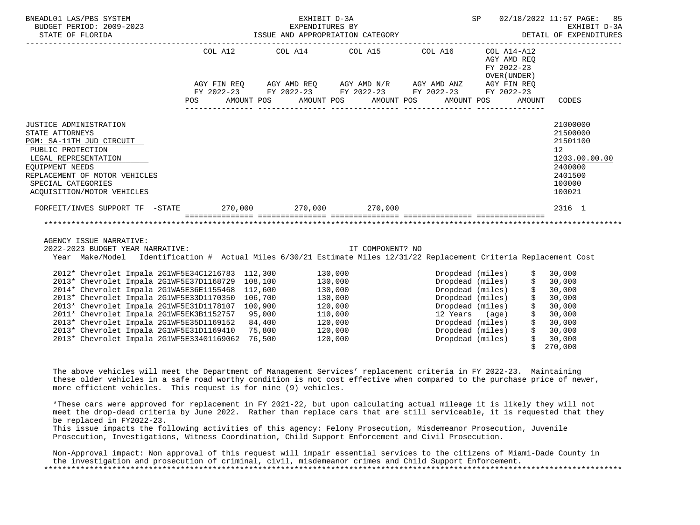| BNEADL01 LAS/PBS SYSTEM<br>BUDGET PERIOD: 2009-2023<br>STATE OF FLORIDA                                                                                                                                                                                                                                                                                                                                                                                                       | <b>SP</b><br>EXHIBIT D-3A                                                                                                                                                |         |                                                                                                 |                             |                                                                                                                                                                                                                                                      |                                                                                                                |  |
|-------------------------------------------------------------------------------------------------------------------------------------------------------------------------------------------------------------------------------------------------------------------------------------------------------------------------------------------------------------------------------------------------------------------------------------------------------------------------------|--------------------------------------------------------------------------------------------------------------------------------------------------------------------------|---------|-------------------------------------------------------------------------------------------------|-----------------------------|------------------------------------------------------------------------------------------------------------------------------------------------------------------------------------------------------------------------------------------------------|----------------------------------------------------------------------------------------------------------------|--|
|                                                                                                                                                                                                                                                                                                                                                                                                                                                                               | COL A12<br>AGY FIN REQ AGY AMD REQ AGY AMD N/R AGY AMD ANZ AGY FIN REQ<br>FY 2022-23 FY 2022-23 FY 2022-23 FY 2022-23 FY 2022-23<br>POS AMOUNT POS AMOUNT POS AMOUNT POS | COL A14 |                                                                                                 | COL A15 COL A16 COL A14-A12 | AGY AMD REQ<br>FY 2022-23<br>OVER (UNDER )<br>AMOUNT POS                                                                                                                                                                                             | AMOUNT CODES                                                                                                   |  |
| JUSTICE ADMINISTRATION<br>STATE ATTORNEYS<br>PGM: SA-11TH JUD CIRCUIT<br>PUBLIC PROTECTION<br>LEGAL REPRESENTATION<br>EOUIPMENT NEEDS<br>REPLACEMENT OF MOTOR VEHICLES<br>SPECIAL CATEGORIES<br>ACOUISITION/MOTOR VEHICLES                                                                                                                                                                                                                                                    |                                                                                                                                                                          |         |                                                                                                 |                             |                                                                                                                                                                                                                                                      | 21000000<br>21500000<br>21501100<br>12 <sup>°</sup><br>1203.00.00.00<br>2400000<br>2401500<br>100000<br>100021 |  |
| FORFEIT/INVES SUPPORT TF -STATE 270,000 270,000 270,000                                                                                                                                                                                                                                                                                                                                                                                                                       | scribberoscore consecuentes and described experiences and described and                                                                                                  |         |                                                                                                 |                             |                                                                                                                                                                                                                                                      | 2316 1                                                                                                         |  |
| AGENCY ISSUE NARRATIVE:<br>2022-2023 BUDGET YEAR NARRATIVE:<br>Year Make/Model Identification # Actual Miles 6/30/21 Estimate Miles 12/31/22 Replacement Criteria Replacement Cost                                                                                                                                                                                                                                                                                            |                                                                                                                                                                          |         | IT COMPONENT? NO                                                                                |                             |                                                                                                                                                                                                                                                      |                                                                                                                |  |
| 2012* Chevrolet Impala 2G1WF5E34C1216783 112,300<br>2013* Chevrolet Impala 2G1WF5E37D1168729 108,100<br>2014* Chevrolet Impala 2G1WA5E36E1155468 112,600<br>2013* Chevrolet Impala 2G1WF5E33D1170350 106,700<br>2013* Chevrolet Impala 2G1WF5E31D1178107 100,900<br>2011* Chevrolet Impala 2G1WF5EK3B1152757 95,000<br>2013* Chevrolet Impala 2G1WF5E35D1169152 84,400<br>2013* Chevrolet Impala 2G1WF5E31D1169410 75,800<br>2013* Chevrolet Impala 2G1WF5E33401169062 76,500 |                                                                                                                                                                          |         | 130,000<br>130,000<br>130,000<br>130,000<br>120,000<br>110,000<br>120,000<br>120,000<br>120,000 |                             | Dropdead (miles)<br>Dropdead (miles)<br>$\ddot{\mathsf{S}}$<br>Dropdead (miles)<br>\$<br>\$<br>Dropdead (miles)<br>Dropdead (miles)<br>12 Years (age)<br>$\boldsymbol{\dot{\mathsf{S}}}$<br>Dropdead (miles)<br>Dropdead (miles)<br>Dropdead (miles) | \$30,000<br>30,000<br>30,000<br>30,000<br>30,000<br>\$30,000<br>\$30,000<br>\$30,000<br>\$30,000<br>\$270,000  |  |

 The above vehicles will meet the Department of Management Services' replacement criteria in FY 2022-23. Maintaining these older vehicles in a safe road worthy condition is not cost effective when compared to the purchase price of newer, more efficient vehicles. This request is for nine (9) vehicles.

 \*These cars were approved for replacement in FY 2021-22, but upon calculating actual mileage it is likely they will not meet the drop-dead criteria by June 2022. Rather than replace cars that are still serviceable, it is requested that they be replaced in FY2022-23.

 This issue impacts the following activities of this agency: Felony Prosecution, Misdemeanor Prosecution, Juvenile Prosecution, Investigations, Witness Coordination, Child Support Enforcement and Civil Prosecution.

 Non-Approval impact: Non approval of this request will impair essential services to the citizens of Miami-Dade County in the investigation and prosecution of criminal, civil, misdemeanor crimes and Child Support Enforcement. \*\*\*\*\*\*\*\*\*\*\*\*\*\*\*\*\*\*\*\*\*\*\*\*\*\*\*\*\*\*\*\*\*\*\*\*\*\*\*\*\*\*\*\*\*\*\*\*\*\*\*\*\*\*\*\*\*\*\*\*\*\*\*\*\*\*\*\*\*\*\*\*\*\*\*\*\*\*\*\*\*\*\*\*\*\*\*\*\*\*\*\*\*\*\*\*\*\*\*\*\*\*\*\*\*\*\*\*\*\*\*\*\*\*\*\*\*\*\*\*\*\*\*\*\*\*\*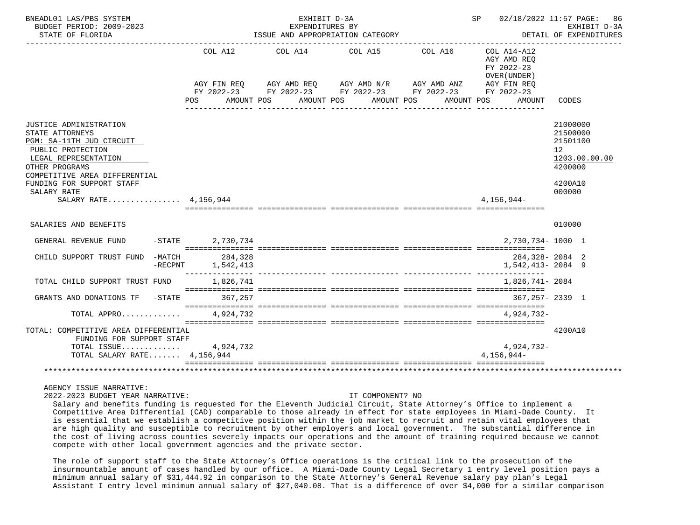| BNEADL01 LAS/PBS SYSTEM<br>BUDGET PERIOD: 2009-2023                                                                                                                                                                                        |            | SP 02/18/2022 11:57 PAGE: |                                                                                                                                                                                          | 86<br>EXHIBIT D-3A |                                                                                  |                                                                                     |                        |
|--------------------------------------------------------------------------------------------------------------------------------------------------------------------------------------------------------------------------------------------|------------|---------------------------|------------------------------------------------------------------------------------------------------------------------------------------------------------------------------------------|--------------------|----------------------------------------------------------------------------------|-------------------------------------------------------------------------------------|------------------------|
| STATE OF FLORIDA                                                                                                                                                                                                                           |            |                           | ISSUE AND APPROPRIATION CATEGORY                                                                                                                                                         |                    |                                                                                  |                                                                                     | DETAIL OF EXPENDITURES |
|                                                                                                                                                                                                                                            |            | COL A12                   | COL A14 COL A15 COL A16<br>AGY FIN REQ AGY AMD REQ AGY AMD N/R AGY AMD ANZ AGY FIN REQ<br>FY 2022-23 FY 2022-23 FY 2022-23 FY 2022-23 FY 2022-23<br>POS AMOUNT POS AMOUNT POS AMOUNT POS |                    | COL A14-A12<br>AGY AMD REO<br>FY 2022-23<br>OVER (UNDER)<br>AMOUNT POS<br>AMOUNT | CODES                                                                               |                        |
| JUSTICE ADMINISTRATION<br>STATE ATTORNEYS<br>PGM: SA-11TH JUD CIRCUIT<br>PUBLIC PROTECTION<br>LEGAL REPRESENTATION<br>OTHER PROGRAMS<br>COMPETITIVE AREA DIFFERENTIAL<br>FUNDING FOR SUPPORT STAFF<br>SALARY RATE<br>SALARY RATE 4.156.944 |            |                           |                                                                                                                                                                                          |                    | $4.156.944-$                                                                     | 21000000<br>21500000<br>21501100<br>12 <sup>°</sup><br>4200000<br>4200A10<br>000000 | 1203.00.00.00          |
| SALARIES AND BENEFITS                                                                                                                                                                                                                      |            |                           |                                                                                                                                                                                          |                    |                                                                                  | 010000                                                                              |                        |
| GENERAL REVENUE FUND -STATE 2.730.734                                                                                                                                                                                                      |            |                           |                                                                                                                                                                                          |                    | 2,730,734-1000 1                                                                 |                                                                                     |                        |
| CHILD SUPPORT TRUST FUND -MATCH 284,328                                                                                                                                                                                                    | $-$ RECPNT | 1,542,413                 |                                                                                                                                                                                          |                    | 284,328-2084 2<br>1,542,413-2084 9                                               |                                                                                     |                        |
| TOTAL CHILD SUPPORT TRUST FUND                                                                                                                                                                                                             |            | 1,826,741                 |                                                                                                                                                                                          |                    | 1,826,741- 2084                                                                  |                                                                                     |                        |
| GRANTS AND DONATIONS TF -STATE 367.257                                                                                                                                                                                                     |            |                           |                                                                                                                                                                                          |                    | 367, 257 - 2339 1                                                                |                                                                                     |                        |
| TOTAL APPRO 4.924.732                                                                                                                                                                                                                      |            |                           |                                                                                                                                                                                          |                    | 4.924.732-                                                                       |                                                                                     |                        |
| TOTAL: COMPETITIVE AREA DIFFERENTIAL<br>FUNDING FOR SUPPORT STAFF                                                                                                                                                                          |            |                           |                                                                                                                                                                                          |                    |                                                                                  | 4200A10                                                                             |                        |
| TOTAL ISSUE $4,924,732$<br>TOTAL SALARY RATE 4,156,944                                                                                                                                                                                     |            |                           |                                                                                                                                                                                          |                    | 4,924,732-<br>$4.156.944-$                                                       |                                                                                     |                        |
|                                                                                                                                                                                                                                            |            |                           |                                                                                                                                                                                          |                    |                                                                                  |                                                                                     |                        |

## AGENCY ISSUE NARRATIVE:

2022-2023 BUDGET YEAR NARRATIVE: IT COMPONENT? NO

 Salary and benefits funding is requested for the Eleventh Judicial Circuit, State Attorney's Office to implement a Competitive Area Differential (CAD) comparable to those already in effect for state employees in Miami-Dade County. It is essential that we establish a competitive position within the job market to recruit and retain vital employees that are high quality and susceptible to recruitment by other employers and local government. The substantial difference in the cost of living across counties severely impacts our operations and the amount of training required because we cannot compete with other local government agencies and the private sector.

 The role of support staff to the State Attorney's Office operations is the critical link to the prosecution of the insurmountable amount of cases handled by our office. A Miami-Dade County Legal Secretary 1 entry level position pays a minimum annual salary of \$31,444.92 in comparison to the State Attorney's General Revenue salary pay plan's Legal Assistant I entry level minimum annual salary of \$27,040.08. That is a difference of over \$4,000 for a similar comparison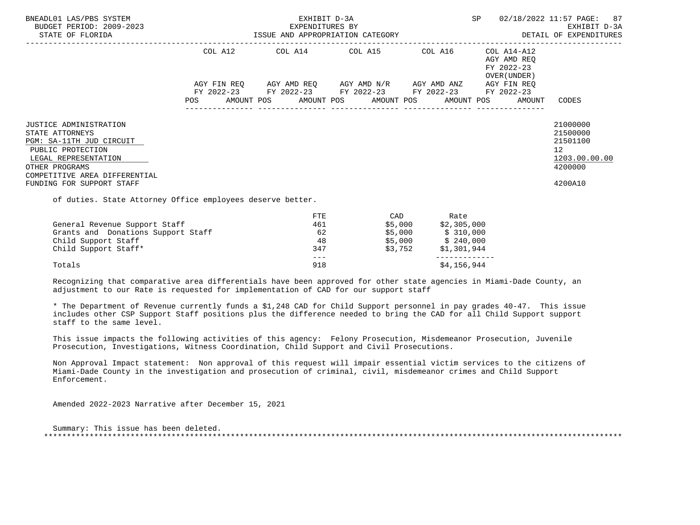| BNEADL01 LAS/PBS SYSTEM<br>BUDGET PERIOD: 2009-2023<br>STATE OF FLORIDA                                                                                                                                   | EXHIBIT D-3A<br>EXPENDITURES BY<br>ISSUE AND APPROPRIATION CATEGORY |         |  |                         |  |                                                                                                               |         |                                                |                                                                                     | SP 02/18/2022 11:57 PAGE: 87<br>EXHIBIT D-3A<br>DETAIL OF EXPENDITURES                     |  |
|-----------------------------------------------------------------------------------------------------------------------------------------------------------------------------------------------------------|---------------------------------------------------------------------|---------|--|-------------------------|--|---------------------------------------------------------------------------------------------------------------|---------|------------------------------------------------|-------------------------------------------------------------------------------------|--------------------------------------------------------------------------------------------|--|
|                                                                                                                                                                                                           |                                                                     | COL A12 |  |                         |  | COL A14 COL A15 COL A16                                                                                       |         |                                                | COL A14-A12<br>AGY AMD REO<br>FY 2022-23<br>OVER (UNDER)                            |                                                                                            |  |
|                                                                                                                                                                                                           |                                                                     |         |  |                         |  | AGY FIN REQ      AGY AMD REQ      AGY AMD N/R      AGY AMD ANZ<br>FY 2022-23 FY 2022-23 FY 2022-23 FY 2022-23 |         |                                                | AGY FIN REQ<br>FY 2022-23<br>POS AMOUNT POS AMOUNT POS AMOUNT POS AMOUNT POS AMOUNT | CODES                                                                                      |  |
| <b>JUSTICE ADMINISTRATION</b><br>STATE ATTORNEYS<br>PGM: SA-11TH JUD CIRCUIT<br>PUBLIC PROTECTION<br>LEGAL REPRESENTATION<br>OTHER PROGRAMS<br>COMPETITIVE AREA DIFFERENTIAL<br>FUNDING FOR SUPPORT STAFF |                                                                     |         |  |                         |  |                                                                                                               |         |                                                |                                                                                     | 21000000<br>21500000<br>21501100<br>12 <sup>°</sup><br>1203.00.00.00<br>4200000<br>4200A10 |  |
| of duties. State Attorney Office employees deserve better.                                                                                                                                                |                                                                     |         |  |                         |  |                                                                                                               |         |                                                |                                                                                     |                                                                                            |  |
| General Revenue Support Staff<br>Grants and Donations Support Staff                                                                                                                                       |                                                                     |         |  | <b>FTE</b><br>461<br>62 |  |                                                                                                               | \$5,000 | CAD Rate<br>$$5,000$ $$2,305,000$<br>\$310,000 |                                                                                     |                                                                                            |  |

Child Support Staff\* 347 \$3,752 \$1,301,944 --- ------------- Totals \$4,156,944 \$1,156,944

Child Support Staff 48 \$5,000 \$ 240,000

 Recognizing that comparative area differentials have been approved for other state agencies in Miami-Dade County, an adjustment to our Rate is requested for implementation of CAD for our support staff

 \* The Department of Revenue currently funds a \$1,248 CAD for Child Support personnel in pay grades 40-47. This issue includes other CSP Support Staff positions plus the difference needed to bring the CAD for all Child Support support staff to the same level.

 This issue impacts the following activities of this agency: Felony Prosecution, Misdemeanor Prosecution, Juvenile Prosecution, Investigations, Witness Coordination, Child Support and Civil Prosecutions.

 Non Approval Impact statement: Non approval of this request will impair essential victim services to the citizens of Miami-Dade County in the investigation and prosecution of criminal, civil, misdemeanor crimes and Child Support Enforcement.

Amended 2022-2023 Narrative after December 15, 2021

 Summary: This issue has been deleted. \*\*\*\*\*\*\*\*\*\*\*\*\*\*\*\*\*\*\*\*\*\*\*\*\*\*\*\*\*\*\*\*\*\*\*\*\*\*\*\*\*\*\*\*\*\*\*\*\*\*\*\*\*\*\*\*\*\*\*\*\*\*\*\*\*\*\*\*\*\*\*\*\*\*\*\*\*\*\*\*\*\*\*\*\*\*\*\*\*\*\*\*\*\*\*\*\*\*\*\*\*\*\*\*\*\*\*\*\*\*\*\*\*\*\*\*\*\*\*\*\*\*\*\*\*\*\*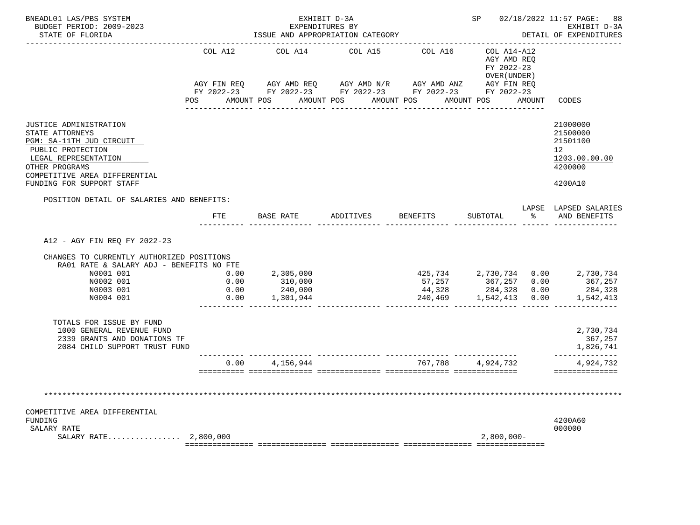| COL A12                                                                                                             | COL A14                                    | COL A15<br>AGY FIN REQ AGY AMD REQ AGY AMD N/R AGY AMD ANZ<br>FY 2022-23 FY 2022-23 FY 2022-23 FY 2022-23 FY 2022-23<br>POS AMOUNT POS AMOUNT POS AMOUNT POS AMOUNT POS | COL A16           | COL A14-A12<br>AGY AMD REQ<br>FY 2022-23<br>OVER (UNDER)<br>AGY FIN REQ | AMOUNT | CODES<br>21000000                                                                               |
|---------------------------------------------------------------------------------------------------------------------|--------------------------------------------|-------------------------------------------------------------------------------------------------------------------------------------------------------------------------|-------------------|-------------------------------------------------------------------------|--------|-------------------------------------------------------------------------------------------------|
|                                                                                                                     |                                            |                                                                                                                                                                         |                   |                                                                         |        |                                                                                                 |
|                                                                                                                     |                                            |                                                                                                                                                                         |                   |                                                                         |        |                                                                                                 |
|                                                                                                                     |                                            |                                                                                                                                                                         |                   |                                                                         |        |                                                                                                 |
|                                                                                                                     |                                            |                                                                                                                                                                         |                   |                                                                         |        |                                                                                                 |
|                                                                                                                     |                                            |                                                                                                                                                                         |                   |                                                                         |        | 21500000                                                                                        |
|                                                                                                                     |                                            |                                                                                                                                                                         |                   |                                                                         |        | 21501100                                                                                        |
|                                                                                                                     |                                            |                                                                                                                                                                         |                   |                                                                         |        | 12                                                                                              |
|                                                                                                                     |                                            |                                                                                                                                                                         |                   |                                                                         |        | 1203.00.00.00<br>4200000                                                                        |
|                                                                                                                     |                                            |                                                                                                                                                                         |                   |                                                                         |        |                                                                                                 |
|                                                                                                                     |                                            |                                                                                                                                                                         |                   |                                                                         |        | 4200A10                                                                                         |
|                                                                                                                     |                                            |                                                                                                                                                                         |                   |                                                                         |        |                                                                                                 |
|                                                                                                                     |                                            |                                                                                                                                                                         |                   | SUBTOTAL                                                                |        | LAPSE LAPSED SALARIES<br>% AND BENEFITS                                                         |
| RA01 RATE & SALARY ADJ - BENEFITS NO FTE<br>$\begin{array}{c} 0\,.\,0\,0 \\ 0\,.\,0\,0 \end{array}$<br>0.00<br>0.00 |                                            |                                                                                                                                                                         | 57,257<br>44,328  |                                                                         |        | 367,257<br>284,328<br>1,542,413                                                                 |
|                                                                                                                     |                                            |                                                                                                                                                                         |                   |                                                                         |        |                                                                                                 |
|                                                                                                                     |                                            |                                                                                                                                                                         |                   |                                                                         |        | 2,730,734<br>367,257<br>1,826,741                                                               |
|                                                                                                                     | ---- ---------------<br>$0.00$ 4, 156, 944 |                                                                                                                                                                         | 767,788 4,924,732 |                                                                         |        | ------------                                                                                    |
|                                                                                                                     |                                            | FTE BASE RATE<br>2,305,000<br>310,000<br>240,000<br>1,301,944                                                                                                           |                   | ADDITIVES BENEFITS                                                      |        | 425,734  2,730,734  0.00  2,730,734<br>$367,257$ 0.00<br>284,328 0.00<br>240,469 1,542,413 0.00 |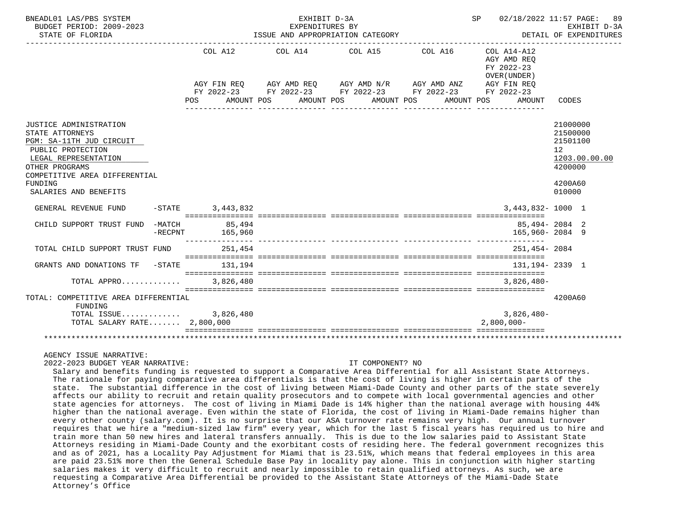| BNEADL01 LAS/PBS SYSTEM<br>BUDGET PERIOD: 2009-2023<br>STATE OF FLORIDA                                                                                                          |                    |           | EXHIBIT D-3A<br>EXPENDITURES BY | ISSUE AND APPROPRIATION CATEGORY |                                                                                                                                                                      | SP | 02/18/2022 11:57 PAGE:                    |                                                              | 89<br>EXHIBIT D-3A<br>DETAIL OF EXPENDITURES |
|----------------------------------------------------------------------------------------------------------------------------------------------------------------------------------|--------------------|-----------|---------------------------------|----------------------------------|----------------------------------------------------------------------------------------------------------------------------------------------------------------------|----|-------------------------------------------|--------------------------------------------------------------|----------------------------------------------|
|                                                                                                                                                                                  |                    |           |                                 |                                  | COL A12 COL A14 COL A15 COL A16 COL A14-A12<br>AGY FIN REQ AGY AMD REQ AGY AMD N/R AGY AMD ANZ AGY FIN REQ<br>FY 2022-23 FY 2022-23 FY 2022-23 FY 2022-23 FY 2022-23 |    | AGY AMD REO<br>FY 2022-23<br>OVER (UNDER) |                                                              |                                              |
|                                                                                                                                                                                  | POS AMOUNT POS     |           |                                 | AMOUNT POS AMOUNT POS            | AMOUNT POS                                                                                                                                                           |    | AMOUNT<br><u>_______________</u>          | CODES                                                        |                                              |
| JUSTICE ADMINISTRATION<br>STATE ATTORNEYS<br>PGM: SA-11TH JUD CIRCUIT<br>PUBLIC PROTECTION<br>LEGAL REPRESENTATION<br>OTHER PROGRAMS<br>COMPETITIVE AREA DIFFERENTIAL<br>FUNDING |                    |           |                                 |                                  |                                                                                                                                                                      |    |                                           | 21000000<br>21500000<br>21501100<br>12<br>4200000<br>4200A60 | 1203.00.00.00                                |
| SALARIES AND BENEFITS                                                                                                                                                            |                    |           |                                 |                                  |                                                                                                                                                                      |    |                                           | 010000                                                       |                                              |
| GENERAL REVENUE FUND                                                                                                                                                             | $-STATE$ 3.443.832 |           |                                 |                                  |                                                                                                                                                                      |    | $3.443.832 - 1000$ 1                      |                                                              |                                              |
| CHILD SUPPORT TRUST FUND -MATCH 85,494                                                                                                                                           | $-RECPNT$ 165,960  |           |                                 |                                  |                                                                                                                                                                      |    | 85,494-20842<br>165,960-2084 9            |                                                              |                                              |
| TOTAL CHILD SUPPORT TRUST FUND                                                                                                                                                   |                    | 251,454   |                                 |                                  |                                                                                                                                                                      |    | 251,454-2084                              |                                                              |                                              |
| GRANTS AND DONATIONS TF -STATE 131.194                                                                                                                                           |                    |           |                                 |                                  |                                                                                                                                                                      |    | 131, 194 - 2339 1                         |                                                              |                                              |
| TOTAL APPRO                                                                                                                                                                      |                    | 3,826,480 |                                 |                                  |                                                                                                                                                                      |    | $3.826.480 -$                             |                                                              |                                              |
| TOTAL: COMPETITIVE AREA DIFFERENTIAL<br>FUNDING                                                                                                                                  |                    |           |                                 |                                  |                                                                                                                                                                      |    |                                           | 4200A60                                                      |                                              |
| TOTAL ISSUE 3,826,480<br>TOTAL SALARY RATE $2,800,000$                                                                                                                           |                    |           |                                 |                                  |                                                                                                                                                                      |    | $3,826,480-$<br>$2,800,000 -$             |                                                              |                                              |
|                                                                                                                                                                                  |                    |           |                                 |                                  |                                                                                                                                                                      |    |                                           |                                                              |                                              |

AGENCY ISSUE NARRATIVE:

2022-2023 BUDGET YEAR NARRATIVE: IT COMPONENT? NO

 Salary and benefits funding is requested to support a Comparative Area Differential for all Assistant State Attorneys. The rationale for paying comparative area differentials is that the cost of living is higher in certain parts of the state. The substantial difference in the cost of living between Miami-Dade County and other parts of the state severely affects our ability to recruit and retain quality prosecutors and to compete with local governmental agencies and other state agencies for attorneys. The cost of living in Miami Dade is 14% higher than the national average with housing 44% higher than the national average. Even within the state of Florida, the cost of living in Miami-Dade remains higher than every other county (salary.com). It is no surprise that our ASA turnover rate remains very high. Our annual turnover requires that we hire a "medium-sized law firm" every year, which for the last 5 fiscal years has required us to hire and train more than 50 new hires and lateral transfers annually. This is due to the low salaries paid to Assistant State Attorneys residing in Miami-Dade County and the exorbitant costs of residing here. The federal government recognizes this and as of 2021, has a Locality Pay Adjustment for Miami that is 23.51%, which means that federal employees in this area are paid 23.51% more then the General Schedule Base Pay in locality pay alone. This in conjunction with higher starting salaries makes it very difficult to recruit and nearly impossible to retain qualified attorneys. As such, we are requesting a Comparative Area Differential be provided to the Assistant State Attorneys of the Miami-Dade State Attorney's Office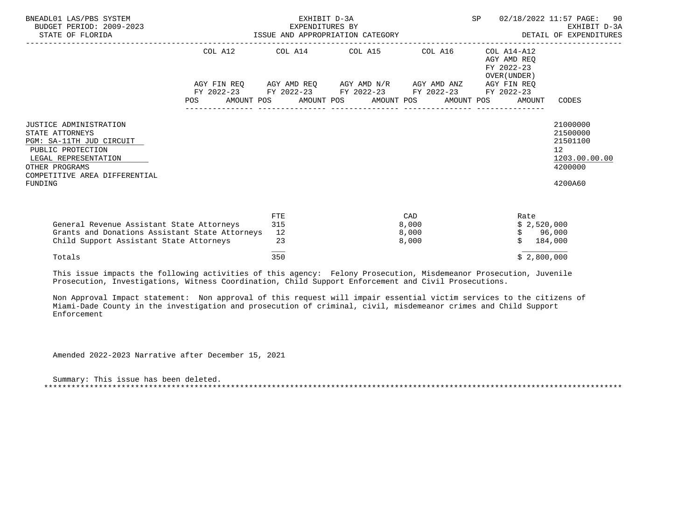| BNEADL01 LAS/PBS SYSTEM<br>BUDGET PERIOD: 2009-2023<br>STATE OF FLORIDA                                                                                                                 |            | EXHIBIT D-3A<br>EXPENDITURES BY<br>ISSUE AND APPROPRIATION CATEGORY | SP                                                                                                    |                                | 02/18/2022 11:57 PAGE: 90<br>EXHIBIT D-3A<br>DETAIL OF EXPENDITURES |                                              |                                                                               |
|-----------------------------------------------------------------------------------------------------------------------------------------------------------------------------------------|------------|---------------------------------------------------------------------|-------------------------------------------------------------------------------------------------------|--------------------------------|---------------------------------------------------------------------|----------------------------------------------|-------------------------------------------------------------------------------|
|                                                                                                                                                                                         |            |                                                                     | COL A12 COL A14 COL A15 COL A16                                                                       |                                | COL A14-A12<br>AGY AMD REO<br>FY 2022-23<br>OVER (UNDER)            |                                              |                                                                               |
|                                                                                                                                                                                         |            |                                                                     | AGY FIN REQ AGY AMD REQ AGY AMD N/R AGY AMD ANZ AGY FIN REQ                                           |                                |                                                                     |                                              |                                                                               |
|                                                                                                                                                                                         | <b>POS</b> |                                                                     | FY 2022-23 FY 2022-23 FY 2022-23 FY 2022-23 FY 2022-23<br>AMOUNT POS AMOUNT POS AMOUNT POS AMOUNT POS |                                |                                                                     | AMOUNT                                       | CODES                                                                         |
| <b>JUSTICE ADMINISTRATION</b><br>STATE ATTORNEYS<br>PGM: SA-11TH JUD CIRCUIT<br>PUBLIC PROTECTION<br>LEGAL REPRESENTATION<br>OTHER PROGRAMS<br>COMPETITIVE AREA DIFFERENTIAL<br>FUNDING |            |                                                                     |                                                                                                       |                                |                                                                     |                                              | 21000000<br>21500000<br>21501100<br>12<br>1203.00.00.00<br>4200000<br>4200A60 |
| General Revenue Assistant State Attorneys<br>Grants and Donations Assistant State Attorneys<br>Child Support Assistant State Attorneys                                                  |            | FTE<br>315<br>12<br>23                                              |                                                                                                       | CAD<br>8,000<br>8,000<br>8,000 |                                                                     | Rate<br>\$2,520,000<br>\$96,000<br>\$184,000 |                                                                               |
| Totals                                                                                                                                                                                  |            | 350                                                                 |                                                                                                       |                                |                                                                     | \$2,800,000                                  |                                                                               |

 This issue impacts the following activities of this agency: Felony Prosecution, Misdemeanor Prosecution, Juvenile Prosecution, Investigations, Witness Coordination, Child Support Enforcement and Civil Prosecutions.

 Non Approval Impact statement: Non approval of this request will impair essential victim services to the citizens of Miami-Dade County in the investigation and prosecution of criminal, civil, misdemeanor crimes and Child Support Enforcement

Amended 2022-2023 Narrative after December 15, 2021

 Summary: This issue has been deleted. \*\*\*\*\*\*\*\*\*\*\*\*\*\*\*\*\*\*\*\*\*\*\*\*\*\*\*\*\*\*\*\*\*\*\*\*\*\*\*\*\*\*\*\*\*\*\*\*\*\*\*\*\*\*\*\*\*\*\*\*\*\*\*\*\*\*\*\*\*\*\*\*\*\*\*\*\*\*\*\*\*\*\*\*\*\*\*\*\*\*\*\*\*\*\*\*\*\*\*\*\*\*\*\*\*\*\*\*\*\*\*\*\*\*\*\*\*\*\*\*\*\*\*\*\*\*\*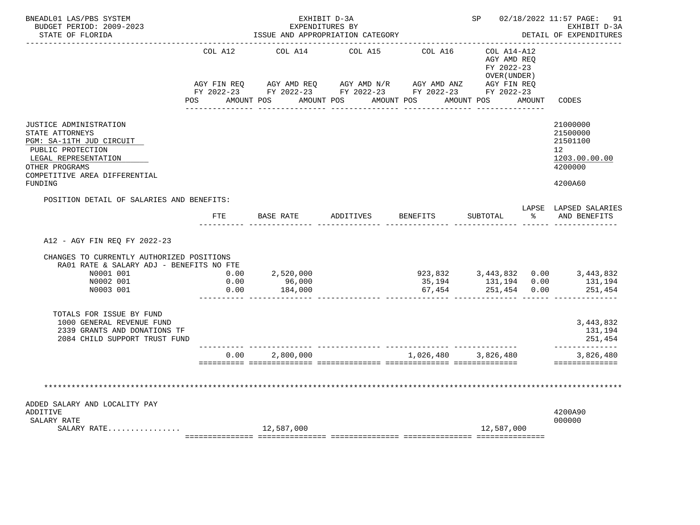| BNEADL01 LAS/PBS SYSTEM<br>BUDGET PERIOD: 2009-2023<br>STATE OF FLORIDA                                                                                                          |                      | EXHIBIT D-3A<br>EXPENDITURES BY<br>ISSUE AND APPROPRIATION CATEGORY                                                                                                                        |                    |                     | SP 02/18/2022 11:57 PAGE: 91<br>EXHIBIT D-3A<br>DETAIL OF EXPENDITURES |                     |                                                                                            |
|----------------------------------------------------------------------------------------------------------------------------------------------------------------------------------|----------------------|--------------------------------------------------------------------------------------------------------------------------------------------------------------------------------------------|--------------------|---------------------|------------------------------------------------------------------------|---------------------|--------------------------------------------------------------------------------------------|
|                                                                                                                                                                                  | COL A12              | COL A14<br>AGY FIN REQ AGY AMD REQ AGY AMD N/R AGY AMD ANZ AGY FIN REQ<br>FY 2022-23 FY 2022-23 FY 2022-23 FY 2022-23 FY 2022-23<br>POS AMOUNT POS AMOUNT POS AMOUNT POS AMOUNT POS AMOUNT | COL A15            | COL A16             | COL A14-A12<br>AGY AMD REQ<br>FY 2022-23<br>OVER (UNDER)               |                     | CODES                                                                                      |
| JUSTICE ADMINISTRATION<br>STATE ATTORNEYS<br>PGM: SA-11TH JUD CIRCUIT<br>PUBLIC PROTECTION<br>LEGAL REPRESENTATION<br>OTHER PROGRAMS<br>COMPETITIVE AREA DIFFERENTIAL<br>FUNDING |                      |                                                                                                                                                                                            |                    |                     |                                                                        |                     | 21000000<br>21500000<br>21501100<br>12 <sup>°</sup><br>1203.00.00.00<br>4200000<br>4200A60 |
| POSITION DETAIL OF SALARIES AND BENEFITS:                                                                                                                                        | FTE                  | BASE RATE                                                                                                                                                                                  | ADDITIVES BENEFITS |                     | SUBTOTAL                                                               | $\approx$ $\approx$ | LAPSE LAPSED SALARIES<br>AND BENEFITS                                                      |
| A12 - AGY FIN REO FY 2022-23<br>CHANGES TO CURRENTLY AUTHORIZED POSITIONS<br>RA01 RATE & SALARY ADJ - BENEFITS NO FTE<br>N0001 001<br>N0002 001<br>N0003 001                     | 0.00<br>0.00<br>0.00 | 2,520,000<br>96,000<br>184,000                                                                                                                                                             |                    | 67,454              | 251,454 0.00                                                           |                     | 251,454                                                                                    |
| TOTALS FOR ISSUE BY FUND<br>1000 GENERAL REVENUE FUND<br>2339 GRANTS AND DONATIONS TF<br>2084 CHILD SUPPORT TRUST FUND                                                           |                      |                                                                                                                                                                                            |                    |                     |                                                                        |                     | 3,443,832<br>131,194<br>251,454                                                            |
|                                                                                                                                                                                  |                      | 0.00 2,800,000                                                                                                                                                                             |                    | 1,026,480 3,826,480 |                                                                        |                     | -------------<br>3,826,480<br>==============                                               |
| ADDED SALARY AND LOCALITY PAY<br>ADDITIVE<br>SALARY RATE                                                                                                                         |                      |                                                                                                                                                                                            |                    |                     |                                                                        |                     | 4200A90<br>000000                                                                          |
| SALARY RATE                                                                                                                                                                      |                      | 12,587,000                                                                                                                                                                                 |                    |                     | 12,587,000                                                             |                     |                                                                                            |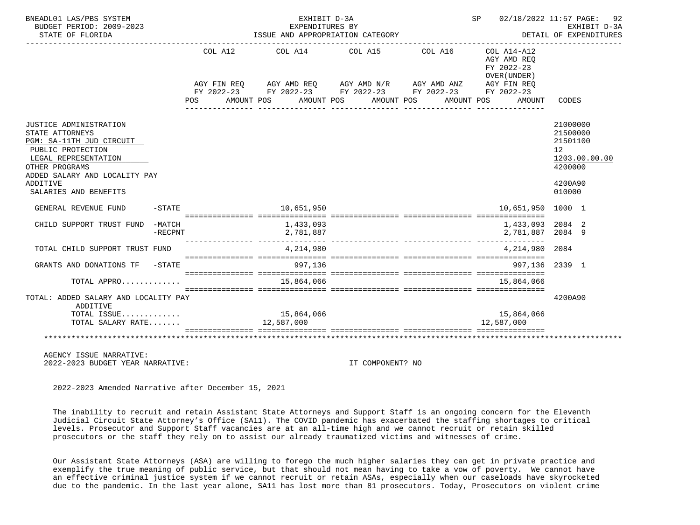| BNEADL01 LAS/PBS SYSTEM<br>BUDGET PERIOD: 2009-2023<br>STATE OF FLORIDA                                                                                                                                    |            |         |  | EXHIBIT D-3A<br>EXPENDITION OF THE STATEGORY<br>ISSUE AND APPROPRIATION CATEGORY                                                                             |  |            | SP | 02/18/2022 11:57 PAGE:<br>DETAIL OF EXPENDITURES |                                                                        | 92<br>EXHIBIT D-3A |
|------------------------------------------------------------------------------------------------------------------------------------------------------------------------------------------------------------|------------|---------|--|--------------------------------------------------------------------------------------------------------------------------------------------------------------|--|------------|----|--------------------------------------------------|------------------------------------------------------------------------|--------------------|
|                                                                                                                                                                                                            |            | COL A12 |  | COL A14 COL A15 COL A16 COL A14-A12<br>AGY FIN REQ AGY AMD REQ AGY AMD N/R AGY AMD ANZ AGY FIN REQ<br>FY 2022-23 FY 2022-23 FY 2022-23 FY 2022-23 FY 2022-23 |  |            |    | AGY AMD REO<br>FY 2022-23<br>OVER (UNDER)        |                                                                        |                    |
|                                                                                                                                                                                                            |            | POS     |  | AMOUNT POS AMOUNT POS AMOUNT POS                                                                                                                             |  | AMOUNT POS |    | AMOUNT                                           | CODES                                                                  |                    |
| JUSTICE ADMINISTRATION<br>STATE ATTORNEYS<br>PGM: SA-11TH JUD CIRCUIT<br>PUBLIC PROTECTION<br>LEGAL REPRESENTATION<br>OTHER PROGRAMS<br>ADDED SALARY AND LOCALITY PAY<br>ADDITIVE<br>SALARIES AND BENEFITS |            |         |  |                                                                                                                                                              |  |            |    |                                                  | 21000000<br>21500000<br>21501100<br>12<br>4200000<br>4200A90<br>010000 | 1203.00.00.00      |
| GENERAL REVENUE FUND                                                                                                                                                                                       |            |         |  | $-STATE$ 10,651,950                                                                                                                                          |  |            |    | 10,651,950 1000 1                                |                                                                        |                    |
| CHILD SUPPORT TRUST FUND -MATCH                                                                                                                                                                            | $-$ RECPNT |         |  | 1,433,093<br>2,781,887                                                                                                                                       |  |            |    | 1,433,093<br>2,781,887                           | 2084 2<br>2084 9                                                       |                    |
| TOTAL CHILD SUPPORT TRUST FUND                                                                                                                                                                             |            |         |  | 4,214,980                                                                                                                                                    |  |            |    | 4,214,980                                        | 2084                                                                   |                    |
| GRANTS AND DONATIONS TF -STATE                                                                                                                                                                             |            |         |  | 997,136                                                                                                                                                      |  |            |    | 997.136                                          | 2339 1                                                                 |                    |
| TOTAL APPRO                                                                                                                                                                                                |            |         |  | 15,864,066                                                                                                                                                   |  |            |    | 15.864.066                                       |                                                                        |                    |
| TOTAL: ADDED SALARY AND LOCALITY PAY<br>ADDITIVE<br>TOTAL ISSUE<br>TOTAL SALARY RATE 12,587,000                                                                                                            |            |         |  | 15,864,066                                                                                                                                                   |  |            |    | 15,864,066<br>12,587,000                         | 4200A90                                                                |                    |
|                                                                                                                                                                                                            |            |         |  |                                                                                                                                                              |  |            |    | ===========================                      |                                                                        |                    |
|                                                                                                                                                                                                            |            |         |  |                                                                                                                                                              |  |            |    |                                                  |                                                                        |                    |

 AGENCY ISSUE NARRATIVE: 2022-2023 BUDGET YEAR NARRATIVE: IT COMPONENT? NO

2022-2023 Amended Narrative after December 15, 2021

 The inability to recruit and retain Assistant State Attorneys and Support Staff is an ongoing concern for the Eleventh Judicial Circuit State Attorney's Office (SA11). The COVID pandemic has exacerbated the staffing shortages to critical levels. Prosecutor and Support Staff vacancies are at an all-time high and we cannot recruit or retain skilled prosecutors or the staff they rely on to assist our already traumatized victims and witnesses of crime.

 Our Assistant State Attorneys (ASA) are willing to forego the much higher salaries they can get in private practice and exemplify the true meaning of public service, but that should not mean having to take a vow of poverty. We cannot have an effective criminal justice system if we cannot recruit or retain ASAs, especially when our caseloads have skyrocketed due to the pandemic. In the last year alone, SA11 has lost more than 81 prosecutors. Today, Prosecutors on violent crime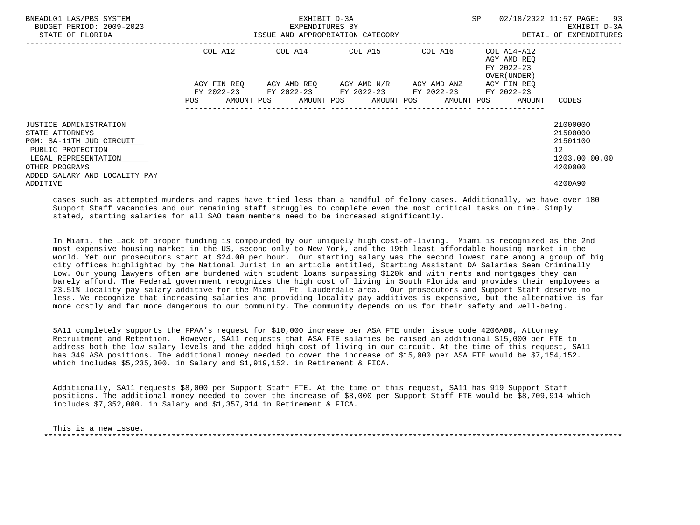| BNEADL01 LAS/PBS SYSTEM<br>BUDGET PERIOD: 2009-2023<br>STATE OF FLORIDA                                                                                               | ISSUE AND APPROPRIATION CATEGORY | EXHIBIT D-3A<br>EXPENDITURES BY                        | SP 02/18/2022 11:57 PAGE: 93                    | EXHIBIT D-3A<br>DETAIL OF EXPENDITURES                                      |                                                                                  |
|-----------------------------------------------------------------------------------------------------------------------------------------------------------------------|----------------------------------|--------------------------------------------------------|-------------------------------------------------|-----------------------------------------------------------------------------|----------------------------------------------------------------------------------|
|                                                                                                                                                                       | COL A12                          | COL A14 COL A15 COL A16                                |                                                 | COL A14-A12<br>AGY AMD REO<br>FY 2022-23<br>OVER (UNDER)                    |                                                                                  |
|                                                                                                                                                                       | AGY FIN REO                      | FY 2022-23 FY 2022-23 FY 2022-23 FY 2022-23 FY 2022-23 | AGY AMD REQ       AGY AMD N/R       AGY AMD ANZ | AGY FIN REO<br>POS AMOUNT POS AMOUNT POS AMOUNT POS AMOUNT POS AMOUNT CODES |                                                                                  |
| JUSTICE ADMINISTRATION<br>STATE ATTORNEYS<br>PGM: SA-11TH JUD CIRCUIT<br>PUBLIC PROTECTION<br>LEGAL REPRESENTATION<br>OTHER PROGRAMS<br>ADDED SALARY AND LOCALITY PAY |                                  |                                                        |                                                 |                                                                             | 21000000<br>21500000<br>21501100<br>12 <sup>12</sup><br>1203.00.00.00<br>4200000 |
| ADDITIVE                                                                                                                                                              |                                  |                                                        |                                                 |                                                                             | 4200A90                                                                          |

 cases such as attempted murders and rapes have tried less than a handful of felony cases. Additionally, we have over 180 Support Staff vacancies and our remaining staff struggles to complete even the most critical tasks on time. Simply stated, starting salaries for all SAO team members need to be increased significantly.

 In Miami, the lack of proper funding is compounded by our uniquely high cost-of-living. Miami is recognized as the 2nd most expensive housing market in the US, second only to New York, and the 19th least affordable housing market in the world. Yet our prosecutors start at \$24.00 per hour. Our starting salary was the second lowest rate among a group of big city offices highlighted by the National Jurist in an article entitled, Starting Assistant DA Salaries Seem Criminally Low. Our young lawyers often are burdened with student loans surpassing \$120k and with rents and mortgages they can barely afford. The Federal government recognizes the high cost of living in South Florida and provides their employees a 23.51% locality pay salary additive for the Miami Ft. Lauderdale area. Our prosecutors and Support Staff deserve no less. We recognize that increasing salaries and providing locality pay additives is expensive, but the alternative is far more costly and far more dangerous to our community. The community depends on us for their safety and well-being.

 SA11 completely supports the FPAA's request for \$10,000 increase per ASA FTE under issue code 4206A00, Attorney Recruitment and Retention. However, SA11 requests that ASA FTE salaries be raised an additional \$15,000 per FTE to address both the low salary levels and the added high cost of living in our circuit. At the time of this request, SA11 has 349 ASA positions. The additional money needed to cover the increase of \$15,000 per ASA FTE would be \$7,154,152. which includes \$5,235,000. in Salary and \$1,919,152. in Retirement & FICA.

 Additionally, SA11 requests \$8,000 per Support Staff FTE. At the time of this request, SA11 has 919 Support Staff positions. The additional money needed to cover the increase of \$8,000 per Support Staff FTE would be \$8,709,914 which includes \$7,352,000. in Salary and \$1,357,914 in Retirement & FICA.

 This is a new issue. \*\*\*\*\*\*\*\*\*\*\*\*\*\*\*\*\*\*\*\*\*\*\*\*\*\*\*\*\*\*\*\*\*\*\*\*\*\*\*\*\*\*\*\*\*\*\*\*\*\*\*\*\*\*\*\*\*\*\*\*\*\*\*\*\*\*\*\*\*\*\*\*\*\*\*\*\*\*\*\*\*\*\*\*\*\*\*\*\*\*\*\*\*\*\*\*\*\*\*\*\*\*\*\*\*\*\*\*\*\*\*\*\*\*\*\*\*\*\*\*\*\*\*\*\*\*\*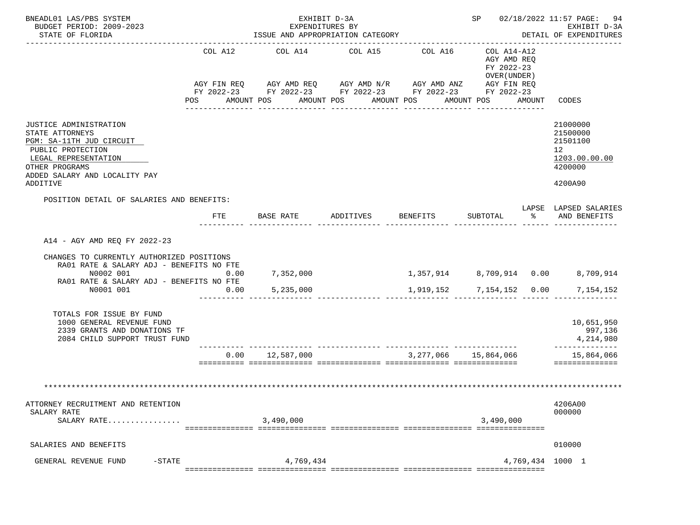| BNEADL01 LAS/PBS SYSTEM<br>BUDGET PERIOD: 2009-2023                                                                                                                                         |              | EXHIBIT D-3A<br>EXPENDITURES BY                                                                                                                                                  |           |                          |                                                                               | SP 02/18/2022 11:57 PAGE: 94<br>EXHIBIT D-3A                                               |  |  |
|---------------------------------------------------------------------------------------------------------------------------------------------------------------------------------------------|--------------|----------------------------------------------------------------------------------------------------------------------------------------------------------------------------------|-----------|--------------------------|-------------------------------------------------------------------------------|--------------------------------------------------------------------------------------------|--|--|
| STATE OF FLORIDA<br>___________________                                                                                                                                                     |              | ISSUE AND APPROPRIATION CATEGORY                                                                                                                                                 |           |                          |                                                                               | DETAIL OF EXPENDITURES                                                                     |  |  |
|                                                                                                                                                                                             | COL A12      | COL A14 COL A15<br>AGY FIN REQ AGY AMD REQ AGY AMD N/R AGY AMD ANZ AGY FIN REQ<br>FY 2022-23 FY 2022-23 FY 2022-23 FY 2022-23 FY 2022-23<br>POS AMOUNT POS AMOUNT POS AMOUNT POS |           | COL A16                  | COL A14-A12<br>AGY AMD REQ<br>FY 2022-23<br>OVER (UNDER)<br>AMOUNT POS AMOUNT | CODES                                                                                      |  |  |
| JUSTICE ADMINISTRATION<br>STATE ATTORNEYS<br>PGM: SA-11TH JUD CIRCUIT<br>PUBLIC PROTECTION<br>LEGAL REPRESENTATION<br>OTHER PROGRAMS<br>ADDED SALARY AND LOCALITY PAY<br>ADDITIVE           |              |                                                                                                                                                                                  |           |                          |                                                                               | 21000000<br>21500000<br>21501100<br>12 <sup>°</sup><br>1203.00.00.00<br>4200000<br>4200A90 |  |  |
| POSITION DETAIL OF SALARIES AND BENEFITS:                                                                                                                                                   | FTE          | BASE RATE                                                                                                                                                                        | ADDITIVES | <b>BENEFITS</b>          |                                                                               | LAPSE LAPSED SALARIES<br>SUBTOTAL % AND BENEFITS                                           |  |  |
| A14 - AGY AMD REQ FY 2022-23<br>CHANGES TO CURRENTLY AUTHORIZED POSITIONS<br>RA01 RATE & SALARY ADJ - BENEFITS NO FTE<br>N0002 001<br>RA01 RATE & SALARY ADJ - BENEFITS NO FTE<br>N0001 001 | 0.00<br>0.00 | 7,352,000<br>5,235,000                                                                                                                                                           |           | 1,919,152 7,154,152 0.00 |                                                                               | 1,357,914 8,709,914 0.00 8,709,914<br>7,154,152                                            |  |  |
| TOTALS FOR ISSUE BY FUND<br>1000 GENERAL REVENUE FUND<br>2339 GRANTS AND DONATIONS TF<br>2084 CHILD SUPPORT TRUST FUND                                                                      |              |                                                                                                                                                                                  |           |                          |                                                                               | 10,651,950<br>997,136<br>4,214,980                                                         |  |  |
|                                                                                                                                                                                             |              | $0.00$ $12.587.000$                                                                                                                                                              |           | 3,277,066 15,864,066     |                                                                               | --------------<br>15,864,066<br>---------------                                            |  |  |
|                                                                                                                                                                                             |              |                                                                                                                                                                                  |           |                          |                                                                               |                                                                                            |  |  |
| ATTORNEY RECRUITMENT AND RETENTION<br>SALARY RATE<br>SALARY RATE                                                                                                                            |              | 3,490,000                                                                                                                                                                        |           |                          | 3,490,000                                                                     | 4206A00<br>000000                                                                          |  |  |
| SALARIES AND BENEFITS                                                                                                                                                                       |              |                                                                                                                                                                                  |           |                          |                                                                               | 010000                                                                                     |  |  |
| GENERAL REVENUE FUND<br>$-$ STATE                                                                                                                                                           |              | 4,769,434                                                                                                                                                                        |           |                          |                                                                               | 4,769,434 1000 1                                                                           |  |  |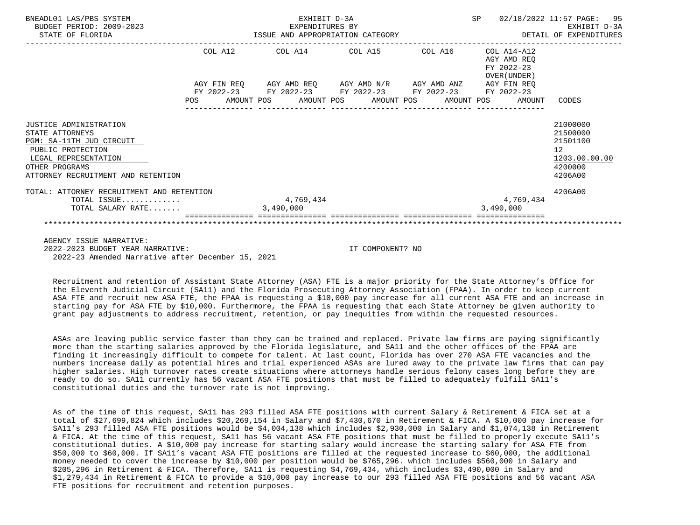| BNEADL01 LAS/PBS SYSTEM<br>BUDGET PERIOD: 2009-2023<br>STATE OF FLORIDA |  |           | EXHIBIT D-3A |                                                             |  |           |                                                          | SP 02/18/2022 11:57 PAGE: 95 |
|-------------------------------------------------------------------------|--|-----------|--------------|-------------------------------------------------------------|--|-----------|----------------------------------------------------------|------------------------------|
|                                                                         |  |           |              | COL A12 COL A14 COL A15 COL A16                             |  |           | COL A14-A12<br>AGY AMD REO<br>FY 2022-23<br>OVER (UNDER) |                              |
|                                                                         |  |           |              | AGY FIN REQ AGY AMD REQ AGY AMD N/R AGY AMD ANZ AGY FIN REQ |  |           |                                                          |                              |
|                                                                         |  |           |              | FY 2022-23 FY 2022-23 FY 2022-23 FY 2022-23 FY 2022-23      |  |           |                                                          |                              |
|                                                                         |  |           |              | POS AMOUNT POS AMOUNT POS AMOUNT POS AMOUNT POS             |  |           | AMOUNT                                                   | CODES                        |
|                                                                         |  |           |              |                                                             |  |           |                                                          |                              |
| JUSTICE ADMINISTRATION<br>STATE ATTORNEYS                               |  |           |              |                                                             |  |           |                                                          | 21000000<br>21500000         |
| PGM: SA-11TH JUD CIRCUIT                                                |  |           |              |                                                             |  |           |                                                          | 21501100                     |
| PUBLIC PROTECTION                                                       |  |           |              |                                                             |  |           |                                                          | 12                           |
| LEGAL REPRESENTATION                                                    |  |           |              |                                                             |  |           |                                                          | 1203.00.00.00                |
| OTHER PROGRAMS                                                          |  |           |              |                                                             |  |           |                                                          | 4200000                      |
| ATTORNEY RECRUITMENT AND RETENTION                                      |  |           |              |                                                             |  |           |                                                          | 4206A00                      |
| TOTAL: ATTORNEY RECRUITMENT AND RETENTION                               |  |           |              |                                                             |  |           |                                                          | 4206A00                      |
| TOTAL ISSUE                                                             |  |           | 4,769,434    |                                                             |  |           | 4,769,434                                                |                              |
| TOTAL SALARY RATE                                                       |  | 3,490,000 |              |                                                             |  | 3,490,000 |                                                          |                              |
|                                                                         |  |           |              |                                                             |  |           |                                                          |                              |
| AGENCY ISSUE NARRATIVE:                                                 |  |           |              |                                                             |  |           |                                                          |                              |
| 2022-2023 BUDGET YEAR NARRATIVE:                                        |  |           |              | IT COMPONENT? NO                                            |  |           |                                                          |                              |
| 2022-23 Amended Narrative after December 15, 2021                       |  |           |              |                                                             |  |           |                                                          |                              |

 Recruitment and retention of Assistant State Attorney (ASA) FTE is a major priority for the State Attorney's Office for the Eleventh Judicial Circuit (SA11) and the Florida Prosecuting Attorney Association (FPAA). In order to keep current ASA FTE and recruit new ASA FTE, the FPAA is requesting a \$10,000 pay increase for all current ASA FTE and an increase in starting pay for ASA FTE by \$10,000. Furthermore, the FPAA is requesting that each State Attorney be given authority to grant pay adjustments to address recruitment, retention, or pay inequities from within the requested resources.

 ASAs are leaving public service faster than they can be trained and replaced. Private law firms are paying significantly more than the starting salaries approved by the Florida legislature, and SA11 and the other offices of the FPAA are finding it increasingly difficult to compete for talent. At last count, Florida has over 270 ASA FTE vacancies and the numbers increase daily as potential hires and trial experienced ASAs are lured away to the private law firms that can pay higher salaries. High turnover rates create situations where attorneys handle serious felony cases long before they are ready to do so. SA11 currently has 56 vacant ASA FTE positions that must be filled to adequately fulfill SA11's constitutional duties and the turnover rate is not improving.

 As of the time of this request, SA11 has 293 filled ASA FTE positions with current Salary & Retirement & FICA set at a total of \$27,699,824 which includes \$20,269,154 in Salary and \$7,430,670 in Retirement & FICA. A \$10,000 pay increase for SA11's 293 filled ASA FTE positions would be \$4,004,138 which includes \$2,930,000 in Salary and \$1,074,138 in Retirement & FICA. At the time of this request, SA11 has 56 vacant ASA FTE positions that must be filled to properly execute SA11's constitutional duties. A \$10,000 pay increase for starting salary would increase the starting salary for ASA FTE from \$50,000 to \$60,000. If SA11's vacant ASA FTE positions are filled at the requested increase to \$60,000, the additional money needed to cover the increase by \$10,000 per position would be \$765,296. which includes \$560,000 in Salary and \$205,296 in Retirement & FICA. Therefore, SA11 is requesting \$4,769,434, which includes \$3,490,000 in Salary and \$1,279,434 in Retirement & FICA to provide a \$10,000 pay increase to our 293 filled ASA FTE positions and 56 vacant ASA FTE positions for recruitment and retention purposes.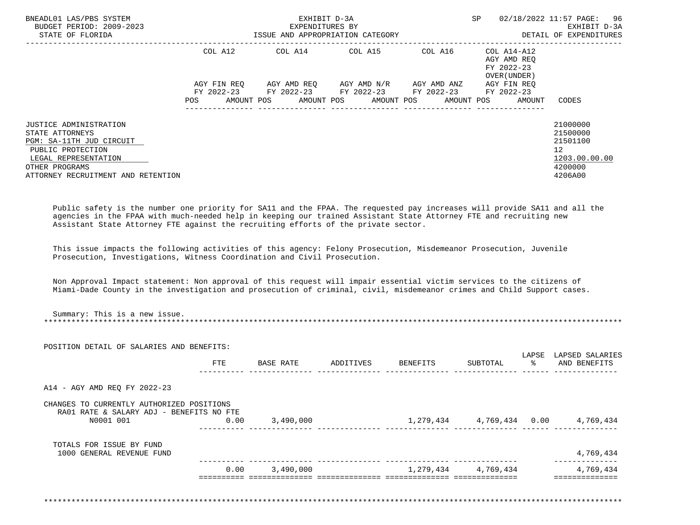| BNEADL01 LAS/PBS SYSTEM<br>BUDGET PERIOD: 2009-2023<br>STATE OF FLORIDA                                                                                                    |                                               | EXHIBIT D-3A<br>EXPENDITURES BY | ISSUE AND APPROPRIATION CATEGORY                                                                                                   |             | SP.                                                      | 02/18/2022 11:57 PAGE: 96<br>EXHIBIT D-3A<br>DETAIL OF EXPENDITURES                        |
|----------------------------------------------------------------------------------------------------------------------------------------------------------------------------|-----------------------------------------------|---------------------------------|------------------------------------------------------------------------------------------------------------------------------------|-------------|----------------------------------------------------------|--------------------------------------------------------------------------------------------|
|                                                                                                                                                                            | COL A12                                       |                                 | COL A14 COL A15                                                                                                                    | COL A16     | COL A14-A12<br>AGY AMD REO<br>FY 2022-23<br>OVER (UNDER) |                                                                                            |
|                                                                                                                                                                            | AGY FIN REO<br>POS FOR THE POST OF THE STREET |                                 | AGY AMD REO AGY AMD N/R<br>FY 2022-23 FY 2022-23 FY 2022-23 FY 2022-23<br>AMOUNT POS      AMOUNT POS     AMOUNT POS     AMOUNT POS | AGY AMD ANZ | AGY FIN REO<br>FY 2022-23<br>AMOUNT                      | CODES                                                                                      |
| JUSTICE ADMINISTRATION<br>STATE ATTORNEYS<br>PGM: SA-11TH JUD CIRCUIT<br>PUBLIC PROTECTION<br>LEGAL REPRESENTATION<br>OTHER PROGRAMS<br>ATTORNEY RECRUITMENT AND RETENTION |                                               |                                 |                                                                                                                                    |             |                                                          | 21000000<br>21500000<br>21501100<br>12 <sup>°</sup><br>1203.00.00.00<br>4200000<br>4206A00 |

 Public safety is the number one priority for SA11 and the FPAA. The requested pay increases will provide SA11 and all the agencies in the FPAA with much-needed help in keeping our trained Assistant State Attorney FTE and recruiting new Assistant State Attorney FTE against the recruiting efforts of the private sector.

 This issue impacts the following activities of this agency: Felony Prosecution, Misdemeanor Prosecution, Juvenile Prosecution, Investigations, Witness Coordination and Civil Prosecution.

 Non Approval Impact statement: Non approval of this request will impair essential victim services to the citizens of Miami-Dade County in the investigation and prosecution of criminal, civil, misdemeanor crimes and Child Support cases.

|                                                                                       | POSITION DETAIL OF SALARIES AND BENEFITS: |                  |           |                                            |                     | LAPSE | LAPSED SALARIES |
|---------------------------------------------------------------------------------------|-------------------------------------------|------------------|-----------|--------------------------------------------|---------------------|-------|-----------------|
|                                                                                       | FTE                                       | BASE RATE        | ADDITIVES | BENEFITS                                   | SUBTOTAL            |       | AND BENEFITS    |
| A14 - AGY AMD REQ FY 2022-23                                                          |                                           |                  |           |                                            |                     |       |                 |
| CHANGES TO CURRENTLY AUTHORIZED POSITIONS<br>RA01 RATE & SALARY ADJ - BENEFITS NO FTE |                                           |                  |           |                                            |                     |       |                 |
| N0001 001                                                                             | 0.00                                      | 3,490,000        |           | $1,279,434$ $4,769,434$ $0.00$ $4,769,434$ |                     |       |                 |
| TOTALS FOR ISSUE BY FUND                                                              |                                           |                  |           |                                            |                     |       |                 |
| 1000 GENERAL REVENUE FUND                                                             |                                           |                  |           |                                            |                     |       | 4,769,434       |
|                                                                                       |                                           | $0.00$ 3,490,000 |           |                                            | 1,279,434 4,769,434 |       | 4,769,434       |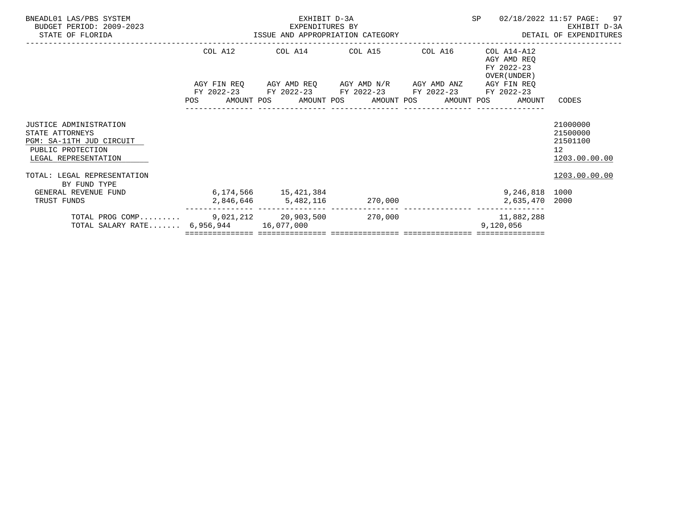| BNEADL01 LAS/PBS SYSTEM<br>BUDGET PERIOD: 2009-2023                                                                       |                                                           | EXHIBIT D-3A<br>EXPENDITURES BY |                                                                                                               |         | SP                                                                                  | 97<br>02/18/2022 11:57 PAGE:<br>EXHIBIT D-3A                         |
|---------------------------------------------------------------------------------------------------------------------------|-----------------------------------------------------------|---------------------------------|---------------------------------------------------------------------------------------------------------------|---------|-------------------------------------------------------------------------------------|----------------------------------------------------------------------|
| STATE OF FLORIDA                                                                                                          | -2023 EXPENDITURES BY<br>ISSUE AND APPROPRIATION CATEGORY |                                 |                                                                                                               |         |                                                                                     | DETAIL OF EXPENDITURES                                               |
|                                                                                                                           | COL A12                                                   |                                 | COL A14 COL A15                                                                                               | COL A16 | COL A14-A12<br>AGY AMD REO<br>FY 2022-23<br>OVER (UNDER)                            |                                                                      |
|                                                                                                                           |                                                           |                                 | AGY FIN REQ      AGY AMD REQ      AGY AMD N/R      AGY AMD ANZ<br>FY 2022-23 FY 2022-23 FY 2022-23 FY 2022-23 |         | AGY FIN REO<br>FY 2022-23<br>POS AMOUNT POS AMOUNT POS AMOUNT POS AMOUNT POS AMOUNT | CODES                                                                |
| <b>JUSTICE ADMINISTRATION</b><br>STATE ATTORNEYS<br>PGM: SA-11TH JUD CIRCUIT<br>PUBLIC PROTECTION<br>LEGAL REPRESENTATION |                                                           |                                 |                                                                                                               |         |                                                                                     | 21000000<br>21500000<br>21501100<br>12 <sup>°</sup><br>1203.00.00.00 |
| TOTAL: LEGAL REPRESENTATION<br>BY FUND TYPE                                                                               |                                                           |                                 |                                                                                                               |         |                                                                                     | 1203.00.00.00                                                        |
| GENERAL REVENUE FUND<br>TRUST FUNDS                                                                                       | 6, 174, 566 15, 421, 384                                  |                                 | $2,846,646$ $5,482,116$ $270,000$                                                                             |         | 9,246,818 1000<br>2,635,470 2000                                                    |                                                                      |
| TOTAL PROG COMP 9,021,212 20,903,500 270,000<br>TOTAL SALARY RATE 6,956,944 16,077,000                                    |                                                           |                                 |                                                                                                               |         | 11,882,288<br>9,120,056                                                             |                                                                      |
|                                                                                                                           |                                                           |                                 |                                                                                                               |         |                                                                                     |                                                                      |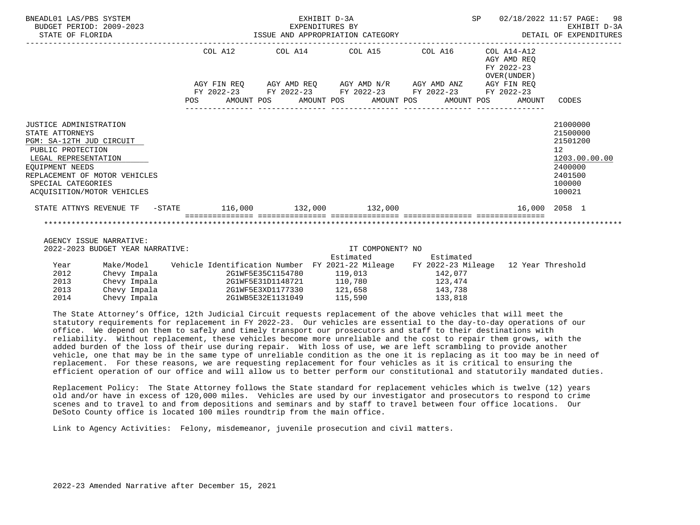| BNEADL01 LAS/PBS SYSTEM<br>BUDGET PERIOD: 2009-2023<br>STATE OF FLORIDA                                                                                                                                                    |                                                                                                                                                         | EXHIBIT D-3A                                                |                                    |           |                                                             | SP 02/18/2022 11:57 PAGE: 98<br>EXPENDITURES BY EXEMPLE EXPENDITURES BY EXHIBIT D-3A<br>ISSUE AND APPROPRIATION CATEGORY EXPENDITURES |
|----------------------------------------------------------------------------------------------------------------------------------------------------------------------------------------------------------------------------|---------------------------------------------------------------------------------------------------------------------------------------------------------|-------------------------------------------------------------|------------------------------------|-----------|-------------------------------------------------------------|---------------------------------------------------------------------------------------------------------------------------------------|
|                                                                                                                                                                                                                            |                                                                                                                                                         | COL A12 COL A14 COL A15 COL A16                             |                                    |           | $COL A14- A12$<br>AGY AMD REQ<br>FY 2022-23<br>OVER (UNDER) |                                                                                                                                       |
|                                                                                                                                                                                                                            |                                                                                                                                                         | AGY FIN REQ AGY AMD REQ AGY AMD N/R AGY AMD ANZ AGY FIN REQ |                                    |           |                                                             |                                                                                                                                       |
|                                                                                                                                                                                                                            |                                                                                                                                                         | FY 2022-23 FY 2022-23 FY 2022-23 FY 2022-23 FY 2022-23      |                                    |           |                                                             |                                                                                                                                       |
|                                                                                                                                                                                                                            |                                                                                                                                                         | POS AMOUNT POS AMOUNT POS AMOUNT POS AMOUNT POS             |                                    |           |                                                             | AMOUNT CODES                                                                                                                          |
| JUSTICE ADMINISTRATION<br>STATE ATTORNEYS<br>PGM: SA-12TH JUD CIRCUIT<br>PUBLIC PROTECTION<br>LEGAL REPRESENTATION<br>EOUIPMENT NEEDS<br>REPLACEMENT OF MOTOR VEHICLES<br>SPECIAL CATEGORIES<br>ACOUISITION/MOTOR VEHICLES |                                                                                                                                                         |                                                             |                                    |           |                                                             | 21000000<br>21500000<br>21501200<br>12 <sup>°</sup><br>1203.00.00.00<br>2400000<br>2401500<br>100000<br>100021                        |
| STATE ATTNYS REVENUE TF -STATE 116,000 132,000 132,000                                                                                                                                                                     |                                                                                                                                                         |                                                             |                                    |           | 16,000 2058 1                                               |                                                                                                                                       |
| AGENCY ISSUE NARRATIVE:<br>2022-2023 BUDGET YEAR NARRATIVE:                                                                                                                                                                |                                                                                                                                                         |                                                             | IT COMPONENT? NO<br>Estimated      | Estimated |                                                             |                                                                                                                                       |
| Year<br>2012<br>2013<br>Chevy Impala                                                                                                                                                                                       | Make/Model Vehicle Identification Number FY 2021-22 Mileage FY 2022-23 Mileage 12 Year Threshold<br>Chevy Impala 2G1WF5E35C1154780<br>2G1WF5E31D1148721 |                                                             | 119,013 142,077<br>110,780 123,474 |           |                                                             |                                                                                                                                       |

 The State Attorney's Office, 12th Judicial Circuit requests replacement of the above vehicles that will meet the statutory requirements for replacement in FY 2022-23. Our vehicles are essential to the day-to-day operations of our office. We depend on them to safely and timely transport our prosecutors and staff to their destinations with reliability. Without replacement, these vehicles become more unreliable and the cost to repair them grows, with the added burden of the loss of their use during repair. With loss of use, we are left scrambling to provide another vehicle, one that may be in the same type of unreliable condition as the one it is replacing as it too may be in need of replacement. For these reasons, we are requesting replacement for four vehicles as it is critical to ensuring the efficient operation of our office and will allow us to better perform our constitutional and statutorily mandated duties.

 Replacement Policy: The State Attorney follows the State standard for replacement vehicles which is twelve (12) years old and/or have in excess of 120,000 miles. Vehicles are used by our investigator and prosecutors to respond to crime scenes and to travel to and from depositions and seminars and by staff to travel between four office locations. Our DeSoto County office is located 100 miles roundtrip from the main office.

Link to Agency Activities: Felony, misdemeanor, juvenile prosecution and civil matters.

 2013 Chevy Impala 2G1WF5E3XD1177330 121,658 143,738 2G1WB5E32E1131049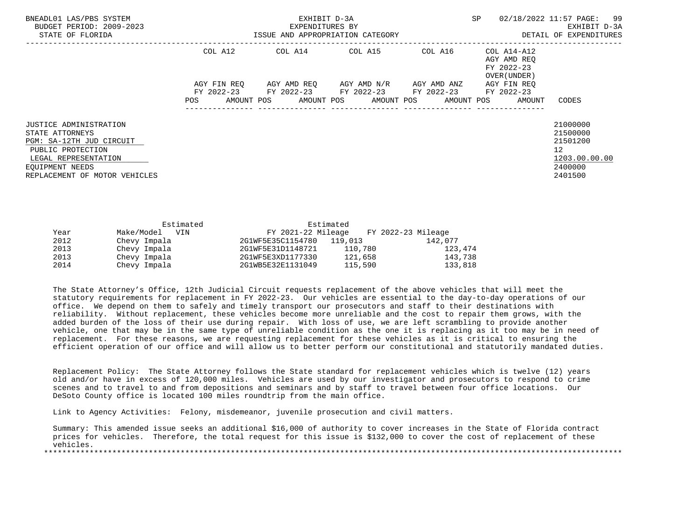| BNEADL01 LAS/PBS SYSTEM<br>BUDGET PERIOD: 2009-2023<br>STATE OF FLORIDA                                                                                                       |                   | EXHIBIT D-3A<br>EXPENDITURES BY<br>ISSUE AND APPROPRIATION CATEGORY | <b>SP</b>                                                              | 02/18/2022 11:57 PAGE: 99<br>EXHIBIT D-3A<br>DETAIL OF EXPENDITURES |                                                           |                                                                                            |
|-------------------------------------------------------------------------------------------------------------------------------------------------------------------------------|-------------------|---------------------------------------------------------------------|------------------------------------------------------------------------|---------------------------------------------------------------------|-----------------------------------------------------------|--------------------------------------------------------------------------------------------|
|                                                                                                                                                                               | COL A12           |                                                                     | COL A14 COL A15                                                        | COL A16                                                             | COL A14-A12<br>AGY AMD REO<br>FY 2022-23<br>OVER (UNDER ) |                                                                                            |
|                                                                                                                                                                               | AGY FIN REO       |                                                                     | AGY AMD REQ AGY AMD N/R<br>FY 2022-23 FY 2022-23 FY 2022-23 FY 2022-23 | AGY AMD ANZ                                                         | AGY FIN REO<br>FY 2022-23                                 |                                                                                            |
|                                                                                                                                                                               | AMOUNT POS<br>POS |                                                                     | AMOUNT POS AMOUNT POS                                                  |                                                                     | AMOUNT POS<br>AMOUNT                                      | CODES                                                                                      |
| <b>JUSTICE ADMINISTRATION</b><br>STATE ATTORNEYS<br>PGM: SA-12TH JUD CIRCUIT<br>PUBLIC PROTECTION<br>LEGAL REPRESENTATION<br>EOUIPMENT NEEDS<br>REPLACEMENT OF MOTOR VEHICLES |                   |                                                                     |                                                                        |                                                                     |                                                           | 21000000<br>21500000<br>21501200<br>12 <sup>°</sup><br>1203.00.00.00<br>2400000<br>2401500 |

|      | Estimated         |                    | Estimated |                    |
|------|-------------------|--------------------|-----------|--------------------|
| Year | Make/Model<br>VIN | FY 2021-22 Mileage |           | FY 2022-23 Mileage |
| 2012 | Chevy Impala      | 2G1WF5E35C1154780  | 119,013   | 142,077            |
| 2013 | Chevy Impala      | 2G1WF5E31D1148721  | 110,780   | 123,474            |
| 2013 | Chevy Impala      | 2G1WF5E3XD1177330  | 121,658   | 143,738            |
| 2014 | Chevy Impala      | 2G1WB5E32E1131049  | 115,590   | 133,818            |

 The State Attorney's Office, 12th Judicial Circuit requests replacement of the above vehicles that will meet the statutory requirements for replacement in FY 2022-23. Our vehicles are essential to the day-to-day operations of our office. We depend on them to safely and timely transport our prosecutors and staff to their destinations with reliability. Without replacement, these vehicles become more unreliable and the cost to repair them grows, with the added burden of the loss of their use during repair. With loss of use, we are left scrambling to provide another vehicle, one that may be in the same type of unreliable condition as the one it is replacing as it too may be in need of replacement. For these reasons, we are requesting replacement for these vehicles as it is critical to ensuring the efficient operation of our office and will allow us to better perform our constitutional and statutorily mandated duties.

 Replacement Policy: The State Attorney follows the State standard for replacement vehicles which is twelve (12) years old and/or have in excess of 120,000 miles. Vehicles are used by our investigator and prosecutors to respond to crime scenes and to travel to and from depositions and seminars and by staff to travel between four office locations. Our DeSoto County office is located 100 miles roundtrip from the main office.

Link to Agency Activities: Felony, misdemeanor, juvenile prosecution and civil matters.

 Summary: This amended issue seeks an additional \$16,000 of authority to cover increases in the State of Florida contract prices for vehicles. Therefore, the total request for this issue is \$132,000 to cover the cost of replacement of these vehicles. \*\*\*\*\*\*\*\*\*\*\*\*\*\*\*\*\*\*\*\*\*\*\*\*\*\*\*\*\*\*\*\*\*\*\*\*\*\*\*\*\*\*\*\*\*\*\*\*\*\*\*\*\*\*\*\*\*\*\*\*\*\*\*\*\*\*\*\*\*\*\*\*\*\*\*\*\*\*\*\*\*\*\*\*\*\*\*\*\*\*\*\*\*\*\*\*\*\*\*\*\*\*\*\*\*\*\*\*\*\*\*\*\*\*\*\*\*\*\*\*\*\*\*\*\*\*\*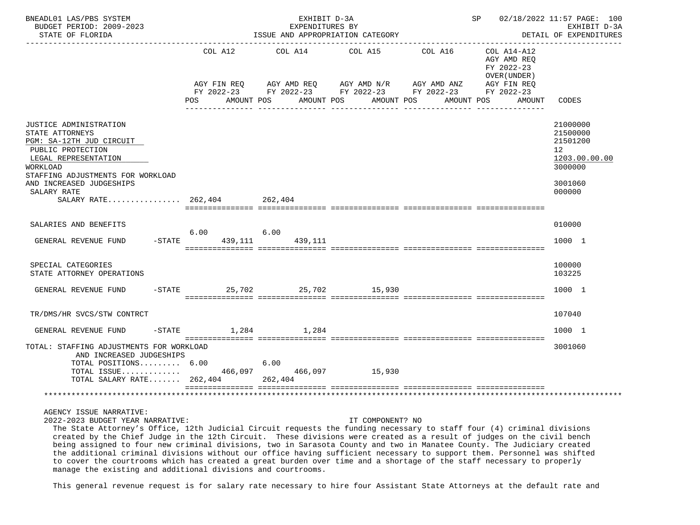| BNEADL01 LAS/PBS SYSTEM<br>BUDGET PERIOD: 2009-2023<br>STATE OF FLORIDA                                                                                                                                                                       |                                  | EXHIBIT D-3A<br>EXPENDITURES BY | ISSUE AND APPROPRIATION CATEGORY                                                                                                                                         |            |                                                                    | SP 02/18/2022 11:57 PAGE: 100<br>EXHIBIT D-3A<br>DETAIL OF EXPENDITURES                              |
|-----------------------------------------------------------------------------------------------------------------------------------------------------------------------------------------------------------------------------------------------|----------------------------------|---------------------------------|--------------------------------------------------------------------------------------------------------------------------------------------------------------------------|------------|--------------------------------------------------------------------|------------------------------------------------------------------------------------------------------|
|                                                                                                                                                                                                                                               | AGY FIN REO<br>POS<br>AMOUNT POS |                                 | COL A12 COL A14 COL A15 COL A16<br>AGY AMD REQ AGY AMD N/R AGY AMD ANZ AGY FIN REQ<br>FY 2022-23 FY 2022-23 FY 2022-23 FY 2022-23 FY 2022-23<br>AMOUNT POS<br>AMOUNT POS | AMOUNT POS | COL A14-A12<br>AGY AMD REQ<br>FY 2022-23<br>OVER (UNDER)<br>AMOUNT | CODES                                                                                                |
| JUSTICE ADMINISTRATION<br>STATE ATTORNEYS<br>PGM: SA-12TH JUD CIRCUIT<br>PUBLIC PROTECTION<br>LEGAL REPRESENTATION<br>WORKLOAD<br>STAFFING ADJUSTMENTS FOR WORKLOAD<br>AND INCREASED JUDGESHIPS<br>SALARY RATE<br>SALARY RATE 262,404 262,404 |                                  |                                 |                                                                                                                                                                          |            |                                                                    | 21000000<br>21500000<br>21501200<br>12 <sup>°</sup><br>1203.00.00.00<br>3000000<br>3001060<br>000000 |
| SALARIES AND BENEFITS<br>GENERAL REVENUE FUND                                                                                                                                                                                                 | 6.00<br>$-STATE$<br>439,111      | 6.00<br>439,111                 |                                                                                                                                                                          |            |                                                                    | 010000<br>1000 1                                                                                     |
| SPECIAL CATEGORIES<br>STATE ATTORNEY OPERATIONS                                                                                                                                                                                               |                                  |                                 |                                                                                                                                                                          |            |                                                                    | 100000<br>103225                                                                                     |
| GENERAL REVENUE FUND -STATE 25,702 25,702 15,930                                                                                                                                                                                              |                                  |                                 |                                                                                                                                                                          |            |                                                                    | 1000 1                                                                                               |
| TR/DMS/HR SVCS/STW CONTRCT                                                                                                                                                                                                                    |                                  |                                 |                                                                                                                                                                          |            |                                                                    | 107040                                                                                               |
| GENERAL REVENUE FUND                                                                                                                                                                                                                          | $-$ STATE $1,284$ $1,284$        |                                 |                                                                                                                                                                          |            |                                                                    | 1000 1                                                                                               |
| TOTAL: STAFFING ADJUSTMENTS FOR WORKLOAD<br>AND INCREASED JUDGESHIPS<br>TOTAL POSITIONS 6.00<br>TOTAL ISSUE 466,097 466,097 15,930                                                                                                            |                                  | 6.00                            |                                                                                                                                                                          |            |                                                                    | 3001060                                                                                              |
| TOTAL SALARY RATE 262,404 262,404                                                                                                                                                                                                             |                                  |                                 |                                                                                                                                                                          |            |                                                                    |                                                                                                      |

AGENCY ISSUE NARRATIVE:

2022-2023 BUDGET YEAR NARRATIVE: IT COMPONENT? NO

 The State Attorney's Office, 12th Judicial Circuit requests the funding necessary to staff four (4) criminal divisions created by the Chief Judge in the 12th Circuit. These divisions were created as a result of judges on the civil bench being assigned to four new criminal divisions, two in Sarasota County and two in Manatee County. The Judiciary created the additional criminal divisions without our office having sufficient necessary to support them. Personnel was shifted to cover the courtrooms which has created a great burden over time and a shortage of the staff necessary to properly manage the existing and additional divisions and courtrooms.

This general revenue request is for salary rate necessary to hire four Assistant State Attorneys at the default rate and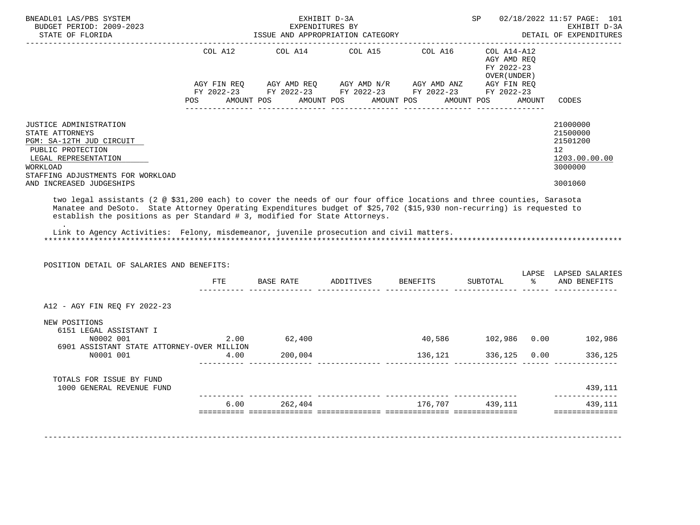| JUSTICE ADMINISTRATION<br>STATE ATTORNEYS<br>PGM: SA-12TH JUD CIRCUIT<br>PUBLIC PROTECTION<br>LEGAL REPRESENTATION<br>WORKLOAD<br>STAFFING ADJUSTMENTS FOR WORKLOAD<br>AND INCREASED JUDGESHIPS<br>two legal assistants (2 @ \$31,200 each) to cover the needs of our four office locations and three counties, Sarasota<br>Manatee and DeSoto. State Attorney Operating Expenditures budget of \$25,702 (\$15,930 non-recurring) is requested to<br>establish the positions as per Standard # 3, modified for State Attorneys.<br>Link to Agency Activities: Felony, misdemeanor, juvenile prosecution and civil matters.<br>POSITION DETAIL OF SALARIES AND BENEFITS: | COL A12 | COL A14<br>POS AMOUNT POS AMOUNT POS AMOUNT POS | COL A15 | COL A16<br>AGY FIN REQ AGY AMD REQ AGY AMD N/R AGY AMD ANZ AGY FIN REQ<br>FY 2022-23 FY 2022-23 FY 2022-23 FY 2022-23 FY 2022-23 | COL A14-A12<br>AGY AMD REQ<br>FY 2022-23<br>OVER (UNDER)<br>AMOUNT POS | AMOUNT                  | <b>CODES</b><br>21000000<br>21500000<br>21501200<br>12 <sup>°</sup><br>1203.00.00.00<br>3000000<br>3001060 |
|-------------------------------------------------------------------------------------------------------------------------------------------------------------------------------------------------------------------------------------------------------------------------------------------------------------------------------------------------------------------------------------------------------------------------------------------------------------------------------------------------------------------------------------------------------------------------------------------------------------------------------------------------------------------------|---------|-------------------------------------------------|---------|----------------------------------------------------------------------------------------------------------------------------------|------------------------------------------------------------------------|-------------------------|------------------------------------------------------------------------------------------------------------|
|                                                                                                                                                                                                                                                                                                                                                                                                                                                                                                                                                                                                                                                                         |         |                                                 |         |                                                                                                                                  |                                                                        |                         |                                                                                                            |
|                                                                                                                                                                                                                                                                                                                                                                                                                                                                                                                                                                                                                                                                         |         |                                                 |         |                                                                                                                                  |                                                                        |                         |                                                                                                            |
|                                                                                                                                                                                                                                                                                                                                                                                                                                                                                                                                                                                                                                                                         | FTE     |                                                 |         | BASE RATE ADDITIVES BENEFITS                                                                                                     | SUBTOTAL                                                               | $\sim$ $\approx$ $\sim$ | LAPSE LAPSED SALARIES<br>AND BENEFITS                                                                      |
| A12 - AGY FIN REO FY 2022-23                                                                                                                                                                                                                                                                                                                                                                                                                                                                                                                                                                                                                                            |         |                                                 |         |                                                                                                                                  |                                                                        |                         |                                                                                                            |
| NEW POSITIONS<br>6151 LEGAL ASSISTANT I<br>N0002 001<br>6901 ASSISTANT STATE ATTORNEY-OVER MILLION                                                                                                                                                                                                                                                                                                                                                                                                                                                                                                                                                                      |         | 2.00 62,400                                     |         |                                                                                                                                  |                                                                        |                         | 40,586    102,986    0.00    102,986                                                                       |
| N0001 001                                                                                                                                                                                                                                                                                                                                                                                                                                                                                                                                                                                                                                                               | 4.00    | 200,004                                         |         | 136,121                                                                                                                          | 336,125 0.00                                                           |                         | 336,125                                                                                                    |
| TOTALS FOR ISSUE BY FUND<br>1000 GENERAL REVENUE FUND                                                                                                                                                                                                                                                                                                                                                                                                                                                                                                                                                                                                                   |         |                                                 |         |                                                                                                                                  |                                                                        |                         | 439,111                                                                                                    |
|                                                                                                                                                                                                                                                                                                                                                                                                                                                                                                                                                                                                                                                                         |         |                                                 |         |                                                                                                                                  |                                                                        |                         | --------------                                                                                             |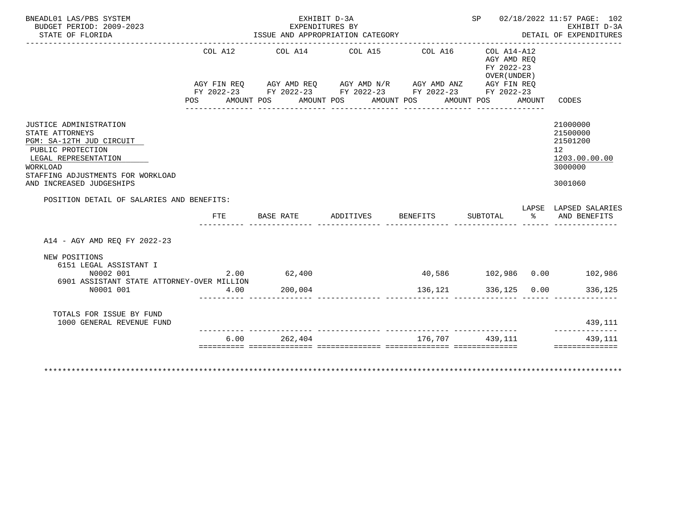|         | EXHIBIT D-3A                                                                            |                     |                 |                                                                  |                                                                                        | SP 02/18/2022 11:57 PAGE: 102<br>EXHIBIT D-3A                                                                                                                                                                                                                             |
|---------|-----------------------------------------------------------------------------------------|---------------------|-----------------|------------------------------------------------------------------|----------------------------------------------------------------------------------------|---------------------------------------------------------------------------------------------------------------------------------------------------------------------------------------------------------------------------------------------------------------------------|
|         |                                                                                         |                     |                 |                                                                  |                                                                                        | DETAIL OF EXPENDITURES                                                                                                                                                                                                                                                    |
| COL A12 |                                                                                         |                     |                 |                                                                  |                                                                                        | CODES                                                                                                                                                                                                                                                                     |
|         |                                                                                         |                     |                 |                                                                  |                                                                                        | 21000000<br>21500000<br>21501200<br>12 <sup>°</sup><br>1203.00.00.00<br>3000000<br>3001060                                                                                                                                                                                |
|         |                                                                                         |                     |                 |                                                                  |                                                                                        |                                                                                                                                                                                                                                                                           |
| FTE     |                                                                                         |                     |                 |                                                                  |                                                                                        | LAPSE LAPSED SALARIES                                                                                                                                                                                                                                                     |
|         |                                                                                         |                     |                 |                                                                  |                                                                                        |                                                                                                                                                                                                                                                                           |
|         |                                                                                         |                     |                 |                                                                  |                                                                                        |                                                                                                                                                                                                                                                                           |
|         | 200,004                                                                                 |                     |                 |                                                                  |                                                                                        | 336,125                                                                                                                                                                                                                                                                   |
|         |                                                                                         |                     |                 |                                                                  |                                                                                        | 439,111<br>---------------                                                                                                                                                                                                                                                |
|         |                                                                                         |                     |                 |                                                                  |                                                                                        |                                                                                                                                                                                                                                                                           |
|         | POSITION DETAIL OF SALARIES AND BENEFITS:<br>6901 ASSISTANT STATE ATTORNEY-OVER MILLION | 2.00 62,400<br>4.00 | EXPENDITURES BY | ISSUE AND APPROPRIATION CATEGORY<br>BASE RATE ADDITIVES BENEFITS | COL A14 COL A15 COL A16<br>POS AMOUNT POS AMOUNT POS AMOUNT POS AMOUNT POS<br>136, 121 | $COL A14 - A12$<br>AGY AMD REO<br>FY 2022-23<br>OVER (UNDER)<br>AGY FIN REQ AGY AMD REQ AGY AMD N/R AGY AMD ANZ AGY FIN REQ<br>FY 2022-23 FY 2022-23 FY 2022-23 FY 2022-23 FY 2022-23<br>AMOUNT<br>SUBTOTAL % AND BENEFITS<br>40,586 102,986 0.00 102,986<br>336,125 0.00 |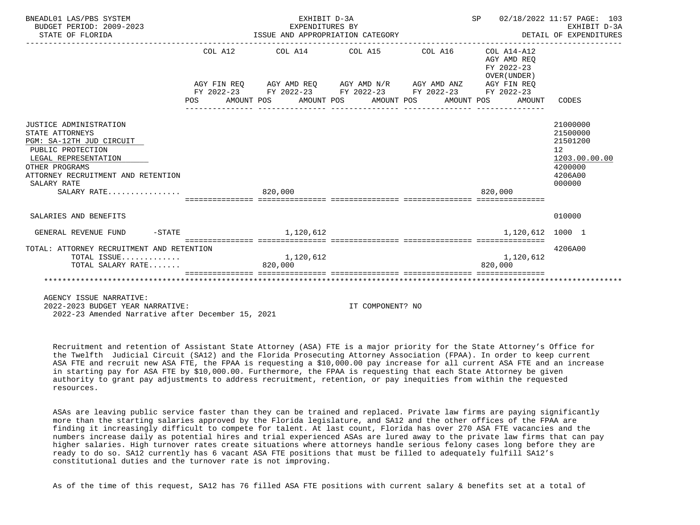| BNEADL01 LAS/PBS SYSTEM<br>BUDGET PERIOD: 2009-2023<br>STATE OF FLORIDA                                                                                                                                  | EXHIBIT D-3A<br>EXPENDITURES BY<br>ISSUE AND APPROPRIATION CATEGORY                                                                                                                                                     |                  | SP 02/18/2022 11:57 PAGE: 103<br>EARLBII D-3A<br>DETAIL OF EXPENDITURES | EXHIBIT D-3A                                                                            |
|----------------------------------------------------------------------------------------------------------------------------------------------------------------------------------------------------------|-------------------------------------------------------------------------------------------------------------------------------------------------------------------------------------------------------------------------|------------------|-------------------------------------------------------------------------|-----------------------------------------------------------------------------------------|
|                                                                                                                                                                                                          | COL A12 COL A14 COL A15 COL A16 COL A14-A12<br>AGY FIN REQ AGY AMD REQ AGY AMD N/R AGY AMD ANZ AGY FIN REQ<br>FY 2022-23 FY 2022-23 FY 2022-23 FY 2022-23 FY 2022-23<br>POS AMOUNT POS AMOUNT POS AMOUNT POS AMOUNT POS |                  | AGY AMD REO<br>FY 2022-23<br>OVER (UNDER)<br>AMOUNT                     | CODES                                                                                   |
| JUSTICE ADMINISTRATION<br>STATE ATTORNEYS<br>PGM: SA-12TH JUD CIRCUIT<br>PUBLIC PROTECTION<br>LEGAL REPRESENTATION<br>OTHER PROGRAMS<br>ATTORNEY RECRUITMENT AND RETENTION<br>SALARY RATE<br>SALARY RATE | 820,000                                                                                                                                                                                                                 |                  | 820,000                                                                 | 21000000<br>21500000<br>21501200<br>12<br>1203.00.00.00<br>4200000<br>4206A00<br>000000 |
| SALARIES AND BENEFITS                                                                                                                                                                                    |                                                                                                                                                                                                                         |                  |                                                                         | 010000                                                                                  |
| $-$ STATE<br>GENERAL REVENUE FUND                                                                                                                                                                        | 1,120,612                                                                                                                                                                                                               |                  | 1,120,612 1000 1                                                        |                                                                                         |
| TOTAL: ATTORNEY RECRUITMENT AND RETENTION<br>TOTAL ISSUE<br>TOTAL SALARY RATE                                                                                                                            | 1,120,612<br>820,000                                                                                                                                                                                                    |                  | 1,120,612<br>820,000                                                    | 4206A00                                                                                 |
| AGENCY ISSUE NARRATIVE:<br>2022-2023 BUDGET YEAR NARRATIVE:                                                                                                                                              |                                                                                                                                                                                                                         | IT COMPONENT? NO |                                                                         |                                                                                         |

 Recruitment and retention of Assistant State Attorney (ASA) FTE is a major priority for the State Attorney's Office for the Twelfth Judicial Circuit (SA12) and the Florida Prosecuting Attorney Association (FPAA). In order to keep current ASA FTE and recruit new ASA FTE, the FPAA is requesting a \$10,000.00 pay increase for all current ASA FTE and an increase in starting pay for ASA FTE by \$10,000.00. Furthermore, the FPAA is requesting that each State Attorney be given authority to grant pay adjustments to address recruitment, retention, or pay inequities from within the requested resources.

2022-23 Amended Narrative after December 15, 2021

 ASAs are leaving public service faster than they can be trained and replaced. Private law firms are paying significantly more than the starting salaries approved by the Florida legislature, and SA12 and the other offices of the FPAA are finding it increasingly difficult to compete for talent. At last count, Florida has over 270 ASA FTE vacancies and the numbers increase daily as potential hires and trial experienced ASAs are lured away to the private law firms that can pay higher salaries. High turnover rates create situations where attorneys handle serious felony cases long before they are ready to do so. SA12 currently has 6 vacant ASA FTE positions that must be filled to adequately fulfill SA12's constitutional duties and the turnover rate is not improving.

As of the time of this request, SA12 has 76 filled ASA FTE positions with current salary & benefits set at a total of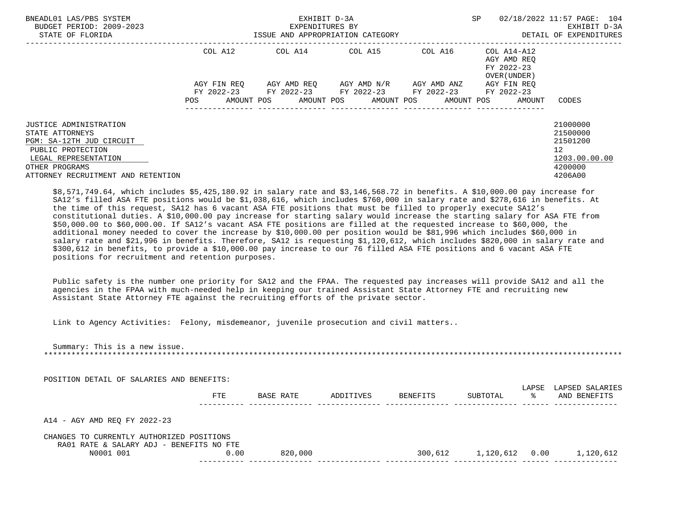| BNEADL01 LAS/PBS SYSTEM<br>BUDGET PERIOD: 2009-2023<br>STATE OF FLORIDA                                                                                                           |             | EXHIBIT D-3A<br>EXPENDITURES BY<br>ISSUE AND APPROPRIATION CATEGORY | <b>SP</b>                                     | 02/18/2022 11:57 PAGE: 104<br>EXHIBIT D-3A<br>DETAIL OF EXPENDITURES |                                                          |                                                                               |
|-----------------------------------------------------------------------------------------------------------------------------------------------------------------------------------|-------------|---------------------------------------------------------------------|-----------------------------------------------|----------------------------------------------------------------------|----------------------------------------------------------|-------------------------------------------------------------------------------|
|                                                                                                                                                                                   | COL A12     | COL A14 COL A15                                                     |                                               | COL A16                                                              | COL A14-A12<br>AGY AMD REO<br>FY 2022-23<br>OVER (UNDER) |                                                                               |
|                                                                                                                                                                                   | AGY FIN REO | FY 2022-23 FY 2022-23 FY 2022-23 FY 2022-23 FY 2022-23              | AGY AMD REO      AGY AMD N/R      AGY AMD ANZ |                                                                      | AGY FIN REO                                              |                                                                               |
|                                                                                                                                                                                   | POS         | AMOUNT POS AMOUNT POS AMOUNT POS                                    |                                               |                                                                      | AMOUNT POS<br>AMOUNT                                     | CODES                                                                         |
| <b>JUSTICE ADMINISTRATION</b><br>STATE ATTORNEYS<br>PGM: SA-12TH JUD CIRCUIT<br>PUBLIC PROTECTION<br>LEGAL REPRESENTATION<br>OTHER PROGRAMS<br>ATTORNEY RECRUITMENT AND RETENTION |             |                                                                     |                                               |                                                                      |                                                          | 21000000<br>21500000<br>21501200<br>12<br>1203.00.00.00<br>4200000<br>4206A00 |

 \$8,571,749.64, which includes \$5,425,180.92 in salary rate and \$3,146,568.72 in benefits. A \$10,000.00 pay increase for SA12's filled ASA FTE positions would be \$1,038,616, which includes \$760,000 in salary rate and \$278,616 in benefits. At the time of this request, SA12 has 6 vacant ASA FTE positions that must be filled to properly execute SA12's constitutional duties. A \$10,000.00 pay increase for starting salary would increase the starting salary for ASA FTE from \$50,000.00 to \$60,000.00. If SA12's vacant ASA FTE positions are filled at the requested increase to \$60,000, the additional money needed to cover the increase by \$10,000.00 per position would be \$81,996 which includes \$60,000 in salary rate and \$21,996 in benefits. Therefore, SA12 is requesting \$1,120,612, which includes \$820,000 in salary rate and \$300,612 in benefits, to provide a \$10,000.00 pay increase to our 76 filled ASA FTE positions and 6 vacant ASA FTE positions for recruitment and retention purposes.

 Public safety is the number one priority for SA12 and the FPAA. The requested pay increases will provide SA12 and all the agencies in the FPAA with much-needed help in keeping our trained Assistant State Attorney FTE and recruiting new Assistant State Attorney FTE against the recruiting efforts of the private sector.

Link to Agency Activities: Felony, misdemeanor, juvenile prosecution and civil matters..

| Summary: This is a new issue.                                                         |            |           |           |                 |                  |             |                                 |
|---------------------------------------------------------------------------------------|------------|-----------|-----------|-----------------|------------------|-------------|---------------------------------|
| POSITION DETAIL OF SALARIES AND BENEFITS:                                             | <b>FTE</b> | BASE RATE | ADDITIVES | <b>BENEFITS</b> | SUBTOTAL         | LAPSE<br>ႜႜ | LAPSED SALARIES<br>AND BENEFITS |
| A14 - AGY AMD REO FY 2022-23                                                          |            |           |           |                 |                  |             |                                 |
| CHANGES TO CURRENTLY AUTHORIZED POSITIONS<br>RA01 RATE & SALARY ADJ - BENEFITS NO FTE |            |           |           |                 |                  |             |                                 |
| N0001 001                                                                             | 0.00       | 820,000   |           | 300,612         | 1,120,612   0.00 |             | 1,120,612                       |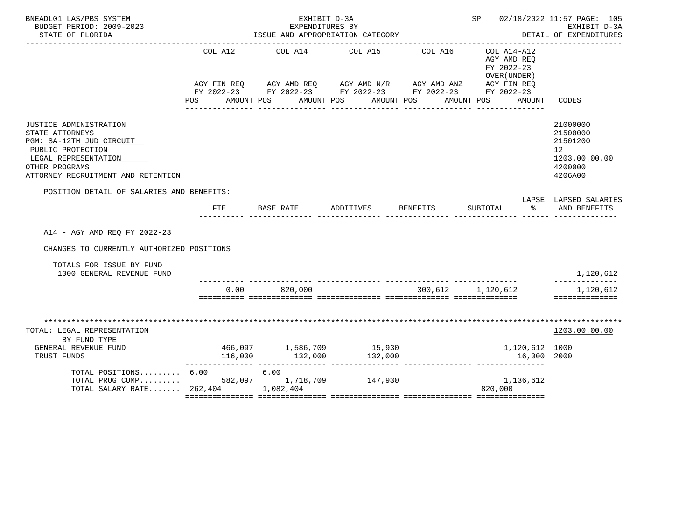| BNEADL01 LAS/PBS SYSTEM<br>BUDGET PERIOD: 2009-2023<br>STATE OF FLORIDA                                                                                                    |                          | EXHIBIT D-3A<br>EXPENDITURES BY<br>ISSUE AND APPROPRIATION CATEGORY |                                                                                                                                                                          | SP 02/18/2022 11:57 PAGE: 105<br>EXHIBIT D-3A<br>DETAIL OF EXPENDITURES |                                                                                                                       |                                                                               |
|----------------------------------------------------------------------------------------------------------------------------------------------------------------------------|--------------------------|---------------------------------------------------------------------|--------------------------------------------------------------------------------------------------------------------------------------------------------------------------|-------------------------------------------------------------------------|-----------------------------------------------------------------------------------------------------------------------|-------------------------------------------------------------------------------|
|                                                                                                                                                                            | POS FOR                  | AMOUNT POS                                                          | COL A12 COL A14 COL A15 COL A16<br>AGY FIN REQ $AGY$ AMD REQ AGY AMD N/R AGY AMD ANZ AGY FIN REQ<br>FY 2022-23 FY 2022-23 FY 2022-23 FY 2022-23 FY 2022-23<br>AMOUNT POS | AMOUNT POS                                                              | ---------------------------------<br>COL A14-A12<br>AGY AMD REO<br>FY 2022-23<br>OVER (UNDER)<br>AMOUNT POS<br>AMOUNT | CODES                                                                         |
| JUSTICE ADMINISTRATION<br>STATE ATTORNEYS<br>PGM: SA-12TH JUD CIRCUIT<br>PUBLIC PROTECTION<br>LEGAL REPRESENTATION<br>OTHER PROGRAMS<br>ATTORNEY RECRUITMENT AND RETENTION |                          |                                                                     |                                                                                                                                                                          |                                                                         |                                                                                                                       | 21000000<br>21500000<br>21501200<br>12<br>1203.00.00.00<br>4200000<br>4206A00 |
| POSITION DETAIL OF SALARIES AND BENEFITS:                                                                                                                                  |                          |                                                                     | FTE BASE RATE ADDITIVES BENEFITS                                                                                                                                         |                                                                         | SUBTOTAL % AND BENEFITS                                                                                               | LAPSE LAPSED SALARIES                                                         |
| A14 - AGY AMD REO FY 2022-23<br>CHANGES TO CURRENTLY AUTHORIZED POSITIONS                                                                                                  |                          |                                                                     |                                                                                                                                                                          |                                                                         |                                                                                                                       |                                                                               |
| TOTALS FOR ISSUE BY FUND<br>1000 GENERAL REVENUE FUND                                                                                                                      |                          |                                                                     |                                                                                                                                                                          |                                                                         |                                                                                                                       | 1,120,612<br>--------------                                                   |
|                                                                                                                                                                            |                          | $0.00$ 820,000                                                      |                                                                                                                                                                          | 300,612 1,120,612                                                       |                                                                                                                       | 1,120,612<br>==============                                                   |
| TOTAL: LEGAL REPRESENTATION<br>BY FUND TYPE                                                                                                                                |                          |                                                                     |                                                                                                                                                                          |                                                                         |                                                                                                                       | 1203.00.00.00                                                                 |
| GENERAL REVENUE FUND<br>TRUST FUNDS                                                                                                                                        | 466,097 1,586,709 15,930 |                                                                     |                                                                                                                                                                          |                                                                         | 1,120,612 1000<br>$116,000$ $132,000$ $132,000$ $132,000$ $16,000$<br>16,000 2000                                     |                                                                               |
| TOTAL POSITIONS 6.00 6.00<br>TOTAL PROG COMP 582,097 1,718,709 147,930<br>TOTAL SALARY RATE 262,404 1,082,404                                                              |                          |                                                                     |                                                                                                                                                                          |                                                                         | 1,136,612<br>820,000                                                                                                  |                                                                               |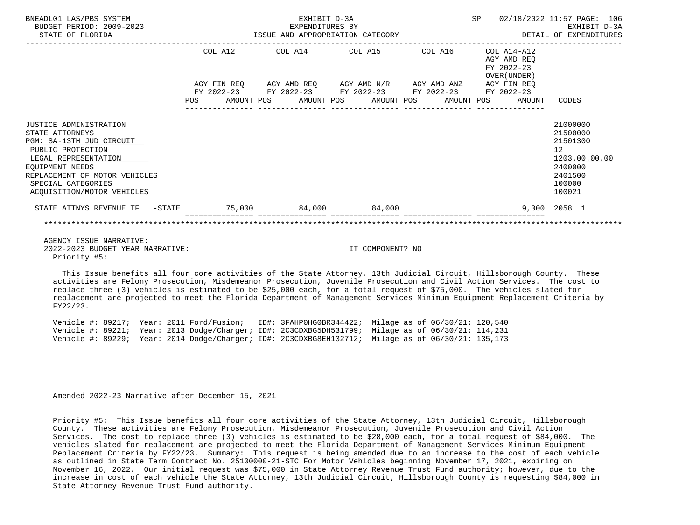| BNEADL01 LAS/PBS SYSTEM<br>BUDGET PERIOD: 2009-2023<br>STATE OF FLORIDA                                                                                                                                                    | EXHIBIT D-3A<br>expenditures by<br>ISSUE AND APPROPRIATION CATEGORY |  |  |                  |  |                                                             |  |  | SP 02/18/2022 11:57 PAGE: 106<br>EXHIBIT D-3A<br>DETAIL OF EXPENDITURES |                                                                                                                |
|----------------------------------------------------------------------------------------------------------------------------------------------------------------------------------------------------------------------------|---------------------------------------------------------------------|--|--|------------------|--|-------------------------------------------------------------|--|--|-------------------------------------------------------------------------|----------------------------------------------------------------------------------------------------------------|
|                                                                                                                                                                                                                            |                                                                     |  |  |                  |  | COL A12 COL A14 COL A15 COL A16 COL A14-A12                 |  |  | AGY AMD REO<br>FY 2022-23<br>OVER (UNDER)                               |                                                                                                                |
|                                                                                                                                                                                                                            |                                                                     |  |  |                  |  | AGY FIN REQ AGY AMD REQ AGY AMD N/R AGY AMD ANZ AGY FIN REQ |  |  |                                                                         |                                                                                                                |
|                                                                                                                                                                                                                            |                                                                     |  |  | ________________ |  | FY 2022-23 FY 2022-23 FY 2022-23 FY 2022-23 FY 2022-23      |  |  | POS AMOUNT POS AMOUNT POS AMOUNT POS AMOUNT POS AMOUNT CODES            |                                                                                                                |
| JUSTICE ADMINISTRATION<br>STATE ATTORNEYS<br>PGM: SA-13TH JUD CIRCUIT<br>PUBLIC PROTECTION<br>LEGAL REPRESENTATION<br>EOUIPMENT NEEDS<br>REPLACEMENT OF MOTOR VEHICLES<br>SPECIAL CATEGORIES<br>ACOUISITION/MOTOR VEHICLES |                                                                     |  |  |                  |  |                                                             |  |  |                                                                         | 21000000<br>21500000<br>21501300<br>12 <sup>°</sup><br>1203.00.00.00<br>2400000<br>2401500<br>100000<br>100021 |
| STATE ATTNYS REVENUE TF -STATE 579.000 84,000 84,000                                                                                                                                                                       |                                                                     |  |  |                  |  |                                                             |  |  |                                                                         | 9.000 2058 1                                                                                                   |
|                                                                                                                                                                                                                            |                                                                     |  |  |                  |  |                                                             |  |  |                                                                         |                                                                                                                |
| AGENCY ISSUE NARRATIVE:<br>2022-2023 BUDGET YEAR NARRATIVE:                                                                                                                                                                |                                                                     |  |  |                  |  | IT COMPONENT? NO                                            |  |  |                                                                         |                                                                                                                |

Priority #5:

 This Issue benefits all four core activities of the State Attorney, 13th Judicial Circuit, Hillsborough County. These activities are Felony Prosecution, Misdemeanor Prosecution, Juvenile Prosecution and Civil Action Services. The cost to replace three (3) vehicles is estimated to be \$25,000 each, for a total request of \$75,000. The vehicles slated for replacement are projected to meet the Florida Department of Management Services Minimum Equipment Replacement Criteria by FY22/23.

|  |  |  |  | Vehicle #: 89217; Year: 2011 Ford/Fusion; ID#: 3FAHP0HG0BR344422; Milage as of 06/30/21: 120,540      |  |  |
|--|--|--|--|-------------------------------------------------------------------------------------------------------|--|--|
|  |  |  |  | Vehicle #: 89221; Year: 2013 Dodge/Charger; ID#: 2C3CDXBG5DH531799; Milage as of 06/30/21: 114,231    |  |  |
|  |  |  |  | Vehicle #: 89229; Year: 2014 Dodge/Charger; ID#: 2C3CDXBG8EH132712; Milage as of $06/30/21$ : 135,173 |  |  |

Amended 2022-23 Narrative after December 15, 2021

 Priority #5: This Issue benefits all four core activities of the State Attorney, 13th Judicial Circuit, Hillsborough County. These activities are Felony Prosecution, Misdemeanor Prosecution, Juvenile Prosecution and Civil Action Services. The cost to replace three (3) vehicles is estimated to be \$28,000 each, for a total request of \$84,000. The vehicles slated for replacement are projected to meet the Florida Department of Management Services Minimum Equipment Replacement Criteria by FY22/23. Summary: This request is being amended due to an increase to the cost of each vehicle as outlined in State Term Contract No. 25100000-21-STC For Motor Vehicles beginning November 17, 2021, expiring on November 16, 2022. Our initial request was \$75,000 in State Attorney Revenue Trust Fund authority; however, due to the increase in cost of each vehicle the State Attorney, 13th Judicial Circuit, Hillsborough County is requesting \$84,000 in State Attorney Revenue Trust Fund authority.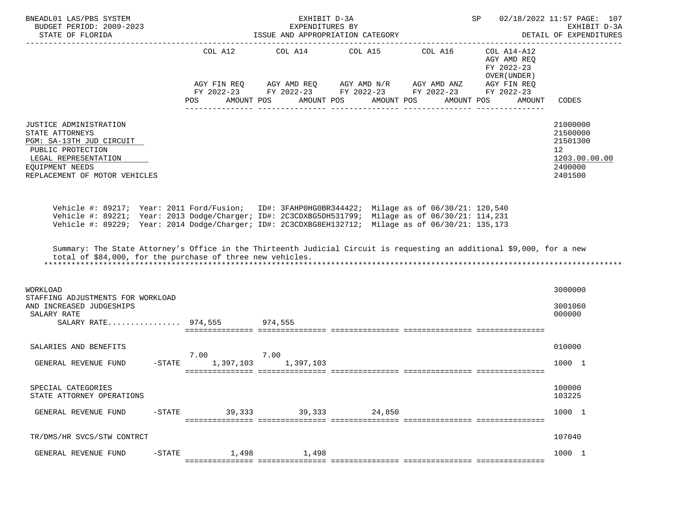| BNEADL01 LAS/PBS SYSTEM<br>BUDGET PERIOD: 2009-2023<br>STATE OF FLORIDA                                                                                                                                                                                                                                      |                                            | EXHIBIT D-3A<br>EXPENDITURES BY<br>ISSUE AND APPROPRIATION CATEGORY                                          | SP                    | 02/18/2022 11:57 PAGE: 107<br>EXHIBIT D-3A<br>DETAIL OF EXPENDITURES |                                                                                                 |                                                                                              |
|--------------------------------------------------------------------------------------------------------------------------------------------------------------------------------------------------------------------------------------------------------------------------------------------------------------|--------------------------------------------|--------------------------------------------------------------------------------------------------------------|-----------------------|----------------------------------------------------------------------|-------------------------------------------------------------------------------------------------|----------------------------------------------------------------------------------------------|
|                                                                                                                                                                                                                                                                                                              | COL A12<br>FY 2022-23<br>POS<br>AMOUNT POS | COL A14<br>AGY FIN REQ AGY AMD REQ AGY AMD N/R AGY AMD ANZ<br>FY 2022-23 FY 2022-23 FY 2022-23<br>AMOUNT POS | COL A15<br>AMOUNT POS | COL A16<br>AMOUNT POS                                                | COL A14-A12<br>AGY AMD REQ<br>FY 2022-23<br>OVER (UNDER)<br>AGY FIN REQ<br>FY 2022-23<br>AMOUNT | CODES                                                                                        |
| JUSTICE ADMINISTRATION<br>STATE ATTORNEYS<br>PGM: SA-13TH JUD CIRCUIT<br>PUBLIC PROTECTION<br>LEGAL REPRESENTATION<br>EQUIPMENT NEEDS<br>REPLACEMENT OF MOTOR VEHICLES                                                                                                                                       |                                            |                                                                                                              |                       | ---------------                                                      |                                                                                                 | 21000000<br>21500000<br>21501300<br>$12 \overline{ }$<br>1203.00.00.00<br>2400000<br>2401500 |
| Vehicle #: 89217; Year: 2011 Ford/Fusion; ID#: 3FAHP0HG0BR344422; Milage as of 06/30/21: 120,540<br>Vehicle #: 89221; Year: 2013 Dodge/Charger; ID#: 2C3CDXBG5DH531799; Milage as of 06/30/21: 114,231<br>Vehicle #: 89229; Year: 2014 Dodge/Charger; ID#: 2C3CDXBG8EH132712; Milage as of 06/30/21: 135,173 |                                            |                                                                                                              |                       |                                                                      |                                                                                                 |                                                                                              |
| Summary: The State Attorney's Office in the Thirteenth Judicial Circuit is requesting an additional \$9,000, for a new<br>total of \$84,000, for the purchase of three new vehicles.                                                                                                                         |                                            |                                                                                                              |                       |                                                                      |                                                                                                 |                                                                                              |
| WORKLOAD<br>STAFFING ADJUSTMENTS FOR WORKLOAD<br>AND INCREASED JUDGESHIPS<br>SALARY RATE<br>SALARY RATE 974,555 974,555                                                                                                                                                                                      |                                            |                                                                                                              |                       |                                                                      |                                                                                                 | 3000000<br>3001060<br>000000                                                                 |
| SALARIES AND BENEFITS<br>GENERAL REVENUE FUND<br>$-$ STATE                                                                                                                                                                                                                                                   | 7.00<br>1,397,103                          | 7.00<br>1,397,103                                                                                            |                       |                                                                      |                                                                                                 | 010000<br>1000 1                                                                             |
| SPECIAL CATEGORIES<br>STATE ATTORNEY OPERATIONS                                                                                                                                                                                                                                                              |                                            |                                                                                                              |                       |                                                                      |                                                                                                 | 100000<br>103225                                                                             |
| GENERAL REVENUE FUND<br>$-$ STATE                                                                                                                                                                                                                                                                            | 39,333                                     | 39,333                                                                                                       | 24,850                |                                                                      |                                                                                                 | 1000 1                                                                                       |
| TR/DMS/HR SVCS/STW CONTRCT                                                                                                                                                                                                                                                                                   |                                            |                                                                                                              |                       |                                                                      |                                                                                                 | 107040                                                                                       |
| GENERAL REVENUE FUND<br>$-STATE$                                                                                                                                                                                                                                                                             | 1,498                                      | 1,498                                                                                                        |                       |                                                                      |                                                                                                 | 1000 1                                                                                       |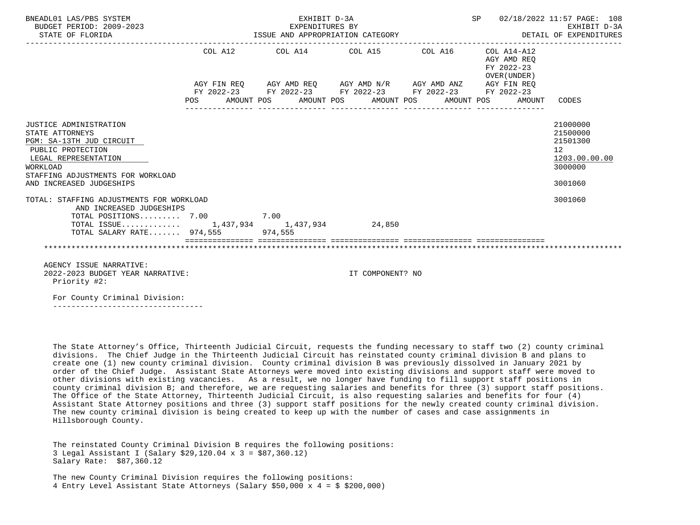| BNEADL01 LAS/PBS SYSTEM<br>BUDGET PERIOD: 2009-2023<br>STATE OF FLORIDA                                                                                                                         |            | EXHIBIT D-3A<br>EXPENDITURES BY                                                                                                                                                                         | --------------------------------- | SP 02/18/2022 11:57 PAGE: 108<br>EXHIBIT D-3A |                                                                    |                                                                                            |
|-------------------------------------------------------------------------------------------------------------------------------------------------------------------------------------------------|------------|---------------------------------------------------------------------------------------------------------------------------------------------------------------------------------------------------------|-----------------------------------|-----------------------------------------------|--------------------------------------------------------------------|--------------------------------------------------------------------------------------------|
|                                                                                                                                                                                                 | <b>POS</b> | COL A12 COL A14 COL A15 COL A16<br>AGY FIN REQ AGY AMD REQ AGY AMD N/R AGY AMD ANZ AGY FIN REQ<br>FY 2022-23 FY 2022-23 FY 2022-23 FY 2022-23 FY 2022-23<br>AMOUNT POS AMOUNT POS AMOUNT POS AMOUNT POS |                                   |                                               | COL A14-A12<br>AGY AMD REO<br>FY 2022-23<br>OVER (UNDER)<br>AMOUNT | CODES                                                                                      |
| JUSTICE ADMINISTRATION<br>STATE ATTORNEYS<br>PGM: SA-13TH JUD CIRCUIT<br>PUBLIC PROTECTION<br>LEGAL REPRESENTATION<br>WORKLOAD<br>STAFFING ADJUSTMENTS FOR WORKLOAD<br>AND INCREASED JUDGESHIPS |            |                                                                                                                                                                                                         |                                   |                                               |                                                                    | 21000000<br>21500000<br>21501300<br>12 <sup>°</sup><br>1203.00.00.00<br>3000000<br>3001060 |
| TOTAL: STAFFING ADJUSTMENTS FOR WORKLOAD<br>AND INCREASED JUDGESHIPS<br>TOTAL POSITIONS 7.00 7.00                                                                                               |            |                                                                                                                                                                                                         |                                   |                                               |                                                                    | 3001060                                                                                    |
| TOTAL ISSUE 1,437,934 1,437,934 24,850<br>TOTAL SALARY RATE 974,555 974,555                                                                                                                     |            |                                                                                                                                                                                                         |                                   |                                               |                                                                    |                                                                                            |
|                                                                                                                                                                                                 |            |                                                                                                                                                                                                         |                                   |                                               |                                                                    |                                                                                            |
| AGENCY ISSUE NARRATIVE:<br>2022-2023 BUDGET YEAR NARRATIVE:<br>Priority #2:                                                                                                                     |            |                                                                                                                                                                                                         | IT COMPONENT? NO                  |                                               |                                                                    |                                                                                            |
| For County Criminal Division:                                                                                                                                                                   |            |                                                                                                                                                                                                         |                                   |                                               |                                                                    |                                                                                            |
|                                                                                                                                                                                                 |            |                                                                                                                                                                                                         |                                   |                                               |                                                                    |                                                                                            |

 The State Attorney's Office, Thirteenth Judicial Circuit, requests the funding necessary to staff two (2) county criminal divisions. The Chief Judge in the Thirteenth Judicial Circuit has reinstated county criminal division B and plans to create one (1) new county criminal division. County criminal division B was previously dissolved in January 2021 by order of the Chief Judge. Assistant State Attorneys were moved into existing divisions and support staff were moved to other divisions with existing vacancies. As a result, we no longer have funding to fill support staff positions in county criminal division B; and therefore, we are requesting salaries and benefits for three (3) support staff positions. The Office of the State Attorney, Thirteenth Judicial Circuit, is also requesting salaries and benefits for four (4) Assistant State Attorney positions and three (3) support staff positions for the newly created county criminal division. The new county criminal division is being created to keep up with the number of cases and case assignments in Hillsborough County.

 The reinstated County Criminal Division B requires the following positions: 3 Legal Assistant I (Salary \$29,120.04 x 3 = \$87,360.12) Salary Rate: \$87,360.12

 The new County Criminal Division requires the following positions: 4 Entry Level Assistant State Attorneys (Salary \$50,000 x 4 = \$ \$200,000)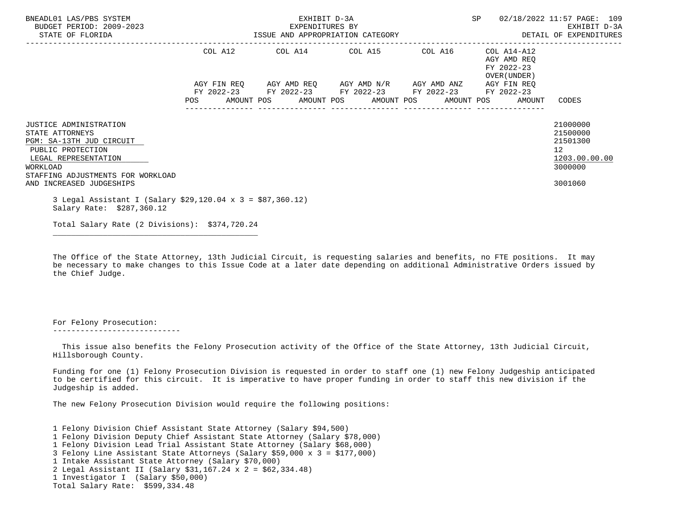| BNEADL01 LAS/PBS SYSTEM<br>BUDGET PERIOD: 2009-2023<br>STATE OF FLORIDA                                                                                                                                |         | EXHIBIT D-3A<br>EXPENDITURES BY<br>ISSUE AND APPROPRIATION CATEGORY | SP                                                                                                            | 02/18/2022 11:57 PAGE: 109<br>EXHIBIT D-3A<br>DETAIL OF EXPENDITURES |                                                                       |                                                                               |
|--------------------------------------------------------------------------------------------------------------------------------------------------------------------------------------------------------|---------|---------------------------------------------------------------------|---------------------------------------------------------------------------------------------------------------|----------------------------------------------------------------------|-----------------------------------------------------------------------|-------------------------------------------------------------------------------|
|                                                                                                                                                                                                        | COL A12 |                                                                     | COL A14 COL A15 COL A16                                                                                       |                                                                      | COL A14-A12<br>AGY AMD REO<br>FY 2022-23<br>OVER (UNDER )             |                                                                               |
|                                                                                                                                                                                                        |         |                                                                     | AGY FIN REQ 6 AGY AMD REQ 6 AGY AMD N/R 6GY AMD ANZ<br>FY 2022-23 FY 2022-23 FY 2022-23 FY 2022-23 FY 2022-23 |                                                                      | AGY FIN REO<br>POS AMOUNT POS AMOUNT POS AMOUNT POS AMOUNT POS AMOUNT | CODES                                                                         |
| <b>JUSTICE ADMINISTRATION</b><br>STATE ATTORNEYS<br>PGM: SA-13TH JUD CIRCUIT<br>PUBLIC PROTECTION<br>LEGAL REPRESENTATION<br>WORKLOAD<br>STAFFING ADJUSTMENTS FOR WORKLOAD<br>AND INCREASED JUDGESHIPS |         |                                                                     |                                                                                                               |                                                                      |                                                                       | 21000000<br>21500000<br>21501300<br>12<br>1203.00.00.00<br>3000000<br>3001060 |
| 3 Legal Assistant I (Salary \$29,120.04 x 3 = \$87,360.12)<br>Salary Rate: \$287,360.12                                                                                                                |         |                                                                     |                                                                                                               |                                                                      |                                                                       |                                                                               |

Total Salary Rate (2 Divisions): \$374,720.24

\_\_\_\_\_\_\_\_\_\_\_\_\_\_\_\_\_\_\_\_\_\_\_\_\_\_\_\_\_\_\_\_\_\_\_\_\_\_\_\_\_\_\_\_\_

 The Office of the State Attorney, 13th Judicial Circuit, is requesting salaries and benefits, no FTE positions. It may be necessary to make changes to this Issue Code at a later date depending on additional Administrative Orders issued by the Chief Judge.

 For Felony Prosecution: ----------------------------

 This issue also benefits the Felony Prosecution activity of the Office of the State Attorney, 13th Judicial Circuit, Hillsborough County.

 Funding for one (1) Felony Prosecution Division is requested in order to staff one (1) new Felony Judgeship anticipated to be certified for this circuit. It is imperative to have proper funding in order to staff this new division if the Judgeship is added.

The new Felony Prosecution Division would require the following positions:

 1 Felony Division Chief Assistant State Attorney (Salary \$94,500) 1 Felony Division Deputy Chief Assistant State Attorney (Salary \$78,000) 1 Felony Division Lead Trial Assistant State Attorney (Salary \$68,000) 3 Felony Line Assistant State Attorneys (Salary \$59,000 x 3 = \$177,000) 1 Intake Assistant State Attorney (Salary \$70,000) 2 Legal Assistant II (Salary \$31,167.24 x 2 = \$62,334.48) 1 Investigator I (Salary \$50,000) Total Salary Rate: \$599,334.48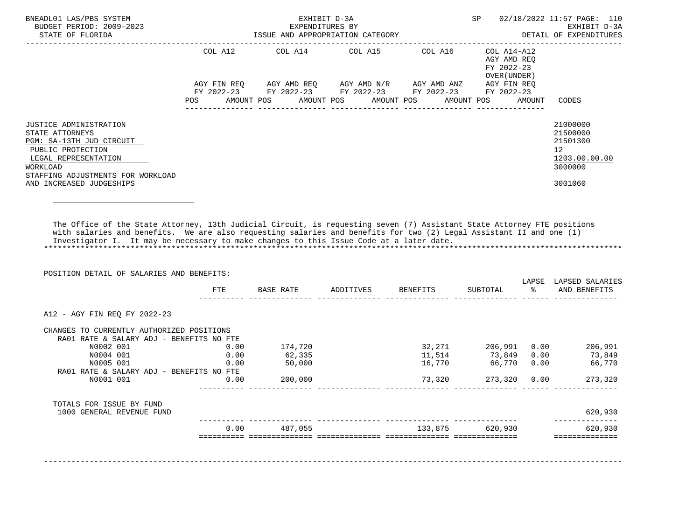| BNEADL01 LAS/PBS SYSTEM<br>BUDGET PERIOD: 2009-2023<br>STATE OF FLORIDA                                                                                                                                                                                                                                                                   |         | ISSUE AND APPROPRIATION CATEGORY                            | EXHIBIT D-3A<br>EXPENDITURES BY |         |                                            |        | SP 02/18/2022 11:57 PAGE: 110<br>EXHIBIT D-3A<br>DETAIL OF EXPENDITURES |
|-------------------------------------------------------------------------------------------------------------------------------------------------------------------------------------------------------------------------------------------------------------------------------------------------------------------------------------------|---------|-------------------------------------------------------------|---------------------------------|---------|--------------------------------------------|--------|-------------------------------------------------------------------------|
|                                                                                                                                                                                                                                                                                                                                           | COL A12 |                                                             |                                 |         | AGY AMD REO<br>FY 2022-23<br>OVER (UNDER ) |        |                                                                         |
|                                                                                                                                                                                                                                                                                                                                           |         | AGY FIN REQ AGY AMD REQ AGY AMD N/R AGY AMD ANZ AGY FIN REQ |                                 |         |                                            |        |                                                                         |
|                                                                                                                                                                                                                                                                                                                                           |         | FY 2022-23 FY 2022-23 FY 2022-23 FY 2022-23 FY 2022-23      |                                 |         |                                            |        |                                                                         |
|                                                                                                                                                                                                                                                                                                                                           | POS     | AMOUNT POS AMOUNT POS AMOUNT POS                            |                                 |         | AMOUNT POS                                 | AMOUNT | CODES                                                                   |
| JUSTICE ADMINISTRATION                                                                                                                                                                                                                                                                                                                    |         |                                                             |                                 |         |                                            |        | 21000000                                                                |
| STATE ATTORNEYS                                                                                                                                                                                                                                                                                                                           |         |                                                             |                                 |         |                                            |        | 21500000                                                                |
| PGM: SA-13TH JUD CIRCUIT                                                                                                                                                                                                                                                                                                                  |         |                                                             |                                 |         |                                            |        | 21501300                                                                |
| PUBLIC PROTECTION                                                                                                                                                                                                                                                                                                                         |         |                                                             |                                 |         |                                            |        | 12                                                                      |
| LEGAL REPRESENTATION                                                                                                                                                                                                                                                                                                                      |         |                                                             |                                 |         |                                            |        | 1203.00.00.00                                                           |
| WORKLOAD                                                                                                                                                                                                                                                                                                                                  |         |                                                             |                                 |         |                                            |        | 3000000                                                                 |
| STAFFING ADJUSTMENTS FOR WORKLOAD<br>AND INCREASED JUDGESHIPS                                                                                                                                                                                                                                                                             |         |                                                             |                                 |         |                                            |        | 3001060                                                                 |
|                                                                                                                                                                                                                                                                                                                                           |         |                                                             |                                 |         |                                            |        |                                                                         |
|                                                                                                                                                                                                                                                                                                                                           |         |                                                             |                                 |         |                                            |        |                                                                         |
| The Office of the State Attorney, 13th Judicial Circuit, is requesting seven (7) Assistant State Attorney FTE positions<br>with salaries and benefits. We are also requesting salaries and benefits for two (2) Legal Assistant II and one (1)<br>Investigator I. It may be necessary to make changes to this Issue Code at a later date. |         |                                                             |                                 |         |                                            |        |                                                                         |
| POSITION DETAIL OF SALARIES AND BENEFITS:                                                                                                                                                                                                                                                                                                 |         | FTE BASE RATE ADDITIVES BENEFITS SUBTOTAL $\frac{1}{2}$     |                                 |         |                                            |        | LAPSE LAPSED SALARIES<br>AND BENEFITS                                   |
|                                                                                                                                                                                                                                                                                                                                           |         |                                                             |                                 |         |                                            |        |                                                                         |
| A12 - AGY FIN REQ FY 2022-23                                                                                                                                                                                                                                                                                                              |         |                                                             |                                 |         |                                            |        |                                                                         |
| CHANGES TO CURRENTLY AUTHORIZED POSITIONS                                                                                                                                                                                                                                                                                                 |         |                                                             |                                 |         |                                            |        |                                                                         |
| RA01 RATE & SALARY ADJ - BENEFITS NO FTE                                                                                                                                                                                                                                                                                                  |         |                                                             |                                 |         |                                            |        |                                                                         |
| NOOO2 001 0.00                                                                                                                                                                                                                                                                                                                            |         | 174,720                                                     |                                 |         |                                            |        | 32,271 206,991 0.00 206,991                                             |
| N0004 001                                                                                                                                                                                                                                                                                                                                 | 0.00    | 62,335                                                      |                                 |         |                                            |        | 11,514 73,849 0.00 73,849                                               |
| N0005 001                                                                                                                                                                                                                                                                                                                                 | 0.00    | 50,000                                                      |                                 | 16,770  |                                            |        | 66,770 0.00 66,770                                                      |
| RA01 RATE & SALARY ADJ - BENEFITS NO FTE<br>N0001 001                                                                                                                                                                                                                                                                                     | 0.00    | 200,000                                                     |                                 |         |                                            |        | 273,320                                                                 |
|                                                                                                                                                                                                                                                                                                                                           |         |                                                             |                                 |         |                                            |        |                                                                         |
| TOTALS FOR ISSUE BY FUND<br>1000 GENERAL REVENUE FUND                                                                                                                                                                                                                                                                                     |         |                                                             |                                 |         |                                            |        | 620,930                                                                 |
|                                                                                                                                                                                                                                                                                                                                           | 0.00    | 487,055                                                     |                                 | 133,875 | 620,930                                    |        | 620,930                                                                 |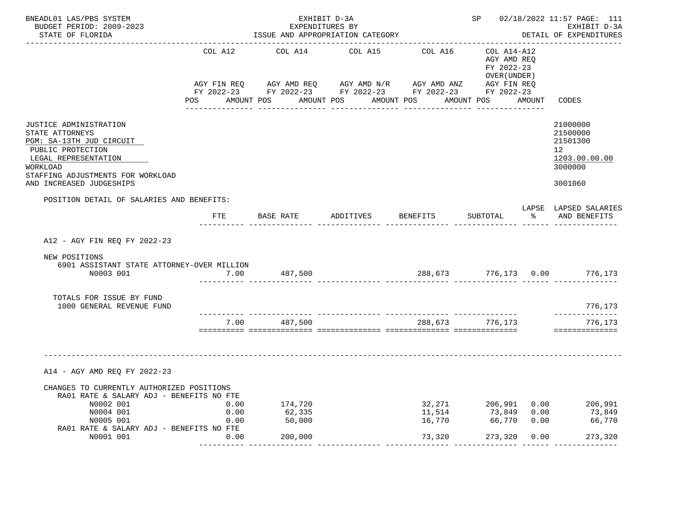| BNEADL01 LAS/PBS SYSTEM<br>BUDGET PERIOD: 2009-2023<br>STATE OF FLORIDA                                  |         | EXHIBIT D-3A<br>EXPENDITURES BY<br>ISSUE AND APPROPRIATION CATEGORY                                                    |                    |         |                                                          | SP 02/18/2022 11:57 PAGE: 111<br>EXHIBIT D-3A<br>DETAIL OF EXPENDITURES                                                  |
|----------------------------------------------------------------------------------------------------------|---------|------------------------------------------------------------------------------------------------------------------------|--------------------|---------|----------------------------------------------------------|--------------------------------------------------------------------------------------------------------------------------|
|                                                                                                          | COL A12 | COL A14                                                                                                                | COL A15            | COL A16 | COL A14-A12<br>AGY AMD REQ<br>FY 2022-23<br>OVER (UNDER) |                                                                                                                          |
|                                                                                                          |         | AGY FIN REQ AGY AMD REQ AGY AMD N/R AGY AMD ANZ AGY FIN REQ                                                            |                    |         |                                                          |                                                                                                                          |
|                                                                                                          |         | FY 2022-23 FY 2022-23 FY 2022-23 FY 2022-23 FY 2022-23<br>POS AMOUNT POS AMOUNT POS AMOUNT POS AMOUNT POS AMOUNT CODES |                    |         |                                                          |                                                                                                                          |
| JUSTICE ADMINISTRATION                                                                                   |         |                                                                                                                        |                    |         |                                                          | 21000000                                                                                                                 |
| STATE ATTORNEYS                                                                                          |         |                                                                                                                        |                    |         |                                                          | 21500000                                                                                                                 |
| PGM: SA-13TH JUD CIRCUIT                                                                                 |         |                                                                                                                        |                    |         |                                                          | 21501300                                                                                                                 |
| PUBLIC PROTECTION<br>LEGAL REPRESENTATION                                                                |         |                                                                                                                        |                    |         |                                                          | 12 <sup>12</sup><br>1203.00.00.00                                                                                        |
| WORKLOAD                                                                                                 |         |                                                                                                                        |                    |         |                                                          | 3000000                                                                                                                  |
| STAFFING ADJUSTMENTS FOR WORKLOAD                                                                        |         |                                                                                                                        |                    |         |                                                          |                                                                                                                          |
| AND INCREASED JUDGESHIPS                                                                                 |         |                                                                                                                        |                    |         |                                                          | 3001060                                                                                                                  |
| POSITION DETAIL OF SALARIES AND BENEFITS:                                                                |         |                                                                                                                        |                    |         |                                                          |                                                                                                                          |
|                                                                                                          | FTE     | BASE RATE                                                                                                              | ADDITIVES BENEFITS |         | SUBTOTAL                                                 | LAPSE LAPSED SALARIES<br>% AND BENEFITS                                                                                  |
| A12 - AGY FIN REQ FY 2022-23<br>NEW POSITIONS<br>6901 ASSISTANT STATE ATTORNEY-OVER MILLION<br>N0003 001 |         | 7.00 487,500                                                                                                           |                    |         |                                                          | 288,673 776,173 0.00 776,173                                                                                             |
| TOTALS FOR ISSUE BY FUND<br>1000 GENERAL REVENUE FUND                                                    |         |                                                                                                                        |                    |         |                                                          | 776,173                                                                                                                  |
|                                                                                                          | 7.00    | 487,500                                                                                                                |                    |         | 288,673 776,173                                          | ______________<br>776,173                                                                                                |
|                                                                                                          |         |                                                                                                                        |                    |         |                                                          | ---------------                                                                                                          |
| A14 - AGY AMD REQ FY 2022-23                                                                             |         |                                                                                                                        |                    |         |                                                          |                                                                                                                          |
| CHANGES TO CURRENTLY AUTHORIZED POSITIONS<br>RA01 RATE & SALARY ADJ - BENEFITS NO FTE                    |         |                                                                                                                        |                    |         |                                                          |                                                                                                                          |
| N0002 001                                                                                                | 0.00    | 174,720                                                                                                                |                    |         |                                                          | $\begin{array}{cccc} 32\,, 271 & 206\,, 991 & 0.00 & 206\,, 991 \\ 11\,, 514 & 73\,, 849 & 0.00 & 73\,, 849 \end{array}$ |
| N0004 001                                                                                                | 0.00    | 62,335                                                                                                                 |                    |         |                                                          |                                                                                                                          |
| N0005 001<br>RA01 RATE & SALARY ADJ - BENEFITS NO FTE                                                    | 0.00    | 50,000                                                                                                                 |                    | 16,770  | 66,770 0.00                                              | 66,770                                                                                                                   |
| N0001 001                                                                                                | 0.00    | 200,000                                                                                                                |                    | 73,320  |                                                          | 273,320 0.00 273,320                                                                                                     |
|                                                                                                          |         |                                                                                                                        |                    |         |                                                          |                                                                                                                          |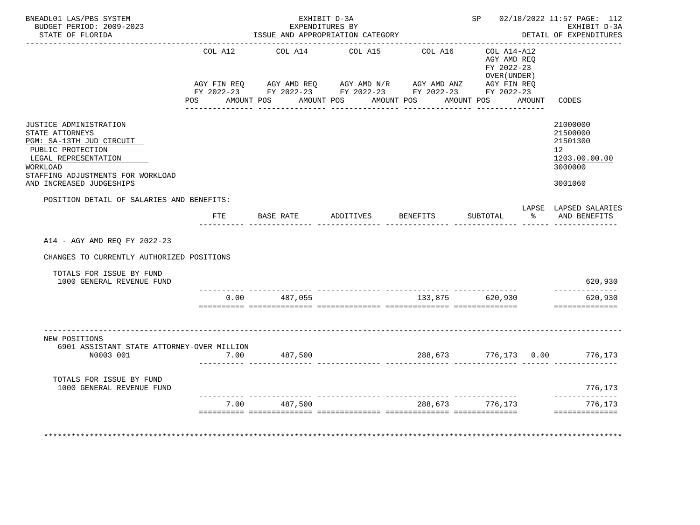| BNEADL01 LAS/PBS SYSTEM<br>BUDGET PERIOD: 2009-2023<br>STATE OF FLORIDA                                                                                                                         |         | EXHIBIT D-3A<br>EXPENDITURES BY | ISSUE AND APPROPRIATION CATEGORY                                                                                                                                                         |         |                                                                               | SP 02/18/2022 11:57 PAGE: 112<br>EXHIBIT D-3A<br>DETAIL OF EXPENDITURES                    |
|-------------------------------------------------------------------------------------------------------------------------------------------------------------------------------------------------|---------|---------------------------------|------------------------------------------------------------------------------------------------------------------------------------------------------------------------------------------|---------|-------------------------------------------------------------------------------|--------------------------------------------------------------------------------------------|
|                                                                                                                                                                                                 | COL A12 |                                 | COL A14 COL A15 COL A16<br>AGY FIN REQ AGY AMD REQ AGY AMD N/R AGY AMD ANZ AGY FIN REQ<br>FY 2022-23 FY 2022-23 FY 2022-23 FY 2022-23 FY 2022-23<br>POS AMOUNT POS AMOUNT POS AMOUNT POS |         | COL A14-A12<br>AGY AMD REO<br>FY 2022-23<br>OVER (UNDER)<br>AMOUNT POS AMOUNT | CODES                                                                                      |
|                                                                                                                                                                                                 |         |                                 |                                                                                                                                                                                          |         |                                                                               |                                                                                            |
| JUSTICE ADMINISTRATION<br>STATE ATTORNEYS<br>PGM: SA-13TH JUD CIRCUIT<br>PUBLIC PROTECTION<br>LEGAL REPRESENTATION<br>WORKLOAD<br>STAFFING ADJUSTMENTS FOR WORKLOAD<br>AND INCREASED JUDGESHIPS |         |                                 |                                                                                                                                                                                          |         |                                                                               | 21000000<br>21500000<br>21501300<br>12 <sup>1</sup><br>1203.00.00.00<br>3000000<br>3001060 |
| POSITION DETAIL OF SALARIES AND BENEFITS:                                                                                                                                                       |         |                                 |                                                                                                                                                                                          |         |                                                                               | LAPSE LAPSED SALARIES                                                                      |
|                                                                                                                                                                                                 | FTE     | BASE RATE                       | ADDITIVES BENEFITS                                                                                                                                                                       |         | SUBTOTAL                                                                      | % AND BENEFITS                                                                             |
| A14 - AGY AMD REQ FY 2022-23<br>CHANGES TO CURRENTLY AUTHORIZED POSITIONS<br>TOTALS FOR ISSUE BY FUND<br>1000 GENERAL REVENUE FUND                                                              |         |                                 |                                                                                                                                                                                          |         |                                                                               | 620,930                                                                                    |
|                                                                                                                                                                                                 |         | $0.00$ 487,055                  |                                                                                                                                                                                          |         |                                                                               | -----------                                                                                |
|                                                                                                                                                                                                 |         |                                 |                                                                                                                                                                                          |         | 133,875 620,930                                                               | 620,930<br>==============                                                                  |
| NEW POSITIONS<br>6901 ASSISTANT STATE ATTORNEY-OVER MILLION<br>N0003 001                                                                                                                        | 7.00    | 487,500                         |                                                                                                                                                                                          |         |                                                                               | 288,673 776,173 0.00 776,173                                                               |
|                                                                                                                                                                                                 |         |                                 |                                                                                                                                                                                          |         |                                                                               |                                                                                            |
| TOTALS FOR ISSUE BY FUND<br>1000 GENERAL REVENUE FUND                                                                                                                                           |         |                                 |                                                                                                                                                                                          |         |                                                                               | 776,173<br>--------------                                                                  |
|                                                                                                                                                                                                 | 7.00    | 487,500                         |                                                                                                                                                                                          | 288,673 | 776,173                                                                       | 776,173                                                                                    |
|                                                                                                                                                                                                 |         |                                 |                                                                                                                                                                                          |         |                                                                               |                                                                                            |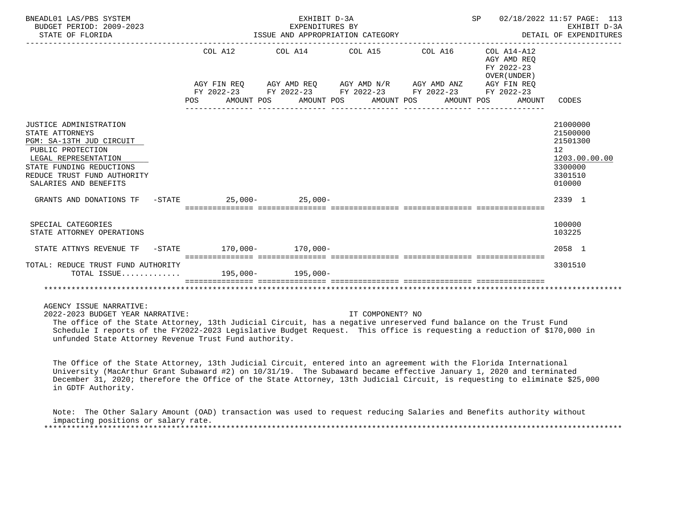| BNEADL01 LAS/PBS SYSTEM<br>BUDGET PERIOD: 2009-2023<br>STATE OF FLORIDA                                                                                                                                |                                                 |                                                                                                                                                                                                                      |                  |                                                          |                                                                                                      |
|--------------------------------------------------------------------------------------------------------------------------------------------------------------------------------------------------------|-------------------------------------------------|----------------------------------------------------------------------------------------------------------------------------------------------------------------------------------------------------------------------|------------------|----------------------------------------------------------|------------------------------------------------------------------------------------------------------|
|                                                                                                                                                                                                        |                                                 | COL A12 COL A14 COL A15 COL A16                                                                                                                                                                                      |                  | COL A14-A12<br>AGY AMD REQ<br>FY 2022-23<br>OVER (UNDER) |                                                                                                      |
|                                                                                                                                                                                                        |                                                 | $\verb AGY\text{ FIN REQ} \qquad \verb AGY\text{ AMD REQ} \qquad \verb AGY\text{ AMD N/R} \qquad \verb AGY\text{ AMD ANZ} \qquad \verb AGY\text{ FIN REQ}$<br>FY 2022-23 FY 2022-23 FY 2022-23 FY 2022-23 FY 2022-23 |                  |                                                          |                                                                                                      |
|                                                                                                                                                                                                        | POS AMOUNT POS AMOUNT POS AMOUNT POS AMOUNT POS |                                                                                                                                                                                                                      |                  | AMOUNT                                                   | CODES                                                                                                |
| JUSTICE ADMINISTRATION<br>STATE ATTORNEYS<br>PGM: SA-13TH JUD CIRCUIT<br>PUBLIC PROTECTION<br>LEGAL REPRESENTATION<br>STATE FUNDING REDUCTIONS<br>REDUCE TRUST FUND AUTHORITY<br>SALARIES AND BENEFITS |                                                 |                                                                                                                                                                                                                      |                  |                                                          | 21000000<br>21500000<br>21501300<br>12 <sup>°</sup><br>1203.00.00.00<br>3300000<br>3301510<br>010000 |
| GRANTS AND DONATIONS TF $-$ STATE 25,000-<br>25,000-<br>25,000-                                                                                                                                        |                                                 |                                                                                                                                                                                                                      |                  |                                                          | 2339 1                                                                                               |
| SPECIAL CATEGORIES<br>STATE ATTORNEY OPERATIONS                                                                                                                                                        |                                                 |                                                                                                                                                                                                                      |                  |                                                          | 100000<br>103225                                                                                     |
| STATE ATTNYS REVENUE TF                                                                                                                                                                                | $-$ STATE 170,000 - 170,000 -                   |                                                                                                                                                                                                                      |                  |                                                          | 2058 1                                                                                               |
| TOTAL: REDUCE TRUST FUND AUTHORITY<br>TOTAL ISSUE 195,000- 195,000-                                                                                                                                    |                                                 |                                                                                                                                                                                                                      |                  |                                                          | 3301510                                                                                              |
|                                                                                                                                                                                                        |                                                 |                                                                                                                                                                                                                      |                  |                                                          |                                                                                                      |
| AGENCY ISSUE NARRATIVE:<br>2022-2023 BUDGET YEAR NARRATIVE:                                                                                                                                            |                                                 |                                                                                                                                                                                                                      | IT COMPONENT? NO |                                                          |                                                                                                      |

 The office of the State Attorney, 13th Judicial Circuit, has a negative unreserved fund balance on the Trust Fund Schedule I reports of the FY2022-2023 Legislative Budget Request. This office is requesting a reduction of \$170,000 in unfunded State Attorney Revenue Trust Fund authority.

 The Office of the State Attorney, 13th Judicial Circuit, entered into an agreement with the Florida International University (MacArthur Grant Subaward #2) on 10/31/19. The Subaward became effective January 1, 2020 and terminated December 31, 2020; therefore the Office of the State Attorney, 13th Judicial Circuit, is requesting to eliminate \$25,000 in GDTF Authority.

 Note: The Other Salary Amount (OAD) transaction was used to request reducing Salaries and Benefits authority without impacting positions or salary rate. \*\*\*\*\*\*\*\*\*\*\*\*\*\*\*\*\*\*\*\*\*\*\*\*\*\*\*\*\*\*\*\*\*\*\*\*\*\*\*\*\*\*\*\*\*\*\*\*\*\*\*\*\*\*\*\*\*\*\*\*\*\*\*\*\*\*\*\*\*\*\*\*\*\*\*\*\*\*\*\*\*\*\*\*\*\*\*\*\*\*\*\*\*\*\*\*\*\*\*\*\*\*\*\*\*\*\*\*\*\*\*\*\*\*\*\*\*\*\*\*\*\*\*\*\*\*\*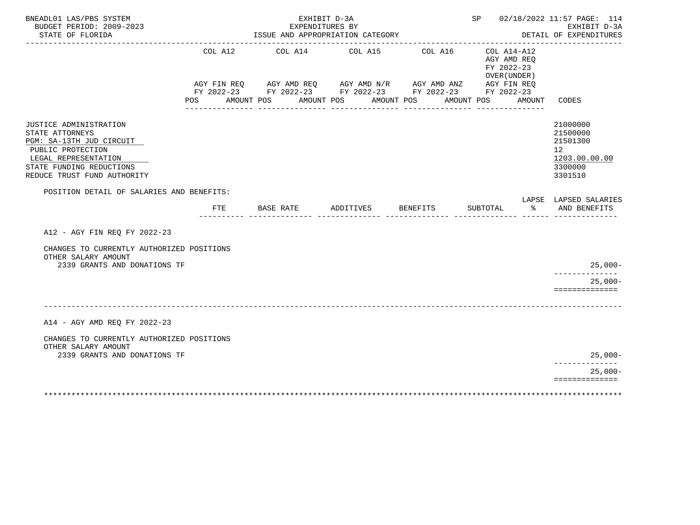| BNEADL01 LAS/PBS SYSTEM<br>BUDGET PERIOD: 2009-2023                                                                                                                           |                | EXHIBIT D-3A<br>EXPENDITURES BY                                                                                                                        |                       |                                   |                                                                        |        | SP 02/18/2022 11:57 PAGE: 114<br>EXHIBIT D-3A                                              |
|-------------------------------------------------------------------------------------------------------------------------------------------------------------------------------|----------------|--------------------------------------------------------------------------------------------------------------------------------------------------------|-----------------------|-----------------------------------|------------------------------------------------------------------------|--------|--------------------------------------------------------------------------------------------|
| STATE OF FLORIDA<br>.                                                                                                                                                         |                | ISSUE AND APPROPRIATION CATEGORY                                                                                                                       |                       | --------------------------------- |                                                                        |        | DETAIL OF EXPENDITURES<br>-------------                                                    |
|                                                                                                                                                                               | COL A12<br>POS | COL A14 COL A15<br>AGY FIN REQ AGY AMD REQ AGY AMD N/R AGY AMD ANZ AGY FIN REQ<br>FY 2022-23 FY 2022-23 FY 2022-23 FY 2022-23 FY 2022-23<br>AMOUNT POS | AMOUNT POS AMOUNT POS | COL A16                           | COL A14-A12<br>AGY AMD REO<br>FY 2022-23<br>OVER (UNDER)<br>AMOUNT POS | AMOUNT | CODES                                                                                      |
| JUSTICE ADMINISTRATION<br>STATE ATTORNEYS<br>PGM: SA-13TH JUD CIRCUIT<br>PUBLIC PROTECTION<br>LEGAL REPRESENTATION<br>STATE FUNDING REDUCTIONS<br>REDUCE TRUST FUND AUTHORITY |                |                                                                                                                                                        |                       |                                   |                                                                        |        | 21000000<br>21500000<br>21501300<br>12 <sup>°</sup><br>1203.00.00.00<br>3300000<br>3301510 |
| POSITION DETAIL OF SALARIES AND BENEFITS:                                                                                                                                     |                |                                                                                                                                                        |                       |                                   |                                                                        |        | LAPSE LAPSED SALARIES                                                                      |
|                                                                                                                                                                               | FTE            | BASE RATE                                                                                                                                              | ADDITIVES             | <b>BENEFITS</b>                   | SUBTOTAL                                                               |        | % AND BENEFITS                                                                             |
| A12 - AGY FIN REQ FY 2022-23                                                                                                                                                  |                |                                                                                                                                                        |                       |                                   |                                                                        |        |                                                                                            |
| CHANGES TO CURRENTLY AUTHORIZED POSITIONS<br>OTHER SALARY AMOUNT<br>2339 GRANTS AND DONATIONS TF                                                                              |                |                                                                                                                                                        |                       |                                   |                                                                        |        | $25,000-$                                                                                  |
|                                                                                                                                                                               |                |                                                                                                                                                        |                       |                                   |                                                                        |        | ------------<br>$25,000-$                                                                  |
|                                                                                                                                                                               |                |                                                                                                                                                        |                       |                                   |                                                                        |        | ==============                                                                             |
| A14 - AGY AMD REQ FY 2022-23                                                                                                                                                  |                |                                                                                                                                                        |                       |                                   |                                                                        |        |                                                                                            |
| CHANGES TO CURRENTLY AUTHORIZED POSITIONS<br>OTHER SALARY AMOUNT                                                                                                              |                |                                                                                                                                                        |                       |                                   |                                                                        |        |                                                                                            |
| 2339 GRANTS AND DONATIONS TF                                                                                                                                                  |                |                                                                                                                                                        |                       |                                   |                                                                        |        | $25,000-$<br>-------------                                                                 |
|                                                                                                                                                                               |                |                                                                                                                                                        |                       |                                   |                                                                        |        | $25,000-$<br>==============                                                                |
|                                                                                                                                                                               |                |                                                                                                                                                        |                       |                                   |                                                                        |        |                                                                                            |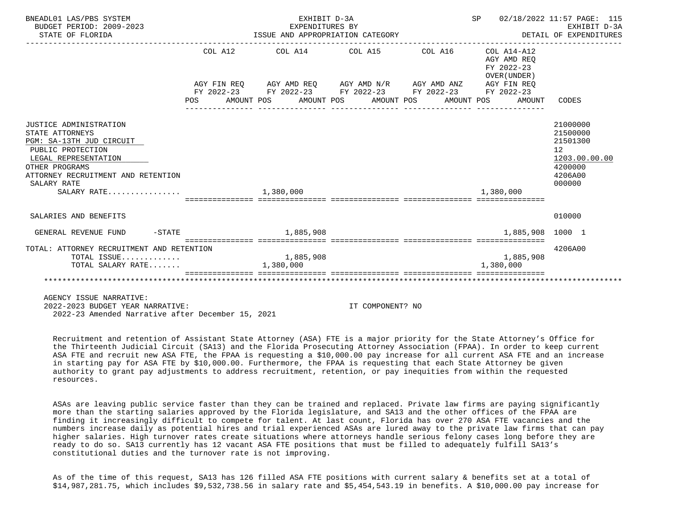| BNEADL01 LAS/PBS SYSTEM<br>BUDGET PERIOD: 2009-2023<br>STATE OF FLORIDA | EXHIBIT D-3A<br>EXPENDITURES BY | EXPENDITURES BY<br>ISSUE AND APPROPRIATION CATEGORY THE SECTION OF EXPENDITURES                                       | SP 02/18/2022 11:57 PAGE: 115             | EXHIBIT D-3A                     |
|-------------------------------------------------------------------------|---------------------------------|-----------------------------------------------------------------------------------------------------------------------|-------------------------------------------|----------------------------------|
|                                                                         |                                 | COL A12 COL A14 COL A15 COL A16 COL A14-A12                                                                           | AGY AMD REO<br>FY 2022-23<br>OVER (UNDER) |                                  |
|                                                                         |                                 | AGY FIN REQ AGY AMD REQ AGY AMD N/R AGY AMD ANZ AGY FIN REQ<br>FY 2022-23 FY 2022-23 FY 2022-23 FY 2022-23 FY 2022-23 |                                           |                                  |
|                                                                         |                                 | POS AMOUNT POS AMOUNT POS AMOUNT POS AMOUNT POS AMOUNT CODES                                                          |                                           |                                  |
|                                                                         |                                 |                                                                                                                       |                                           |                                  |
| JUSTICE ADMINISTRATION<br>STATE ATTORNEYS<br>PGM: SA-13TH JUD CIRCUIT   |                                 |                                                                                                                       |                                           | 21000000<br>21500000<br>21501300 |
| PUBLIC PROTECTION<br>LEGAL REPRESENTATION                               |                                 |                                                                                                                       |                                           | 12 <sup>°</sup>                  |
| OTHER PROGRAMS                                                          |                                 |                                                                                                                       |                                           | 1203.00.00.00<br>4200000         |
| ATTORNEY RECRUITMENT AND RETENTION<br>SALARY RATE                       |                                 |                                                                                                                       |                                           | 4206A00<br>000000                |
| SALARY RATE                                                             | 1,380,000                       | sicicicicici intricticici intrictici interestici intricticiali interestici                                            | 1,380,000                                 |                                  |
| SALARIES AND BENEFITS                                                   |                                 |                                                                                                                       |                                           | 010000                           |
| GENERAL REVENUE FUND -STATE 4 285,908                                   |                                 |                                                                                                                       | 1,885,908 1000 1                          |                                  |
| TOTAL: ATTORNEY RECRUITMENT AND RETENTION                               |                                 |                                                                                                                       |                                           | 4206A00                          |
| TOTAL ISSUE<br>TOTAL SALARY RATE                                        | 1,885,908<br>1,380,000          |                                                                                                                       | 1,885,908<br>1,380,000                    |                                  |
|                                                                         |                                 |                                                                                                                       |                                           |                                  |
|                                                                         |                                 |                                                                                                                       |                                           |                                  |

 2022-2023 BUDGET YEAR NARRATIVE: IT COMPONENT? NO 2022-23 Amended Narrative after December 15, 2021

 Recruitment and retention of Assistant State Attorney (ASA) FTE is a major priority for the State Attorney's Office for the Thirteenth Judicial Circuit (SA13) and the Florida Prosecuting Attorney Association (FPAA). In order to keep current ASA FTE and recruit new ASA FTE, the FPAA is requesting a \$10,000.00 pay increase for all current ASA FTE and an increase in starting pay for ASA FTE by \$10,000.00. Furthermore, the FPAA is requesting that each State Attorney be given authority to grant pay adjustments to address recruitment, retention, or pay inequities from within the requested resources.

 ASAs are leaving public service faster than they can be trained and replaced. Private law firms are paying significantly more than the starting salaries approved by the Florida legislature, and SA13 and the other offices of the FPAA are finding it increasingly difficult to compete for talent. At last count, Florida has over 270 ASA FTE vacancies and the numbers increase daily as potential hires and trial experienced ASAs are lured away to the private law firms that can pay higher salaries. High turnover rates create situations where attorneys handle serious felony cases long before they are ready to do so. SA13 currently has 12 vacant ASA FTE positions that must be filled to adequately fulfill SA13's constitutional duties and the turnover rate is not improving.

 As of the time of this request, SA13 has 126 filled ASA FTE positions with current salary & benefits set at a total of \$14,987,281.75, which includes \$9,532,738.56 in salary rate and \$5,454,543.19 in benefits. A \$10,000.00 pay increase for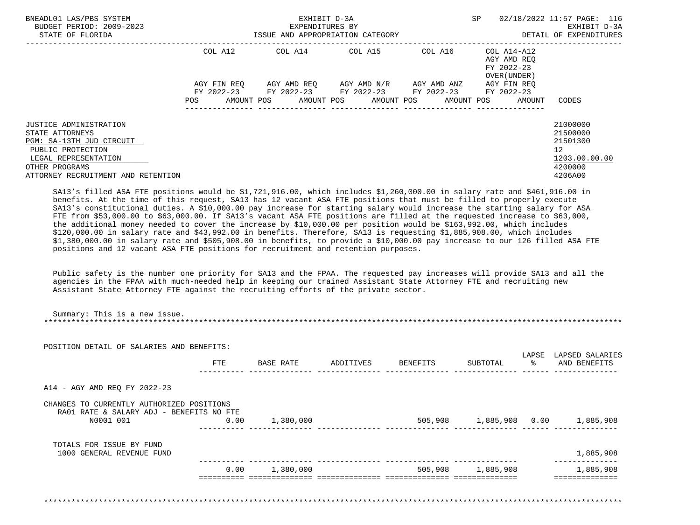| BNEADL01 LAS/PBS SYSTEM<br>BUDGET PERIOD: 2009-2023<br>STATE OF FLORIDA                                                                                                           | EXHIBIT D-3A<br>EXPENDITURES BY<br>ISSUE AND APPROPRIATION CATEGORY |  |                                                                                                         |  |  |                 | <b>SP</b>  |  | 02/18/2022 11:57 PAGE: 116<br>EXHIBIT D-3A<br>DETAIL OF EXPENDITURES |                                                                               |
|-----------------------------------------------------------------------------------------------------------------------------------------------------------------------------------|---------------------------------------------------------------------|--|---------------------------------------------------------------------------------------------------------|--|--|-----------------|------------|--|----------------------------------------------------------------------|-------------------------------------------------------------------------------|
|                                                                                                                                                                                   | COL A12                                                             |  |                                                                                                         |  |  |                 |            |  | AGY AMD REQ<br>FY 2022-23<br>OVER (UNDER )                           |                                                                               |
|                                                                                                                                                                                   | AGY FIN REO                                                         |  | AGY AMD REO      AGY AMD N/R      AGY AMD ANZ<br>FY 2022-23 FY 2022-23 FY 2022-23 FY 2022-23 FY 2022-23 |  |  |                 |            |  | AGY FIN REO                                                          |                                                                               |
|                                                                                                                                                                                   | POS                                                                 |  | AMOUNT POS AMOUNT POS AMOUNT POS                                                                        |  |  | --------------- | AMOUNT POS |  | AMOUNT                                                               | CODES                                                                         |
| <b>JUSTICE ADMINISTRATION</b><br>STATE ATTORNEYS<br>PGM: SA-13TH JUD CIRCUIT<br>PUBLIC PROTECTION<br>LEGAL REPRESENTATION<br>OTHER PROGRAMS<br>ATTORNEY RECRUITMENT AND RETENTION |                                                                     |  |                                                                                                         |  |  |                 |            |  |                                                                      | 21000000<br>21500000<br>21501300<br>12<br>1203.00.00.00<br>4200000<br>4206A00 |

 SA13's filled ASA FTE positions would be \$1,721,916.00, which includes \$1,260,000.00 in salary rate and \$461,916.00 in benefits. At the time of this request, SA13 has 12 vacant ASA FTE positions that must be filled to properly execute SA13's constitutional duties. A \$10,000.00 pay increase for starting salary would increase the starting salary for ASA FTE from \$53,000.00 to \$63,000.00. If SA13's vacant ASA FTE positions are filled at the requested increase to \$63,000, the additional money needed to cover the increase by \$10,000.00 per position would be \$163,992.00, which includes \$120,000.00 in salary rate and \$43,992.00 in benefits. Therefore, SA13 is requesting \$1,885,908.00, which includes \$1,380,000.00 in salary rate and \$505,908.00 in benefits, to provide a \$10,000.00 pay increase to our 126 filled ASA FTE positions and 12 vacant ASA FTE positions for recruitment and retention purposes.

 Public safety is the number one priority for SA13 and the FPAA. The requested pay increases will provide SA13 and all the agencies in the FPAA with much-needed help in keeping our trained Assistant State Attorney FTE and recruiting new Assistant State Attorney FTE against the recruiting efforts of the private sector.

| POSITION DETAIL OF SALARIES AND BENEFITS:                                                          |      |           |           |          |           |                        |                                           |
|----------------------------------------------------------------------------------------------------|------|-----------|-----------|----------|-----------|------------------------|-------------------------------------------|
|                                                                                                    | FTE  | BASE RATE | ADDITIVES | BENEFITS | SUBTOTAL  | LAPSE<br>$\sim$ $\sim$ | LAPSED SALARIES<br>AND BENEFITS           |
| A14 - AGY AMD REQ FY 2022-23                                                                       |      |           |           |          |           |                        |                                           |
| CHANGES TO CURRENTLY AUTHORIZED POSITIONS<br>RA01 RATE & SALARY ADJ - BENEFITS NO FTE<br>N0001 001 | 0.00 | 1,380,000 |           |          |           |                        | 505,908    1,885,908    0.00    1,885,908 |
| TOTALS FOR ISSUE BY FUND<br>1000 GENERAL REVENUE FUND                                              |      |           |           |          |           |                        | 1,885,908                                 |
|                                                                                                    | 0.00 | 1,380,000 |           | 505,908  | 1,885,908 |                        | 1,885,908                                 |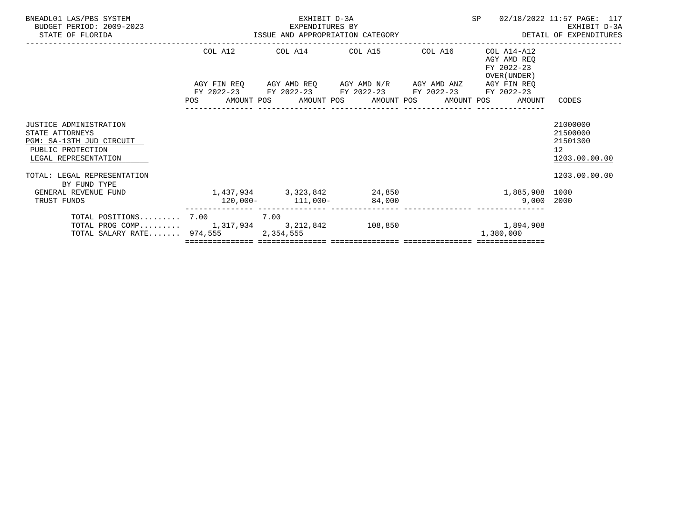| BNEADL01 LAS/PBS SYSTEM<br>BUDGET PERIOD: 2009-2023<br>STATE OF FLORIDA                                                   | EXHIBIT D-3A<br>EXPENDITURES BY EXERCITY D-3A EXERCITY D-3A EXHIBIT D-3A EXHIBIT D-3A EXHIBIT D-3A EXHIBIT D-3A                                   |  | SP                                                       | 02/18/2022 11:57 PAGE: 117                                           |
|---------------------------------------------------------------------------------------------------------------------------|---------------------------------------------------------------------------------------------------------------------------------------------------|--|----------------------------------------------------------|----------------------------------------------------------------------|
|                                                                                                                           | COL A12 COL A14 COL A15 COL A16                                                                                                                   |  | COL A14-A12<br>AGY AMD REO<br>FY 2022-23<br>OVER (UNDER) |                                                                      |
|                                                                                                                           | AGY FIN REQ AGY AMD REQ AGY AMD N/R AGY AMD ANZ<br>FY 2022-23 FY 2022-23 FY 2022-23 FY 2022-23<br>POS AMOUNT POS AMOUNT POS AMOUNT POS AMOUNT POS |  | AGY FIN REO<br>FY 2022-23<br>AMOUNT                      | CODES                                                                |
| <b>JUSTICE ADMINISTRATION</b><br>STATE ATTORNEYS<br>PGM: SA-13TH JUD CIRCUIT<br>PUBLIC PROTECTION<br>LEGAL REPRESENTATION |                                                                                                                                                   |  |                                                          | 21000000<br>21500000<br>21501300<br>12 <sup>°</sup><br>1203.00.00.00 |
| TOTAL: LEGAL REPRESENTATION<br>BY FUND TYPE<br>GENERAL REVENUE FUND<br>TRUST FUNDS                                        | 1,437,934 3,323,842 24,850                                                                                                                        |  | 1,885,908 1000<br>$9.000$ 2000                           | 1203.00.00.00                                                        |
| TOTAL POSITIONS 7.00 7.00<br>TOTAL PROG COMP 1,317,934 3,212,842 108,850 1,894,908<br>TOTAL SALARY RATE 974,555           | $120,000-111,000-84,000$<br>2,354,555                                                                                                             |  | 1,380,000                                                |                                                                      |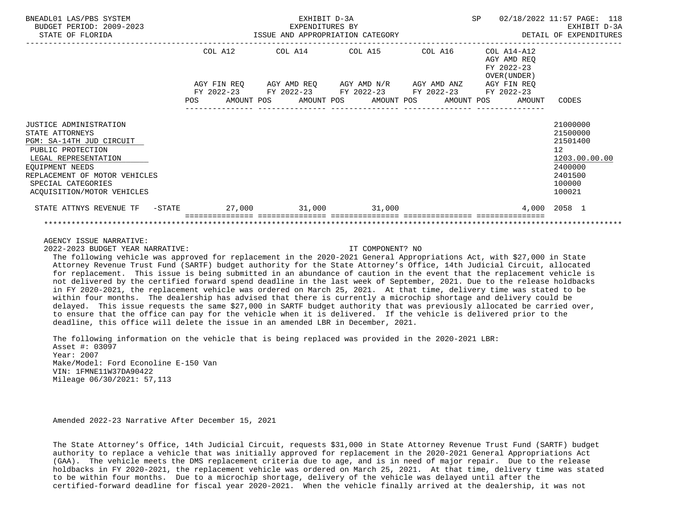| BNEADL01 LAS/PBS SYSTEM<br>BUDGET PERIOD: 2009-2023<br>STATE OF FLORIDA                                                                                                                                                    |            |                                                        | EXHIBIT D-3A<br>EXPENDITURES BY<br>ISSUE AND APPROPRIATION CATEGORY |  |                                                                            |  | SP |                                                           | 02/18/2022 11:57 PAGE: 118<br>EXHIBIT D-3A<br>DETAIL OF EXPENDITURES                                           |  |
|----------------------------------------------------------------------------------------------------------------------------------------------------------------------------------------------------------------------------|------------|--------------------------------------------------------|---------------------------------------------------------------------|--|----------------------------------------------------------------------------|--|----|-----------------------------------------------------------|----------------------------------------------------------------------------------------------------------------|--|
|                                                                                                                                                                                                                            |            | COL A12<br>AGY FIN REO                                 |                                                                     |  | COL A14 COL A15 COL A16<br>AGY AMD REQ AGY AMD N/R AGY AMD ANZ AGY FIN REQ |  |    | COL A14-A12<br>AGY AMD REO<br>FY 2022-23<br>OVER (UNDER ) |                                                                                                                |  |
|                                                                                                                                                                                                                            | <b>POS</b> | FY 2022-23 FY 2022-23 FY 2022-23 FY 2022-23 FY 2022-23 |                                                                     |  | AMOUNT POS AMOUNT POS AMOUNT POS AMOUNT POS                                |  |    | AMOUNT                                                    | CODES                                                                                                          |  |
| JUSTICE ADMINISTRATION<br>STATE ATTORNEYS<br>PGM: SA-14TH JUD CIRCUIT<br>PUBLIC PROTECTION<br>LEGAL REPRESENTATION<br>EQUIPMENT NEEDS<br>REPLACEMENT OF MOTOR VEHICLES<br>SPECIAL CATEGORIES<br>ACQUISITION/MOTOR VEHICLES |            |                                                        |                                                                     |  |                                                                            |  |    |                                                           | 21000000<br>21500000<br>21501400<br>12 <sup>°</sup><br>1203.00.00.00<br>2400000<br>2401500<br>100000<br>100021 |  |
| STATE ATTNYS REVENUE TF -STATE $27,000$ 31,000 31,000                                                                                                                                                                      |            |                                                        |                                                                     |  |                                                                            |  |    |                                                           | 4,000 2058 1                                                                                                   |  |
|                                                                                                                                                                                                                            |            |                                                        |                                                                     |  |                                                                            |  |    |                                                           |                                                                                                                |  |

2022-2023 BUDGET YEAR NARRATIVE: IT COMPONENT? NO

 The following vehicle was approved for replacement in the 2020-2021 General Appropriations Act, with \$27,000 in State Attorney Revenue Trust Fund (SARTF) budget authority for the State Attorney's Office, 14th Judicial Circuit, allocated for replacement. This issue is being submitted in an abundance of caution in the event that the replacement vehicle is not delivered by the certified forward spend deadline in the last week of September, 2021. Due to the release holdbacks in FY 2020-2021, the replacement vehicle was ordered on March 25, 2021. At that time, delivery time was stated to be within four months. The dealership has advised that there is currently a microchip shortage and delivery could be delayed. This issue requests the same \$27,000 in SARTF budget authority that was previously allocated be carried over, to ensure that the office can pay for the vehicle when it is delivered. If the vehicle is delivered prior to the deadline, this office will delete the issue in an amended LBR in December, 2021.

 The following information on the vehicle that is being replaced was provided in the 2020-2021 LBR: Asset #: 03097 Year: 2007 Make/Model: Ford Econoline E-150 Van VIN: 1FMNE11W37DA90422 Mileage 06/30/2021: 57,113

Amended 2022-23 Narrative After December 15, 2021

 The State Attorney's Office, 14th Judicial Circuit, requests \$31,000 in State Attorney Revenue Trust Fund (SARTF) budget authority to replace a vehicle that was initially approved for replacement in the 2020-2021 General Appropriations Act (GAA). The vehicle meets the DMS replacement criteria due to age, and is in need of major repair. Due to the release holdbacks in FY 2020-2021, the replacement vehicle was ordered on March 25, 2021. At that time, delivery time was stated to be within four months. Due to a microchip shortage, delivery of the vehicle was delayed until after the certified-forward deadline for fiscal year 2020-2021. When the vehicle finally arrived at the dealership, it was not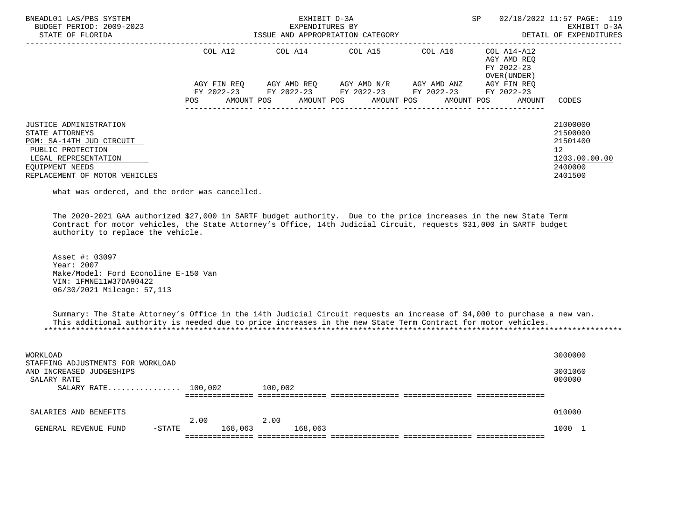| BNEADL01 LAS/PBS SYSTEM<br>BUDGET PERIOD: 2009-2023<br>STATE OF FLORIDA                                                                                                |                    | EXHIBIT D-3A<br>EXPENDITURES BY<br>ISSUE AND APPROPRIATION CATEGORY                        | SP                                  | 02/18/2022 11:57 PAGE: 119<br>EXHIBIT D-3A<br>DETAIL OF EXPENDITURES |                                                           |                                                                               |
|------------------------------------------------------------------------------------------------------------------------------------------------------------------------|--------------------|--------------------------------------------------------------------------------------------|-------------------------------------|----------------------------------------------------------------------|-----------------------------------------------------------|-------------------------------------------------------------------------------|
|                                                                                                                                                                        | COL A12            |                                                                                            | COL A14 COL A15                     | COL A16                                                              | COL A14-A12<br>AGY AMD REO<br>FY 2022-23<br>OVER (UNDER ) |                                                                               |
|                                                                                                                                                                        | AGY FIN REO<br>POS | FY 2022-23 FY 2022-23 FY 2022-23 FY 2022-23<br>AMOUNT POS AMOUNT POS AMOUNT POS AMOUNT POS | AGY AMD REO AGY AMD N/R AGY AMD ANZ |                                                                      | AGY FIN REO<br>FY 2022-23<br>AMOUNT                       | CODES                                                                         |
| JUSTICE ADMINISTRATION<br>STATE ATTORNEYS<br>PGM: SA-14TH JUD CIRCUIT<br>PUBLIC PROTECTION<br>LEGAL REPRESENTATION<br>EOUIPMENT NEEDS<br>REPLACEMENT OF MOTOR VEHICLES |                    |                                                                                            |                                     |                                                                      |                                                           | 21000000<br>21500000<br>21501400<br>12<br>1203.00.00.00<br>2400000<br>2401500 |

what was ordered, and the order was cancelled.

 The 2020-2021 GAA authorized \$27,000 in SARTF budget authority. Due to the price increases in the new State Term Contract for motor vehicles, the State Attorney's Office, 14th Judicial Circuit, requests \$31,000 in SARTF budget authority to replace the vehicle.

 Asset #: 03097 Year: 2007 Make/Model: Ford Econoline E-150 Van VIN: 1FMNE11W37DA90422 06/30/2021 Mileage: 57,113

 Summary: The State Attorney's Office in the 14th Judicial Circuit requests an increase of \$4,000 to purchase a new van. This additional authority is needed due to price increases in the new State Term Contract for motor vehicles. \*\*\*\*\*\*\*\*\*\*\*\*\*\*\*\*\*\*\*\*\*\*\*\*\*\*\*\*\*\*\*\*\*\*\*\*\*\*\*\*\*\*\*\*\*\*\*\*\*\*\*\*\*\*\*\*\*\*\*\*\*\*\*\*\*\*\*\*\*\*\*\*\*\*\*\*\*\*\*\*\*\*\*\*\*\*\*\*\*\*\*\*\*\*\*\*\*\*\*\*\*\*\*\*\*\*\*\*\*\*\*\*\*\*\*\*\*\*\*\*\*\*\*\*\*\*\*

| WORKLOAD<br>STAFFING ADJUSTMENTS FOR WORKLOAD<br>AND INCREASED JUDGESHIPS<br>SALARY RATE<br>$SALARY RATE$ 100,002 | 100,002      |         | 3000000<br>3001060<br>000000 |  |
|-------------------------------------------------------------------------------------------------------------------|--------------|---------|------------------------------|--|
| SALARIES AND BENEFITS                                                                                             | 2.00<br>2.00 |         | 010000                       |  |
| GENERAL REVENUE FUND<br>$-$ STATE                                                                                 | 168,063      | 168,063 | 1000 1                       |  |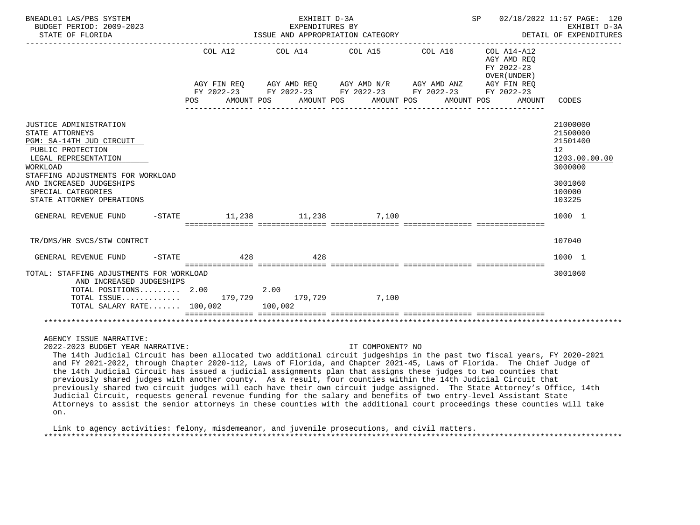| BNEADL01 LAS/PBS SYSTEM<br>BUDGET PERIOD: 2009-2023<br>STATE OF FLORIDA                                                                                                                                                                                                                                           |           |     |                                              |         | EXHIBIT D-3A<br>EXPENDITURES BY |         | ISSUE AND APPROPRIATION CATEGORY                            |  |            |            |                                                | SP 02/18/2022 11:57 PAGE: 120<br>EXHIBIT D-3A<br>DETAIL OF EXPENDITURES |
|-------------------------------------------------------------------------------------------------------------------------------------------------------------------------------------------------------------------------------------------------------------------------------------------------------------------|-----------|-----|----------------------------------------------|---------|---------------------------------|---------|-------------------------------------------------------------|--|------------|------------|------------------------------------------------|-------------------------------------------------------------------------|
|                                                                                                                                                                                                                                                                                                                   |           |     | COL A12                                      | COL A14 |                                 | COL A15 | AGY FIN REO AGY AMD REO AGY AMD N/R AGY AMD ANZ AGY FIN REO |  | COL A16    | FY 2022-23 | $COL A14 - A12$<br>AGY AMD REO<br>OVER (UNDER) |                                                                         |
|                                                                                                                                                                                                                                                                                                                   |           |     |                                              |         |                                 |         | FY 2022-23 FY 2022-23 FY 2022-23 FY 2022-23 FY 2022-23      |  |            |            |                                                |                                                                         |
|                                                                                                                                                                                                                                                                                                                   |           | POS | AMOUNT POS                                   |         | AMOUNT POS                      |         | AMOUNT POS                                                  |  | AMOUNT POS |            | AMOUNT                                         | CODES                                                                   |
| JUSTICE ADMINISTRATION<br>STATE ATTORNEYS<br>PGM: SA-14TH JUD CIRCUIT<br>PUBLIC PROTECTION<br>LEGAL REPRESENTATION<br>WORKLOAD                                                                                                                                                                                    |           |     |                                              |         |                                 |         |                                                             |  |            |            |                                                | 21000000<br>21500000<br>21501400<br>12<br>1203.00.00.00<br>3000000      |
| STAFFING ADJUSTMENTS FOR WORKLOAD<br>AND INCREASED JUDGESHIPS<br>SPECIAL CATEGORIES<br>STATE ATTORNEY OPERATIONS                                                                                                                                                                                                  |           |     |                                              |         |                                 |         |                                                             |  |            |            |                                                | 3001060<br>100000<br>103225                                             |
| GENERAL REVENUE FUND                                                                                                                                                                                                                                                                                              |           |     | $-$ STATE $-$ 11, 238 $-$ 11, 238 $-$ 7, 100 |         |                                 |         |                                                             |  |            |            |                                                | 1000 1                                                                  |
| TR/DMS/HR SVCS/STW CONTRCT                                                                                                                                                                                                                                                                                        |           |     |                                              |         |                                 |         |                                                             |  |            |            |                                                | 107040                                                                  |
| GENERAL REVENUE FUND                                                                                                                                                                                                                                                                                              | $-$ STATE |     | 428                                          |         | 428                             |         |                                                             |  |            |            |                                                | 1000 1                                                                  |
| TOTAL: STAFFING ADJUSTMENTS FOR WORKLOAD<br>AND INCREASED JUDGESHIPS                                                                                                                                                                                                                                              |           |     |                                              |         |                                 |         |                                                             |  |            |            |                                                | 3001060                                                                 |
| TOTAL POSITIONS 2.00<br>TOTAL ISSUE 179,729 179,729 7,100<br>TOTAL SALARY RATE 100,002 100,002                                                                                                                                                                                                                    |           |     |                                              | 2.00    |                                 |         |                                                             |  |            |            |                                                |                                                                         |
|                                                                                                                                                                                                                                                                                                                   |           |     |                                              |         |                                 |         |                                                             |  |            |            |                                                |                                                                         |
| AGENCY ISSUE NARRATIVE:<br>2022-2023 BUDGET YEAR NARRATIVE:<br>The 14th Judicial Circuit has been allocated two additional circuit judgeships in the past two fiscal years, FY 2020-2021<br>and FY 2021-2022, through Chapter 2020-112, Laws of Florida, and Chapter 2021-45, Laws of Florida. The Chief Judge of |           |     |                                              |         |                                 |         | IT COMPONENT? NO                                            |  |            |            |                                                |                                                                         |

 and FY 2021-2022, through Chapter 2020-112, Laws of Florida, and Chapter 2021-45, Laws of Florida. The Chief Judge of the 14th Judicial Circuit has issued a judicial assignments plan that assigns these judges to two counties that previously shared judges with another county. As a result, four counties within the 14th Judicial Circuit that previously shared two circuit judges will each have their own circuit judge assigned. The State Attorney's Office, 14th Judicial Circuit, requests general revenue funding for the salary and benefits of two entry-level Assistant State Attorneys to assist the senior attorneys in these counties with the additional court proceedings these counties will take on.

 Link to agency activities: felony, misdemeanor, and juvenile prosecutions, and civil matters. \*\*\*\*\*\*\*\*\*\*\*\*\*\*\*\*\*\*\*\*\*\*\*\*\*\*\*\*\*\*\*\*\*\*\*\*\*\*\*\*\*\*\*\*\*\*\*\*\*\*\*\*\*\*\*\*\*\*\*\*\*\*\*\*\*\*\*\*\*\*\*\*\*\*\*\*\*\*\*\*\*\*\*\*\*\*\*\*\*\*\*\*\*\*\*\*\*\*\*\*\*\*\*\*\*\*\*\*\*\*\*\*\*\*\*\*\*\*\*\*\*\*\*\*\*\*\*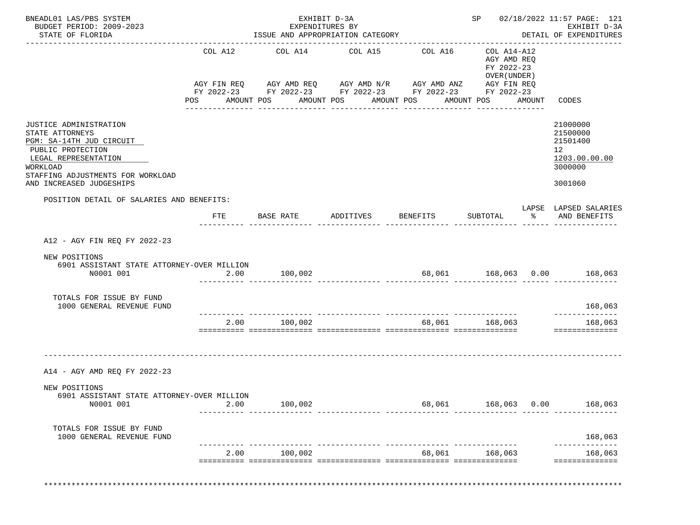| BNEADL01 LAS/PBS SYSTEM<br>BUDGET PERIOD: 2009-2023<br>STATE OF FLORIDA                                                                                                                         |                       | EXHIBIT D-3A<br>EXPENDITURES BY<br>ISSUE AND APPROPRIATION CATEGORY                                                                                                  |                    |                                                                   |                                                                                           |        | SP 02/18/2022 11:57 PAGE: 121<br>EXHIBIT D-3A<br>DETAIL OF EXPENDITURES                    |
|-------------------------------------------------------------------------------------------------------------------------------------------------------------------------------------------------|-----------------------|----------------------------------------------------------------------------------------------------------------------------------------------------------------------|--------------------|-------------------------------------------------------------------|-------------------------------------------------------------------------------------------|--------|--------------------------------------------------------------------------------------------|
|                                                                                                                                                                                                 | COL A12<br><b>POS</b> | COL A14<br>AGY FIN REQ AGY AMD REQ AGY AMD N/R AGY AMD ANZ AGY FIN REQ<br>FY 2022-23 FY 2022-23 FY 2022-23 FY 2022-23 FY 2022-23<br>AMOUNT POS AMOUNT POS AMOUNT POS | COL A15            | -----------------------------------<br>COL A16<br>_______________ | COL A14-A12<br>AGY AMD REQ<br>FY 2022-23<br>OVER (UNDER)<br>AMOUNT POS<br>--------------- | AMOUNT | CODES                                                                                      |
| JUSTICE ADMINISTRATION<br>STATE ATTORNEYS<br>PGM: SA-14TH JUD CIRCUIT<br>PUBLIC PROTECTION<br>LEGAL REPRESENTATION<br>WORKLOAD<br>STAFFING ADJUSTMENTS FOR WORKLOAD<br>AND INCREASED JUDGESHIPS |                       |                                                                                                                                                                      |                    |                                                                   |                                                                                           |        | 21000000<br>21500000<br>21501400<br>12 <sub>1</sub><br>1203.00.00.00<br>3000000<br>3001060 |
| POSITION DETAIL OF SALARIES AND BENEFITS:                                                                                                                                                       |                       |                                                                                                                                                                      |                    |                                                                   |                                                                                           |        | LAPSE LAPSED SALARIES                                                                      |
|                                                                                                                                                                                                 | FTE                   | BASE RATE                                                                                                                                                            | ADDITIVES BENEFITS |                                                                   | SUBTOTAL                                                                                  |        | % AND BENEFITS                                                                             |
| A12 - AGY FIN REO FY 2022-23                                                                                                                                                                    |                       |                                                                                                                                                                      |                    |                                                                   |                                                                                           |        |                                                                                            |
| NEW POSITIONS<br>6901 ASSISTANT STATE ATTORNEY-OVER MILLION<br>N0001 001                                                                                                                        |                       | 2.00 100,002                                                                                                                                                         |                    |                                                                   |                                                                                           |        | 68,061 168,063 0.00 168,063                                                                |
| TOTALS FOR ISSUE BY FUND<br>1000 GENERAL REVENUE FUND                                                                                                                                           |                       |                                                                                                                                                                      |                    |                                                                   |                                                                                           |        | 168,063<br>____________                                                                    |
|                                                                                                                                                                                                 | 2.00                  | 100,002                                                                                                                                                              |                    | 68,061                                                            | 168,063                                                                                   |        | 168,063<br>==============                                                                  |
| A14 - AGY AMD REQ FY 2022-23                                                                                                                                                                    |                       |                                                                                                                                                                      |                    |                                                                   |                                                                                           |        |                                                                                            |
| NEW POSITIONS<br>6901 ASSISTANT STATE ATTORNEY-OVER MILLION                                                                                                                                     |                       |                                                                                                                                                                      |                    |                                                                   |                                                                                           |        |                                                                                            |
| N0001 001                                                                                                                                                                                       | 2.00                  | 100,002                                                                                                                                                              |                    |                                                                   | 68,061 168,063 0.00                                                                       |        | 168,063                                                                                    |
| TOTALS FOR ISSUE BY FUND                                                                                                                                                                        |                       |                                                                                                                                                                      |                    |                                                                   |                                                                                           |        | 168,063                                                                                    |
| 1000 GENERAL REVENUE FUND                                                                                                                                                                       |                       |                                                                                                                                                                      |                    |                                                                   |                                                                                           |        | -------------                                                                              |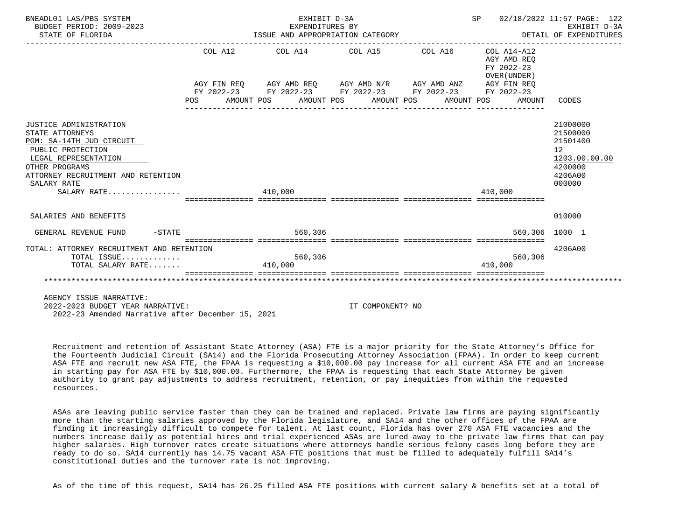| BNEADL01 LAS/PBS SYSTEM<br>BUDGET PERIOD: 2009-2023<br>STATE OF FLORIDA                                                                                                                                  |         | EXHIBIT D-3A<br>EXPENDITURES BY<br>ISSUE AND APPROPRIATION CATEGORY                                                                                                                                     |                  | SP 02/18/2022 11:57 PAGE: 122<br>DETAIL OF EXPENDITURES            | EXHIBIT D-3A                                                                            |
|----------------------------------------------------------------------------------------------------------------------------------------------------------------------------------------------------------|---------|---------------------------------------------------------------------------------------------------------------------------------------------------------------------------------------------------------|------------------|--------------------------------------------------------------------|-----------------------------------------------------------------------------------------|
|                                                                                                                                                                                                          | POS FOR | COL A12 COL A14 COL A15 COL A16<br>AGY FIN REQ AGY AMD REQ AGY AMD N/R AGY AMD ANZ AGY FIN REQ<br>FY 2022-23 FY 2022-23 FY 2022-23 FY 2022-23 FY 2022-23<br>AMOUNT POS AMOUNT POS AMOUNT POS AMOUNT POS |                  | COL A14-A12<br>AGY AMD REO<br>FY 2022-23<br>OVER (UNDER)<br>AMOUNT | CODES                                                                                   |
| JUSTICE ADMINISTRATION<br>STATE ATTORNEYS<br>PGM: SA-14TH JUD CIRCUIT<br>PUBLIC PROTECTION<br>LEGAL REPRESENTATION<br>OTHER PROGRAMS<br>ATTORNEY RECRUITMENT AND RETENTION<br>SALARY RATE<br>SALARY RATE |         | 410,000                                                                                                                                                                                                 |                  | 410,000                                                            | 21000000<br>21500000<br>21501400<br>12<br>1203.00.00.00<br>4200000<br>4206A00<br>000000 |
| SALARIES AND BENEFITS                                                                                                                                                                                    |         |                                                                                                                                                                                                         |                  |                                                                    | 010000                                                                                  |
| $-$ STATE<br>GENERAL REVENUE FUND                                                                                                                                                                        |         | 560,306                                                                                                                                                                                                 |                  | 560,306 1000 1                                                     |                                                                                         |
| TOTAL: ATTORNEY RECRUITMENT AND RETENTION<br>TOTAL ISSUE<br>TOTAL SALARY RATE                                                                                                                            |         | 560,306<br>410,000                                                                                                                                                                                      |                  | 560,306<br>410,000                                                 | 4206A00                                                                                 |
| AGENCY ISSUE NARRATIVE:<br>2022-2023 BUDGET YEAR NARRATIVE:                                                                                                                                              |         |                                                                                                                                                                                                         | IT COMPONENT? NO |                                                                    |                                                                                         |

2022-23 Amended Narrative after December 15, 2021

 Recruitment and retention of Assistant State Attorney (ASA) FTE is a major priority for the State Attorney's Office for the Fourteenth Judicial Circuit (SA14) and the Florida Prosecuting Attorney Association (FPAA). In order to keep current ASA FTE and recruit new ASA FTE, the FPAA is requesting a \$10,000.00 pay increase for all current ASA FTE and an increase in starting pay for ASA FTE by \$10,000.00. Furthermore, the FPAA is requesting that each State Attorney be given authority to grant pay adjustments to address recruitment, retention, or pay inequities from within the requested resources.

 ASAs are leaving public service faster than they can be trained and replaced. Private law firms are paying significantly more than the starting salaries approved by the Florida legislature, and SA14 and the other offices of the FPAA are finding it increasingly difficult to compete for talent. At last count, Florida has over 270 ASA FTE vacancies and the numbers increase daily as potential hires and trial experienced ASAs are lured away to the private law firms that can pay higher salaries. High turnover rates create situations where attorneys handle serious felony cases long before they are ready to do so. SA14 currently has 14.75 vacant ASA FTE positions that must be filled to adequately fulfill SA14's constitutional duties and the turnover rate is not improving.

As of the time of this request, SA14 has 26.25 filled ASA FTE positions with current salary & benefits set at a total of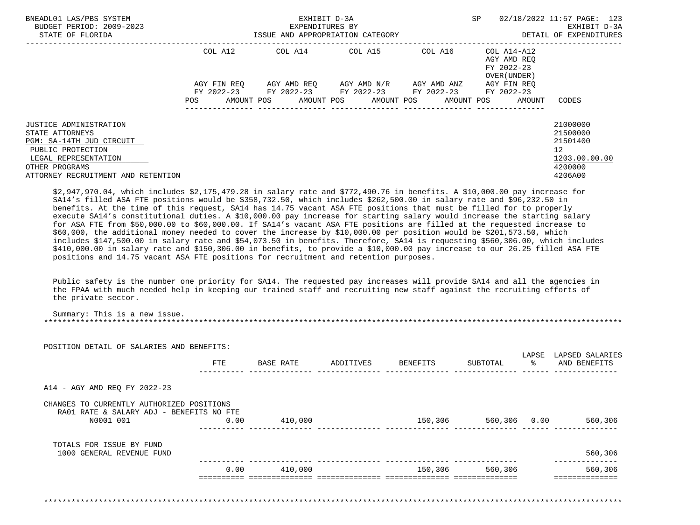| BNEADL01 LAS/PBS SYSTEM<br>BUDGET PERIOD: 2009-2023<br>STATE OF FLORIDA                                                                                                    | ISSUE AND APPROPRIATION CATEGORY | EXHIBIT D-3A<br>EXPENDITURES BY | SP                                                           | 02/18/2022 11:57 PAGE: 123<br>EXHIBIT D-3A<br>DETAIL OF EXPENDITURES |                                                          |                                                                                            |
|----------------------------------------------------------------------------------------------------------------------------------------------------------------------------|----------------------------------|---------------------------------|--------------------------------------------------------------|----------------------------------------------------------------------|----------------------------------------------------------|--------------------------------------------------------------------------------------------|
|                                                                                                                                                                            | COL A12                          |                                 | COL A14 COL A15                                              | COL A16                                                              | COL A14-A12<br>AGY AMD REO<br>FY 2022-23<br>OVER (UNDER) |                                                                                            |
|                                                                                                                                                                            | AGY FIN REO<br>FY 2022-23        |                                 | AGY AMD REO AGY AMD N/R AGY AMD ANZ<br>FY 2022-23 FY 2022-23 | FY 2022-23                                                           | AGY FIN REO<br>FY 2022-23                                |                                                                                            |
|                                                                                                                                                                            | POS<br>AMOUNT POS                |                                 | AMOUNT POS AMOUNT POS                                        | AMOUNT POS                                                           | AMOUNT                                                   | CODES                                                                                      |
| JUSTICE ADMINISTRATION<br>STATE ATTORNEYS<br>PGM: SA-14TH JUD CIRCUIT<br>PUBLIC PROTECTION<br>LEGAL REPRESENTATION<br>OTHER PROGRAMS<br>ATTORNEY RECRUITMENT AND RETENTION |                                  |                                 |                                                              |                                                                      |                                                          | 21000000<br>21500000<br>21501400<br>12 <sup>°</sup><br>1203.00.00.00<br>4200000<br>4206A00 |

 \$2,947,970.04, which includes \$2,175,479.28 in salary rate and \$772,490.76 in benefits. A \$10,000.00 pay increase for SA14's filled ASA FTE positions would be \$358,732.50, which includes \$262,500.00 in salary rate and \$96,232.50 in benefits. At the time of this request, SA14 has 14.75 vacant ASA FTE positions that must be filled for to properly execute SA14's constitutional duties. A \$10,000.00 pay increase for starting salary would increase the starting salary for ASA FTE from \$50,000.00 to \$60,000.00. If SA14's vacant ASA FTE positions are filled at the requested increase to \$60,000, the additional money needed to cover the increase by \$10,000.00 per position would be \$201,573.50, which includes \$147,500.00 in salary rate and \$54,073.50 in benefits. Therefore, SA14 is requesting \$560,306.00, which includes \$410,000.00 in salary rate and \$150,306.00 in benefits, to provide a \$10,000.00 pay increase to our 26.25 filled ASA FTE positions and 14.75 vacant ASA FTE positions for recruitment and retention purposes.

 Public safety is the number one priority for SA14. The requested pay increases will provide SA14 and all the agencies in the FPAA with much needed help in keeping our trained staff and recruiting new staff against the recruiting efforts of the private sector.

 Summary: This is a new issue. \*\*\*\*\*\*\*\*\*\*\*\*\*\*\*\*\*\*\*\*\*\*\*\*\*\*\*\*\*\*\*\*\*\*\*\*\*\*\*\*\*\*\*\*\*\*\*\*\*\*\*\*\*\*\*\*\*\*\*\*\*\*\*\*\*\*\*\*\*\*\*\*\*\*\*\*\*\*\*\*\*\*\*\*\*\*\*\*\*\*\*\*\*\*\*\*\*\*\*\*\*\*\*\*\*\*\*\*\*\*\*\*\*\*\*\*\*\*\*\*\*\*\*\*\*\*\*

|                                                                                                    | <b>FTE</b> | BASE RATE | ADDITIVES | BENEFITS | SUBTOTAL             | LAPSE<br>$rac{8}{6}$ | LAPSED SALARIES<br>AND BENEFITS |
|----------------------------------------------------------------------------------------------------|------------|-----------|-----------|----------|----------------------|----------------------|---------------------------------|
| A14 - AGY AMD REQ FY 2022-23                                                                       |            |           |           |          |                      |                      |                                 |
| CHANGES TO CURRENTLY AUTHORIZED POSITIONS<br>RA01 RATE & SALARY ADJ - BENEFITS NO FTE<br>N0001 001 | 0.00       | 410,000   |           |          | 150,306 560,306 0.00 |                      | 560,306                         |
| TOTALS FOR ISSUE BY FUND<br>1000 GENERAL REVENUE FUND                                              |            |           |           |          |                      |                      | 560,306                         |
|                                                                                                    | 0.00       | 410,000   |           | 150,306  | 560,306              |                      | 560,306                         |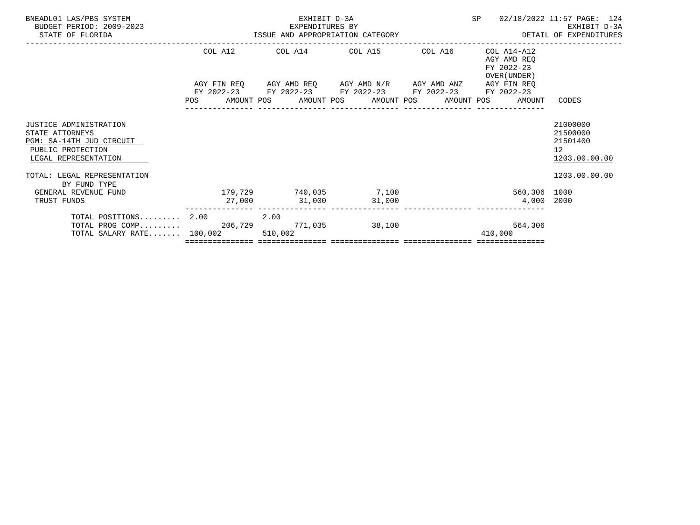| BNEADL01 LAS/PBS SYSTEM<br>BUDGET PERIOD: 2009-2023<br>STATE OF FLORIDA                                            |            | EXHIBIT D-3A                                                                               |                | SP                                                       | 02/18/2022 11:57 PAGE: 124                                            |
|--------------------------------------------------------------------------------------------------------------------|------------|--------------------------------------------------------------------------------------------|----------------|----------------------------------------------------------|-----------------------------------------------------------------------|
|                                                                                                                    |            | COL A12 COL A14 COL A15 COL A16                                                            |                | COL A14-A12<br>AGY AMD REO<br>FY 2022-23<br>OVER (UNDER) |                                                                       |
|                                                                                                                    | <b>POS</b> | FY 2022-23 FY 2022-23 FY 2022-23 FY 2022-23<br>AMOUNT POS AMOUNT POS AMOUNT POS AMOUNT POS |                | AGY FIN REO<br>FY 2022-23<br>AMOUNT                      | CODES                                                                 |
| JUSTICE ADMINISTRATION<br>STATE ATTORNEYS<br>PGM: SA-14TH JUD CIRCUIT<br>PUBLIC PROTECTION<br>LEGAL REPRESENTATION |            |                                                                                            |                |                                                          | 21000000<br>21500000<br>21501400<br>12 <sup>12</sup><br>1203.00.00.00 |
| TOTAL: LEGAL REPRESENTATION<br>BY FUND TYPE                                                                        |            |                                                                                            |                |                                                          | 1203.00.00.00                                                         |
| GENERAL REVENUE FUND<br>TRUST FUNDS                                                                                |            | $179,729$ $740,035$ $7,100$<br>$27,000$ $31,000$ $31,000$                                  |                | 560,306 1000<br>4,000 2000                               |                                                                       |
| TOTAL POSITIONS $2.00$ 2.00<br>TOTAL PROG COMP $206,729$<br>TOTAL SALARY RATE 100.002                              |            | 510,002                                                                                    | 771,035 38,100 | 564,306<br>410,000                                       |                                                                       |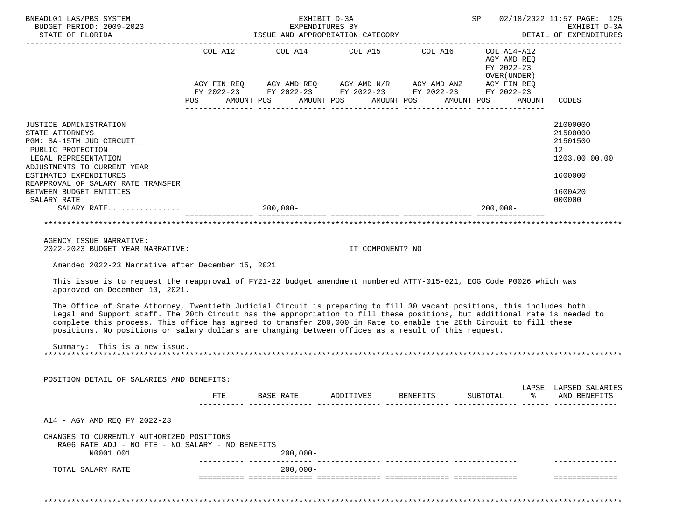| BNEADL01 LAS/PBS SYSTEM<br>BUDGET PERIOD: 2009-2023<br>STATE OF FLORIDA                                                                                                                                                                                                                                                                                                                                                                                                         |                                                                                                                                                                                                                  |            |             | EXHIBIT D-3A |                  | EXPENDITURES BY<br>ISSUE AND APPROPRIATION CATEGORY |          |                                            |        | SP 02/18/2022 11:57 PAGE: 125<br>EXHIBIT D-3A<br>DETAIL OF EXPENDITURES         |
|---------------------------------------------------------------------------------------------------------------------------------------------------------------------------------------------------------------------------------------------------------------------------------------------------------------------------------------------------------------------------------------------------------------------------------------------------------------------------------|------------------------------------------------------------------------------------------------------------------------------------------------------------------------------------------------------------------|------------|-------------|--------------|------------------|-----------------------------------------------------|----------|--------------------------------------------|--------|---------------------------------------------------------------------------------|
|                                                                                                                                                                                                                                                                                                                                                                                                                                                                                 | $\begin{tabular}{lllllllllllllllllllll} \bf AGY & FIN & REQ & & AGY & AMD & N/R & & AGY & AMD & ANZ & & AGY & FIN & REQ \\ \bf FY & 2022-23 & & FY & 2022-23 & & FY & 2022-23 & & FY & 2022-23 \\ \end{tabular}$ |            |             |              |                  | COL A12 $COL$ A14 $COL$ A15 $COL$ A16 $COL$ A14-A12 |          | AGY AMD REQ<br>FY 2022-23<br>OVER (UNDER ) |        |                                                                                 |
|                                                                                                                                                                                                                                                                                                                                                                                                                                                                                 | POS AMOUNT POS AMOUNT POS AMOUNT POS AMOUNT POS                                                                                                                                                                  |            |             |              |                  |                                                     |          |                                            | AMOUNT | CODES                                                                           |
|                                                                                                                                                                                                                                                                                                                                                                                                                                                                                 |                                                                                                                                                                                                                  |            |             |              |                  |                                                     |          |                                            |        |                                                                                 |
| JUSTICE ADMINISTRATION<br>STATE ATTORNEYS<br>PGM: SA-15TH JUD CIRCUIT<br>PUBLIC PROTECTION<br>LEGAL REPRESENTATION<br>ADJUSTMENTS TO CURRENT YEAR<br>ESTIMATED EXPENDITURES<br>REAPPROVAL OF SALARY RATE TRANSFER                                                                                                                                                                                                                                                               |                                                                                                                                                                                                                  |            |             |              |                  |                                                     |          |                                            |        | 21000000<br>21500000<br>21501500<br>12 <sup>°</sup><br>1203.00.00.00<br>1600000 |
| BETWEEN BUDGET ENTITIES                                                                                                                                                                                                                                                                                                                                                                                                                                                         |                                                                                                                                                                                                                  |            |             |              |                  |                                                     |          |                                            |        | 1600A20                                                                         |
| SALARY RATE<br>SALARY RATE                                                                                                                                                                                                                                                                                                                                                                                                                                                      |                                                                                                                                                                                                                  | $200,000-$ |             |              |                  |                                                     |          | $200,000 -$                                |        | 000000                                                                          |
|                                                                                                                                                                                                                                                                                                                                                                                                                                                                                 |                                                                                                                                                                                                                  |            |             |              |                  |                                                     |          |                                            |        |                                                                                 |
| AGENCY ISSUE NARRATIVE:                                                                                                                                                                                                                                                                                                                                                                                                                                                         |                                                                                                                                                                                                                  |            |             |              |                  |                                                     |          |                                            |        |                                                                                 |
| 2022-2023 BUDGET YEAR NARRATIVE:                                                                                                                                                                                                                                                                                                                                                                                                                                                |                                                                                                                                                                                                                  |            |             |              | IT COMPONENT? NO |                                                     |          |                                            |        |                                                                                 |
| Amended 2022-23 Narrative after December 15, 2021                                                                                                                                                                                                                                                                                                                                                                                                                               |                                                                                                                                                                                                                  |            |             |              |                  |                                                     |          |                                            |        |                                                                                 |
| This issue is to request the reapproval of FY21-22 budget amendment numbered ATTY-015-021, EOG Code P0026 which was<br>approved on December 10, 2021.                                                                                                                                                                                                                                                                                                                           |                                                                                                                                                                                                                  |            |             |              |                  |                                                     |          |                                            |        |                                                                                 |
| The Office of State Attorney, Twentieth Judicial Circuit is preparing to fill 30 vacant positions, this includes both<br>Legal and Support staff. The 20th Circuit has the appropriation to fill these positions, but additional rate is needed to<br>complete this process. This office has agreed to transfer 200,000 in Rate to enable the 20th Circuit to fill these<br>positions. No positions or salary dollars are changing between offices as a result of this request. |                                                                                                                                                                                                                  |            |             |              |                  |                                                     |          |                                            |        |                                                                                 |
| Summary: This is a new issue.                                                                                                                                                                                                                                                                                                                                                                                                                                                   |                                                                                                                                                                                                                  |            |             |              |                  |                                                     |          |                                            |        |                                                                                 |
| POSITION DETAIL OF SALARIES AND BENEFITS:                                                                                                                                                                                                                                                                                                                                                                                                                                       |                                                                                                                                                                                                                  |            |             |              |                  |                                                     |          |                                            |        |                                                                                 |
|                                                                                                                                                                                                                                                                                                                                                                                                                                                                                 | FTE                                                                                                                                                                                                              | BASE RATE  |             | ADDITIVES    |                  | <b>BENEFITS</b>                                     | SUBTOTAL |                                            |        | LAPSE LAPSED SALARIES<br>AND BENEFITS                                           |
| A14 - AGY AMD REO FY 2022-23                                                                                                                                                                                                                                                                                                                                                                                                                                                    |                                                                                                                                                                                                                  |            |             |              |                  |                                                     |          |                                            |        |                                                                                 |
| CHANGES TO CURRENTLY AUTHORIZED POSITIONS<br>RA06 RATE ADJ - NO FTE - NO SALARY - NO BENEFITS<br>N0001 001                                                                                                                                                                                                                                                                                                                                                                      |                                                                                                                                                                                                                  |            | 200,000-    |              |                  |                                                     |          |                                            |        |                                                                                 |
| TOTAL SALARY RATE                                                                                                                                                                                                                                                                                                                                                                                                                                                               |                                                                                                                                                                                                                  |            | $200,000 -$ |              |                  |                                                     |          |                                            |        |                                                                                 |
|                                                                                                                                                                                                                                                                                                                                                                                                                                                                                 |                                                                                                                                                                                                                  |            |             |              |                  |                                                     |          |                                            |        |                                                                                 |
|                                                                                                                                                                                                                                                                                                                                                                                                                                                                                 |                                                                                                                                                                                                                  |            |             |              |                  |                                                     |          |                                            |        |                                                                                 |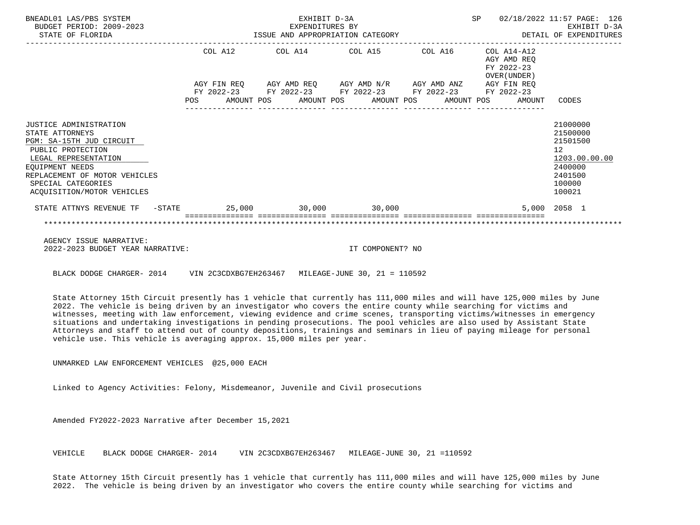| BNEADL01 LAS/PBS SYSTEM<br>BUDGET PERIOD: 2009-2023<br>STATE OF FLORIDA                                                                                                                                                    |     |         | EXHIBIT D-3A<br>EXPENDITURES BY<br>ISSUE AND APPROPRIATION CATEGORY                                                                                       |  |            |                                                          | SP 02/18/2022 11:57 PAGE: 126<br>EXHIBIT D-3A<br>DETAIL OF EXPENDITURES                           |
|----------------------------------------------------------------------------------------------------------------------------------------------------------------------------------------------------------------------------|-----|---------|-----------------------------------------------------------------------------------------------------------------------------------------------------------|--|------------|----------------------------------------------------------|---------------------------------------------------------------------------------------------------|
|                                                                                                                                                                                                                            |     | COL A12 | COL A14 COL A15 COL A16                                                                                                                                   |  |            | COL A14-A12<br>AGY AMD REO<br>FY 2022-23<br>OVER (UNDER) |                                                                                                   |
|                                                                                                                                                                                                                            | POS |         | AGY FIN REQ AGY AMD REQ AGY AMD N/R AGY AMD ANZ AGY FIN REQ<br>FY 2022-23 FY 2022-23 FY 2022-23 FY 2022-23 FY 2022-23<br>AMOUNT POS AMOUNT POS AMOUNT POS |  | AMOUNT POS | AMOUNT                                                   | CODES                                                                                             |
| JUSTICE ADMINISTRATION<br>STATE ATTORNEYS<br>PGM: SA-15TH JUD CIRCUIT<br>PUBLIC PROTECTION<br>LEGAL REPRESENTATION<br>EOUIPMENT NEEDS<br>REPLACEMENT OF MOTOR VEHICLES<br>SPECIAL CATEGORIES<br>ACOUISITION/MOTOR VEHICLES |     |         |                                                                                                                                                           |  |            |                                                          | 21000000<br>21500000<br>21501500<br>12<br>1203.00.00.00<br>2400000<br>2401500<br>100000<br>100021 |
| STATE ATTNYS REVENUE TF - STATE                                                                                                                                                                                            |     |         | $25,000$ 30,000 30,000                                                                                                                                    |  |            |                                                          | 5,000 2058 1                                                                                      |
| AGENCY ISSUE NARRATIVE:                                                                                                                                                                                                    |     |         |                                                                                                                                                           |  |            |                                                          |                                                                                                   |

2022-2023 BUDGET YEAR NARRATIVE: IT COMPONENT? NO

BLACK DODGE CHARGER- 2014 VIN 2C3CDXBG7EH263467 MILEAGE-JUNE 30, 21 = 110592

 State Attorney 15th Circuit presently has 1 vehicle that currently has 111,000 miles and will have 125,000 miles by June 2022. The vehicle is being driven by an investigator who covers the entire county while searching for victims and witnesses, meeting with law enforcement, viewing evidence and crime scenes, transporting victims/witnesses in emergency situations and undertaking investigations in pending prosecutions. The pool vehicles are also used by Assistant State Attorneys and staff to attend out of county depositions, trainings and seminars in lieu of paying mileage for personal vehicle use. This vehicle is averaging approx. 15,000 miles per year.

UNMARKED LAW ENFORCEMENT VEHICLES @25,000 EACH

Linked to Agency Activities: Felony, Misdemeanor, Juvenile and Civil prosecutions

Amended FY2022-2023 Narrative after December 15,2021

VEHICLE BLACK DODGE CHARGER- 2014 VIN 2C3CDXBG7EH263467 MILEAGE-JUNE 30, 21 =110592

 State Attorney 15th Circuit presently has 1 vehicle that currently has 111,000 miles and will have 125,000 miles by June 2022. The vehicle is being driven by an investigator who covers the entire county while searching for victims and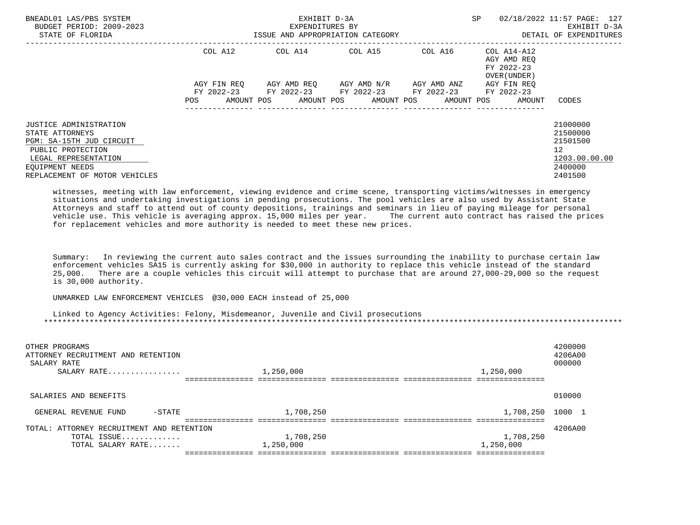| BNEADL01 LAS/PBS SYSTEM<br>BUDGET PERIOD: 2009-2023<br>STATE OF FLORIDA                                                                                                |                               | EXHIBIT D-3A<br>EXPENDITURES BY<br>ISSUE AND APPROPRIATION CATEGORY | SP                                                                                                                                                                                                  | 02/18/2022 11:57 PAGE: 127<br>EXHIBIT D-3A<br>DETAIL OF EXPENDITURES |                                                                    |                                                                                            |
|------------------------------------------------------------------------------------------------------------------------------------------------------------------------|-------------------------------|---------------------------------------------------------------------|-----------------------------------------------------------------------------------------------------------------------------------------------------------------------------------------------------|----------------------------------------------------------------------|--------------------------------------------------------------------|--------------------------------------------------------------------------------------------|
|                                                                                                                                                                        | COL A12<br>AGY FIN REO<br>POS |                                                                     | $COL A14$ $COL A15$ $COL A16$ $COL A14-A12$<br>AGY AMD REO     AGY AMD N/R     AGY AMD ANZ<br>FY 2022-23 FY 2022-23 FY 2022-23 FY 2022-23 FY 2022-23<br>AMOUNT POS AMOUNT POS AMOUNT POS AMOUNT POS |                                                                      | AGY AMD REO<br>FY 2022-23<br>OVER (UNDER)<br>AGY FIN REO<br>AMOUNT | CODES                                                                                      |
| JUSTICE ADMINISTRATION<br>STATE ATTORNEYS<br>PGM: SA-15TH JUD CIRCUIT<br>PUBLIC PROTECTION<br>LEGAL REPRESENTATION<br>EOUIPMENT NEEDS<br>REPLACEMENT OF MOTOR VEHICLES |                               |                                                                     |                                                                                                                                                                                                     |                                                                      |                                                                    | 21000000<br>21500000<br>21501500<br>12 <sup>°</sup><br>1203.00.00.00<br>2400000<br>2401500 |

 witnesses, meeting with law enforcement, viewing evidence and crime scene, transporting victims/witnesses in emergency situations and undertaking investigations in pending prosecutions. The pool vehicles are also used by Assistant State Attorneys and staff to attend out of county depositions, trainings and seminars in lieu of paying mileage for personal<br>vehicle use. This vehicle is averaging approx. 15,000 miles per year. The current auto contract has rai vehicle use. This vehicle is averaging approx. 15,000 miles per year. for replacement vehicles and more authority is needed to meet these new prices.

 Summary: In reviewing the current auto sales contract and the issues surrounding the inability to purchase certain law enforcement vehicles SA15 is currently asking for \$30,000 in authority to replace this vehicle instead of the standard<br>25,000. There are a couple vehicles this circuit will attempt to purchase that are around 27,000-29,000 25,000. There are a couple vehicles this circuit will attempt to purchase that are around 27,000-29,000 so the request is 30,000 authority.

UNMARKED LAW ENFORCEMENT VEHICLES @30,000 EACH instead of 25,000

 Linked to Agency Activities: Felony, Misdemeanor, Juvenile and Civil prosecutions \*\*\*\*\*\*\*\*\*\*\*\*\*\*\*\*\*\*\*\*\*\*\*\*\*\*\*\*\*\*\*\*\*\*\*\*\*\*\*\*\*\*\*\*\*\*\*\*\*\*\*\*\*\*\*\*\*\*\*\*\*\*\*\*\*\*\*\*\*\*\*\*\*\*\*\*\*\*\*\*\*\*\*\*\*\*\*\*\*\*\*\*\*\*\*\*\*\*\*\*\*\*\*\*\*\*\*\*\*\*\*\*\*\*\*\*\*\*\*\*\*\*\*\*\*\*\*

| OTHER PROGRAMS<br>ATTORNEY RECRUITMENT AND RETENTION<br>SALARY RATE<br>SALARY RATE | 1,250,000              | 4200000<br>4206A00<br>000000<br>1,250,000 |
|------------------------------------------------------------------------------------|------------------------|-------------------------------------------|
| SALARIES AND BENEFITS                                                              |                        | 010000                                    |
| $-$ STATE<br>GENERAL REVENUE FUND                                                  | 1,708,250              | 1,708,250<br>1000                         |
| TOTAL: ATTORNEY RECRUITMENT AND RETENTION<br>TOTAL ISSUE<br>TOTAL SALARY RATE      | 1,708,250<br>1,250,000 | 4206A00<br>1,708,250<br>1,250,000         |
|                                                                                    |                        |                                           |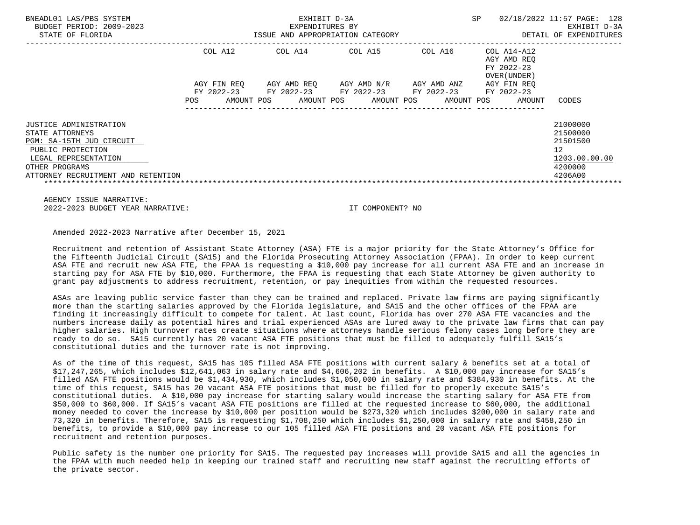|                                         |             | EXPENDITURES BY |                                                              |                                                          | EXHIBIT D-3A                                                                  |
|-----------------------------------------|-------------|-----------------|--------------------------------------------------------------|----------------------------------------------------------|-------------------------------------------------------------------------------|
|                                         |             |                 |                                                              |                                                          | DETAIL OF EXPENDITURES                                                        |
| COL A12                                 | COL A14     | COL A15         | COL A16                                                      | COL A14-A12<br>AGY AMD REO<br>FY 2022-23<br>OVER (UNDER) |                                                                               |
| AGY FIN REO<br>FY 2022-23<br><b>POS</b> | AGY AMD REQ | FY 2022-23      | AGY AMD ANZ<br>FY 2022-23                                    | AGY FIN REO<br>FY 2022-23<br>AMOUNT                      | CODES                                                                         |
|                                         |             |                 |                                                              |                                                          | 21000000<br>21500000<br>21501500<br>12<br>1203.00.00.00<br>4200000<br>4206A00 |
|                                         |             | AMOUNT POS      | ISSUE AND APPROPRIATION CATEGORY<br>FY 2022-23<br>AMOUNT POS | AGY AMD N/R<br>AMOUNT POS                                | AMOUNT POS                                                                    |

 AGENCY ISSUE NARRATIVE: 2022-2023 BUDGET YEAR NARRATIVE: IT COMPONENT? NO

Amended 2022-2023 Narrative after December 15, 2021

 Recruitment and retention of Assistant State Attorney (ASA) FTE is a major priority for the State Attorney's Office for the Fifteenth Judicial Circuit (SA15) and the Florida Prosecuting Attorney Association (FPAA). In order to keep current ASA FTE and recruit new ASA FTE, the FPAA is requesting a \$10,000 pay increase for all current ASA FTE and an increase in starting pay for ASA FTE by \$10,000. Furthermore, the FPAA is requesting that each State Attorney be given authority to grant pay adjustments to address recruitment, retention, or pay inequities from within the requested resources.

 ASAs are leaving public service faster than they can be trained and replaced. Private law firms are paying significantly more than the starting salaries approved by the Florida legislature, and SA15 and the other offices of the FPAA are finding it increasingly difficult to compete for talent. At last count, Florida has over 270 ASA FTE vacancies and the numbers increase daily as potential hires and trial experienced ASAs are lured away to the private law firms that can pay higher salaries. High turnover rates create situations where attorneys handle serious felony cases long before they are ready to do so. SA15 currently has 20 vacant ASA FTE positions that must be filled to adequately fulfill SA15's constitutional duties and the turnover rate is not improving.

 As of the time of this request, SA15 has 105 filled ASA FTE positions with current salary & benefits set at a total of \$17,247,265, which includes \$12,641,063 in salary rate and \$4,606,202 in benefits. A \$10,000 pay increase for SA15's filled ASA FTE positions would be \$1,434,930, which includes \$1,050,000 in salary rate and \$384,930 in benefits. At the time of this request, SA15 has 20 vacant ASA FTE positions that must be filled for to properly execute SA15's constitutional duties. A \$10,000 pay increase for starting salary would increase the starting salary for ASA FTE from \$50,000 to \$60,000. If SA15's vacant ASA FTE positions are filled at the requested increase to \$60,000, the additional money needed to cover the increase by \$10,000 per position would be \$273,320 which includes \$200,000 in salary rate and 73,320 in benefits. Therefore, SA15 is requesting \$1,708,250 which includes \$1,250,000 in salary rate and \$458,250 in benefits, to provide a \$10,000 pay increase to our 105 filled ASA FTE positions and 20 vacant ASA FTE positions for recruitment and retention purposes.

 Public safety is the number one priority for SA15. The requested pay increases will provide SA15 and all the agencies in the FPAA with much needed help in keeping our trained staff and recruiting new staff against the recruiting efforts of the private sector.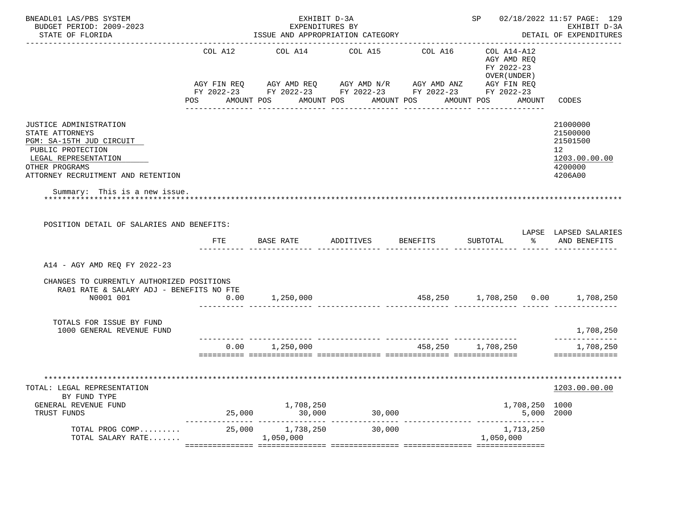| BNEADL01 LAS/PBS SYSTEM<br>BUDGET PERIOD: 2009-2023<br>STATE OF FLORIDA                                                                                                    |            | EXHIBIT D-3A<br>EXPENDITURES BY                                                                                       | ISSUE AND APPROPRIATION CATEGORY            |                   |                                                          | SP 02/18/2022 11:57 PAGE: 129<br>EXHIBIT D-3A<br>DETAIL OF EXPENDITURES       |
|----------------------------------------------------------------------------------------------------------------------------------------------------------------------------|------------|-----------------------------------------------------------------------------------------------------------------------|---------------------------------------------|-------------------|----------------------------------------------------------|-------------------------------------------------------------------------------|
|                                                                                                                                                                            | COL A12    | COL A14                                                                                                               | COL A15                                     | COL A16           | COL A14-A12<br>AGY AMD REO<br>FY 2022-23<br>OVER (UNDER) |                                                                               |
|                                                                                                                                                                            |            | AGY FIN REQ AGY AMD REQ AGY AMD N/R AGY AMD ANZ AGY FIN REQ<br>FY 2022-23 FY 2022-23 FY 2022-23 FY 2022-23 FY 2022-23 |                                             |                   |                                                          |                                                                               |
|                                                                                                                                                                            | <b>POS</b> |                                                                                                                       | AMOUNT POS AMOUNT POS AMOUNT POS AMOUNT POS |                   |                                                          | AMOUNT CODES                                                                  |
| JUSTICE ADMINISTRATION<br>STATE ATTORNEYS<br>PGM: SA-15TH JUD CIRCUIT<br>PUBLIC PROTECTION<br>LEGAL REPRESENTATION<br>OTHER PROGRAMS<br>ATTORNEY RECRUITMENT AND RETENTION |            |                                                                                                                       |                                             |                   |                                                          | 21000000<br>21500000<br>21501500<br>12<br>1203.00.00.00<br>4200000<br>4206A00 |
| Summary: This is a new issue.                                                                                                                                              |            |                                                                                                                       |                                             |                   |                                                          |                                                                               |
| POSITION DETAIL OF SALARIES AND BENEFITS:                                                                                                                                  |            |                                                                                                                       |                                             |                   |                                                          |                                                                               |
|                                                                                                                                                                            | FTE        | <b>BASE RATE</b>                                                                                                      | ADDITIVES BENEFITS                          |                   | SUBTOTAL                                                 | LAPSE LAPSED SALARIES<br>နွေ တ<br>AND BENEFITS                                |
| A14 - AGY AMD REQ FY 2022-23                                                                                                                                               |            |                                                                                                                       |                                             |                   |                                                          |                                                                               |
| CHANGES TO CURRENTLY AUTHORIZED POSITIONS<br>RA01 RATE & SALARY ADJ - BENEFITS NO FTE<br>N0001 001                                                                         | 0.00       | 1,250,000                                                                                                             |                                             |                   |                                                          |                                                                               |
| TOTALS FOR ISSUE BY FUND<br>1000 GENERAL REVENUE FUND                                                                                                                      |            |                                                                                                                       |                                             |                   |                                                          | 1,708,250                                                                     |
|                                                                                                                                                                            |            | $0.00$ 1,250,000                                                                                                      |                                             | 458,250 1,708,250 |                                                          | ______________<br>1,708,250<br>==============                                 |
| TOTAL: LEGAL REPRESENTATION<br>BY FUND TYPE<br>GENERAL REVENUE FUND<br>TRUST FUNDS                                                                                         | 25,000     | 1,708,250<br>30,000                                                                                                   | 30,000                                      |                   | 1,708,250 1000                                           | 1203.00.00.00<br>5,000 2000                                                   |
| TOTAL PROG COMP 25,000 $1,738,250$<br>TOTAL SALARY RATE 1,050,000                                                                                                          |            |                                                                                                                       | 30,000                                      |                   | 1,713,250<br>1,050,000                                   |                                                                               |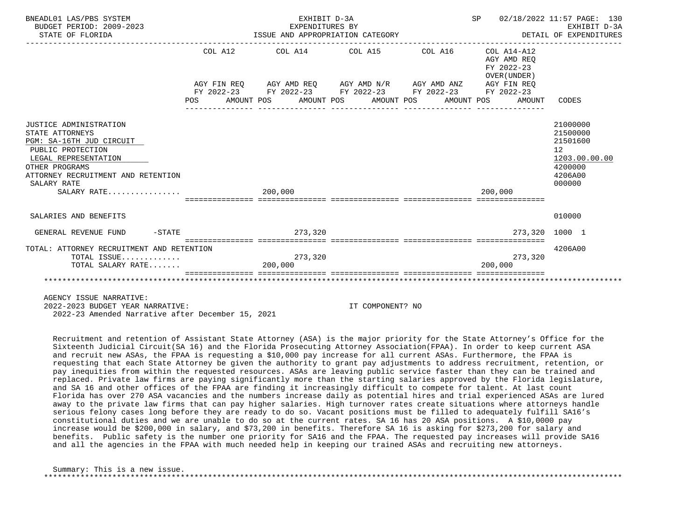| BNEADL01 LAS/PBS SYSTEM<br>BUDGET PERIOD: 2009-2023<br>STATE OF FLORIDA                                                                                                                                  | EXHIBIT D-3A<br>EXPENDITURES BY        |                                                             | SP 02/18/2022 11:57 PAGE: 130<br>EARLBIT D-SA<br>ISSUE AND APPROPRIATION CATEGORY <b>AND A SECULATION CATEGORY</b> DETAIL OF EXPENDITURES | EXHIBIT D-3A                                                                            |
|----------------------------------------------------------------------------------------------------------------------------------------------------------------------------------------------------------|----------------------------------------|-------------------------------------------------------------|-------------------------------------------------------------------------------------------------------------------------------------------|-----------------------------------------------------------------------------------------|
|                                                                                                                                                                                                          |                                        | COL A12 COL A14 COL A15 COL A16 COL A14-A12                 | AGY AMD REO<br>FY 2022-23<br>OVER (UNDER)                                                                                                 |                                                                                         |
|                                                                                                                                                                                                          |                                        | AGY FIN REQ AGY AMD REQ AGY AMD N/R AGY AMD ANZ AGY FIN REQ |                                                                                                                                           |                                                                                         |
|                                                                                                                                                                                                          |                                        | FY 2022-23 FY 2022-23 FY 2022-23 FY 2022-23 FY 2022-23      |                                                                                                                                           |                                                                                         |
|                                                                                                                                                                                                          | <u> Liberalis en Liberal</u>           |                                                             | POS AMOUNT POS AMOUNT POS AMOUNT POS AMOUNT POS AMOUNT                                                                                    | CODES                                                                                   |
| JUSTICE ADMINISTRATION<br>STATE ATTORNEYS<br>PGM: SA-16TH JUD CIRCUIT<br>PUBLIC PROTECTION<br>LEGAL REPRESENTATION<br>OTHER PROGRAMS<br>ATTORNEY RECRUITMENT AND RETENTION<br>SALARY RATE<br>SALARY RATE | 200,000<br>=========================== |                                                             | 200,000                                                                                                                                   | 21000000<br>21500000<br>21501600<br>12<br>1203.00.00.00<br>4200000<br>4206A00<br>000000 |
| SALARIES AND BENEFITS                                                                                                                                                                                    |                                        |                                                             |                                                                                                                                           | 010000                                                                                  |
| $-$ STATE<br>GENERAL REVENUE FUND                                                                                                                                                                        | 273,320                                |                                                             | 273.320 1000 1                                                                                                                            |                                                                                         |
| TOTAL: ATTORNEY RECRUITMENT AND RETENTION                                                                                                                                                                |                                        |                                                             |                                                                                                                                           | 4206A00                                                                                 |
| TOTAL ISSUE                                                                                                                                                                                              | 273,320                                |                                                             | 273,320                                                                                                                                   |                                                                                         |
| TOTAL SALARY RATE                                                                                                                                                                                        | 200,000                                |                                                             | 200,000                                                                                                                                   |                                                                                         |
|                                                                                                                                                                                                          |                                        |                                                             |                                                                                                                                           |                                                                                         |

 2022-2023 BUDGET YEAR NARRATIVE: IT COMPONENT? NO 2022-23 Amended Narrative after December 15, 2021

 Recruitment and retention of Assistant State Attorney (ASA) is the major priority for the State Attorney's Office for the Sixteenth Judicial Circuit(SA 16) and the Florida Prosecuting Attorney Association(FPAA). In order to keep current ASA and recruit new ASAs, the FPAA is requesting a \$10,000 pay increase for all current ASAs. Furthermore, the FPAA is requesting that each State Attorney be given the authority to grant pay adjustments to address recruitment, retention, or pay inequities from within the requested resources. ASAs are leaving public service faster than they can be trained and replaced. Private law firms are paying significantly more than the starting salaries approved by the Florida legislature, and SA 16 and other offices of the FPAA are finding it increasingly difficult to compete for talent. At last count Florida has over 270 ASA vacancies and the numbers increase daily as potential hires and trial experienced ASAs are lured away to the private law firms that can pay higher salaries. High turnover rates create situations where attorneys handle serious felony cases long before they are ready to do so. Vacant positions must be filled to adequately fulfill SA16's constitutional duties and we are unable to do so at the current rates. SA 16 has 20 ASA positions. A \$10,0000 pay increase would be \$200,000 in salary, and \$73,200 in benefits. Therefore SA 16 is asking for \$273,200 for salary and benefits. Public safety is the number one priority for SA16 and the FPAA. The requested pay increases will provide SA16 and all the agencies in the FPAA with much needed help in keeping our trained ASAs and recruiting new attorneys.

 Summary: This is a new issue. \*\*\*\*\*\*\*\*\*\*\*\*\*\*\*\*\*\*\*\*\*\*\*\*\*\*\*\*\*\*\*\*\*\*\*\*\*\*\*\*\*\*\*\*\*\*\*\*\*\*\*\*\*\*\*\*\*\*\*\*\*\*\*\*\*\*\*\*\*\*\*\*\*\*\*\*\*\*\*\*\*\*\*\*\*\*\*\*\*\*\*\*\*\*\*\*\*\*\*\*\*\*\*\*\*\*\*\*\*\*\*\*\*\*\*\*\*\*\*\*\*\*\*\*\*\*\*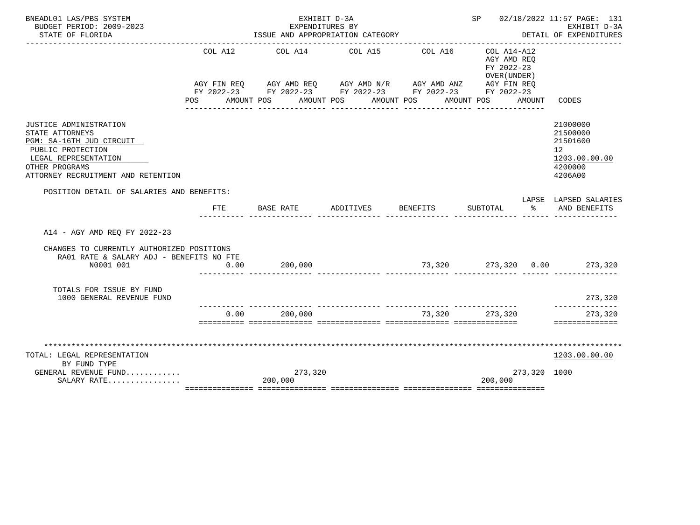| BNEADL01 LAS/PBS SYSTEM                                                               |                                                                                                                | EXHIBIT D-3A                                                |                                       |                                     |                                          |               | SP 02/18/2022 11:57 PAGE: 131          |
|---------------------------------------------------------------------------------------|----------------------------------------------------------------------------------------------------------------|-------------------------------------------------------------|---------------------------------------|-------------------------------------|------------------------------------------|---------------|----------------------------------------|
| BUDGET PERIOD: 2009-2023<br>STATE OF FLORIDA                                          |                                                                                                                | EXPENDITURES BY<br>ISSUE AND APPROPRIATION CATEGORY         |                                       |                                     |                                          |               | EXHIBIT D-3A<br>DETAIL OF EXPENDITURES |
|                                                                                       |                                                                                                                |                                                             |                                       |                                     |                                          |               |                                        |
|                                                                                       | COL A12                                                                                                        | COL A14 COL A15                                             |                                       | COL A16                             | COL A14-A12<br>AGY AMD REO<br>FY 2022-23 |               |                                        |
|                                                                                       |                                                                                                                |                                                             |                                       |                                     | OVER (UNDER)                             |               |                                        |
|                                                                                       |                                                                                                                | AGY FIN REQ AGY AMD REQ AGY AMD N/R AGY AMD ANZ AGY FIN REQ |                                       |                                     |                                          |               |                                        |
|                                                                                       |                                                                                                                | FY 2022-23 FY 2022-23 FY 2022-23 FY 2022-23 FY 2022-23      |                                       |                                     |                                          |               |                                        |
|                                                                                       | POS FOR THE POST OF THE STATE STATE STATE STATE STATE STATE STATE STATE STATE STATE STATE STATE STATE STATE ST | AMOUNT POS AMOUNT POS AMOUNT POS AMOUNT POS                 | _____________________________________ | _______________                     | _______________                          | AMOUNT        | CODES                                  |
| JUSTICE ADMINISTRATION                                                                |                                                                                                                |                                                             |                                       |                                     |                                          |               | 21000000                               |
| STATE ATTORNEYS                                                                       |                                                                                                                |                                                             |                                       |                                     |                                          |               | 21500000                               |
| PGM: SA-16TH JUD CIRCUIT                                                              |                                                                                                                |                                                             |                                       |                                     |                                          |               | 21501600                               |
| PUBLIC PROTECTION                                                                     |                                                                                                                |                                                             |                                       |                                     |                                          |               | 12                                     |
| LEGAL REPRESENTATION                                                                  |                                                                                                                |                                                             |                                       |                                     |                                          |               | 1203.00.00.00                          |
| OTHER PROGRAMS                                                                        |                                                                                                                |                                                             |                                       |                                     |                                          |               | 4200000                                |
| ATTORNEY RECRUITMENT AND RETENTION                                                    |                                                                                                                |                                                             |                                       |                                     |                                          |               | 4206A00                                |
| POSITION DETAIL OF SALARIES AND BENEFITS:                                             |                                                                                                                |                                                             |                                       |                                     |                                          |               |                                        |
|                                                                                       | FTE                                                                                                            | BASE RATE                                                   | ADDITIVES                             | BENEFITS                            | SUBTOTAL                                 | $\sim$ $\sim$ | LAPSE LAPSED SALARIES<br>AND BENEFITS  |
|                                                                                       |                                                                                                                |                                                             |                                       |                                     |                                          |               |                                        |
| A14 - AGY AMD REO FY 2022-23                                                          |                                                                                                                |                                                             |                                       |                                     |                                          |               |                                        |
| CHANGES TO CURRENTLY AUTHORIZED POSITIONS<br>RA01 RATE & SALARY ADJ - BENEFITS NO FTE |                                                                                                                |                                                             |                                       |                                     |                                          |               |                                        |
| N0001 001                                                                             | 0.00                                                                                                           | 200,000                                                     |                                       | $73,320$ $273,320$ $0.00$ $273,320$ |                                          |               |                                        |
|                                                                                       |                                                                                                                |                                                             |                                       |                                     |                                          |               |                                        |
| TOTALS FOR ISSUE BY FUND                                                              |                                                                                                                |                                                             |                                       |                                     |                                          |               |                                        |
| 1000 GENERAL REVENUE FUND                                                             |                                                                                                                |                                                             |                                       |                                     |                                          |               | 273,320<br>--------------              |
|                                                                                       | 0.00                                                                                                           | 200,000                                                     |                                       |                                     | 73,320 273,320                           |               | 273,320                                |
|                                                                                       |                                                                                                                |                                                             |                                       |                                     |                                          |               | ==============                         |
|                                                                                       |                                                                                                                |                                                             |                                       |                                     |                                          |               |                                        |
| TOTAL: LEGAL REPRESENTATION                                                           |                                                                                                                |                                                             |                                       |                                     |                                          |               | 1203.00.00.00                          |
| BY FUND TYPE                                                                          |                                                                                                                |                                                             |                                       |                                     |                                          |               |                                        |
| GENERAL REVENUE FUND                                                                  |                                                                                                                | 273,320                                                     |                                       |                                     |                                          | 273,320 1000  |                                        |
|                                                                                       |                                                                                                                |                                                             |                                       |                                     |                                          |               |                                        |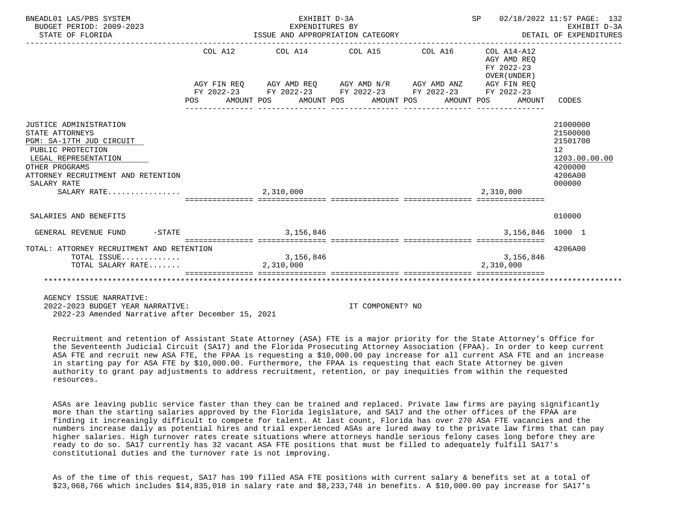| BNEADL01 LAS/PBS SYSTEM<br>BUDGET PERIOD: 2009-2023<br>STATE OF FLORIDA                                                                                                                                  | EXHIBIT D-3A<br>EXPENDITURES BY |                                                                                                                       | SP<br>EXPENDITURES BI<br>ISSUE AND APPROPRIATION CATEGORY THE SERVICE OF EXPENDITURES | 02/18/2022 11:57 PAGE: 132<br>EXHIBIT D-3A                                              |
|----------------------------------------------------------------------------------------------------------------------------------------------------------------------------------------------------------|---------------------------------|-----------------------------------------------------------------------------------------------------------------------|---------------------------------------------------------------------------------------|-----------------------------------------------------------------------------------------|
|                                                                                                                                                                                                          |                                 | COL A12 COL A14 COL A15 COL A16 COL A14-A12                                                                           | AGY AMD REO<br>FY 2022-23<br>OVER (UNDER)                                             |                                                                                         |
|                                                                                                                                                                                                          |                                 | AGY FIN REQ AGY AMD REQ AGY AMD N/R AGY AMD ANZ AGY FIN REQ<br>FY 2022-23 FY 2022-23 FY 2022-23 FY 2022-23 FY 2022-23 | POS AMOUNT POS AMOUNT POS AMOUNT POS AMOUNT POS AMOUNT CODES                          |                                                                                         |
| JUSTICE ADMINISTRATION<br>STATE ATTORNEYS<br>PGM: SA-17TH JUD CIRCUIT<br>PUBLIC PROTECTION<br>LEGAL REPRESENTATION<br>OTHER PROGRAMS<br>ATTORNEY RECRUITMENT AND RETENTION<br>SALARY RATE<br>SALARY RATE | 2,310,000                       |                                                                                                                       | 2,310,000                                                                             | 21000000<br>21500000<br>21501700<br>12<br>1203.00.00.00<br>4200000<br>4206A00<br>000000 |
| SALARIES AND BENEFITS                                                                                                                                                                                    |                                 |                                                                                                                       |                                                                                       | 010000                                                                                  |
| $-STATE$<br>GENERAL REVENUE FUND                                                                                                                                                                         | 3,156,846                       |                                                                                                                       | 3,156,846 1000 1                                                                      |                                                                                         |
| TOTAL: ATTORNEY RECRUITMENT AND RETENTION<br>TOTAL ISSUE<br>TOTAL SALARY RATE                                                                                                                            | 3, 156, 846<br>2,310,000        |                                                                                                                       | =========================<br>3,156,846<br>2,310,000                                   | 4206A00                                                                                 |
|                                                                                                                                                                                                          |                                 |                                                                                                                       |                                                                                       |                                                                                         |

 2022-2023 BUDGET YEAR NARRATIVE: IT COMPONENT? NO 2022-23 Amended Narrative after December 15, 2021

 Recruitment and retention of Assistant State Attorney (ASA) FTE is a major priority for the State Attorney's Office for the Seventeenth Judicial Circuit (SA17) and the Florida Prosecuting Attorney Association (FPAA). In order to keep current ASA FTE and recruit new ASA FTE, the FPAA is requesting a \$10,000.00 pay increase for all current ASA FTE and an increase in starting pay for ASA FTE by \$10,000.00. Furthermore, the FPAA is requesting that each State Attorney be given authority to grant pay adjustments to address recruitment, retention, or pay inequities from within the requested resources.

 ASAs are leaving public service faster than they can be trained and replaced. Private law firms are paying significantly more than the starting salaries approved by the Florida legislature, and SA17 and the other offices of the FPAA are finding it increasingly difficult to compete for talent. At last count, Florida has over 270 ASA FTE vacancies and the numbers increase daily as potential hires and trial experienced ASAs are lured away to the private law firms that can pay higher salaries. High turnover rates create situations where attorneys handle serious felony cases long before they are ready to do so. SA17 currently has 32 vacant ASA FTE positions that must be filled to adequately fulfill SA17's constitutional duties and the turnover rate is not improving.

 As of the time of this request, SA17 has 199 filled ASA FTE positions with current salary & benefits set at a total of \$23,068,766 which includes \$14,835,018 in salary rate and \$8,233,748 in benefits. A \$10,000.00 pay increase for SA17's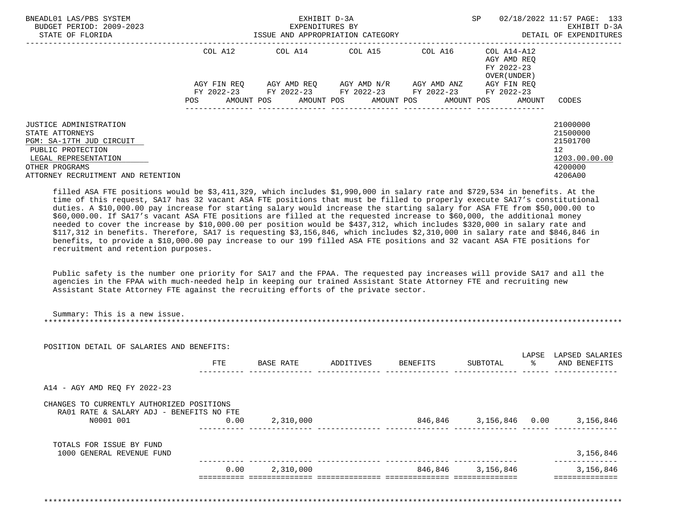| BNEADL01 LAS/PBS SYSTEM<br>BUDGET PERIOD: 2009-2023<br>STATE OF FLORIDA                                                                                                    |             | EXHIBIT D-3A<br>EXPENDITURES BY<br>ISSUE AND APPROPRIATION CATEGORY               |             | <b>SP</b>                                                         | 02/18/2022 11:57 PAGE: 133<br>EXHIBIT D-3A<br>DETAIL OF EXPENDITURES          |
|----------------------------------------------------------------------------------------------------------------------------------------------------------------------------|-------------|-----------------------------------------------------------------------------------|-------------|-------------------------------------------------------------------|-------------------------------------------------------------------------------|
|                                                                                                                                                                            | COL A12     | COL A14 COL A15                                                                   |             | COL A16 COL A14-A12<br>AGY AMD REO<br>FY 2022-23<br>OVER (UNDER ) |                                                                               |
|                                                                                                                                                                            | AGY FIN REO | AGY AMD REO AGY AMD N/R<br>FY 2022-23 FY 2022-23 FY 2022-23 FY 2022-23 FY 2022-23 | AGY AMD ANZ | AGY FIN REO                                                       |                                                                               |
|                                                                                                                                                                            | POS         | AMOUNT POS AMOUNT POS AMOUNT POS                                                  |             | AMOUNT POS<br>AMOUNT                                              | CODES                                                                         |
| JUSTICE ADMINISTRATION<br>STATE ATTORNEYS<br>PGM: SA-17TH JUD CIRCUIT<br>PUBLIC PROTECTION<br>LEGAL REPRESENTATION<br>OTHER PROGRAMS<br>ATTORNEY RECRUITMENT AND RETENTION |             |                                                                                   |             |                                                                   | 21000000<br>21500000<br>21501700<br>12<br>1203.00.00.00<br>4200000<br>4206A00 |

 filled ASA FTE positions would be \$3,411,329, which includes \$1,990,000 in salary rate and \$729,534 in benefits. At the time of this request, SA17 has 32 vacant ASA FTE positions that must be filled to properly execute SA17's constitutional duties. A \$10,000.00 pay increase for starting salary would increase the starting salary for ASA FTE from \$50,000.00 to \$60,000.00. If SA17's vacant ASA FTE positions are filled at the requested increase to \$60,000, the additional money needed to cover the increase by \$10,000.00 per position would be \$437,312, which includes \$320,000 in salary rate and \$117,312 in benefits. Therefore, SA17 is requesting \$3,156,846, which includes \$2,310,000 in salary rate and \$846,846 in benefits, to provide a \$10,000.00 pay increase to our 199 filled ASA FTE positions and 32 vacant ASA FTE positions for recruitment and retention purposes.

 Public safety is the number one priority for SA17 and the FPAA. The requested pay increases will provide SA17 and all the agencies in the FPAA with much-needed help in keeping our trained Assistant State Attorney FTE and recruiting new Assistant State Attorney FTE against the recruiting efforts of the private sector.

|                                                                                                    | 0.00       | 2,310,000 |           |          | 846,846 3,156,846 |                        | 3,156,846                        |
|----------------------------------------------------------------------------------------------------|------------|-----------|-----------|----------|-------------------|------------------------|----------------------------------|
| TOTALS FOR ISSUE BY FUND<br>1000 GENERAL REVENUE FUND                                              |            |           |           |          |                   |                        | 3,156,846                        |
| CHANGES TO CURRENTLY AUTHORIZED POSITIONS<br>RA01 RATE & SALARY ADJ - BENEFITS NO FTE<br>N0001 001 | 0.00       | 2,310,000 |           |          |                   |                        | 846,846 3,156,846 0.00 3,156,846 |
| A14 - AGY AMD REQ FY 2022-23                                                                       |            |           |           |          |                   |                        |                                  |
| POSITION DETAIL OF SALARIES AND BENEFITS:                                                          | <b>FTE</b> | BASE RATE | ADDITIVES | BENEFITS | SUBTOTAL          | LAPSE<br>$\sim$ $\sim$ | LAPSED SALARIES<br>AND BENEFITS  |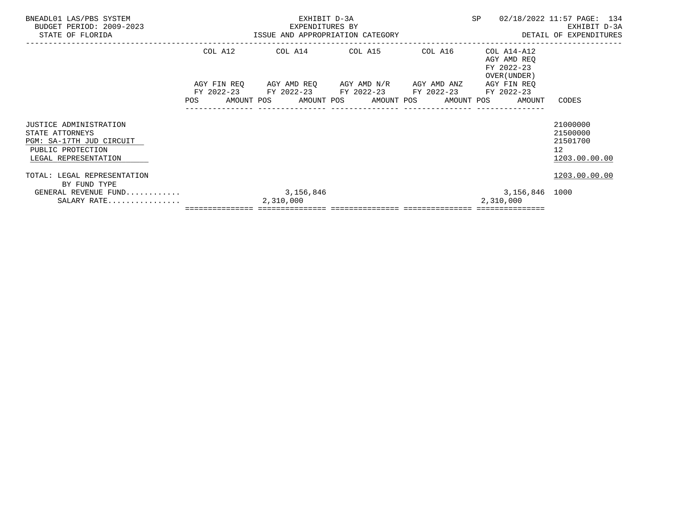| BNEADL01 LAS/PBS SYSTEM<br>BUDGET PERIOD: 2009-2023<br>STATE OF FLORIDA                                            |         | EXHIBIT D-3A             | EXPENDITURES BY<br>ISSUE AND APPROPRIATION CATEGORY                                                                                                             |         | SP                                                        | 02/18/2022 11:57 PAGE: 134<br>EXHIBIT D-3A<br>DETAIL OF EXPENDITURES |
|--------------------------------------------------------------------------------------------------------------------|---------|--------------------------|-----------------------------------------------------------------------------------------------------------------------------------------------------------------|---------|-----------------------------------------------------------|----------------------------------------------------------------------|
|                                                                                                                    | COL A12 |                          | COL A14 COL A15                                                                                                                                                 | COL A16 | COL A14-A12<br>AGY AMD REO<br>FY 2022-23<br>OVER (UNDER ) |                                                                      |
|                                                                                                                    | POS     |                          | AGY FIN REQ 6 AGY AMD REQ 6 AGY AMD N/R 66 AGY AMD ANZ<br>FY 2022-23 FY 2022-23 FY 2022-23 FY 2022-23 FY 2022-23<br>AMOUNT POS AMOUNT POS AMOUNT POS AMOUNT POS |         | AGY FIN REO<br>AMOUNT                                     | CODES                                                                |
| JUSTICE ADMINISTRATION<br>STATE ATTORNEYS<br>PGM: SA-17TH JUD CIRCUIT<br>PUBLIC PROTECTION<br>LEGAL REPRESENTATION |         |                          |                                                                                                                                                                 |         |                                                           | 21000000<br>21500000<br>21501700<br>12 <sup>°</sup><br>1203.00.00.00 |
| TOTAL: LEGAL REPRESENTATION<br>BY FUND TYPE<br>GENERAL REVENUE FUND<br>SALARY RATE                                 |         | 3, 156, 846<br>2,310,000 |                                                                                                                                                                 |         | 3,156,846 1000<br>2,310,000                               | 1203.00.00.00                                                        |
|                                                                                                                    |         |                          |                                                                                                                                                                 |         |                                                           |                                                                      |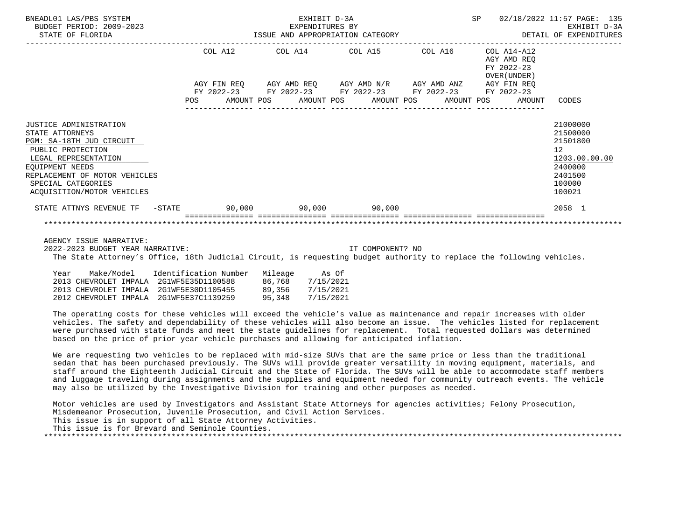| BNEADL01 LAS/PBS SYSTEM<br>BUDGET PERIOD: 2009-2023<br>STATE OF FLORIDA                                                                                                                                                    |         | EXHIBIT D-3A<br>EXPENDITURES BY<br>ISSUE AND APPROPRIATION CATEGORY                                                   | SP 02/18/2022 11:57 PAGE: 135                                | EXHIBIT D-3A<br>DETAIL OF EXPENDITURES                                                            |
|----------------------------------------------------------------------------------------------------------------------------------------------------------------------------------------------------------------------------|---------|-----------------------------------------------------------------------------------------------------------------------|--------------------------------------------------------------|---------------------------------------------------------------------------------------------------|
|                                                                                                                                                                                                                            | COL A12 | $COL A14$ $COL A15$ $COL A16$ $COL A14-A12$                                                                           | AGY AMD REO<br>FY 2022-23<br>OVER (UNDER)                    |                                                                                                   |
|                                                                                                                                                                                                                            |         | AGY FIN REQ AGY AMD REQ AGY AMD N/R AGY AMD ANZ AGY FIN REQ<br>FY 2022-23 FY 2022-23 FY 2022-23 FY 2022-23 FY 2022-23 | POS AMOUNT POS AMOUNT POS AMOUNT POS AMOUNT POS AMOUNT CODES |                                                                                                   |
| JUSTICE ADMINISTRATION<br>STATE ATTORNEYS<br>PGM: SA-18TH JUD CIRCUIT<br>PUBLIC PROTECTION<br>LEGAL REPRESENTATION<br>EQUIPMENT NEEDS<br>REPLACEMENT OF MOTOR VEHICLES<br>SPECIAL CATEGORIES<br>ACQUISITION/MOTOR VEHICLES |         |                                                                                                                       |                                                              | 21000000<br>21500000<br>21501800<br>12<br>1203.00.00.00<br>2400000<br>2401500<br>100000<br>100021 |
| STATE ATTNYS REVENUE TF - STATE 50,000 90,000 90,000 90,000                                                                                                                                                                |         |                                                                                                                       |                                                              | 2058 1                                                                                            |
|                                                                                                                                                                                                                            |         |                                                                                                                       |                                                              |                                                                                                   |

2022-2023 BUDGET YEAR NARRATIVE: IT COMPONENT? NO

The State Attorney's Office, 18th Judicial Circuit, is requesting budget authority to replace the following vehicles.

| Year | Make/Model            | Identification Number                   | Mileage | As Of     |
|------|-----------------------|-----------------------------------------|---------|-----------|
|      | 2013 CHEVROLET IMPALA | 2G1WF5E35D1100588                       | 86,768  | 7/15/2021 |
|      |                       | 2013 CHEVROLET IMPALA 2G1WF5E30D1105455 | 89,356  | 7/15/2021 |
|      | 2012 CHEVROLET IMPALA | 2G1WF5E37C1139259                       | 95.348  | 7/15/2021 |

 The operating costs for these vehicles will exceed the vehicle's value as maintenance and repair increases with older vehicles. The safety and dependability of these vehicles will also become an issue. The vehicles listed for replacement were purchased with state funds and meet the state guidelines for replacement. Total requested dollars was determined based on the price of prior year vehicle purchases and allowing for anticipated inflation.

 We are requesting two vehicles to be replaced with mid-size SUVs that are the same price or less than the traditional sedan that has been purchased previously. The SUVs will provide greater versatility in moving equipment, materials, and staff around the Eighteenth Judicial Circuit and the State of Florida. The SUVs will be able to accommodate staff members and luggage traveling during assignments and the supplies and equipment needed for community outreach events. The vehicle may also be utilized by the Investigative Division for training and other purposes as needed.

 Motor vehicles are used by Investigators and Assistant State Attorneys for agencies activities; Felony Prosecution, Misdemeanor Prosecution, Juvenile Prosecution, and Civil Action Services. This issue is in support of all State Attorney Activities.

This issue is for Brevard and Seminole Counties.

\*\*\*\*\*\*\*\*\*\*\*\*\*\*\*\*\*\*\*\*\*\*\*\*\*\*\*\*\*\*\*\*\*\*\*\*\*\*\*\*\*\*\*\*\*\*\*\*\*\*\*\*\*\*\*\*\*\*\*\*\*\*\*\*\*\*\*\*\*\*\*\*\*\*\*\*\*\*\*\*\*\*\*\*\*\*\*\*\*\*\*\*\*\*\*\*\*\*\*\*\*\*\*\*\*\*\*\*\*\*\*\*\*\*\*\*\*\*\*\*\*\*\*\*\*\*\*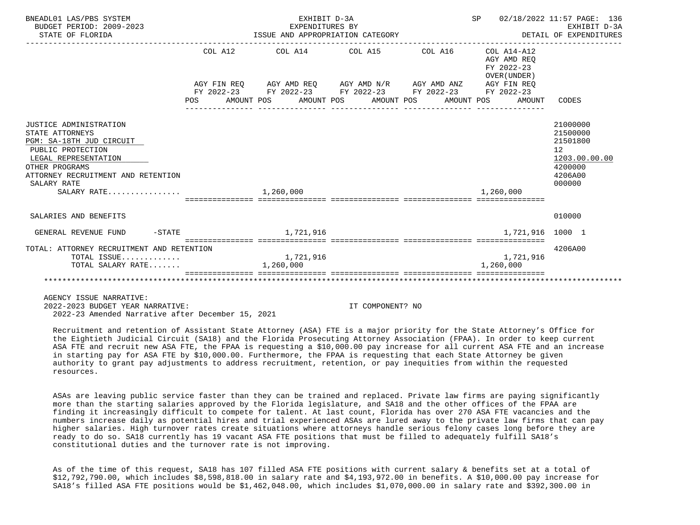| BNEADL01 LAS/PBS SYSTEM<br>BUDGET PERIOD: 2009-2023<br>STATE OF FLORIDA                                                                                                                                  |           | EXHIBIT D-3A<br>EXPENDITURES BY |                                                             | SP 02/18/2022 11:57 PAGE: 136             | EXHIBIT D-3A                                                                            |
|----------------------------------------------------------------------------------------------------------------------------------------------------------------------------------------------------------|-----------|---------------------------------|-------------------------------------------------------------|-------------------------------------------|-----------------------------------------------------------------------------------------|
|                                                                                                                                                                                                          | COL A12   |                                 | COL A14 COL A15 COL A16 COL A14-A12                         | AGY AMD REO<br>FY 2022-23<br>OVER (UNDER) |                                                                                         |
|                                                                                                                                                                                                          |           |                                 | AGY FIN REQ AGY AMD REQ AGY AMD N/R AGY AMD ANZ AGY FIN REQ |                                           |                                                                                         |
|                                                                                                                                                                                                          |           |                                 | FY 2022-23 FY 2022-23 FY 2022-23 FY 2022-23 FY 2022-23      |                                           |                                                                                         |
|                                                                                                                                                                                                          |           |                                 | POS AMOUNT POS AMOUNT POS AMOUNT POS AMOUNT POS AMOUNT      |                                           | CODES                                                                                   |
|                                                                                                                                                                                                          |           |                                 |                                                             |                                           |                                                                                         |
| JUSTICE ADMINISTRATION<br>STATE ATTORNEYS<br>PGM: SA-18TH JUD CIRCUIT<br>PUBLIC PROTECTION<br>LEGAL REPRESENTATION<br>OTHER PROGRAMS<br>ATTORNEY RECRUITMENT AND RETENTION<br>SALARY RATE<br>SALARY RATE | 1,260,000 |                                 |                                                             | 1,260,000                                 | 21000000<br>21500000<br>21501800<br>12<br>1203.00.00.00<br>4200000<br>4206A00<br>000000 |
| SALARIES AND BENEFITS                                                                                                                                                                                    |           |                                 |                                                             |                                           | 010000                                                                                  |
| $-STATE$<br>GENERAL REVENUE FUND                                                                                                                                                                         |           | 1,721,916                       |                                                             | 1,721,916 1000 1                          |                                                                                         |
| TOTAL: ATTORNEY RECRUITMENT AND RETENTION                                                                                                                                                                |           |                                 |                                                             |                                           | 4206A00                                                                                 |
| TOTAL ISSUE                                                                                                                                                                                              |           | 1,721,916                       |                                                             | 1,721,916                                 |                                                                                         |
| TOTAL SALARY RATE                                                                                                                                                                                        |           | 1,260,000                       |                                                             | 1,260,000                                 |                                                                                         |
|                                                                                                                                                                                                          |           |                                 |                                                             |                                           |                                                                                         |

 2022-2023 BUDGET YEAR NARRATIVE: IT COMPONENT? NO 2022-23 Amended Narrative after December 15, 2021

 Recruitment and retention of Assistant State Attorney (ASA) FTE is a major priority for the State Attorney's Office for the Eightieth Judicial Circuit (SA18) and the Florida Prosecuting Attorney Association (FPAA). In order to keep current ASA FTE and recruit new ASA FTE, the FPAA is requesting a \$10,000.00 pay increase for all current ASA FTE and an increase in starting pay for ASA FTE by \$10,000.00. Furthermore, the FPAA is requesting that each State Attorney be given authority to grant pay adjustments to address recruitment, retention, or pay inequities from within the requested resources.

 ASAs are leaving public service faster than they can be trained and replaced. Private law firms are paying significantly more than the starting salaries approved by the Florida legislature, and SA18 and the other offices of the FPAA are finding it increasingly difficult to compete for talent. At last count, Florida has over 270 ASA FTE vacancies and the numbers increase daily as potential hires and trial experienced ASAs are lured away to the private law firms that can pay higher salaries. High turnover rates create situations where attorneys handle serious felony cases long before they are ready to do so. SA18 currently has 19 vacant ASA FTE positions that must be filled to adequately fulfill SA18's constitutional duties and the turnover rate is not improving.

 As of the time of this request, SA18 has 107 filled ASA FTE positions with current salary & benefits set at a total of \$12,792,790.00, which includes \$8,598,818.00 in salary rate and \$4,193,972.00 in benefits. A \$10,000.00 pay increase for SA18's filled ASA FTE positions would be \$1,462,048.00, which includes \$1,070,000.00 in salary rate and \$392,300.00 in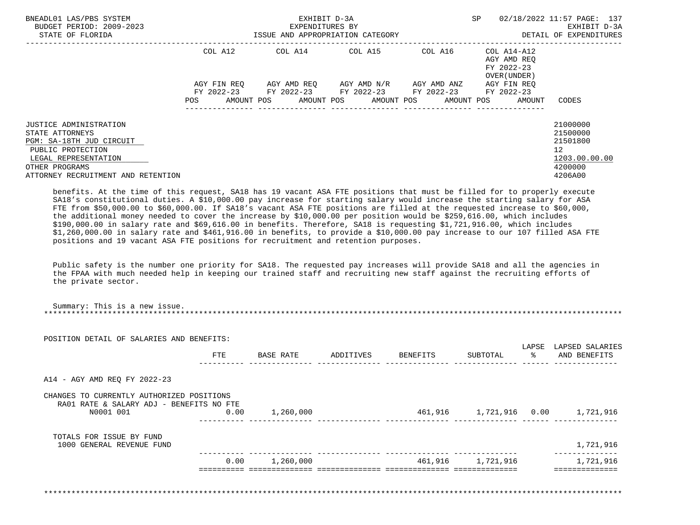| BNEADL01 LAS/PBS SYSTEM<br>BUDGET PERIOD: 2009-2023<br>STATE OF FLORIDA                                                                                                    |             | EXHIBIT D-3A<br>EXPENDITURES BY<br>ISSUE AND APPROPRIATION CATEGORY |                                     |                               | SP                                                       | 02/18/2022 11:57 PAGE: 137<br>EXHIBIT D-3A<br>DETAIL OF EXPENDITURES                       |
|----------------------------------------------------------------------------------------------------------------------------------------------------------------------------|-------------|---------------------------------------------------------------------|-------------------------------------|-------------------------------|----------------------------------------------------------|--------------------------------------------------------------------------------------------|
|                                                                                                                                                                            | COL A12     | COL A14 COL A15                                                     |                                     | COL A16                       | COL A14-A12<br>AGY AMD REO<br>FY 2022-23<br>OVER (UNDER) |                                                                                            |
|                                                                                                                                                                            | AGY FIN REO | FY 2022-23 FY 2022-23 FY 2022-23 FY 2022-23                         | AGY AMD REO AGY AMD N/R AGY AMD ANZ |                               | AGY FIN REO<br>FY 2022-23                                |                                                                                            |
|                                                                                                                                                                            | POS         | AMOUNT POS AMOUNT POS AMOUNT POS                                    |                                     | AMOUNT POS<br>--------------- | AMOUNT                                                   | CODES                                                                                      |
| JUSTICE ADMINISTRATION<br>STATE ATTORNEYS<br>PGM: SA-18TH JUD CIRCUIT<br>PUBLIC PROTECTION<br>LEGAL REPRESENTATION<br>OTHER PROGRAMS<br>ATTORNEY RECRUITMENT AND RETENTION |             |                                                                     |                                     |                               |                                                          | 21000000<br>21500000<br>21501800<br>12 <sup>°</sup><br>1203.00.00.00<br>4200000<br>4206A00 |

 benefits. At the time of this request, SA18 has 19 vacant ASA FTE positions that must be filled for to properly execute SA18's constitutional duties. A \$10,000.00 pay increase for starting salary would increase the starting salary for ASA FTE from \$50,000.00 to \$60,000.00. If SA18's vacant ASA FTE positions are filled at the requested increase to \$60,000, the additional money needed to cover the increase by \$10,000.00 per position would be \$259,616.00, which includes \$190,000.00 in salary rate and \$69,616.00 in benefits. Therefore, SA18 is requesting \$1,721,916.00, which includes \$1,260,000.00 in salary rate and \$461,916.00 in benefits, to provide a \$10,000.00 pay increase to our 107 filled ASA FTE positions and 19 vacant ASA FTE positions for recruitment and retention purposes.

 Public safety is the number one priority for SA18. The requested pay increases will provide SA18 and all the agencies in the FPAA with much needed help in keeping our trained staff and recruiting new staff against the recruiting efforts of the private sector.

| POSITION DETAIL OF SALARIES AND BENEFITS:                                                          |      |           |                    |                   |                   |                                 |
|----------------------------------------------------------------------------------------------------|------|-----------|--------------------|-------------------|-------------------|---------------------------------|
|                                                                                                    | FTE  | BASE RATE | ADDITIVES BENEFITS | SUBTOTAL          | LAPSE<br>$\sim$ 8 | LAPSED SALARIES<br>AND BENEFITS |
| A14 - AGY AMD REQ FY 2022-23                                                                       |      |           |                    |                   |                   |                                 |
| CHANGES TO CURRENTLY AUTHORIZED POSITIONS<br>RA01 RATE & SALARY ADJ - BENEFITS NO FTE<br>N0001 001 | 0.00 | 1,260,000 |                    |                   |                   |                                 |
| TOTALS FOR ISSUE BY FUND<br>1000 GENERAL REVENUE FUND                                              |      |           |                    |                   |                   | 1,721,916                       |
|                                                                                                    | 0.00 | 1,260,000 |                    | 461,916 1,721,916 |                   | 1,721,916                       |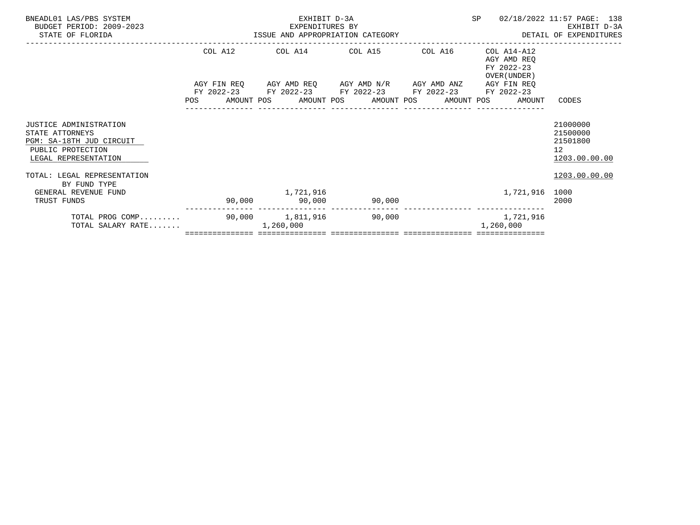| BNEADL01 LAS/PBS SYSTEM<br>BUDGET PERIOD: 2009-2023<br>STATE OF FLORIDA                                            | EXPENDITURES BY<br>ISSUE AND APPROPRIATION CATEGORY | EXHIBIT D-3A<br>EXPENDITURES BY                 |        |         | SP                                                                   | 02/18/2022 11:57 PAGE: 138<br>EXHIBIT D-3A<br>DETAIL OF EXPENDITURES |
|--------------------------------------------------------------------------------------------------------------------|-----------------------------------------------------|-------------------------------------------------|--------|---------|----------------------------------------------------------------------|----------------------------------------------------------------------|
|                                                                                                                    | COL A12                                             | COL A14 COL A15                                 |        | COL A16 | COL A14-A12                                                          |                                                                      |
|                                                                                                                    |                                                     |                                                 |        |         | AGY AMD REO<br>FY 2022-23<br>OVER (UNDER)                            |                                                                      |
|                                                                                                                    |                                                     | AGY FIN REQ 6GY AMD REQ 6GY AMD N/R 6GY AMD ANZ |        |         | AGY FIN REO                                                          |                                                                      |
|                                                                                                                    |                                                     | FY 2022-23 FY 2022-23 FY 2022-23 FY 2022-23     |        |         | FY 2022-23<br>POS AMOUNT POS AMOUNT POS AMOUNT POS AMOUNT POS AMOUNT | CODES                                                                |
| JUSTICE ADMINISTRATION<br>STATE ATTORNEYS<br>PGM: SA-18TH JUD CIRCUIT<br>PUBLIC PROTECTION<br>LEGAL REPRESENTATION |                                                     |                                                 |        |         |                                                                      | 21000000<br>21500000<br>21501800<br>12 <sup>°</sup><br>1203.00.00.00 |
| TOTAL: LEGAL REPRESENTATION<br>BY FUND TYPE                                                                        |                                                     |                                                 |        |         |                                                                      | 1203.00.00.00                                                        |
| GENERAL REVENUE FUND<br>TRUST FUNDS                                                                                |                                                     | 1,721,916<br>90,000 90,000 90,000               |        |         | 1,721,916 1000                                                       | 2000                                                                 |
| TOTAL PROG COMP<br>TOTAL SALARY RATE                                                                               |                                                     | 90,000 1,811,916<br>1,260,000                   | 90,000 |         | 1,721,916<br>1,260,000                                               |                                                                      |
|                                                                                                                    |                                                     |                                                 |        |         |                                                                      |                                                                      |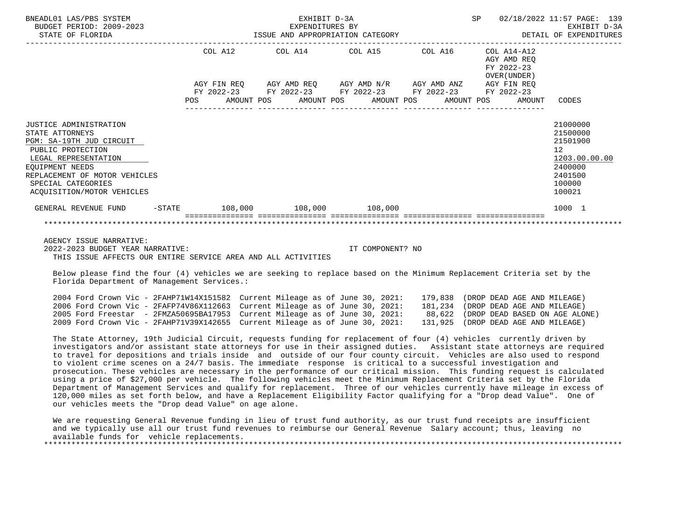| BNEADL01 LAS/PBS SYSTEM<br>BUDGET PERIOD: 2009-2023<br>STATE OF FLORIDA                                                                                                                                                           |     | ISSUE AND APPROPRIATION CATEGORY  | EXHIBIT D-3A<br>EXPENDITURES BY |                                  |                                                                                                                                                  | SP                        |                             | 02/18/2022 11:57 PAGE: 139<br>EXHIBIT D-3A<br>DETAIL OF EXPENDITURES                              |  |  |  |  |
|-----------------------------------------------------------------------------------------------------------------------------------------------------------------------------------------------------------------------------------|-----|-----------------------------------|---------------------------------|----------------------------------|--------------------------------------------------------------------------------------------------------------------------------------------------|---------------------------|-----------------------------|---------------------------------------------------------------------------------------------------|--|--|--|--|
|                                                                                                                                                                                                                                   |     | COL A12                           |                                 |                                  | COL A14 COL A15 COL A16<br>AGY FIN REQ AGY AMD REQ AGY AMD N/R AGY AMD ANZ AGY FIN REQ<br>FY 2022-23 FY 2022-23 FY 2022-23 FY 2022-23 FY 2022-23 | COL A14-A12<br>FY 2022-23 | AGY AMD REO<br>OVER (UNDER) |                                                                                                   |  |  |  |  |
|                                                                                                                                                                                                                                   | POS |                                   |                                 | AMOUNT POS AMOUNT POS AMOUNT POS | AMOUNT POS                                                                                                                                       |                           | AMOUNT                      | CODES                                                                                             |  |  |  |  |
| JUSTICE ADMINISTRATION<br>STATE ATTORNEYS<br>PGM: SA-19TH JUD CIRCUIT<br>PUBLIC PROTECTION<br>LEGAL REPRESENTATION<br><b>EOUIPMENT NEEDS</b><br>REPLACEMENT OF MOTOR VEHICLES<br>SPECIAL CATEGORIES<br>ACOUISITION/MOTOR VEHICLES |     |                                   |                                 |                                  |                                                                                                                                                  |                           |                             | 21000000<br>21500000<br>21501900<br>12<br>1203.00.00.00<br>2400000<br>2401500<br>100000<br>100021 |  |  |  |  |
| GENERAL REVENUE FUND                                                                                                                                                                                                              |     | $-$ STATE 108,000 108,000 108,000 |                                 |                                  |                                                                                                                                                  |                           |                             | 1000 1                                                                                            |  |  |  |  |
|                                                                                                                                                                                                                                   |     |                                   |                                 |                                  |                                                                                                                                                  |                           |                             |                                                                                                   |  |  |  |  |

 2022-2023 BUDGET YEAR NARRATIVE: IT COMPONENT? NO THIS ISSUE AFFECTS OUR ENTIRE SERVICE AREA AND ALL ACTIVITIES

 Below please find the four (4) vehicles we are seeking to replace based on the Minimum Replacement Criteria set by the Florida Department of Management Services.:

| 2004 Ford Crown Vic - 2FAHP71W14X151582 Current Mileage as of June 30, 2021: |  | 179,838 (DROP DEAD AGE AND MILEAGE)   |
|------------------------------------------------------------------------------|--|---------------------------------------|
| 2006 Ford Crown Vic - 2FAFP74V86X112663 Current Mileage as of June 30, 2021: |  | 181,234 (DROP DEAD AGE AND MILEAGE)   |
| 2005 Ford Freestar - 2FMZA50695BA17953 Current Mileage as of June 30, 2021:  |  | 88,622 (DROP DEAD BASED ON AGE ALONE) |
| 2009 Ford Crown Vic - 2FAHP71V39X142655 Current Mileage as of June 30, 2021: |  | 131,925 (DROP DEAD AGE AND MILEAGE)   |

 The State Attorney, 19th Judicial Circuit, requests funding for replacement of four (4) vehicles currently driven by investigators and/or assistant state attorneys for use in their assigned duties. Assistant state attorneys are required to travel for depositions and trials inside and outside of our four county circuit. Vehicles are also used to respond to violent crime scenes on a 24/7 basis. The immediate response is critical to a successful investigation and prosecution. These vehicles are necessary in the performance of our critical mission. This funding request is calculated using a price of \$27,000 per vehicle. The following vehicles meet the Minimum Replacement Criteria set by the Florida Department of Management Services and qualify for replacement. Three of our vehicles currently have mileage in excess of 120,000 miles as set forth below, and have a Replacement Eligibility Factor qualifying for a "Drop dead Value". One of our vehicles meets the "Drop dead Value" on age alone.

 We are requesting General Revenue funding in lieu of trust fund authority, as our trust fund receipts are insufficient and we typically use all our trust fund revenues to reimburse our General Revenue Salary account; thus, leaving no available funds for vehicle replacements. \*\*\*\*\*\*\*\*\*\*\*\*\*\*\*\*\*\*\*\*\*\*\*\*\*\*\*\*\*\*\*\*\*\*\*\*\*\*\*\*\*\*\*\*\*\*\*\*\*\*\*\*\*\*\*\*\*\*\*\*\*\*\*\*\*\*\*\*\*\*\*\*\*\*\*\*\*\*\*\*\*\*\*\*\*\*\*\*\*\*\*\*\*\*\*\*\*\*\*\*\*\*\*\*\*\*\*\*\*\*\*\*\*\*\*\*\*\*\*\*\*\*\*\*\*\*\*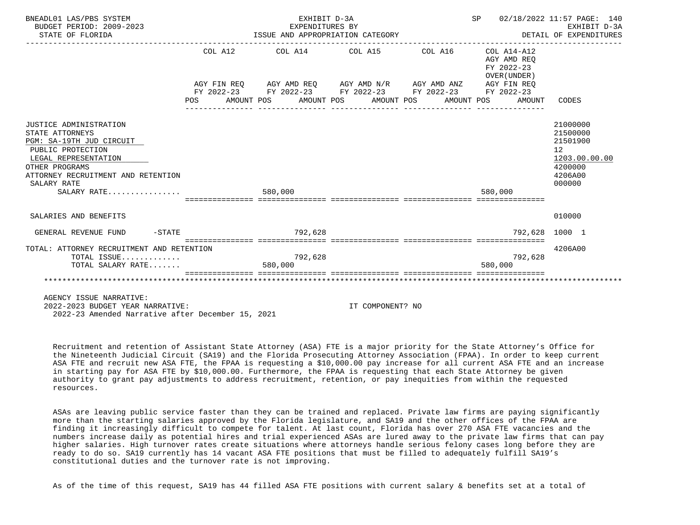| BNEADL01 LAS/PBS SYSTEM<br>BUDGET PERIOD: 2009-2023<br>STATE OF FLORIDA                                                                                                                                  |  |         | EXHIBIT D-3A<br>EXPENDITURES BY<br>ISSUE AND APPROPRIATION CATEGORY |  |                  |                                                                                                                                                                                                                         | SP 02/18/2022 11:57 PAGE: 140<br>DETAIL OF EXPENDITURES |                                                                                     | EXHIBIT D-3A  |
|----------------------------------------------------------------------------------------------------------------------------------------------------------------------------------------------------------|--|---------|---------------------------------------------------------------------|--|------------------|-------------------------------------------------------------------------------------------------------------------------------------------------------------------------------------------------------------------------|---------------------------------------------------------|-------------------------------------------------------------------------------------|---------------|
|                                                                                                                                                                                                          |  |         |                                                                     |  |                  | COL A12 COL A14 COL A15 COL A16 COL A14-A12<br>AGY FIN REQ AGY AMD REQ AGY AMD N/R AGY AMD ANZ AGY FIN REQ<br>FY 2022-23 FY 2022-23 FY 2022-23 FY 2022-23 FY 2022-23<br>POS AMOUNT POS AMOUNT POS AMOUNT POS AMOUNT POS | AGY AMD REO<br>FY 2022-23<br>OVER (UNDER)<br>AMOUNT     | CODES                                                                               |               |
| JUSTICE ADMINISTRATION<br>STATE ATTORNEYS<br>PGM: SA-19TH JUD CIRCUIT<br>PUBLIC PROTECTION<br>LEGAL REPRESENTATION<br>OTHER PROGRAMS<br>ATTORNEY RECRUITMENT AND RETENTION<br>SALARY RATE<br>SALARY RATE |  | 580,000 |                                                                     |  |                  |                                                                                                                                                                                                                         | 580,000                                                 | 21000000<br>21500000<br>21501900<br>12 <sup>°</sup><br>4200000<br>4206A00<br>000000 | 1203.00.00.00 |
| SALARIES AND BENEFITS                                                                                                                                                                                    |  |         |                                                                     |  |                  |                                                                                                                                                                                                                         |                                                         | 010000                                                                              |               |
| $-STATE$<br>GENERAL REVENUE FUND                                                                                                                                                                         |  |         | 792,628                                                             |  |                  |                                                                                                                                                                                                                         | 792,628 1000 1                                          |                                                                                     |               |
| TOTAL: ATTORNEY RECRUITMENT AND RETENTION<br>TOTAL ISSUE<br>TOTAL SALARY RATE                                                                                                                            |  | 580,000 | 792,628                                                             |  |                  |                                                                                                                                                                                                                         | 792,628<br>580,000                                      | 4206A00                                                                             |               |
| AGENCY ISSUE NARRATIVE:<br>2022-2023 BUDGET YEAR NARRATIVE:                                                                                                                                              |  |         |                                                                     |  | IT COMPONENT? NO |                                                                                                                                                                                                                         |                                                         |                                                                                     |               |

2022-23 Amended Narrative after December 15, 2021

 Recruitment and retention of Assistant State Attorney (ASA) FTE is a major priority for the State Attorney's Office for the Nineteenth Judicial Circuit (SA19) and the Florida Prosecuting Attorney Association (FPAA). In order to keep current ASA FTE and recruit new ASA FTE, the FPAA is requesting a \$10,000.00 pay increase for all current ASA FTE and an increase in starting pay for ASA FTE by \$10,000.00. Furthermore, the FPAA is requesting that each State Attorney be given authority to grant pay adjustments to address recruitment, retention, or pay inequities from within the requested resources.

 ASAs are leaving public service faster than they can be trained and replaced. Private law firms are paying significantly more than the starting salaries approved by the Florida legislature, and SA19 and the other offices of the FPAA are finding it increasingly difficult to compete for talent. At last count, Florida has over 270 ASA FTE vacancies and the numbers increase daily as potential hires and trial experienced ASAs are lured away to the private law firms that can pay higher salaries. High turnover rates create situations where attorneys handle serious felony cases long before they are ready to do so. SA19 currently has 14 vacant ASA FTE positions that must be filled to adequately fulfill SA19's constitutional duties and the turnover rate is not improving.

As of the time of this request, SA19 has 44 filled ASA FTE positions with current salary & benefits set at a total of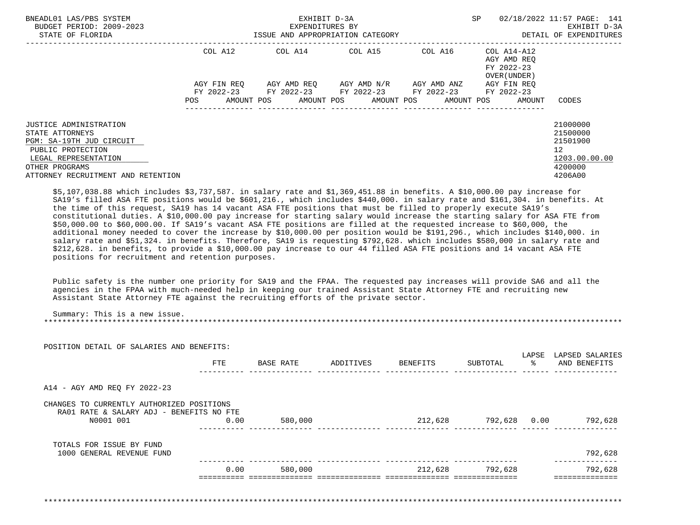| BNEADL01 LAS/PBS SYSTEM<br>BUDGET PERIOD: 2009-2023<br>STATE OF FLORIDA                                                                                                           |             | EXHIBIT D-3A<br>EXPENDITURES BY<br>ISSUE AND APPROPRIATION CATEGORY | SP                                  | 02/18/2022 11:57 PAGE: 141<br>EXHIBIT D-3A<br>DETAIL OF EXPENDITURES |                                                          |                                                                                              |  |  |
|-----------------------------------------------------------------------------------------------------------------------------------------------------------------------------------|-------------|---------------------------------------------------------------------|-------------------------------------|----------------------------------------------------------------------|----------------------------------------------------------|----------------------------------------------------------------------------------------------|--|--|
|                                                                                                                                                                                   | COL A12     | COL A14 COL A15                                                     |                                     | COL A16                                                              | COL A14-A12<br>AGY AMD REO<br>FY 2022-23<br>OVER (UNDER) |                                                                                              |  |  |
|                                                                                                                                                                                   | AGY FIN REQ | FY 2022-23 FY 2022-23 FY 2022-23 FY 2022-23 FY 2022-23              | AGY AMD REO AGY AMD N/R AGY AMD ANZ |                                                                      | AGY FIN REO                                              |                                                                                              |  |  |
|                                                                                                                                                                                   | POS         | AMOUNT POS AMOUNT POS AMOUNT POS                                    |                                     |                                                                      | AMOUNT POS<br>AMOUNT                                     | CODES                                                                                        |  |  |
| <b>JUSTICE ADMINISTRATION</b><br>STATE ATTORNEYS<br>PGM: SA-19TH JUD CIRCUIT<br>PUBLIC PROTECTION<br>LEGAL REPRESENTATION<br>OTHER PROGRAMS<br>ATTORNEY RECRUITMENT AND RETENTION |             |                                                                     |                                     |                                                                      |                                                          | 21000000<br>21500000<br>21501900<br>$12 \overline{ }$<br>1203.00.00.00<br>4200000<br>4206A00 |  |  |

 \$5,107,038.88 which includes \$3,737,587. in salary rate and \$1,369,451.88 in benefits. A \$10,000.00 pay increase for SA19's filled ASA FTE positions would be \$601,216., which includes \$440,000. in salary rate and \$161,304. in benefits. At the time of this request, SA19 has 14 vacant ASA FTE positions that must be filled to properly execute SA19's constitutional duties. A \$10,000.00 pay increase for starting salary would increase the starting salary for ASA FTE from \$50,000.00 to \$60,000.00. If SA19's vacant ASA FTE positions are filled at the requested increase to \$60,000, the additional money needed to cover the increase by \$10,000.00 per position would be \$191,296., which includes \$140,000. in salary rate and \$51,324. in benefits. Therefore, SA19 is requesting \$792,628. which includes \$580,000 in salary rate and \$212,628. in benefits, to provide a \$10,000.00 pay increase to our 44 filled ASA FTE positions and 14 vacant ASA FTE positions for recruitment and retention purposes.

 Public safety is the number one priority for SA19 and the FPAA. The requested pay increases will provide SA6 and all the agencies in the FPAA with much-needed help in keeping our trained Assistant State Attorney FTE and recruiting new Assistant State Attorney FTE against the recruiting efforts of the private sector.

| POSITION DETAIL OF SALARIES AND BENEFITS: |      |                  |                    |                      |               | LAPSE LAPSED SALARIES   |
|-------------------------------------------|------|------------------|--------------------|----------------------|---------------|-------------------------|
|                                           | FTE  | <b>BASE RATE</b> | ADDITIVES BENEFITS | SUBTOTAL             | $\frac{1}{6}$ | AND BENEFITS            |
| A14 - AGY AMD REQ FY 2022-23              |      |                  |                    |                      |               |                         |
| CHANGES TO CURRENTLY AUTHORIZED POSITIONS |      |                  |                    |                      |               |                         |
| RA01 RATE & SALARY ADJ - BENEFITS NO FTE  |      |                  |                    | 212,628 792,628 0.00 |               | 792,628                 |
| N0001 001                                 | 0.00 | 580,000          |                    |                      |               |                         |
| TOTALS FOR ISSUE BY FUND                  |      |                  |                    |                      |               |                         |
| 1000 GENERAL REVENUE FUND                 |      |                  |                    |                      |               | 792,628<br>------------ |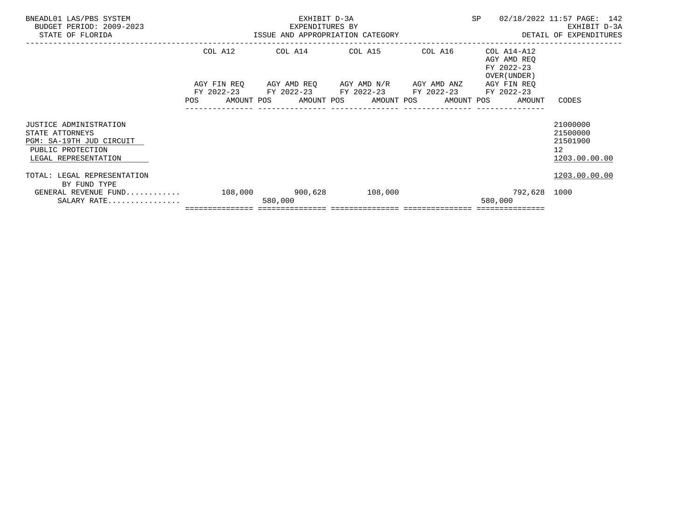| BNEADL01 LAS/PBS SYSTEM<br>BUDGET PERIOD: 2009-2023<br>STATE OF FLORIDA                                            |            |         |                                                                                                                                                                        |         | EM EXHIBIT D-3A SP 02/1<br>EXPENDITURES BY EXPENDITURES BY SP 02/1<br>ISSUE AND APPROPRIATION CATEGORY<br>02/18/2022 11:57 PAGE: 142<br>DETAIL OF EXPENDITURES |                                                         |  |  |  |
|--------------------------------------------------------------------------------------------------------------------|------------|---------|------------------------------------------------------------------------------------------------------------------------------------------------------------------------|---------|----------------------------------------------------------------------------------------------------------------------------------------------------------------|---------------------------------------------------------|--|--|--|
|                                                                                                                    | COL A12    |         | COL A14 COL A15                                                                                                                                                        | COL A16 | COL A14-A12<br>AGY AMD REO<br>FY 2022-23<br>OVER (UNDER )                                                                                                      |                                                         |  |  |  |
|                                                                                                                    | <b>POS</b> |         | AGY FIN REQ AGY AMD REQ AGY AMD N/R AGY AMD ANZ<br>FY 2022-23 FY 2022-23 FY 2022-23 FY 2022-23 FY 2022-23<br>AMOUNT POS      AMOUNT POS      AMOUNT POS     AMOUNT POS |         | AGY FIN REO<br>AMOUNT                                                                                                                                          | CODES                                                   |  |  |  |
| JUSTICE ADMINISTRATION<br>STATE ATTORNEYS<br>PGM: SA-19TH JUD CIRCUIT<br>PUBLIC PROTECTION<br>LEGAL REPRESENTATION |            |         |                                                                                                                                                                        |         |                                                                                                                                                                | 21000000<br>21500000<br>21501900<br>12<br>1203.00.00.00 |  |  |  |
| TOTAL: LEGAL REPRESENTATION<br>BY FUND TYPE<br>GENERAL REVENUE FUND 108,000 900,628 108,000<br>$SALARY$ RATE       |            | 580,000 |                                                                                                                                                                        |         | 792,628 1000<br>580,000                                                                                                                                        | 1203.00.00.00                                           |  |  |  |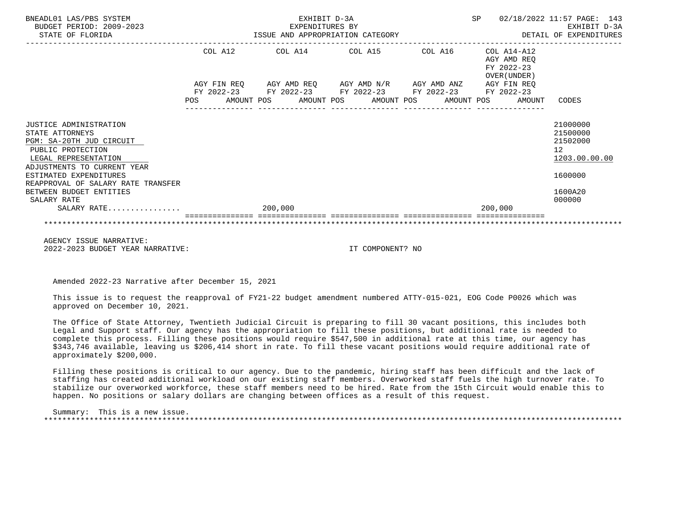| BNEADL01 LAS/PBS SYSTEM<br>BUDGET PERIOD: 2009-2023<br>STATE OF FLORIDA                                                                           |     |         |         | EXHIBIT D-3A<br>EXPENDITURES BY | ISSUE AND APPROPRIATION CATEGORY                                                                                                                          |  | SP<br>02/18/2022 11:57 PAGE: 143<br>EXHIBIT D-3A<br>DETAIL OF EXPENDITURES |                                           |                                                         |  |
|---------------------------------------------------------------------------------------------------------------------------------------------------|-----|---------|---------|---------------------------------|-----------------------------------------------------------------------------------------------------------------------------------------------------------|--|----------------------------------------------------------------------------|-------------------------------------------|---------------------------------------------------------|--|
|                                                                                                                                                   |     | COL A12 |         |                                 | COL A14 COL A15 COL A16 COL A14-A12                                                                                                                       |  |                                                                            | AGY AMD REO<br>FY 2022-23<br>OVER (UNDER) |                                                         |  |
|                                                                                                                                                   | POS |         |         |                                 | AGY FIN REQ AGY AMD REQ AGY AMD N/R AGY AMD ANZ AGY FIN REQ<br>FY 2022-23 FY 2022-23 FY 2022-23 FY 2022-23 FY 2022-23<br>AMOUNT POS AMOUNT POS AMOUNT POS |  |                                                                            | AMOUNT POS AMOUNT                         | CODES                                                   |  |
| JUSTICE ADMINISTRATION<br>STATE ATTORNEYS<br>PGM: SA-20TH JUD CIRCUIT<br>PUBLIC PROTECTION<br>LEGAL REPRESENTATION<br>ADJUSTMENTS TO CURRENT YEAR |     |         |         |                                 |                                                                                                                                                           |  |                                                                            |                                           | 21000000<br>21500000<br>21502000<br>12<br>1203.00.00.00 |  |
| ESTIMATED EXPENDITURES<br>REAPPROVAL OF SALARY RATE TRANSFER<br>BETWEEN BUDGET ENTITIES<br>SALARY RATE                                            |     |         |         |                                 |                                                                                                                                                           |  |                                                                            |                                           | 1600000<br>1600A20<br>000000                            |  |
| SALARY RATE                                                                                                                                       |     |         | 200,000 |                                 |                                                                                                                                                           |  | 200,000                                                                    |                                           |                                                         |  |
|                                                                                                                                                   |     |         |         |                                 |                                                                                                                                                           |  |                                                                            |                                           |                                                         |  |

 AGENCY ISSUE NARRATIVE: 2022-2023 BUDGET YEAR NARRATIVE: IT COMPONENT? NO

Amended 2022-23 Narrative after December 15, 2021

 This issue is to request the reapproval of FY21-22 budget amendment numbered ATTY-015-021, EOG Code P0026 which was approved on December 10, 2021.

 The Office of State Attorney, Twentieth Judicial Circuit is preparing to fill 30 vacant positions, this includes both Legal and Support staff. Our agency has the appropriation to fill these positions, but additional rate is needed to complete this process. Filling these positions would require \$547,500 in additional rate at this time, our agency has \$343,746 available, leaving us \$206,414 short in rate. To fill these vacant positions would require additional rate of approximately \$200,000.

 Filling these positions is critical to our agency. Due to the pandemic, hiring staff has been difficult and the lack of staffing has created additional workload on our existing staff members. Overworked staff fuels the high turnover rate. To stabilize our overworked workforce, these staff members need to be hired. Rate from the 15th Circuit would enable this to happen. No positions or salary dollars are changing between offices as a result of this request.

 Summary: This is a new issue. \*\*\*\*\*\*\*\*\*\*\*\*\*\*\*\*\*\*\*\*\*\*\*\*\*\*\*\*\*\*\*\*\*\*\*\*\*\*\*\*\*\*\*\*\*\*\*\*\*\*\*\*\*\*\*\*\*\*\*\*\*\*\*\*\*\*\*\*\*\*\*\*\*\*\*\*\*\*\*\*\*\*\*\*\*\*\*\*\*\*\*\*\*\*\*\*\*\*\*\*\*\*\*\*\*\*\*\*\*\*\*\*\*\*\*\*\*\*\*\*\*\*\*\*\*\*\*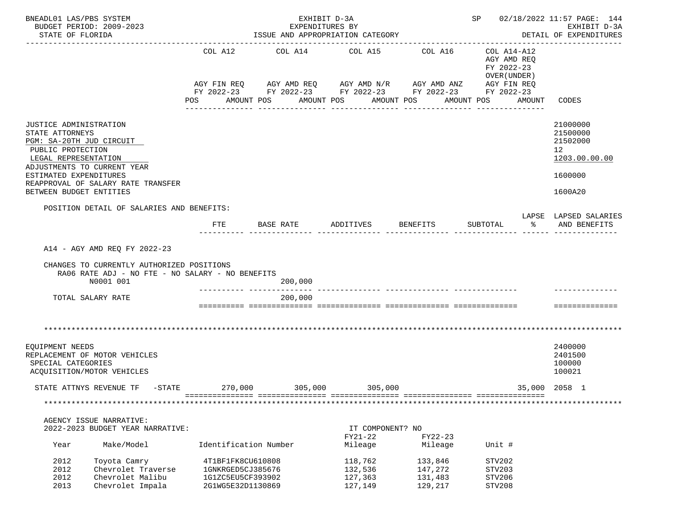| BNEADL01 LAS/PBS SYSTEM<br>BUDGET PERIOD: 2009-2023<br>STATE OF FLORIDA                                                                                                                                                                      |                                                            |                                                                                  | EXHIBIT D-3A<br>EXPENDITURES BY<br>ISSUE AND APPROPRIATION CATEGORY        |                                          |                                                                                                        |                                                                                   | SP 02/18/2022 11:57 PAGE: 144<br>EXHIBIT D-3A<br>DETAIL OF EXPENDITURES       |
|----------------------------------------------------------------------------------------------------------------------------------------------------------------------------------------------------------------------------------------------|------------------------------------------------------------|----------------------------------------------------------------------------------|----------------------------------------------------------------------------|------------------------------------------|--------------------------------------------------------------------------------------------------------|-----------------------------------------------------------------------------------|-------------------------------------------------------------------------------|
|                                                                                                                                                                                                                                              |                                                            | COL A12<br>POS<br>AMOUNT POS                                                     | COL A14 COL A15 COL A16<br>AGY FIN REQ AGY AMD REQ AGY AMD N/R AGY AMD ANZ | AMOUNT POS                               | FY 2022-23 FY 2022-23 FY 2022-23 FY 2022-23 FY 2022-23<br>AMOUNT POS<br>AMOUNT POS<br>________________ | COL A14-A12<br>AGY AMD REO<br>FY 2022-23<br>OVER (UNDER)<br>AGY FIN REQ<br>AMOUNT | CODES                                                                         |
| JUSTICE ADMINISTRATION<br>STATE ATTORNEYS<br>PGM: SA-20TH JUD CIRCUIT<br>PUBLIC PROTECTION<br>LEGAL REPRESENTATION<br>ADJUSTMENTS TO CURRENT YEAR<br>ESTIMATED EXPENDITURES<br>REAPPROVAL OF SALARY RATE TRANSFER<br>BETWEEN BUDGET ENTITIES |                                                            |                                                                                  |                                                                            |                                          |                                                                                                        |                                                                                   | 21000000<br>21500000<br>21502000<br>12<br>1203.00.00.00<br>1600000<br>1600A20 |
| POSITION DETAIL OF SALARIES AND BENEFITS:                                                                                                                                                                                                    |                                                            | <b>FTE</b>                                                                       | BASE RATE                                                                  | ADDITIVES                                | BENEFITS                                                                                               | SUBTOTAL<br>$\sim$ $\sim$                                                         | LAPSE LAPSED SALARIES<br>AND BENEFITS                                         |
| A14 - AGY AMD REO FY 2022-23<br>CHANGES TO CURRENTLY AUTHORIZED POSITIONS<br>N0001 001                                                                                                                                                       |                                                            | RA06 RATE ADJ - NO FTE - NO SALARY - NO BENEFITS                                 | 200,000                                                                    |                                          |                                                                                                        |                                                                                   |                                                                               |
| TOTAL SALARY RATE                                                                                                                                                                                                                            |                                                            |                                                                                  | 200,000                                                                    |                                          |                                                                                                        |                                                                                   |                                                                               |
|                                                                                                                                                                                                                                              |                                                            |                                                                                  |                                                                            |                                          |                                                                                                        |                                                                                   | ==============                                                                |
| EQUIPMENT NEEDS<br>REPLACEMENT OF MOTOR VEHICLES<br>SPECIAL CATEGORIES<br>ACQUISITION/MOTOR VEHICLES                                                                                                                                         |                                                            |                                                                                  |                                                                            |                                          |                                                                                                        |                                                                                   | 2400000<br>2401500<br>100000<br>100021                                        |
| STATE ATTNYS REVENUE TF -STATE 270,000                                                                                                                                                                                                       |                                                            |                                                                                  | 305,000 305,000                                                            |                                          |                                                                                                        |                                                                                   | 35,000 2058 1                                                                 |
|                                                                                                                                                                                                                                              |                                                            |                                                                                  |                                                                            |                                          |                                                                                                        |                                                                                   |                                                                               |
| AGENCY ISSUE NARRATIVE:<br>2022-2023 BUDGET YEAR NARRATIVE:<br>Year                                                                                                                                                                          | Make/Model                                                 | Identification Number                                                            |                                                                            | IT COMPONENT? NO<br>FY21-22<br>Mileage   | $FY22-23$<br>Mileage                                                                                   | Unit #                                                                            |                                                                               |
| 2012<br>Toyota Camry<br>2012<br>2012<br>2013                                                                                                                                                                                                 | Chevrolet Traverse<br>Chevrolet Malibu<br>Chevrolet Impala | 4T1BF1FK8CU610808<br>1GNKRGED5CJ385676<br>1G1ZC5EU5CF393902<br>2G1WG5E32D1130869 |                                                                            | 118,762<br>132,536<br>127,363<br>127,149 | 133,846<br>147,272<br>131,483<br>129,217                                                               | STV202<br>STV203<br>STV206<br>STV208                                              |                                                                               |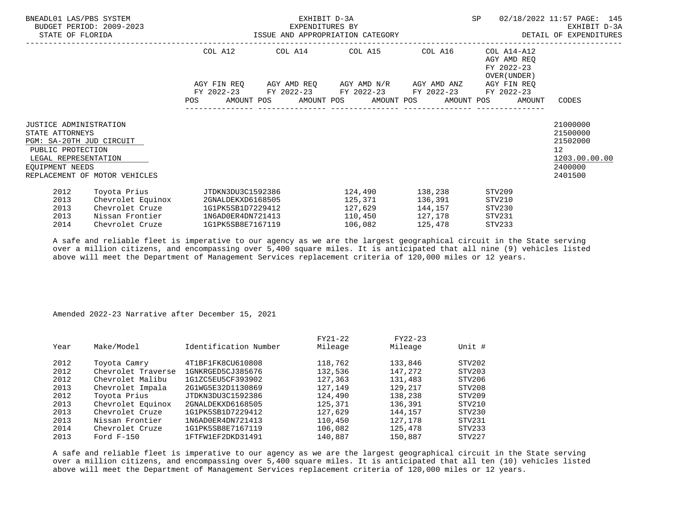| BNEADL01 LAS/PBS SYSTEM<br>STATE OF FLORIDA                                                                                                  | BUDGET PERIOD: 2009-2023                                                                                                                           |             | EXHIBIT D-3A<br>EXPENDITURES BY<br>ISSUE AND APPROPRIATION CATEGORY | SP                                                                                         | 02/18/2022 11:57 PAGE: 145<br>EXHIBIT D-3A<br>DETAIL OF EXPENDITURES |                                                           |                                                                                            |
|----------------------------------------------------------------------------------------------------------------------------------------------|----------------------------------------------------------------------------------------------------------------------------------------------------|-------------|---------------------------------------------------------------------|--------------------------------------------------------------------------------------------|----------------------------------------------------------------------|-----------------------------------------------------------|--------------------------------------------------------------------------------------------|
|                                                                                                                                              |                                                                                                                                                    | COL A12     |                                                                     | COL A14 COL A15 COL A16                                                                    |                                                                      | COL A14-A12<br>AGY AMD REO<br>FY 2022-23<br>OVER (UNDER ) |                                                                                            |
|                                                                                                                                              |                                                                                                                                                    | AGY FIN REO |                                                                     | AGY AMD REQ AGY AMD N/R AGY AMD ANZ AGY FIN REQ                                            |                                                                      |                                                           |                                                                                            |
|                                                                                                                                              |                                                                                                                                                    | <b>POS</b>  |                                                                     | FY 2022-23 FY 2022-23 FY 2022-23 FY 2022-23<br>AMOUNT POS AMOUNT POS AMOUNT POS AMOUNT POS |                                                                      | FY 2022-23<br>AMOUNT                                      | CODES                                                                                      |
| <b>JUSTICE ADMINISTRATION</b><br>STATE ATTORNEYS<br>PGM: SA-20TH JUD CIRCUIT<br>PUBLIC PROTECTION<br>LEGAL REPRESENTATION<br>EOUIPMENT NEEDS | REPLACEMENT OF MOTOR VEHICLES                                                                                                                      |             |                                                                     |                                                                                            |                                                                      |                                                           | 21000000<br>21500000<br>21502000<br>12 <sup>°</sup><br>1203.00.00.00<br>2400000<br>2401500 |
| 2012<br>2013<br>2013<br>2013<br>2014                                                                                                         | Toyota Prius                     JTDKN3DU3C1592386<br>Chevrolet Equinox<br>Chevrolet Cruze<br>Nissan Frontier 1N6AD0ER4DN721413<br>Chevrolet Cruze |             | 2GNALDEKXD6168505<br>1G1PK5SB1D7229412<br>1G1PK5SB8E7167119         | 124,490 138,238<br>106,082                                                                 | 125,371 136,391<br>127,629 144,157<br>110,450 127,178<br>125,478     | STV209<br>STV210<br>STV230<br>STV231<br>STV233            |                                                                                            |

 A safe and reliable fleet is imperative to our agency as we are the largest geographical circuit in the State serving over a million citizens, and encompassing over 5,400 square miles. It is anticipated that all nine (9) vehicles listed above will meet the Department of Management Services replacement criteria of 120,000 miles or 12 years.

## Amended 2022-23 Narrative after December 15, 2021

| Year | Make/Model         | Identification Number | FY21-22<br>Mileage | FY22-23<br>Mileage | Unit # |
|------|--------------------|-----------------------|--------------------|--------------------|--------|
| 2012 | Toyota Camry       | 4T1BF1FK8CU610808     | 118,762            | 133,846            | STV202 |
| 2012 | Chevrolet Traverse | 1GNKRGED5CJ385676     | 132,536            | 147,272            | STV203 |
| 2012 | Chevrolet Malibu   | 1G1ZC5EU5CF393902     | 127,363            | 131,483            | STV206 |
| 2013 | Chevrolet Impala   | 2G1WG5E32D1130869     | 127,149            | 129,217            | STV208 |
| 2012 | Toyota Prius       | JTDKN3DU3C1592386     | 124,490            | 138,238            | STV209 |
| 2013 | Chevrolet Equinox  | 2GNALDEKXD6168505     | 125,371            | 136,391            | STV210 |
| 2013 | Chevrolet Cruze    | 1G1PK5SB1D7229412     | 127,629            | 144,157            | STV230 |
| 2013 | Nissan Frontier    | 1N6AD0ER4DN721413     | 110,450            | 127,178            | STV231 |
| 2014 | Chevrolet Cruze    | 1G1PK5SB8E7167119     | 106,082            | 125,478            | STV233 |
| 2013 | Ford $F-150$       | 1FTFW1EF2DKD31491     | 140,887            | 150,887            | STV227 |
|      |                    |                       |                    |                    |        |

 A safe and reliable fleet is imperative to our agency as we are the largest geographical circuit in the State serving over a million citizens, and encompassing over 5,400 square miles. It is anticipated that all ten (10) vehicles listed above will meet the Department of Management Services replacement criteria of 120,000 miles or 12 years.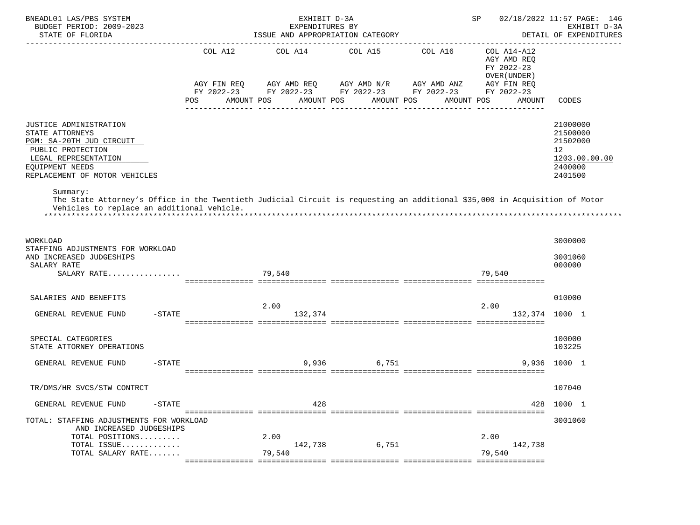| BNEADL01 LAS/PBS SYSTEM<br>BUDGET PERIOD: 2009-2023<br>STATE OF FLORIDA                                                                                                                                                                                                                                                                                        |                                                                  | EXHIBIT D-3A<br>EXPENDITURES BY<br>ISSUE AND APPROPRIATION CATEGORY                                   | SP                                                        | 02/18/2022 11:57 PAGE: 146<br>EXHIBIT D-3A<br>DETAIL OF EXPENDITURES |                                                                                                 |                                                                                              |
|----------------------------------------------------------------------------------------------------------------------------------------------------------------------------------------------------------------------------------------------------------------------------------------------------------------------------------------------------------------|------------------------------------------------------------------|-------------------------------------------------------------------------------------------------------|-----------------------------------------------------------|----------------------------------------------------------------------|-------------------------------------------------------------------------------------------------|----------------------------------------------------------------------------------------------|
|                                                                                                                                                                                                                                                                                                                                                                | COL A12<br>AGY FIN REQ<br>FY 2022-23<br><b>POS</b><br>AMOUNT POS | COL A14<br>AGY AMD REQ AGY AMD N/R AGY AMD ANZ<br>AMOUNT POS<br>_____________________________________ | COL A15<br>FY 2022-23 FY 2022-23 FY 2022-23<br>AMOUNT POS | COL A16<br>AMOUNT POS<br>---------------                             | COL A14-A12<br>AGY AMD REQ<br>FY 2022-23<br>OVER (UNDER)<br>AGY FIN REQ<br>FY 2022-23<br>AMOUNT | <b>CODES</b>                                                                                 |
| JUSTICE ADMINISTRATION<br>STATE ATTORNEYS<br>PGM: SA-20TH JUD CIRCUIT<br>PUBLIC PROTECTION<br>LEGAL REPRESENTATION<br>EQUIPMENT NEEDS<br>REPLACEMENT OF MOTOR VEHICLES<br>Summary:<br>The State Attorney's Office in the Twentieth Judicial Circuit is requesting an additional \$35,000 in Acquisition of Motor<br>Vehicles to replace an additional vehicle. |                                                                  |                                                                                                       |                                                           |                                                                      |                                                                                                 | 21000000<br>21500000<br>21502000<br>$12 \overline{ }$<br>1203.00.00.00<br>2400000<br>2401500 |
| WORKLOAD<br>STAFFING ADJUSTMENTS FOR WORKLOAD<br>AND INCREASED JUDGESHIPS<br>SALARY RATE<br>SALARY RATE                                                                                                                                                                                                                                                        |                                                                  | 79,540                                                                                                |                                                           |                                                                      | 79,540                                                                                          | 3000000<br>3001060<br>000000                                                                 |
| SALARIES AND BENEFITS<br>$-$ STATE<br>GENERAL REVENUE FUND                                                                                                                                                                                                                                                                                                     |                                                                  | 2.00<br>132,374                                                                                       |                                                           |                                                                      | 2.00<br>132,374                                                                                 | 010000<br>1000 1                                                                             |
| SPECIAL CATEGORIES<br>STATE ATTORNEY OPERATIONS                                                                                                                                                                                                                                                                                                                |                                                                  |                                                                                                       |                                                           |                                                                      |                                                                                                 | 100000<br>103225                                                                             |
| GENERAL REVENUE FUND<br>$-$ STATE                                                                                                                                                                                                                                                                                                                              |                                                                  | 9,936                                                                                                 | 6,751                                                     |                                                                      | 9,936                                                                                           | 1000 1                                                                                       |
| TR/DMS/HR SVCS/STW CONTRCT                                                                                                                                                                                                                                                                                                                                     |                                                                  |                                                                                                       |                                                           |                                                                      |                                                                                                 | 107040                                                                                       |
| GENERAL REVENUE FUND<br>$-STATE$                                                                                                                                                                                                                                                                                                                               |                                                                  | 428                                                                                                   |                                                           |                                                                      | 428                                                                                             | 1000 1                                                                                       |
| TOTAL: STAFFING ADJUSTMENTS FOR WORKLOAD<br>AND INCREASED JUDGESHIPS<br>TOTAL POSITIONS<br>TOTAL ISSUE<br>TOTAL SALARY RATE                                                                                                                                                                                                                                    |                                                                  | 2.00<br>142,738<br>79,540                                                                             | 6,751                                                     |                                                                      | 2.00<br>142,738<br>79,540                                                                       | 3001060                                                                                      |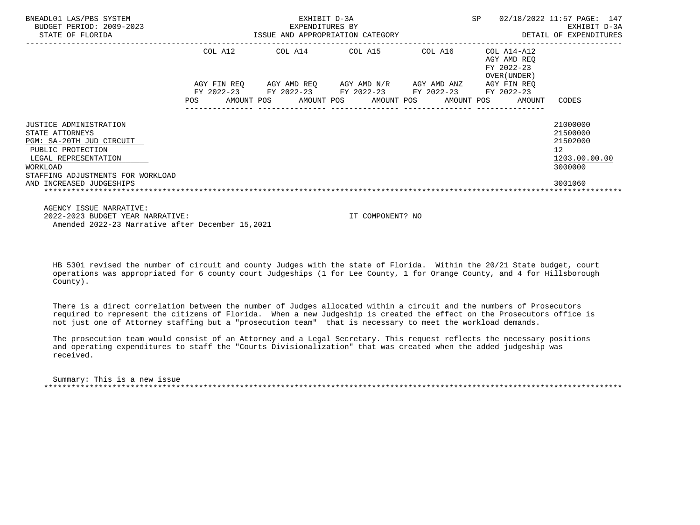| BNEADL01 LAS/PBS SYSTEM<br>BUDGET PERIOD: 2009-2023<br>STATE OF FLORIDA                                                                                                                         | SP<br>EXHIBIT D-3A<br>EXPENDITURES BY<br>ISSUE AND APPROPRIATION CATEGORY |                                         |  |                                                              |  |                       |  |                          |  |                                                          | 02/18/2022 11:57 PAGE: 147<br>EXHIBIT D-3A<br>DETAIL OF EXPENDITURES          |
|-------------------------------------------------------------------------------------------------------------------------------------------------------------------------------------------------|---------------------------------------------------------------------------|-----------------------------------------|--|--------------------------------------------------------------|--|-----------------------|--|--------------------------|--|----------------------------------------------------------|-------------------------------------------------------------------------------|
|                                                                                                                                                                                                 |                                                                           | COL A12                                 |  | COL A14 COL A15                                              |  |                       |  | COL A16                  |  | COL A14-A12<br>AGY AMD REO<br>FY 2022-23<br>OVER (UNDER) |                                                                               |
|                                                                                                                                                                                                 | POS                                                                       | AGY FIN REO<br>FY 2022-23<br>AMOUNT POS |  | AGY AMD REQ AGY AMD N/R AGY AMD ANZ<br>FY 2022-23 FY 2022-23 |  | AMOUNT POS AMOUNT POS |  | FY 2022-23<br>AMOUNT POS |  | AGY FIN REO<br>FY 2022-23<br>AMOUNT                      | CODES                                                                         |
| JUSTICE ADMINISTRATION<br>STATE ATTORNEYS<br>PGM: SA-20TH JUD CIRCUIT<br>PUBLIC PROTECTION<br>LEGAL REPRESENTATION<br>WORKLOAD<br>STAFFING ADJUSTMENTS FOR WORKLOAD<br>AND INCREASED JUDGESHIPS |                                                                           |                                         |  |                                                              |  |                       |  |                          |  |                                                          | 21000000<br>21500000<br>21502000<br>12<br>1203.00.00.00<br>3000000<br>3001060 |
|                                                                                                                                                                                                 |                                                                           |                                         |  |                                                              |  |                       |  |                          |  |                                                          |                                                                               |

 AGENCY ISSUE NARRATIVE: 2022-2023 BUDGET YEAR NARRATIVE: IT COMPONENT? NO Amended 2022-23 Narrative after December 15,2021

 HB 5301 revised the number of circuit and county Judges with the state of Florida. Within the 20/21 State budget, court operations was appropriated for 6 county court Judgeships (1 for Lee County, 1 for Orange County, and 4 for Hillsborough County).

 There is a direct correlation between the number of Judges allocated within a circuit and the numbers of Prosecutors required to represent the citizens of Florida. When a new Judgeship is created the effect on the Prosecutors office is not just one of Attorney staffing but a "prosecution team" that is necessary to meet the workload demands.

 The prosecution team would consist of an Attorney and a Legal Secretary. This request reflects the necessary positions and operating expenditures to staff the "Courts Divisionalization" that was created when the added judgeship was received.

 Summary: This is a new issue \*\*\*\*\*\*\*\*\*\*\*\*\*\*\*\*\*\*\*\*\*\*\*\*\*\*\*\*\*\*\*\*\*\*\*\*\*\*\*\*\*\*\*\*\*\*\*\*\*\*\*\*\*\*\*\*\*\*\*\*\*\*\*\*\*\*\*\*\*\*\*\*\*\*\*\*\*\*\*\*\*\*\*\*\*\*\*\*\*\*\*\*\*\*\*\*\*\*\*\*\*\*\*\*\*\*\*\*\*\*\*\*\*\*\*\*\*\*\*\*\*\*\*\*\*\*\*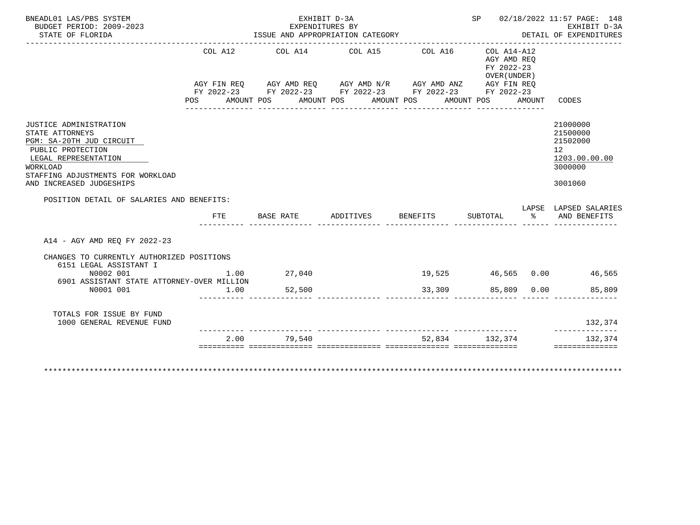| BNEADL01 LAS/PBS SYSTEM<br>BUDGET PERIOD: 2009-2023                                                                                                                                             |                | EXHIBIT D-3A                                                                                                                                                                                                 | EXPENDITURES BY |                 |                                                          |        | SP 02/18/2022 11:57 PAGE: 148<br>EXHIBIT D-3A                                              |
|-------------------------------------------------------------------------------------------------------------------------------------------------------------------------------------------------|----------------|--------------------------------------------------------------------------------------------------------------------------------------------------------------------------------------------------------------|-----------------|-----------------|----------------------------------------------------------|--------|--------------------------------------------------------------------------------------------|
| STATE OF FLORIDA                                                                                                                                                                                |                | ISSUE AND APPROPRIATION CATEGORY                                                                                                                                                                             |                 |                 |                                                          |        | DETAIL OF EXPENDITURES                                                                     |
|                                                                                                                                                                                                 | COL A12<br>POS | COL A14 COL A15 COL A16<br>AGY FIN REQ AGY AMD REQ AGY AMD N/R AGY AMD ANZ AGY FIN REQ<br>FY 2022-23 FY 2022-23 FY 2022-23 FY 2022-23 FY 2022-23<br>AMOUNT POS      AMOUNT POS     AMOUNT POS     AMOUNT POS |                 |                 | COL A14-A12<br>AGY AMD REO<br>FY 2022-23<br>OVER (UNDER) | AMOUNT | CODES                                                                                      |
| JUSTICE ADMINISTRATION<br>STATE ATTORNEYS<br>PGM: SA-20TH JUD CIRCUIT<br>PUBLIC PROTECTION<br>LEGAL REPRESENTATION<br>WORKLOAD<br>STAFFING ADJUSTMENTS FOR WORKLOAD<br>AND INCREASED JUDGESHIPS |                |                                                                                                                                                                                                              |                 |                 |                                                          |        | 21000000<br>21500000<br>21502000<br>12 <sup>°</sup><br>1203.00.00.00<br>3000000<br>3001060 |
| POSITION DETAIL OF SALARIES AND BENEFITS:                                                                                                                                                       |                |                                                                                                                                                                                                              |                 |                 |                                                          |        | LAPSE LAPSED SALARIES                                                                      |
|                                                                                                                                                                                                 | FTE            | BASE RATE                                                                                                                                                                                                    | ADDITIVES       | <b>BENEFITS</b> |                                                          |        | SUBTOTAL % AND BENEFITS                                                                    |
| A14 - AGY AMD REO FY 2022-23                                                                                                                                                                    |                |                                                                                                                                                                                                              |                 |                 |                                                          |        |                                                                                            |
| CHANGES TO CURRENTLY AUTHORIZED POSITIONS<br>6151 LEGAL ASSISTANT I                                                                                                                             |                |                                                                                                                                                                                                              |                 |                 |                                                          |        |                                                                                            |
| N0002 001<br>6901 ASSISTANT STATE ATTORNEY-OVER MILLION                                                                                                                                         | 1.00           | 27,040                                                                                                                                                                                                       |                 |                 |                                                          |        | 19,525 46,565 0.00 46,565                                                                  |
| N0001 001                                                                                                                                                                                       | 1.00           | 52,500                                                                                                                                                                                                       |                 | 33,309          |                                                          |        | 85,809 0.00<br>85,809                                                                      |
| TOTALS FOR ISSUE BY FUND<br>1000 GENERAL REVENUE FUND                                                                                                                                           |                |                                                                                                                                                                                                              |                 |                 |                                                          |        | 132,374<br>--------------                                                                  |
|                                                                                                                                                                                                 |                | 2.00 79.540                                                                                                                                                                                                  |                 |                 | 52,834 132,374                                           |        | 132,374                                                                                    |
| *************************                                                                                                                                                                       |                |                                                                                                                                                                                                              |                 |                 |                                                          |        | ==============                                                                             |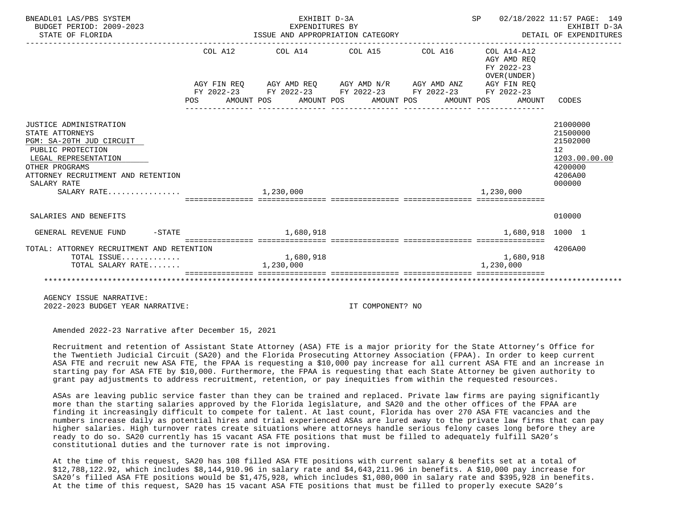| BNEADL01 LAS/PBS SYSTEM<br>BUDGET PERIOD: 2009-2023<br>STATE OF FLORIDA                                                                                                                                  |                       | EXHIBIT D-3A<br>EXPENDITURES BY |                                                                                                                                                                          | SP 02/18/2022 11:57 PAGE: 149<br>EXPENDITURES BI<br>ISSUE AND APPROPRIATION CATEGORY <b>AND APPROPRIATION CATEGORY</b> DETAIL OF EXPENDITURES | EXHIBIT D-3A                                                                            |
|----------------------------------------------------------------------------------------------------------------------------------------------------------------------------------------------------------|-----------------------|---------------------------------|--------------------------------------------------------------------------------------------------------------------------------------------------------------------------|-----------------------------------------------------------------------------------------------------------------------------------------------|-----------------------------------------------------------------------------------------|
|                                                                                                                                                                                                          |                       |                                 | COL A12 COL A14 COL A15 COL A16 COL A14-A12                                                                                                                              | AGY AMD REO<br>FY 2022-23<br>OVER (UNDER)                                                                                                     |                                                                                         |
|                                                                                                                                                                                                          |                       |                                 | AGY FIN REQ AGY AMD REQ AGY AMD N/R AGY AMD ANZ AGY FIN REQ<br>FY 2022-23 FY 2022-23 FY 2022-23 FY 2022-23 FY 2022-23<br>POS AMOUNT POS AMOUNT POS AMOUNT POS AMOUNT POS | AMOUNT                                                                                                                                        | CODES                                                                                   |
| JUSTICE ADMINISTRATION<br>STATE ATTORNEYS<br>PGM: SA-20TH JUD CIRCUIT<br>PUBLIC PROTECTION<br>LEGAL REPRESENTATION<br>OTHER PROGRAMS<br>ATTORNEY RECRUITMENT AND RETENTION<br>SALARY RATE<br>SALARY RATE |                       | 1, 230, 000                     |                                                                                                                                                                          | 1,230,000                                                                                                                                     | 21000000<br>21500000<br>21502000<br>12<br>1203.00.00.00<br>4200000<br>4206A00<br>000000 |
| SALARIES AND BENEFITS                                                                                                                                                                                    |                       |                                 |                                                                                                                                                                          |                                                                                                                                               | 010000                                                                                  |
| GENERAL REVENUE FUND                                                                                                                                                                                     | $-$ STATE $1,680,918$ |                                 |                                                                                                                                                                          | $1,680,918$ 1000 1                                                                                                                            |                                                                                         |
| TOTAL: ATTORNEY RECRUITMENT AND RETENTION<br>TOTAL ISSUE<br>TOTAL SALARY RATE                                                                                                                            |                       | 1,680,918<br>1,230,000          |                                                                                                                                                                          | 1,680,918<br>1,230,000                                                                                                                        | 4206A00                                                                                 |

 AGENCY ISSUE NARRATIVE: 2022-2023 BUDGET YEAR NARRATIVE: IT COMPONENT? NO

Amended 2022-23 Narrative after December 15, 2021

 Recruitment and retention of Assistant State Attorney (ASA) FTE is a major priority for the State Attorney's Office for the Twentieth Judicial Circuit (SA20) and the Florida Prosecuting Attorney Association (FPAA). In order to keep current ASA FTE and recruit new ASA FTE, the FPAA is requesting a \$10,000 pay increase for all current ASA FTE and an increase in starting pay for ASA FTE by \$10,000. Furthermore, the FPAA is requesting that each State Attorney be given authority to grant pay adjustments to address recruitment, retention, or pay inequities from within the requested resources.

 ASAs are leaving public service faster than they can be trained and replaced. Private law firms are paying significantly more than the starting salaries approved by the Florida legislature, and SA20 and the other offices of the FPAA are finding it increasingly difficult to compete for talent. At last count, Florida has over 270 ASA FTE vacancies and the numbers increase daily as potential hires and trial experienced ASAs are lured away to the private law firms that can pay higher salaries. High turnover rates create situations where attorneys handle serious felony cases long before they are ready to do so. SA20 currently has 15 vacant ASA FTE positions that must be filled to adequately fulfill SA20's constitutional duties and the turnover rate is not improving.

 At the time of this request, SA20 has 108 filled ASA FTE positions with current salary & benefits set at a total of \$12,788,122.92, which includes \$8,144,910.96 in salary rate and \$4,643,211.96 in benefits. A \$10,000 pay increase for SA20's filled ASA FTE positions would be \$1,475,928, which includes \$1,080,000 in salary rate and \$395,928 in benefits. At the time of this request, SA20 has 15 vacant ASA FTE positions that must be filled to properly execute SA20's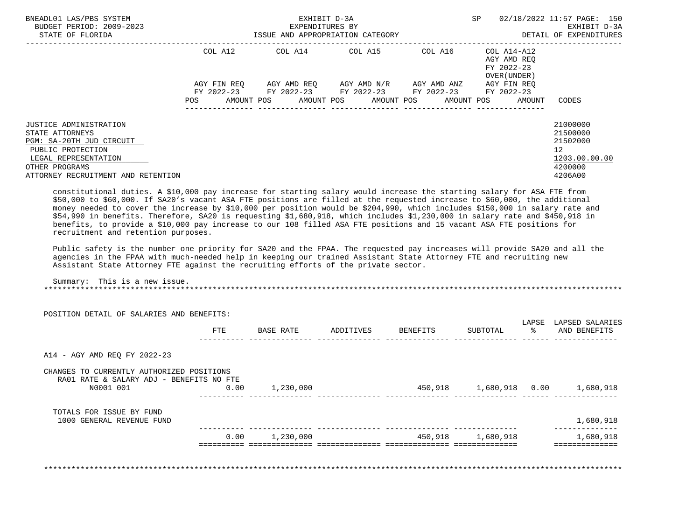| BNEADL01 LAS/PBS SYSTEM<br>BUDGET PERIOD: 2009-2023<br>STATE OF FLORIDA                                                                                                                                                                             | EXHIBIT D-3A<br>EXPENDITURES BY<br>ISSUE AND APPROPRIATION CATEGORY |                                         |  |            |  |                                                             |  | SP                                             |  | 02/18/2022 11:57 PAGE: 150<br>EXHIBIT D-3A<br>DETAIL OF EXPENDITURES |                                                                                            |
|-----------------------------------------------------------------------------------------------------------------------------------------------------------------------------------------------------------------------------------------------------|---------------------------------------------------------------------|-----------------------------------------|--|------------|--|-------------------------------------------------------------|--|------------------------------------------------|--|----------------------------------------------------------------------|--------------------------------------------------------------------------------------------|
|                                                                                                                                                                                                                                                     |                                                                     | COL A12                                 |  |            |  | COL A14 COL A15                                             |  | COL A16                                        |  | COL A14-A12<br>AGY AMD REO<br>FY 2022-23<br>OVER (UNDER)             |                                                                                            |
|                                                                                                                                                                                                                                                     | POS                                                                 | AGY FIN REO<br>FY 2022-23<br>AMOUNT POS |  | AMOUNT POS |  | AGY AMD REO      AGY AMD N/R      AGY AMD ANZ<br>AMOUNT POS |  | FY 2022-23 FY 2022-23 FY 2022-23<br>AMOUNT POS |  | AGY FIN REO<br>FY 2022-23<br>AMOUNT                                  | CODES                                                                                      |
| JUSTICE ADMINISTRATION<br>STATE ATTORNEYS<br>PGM: SA-20TH JUD CIRCUIT<br>PUBLIC PROTECTION<br>LEGAL REPRESENTATION<br>OTHER PROGRAMS<br>ATTORNEY RECRUITMENT AND RETENTION                                                                          |                                                                     |                                         |  |            |  |                                                             |  |                                                |  |                                                                      | 21000000<br>21500000<br>21502000<br>12 <sup>°</sup><br>1203.00.00.00<br>4200000<br>4206A00 |
| constitutional duties. A \$10,000 pay increase for starting salary would increase the starting salary for ASA FTE from<br>\$50,000 to \$60,000. If SA20's vacant ASA FTE positions are filled at the requested increase to \$60,000, the additional |                                                                     |                                         |  |            |  |                                                             |  |                                                |  |                                                                      |                                                                                            |

 money needed to cover the increase by \$10,000 per position would be \$204,990, which includes \$150,000 in salary rate and \$54,990 in benefits. Therefore, SA20 is requesting \$1,680,918, which includes \$1,230,000 in salary rate and \$450,918 in benefits, to provide a \$10,000 pay increase to our 108 filled ASA FTE positions and 15 vacant ASA FTE positions for recruitment and retention purposes.

 Public safety is the number one priority for SA20 and the FPAA. The requested pay increases will provide SA20 and all the agencies in the FPAA with much-needed help in keeping our trained Assistant State Attorney FTE and recruiting new Assistant State Attorney FTE against the recruiting efforts of the private sector.

 Summary: This is a new issue. \*\*\*\*\*\*\*\*\*\*\*\*\*\*\*\*\*\*\*\*\*\*\*\*\*\*\*\*\*\*\*\*\*\*\*\*\*\*\*\*\*\*\*\*\*\*\*\*\*\*\*\*\*\*\*\*\*\*\*\*\*\*\*\*\*\*\*\*\*\*\*\*\*\*\*\*\*\*\*\*\*\*\*\*\*\*\*\*\*\*\*\*\*\*\*\*\*\*\*\*\*\*\*\*\*\*\*\*\*\*\*\*\*\*\*\*\*\*\*\*\*\*\*\*\*\*\*

|                                                                                                    | FTE  | BASE RATE | ADDITIVES | BENEFITS | SUBTOTAL  | LAPSE<br>ႜၟ | LAPSED SALARIES<br>AND BENEFITS |
|----------------------------------------------------------------------------------------------------|------|-----------|-----------|----------|-----------|-------------|---------------------------------|
| A14 - AGY AMD REO FY 2022-23                                                                       |      |           |           |          |           |             |                                 |
| CHANGES TO CURRENTLY AUTHORIZED POSITIONS<br>RA01 RATE & SALARY ADJ - BENEFITS NO FTE<br>N0001 001 | 0.00 | 1,230,000 |           | 450,918  | 1,680,918 | 0.00        | 1,680,918                       |
| TOTALS FOR ISSUE BY FUND                                                                           |      |           |           |          |           |             | 1,680,918                       |
| 1000 GENERAL REVENUE FUND                                                                          |      |           |           |          |           |             |                                 |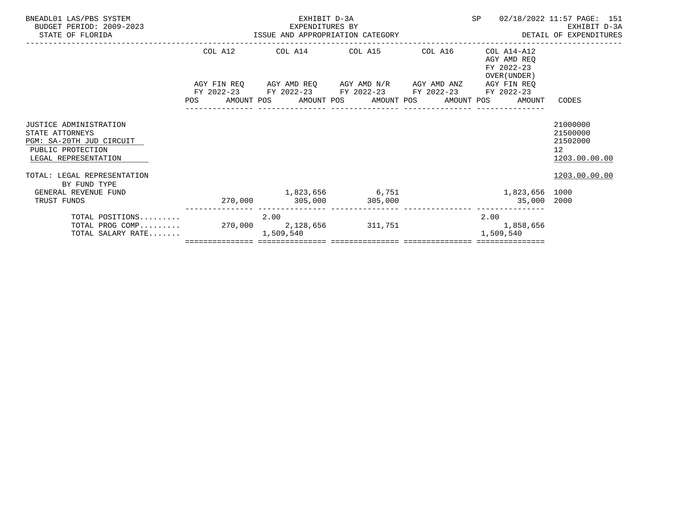| BNEADL01 LAS/PBS SYSTEM<br>BUDGET PERIOD: 2009-2023<br>STATE OF FLORIDA                                            |            | EXHIBIT D-3A<br>-2023 EXPENDITURES BY<br>ISSUE AND APPROPRIATION CATEGORY                                                                                       |                 | SP                                                       | 02/18/2022 11:57 PAGE: 151<br>EXHIBIT D-3A<br>DETAIL OF EXPENDITURES |
|--------------------------------------------------------------------------------------------------------------------|------------|-----------------------------------------------------------------------------------------------------------------------------------------------------------------|-----------------|----------------------------------------------------------|----------------------------------------------------------------------|
|                                                                                                                    |            | COL A12 COL A14 COL A15 COL A16                                                                                                                                 |                 | COL A14-A12<br>AGY AMD REO<br>FY 2022-23<br>OVER (UNDER) |                                                                      |
|                                                                                                                    | <b>POS</b> | AGY FIN REQ       AGY AMD REQ       AGY AMD N/R       AGY AMD ANZ<br>FY 2022-23 FY 2022-23 FY 2022-23 FY 2022-23<br>AMOUNT POS AMOUNT POS AMOUNT POS AMOUNT POS |                 | AGY FIN REO<br>FY 2022-23<br>AMOUNT                      | CODES                                                                |
| JUSTICE ADMINISTRATION<br>STATE ATTORNEYS<br>PGM: SA-20TH JUD CIRCUIT<br>PUBLIC PROTECTION<br>LEGAL REPRESENTATION |            |                                                                                                                                                                 |                 |                                                          | 21000000<br>21500000<br>21502000<br>12 <sup>°</sup><br>1203.00.00.00 |
| TOTAL: LEGAL REPRESENTATION<br>BY FUND TYPE                                                                        |            |                                                                                                                                                                 |                 |                                                          | 1203.00.00.00                                                        |
| GENERAL REVENUE FUND<br>TRUST FUNDS                                                                                |            | 270,000 305,000 305,000                                                                                                                                         | 1,823,656 6,751 | 1,823,656 1000<br>35,000 2000                            |                                                                      |
| TOTAL POSITIONS<br>TOTAL PROG COMP 270,000 2,128,656 311,751 311,751 1,858,656<br>TOTAL SALARY RATE                |            | 2.00<br>1,509,540                                                                                                                                               |                 | 2.00<br>1,509,540                                        |                                                                      |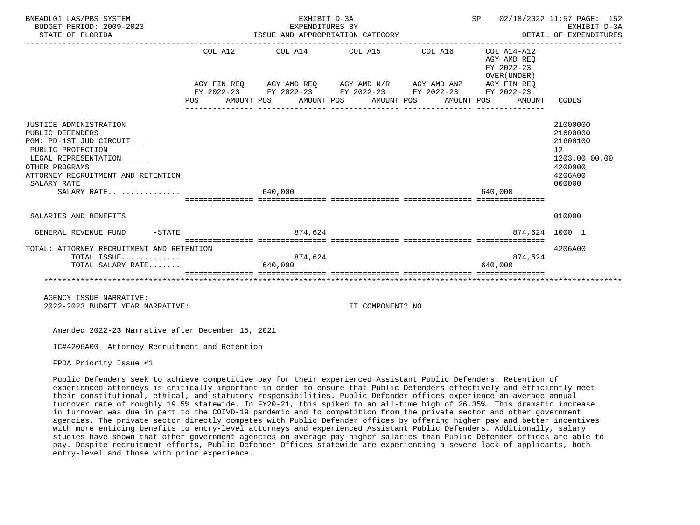| BNEADL01 LAS/PBS SYSTEM<br>BUDGET PERIOD: 2009-2023<br>STATE OF FLORIDA                                                                                                                                  | EXHIBIT D-3A<br>SP 02/18/2022 11:57 PAGE: 152<br>EXPENDITURES BY<br>EXPENDITURES BY<br>ISSUE AND APPROPRIATION CATEGORY<br>DETAIL OF EXPENDITURES                                                                                                                                           | EXHIBIT D-3A                                                                                         |
|----------------------------------------------------------------------------------------------------------------------------------------------------------------------------------------------------------|---------------------------------------------------------------------------------------------------------------------------------------------------------------------------------------------------------------------------------------------------------------------------------------------|------------------------------------------------------------------------------------------------------|
|                                                                                                                                                                                                          | $COL A12$ $COL A14$ $COL A15$ $COL A16$ $COL A14-A12$<br>AGY AMD REQ<br>FY 2022-23<br>OVER (UNDER)<br>AGY FIN REQ AGY AMD REQ AGY AMD N/R AGY AMD ANZ AGY FIN REQ<br>FY 2022-23 FY 2022-23 FY 2022-23 FY 2022-23 FY 2022-23<br>AMOUNT POS AMOUNT POS AMOUNT POS AMOUNT POS<br>POS<br>AMOUNT | CODES                                                                                                |
| JUSTICE ADMINISTRATION<br>PUBLIC DEFENDERS<br>PGM: PD-1ST JUD CIRCUIT<br>PUBLIC PROTECTION<br>LEGAL REPRESENTATION<br>OTHER PROGRAMS<br>ATTORNEY RECRUITMENT AND RETENTION<br>SALARY RATE<br>SALARY RATE | 640,000<br>640,000                                                                                                                                                                                                                                                                          | 21000000<br>21600000<br>21600100<br>12 <sup>°</sup><br>1203.00.00.00<br>4200000<br>4206A00<br>000000 |
| SALARIES AND BENEFITS                                                                                                                                                                                    |                                                                                                                                                                                                                                                                                             | 010000                                                                                               |
| $-STATE$<br>GENERAL REVENUE FUND                                                                                                                                                                         | 874.624<br>874.624 1000 1                                                                                                                                                                                                                                                                   |                                                                                                      |
| TOTAL: ATTORNEY RECRUITMENT AND RETENTION<br>TOTAL ISSUE<br>TOTAL SALARY RATE                                                                                                                            | 874,624<br>874,624<br>640,000<br>640.000                                                                                                                                                                                                                                                    | 4206A00                                                                                              |
| AGENCY ISSUE NARRATIVE:<br>2022-2023 BUDGET YEAR NARRATIVE:                                                                                                                                              | IT COMPONENT? NO                                                                                                                                                                                                                                                                            |                                                                                                      |

Amended 2022-23 Narrative after December 15, 2021

IC#4206A00 Attorney Recruitment and Retention

FPDA Priority Issue #1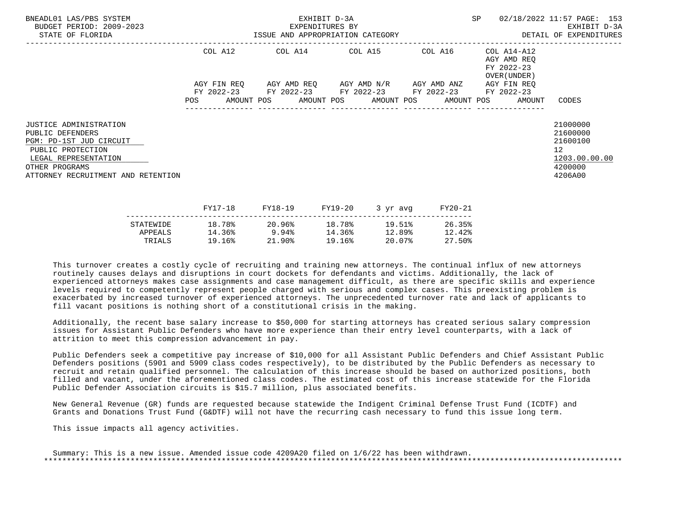| BNEADL01 LAS/PBS SYSTEM<br>BUDGET PERIOD: 2009-2023<br>STATE OF FLORIDA                                                                                                           |                   |  | EXHIBIT D-3A<br>EXPENDITURES BY |         | ISSUE AND APPROPRIATION CATEGORY                |         | SP |                                                                  | 02/18/2022 11:57 PAGE: 153<br>EXHIBIT D-3A<br>DETAIL OF EXPENDITURES                       |
|-----------------------------------------------------------------------------------------------------------------------------------------------------------------------------------|-------------------|--|---------------------------------|---------|-------------------------------------------------|---------|----|------------------------------------------------------------------|--------------------------------------------------------------------------------------------|
|                                                                                                                                                                                   | COL A12           |  |                                 |         | COL A14 COL A15 COL A16                         |         |    | COL A14-A12<br>AGY AMD REO<br>FY 2022-23<br>OVER (UNDER )        |                                                                                            |
|                                                                                                                                                                                   | AGY FIN REO       |  |                                 |         | AGY AMD REQ       AGY AMD N/R       AGY AMD ANZ |         |    | AGY FIN REO                                                      |                                                                                            |
|                                                                                                                                                                                   | FY 2022-23<br>POS |  |                                 |         | FY 2022-23 FY 2022-23 FY 2022-23                |         |    | FY 2022-23<br>AMOUNT POS AMOUNT POS AMOUNT POS AMOUNT POS AMOUNT | CODES                                                                                      |
| <b>JUSTICE ADMINISTRATION</b><br>PUBLIC DEFENDERS<br>PGM: PD-1ST JUD CIRCUIT<br>PUBLIC PROTECTION<br>LEGAL REPRESENTATION<br>OTHER PROGRAMS<br>ATTORNEY RECRUITMENT AND RETENTION |                   |  |                                 |         |                                                 |         |    |                                                                  | 21000000<br>21600000<br>21600100<br>12 <sup>°</sup><br>1203.00.00.00<br>4200000<br>4206A00 |
|                                                                                                                                                                                   | FY17-18           |  | FY18-19                         | FY19-20 | 3 yr avg                                        | FY20-21 |    |                                                                  |                                                                                            |

|           | - - - <i>-</i> - - - | ----- <b>---</b> | ---- <i>-</i> -- | $J \rightarrow J + \alpha V +$ | ------ |
|-----------|----------------------|------------------|------------------|--------------------------------|--------|
| STATEWIDE | 18.78%               | 20.96%           | 18.78%           | 19.51%                         | 26.35% |
| APPEALS   | 14.36%               | 9.94%            | 14.36%           | 12.89%                         | 12.42% |
| TRIALS    | 19.16%               | 21.90%           | 19.16%           | 20.07%                         | 27.50% |
|           |                      |                  |                  |                                |        |

 Additionally, the recent base salary increase to \$50,000 for starting attorneys has created serious salary compression issues for Assistant Public Defenders who have more experience than their entry level counterparts, with a lack of attrition to meet this compression advancement in pay.

 Public Defenders seek a competitive pay increase of \$10,000 for all Assistant Public Defenders and Chief Assistant Public Defenders positions (5901 and 5909 class codes respectively), to be distributed by the Public Defenders as necessary to recruit and retain qualified personnel. The calculation of this increase should be based on authorized positions, both filled and vacant, under the aforementioned class codes. The estimated cost of this increase statewide for the Florida Public Defender Association circuits is \$15.7 million, plus associated benefits.

 New General Revenue (GR) funds are requested because statewide the Indigent Criminal Defense Trust Fund (ICDTF) and Grants and Donations Trust Fund (G&DTF) will not have the recurring cash necessary to fund this issue long term.

This issue impacts all agency activities.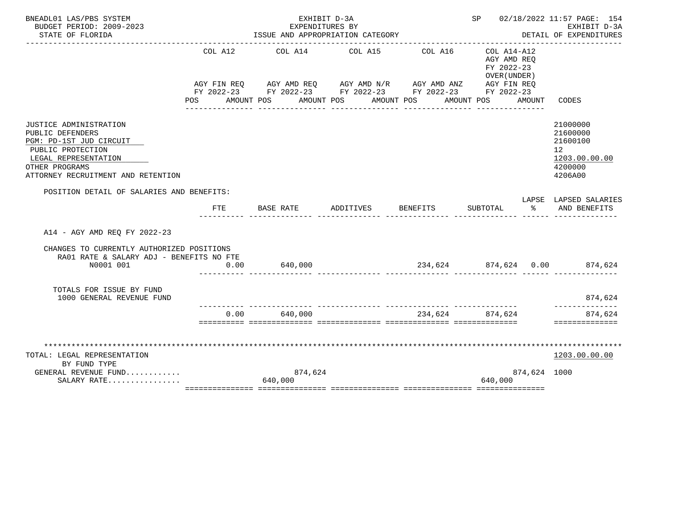| BNEADL01 LAS/PBS SYSTEM<br>BUDGET PERIOD: 2009-2023                                                                                                                        |            | EXHIBIT D-3A<br>EXPENDITURES BY                                                                                                                               |                 |                                      | SP 02/18/2022 11:57 PAGE: 154<br>EXHIBIT D-3A                                             |               |                                                                               |
|----------------------------------------------------------------------------------------------------------------------------------------------------------------------------|------------|---------------------------------------------------------------------------------------------------------------------------------------------------------------|-----------------|--------------------------------------|-------------------------------------------------------------------------------------------|---------------|-------------------------------------------------------------------------------|
| STATE OF FLORIDA                                                                                                                                                           |            | ISSUE AND APPROPRIATION CATEGORY                                                                                                                              |                 |                                      |                                                                                           |               | DETAIL OF EXPENDITURES                                                        |
|                                                                                                                                                                            | COL A12    | AGY FIN REQ AGY AMD REQ AGY AMD N/R AGY AMD ANZ AGY FIN REQ<br>FY 2022-23 FY 2022-23 FY 2022-23 FY 2022-23 FY 2022-23<br>POS AMOUNT POS AMOUNT POS AMOUNT POS | COL A14 COL A15 | COL A16<br>________________          | COL A14-A12<br>AGY AMD REO<br>FY 2022-23<br>OVER (UNDER)<br>AMOUNT POS<br>--------------- | AMOUNT        | CODES                                                                         |
| JUSTICE ADMINISTRATION<br>PUBLIC DEFENDERS<br>PGM: PD-1ST JUD CIRCUIT<br>PUBLIC PROTECTION<br>LEGAL REPRESENTATION<br>OTHER PROGRAMS<br>ATTORNEY RECRUITMENT AND RETENTION |            |                                                                                                                                                               |                 |                                      |                                                                                           |               | 21000000<br>21600000<br>21600100<br>12<br>1203.00.00.00<br>4200000<br>4206A00 |
| POSITION DETAIL OF SALARIES AND BENEFITS:                                                                                                                                  |            |                                                                                                                                                               |                 |                                      |                                                                                           |               | LAPSE LAPSED SALARIES                                                         |
|                                                                                                                                                                            | <b>FTE</b> | BASE RATE                                                                                                                                                     | ADDITIVES       | <b>BENEFITS</b>                      | SUBTOTAL                                                                                  | $\sim$ $\sim$ | AND BENEFITS                                                                  |
| A14 - AGY AMD REO FY 2022-23                                                                                                                                               |            |                                                                                                                                                               |                 |                                      |                                                                                           |               |                                                                               |
| CHANGES TO CURRENTLY AUTHORIZED POSITIONS<br>RA01 RATE & SALARY ADJ - BENEFITS NO FTE                                                                                      |            |                                                                                                                                                               |                 |                                      |                                                                                           |               |                                                                               |
| N0001 001                                                                                                                                                                  | 0.00       | 640,000                                                                                                                                                       |                 | $234,624$ $874,624$ $0.00$ $874,624$ |                                                                                           |               |                                                                               |
| TOTALS FOR ISSUE BY FUND<br>1000 GENERAL REVENUE FUND                                                                                                                      |            | .i iliailiailiailia tittivateista tittivateistaa tittivateistaa                                                                                               |                 |                                      |                                                                                           |               | 874,624<br>--------------                                                     |
|                                                                                                                                                                            |            | $0.00$ 640,000                                                                                                                                                |                 | 234,624 874,624                      |                                                                                           |               | 874,624<br>==============                                                     |
|                                                                                                                                                                            |            |                                                                                                                                                               |                 |                                      |                                                                                           |               |                                                                               |
| TOTAL: LEGAL REPRESENTATION                                                                                                                                                |            |                                                                                                                                                               |                 |                                      |                                                                                           |               | 1203.00.00.00                                                                 |
| BY FUND TYPE                                                                                                                                                               |            |                                                                                                                                                               |                 |                                      |                                                                                           |               |                                                                               |
| GENERAL REVENUE FUND<br>SALARY RATE                                                                                                                                        |            | 874,624<br>640,000                                                                                                                                            |                 |                                      | 640,000                                                                                   | 874,624 1000  |                                                                               |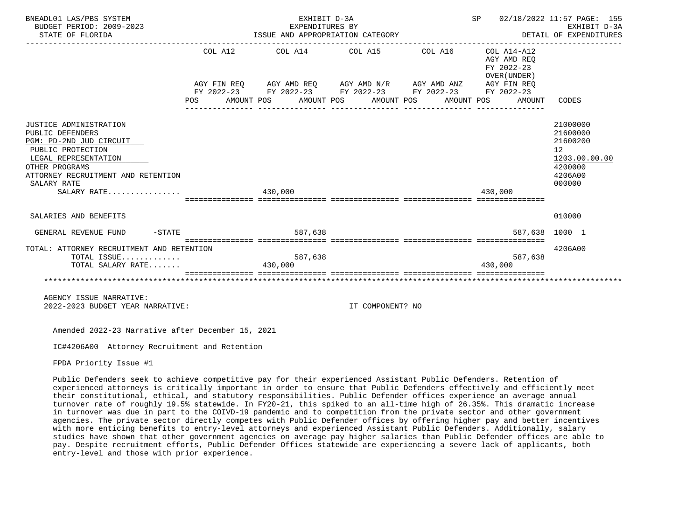| BNEADL01 LAS/PBS SYSTEM<br>BUDGET PERIOD: 2009-2023<br>STATE OF FLORIDA                                                                                                                                  | ------------- | EXHIBIT D-3A<br>EXPENDITURES BY<br>ISSUE AND APPROPRIATION CATEGORY                                                                                                                                                                                                                                                                                                                                                                                                                                                                                                                          |  | SP<br>DETAIL OF EXPENDITURES | 02/18/2022 11:57 PAGE: 155<br>EXHIBIT D-3A                         |                                                                                         |
|----------------------------------------------------------------------------------------------------------------------------------------------------------------------------------------------------------|---------------|----------------------------------------------------------------------------------------------------------------------------------------------------------------------------------------------------------------------------------------------------------------------------------------------------------------------------------------------------------------------------------------------------------------------------------------------------------------------------------------------------------------------------------------------------------------------------------------------|--|------------------------------|--------------------------------------------------------------------|-----------------------------------------------------------------------------------------|
|                                                                                                                                                                                                          | POS           | COL A12 COL A14 COL A15 COL A16<br>$\verb AGY FIN REQ  \qquad \verb AGY AMD REQ  \qquad \verb AGY AMD N/R  \qquad \verb AGY AMD ANZ  \qquad \verb AGY FIN REQ  \qquad \verb AGY AMD ANZ  \qquad \verb AGY FIN REQ  \qquad \verb AGY AMD ANZ  \qquad \verb AGY EN REQ  \qquad \verb AGY AMD ANZ  \qquad \verb AGY EN REQ  \qquad \verb AGY AMD ANZ  \qquad \verb AGY EN REQ  \qquad \verb AdS3  \qquad \verb AdS3  \qquad \verb AdS3  \qquad \verb AdS3  \qquad \verb AdS3  \qquad \verb AdS3 $<br>FY 2022-23 FY 2022-23 FY 2022-23 FY 2022-23 FY 2022-23<br>AMOUNT POS AMOUNT POS AMOUNT POS |  | AMOUNT POS                   | COL A14-A12<br>AGY AMD REO<br>FY 2022-23<br>OVER (UNDER)<br>AMOUNT | CODES                                                                                   |
| JUSTICE ADMINISTRATION<br>PUBLIC DEFENDERS<br>PGM: PD-2ND JUD CIRCUIT<br>PUBLIC PROTECTION<br>LEGAL REPRESENTATION<br>OTHER PROGRAMS<br>ATTORNEY RECRUITMENT AND RETENTION<br>SALARY RATE<br>SALARY RATE |               | 430,000                                                                                                                                                                                                                                                                                                                                                                                                                                                                                                                                                                                      |  |                              | 430,000                                                            | 21000000<br>21600000<br>21600200<br>12<br>1203.00.00.00<br>4200000<br>4206A00<br>000000 |
|                                                                                                                                                                                                          |               | =================================                                                                                                                                                                                                                                                                                                                                                                                                                                                                                                                                                            |  |                              |                                                                    |                                                                                         |
| SALARIES AND BENEFITS                                                                                                                                                                                    |               |                                                                                                                                                                                                                                                                                                                                                                                                                                                                                                                                                                                              |  |                              |                                                                    | 010000                                                                                  |
| $-STATE$<br>GENERAL REVENUE FUND                                                                                                                                                                         |               | 587.638                                                                                                                                                                                                                                                                                                                                                                                                                                                                                                                                                                                      |  |                              |                                                                    | 587,638 1000 1                                                                          |
| TOTAL: ATTORNEY RECRUITMENT AND RETENTION<br>TOTAL ISSUE<br>TOTAL SALARY RATE                                                                                                                            |               | 587,638<br>430,000                                                                                                                                                                                                                                                                                                                                                                                                                                                                                                                                                                           |  |                              | 587,638<br>430.000                                                 | 4206A00                                                                                 |
|                                                                                                                                                                                                          |               |                                                                                                                                                                                                                                                                                                                                                                                                                                                                                                                                                                                              |  |                              |                                                                    |                                                                                         |
| AGENCY ISSUE NARRATIVE:                                                                                                                                                                                  |               |                                                                                                                                                                                                                                                                                                                                                                                                                                                                                                                                                                                              |  |                              |                                                                    |                                                                                         |

2022-2023 BUDGET YEAR NARRATIVE: IT COMPONENT? NO

Amended 2022-23 Narrative after December 15, 2021

IC#4206A00 Attorney Recruitment and Retention

FPDA Priority Issue #1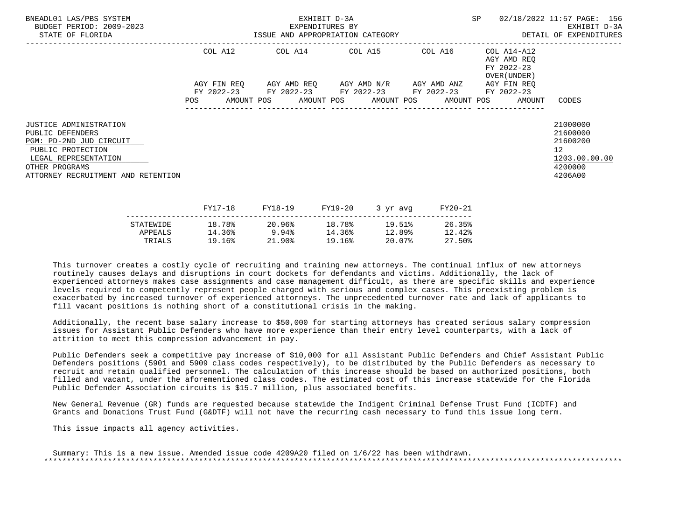| BNEADL01 LAS/PBS SYSTEM<br>BUDGET PERIOD: 2009-2023<br>STATE OF FLORIDA                                                                                                           |                   |             | EXHIBIT D-3A<br>EXPENDITURES BY |         | ISSUE AND APPROPRIATION CATEGORY                |         | SP |                                                                  | 02/18/2022 11:57 PAGE: 156<br>EXHIBIT D-3A<br>DETAIL OF EXPENDITURES                       |
|-----------------------------------------------------------------------------------------------------------------------------------------------------------------------------------|-------------------|-------------|---------------------------------|---------|-------------------------------------------------|---------|----|------------------------------------------------------------------|--------------------------------------------------------------------------------------------|
|                                                                                                                                                                                   | COL A12           |             |                                 |         | COL A14 COL A15 COL A16                         |         |    | COL A14-A12<br>AGY AMD REO<br>FY 2022-23<br>OVER (UNDER )        |                                                                                            |
|                                                                                                                                                                                   |                   | AGY FIN REO |                                 |         | AGY AMD REQ       AGY AMD N/R       AGY AMD ANZ |         |    | AGY FIN REO                                                      |                                                                                            |
|                                                                                                                                                                                   | FY 2022-23<br>POS |             |                                 |         | FY 2022-23 FY 2022-23 FY 2022-23                |         |    | FY 2022-23<br>AMOUNT POS AMOUNT POS AMOUNT POS AMOUNT POS AMOUNT | CODES                                                                                      |
| <b>JUSTICE ADMINISTRATION</b><br>PUBLIC DEFENDERS<br>PGM: PD-2ND JUD CIRCUIT<br>PUBLIC PROTECTION<br>LEGAL REPRESENTATION<br>OTHER PROGRAMS<br>ATTORNEY RECRUITMENT AND RETENTION |                   |             |                                 |         |                                                 |         |    |                                                                  | 21000000<br>21600000<br>21600200<br>12 <sup>°</sup><br>1203.00.00.00<br>4200000<br>4206A00 |
|                                                                                                                                                                                   | FY17-18           |             | FY18-19                         | FY19-20 | 3 yr avg                                        | FY20-21 |    |                                                                  |                                                                                            |

|           | - - - <i>-</i> - - - | ----- <b>---</b> | ---- <i>-</i> -- | $J + M + M$ | ------ |
|-----------|----------------------|------------------|------------------|-------------|--------|
| STATEWIDE | 18.78%               | 20.96%           | 18.78%           | 19.51%      | 26.35% |
| APPEALS   | 14.36%               | 9.94%            | 14.36%           | 12.89%      | 12.42% |
| TRIALS    | 19.16%               | $21.90\%$        | 19.16%           | 20.07%      | 27.50% |
|           |                      |                  |                  |             |        |

 Additionally, the recent base salary increase to \$50,000 for starting attorneys has created serious salary compression issues for Assistant Public Defenders who have more experience than their entry level counterparts, with a lack of attrition to meet this compression advancement in pay.

 Public Defenders seek a competitive pay increase of \$10,000 for all Assistant Public Defenders and Chief Assistant Public Defenders positions (5901 and 5909 class codes respectively), to be distributed by the Public Defenders as necessary to recruit and retain qualified personnel. The calculation of this increase should be based on authorized positions, both filled and vacant, under the aforementioned class codes. The estimated cost of this increase statewide for the Florida Public Defender Association circuits is \$15.7 million, plus associated benefits.

 New General Revenue (GR) funds are requested because statewide the Indigent Criminal Defense Trust Fund (ICDTF) and Grants and Donations Trust Fund (G&DTF) will not have the recurring cash necessary to fund this issue long term.

This issue impacts all agency activities.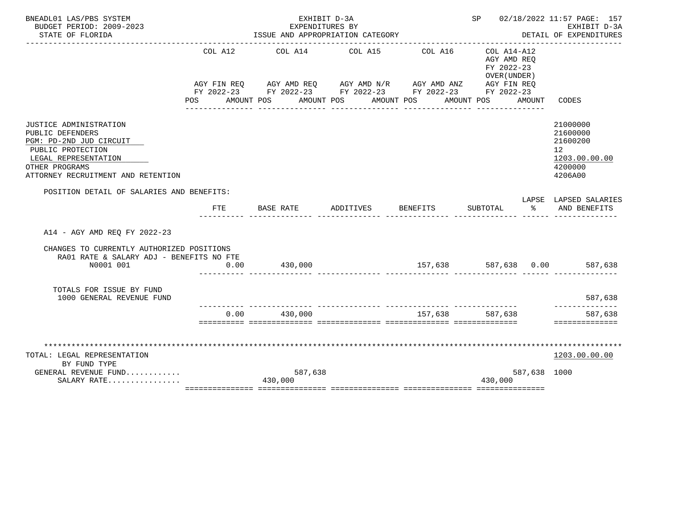| BNEADL01 LAS/PBS SYSTEM                                                                                                                                                           |         | EXHIBIT D-3A                                                                                                                                                                              |                            |                            | SP 02/18/2022 11:57 PAGE: 157                                                             |              |                                                                               |
|-----------------------------------------------------------------------------------------------------------------------------------------------------------------------------------|---------|-------------------------------------------------------------------------------------------------------------------------------------------------------------------------------------------|----------------------------|----------------------------|-------------------------------------------------------------------------------------------|--------------|-------------------------------------------------------------------------------|
| BUDGET PERIOD: 2009-2023<br>STATE OF FLORIDA                                                                                                                                      |         | EXPENDITURES BY<br>ISSUE AND APPROPRIATION CATEGORY                                                                                                                                       |                            |                            | EXHIBIT D-3A<br>DETAIL OF EXPENDITURES                                                    |              |                                                                               |
|                                                                                                                                                                                   | COL A12 | COL A14<br>AGY FIN REQ AGY AMD REQ AGY AMD N/R AGY AMD ANZ AGY FIN REQ<br>FY 2022-23 FY 2022-23 FY 2022-23 FY 2022-23 FY 2022-23<br>POS AMOUNT POS AMOUNT POS AMOUNT POS<br>------------- | COL A15<br>_______________ | COL A16<br>_______________ | COL A14-A12<br>AGY AMD REO<br>FY 2022-23<br>OVER (UNDER)<br>AMOUNT POS<br>--------------- | AMOUNT       | CODES                                                                         |
| <b>JUSTICE ADMINISTRATION</b><br>PUBLIC DEFENDERS<br>PGM: PD-2ND JUD CIRCUIT<br>PUBLIC PROTECTION<br>LEGAL REPRESENTATION<br>OTHER PROGRAMS<br>ATTORNEY RECRUITMENT AND RETENTION |         |                                                                                                                                                                                           |                            |                            |                                                                                           |              | 21000000<br>21600000<br>21600200<br>12<br>1203.00.00.00<br>4200000<br>4206A00 |
| POSITION DETAIL OF SALARIES AND BENEFITS:                                                                                                                                         |         |                                                                                                                                                                                           |                            |                            |                                                                                           |              | LAPSE LAPSED SALARIES                                                         |
|                                                                                                                                                                                   | FTE     | BASE RATE                                                                                                                                                                                 | ADDITIVES                  | BENEFITS                   | SUBTOTAL %                                                                                |              | AND BENEFITS                                                                  |
| A14 - AGY AMD REO FY 2022-23                                                                                                                                                      |         |                                                                                                                                                                                           |                            |                            |                                                                                           |              |                                                                               |
| CHANGES TO CURRENTLY AUTHORIZED POSITIONS<br>RA01 RATE & SALARY ADJ - BENEFITS NO FTE                                                                                             |         |                                                                                                                                                                                           |                            |                            |                                                                                           |              |                                                                               |
| N0001 001                                                                                                                                                                         | 0.00    | 430,000                                                                                                                                                                                   |                            | 157,638 587,638 0.00       |                                                                                           |              | 587,638                                                                       |
| TOTALS FOR ISSUE BY FUND<br>1000 GENERAL REVENUE FUND                                                                                                                             |         |                                                                                                                                                                                           |                            |                            |                                                                                           |              | 587,638                                                                       |
|                                                                                                                                                                                   | 0.00    | 430,000                                                                                                                                                                                   |                            | 157,638 587,638            |                                                                                           |              | 587,638<br>==============                                                     |
|                                                                                                                                                                                   |         |                                                                                                                                                                                           |                            |                            |                                                                                           |              |                                                                               |
| TOTAL: LEGAL REPRESENTATION                                                                                                                                                       |         |                                                                                                                                                                                           |                            |                            |                                                                                           |              | 1203.00.00.00                                                                 |
| BY FUND TYPE<br>GENERAL REVENUE FUND                                                                                                                                              |         | 587,638                                                                                                                                                                                   |                            |                            |                                                                                           | 587,638 1000 |                                                                               |
| SALARY RATE                                                                                                                                                                       |         |                                                                                                                                                                                           |                            |                            | 430,000                                                                                   |              |                                                                               |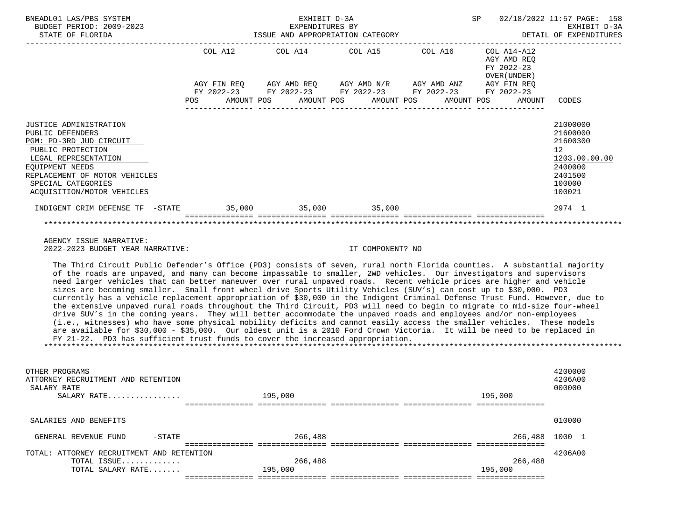| BNEADL01 LAS/PBS SYSTEM<br>BUDGET PERIOD: 2009-2023<br>STATE OF FLORIDA                                                                                                                                                                                                                                                                                                                                                                                                                                                                                                                                                                                                                                                                                                                                                                                                                                                                                                                                                                                                                                                                                                                                             |            | EXHIBIT D-3A       | EXPENDITURES BY<br>ISSUE AND APPROPRIATION CATEGORY                                                                                                                                                                                                                                                                                                                                               | SP                                                                               | 02/18/2022 11:57 PAGE: 158<br>EXHIBIT D-3A<br>DETAIL OF EXPENDITURES                              |
|---------------------------------------------------------------------------------------------------------------------------------------------------------------------------------------------------------------------------------------------------------------------------------------------------------------------------------------------------------------------------------------------------------------------------------------------------------------------------------------------------------------------------------------------------------------------------------------------------------------------------------------------------------------------------------------------------------------------------------------------------------------------------------------------------------------------------------------------------------------------------------------------------------------------------------------------------------------------------------------------------------------------------------------------------------------------------------------------------------------------------------------------------------------------------------------------------------------------|------------|--------------------|---------------------------------------------------------------------------------------------------------------------------------------------------------------------------------------------------------------------------------------------------------------------------------------------------------------------------------------------------------------------------------------------------|----------------------------------------------------------------------------------|---------------------------------------------------------------------------------------------------|
|                                                                                                                                                                                                                                                                                                                                                                                                                                                                                                                                                                                                                                                                                                                                                                                                                                                                                                                                                                                                                                                                                                                                                                                                                     | <b>POS</b> | AMOUNT POS         | COL A12 COL A14 COL A15 COL A16<br>$\begin{array}{lllllll} {\text{AGY}} & {\text{FIN}} & {\text{REG}} & {\text{AGY}} & {\text{AMP}} & {\text{AGY}} & {\text{AMP}} & {\text{MY}} & {\text{MID}} & {\text{ANY}} & {\text{AGY}} & {\text{FIN}} & {\text{REG}} \\ {\text{FY}} & 2022-23 & {\text{FY}} & 2022-23 & {\text{FY}} & 2022-23 & {\text{FY}} & 2022-23 \end{array}$<br>AMOUNT POS AMOUNT POS | COL A14-A12<br>AGY AMD REO<br>FY 2022-23<br>OVER (UNDER)<br>AMOUNT POS<br>AMOUNT | CODES                                                                                             |
| JUSTICE ADMINISTRATION<br>PUBLIC DEFENDERS<br>PGM: PD-3RD JUD CIRCUIT<br>PUBLIC PROTECTION<br>LEGAL REPRESENTATION<br>EOUIPMENT NEEDS<br>REPLACEMENT OF MOTOR VEHICLES<br>SPECIAL CATEGORIES<br>ACQUISITION/MOTOR VEHICLES                                                                                                                                                                                                                                                                                                                                                                                                                                                                                                                                                                                                                                                                                                                                                                                                                                                                                                                                                                                          |            |                    |                                                                                                                                                                                                                                                                                                                                                                                                   |                                                                                  | 21000000<br>21600000<br>21600300<br>12<br>1203.00.00.00<br>2400000<br>2401500<br>100000<br>100021 |
| INDIGENT CRIM DEFENSE TF -STATE 35,000 35,000 35,000 35,000                                                                                                                                                                                                                                                                                                                                                                                                                                                                                                                                                                                                                                                                                                                                                                                                                                                                                                                                                                                                                                                                                                                                                         |            |                    | soccoccoccoco ococcoccococo coccoccoccoco escoccoccoco espectocococo                                                                                                                                                                                                                                                                                                                              |                                                                                  | 2974 1                                                                                            |
|                                                                                                                                                                                                                                                                                                                                                                                                                                                                                                                                                                                                                                                                                                                                                                                                                                                                                                                                                                                                                                                                                                                                                                                                                     |            |                    |                                                                                                                                                                                                                                                                                                                                                                                                   |                                                                                  |                                                                                                   |
| AGENCY ISSUE NARRATIVE:<br>2022-2023 BUDGET YEAR NARRATIVE:                                                                                                                                                                                                                                                                                                                                                                                                                                                                                                                                                                                                                                                                                                                                                                                                                                                                                                                                                                                                                                                                                                                                                         |            |                    | IT COMPONENT? NO                                                                                                                                                                                                                                                                                                                                                                                  |                                                                                  |                                                                                                   |
| The Third Circuit Public Defender's Office (PD3) consists of seven, rural north Florida counties. A substantial majority<br>of the roads are unpaved, and many can become impassable to smaller, 2WD vehicles. Our investigators and supervisors<br>need larger vehicles that can better maneuver over rural unpaved roads. Recent vehicle prices are higher and vehicle<br>sizes are becoming smaller. Small front wheel drive Sports Utility Vehicles (SUV's) can cost up to \$30,000. PD3<br>currently has a vehicle replacement appropriation of \$30,000 in the Indigent Criminal Defense Trust Fund. However, due to<br>the extensive unpaved rural roads throughout the Third Circuit, PD3 will need to begin to migrate to mid-size four-wheel<br>drive SUV's in the coming years. They will better accommodate the unpaved roads and employees and/or non-employees<br>(i.e., witnesses) who have some physical mobility deficits and cannot easily access the smaller vehicles. These models<br>are available for \$30,000 - \$35,000. Our oldest unit is a 2010 Ford Crown Victoria. It will be need to be replaced in<br>FY 21-22. PD3 has sufficient trust funds to cover the increased appropriation. |            |                    |                                                                                                                                                                                                                                                                                                                                                                                                   |                                                                                  |                                                                                                   |
| OTHER PROGRAMS<br>ATTORNEY RECRUITMENT AND RETENTION<br>SALARY RATE<br>SALARY RATE                                                                                                                                                                                                                                                                                                                                                                                                                                                                                                                                                                                                                                                                                                                                                                                                                                                                                                                                                                                                                                                                                                                                  |            | 195,000            |                                                                                                                                                                                                                                                                                                                                                                                                   | 195,000                                                                          | 4200000<br>4206A00<br>000000                                                                      |
| SALARIES AND BENEFITS                                                                                                                                                                                                                                                                                                                                                                                                                                                                                                                                                                                                                                                                                                                                                                                                                                                                                                                                                                                                                                                                                                                                                                                               |            |                    |                                                                                                                                                                                                                                                                                                                                                                                                   |                                                                                  | 010000                                                                                            |
| $-$ STATE<br>GENERAL REVENUE FUND                                                                                                                                                                                                                                                                                                                                                                                                                                                                                                                                                                                                                                                                                                                                                                                                                                                                                                                                                                                                                                                                                                                                                                                   |            | 266,488            |                                                                                                                                                                                                                                                                                                                                                                                                   | 266,488                                                                          | 1000 1                                                                                            |
| TOTAL: ATTORNEY RECRUITMENT AND RETENTION                                                                                                                                                                                                                                                                                                                                                                                                                                                                                                                                                                                                                                                                                                                                                                                                                                                                                                                                                                                                                                                                                                                                                                           |            |                    |                                                                                                                                                                                                                                                                                                                                                                                                   |                                                                                  | 4206A00                                                                                           |
| TOTAL ISSUE<br>TOTAL SALARY RATE                                                                                                                                                                                                                                                                                                                                                                                                                                                                                                                                                                                                                                                                                                                                                                                                                                                                                                                                                                                                                                                                                                                                                                                    |            | 266,488<br>195,000 |                                                                                                                                                                                                                                                                                                                                                                                                   | 266,488<br>195,000                                                               |                                                                                                   |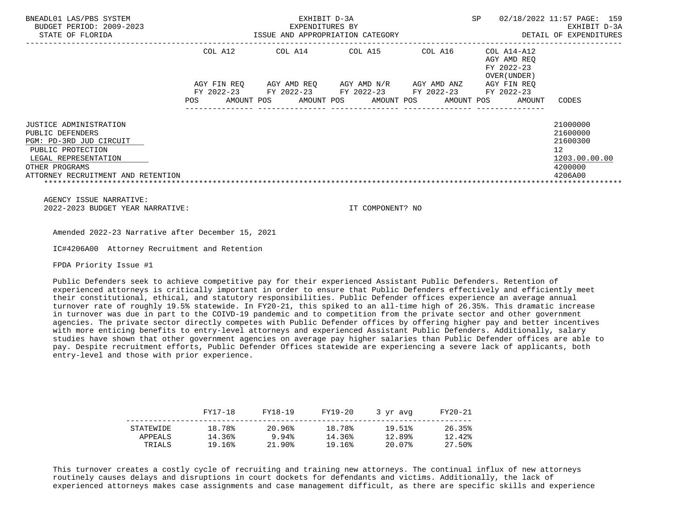| BNEADL01 LAS/PBS SYSTEM<br>BUDGET PERIOD: 2009-2023<br>STATE OF FLORIDA | ISSUE AND APPROPRIATION CATEGORY       | <b>SP</b>                | 02/18/2022 11:57 PAGE: 159<br>EXHIBIT D-3A<br>DETAIL OF EXPENDITURES |                          |                                                          |                     |
|-------------------------------------------------------------------------|----------------------------------------|--------------------------|----------------------------------------------------------------------|--------------------------|----------------------------------------------------------|---------------------|
|                                                                         | COL A12                                | COL A14                  | COL A15                                                              | COL A16                  | COL A14-A12<br>AGY AMD REO<br>FY 2022-23<br>OVER (UNDER) |                     |
|                                                                         | AGY FIN REO                            | AGY AMD REO              | AGY AMD N/R                                                          | AGY AMD ANZ              | AGY FIN REO                                              |                     |
|                                                                         | FY 2022-23<br>AMOUNT POS<br><b>POS</b> | FY 2022-23<br>AMOUNT POS | FY 2022-23<br>AMOUNT POS                                             | FY 2022-23<br>AMOUNT POS | FY 2022-23<br>AMOUNT                                     | CODES               |
| JUSTICE ADMINISTRATION                                                  |                                        |                          |                                                                      |                          |                                                          | 21000000            |
| PUBLIC DEFENDERS                                                        |                                        |                          |                                                                      |                          |                                                          | 21600000            |
| PGM: PD-3RD JUD CIRCUIT                                                 |                                        |                          |                                                                      |                          |                                                          | 21600300            |
| PUBLIC PROTECTION<br>LEGAL REPRESENTATION                               |                                        |                          |                                                                      |                          |                                                          | 12<br>1203.00.00.00 |
| OTHER PROGRAMS                                                          |                                        |                          |                                                                      |                          |                                                          | 4200000             |
| ATTORNEY RECRUITMENT AND RETENTION                                      |                                        |                          |                                                                      |                          |                                                          | 4206A00             |

 AGENCY ISSUE NARRATIVE: 2022-2023 BUDGET YEAR NARRATIVE: IT COMPONENT? NO

Amended 2022-23 Narrative after December 15, 2021

IC#4206A00 Attorney Recruitment and Retention

FPDA Priority Issue #1

 Public Defenders seek to achieve competitive pay for their experienced Assistant Public Defenders. Retention of experienced attorneys is critically important in order to ensure that Public Defenders effectively and efficiently meet their constitutional, ethical, and statutory responsibilities. Public Defender offices experience an average annual turnover rate of roughly 19.5% statewide. In FY20-21, this spiked to an all-time high of 26.35%. This dramatic increase in turnover was due in part to the COIVD-19 pandemic and to competition from the private sector and other government agencies. The private sector directly competes with Public Defender offices by offering higher pay and better incentives with more enticing benefits to entry-level attorneys and experienced Assistant Public Defenders. Additionally, salary studies have shown that other government agencies on average pay higher salaries than Public Defender offices are able to pay. Despite recruitment efforts, Public Defender Offices statewide are experiencing a severe lack of applicants, both entry-level and those with prior experience.

|                      | FY17-18          | FY18-19         | FY19-20          | 3 vr avg         | FY20-21          |
|----------------------|------------------|-----------------|------------------|------------------|------------------|
| STATEWIDE<br>APPEALS | 18.78%<br>14.36% | 20.96%<br>9.94% | 18.78%<br>14.36% | 19.51%<br>12.89% | 26.35%<br>12.42% |
| TRIALS               | 19.16%           | 21.90%          | 19.16%           | 20.07%           | 27.50%           |

 This turnover creates a costly cycle of recruiting and training new attorneys. The continual influx of new attorneys routinely causes delays and disruptions in court dockets for defendants and victims. Additionally, the lack of experienced attorneys makes case assignments and case management difficult, as there are specific skills and experience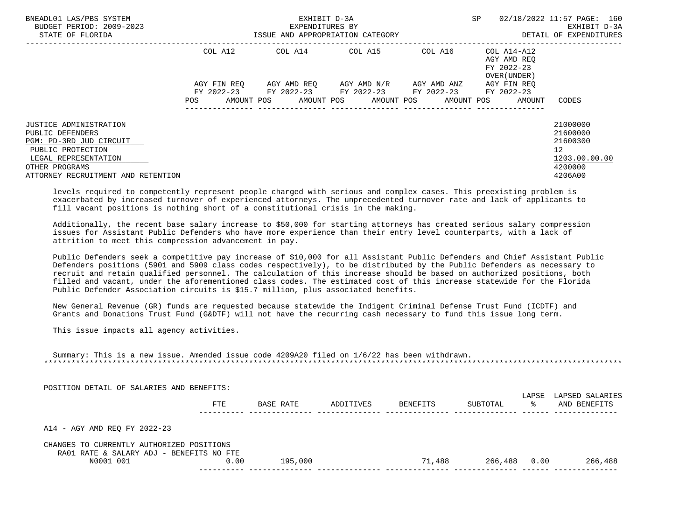| BNEADL01 LAS/PBS SYSTEM<br>BUDGET PERIOD: 2009-2023<br>STATE OF FLORIDA |     |                          | EXHIBIT D-3A<br>EXPENDITURES BY<br>ISSUE AND APPROPRIATION CATEGORY |         |            |                     | <b>SP</b> |                                           | 02/18/2022 11:57 PAGE: 160<br>EXHIBIT D-3A<br>DETAIL OF EXPENDITURES |
|-------------------------------------------------------------------------|-----|--------------------------|---------------------------------------------------------------------|---------|------------|---------------------|-----------|-------------------------------------------|----------------------------------------------------------------------|
|                                                                         |     | COL A12                  | COL A14                                                             | COL A15 |            | COL A16 COL A14-A12 |           | AGY AMD REO<br>FY 2022-23<br>OVER (UNDER) |                                                                      |
|                                                                         |     | AGY FIN REO              | AGY AMD REO AGY AMD N/R                                             |         |            | AGY AMD ANZ         |           | AGY FIN REO                               |                                                                      |
|                                                                         | POS | FY 2022-23<br>AMOUNT POS | FY 2022-23 FY 2022-23 FY 2022-23<br>AMOUNT POS                      |         | AMOUNT POS | AMOUNT POS          |           | FY 2022-23<br>AMOUNT                      | CODES                                                                |
| <b>JUSTICE ADMINISTRATION</b>                                           |     |                          |                                                                     |         |            |                     |           |                                           | 21000000                                                             |
| PUBLIC DEFENDERS                                                        |     |                          |                                                                     |         |            |                     |           |                                           | 21600000                                                             |
| PGM: PD-3RD JUD CIRCUIT                                                 |     |                          |                                                                     |         |            |                     |           |                                           | 21600300                                                             |
| PUBLIC PROTECTION                                                       |     |                          |                                                                     |         |            |                     |           |                                           | 12 <sup>°</sup>                                                      |
| LEGAL REPRESENTATION                                                    |     |                          |                                                                     |         |            |                     |           |                                           | 1203.00.00.00                                                        |
| OTHER PROGRAMS                                                          |     |                          |                                                                     |         |            |                     |           |                                           | 4200000                                                              |
| ATTORNEY RECRUITMENT AND RETENTION                                      |     |                          |                                                                     |         |            |                     |           |                                           | 4206A00                                                              |

 levels required to competently represent people charged with serious and complex cases. This preexisting problem is exacerbated by increased turnover of experienced attorneys. The unprecedented turnover rate and lack of applicants to fill vacant positions is nothing short of a constitutional crisis in the making.

 Additionally, the recent base salary increase to \$50,000 for starting attorneys has created serious salary compression issues for Assistant Public Defenders who have more experience than their entry level counterparts, with a lack of attrition to meet this compression advancement in pay.

 Public Defenders seek a competitive pay increase of \$10,000 for all Assistant Public Defenders and Chief Assistant Public Defenders positions (5901 and 5909 class codes respectively), to be distributed by the Public Defenders as necessary to recruit and retain qualified personnel. The calculation of this increase should be based on authorized positions, both filled and vacant, under the aforementioned class codes. The estimated cost of this increase statewide for the Florida Public Defender Association circuits is \$15.7 million, plus associated benefits.

 New General Revenue (GR) funds are requested because statewide the Indigent Criminal Defense Trust Fund (ICDTF) and Grants and Donations Trust Fund (G&DTF) will not have the recurring cash necessary to fund this issue long term.

This issue impacts all agency activities.

| Summary: This is a new issue. Amended issue code 4209A20 filed on 1/6/22 has been withdrawn. |  |  |  |  |  |  |  |  |  |
|----------------------------------------------------------------------------------------------|--|--|--|--|--|--|--|--|--|
|                                                                                              |  |  |  |  |  |  |  |  |  |

POSITION DETAIL OF SALARIES AND BENEFITS:

|                                           | FTE  | BASE RATE | ADDITIVES | BENEFITS | SUBTOTAL | LAPSE<br>°≈ | LAPSED SALARIES<br>AND BENEFITS |
|-------------------------------------------|------|-----------|-----------|----------|----------|-------------|---------------------------------|
|                                           |      |           |           |          |          |             |                                 |
| A14 - AGY AMD REO FY 2022-23              |      |           |           |          |          |             |                                 |
| CHANGES TO CURRENTLY AUTHORIZED POSITIONS |      |           |           |          |          |             |                                 |
| RA01 RATE & SALARY ADJ - BENEFITS NO FTE  |      |           |           |          |          |             |                                 |
| N0001 001                                 | 0.00 | 195,000   |           | 71,488   | 266,488  | 0.00        | 266,488                         |
|                                           |      |           |           |          |          |             |                                 |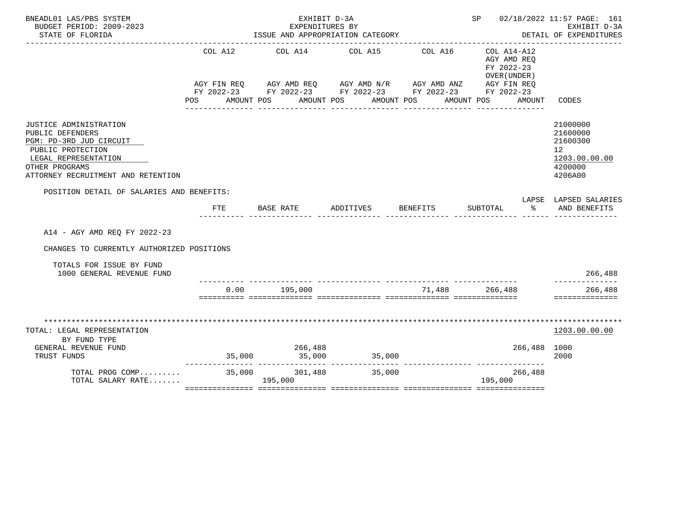| BNEADL01 LAS/PBS SYSTEM<br>BUDGET PERIOD: 2009-2023                                                                                                                        |                | EXHIBIT D-3A<br>EXPENDITURES BY           |                                                                                                                                                             |                                          |                                                                                  | SP 02/18/2022 11:57 PAGE: 161<br>EXHIBIT D-3A                                 |  |
|----------------------------------------------------------------------------------------------------------------------------------------------------------------------------|----------------|-------------------------------------------|-------------------------------------------------------------------------------------------------------------------------------------------------------------|------------------------------------------|----------------------------------------------------------------------------------|-------------------------------------------------------------------------------|--|
| STATE OF FLORIDA                                                                                                                                                           |                |                                           | ISSUE AND APPROPRIATION CATEGORY                                                                                                                            | __________________________________       |                                                                                  | DETAIL OF EXPENDITURES                                                        |  |
|                                                                                                                                                                            | COL A12<br>POS | AMOUNT POS AMOUNT POS<br>---------------- | COL A14 COL A15<br>AGY FIN REQ AGY AMD REQ AGY AMD N/R AGY AMD ANZ AGY FIN REQ<br>FY 2022-23 FY 2022-23 FY 2022-23 FY 2022-23 FY 2022-23<br>_______________ | COL A16<br>AMOUNT POS<br>_______________ | COL A14-A12<br>AGY AMD REO<br>FY 2022-23<br>OVER (UNDER)<br>AMOUNT POS<br>AMOUNT | CODES                                                                         |  |
| JUSTICE ADMINISTRATION<br>PUBLIC DEFENDERS<br>PGM: PD-3RD JUD CIRCUIT<br>PUBLIC PROTECTION<br>LEGAL REPRESENTATION<br>OTHER PROGRAMS<br>ATTORNEY RECRUITMENT AND RETENTION |                |                                           |                                                                                                                                                             |                                          |                                                                                  | 21000000<br>21600000<br>21600300<br>12<br>1203.00.00.00<br>4200000<br>4206A00 |  |
| POSITION DETAIL OF SALARIES AND BENEFITS:                                                                                                                                  |                |                                           |                                                                                                                                                             |                                          |                                                                                  | LAPSE LAPSED SALARIES                                                         |  |
|                                                                                                                                                                            | FTE            | BASE RATE                                 | ADDITIVES                                                                                                                                                   | <b>BENEFITS</b>                          | SUBTOTAL<br>ော အေ                                                                | AND BENEFITS                                                                  |  |
| A14 - AGY AMD REO FY 2022-23                                                                                                                                               |                |                                           |                                                                                                                                                             |                                          |                                                                                  |                                                                               |  |
| CHANGES TO CURRENTLY AUTHORIZED POSITIONS                                                                                                                                  |                |                                           |                                                                                                                                                             |                                          |                                                                                  |                                                                               |  |
| TOTALS FOR ISSUE BY FUND<br>1000 GENERAL REVENUE FUND                                                                                                                      |                |                                           |                                                                                                                                                             |                                          |                                                                                  | 266,488                                                                       |  |
|                                                                                                                                                                            |                | $0.00$ 195,000                            | <u>sisisisis sisisisisisis sisisisisisis sisisisisisis sisisisisisis</u>                                                                                    |                                          | 71,488 266,488                                                                   | 266,488<br>==============                                                     |  |
| TOTAL: LEGAL REPRESENTATION<br>BY FUND TYPE<br>GENERAL REVENUE FUND<br>TRUST FUNDS<br>TOTAL PROG COMP 35,000 301,488<br>TOTAL SALARY RATE                                  |                | 266,488<br>195,000                        | $35,000$ $35,000$ $35,000$<br>35,000                                                                                                                        |                                          | 266,488 1000<br>266,488<br>195,000                                               | 1203.00.00.00<br>2000                                                         |  |
|                                                                                                                                                                            |                |                                           |                                                                                                                                                             |                                          |                                                                                  |                                                                               |  |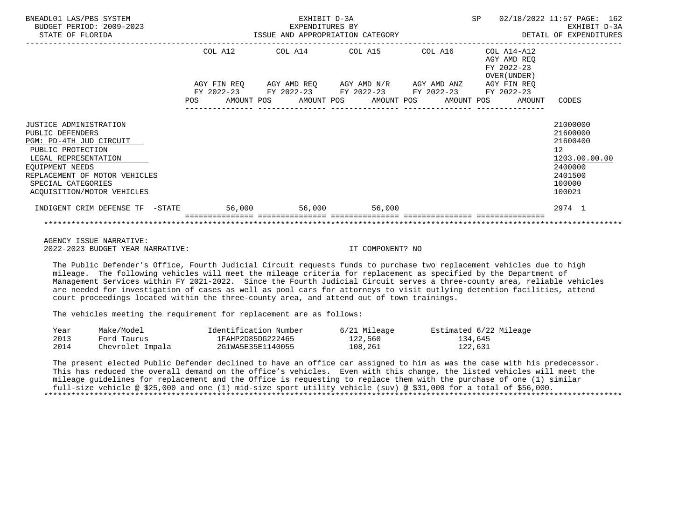| BNEADL01 LAS/PBS SYSTEM<br>BUDGET PERIOD: 2009-2023<br>STATE OF FLORIDA                                                                                                                                                    | EXHIBIT D-3A<br>EXPENDITURES BY<br>ISSUE AND APPROPRIATION CATEGORY |         |  |  |  |                                                                                                                                                  |  | SP |  | 02/18/2022 11:57 PAGE: 162<br>EXHIBIT D-3A<br>DETAIL OF EXPENDITURES |                                                                                                                |  |
|----------------------------------------------------------------------------------------------------------------------------------------------------------------------------------------------------------------------------|---------------------------------------------------------------------|---------|--|--|--|--------------------------------------------------------------------------------------------------------------------------------------------------|--|----|--|----------------------------------------------------------------------|----------------------------------------------------------------------------------------------------------------|--|
|                                                                                                                                                                                                                            |                                                                     | COL A12 |  |  |  | COL A14 COL A15 COL A16<br>AGY FIN REQ AGY AMD REQ AGY AMD N/R AGY AMD ANZ AGY FIN REQ<br>FY 2022-23 FY 2022-23 FY 2022-23 FY 2022-23 FY 2022-23 |  |    |  | COL A14-A12<br>AGY AMD REO<br>FY 2022-23<br>OVER (UNDER )            |                                                                                                                |  |
|                                                                                                                                                                                                                            | <b>POS</b>                                                          |         |  |  |  | AMOUNT POS AMOUNT POS AMOUNT POS AMOUNT POS                                                                                                      |  |    |  | AMOUNT                                                               | CODES                                                                                                          |  |
| JUSTICE ADMINISTRATION<br>PUBLIC DEFENDERS<br>PGM: PD-4TH JUD CIRCUIT<br>PUBLIC PROTECTION<br>LEGAL REPRESENTATION<br>EOUIPMENT NEEDS<br>REPLACEMENT OF MOTOR VEHICLES<br>SPECIAL CATEGORIES<br>ACOUISITION/MOTOR VEHICLES |                                                                     |         |  |  |  |                                                                                                                                                  |  |    |  |                                                                      | 21000000<br>21600000<br>21600400<br>12 <sup>°</sup><br>1203.00.00.00<br>2400000<br>2401500<br>100000<br>100021 |  |
| INDIGENT CRIM DEFENSE TF -STATE 56,000 56,000 56,000 56,000                                                                                                                                                                |                                                                     |         |  |  |  |                                                                                                                                                  |  |    |  |                                                                      | 2974 1                                                                                                         |  |
|                                                                                                                                                                                                                            |                                                                     |         |  |  |  |                                                                                                                                                  |  |    |  |                                                                      |                                                                                                                |  |

 AGENCY ISSUE NARRATIVE: 2022-2023 BUDGET YEAR NARRATIVE: IT COMPONENT? NO

 The Public Defender's Office, Fourth Judicial Circuit requests funds to purchase two replacement vehicles due to high mileage. The following vehicles will meet the mileage criteria for replacement as specified by the Department of Management Services within FY 2021-2022. Since the Fourth Judicial Circuit serves a three-county area, reliable vehicles are needed for investigation of cases as well as pool cars for attorneys to visit outlying detention facilities, attend court proceedings located within the three-county area, and attend out of town trainings.

The vehicles meeting the requirement for replacement are as follows:

| Year | Make/Model       | Identification Number | 6/21 Mileage | Estimated 6/22 Mileage |
|------|------------------|-----------------------|--------------|------------------------|
| 2013 | Ford Taurus      | 1FAHP2D85DG222465     | 122,560      | 134,645                |
| 2014 | Chevrolet Impala | 2G1WA5E35E1140055     | 108,261      | 122,631                |

 The present elected Public Defender declined to have an office car assigned to him as was the case with his predecessor. This has reduced the overall demand on the office's vehicles. Even with this change, the listed vehicles will meet the mileage guidelines for replacement and the Office is requesting to replace them with the purchase of one (1) similar full-size vehicle @ \$25,000 and one (1) mid-size sport utility vehicle (suv) @ \$31,000 for a total of \$56,000. \*\*\*\*\*\*\*\*\*\*\*\*\*\*\*\*\*\*\*\*\*\*\*\*\*\*\*\*\*\*\*\*\*\*\*\*\*\*\*\*\*\*\*\*\*\*\*\*\*\*\*\*\*\*\*\*\*\*\*\*\*\*\*\*\*\*\*\*\*\*\*\*\*\*\*\*\*\*\*\*\*\*\*\*\*\*\*\*\*\*\*\*\*\*\*\*\*\*\*\*\*\*\*\*\*\*\*\*\*\*\*\*\*\*\*\*\*\*\*\*\*\*\*\*\*\*\*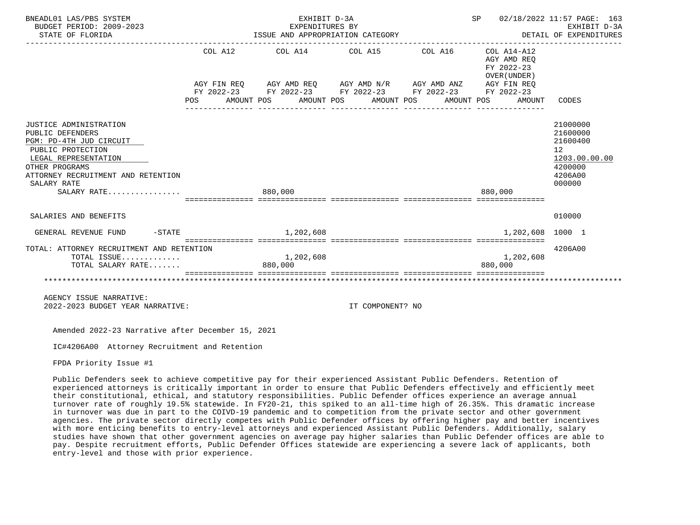| BNEADL01 LAS/PBS SYSTEM<br>BUDGET PERIOD: 2009-2023<br>STATE OF FLORIDA                                                                                                                                  | ISSUE AND APPROPRIATION CATEGORY | SP 02/18/2022 11:57 PAGE: 163<br>EARLBII D-3A<br>DETAIL OF EXPENDITURES<br>----------------------------------                                                                                            | EXHIBIT D-3A |                                                     |                                                                                         |
|----------------------------------------------------------------------------------------------------------------------------------------------------------------------------------------------------------|----------------------------------|----------------------------------------------------------------------------------------------------------------------------------------------------------------------------------------------------------|--------------|-----------------------------------------------------|-----------------------------------------------------------------------------------------|
|                                                                                                                                                                                                          | POS                              | COL A12 COL A14 COL A15 COL A16 COL A14-A12<br>AGY FIN REQ AGY AMD REQ AGY AMD N/R AGY AMD ANZ AGY FIN REQ<br>FY 2022-23 FY 2022-23 FY 2022-23 FY 2022-23 FY 2022-23<br>AMOUNT POS AMOUNT POS AMOUNT POS | AMOUNT POS   | AGY AMD REO<br>FY 2022-23<br>OVER (UNDER)<br>AMOUNT | CODES                                                                                   |
| JUSTICE ADMINISTRATION<br>PUBLIC DEFENDERS<br>PGM: PD-4TH JUD CIRCUIT<br>PUBLIC PROTECTION<br>LEGAL REPRESENTATION<br>OTHER PROGRAMS<br>ATTORNEY RECRUITMENT AND RETENTION<br>SALARY RATE<br>SALARY RATE |                                  | 880,000                                                                                                                                                                                                  |              | 880,000                                             | 21000000<br>21600000<br>21600400<br>12<br>1203.00.00.00<br>4200000<br>4206A00<br>000000 |
|                                                                                                                                                                                                          |                                  |                                                                                                                                                                                                          |              |                                                     |                                                                                         |
| SALARIES AND BENEFITS                                                                                                                                                                                    |                                  |                                                                                                                                                                                                          |              |                                                     | 010000                                                                                  |
| $-$ STATE<br>GENERAL REVENUE FUND                                                                                                                                                                        |                                  | 1,202,608                                                                                                                                                                                                |              | 1,202,608 1000 1                                    |                                                                                         |
| TOTAL: ATTORNEY RECRUITMENT AND RETENTION<br>TOTAL ISSUE<br>TOTAL SALARY RATE                                                                                                                            |                                  | 1,202,608<br>880,000                                                                                                                                                                                     |              | 1,202,608<br>880,000                                | 4206A00                                                                                 |
|                                                                                                                                                                                                          |                                  |                                                                                                                                                                                                          |              |                                                     |                                                                                         |
| AGENCY ISSUE NARRATIVE:                                                                                                                                                                                  |                                  |                                                                                                                                                                                                          |              |                                                     |                                                                                         |

2022-2023 BUDGET YEAR NARRATIVE: IT COMPONENT? NO

Amended 2022-23 Narrative after December 15, 2021

IC#4206A00 Attorney Recruitment and Retention

FPDA Priority Issue #1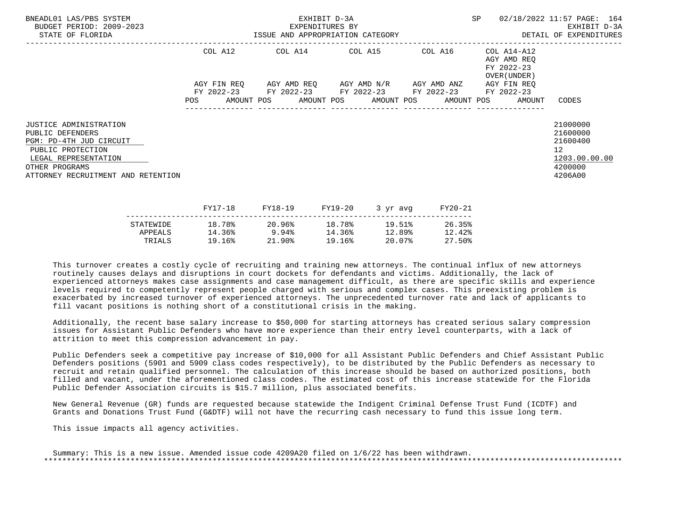| BNEADL01 LAS/PBS SYSTEM<br>BUDGET PERIOD: 2009-2023<br>STATE OF FLORIDA                                                                                                           | EXHIBIT D-3A<br>EXPENDITURES BY<br>ISSUE AND APPROPRIATION CATEGORY <b>Experience CONTA</b> DETAIL OF EXPENDITURES |  |  |         |         |                                                                                                           |          | SP      |  | 02/18/2022 11:57 PAGE: 164<br>EXHIBIT D-3A                            |                                                                                            |  |
|-----------------------------------------------------------------------------------------------------------------------------------------------------------------------------------|--------------------------------------------------------------------------------------------------------------------|--|--|---------|---------|-----------------------------------------------------------------------------------------------------------|----------|---------|--|-----------------------------------------------------------------------|--------------------------------------------------------------------------------------------|--|
|                                                                                                                                                                                   | COL A12                                                                                                            |  |  |         |         | COL A14 COL A15 COL A16                                                                                   |          |         |  | COL A14-A12<br>AGY AMD REQ<br>FY 2022-23<br>OVER (UNDER )             |                                                                                            |  |
|                                                                                                                                                                                   |                                                                                                                    |  |  |         |         | AGY FIN REO AGY AMD REO AGY AMD N/R AGY AMD ANZ<br>FY 2022-23 FY 2022-23 FY 2022-23 FY 2022-23 FY 2022-23 |          |         |  | AGY FIN REO<br>POS AMOUNT POS AMOUNT POS AMOUNT POS AMOUNT POS AMOUNT | CODES                                                                                      |  |
| <b>JUSTICE ADMINISTRATION</b><br>PUBLIC DEFENDERS<br>PGM: PD-4TH JUD CIRCUIT<br>PUBLIC PROTECTION<br>LEGAL REPRESENTATION<br>OTHER PROGRAMS<br>ATTORNEY RECRUITMENT AND RETENTION |                                                                                                                    |  |  |         |         |                                                                                                           |          |         |  |                                                                       | 21000000<br>21600000<br>21600400<br>12 <sup>°</sup><br>1203.00.00.00<br>4200000<br>4206A00 |  |
|                                                                                                                                                                                   | FY17-18                                                                                                            |  |  | FY18-19 | FY19-20 |                                                                                                           | 3 yr avg | FY20-21 |  |                                                                       |                                                                                            |  |

|           | - - - <i>-</i> - - - | ----- <b>---</b> | ---- <i>-</i> -- | $J + M + M$ | ------ |
|-----------|----------------------|------------------|------------------|-------------|--------|
| STATEWIDE | 18.78%               | 20.96%           | 18.78%           | 19.51%      | 26.35% |
| APPEALS   | 14.36%               | 9.94%            | 14.36%           | 12.89%      | 12.42% |
| TRIALS    | 19.16%               | $21.90\%$        | 19.16%           | 20.07%      | 27.50% |
|           |                      |                  |                  |             |        |

 Additionally, the recent base salary increase to \$50,000 for starting attorneys has created serious salary compression issues for Assistant Public Defenders who have more experience than their entry level counterparts, with a lack of attrition to meet this compression advancement in pay.

 Public Defenders seek a competitive pay increase of \$10,000 for all Assistant Public Defenders and Chief Assistant Public Defenders positions (5901 and 5909 class codes respectively), to be distributed by the Public Defenders as necessary to recruit and retain qualified personnel. The calculation of this increase should be based on authorized positions, both filled and vacant, under the aforementioned class codes. The estimated cost of this increase statewide for the Florida Public Defender Association circuits is \$15.7 million, plus associated benefits.

 New General Revenue (GR) funds are requested because statewide the Indigent Criminal Defense Trust Fund (ICDTF) and Grants and Donations Trust Fund (G&DTF) will not have the recurring cash necessary to fund this issue long term.

This issue impacts all agency activities.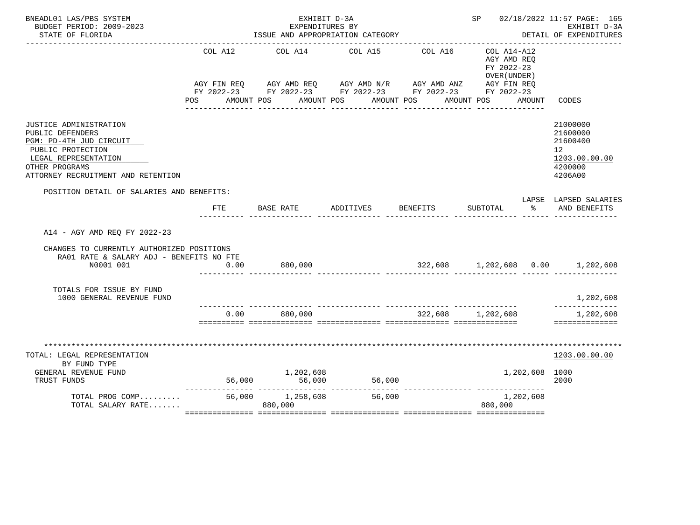| BNEADL01 LAS/PBS SYSTEM<br>BUDGET PERIOD: 2009-2023                                                                                                                        |                | EXHIBIT D-3A<br>EXPENDITURES BY                                                                                                                                      |                 | SP 02/18/2022 11:57 PAGE: 165<br>EXHIBIT D-3A |                                                                       |                                                                                             |
|----------------------------------------------------------------------------------------------------------------------------------------------------------------------------|----------------|----------------------------------------------------------------------------------------------------------------------------------------------------------------------|-----------------|-----------------------------------------------|-----------------------------------------------------------------------|---------------------------------------------------------------------------------------------|
| STATE OF FLORIDA                                                                                                                                                           |                | ISSUE AND APPROPRIATION CATEGORY                                                                                                                                     |                 |                                               |                                                                       | DETAIL OF EXPENDITURES                                                                      |
|                                                                                                                                                                            | COL A12<br>POS | AGY FIN REQ AGY AMD REQ AGY AMD N/R AGY AMD ANZ AGY FIN REQ<br>FY 2022-23 FY 2022-23 FY 2022-23 FY 2022-23 FY 2022-23<br>AMOUNT POS AMOUNT POS AMOUNT POS AMOUNT POS | COL A14 COL A15 | COL A16                                       | $COL A14- A12$<br>AGY AMD REQ<br>FY 2022-23<br>OVER (UNDER)<br>AMOUNT | CODES                                                                                       |
| JUSTICE ADMINISTRATION<br>PUBLIC DEFENDERS<br>PGM: PD-4TH JUD CIRCUIT<br>PUBLIC PROTECTION<br>LEGAL REPRESENTATION<br>OTHER PROGRAMS<br>ATTORNEY RECRUITMENT AND RETENTION |                |                                                                                                                                                                      |                 |                                               |                                                                       | 21000000<br>21600000<br>21600400<br>12 <sup>12</sup><br>1203.00.00.00<br>4200000<br>4206A00 |
| POSITION DETAIL OF SALARIES AND BENEFITS:                                                                                                                                  | FTE            | BASE RATE                                                                                                                                                            | ADDITIVES       | <b>BENEFITS</b>                               | SUBTOTAL<br>$\sim$ $\sim$                                             | LAPSE LAPSED SALARIES<br>AND BENEFITS                                                       |
| A14 - AGY AMD REQ FY 2022-23<br>CHANGES TO CURRENTLY AUTHORIZED POSITIONS<br>RA01 RATE & SALARY ADJ - BENEFITS NO FTE<br>N0001 001                                         | 0.00           | 880,000                                                                                                                                                              |                 |                                               | 322,608 1,202,608 0.00 1,202,608                                      |                                                                                             |
| TOTALS FOR ISSUE BY FUND<br>1000 GENERAL REVENUE FUND                                                                                                                      |                |                                                                                                                                                                      |                 |                                               |                                                                       | 1,202,608                                                                                   |
|                                                                                                                                                                            |                | $0.00$ 880,000                                                                                                                                                       |                 | 322,608 1,202,608                             |                                                                       | ______________<br>1,202,608<br>==============                                               |
| **********************************<br>TOTAL: LEGAL REPRESENTATION<br>BY FUND TYPE<br>GENERAL REVENUE FUND<br>TRUST FUNDS                                                   |                | 1,202,608                                                                                                                                                            | 56,000          |                                               | 1,202,608 1000                                                        | ****************<br>1203.00.00.00<br>2000                                                   |
| TOTAL PROG COMP<br>TOTAL SALARY RATE                                                                                                                                       |                | $56,000$ $1,258,608$<br>880,000                                                                                                                                      | 56,000          |                                               | 1,202,608<br>880,000                                                  |                                                                                             |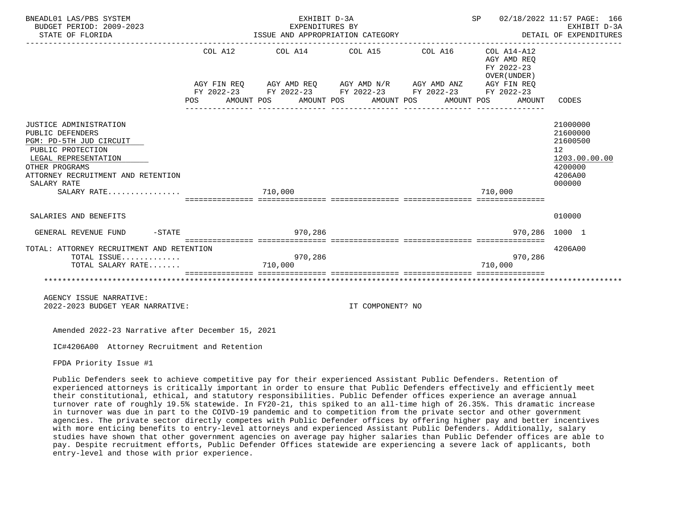| BNEADL01 LAS/PBS SYSTEM<br>BUDGET PERIOD: 2009-2023<br>STATE OF FLORIDA                                                                                                                                  |     | EXHIBIT D-3A<br>EXPENDITURES BY<br>EXPENDITURES BY<br>ISSUE AND APPROPRIATION CATEGORY                                                                                                                                        | SP 02/18/2022 11:57 PAGE: 166<br>DETAIL OF EXPENDITURES | EXHIBIT D-3A |                                                     |                                                                                                      |
|----------------------------------------------------------------------------------------------------------------------------------------------------------------------------------------------------------|-----|-------------------------------------------------------------------------------------------------------------------------------------------------------------------------------------------------------------------------------|---------------------------------------------------------|--------------|-----------------------------------------------------|------------------------------------------------------------------------------------------------------|
|                                                                                                                                                                                                          | POS | $COL A12$ $COL A14$ $COL A15$ $COL A16$ $COL A14-A12$<br>AGY FIN REQ AGY AMD REQ AGY AMD N/R AGY AMD ANZ AGY FIN REQ<br>FY 2022-23 FY 2022-23 FY 2022-23 FY 2022-23 FY 2022-23<br>AMOUNT POS AMOUNT POS AMOUNT POS AMOUNT POS |                                                         |              | AGY AMD REQ<br>FY 2022-23<br>OVER (UNDER)<br>AMOUNT | CODES                                                                                                |
| JUSTICE ADMINISTRATION<br>PUBLIC DEFENDERS<br>PGM: PD-5TH JUD CIRCUIT<br>PUBLIC PROTECTION<br>LEGAL REPRESENTATION<br>OTHER PROGRAMS<br>ATTORNEY RECRUITMENT AND RETENTION<br>SALARY RATE<br>SALARY RATE |     | 710,000<br>siciciosicios ciclosiciosi ciclosicios ciclosicum contectosicum ciclosiciosic                                                                                                                                      |                                                         |              | 710,000                                             | 21000000<br>21600000<br>21600500<br>12 <sup>°</sup><br>1203.00.00.00<br>4200000<br>4206A00<br>000000 |
| SALARIES AND BENEFITS                                                                                                                                                                                    |     |                                                                                                                                                                                                                               |                                                         |              |                                                     | 010000                                                                                               |
| $-STATE$<br>GENERAL REVENUE FUND                                                                                                                                                                         |     | 970,286                                                                                                                                                                                                                       |                                                         |              | 970.286 1000 1                                      |                                                                                                      |
| TOTAL: ATTORNEY RECRUITMENT AND RETENTION<br>TOTAL ISSUE<br>TOTAL SALARY RATE                                                                                                                            |     | 970,286<br>710,000                                                                                                                                                                                                            |                                                         |              | 970,286<br>710,000                                  | 4206A00                                                                                              |
| AGENCY ISSUE NARRATIVE:<br>2022-2023 BUDGET YEAR NARRATIVE:                                                                                                                                              |     |                                                                                                                                                                                                                               | IT COMPONENT? NO                                        |              |                                                     |                                                                                                      |

Amended 2022-23 Narrative after December 15, 2021

IC#4206A00 Attorney Recruitment and Retention

FPDA Priority Issue #1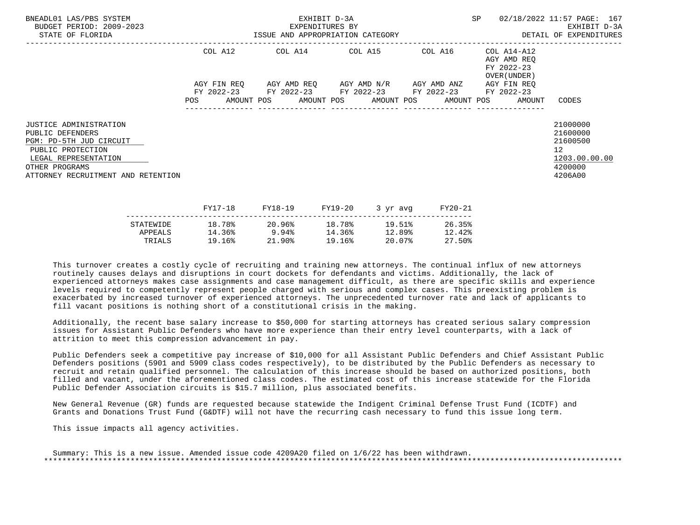| BNEADL01 LAS/PBS SYSTEM<br>BUDGET PERIOD: 2009-2023<br>STATE OF FLORIDA                                                                                                    | EXHIBIT D-3A<br>EXPENDITURES BY<br>ISSUE AND APPROPRIATION CATEGORY |             |  |                 |  |                                                        |  | SP      |  | 02/18/2022 11:57 PAGE: 167<br>EXHIBIT D-3A<br>DETAIL OF EXPENDITURES |                                                                                            |
|----------------------------------------------------------------------------------------------------------------------------------------------------------------------------|---------------------------------------------------------------------|-------------|--|-----------------|--|--------------------------------------------------------|--|---------|--|----------------------------------------------------------------------|--------------------------------------------------------------------------------------------|
|                                                                                                                                                                            |                                                                     |             |  |                 |  | COL A12 COL A14 COL A15 COL A16                        |  |         |  | COL A14-A12<br>AGY AMD REO<br>FY 2022-23<br>OVER (UNDER )            |                                                                                            |
|                                                                                                                                                                            |                                                                     | AGY FIN REO |  |                 |  | AGY AMD REQ       AGY AMD N/R       AGY AMD ANZ        |  |         |  | AGY FIN REO                                                          |                                                                                            |
|                                                                                                                                                                            |                                                                     |             |  |                 |  | FY 2022-23 FY 2022-23 FY 2022-23 FY 2022-23 FY 2022-23 |  |         |  | POS AMOUNT POS AMOUNT POS AMOUNT POS AMOUNT POS AMOUNT               | CODES                                                                                      |
| JUSTICE ADMINISTRATION<br>PUBLIC DEFENDERS<br>PGM: PD-5TH JUD CIRCUIT<br>PUBLIC PROTECTION<br>LEGAL REPRESENTATION<br>OTHER PROGRAMS<br>ATTORNEY RECRUITMENT AND RETENTION |                                                                     |             |  |                 |  |                                                        |  |         |  |                                                                      | 21000000<br>21600000<br>21600500<br>12 <sup>°</sup><br>1203.00.00.00<br>4200000<br>4206A00 |
|                                                                                                                                                                            |                                                                     | FY17-18     |  | FY18-19 FY19-20 |  | 3 yr avg                                               |  | FY20-21 |  |                                                                      |                                                                                            |

|           | - - - <i>-</i> - - - | ----- <b>---</b> | ---- <i>-</i> -- | $J + M + M$ | ------ |
|-----------|----------------------|------------------|------------------|-------------|--------|
| STATEWIDE | 18.78%               | 20.96%           | 18.78%           | 19.51%      | 26.35% |
| APPEALS   | 14.36%               | 9.94%            | 14.36%           | 12.89%      | 12.42% |
| TRIALS    | 19.16%               | $21.90\%$        | 19.16%           | 20.07%      | 27.50% |
|           |                      |                  |                  |             |        |

 Additionally, the recent base salary increase to \$50,000 for starting attorneys has created serious salary compression issues for Assistant Public Defenders who have more experience than their entry level counterparts, with a lack of attrition to meet this compression advancement in pay.

 Public Defenders seek a competitive pay increase of \$10,000 for all Assistant Public Defenders and Chief Assistant Public Defenders positions (5901 and 5909 class codes respectively), to be distributed by the Public Defenders as necessary to recruit and retain qualified personnel. The calculation of this increase should be based on authorized positions, both filled and vacant, under the aforementioned class codes. The estimated cost of this increase statewide for the Florida Public Defender Association circuits is \$15.7 million, plus associated benefits.

 New General Revenue (GR) funds are requested because statewide the Indigent Criminal Defense Trust Fund (ICDTF) and Grants and Donations Trust Fund (G&DTF) will not have the recurring cash necessary to fund this issue long term.

This issue impacts all agency activities.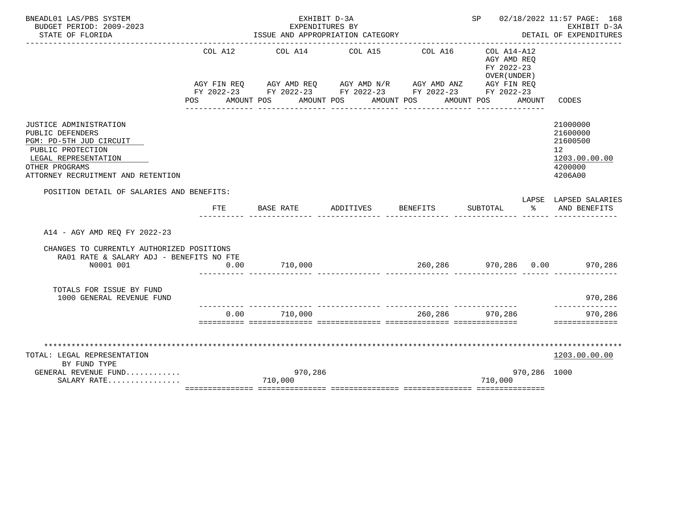| BNEADL01 LAS/PBS SYSTEM<br>BUDGET PERIOD: 2009-2023                                                                                                                        |                | EXHIBIT D-3A<br>EXPENDITURES BY                                                                                                                           |                                                         |                              | SP 02/18/2022 11:57 PAGE: 168<br>EXHIBIT D-3A                          |              |                                                                               |
|----------------------------------------------------------------------------------------------------------------------------------------------------------------------------|----------------|-----------------------------------------------------------------------------------------------------------------------------------------------------------|---------------------------------------------------------|------------------------------|------------------------------------------------------------------------|--------------|-------------------------------------------------------------------------------|
| STATE OF FLORIDA                                                                                                                                                           |                | ISSUE AND APPROPRIATION CATEGORY                                                                                                                          |                                                         |                              |                                                                        |              | DETAIL OF EXPENDITURES                                                        |
|                                                                                                                                                                            | COL A12<br>POS | AGY FIN REQ AGY AMD REQ AGY AMD N/R AGY AMD ANZ AGY FIN REQ<br>FY 2022-23 FY 2022-23 FY 2022-23 FY 2022-23 FY 2022-23<br>AMOUNT POS AMOUNT POS AMOUNT POS | COL A14 COL A15<br>____________________________________ | COL A16<br>_______________   | COL A14-A12<br>AGY AMD REO<br>FY 2022-23<br>OVER (UNDER)<br>AMOUNT POS | AMOUNT       | CODES                                                                         |
| JUSTICE ADMINISTRATION<br>PUBLIC DEFENDERS<br>PGM: PD-5TH JUD CIRCUIT<br>PUBLIC PROTECTION<br>LEGAL REPRESENTATION<br>OTHER PROGRAMS<br>ATTORNEY RECRUITMENT AND RETENTION |                |                                                                                                                                                           |                                                         |                              |                                                                        |              | 21000000<br>21600000<br>21600500<br>12<br>1203.00.00.00<br>4200000<br>4206A00 |
| POSITION DETAIL OF SALARIES AND BENEFITS:                                                                                                                                  |                |                                                                                                                                                           |                                                         |                              |                                                                        |              | LAPSE LAPSED SALARIES                                                         |
|                                                                                                                                                                            | <b>FTE</b>     | BASE RATE                                                                                                                                                 | ADDITIVES                                               | BENEFITS                     | SUBTOTAL                                                               | ော အေ        | AND BENEFITS                                                                  |
| A14 - AGY AMD REO FY 2022-23                                                                                                                                               |                |                                                                                                                                                           |                                                         |                              |                                                                        |              |                                                                               |
| CHANGES TO CURRENTLY AUTHORIZED POSITIONS<br>RA01 RATE & SALARY ADJ - BENEFITS NO FTE                                                                                      |                |                                                                                                                                                           |                                                         |                              |                                                                        |              |                                                                               |
| N0001 001                                                                                                                                                                  | 0.00           | 710,000                                                                                                                                                   |                                                         | 260,286 970,286 0.00 970,286 |                                                                        |              |                                                                               |
| TOTALS FOR ISSUE BY FUND<br>1000 GENERAL REVENUE FUND                                                                                                                      |                | .i iliailiailiailia tittivateista tittivateistaa tittivateistaa                                                                                           |                                                         |                              |                                                                        |              | 970,286                                                                       |
|                                                                                                                                                                            | 0.00           | 710,000                                                                                                                                                   |                                                         | 260,286 970,286              |                                                                        |              | 970,286<br>==============                                                     |
|                                                                                                                                                                            |                |                                                                                                                                                           |                                                         |                              |                                                                        |              |                                                                               |
| TOTAL: LEGAL REPRESENTATION                                                                                                                                                |                |                                                                                                                                                           |                                                         |                              |                                                                        |              | 1203.00.00.00                                                                 |
| BY FUND TYPE                                                                                                                                                               |                |                                                                                                                                                           |                                                         |                              |                                                                        |              |                                                                               |
| GENERAL REVENUE FUND<br>SALARY RATE                                                                                                                                        |                | 970,286<br>710,000                                                                                                                                        |                                                         |                              | 710,000                                                                | 970,286 1000 |                                                                               |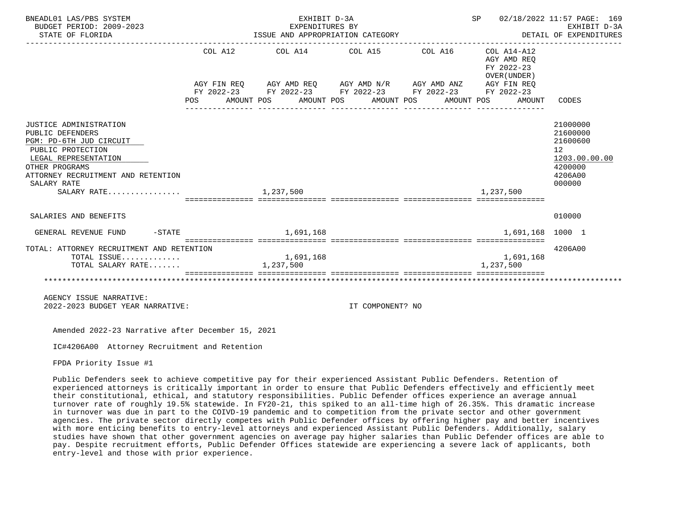| BNEADL01 LAS/PBS SYSTEM<br>BUDGET PERIOD: 2009-2023<br>STATE OF FLORIDA                                                                                                                                  | ISSUE AND APPROPRIATION CATEGORY | __________________________________                                                                                                                                                                                     | SP 02/18/2022 11:57 PAGE: 169<br>EXHIBIT D-3A<br>DETAIL OF EXPENDITURES |  |                                                                                                     |                                                                                                      |
|----------------------------------------------------------------------------------------------------------------------------------------------------------------------------------------------------------|----------------------------------|------------------------------------------------------------------------------------------------------------------------------------------------------------------------------------------------------------------------|-------------------------------------------------------------------------|--|-----------------------------------------------------------------------------------------------------|------------------------------------------------------------------------------------------------------|
|                                                                                                                                                                                                          |                                  | ------------------------------------<br>$COL A12$ $COL A14$ $COL A15$ $COL A16$ $COL A14-A12$<br>AGY FIN REQ AGY AMD REQ AGY AMD N/R AGY AMD ANZ AGY FIN REQ<br>FY 2022-23 FY 2022-23 FY 2022-23 FY 2022-23 FY 2022-23 |                                                                         |  | AGY AMD REO<br>FY 2022-23<br>OVER (UNDER)<br>POS AMOUNT POS AMOUNT POS AMOUNT POS AMOUNT POS AMOUNT | CODES                                                                                                |
| JUSTICE ADMINISTRATION<br>PUBLIC DEFENDERS<br>PGM: PD-6TH JUD CIRCUIT<br>PUBLIC PROTECTION<br>LEGAL REPRESENTATION<br>OTHER PROGRAMS<br>ATTORNEY RECRUITMENT AND RETENTION<br>SALARY RATE<br>SALARY RATE |                                  | 1,237,500                                                                                                                                                                                                              |                                                                         |  | 1,237,500                                                                                           | 21000000<br>21600000<br>21600600<br>12 <sup>°</sup><br>1203.00.00.00<br>4200000<br>4206A00<br>000000 |
| SALARIES AND BENEFITS                                                                                                                                                                                    |                                  |                                                                                                                                                                                                                        |                                                                         |  |                                                                                                     | 010000                                                                                               |
| $-STATE$<br>GENERAL REVENUE FUND                                                                                                                                                                         |                                  | 1.691.168                                                                                                                                                                                                              |                                                                         |  | 1,691,168 1000 1                                                                                    |                                                                                                      |
| TOTAL: ATTORNEY RECRUITMENT AND RETENTION<br>TOTAL ISSUE<br>TOTAL SALARY RATE                                                                                                                            |                                  | 1,691,168<br>1,237,500                                                                                                                                                                                                 |                                                                         |  | 1,691,168<br>1,237,500                                                                              | 4206A00                                                                                              |
|                                                                                                                                                                                                          |                                  |                                                                                                                                                                                                                        |                                                                         |  |                                                                                                     |                                                                                                      |
| AGENCY ISSUE NARRATIVE:<br>2022-2023 BUDGET YEAR NARRATIVE:                                                                                                                                              |                                  |                                                                                                                                                                                                                        | IT COMPONENT? NO                                                        |  |                                                                                                     |                                                                                                      |

Amended 2022-23 Narrative after December 15, 2021

IC#4206A00 Attorney Recruitment and Retention

FPDA Priority Issue #1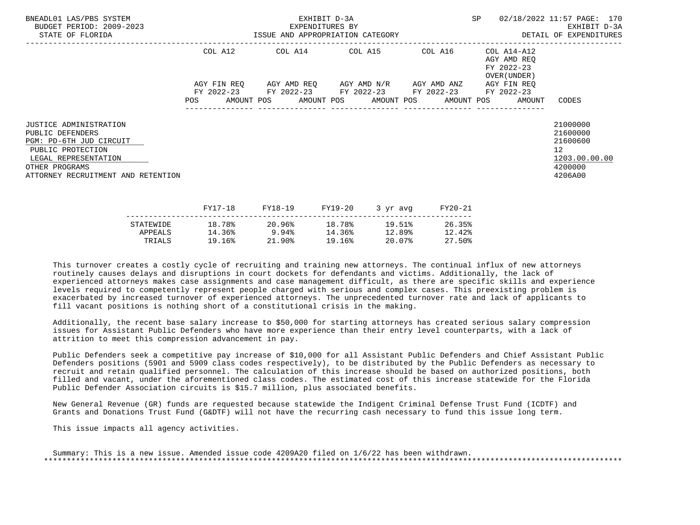| BNEADL01 LAS/PBS SYSTEM<br>BUDGET PERIOD: 2009-2023<br>STATE OF FLORIDA                                                                                                           | EXHIBIT D-3A<br>EXPENDITURES BY<br>ISSUE AND APPROPRIATION CATEGORY |             |  |         |         |                                                 |  | SP      |  | 02/18/2022 11:57 PAGE: 170<br>EXHIBIT D-3A<br>DETAIL OF EXPENDITURES |                                                                                            |
|-----------------------------------------------------------------------------------------------------------------------------------------------------------------------------------|---------------------------------------------------------------------|-------------|--|---------|---------|-------------------------------------------------|--|---------|--|----------------------------------------------------------------------|--------------------------------------------------------------------------------------------|
|                                                                                                                                                                                   | COL A12                                                             |             |  |         |         | COL A14 COL A15 COL A16                         |  |         |  | COL A14-A12<br>AGY AMD REO<br>FY 2022-23<br>OVER (UNDER )            |                                                                                            |
|                                                                                                                                                                                   |                                                                     | AGY FIN REO |  |         |         | AGY AMD REQ       AGY AMD N/R       AGY AMD ANZ |  |         |  | AGY FIN REO                                                          |                                                                                            |
|                                                                                                                                                                                   | FY 2022-23<br>POS                                                   |             |  |         |         | FY 2022-23 FY 2022-23 FY 2022-23                |  |         |  | FY 2022-23<br>AMOUNT POS AMOUNT POS AMOUNT POS AMOUNT POS AMOUNT     | CODES                                                                                      |
| <b>JUSTICE ADMINISTRATION</b><br>PUBLIC DEFENDERS<br>PGM: PD-6TH JUD CIRCUIT<br>PUBLIC PROTECTION<br>LEGAL REPRESENTATION<br>OTHER PROGRAMS<br>ATTORNEY RECRUITMENT AND RETENTION |                                                                     |             |  |         |         |                                                 |  |         |  |                                                                      | 21000000<br>21600000<br>21600600<br>12 <sup>°</sup><br>1203.00.00.00<br>4200000<br>4206A00 |
|                                                                                                                                                                                   | FY17-18                                                             |             |  | FY18-19 | FY19-20 | 3 yr avg                                        |  | FY20-21 |  |                                                                      |                                                                                            |

|           | - - - <i>-</i> - - - | ----- <b>---</b> | ---- <i>-</i> -- | $J + M + M$ | ------ |
|-----------|----------------------|------------------|------------------|-------------|--------|
| STATEWIDE | 18.78%               | 20.96%           | 18.78%           | 19.51%      | 26.35% |
| APPEALS   | 14.36%               | 9.94%            | 14.36%           | 12.89%      | 12.42% |
| TRIALS    | 19.16%               | $21.90\%$        | 19.16%           | 20.07%      | 27.50% |
|           |                      |                  |                  |             |        |

 Additionally, the recent base salary increase to \$50,000 for starting attorneys has created serious salary compression issues for Assistant Public Defenders who have more experience than their entry level counterparts, with a lack of attrition to meet this compression advancement in pay.

 Public Defenders seek a competitive pay increase of \$10,000 for all Assistant Public Defenders and Chief Assistant Public Defenders positions (5901 and 5909 class codes respectively), to be distributed by the Public Defenders as necessary to recruit and retain qualified personnel. The calculation of this increase should be based on authorized positions, both filled and vacant, under the aforementioned class codes. The estimated cost of this increase statewide for the Florida Public Defender Association circuits is \$15.7 million, plus associated benefits.

 New General Revenue (GR) funds are requested because statewide the Indigent Criminal Defense Trust Fund (ICDTF) and Grants and Donations Trust Fund (G&DTF) will not have the recurring cash necessary to fund this issue long term.

This issue impacts all agency activities.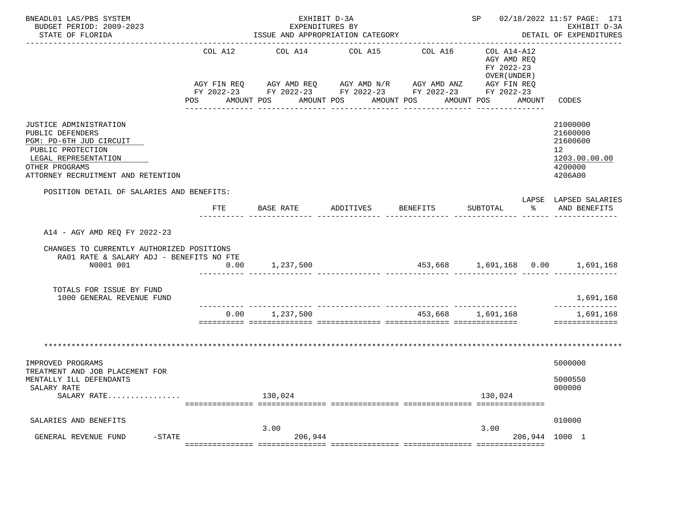| BNEADL01 LAS/PBS SYSTEM<br>BUDGET PERIOD: 2009-2023<br>STATE OF FLORIDA                                                                                                    |                                          | EXHIBIT D-3A<br>EXPENDITURES BY<br>ISSUE AND APPROPRIATION CATEGORY                                               |                                  |             | SP 02/18/2022 11:57 PAGE: 171                                                                | EXHIBIT D-3A<br>DETAIL OF EXPENDITURES                                                      |
|----------------------------------------------------------------------------------------------------------------------------------------------------------------------------|------------------------------------------|-------------------------------------------------------------------------------------------------------------------|----------------------------------|-------------|----------------------------------------------------------------------------------------------|---------------------------------------------------------------------------------------------|
|                                                                                                                                                                            | COL A12<br>AGY FIN REQ<br>POS AMOUNT POS | COL A14<br>AGY AMD REQ      AGY AMD N/R     AGY AMD ANZ<br>FY 2022-23 FY 2022-23 FY 2022-23 FY 2022-23 FY 2022-23 | COL A15<br>AMOUNT POS AMOUNT POS | COL A16     | COL A14-A12<br>AGY AMD REQ<br>FY 2022-23<br>OVER (UNDER)<br>AGY FIN REQ<br>AMOUNT POS AMOUNT | CODES                                                                                       |
| JUSTICE ADMINISTRATION<br>PUBLIC DEFENDERS<br>PGM: PD-6TH JUD CIRCUIT<br>PUBLIC PROTECTION<br>LEGAL REPRESENTATION<br>OTHER PROGRAMS<br>ATTORNEY RECRUITMENT AND RETENTION |                                          |                                                                                                                   |                                  |             |                                                                                              | 21000000<br>21600000<br>21600600<br>12 <sup>12</sup><br>1203.00.00.00<br>4200000<br>4206A00 |
| POSITION DETAIL OF SALARIES AND BENEFITS:                                                                                                                                  | <b>FTE</b>                               | BASE RATE                                                                                                         | ADDITIVES BENEFITS               |             | SUBTOTAL<br>$\sim$ $\sim$                                                                    | LAPSE LAPSED SALARIES<br>AND BENEFITS                                                       |
| A14 - AGY AMD REO FY 2022-23<br>CHANGES TO CURRENTLY AUTHORIZED POSITIONS                                                                                                  |                                          |                                                                                                                   |                                  |             |                                                                                              |                                                                                             |
| RA01 RATE & SALARY ADJ - BENEFITS NO FTE<br>N0001 001                                                                                                                      | 0.00                                     | 1,237,500                                                                                                         |                                  | --- ------- |                                                                                              |                                                                                             |
| TOTALS FOR ISSUE BY FUND<br>1000 GENERAL REVENUE FUND                                                                                                                      |                                          |                                                                                                                   |                                  |             |                                                                                              | 1,691,168<br>--------------                                                                 |
|                                                                                                                                                                            | 0.00                                     | 1,237,500                                                                                                         |                                  | 453,668     | 1,691,168                                                                                    | 1,691,168<br>==============                                                                 |
|                                                                                                                                                                            |                                          |                                                                                                                   |                                  |             |                                                                                              |                                                                                             |
| IMPROVED PROGRAMS<br>TREATMENT AND JOB PLACEMENT FOR<br>MENTALLY ILL DEFENDANTS<br>SALARY RATE<br>SALARY RATE                                                              |                                          | 130,024                                                                                                           |                                  |             | 130,024                                                                                      | 5000000<br>5000550<br>000000                                                                |
| SALARIES AND BENEFITS                                                                                                                                                      |                                          |                                                                                                                   |                                  |             |                                                                                              | 010000                                                                                      |
| $-STATE$<br>GENERAL REVENUE FUND                                                                                                                                           |                                          | 3.00<br>206,944                                                                                                   |                                  |             | 3.00<br>206,944 1000 1                                                                       |                                                                                             |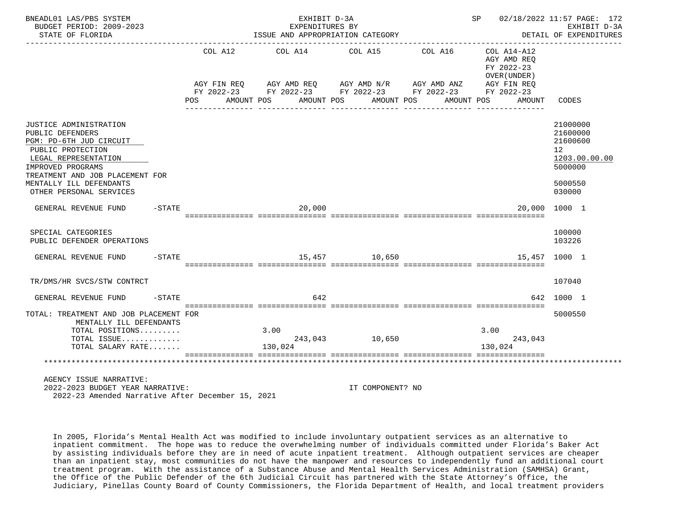| BNEADL01 LAS/PBS SYSTEM<br>BUDGET PERIOD: 2009-2023<br>STATE OF FLORIDA                                                                                                                                                          |                   |                       | EXHIBIT D-3A<br>EXPENDITURES BY | ISSUE AND APPROPRIATION CATEGORY                                                                                                                          |                       | SP 02/18/2022 11:57 PAGE: 172                                      | EXHIBIT D-3A<br>DETAIL OF EXPENDITURES                                                  |
|----------------------------------------------------------------------------------------------------------------------------------------------------------------------------------------------------------------------------------|-------------------|-----------------------|---------------------------------|-----------------------------------------------------------------------------------------------------------------------------------------------------------|-----------------------|--------------------------------------------------------------------|-----------------------------------------------------------------------------------------|
|                                                                                                                                                                                                                                  |                   | COL A12<br><b>POS</b> | COL A14<br>AMOUNT POS           | COL A15<br>AGY FIN REQ AGY AMD REQ AGY AMD N/R AGY AMD ANZ AGY FIN REQ<br>FY 2022-23 FY 2022-23 FY 2022-23 FY 2022-23 FY 2022-23<br>AMOUNT POS AMOUNT POS | COL A16<br>AMOUNT POS | COL A14-A12<br>AGY AMD REO<br>FY 2022-23<br>OVER (UNDER)<br>AMOUNT | CODES                                                                                   |
| JUSTICE ADMINISTRATION<br>PUBLIC DEFENDERS<br>PGM: PD-6TH JUD CIRCUIT<br>PUBLIC PROTECTION<br>LEGAL REPRESENTATION<br>IMPROVED PROGRAMS<br>TREATMENT AND JOB PLACEMENT FOR<br>MENTALLY ILL DEFENDANTS<br>OTHER PERSONAL SERVICES |                   |                       |                                 |                                                                                                                                                           |                       |                                                                    | 21000000<br>21600000<br>21600600<br>12<br>1203.00.00.00<br>5000000<br>5000550<br>030000 |
| GENERAL REVENUE FUND                                                                                                                                                                                                             | $-$ STATE         |                       | 20,000                          |                                                                                                                                                           |                       |                                                                    | 20,000 1000 1                                                                           |
| SPECIAL CATEGORIES<br>PUBLIC DEFENDER OPERATIONS                                                                                                                                                                                 |                   |                       |                                 |                                                                                                                                                           |                       |                                                                    | 100000<br>103226                                                                        |
| GENERAL REVENUE FUND                                                                                                                                                                                                             | $-\mathtt{STATE}$ |                       |                                 | 15,457 10,650                                                                                                                                             |                       |                                                                    | 15,457 1000 1                                                                           |
| TR/DMS/HR SVCS/STW CONTRCT                                                                                                                                                                                                       |                   |                       |                                 |                                                                                                                                                           |                       |                                                                    | 107040                                                                                  |
| GENERAL REVENUE FUND                                                                                                                                                                                                             | $-$ STATE         |                       | 642                             |                                                                                                                                                           |                       |                                                                    | 642 1000 1                                                                              |
| TOTAL: TREATMENT AND JOB PLACEMENT FOR<br>MENTALLY ILL DEFENDANTS<br>TOTAL POSITIONS<br>TOTAL ISSUE<br>TOTAL SALARY RATE                                                                                                         |                   |                       | 3.00<br>130,024                 | 243,043 10,650                                                                                                                                            |                       | 3.00<br>243,043<br>130,024                                         | 5000550                                                                                 |
| AGENCY ISSUE NARRATIVE:<br>2022-2023 BUDGET YEAR NARRATIVE:<br>2022-23 Amended Narrative After December 15, 2021                                                                                                                 |                   |                       |                                 | IT COMPONENT? NO                                                                                                                                          |                       |                                                                    |                                                                                         |

 In 2005, Florida's Mental Health Act was modified to include involuntary outpatient services as an alternative to inpatient commitment. The hope was to reduce the overwhelming number of individuals committed under Florida's Baker Act by assisting individuals before they are in need of acute inpatient treatment. Although outpatient services are cheaper than an inpatient stay, most communities do not have the manpower and resources to independently fund an additional court treatment program. With the assistance of a Substance Abuse and Mental Health Services Administration (SAMHSA) Grant, the Office of the Public Defender of the 6th Judicial Circuit has partnered with the State Attorney's Office, the Judiciary, Pinellas County Board of County Commissioners, the Florida Department of Health, and local treatment providers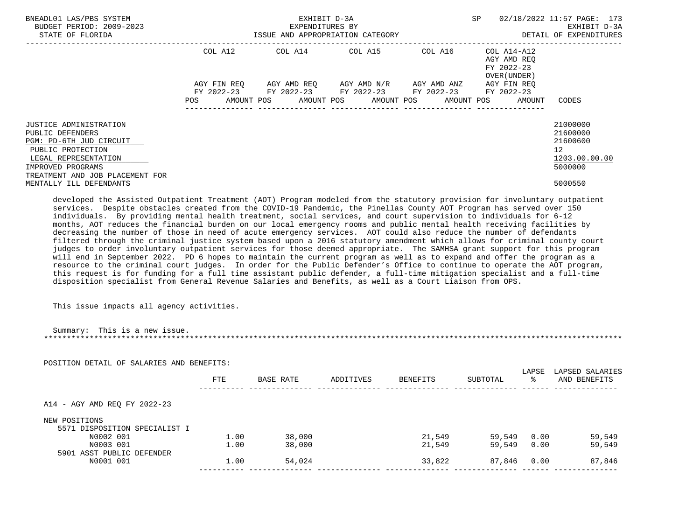| BNEADL01 LAS/PBS SYSTEM<br>BUDGET PERIOD: 2009-2023<br>STATE OF FLORIDA                                                                                                           | EXHIBIT D-3A<br>EXPENDITURES BY<br>ISSUE AND APPROPRIATION CATEGORY THE SERIES OF DETAIL OF EXPENDITURES |  |                                                                                                           |  | SP                                                                | 02/18/2022 11:57 PAGE: 173<br>EXHIBIT D-3A                         |
|-----------------------------------------------------------------------------------------------------------------------------------------------------------------------------------|----------------------------------------------------------------------------------------------------------|--|-----------------------------------------------------------------------------------------------------------|--|-------------------------------------------------------------------|--------------------------------------------------------------------|
|                                                                                                                                                                                   |                                                                                                          |  | COL A12 COL A14 COL A15 COL A16                                                                           |  | COL A14-A12<br>AGY AMD REO<br>FY 2022-23<br>OVER (UNDER )         |                                                                    |
|                                                                                                                                                                                   | <b>POS</b>                                                                                               |  | AGY FIN REO AGY AMD REO AGY AMD N/R AGY AMD ANZ<br>FY 2022-23 FY 2022-23 FY 2022-23 FY 2022-23 FY 2022-23 |  | AGY FIN REO<br>AMOUNT POS AMOUNT POS AMOUNT POS AMOUNT POS AMOUNT | CODES                                                              |
| <b>JUSTICE ADMINISTRATION</b><br>PUBLIC DEFENDERS<br>PGM: PD-6TH JUD CIRCUIT<br>PUBLIC PROTECTION<br>LEGAL REPRESENTATION<br>IMPROVED PROGRAMS<br>TREATMENT AND JOB PLACEMENT FOR |                                                                                                          |  |                                                                                                           |  |                                                                   | 21000000<br>21600000<br>21600600<br>12<br>1203.00.00.00<br>5000000 |
| MENTALLY ILL DEFENDANTS                                                                                                                                                           |                                                                                                          |  |                                                                                                           |  |                                                                   | 5000550                                                            |

 developed the Assisted Outpatient Treatment (AOT) Program modeled from the statutory provision for involuntary outpatient services. Despite obstacles created from the COVID-19 Pandemic, the Pinellas County AOT Program has served over 150 individuals. By providing mental health treatment, social services, and court supervision to individuals for 6-12 months, AOT reduces the financial burden on our local emergency rooms and public mental health receiving facilities by decreasing the number of those in need of acute emergency services. AOT could also reduce the number of defendants filtered through the criminal justice system based upon a 2016 statutory amendment which allows for criminal county court judges to order involuntary outpatient services for those deemed appropriate. The SAMHSA grant support for this program will end in September 2022. PD 6 hopes to maintain the current program as well as to expand and offer the program as a resource to the criminal court judges. In order for the Public Defender's Office to continue to operate the AOT program, this request is for funding for a full time assistant public defender, a full-time mitigation specialist and a full-time disposition specialist from General Revenue Salaries and Benefits, as well as a Court Liaison from OPS.

This issue impacts all agency activities.

| POSITION DETAIL OF SALARIES AND BENEFITS:      |            |           |           |                 |          |            |                                 |
|------------------------------------------------|------------|-----------|-----------|-----------------|----------|------------|---------------------------------|
|                                                | <b>FTE</b> | BASE RATE | ADDITIVES | <b>BENEFITS</b> | SUBTOTAL | LAPSE<br>ႜ | LAPSED SALARIES<br>AND BENEFITS |
|                                                |            |           |           |                 |          |            |                                 |
| A14 - AGY AMD REQ FY 2022-23                   |            |           |           |                 |          |            |                                 |
|                                                |            |           |           |                 |          |            |                                 |
| NEW POSITIONS<br>5571 DISPOSITION SPECIALIST I |            |           |           |                 |          |            |                                 |
| N0002 001                                      | 1.00       | 38,000    |           | 21,549          | 59,549   | 0.00       | 59,549                          |
| N0003 001                                      | 1.00       | 38,000    |           | 21,549          | 59,549   | 0.00       |                                 |
| 5901 ASST PUBLIC DEFENDER                      |            |           |           |                 |          |            | 59,549                          |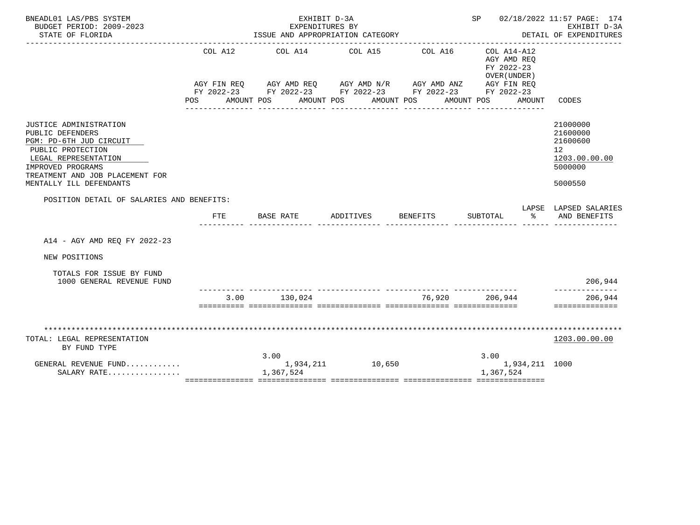| BNEADL01 LAS/PBS SYSTEM<br>BUDGET PERIOD: 2009-2023<br>STATE OF FLORIDA                                                                                                                               |                    | EXHIBIT D-3A<br>EXPENDITURES BY<br>ISSUE AND APPROPRIATION CATEGORY                                                                                    |                               |                       | SP 02/18/2022 11:57 PAGE: 174                                                    | EXHIBIT D-3A<br>DETAIL OF EXPENDITURES                                                     |
|-------------------------------------------------------------------------------------------------------------------------------------------------------------------------------------------------------|--------------------|--------------------------------------------------------------------------------------------------------------------------------------------------------|-------------------------------|-----------------------|----------------------------------------------------------------------------------|--------------------------------------------------------------------------------------------|
|                                                                                                                                                                                                       | COL A12<br>POS FOR | AGY FIN REQ AGY AMD REQ AGY AMD N/R AGY AMD ANZ AGY FIN REQ<br>FY 2022-23 FY 2022-23 FY 2022-23 FY 2022-23 FY 2022-23<br>AMOUNT POS<br>_______________ | COL A14 COL A15<br>AMOUNT POS | COL A16<br>AMOUNT POS | COL A14-A12<br>AGY AMD REO<br>FY 2022-23<br>OVER (UNDER)<br>AMOUNT POS<br>AMOUNT | CODES                                                                                      |
| JUSTICE ADMINISTRATION<br>PUBLIC DEFENDERS<br>PGM: PD-6TH JUD CIRCUIT<br>PUBLIC PROTECTION<br>LEGAL REPRESENTATION<br>IMPROVED PROGRAMS<br>TREATMENT AND JOB PLACEMENT FOR<br>MENTALLY ILL DEFENDANTS |                    |                                                                                                                                                        |                               |                       |                                                                                  | 21000000<br>21600000<br>21600600<br>12 <sup>°</sup><br>1203.00.00.00<br>5000000<br>5000550 |
| POSITION DETAIL OF SALARIES AND BENEFITS:                                                                                                                                                             | <b>FTE</b>         | BASE RATE                                                                                                                                              | ADDITIVES                     | <b>BENEFITS</b>       | SUBTOTAL<br>$\approx$                                                            | LAPSE LAPSED SALARIES<br>AND BENEFITS                                                      |
| A14 - AGY AMD REO FY 2022-23                                                                                                                                                                          |                    |                                                                                                                                                        |                               |                       |                                                                                  |                                                                                            |
| NEW POSITIONS                                                                                                                                                                                         |                    |                                                                                                                                                        |                               |                       |                                                                                  |                                                                                            |
| TOTALS FOR ISSUE BY FUND<br>1000 GENERAL REVENUE FUND                                                                                                                                                 |                    |                                                                                                                                                        |                               |                       |                                                                                  | 206,944                                                                                    |
|                                                                                                                                                                                                       | 3.00               | 130,024                                                                                                                                                |                               | 76,920                | 206,944                                                                          | -----------<br>206,944<br>==============                                                   |
| TOTAL: LEGAL REPRESENTATION<br>BY FUND TYPE<br>GENERAL REVENUE FUND<br>SALARY RATE                                                                                                                    |                    | 3.00<br>1,367,524                                                                                                                                      | 1,934,211 10,650              |                       | 3.00<br>1,934,211 1000<br>1,367,524                                              | 1203.00.00.00                                                                              |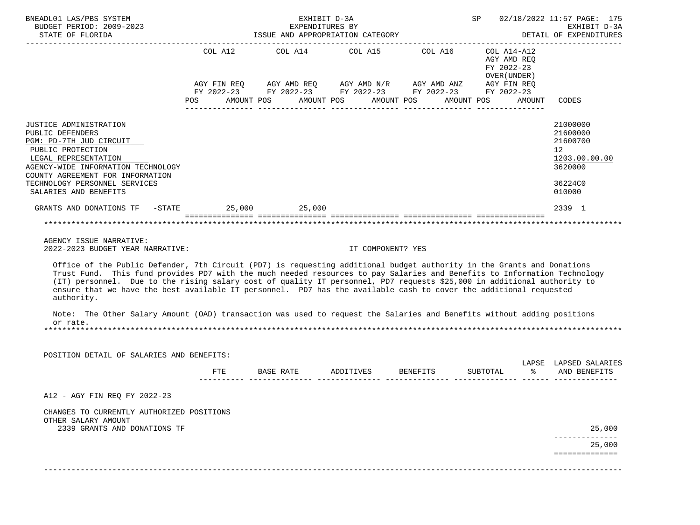| BNEADL01 LAS/PBS SYSTEM<br>BUDGET PERIOD: 2009-2023<br>STATE OF FLORIDA                                                                                                                                                                                                                                                                                                                                                                                                                                                                                                                                                                                                                                               |                                                                                                                | ISSUE AND APPROPRIATION CATEGORY                                                                                      | EXHIBIT D-3A<br>EXPENDITURES BY |                                                           |        | SP 02/18/2022 11:57 PAGE: 175<br>EXHIBIT D-3A<br>DETAIL OF EXPENDITURES |
|-----------------------------------------------------------------------------------------------------------------------------------------------------------------------------------------------------------------------------------------------------------------------------------------------------------------------------------------------------------------------------------------------------------------------------------------------------------------------------------------------------------------------------------------------------------------------------------------------------------------------------------------------------------------------------------------------------------------------|----------------------------------------------------------------------------------------------------------------|-----------------------------------------------------------------------------------------------------------------------|---------------------------------|-----------------------------------------------------------|--------|-------------------------------------------------------------------------|
|                                                                                                                                                                                                                                                                                                                                                                                                                                                                                                                                                                                                                                                                                                                       |                                                                                                                | COL A12 COL A14 COL A15 COL A16                                                                                       |                                 | COL A14-A12<br>AGY AMD REO<br>FY 2022-23<br>OVER (UNDER ) |        |                                                                         |
|                                                                                                                                                                                                                                                                                                                                                                                                                                                                                                                                                                                                                                                                                                                       |                                                                                                                | AGY FIN REQ AGY AMD REQ AGY AMD N/R AGY AMD ANZ AGY FIN REQ<br>FY 2022-23 FY 2022-23 FY 2022-23 FY 2022-23 FY 2022-23 |                                 |                                                           |        |                                                                         |
|                                                                                                                                                                                                                                                                                                                                                                                                                                                                                                                                                                                                                                                                                                                       | POS FOR THE POST OF THE POST OF THE POST OF THE POST OF THE POST OF THE POST OF THE POST OF THE POST OF THE PO | AMOUNT POS                                                                                                            | AMOUNT POS AMOUNT POS           | AMOUNT POS                                                | AMOUNT | CODES                                                                   |
| JUSTICE ADMINISTRATION<br>PUBLIC DEFENDERS<br>PGM: PD-7TH JUD CIRCUIT<br>PUBLIC PROTECTION<br>LEGAL REPRESENTATION<br>AGENCY-WIDE INFORMATION TECHNOLOGY                                                                                                                                                                                                                                                                                                                                                                                                                                                                                                                                                              |                                                                                                                |                                                                                                                       |                                 |                                                           |        | 21000000<br>21600000<br>21600700<br>12<br>1203.00.00.00<br>3620000      |
| COUNTY AGREEMENT FOR INFORMATION                                                                                                                                                                                                                                                                                                                                                                                                                                                                                                                                                                                                                                                                                      |                                                                                                                |                                                                                                                       |                                 |                                                           |        |                                                                         |
| TECHNOLOGY PERSONNEL SERVICES<br>SALARIES AND BENEFITS                                                                                                                                                                                                                                                                                                                                                                                                                                                                                                                                                                                                                                                                |                                                                                                                |                                                                                                                       |                                 |                                                           |        | 36224C0<br>010000                                                       |
| GRANTS AND DONATIONS TF - STATE 25,000 25,000                                                                                                                                                                                                                                                                                                                                                                                                                                                                                                                                                                                                                                                                         |                                                                                                                |                                                                                                                       |                                 |                                                           |        | 2339 1                                                                  |
| AGENCY ISSUE NARRATIVE:<br>2022-2023 BUDGET YEAR NARRATIVE:<br>Office of the Public Defender, 7th Circuit (PD7) is requesting additional budget authority in the Grants and Donations<br>Trust Fund. This fund provides PD7 with the much needed resources to pay Salaries and Benefits to Information Technology<br>(IT) personnel. Due to the rising salary cost of quality IT personnel, PD7 requests \$25,000 in additional authority to<br>ensure that we have the best available IT personnel. PD7 has the available cash to cover the additional requested<br>authority.<br>Note: The Other Salary Amount (OAD) transaction was used to request the Salaries and Benefits without adding positions<br>or rate. |                                                                                                                |                                                                                                                       | IT COMPONENT? YES               |                                                           |        |                                                                         |
| POSITION DETAIL OF SALARIES AND BENEFITS:                                                                                                                                                                                                                                                                                                                                                                                                                                                                                                                                                                                                                                                                             |                                                                                                                |                                                                                                                       |                                 |                                                           |        |                                                                         |
|                                                                                                                                                                                                                                                                                                                                                                                                                                                                                                                                                                                                                                                                                                                       | FTE                                                                                                            | BASE RATE                                                                                                             | ADDITIVES BENEFITS              | SUBTOTAL                                                  | န္က    | LAPSE LAPSED SALARIES<br>AND BENEFITS                                   |
| A12 - AGY FIN REQ FY 2022-23                                                                                                                                                                                                                                                                                                                                                                                                                                                                                                                                                                                                                                                                                          |                                                                                                                |                                                                                                                       |                                 |                                                           |        |                                                                         |
| CHANGES TO CURRENTLY AUTHORIZED POSITIONS<br>OTHER SALARY AMOUNT<br>2339 GRANTS AND DONATIONS TF                                                                                                                                                                                                                                                                                                                                                                                                                                                                                                                                                                                                                      |                                                                                                                |                                                                                                                       |                                 |                                                           |        | 25,000                                                                  |
|                                                                                                                                                                                                                                                                                                                                                                                                                                                                                                                                                                                                                                                                                                                       |                                                                                                                |                                                                                                                       |                                 |                                                           |        | 25,000                                                                  |
|                                                                                                                                                                                                                                                                                                                                                                                                                                                                                                                                                                                                                                                                                                                       |                                                                                                                |                                                                                                                       |                                 |                                                           |        | ==============                                                          |
|                                                                                                                                                                                                                                                                                                                                                                                                                                                                                                                                                                                                                                                                                                                       |                                                                                                                |                                                                                                                       |                                 |                                                           |        |                                                                         |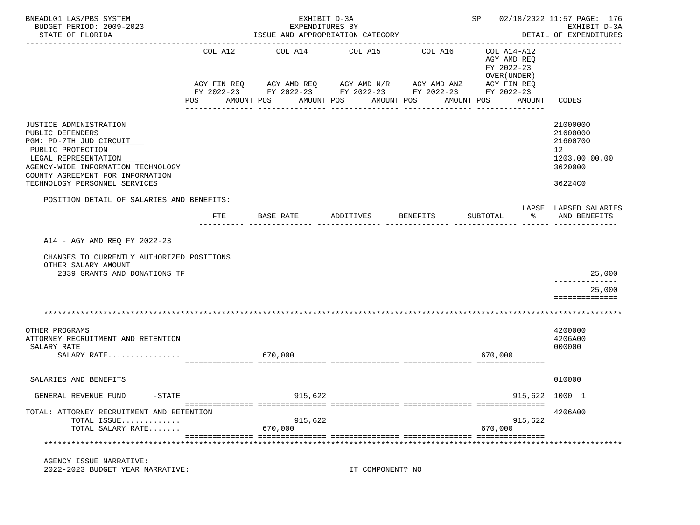| BNEADL01 LAS/PBS SYSTEM<br>BUDGET PERIOD: 2009-2023                                                                                                                                          |         | EXHIBIT D-3A<br>EXPENDITURES BY |                                                                                                                                                                          |              | SP 02/18/2022 11:57 PAGE: 176                                                 | EXHIBIT D-3A                                                                    |
|----------------------------------------------------------------------------------------------------------------------------------------------------------------------------------------------|---------|---------------------------------|--------------------------------------------------------------------------------------------------------------------------------------------------------------------------|--------------|-------------------------------------------------------------------------------|---------------------------------------------------------------------------------|
| STATE OF FLORIDA                                                                                                                                                                             |         |                                 | ISSUE AND APPROPRIATION CATEGORY                                                                                                                                         |              |                                                                               | DETAIL OF EXPENDITURES                                                          |
|                                                                                                                                                                                              | COL A12 | COL A14                         | COL A15<br>AGY FIN REQ AGY AMD REQ AGY AMD N/R AGY AMD ANZ AGY FIN REQ<br>FY 2022-23 FY 2022-23 FY 2022-23 FY 2022-23 FY 2022-23<br>POS AMOUNT POS AMOUNT POS AMOUNT POS | COL A16      | COL A14-A12<br>AGY AMD REO<br>FY 2022-23<br>OVER (UNDER)<br>AMOUNT POS AMOUNT | CODES                                                                           |
|                                                                                                                                                                                              |         | ------------                    | -------------                                                                                                                                                            | ------------ | ---------------                                                               |                                                                                 |
| JUSTICE ADMINISTRATION<br>PUBLIC DEFENDERS<br>PGM: PD-7TH JUD CIRCUIT<br>PUBLIC PROTECTION<br>LEGAL REPRESENTATION<br>AGENCY-WIDE INFORMATION TECHNOLOGY<br>COUNTY AGREEMENT FOR INFORMATION |         |                                 |                                                                                                                                                                          |              |                                                                               | 21000000<br>21600000<br>21600700<br>12 <sup>°</sup><br>1203.00.00.00<br>3620000 |
| TECHNOLOGY PERSONNEL SERVICES                                                                                                                                                                |         |                                 |                                                                                                                                                                          |              |                                                                               | 36224C0                                                                         |
| POSITION DETAIL OF SALARIES AND BENEFITS:                                                                                                                                                    | FTE     | BASE RATE                       | ADDITIVES                                                                                                                                                                | BENEFITS     | SUBTOTAL<br>ႜႜ                                                                | LAPSE LAPSED SALARIES<br>AND BENEFITS                                           |
| A14 - AGY AMD REQ FY 2022-23                                                                                                                                                                 |         |                                 |                                                                                                                                                                          |              |                                                                               |                                                                                 |
| CHANGES TO CURRENTLY AUTHORIZED POSITIONS<br>OTHER SALARY AMOUNT                                                                                                                             |         |                                 |                                                                                                                                                                          |              |                                                                               |                                                                                 |
| 2339 GRANTS AND DONATIONS TF                                                                                                                                                                 |         |                                 |                                                                                                                                                                          |              |                                                                               | 25,000<br>------------                                                          |
|                                                                                                                                                                                              |         |                                 |                                                                                                                                                                          |              |                                                                               | 25,000<br>==============                                                        |
|                                                                                                                                                                                              |         |                                 |                                                                                                                                                                          |              |                                                                               |                                                                                 |
| OTHER PROGRAMS<br>ATTORNEY RECRUITMENT AND RETENTION<br>SALARY RATE<br>SALARY RATE                                                                                                           |         | 670,000                         |                                                                                                                                                                          |              | 670,000                                                                       | 4200000<br>4206A00<br>000000                                                    |
| SALARIES AND BENEFITS                                                                                                                                                                        |         |                                 |                                                                                                                                                                          |              |                                                                               | 010000                                                                          |
| GENERAL REVENUE FUND<br>$ STATE$                                                                                                                                                             |         | 915,622                         |                                                                                                                                                                          |              | 915,622                                                                       | 1000 1                                                                          |
| TOTAL: ATTORNEY RECRUITMENT AND RETENTION                                                                                                                                                    |         |                                 |                                                                                                                                                                          |              |                                                                               | 4206A00                                                                         |
| TOTAL ISSUE<br>TOTAL SALARY RATE                                                                                                                                                             |         | 915,622<br>670,000              |                                                                                                                                                                          |              | 915,622<br>670,000                                                            |                                                                                 |
|                                                                                                                                                                                              |         |                                 |                                                                                                                                                                          |              |                                                                               |                                                                                 |
| AGENCY ISSUE NARRATIVE:<br>2022-2023 BUDGET YEAR NARRATIVE:                                                                                                                                  |         |                                 | IT COMPONENT? NO                                                                                                                                                         |              |                                                                               |                                                                                 |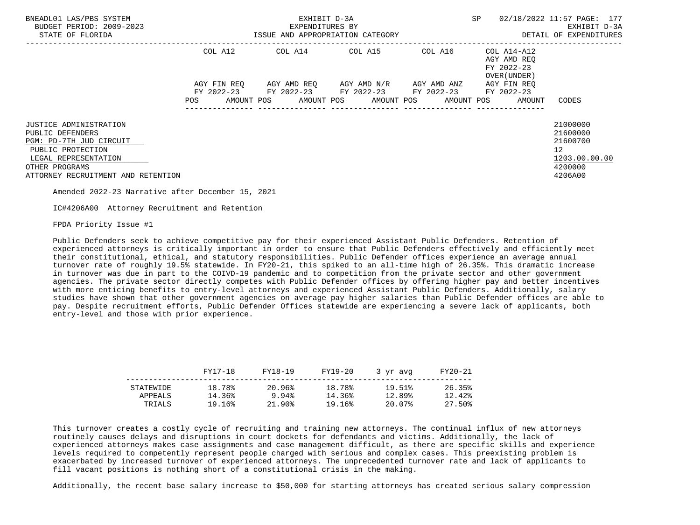| BNEADL01 LAS/PBS SYSTEM<br>BUDGET PERIOD: 2009-2023<br>STATE OF FLORIDA                                                                                                           | EXHIBIT D-3A<br>EXPENDITURES BY<br>ISSUE AND APPROPRIATION CATEGORY                                                           |                                             |                                     |  | <b>SP</b>                                                                       | 02/18/2022 11:57 PAGE: 177<br>EXHIBIT D-3A<br>DETAIL OF EXPENDITURES                        |
|-----------------------------------------------------------------------------------------------------------------------------------------------------------------------------------|-------------------------------------------------------------------------------------------------------------------------------|---------------------------------------------|-------------------------------------|--|---------------------------------------------------------------------------------|---------------------------------------------------------------------------------------------|
|                                                                                                                                                                                   | COL A12                                                                                                                       | COL A14 COL A15 COL A16                     |                                     |  | COL A14-A12<br>AGY AMD REO<br>FY 2022-23<br>OVER (UNDER)                        |                                                                                             |
|                                                                                                                                                                                   | AGY FIN REO<br>POS FOR THE POST OF THE STATE STATE STATE STATE STATE STATE STATE STATE STATE STATE STATE STATE STATE STATE ST | FY 2022-23 FY 2022-23 FY 2022-23 FY 2022-23 | AGY AMD REO AGY AMD N/R AGY AMD ANZ |  | AGY FIN REO<br>FY 2022-23<br>AMOUNT POS AMOUNT POS AMOUNT POS AMOUNT POS AMOUNT | CODES                                                                                       |
| <b>JUSTICE ADMINISTRATION</b><br>PUBLIC DEFENDERS<br>PGM: PD-7TH JUD CIRCUIT<br>PUBLIC PROTECTION<br>LEGAL REPRESENTATION<br>OTHER PROGRAMS<br>ATTORNEY RECRUITMENT AND RETENTION |                                                                                                                               |                                             |                                     |  |                                                                                 | 21000000<br>21600000<br>21600700<br>12 <sup>12</sup><br>1203.00.00.00<br>4200000<br>4206A00 |

Amended 2022-23 Narrative after December 15, 2021

IC#4206A00 Attorney Recruitment and Retention

FPDA Priority Issue #1

 Public Defenders seek to achieve competitive pay for their experienced Assistant Public Defenders. Retention of experienced attorneys is critically important in order to ensure that Public Defenders effectively and efficiently meet their constitutional, ethical, and statutory responsibilities. Public Defender offices experience an average annual turnover rate of roughly 19.5% statewide. In FY20-21, this spiked to an all-time high of 26.35%. This dramatic increase in turnover was due in part to the COIVD-19 pandemic and to competition from the private sector and other government agencies. The private sector directly competes with Public Defender offices by offering higher pay and better incentives with more enticing benefits to entry-level attorneys and experienced Assistant Public Defenders. Additionally, salary studies have shown that other government agencies on average pay higher salaries than Public Defender offices are able to pay. Despite recruitment efforts, Public Defender Offices statewide are experiencing a severe lack of applicants, both entry-level and those with prior experience.

|                   | FY17-18          | FY18-19         | FY19-20          | 3 yr avg         | FY20-21          |
|-------------------|------------------|-----------------|------------------|------------------|------------------|
| STATEWIDE         | 18.78%           | 20.96%          | 18.78%           | 19.51%           | 26.35%           |
| APPEALS<br>TRIALS | 14.36%<br>19.16% | 9.94%<br>21.90% | 14.36%<br>19.16% | 12.89%<br>20.07% | 12.42%<br>27.50% |
|                   |                  |                 |                  |                  |                  |

 This turnover creates a costly cycle of recruiting and training new attorneys. The continual influx of new attorneys routinely causes delays and disruptions in court dockets for defendants and victims. Additionally, the lack of experienced attorneys makes case assignments and case management difficult, as there are specific skills and experience levels required to competently represent people charged with serious and complex cases. This preexisting problem is exacerbated by increased turnover of experienced attorneys. The unprecedented turnover rate and lack of applicants to fill vacant positions is nothing short of a constitutional crisis in the making.

Additionally, the recent base salary increase to \$50,000 for starting attorneys has created serious salary compression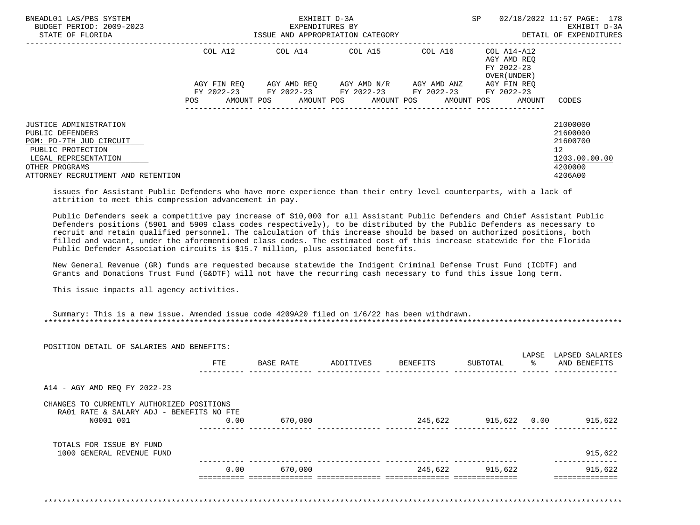| BNEADL01 LAS/PBS SYSTEM<br>BUDGET PERIOD: 2009-2023<br>STATE OF FLORIDA                           | EXHIBIT D-3A<br>EXPENDITURES BY<br>ISSUE AND APPROPRIATION CATEGORY |                                                        |                                     |                     | SP                                         | 02/18/2022 11:57 PAGE: 178<br>EXHIBIT D-3A<br>DETAIL OF EXPENDITURES |
|---------------------------------------------------------------------------------------------------|---------------------------------------------------------------------|--------------------------------------------------------|-------------------------------------|---------------------|--------------------------------------------|----------------------------------------------------------------------|
|                                                                                                   | COL A12                                                             | COL A14 COL A15                                        |                                     | COL A16 COL A14-A12 | AGY AMD REO<br>FY 2022-23<br>OVER (UNDER ) |                                                                      |
|                                                                                                   | AGY FIN REO                                                         |                                                        | AGY AMD REO AGY AMD N/R AGY AMD ANZ |                     | AGY FIN REO                                |                                                                      |
|                                                                                                   | AMOUNT POS<br>POS                                                   | FY 2022-23 FY 2022-23 FY 2022-23 FY 2022-23 FY 2022-23 | AMOUNT POS AMOUNT POS               | AMOUNT POS          | AMOUNT                                     | CODES                                                                |
| <b>JUSTICE ADMINISTRATION</b><br>PUBLIC DEFENDERS<br>PGM: PD-7TH JUD CIRCUIT<br>PUBLIC PROTECTION |                                                                     |                                                        |                                     |                     |                                            | 21000000<br>21600000<br>21600700<br>12                               |
| LEGAL REPRESENTATION<br>OTHER PROGRAMS<br>ATTORNEY RECRUITMENT AND RETENTION                      |                                                                     |                                                        |                                     |                     |                                            | 1203.00.00.00<br>4200000<br>4206A00                                  |

 issues for Assistant Public Defenders who have more experience than their entry level counterparts, with a lack of attrition to meet this compression advancement in pay.

 Public Defenders seek a competitive pay increase of \$10,000 for all Assistant Public Defenders and Chief Assistant Public Defenders positions (5901 and 5909 class codes respectively), to be distributed by the Public Defenders as necessary to recruit and retain qualified personnel. The calculation of this increase should be based on authorized positions, both filled and vacant, under the aforementioned class codes. The estimated cost of this increase statewide for the Florida Public Defender Association circuits is \$15.7 million, plus associated benefits.

 New General Revenue (GR) funds are requested because statewide the Indigent Criminal Defense Trust Fund (ICDTF) and Grants and Donations Trust Fund (G&DTF) will not have the recurring cash necessary to fund this issue long term.

This issue impacts all agency activities.

| <b>FTE</b> | BASE RATE                                                                             | ADDITIVES | BENEFITS | SUBTOTAL | ႜႂ              | AND BENEFITS |
|------------|---------------------------------------------------------------------------------------|-----------|----------|----------|-----------------|--------------|
|            |                                                                                       |           |          |          |                 |              |
|            |                                                                                       |           |          |          |                 |              |
|            |                                                                                       |           |          |          |                 |              |
| 0.00       | 670,000                                                                               |           | 245,622  |          |                 | 915,622      |
|            |                                                                                       |           |          |          |                 |              |
|            |                                                                                       |           |          |          |                 | 915,622      |
| 0.00       | 670,000                                                                               |           |          |          |                 | 915,622      |
|            |                                                                                       |           |          |          |                 |              |
|            | CHANGES TO CURRENTLY AUTHORIZED POSITIONS<br>RA01 RATE & SALARY ADJ - BENEFITS NO FTE |           |          |          | 245,622 915,622 | 915,622 0.00 |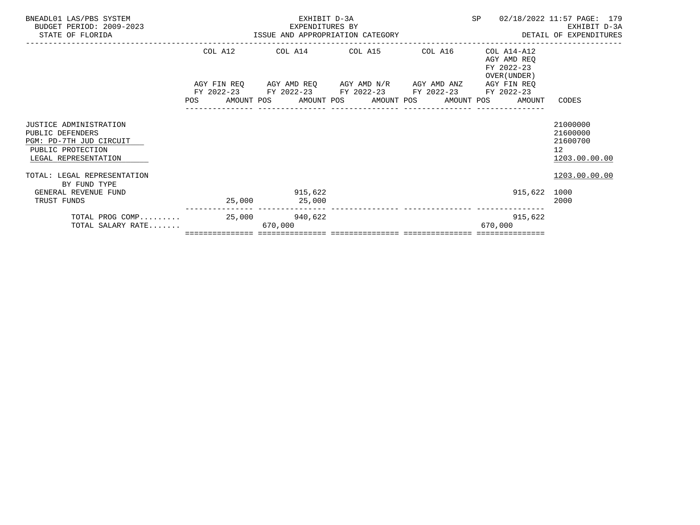| BNEADL01 LAS/PBS SYSTEM<br>BUDGET PERIOD: 2009-2023<br>STATE OF FLORIDA                                                   | EXHIBIT D-3A<br>EXPENDITURES BY<br>EXPENDITURES BY<br>ISSUE AND APPROPRIATION CATEGORY                      |         | <b>SP</b>                                                                                           | 02/18/2022 11:57 PAGE: 179<br>EXHIBIT D-3A<br>DETAIL OF EXPENDITURES |
|---------------------------------------------------------------------------------------------------------------------------|-------------------------------------------------------------------------------------------------------------|---------|-----------------------------------------------------------------------------------------------------|----------------------------------------------------------------------|
|                                                                                                                           | COL A12 COL A14 COL A15                                                                                     | COL A16 | COL A14-A12<br>AGY AMD REQ<br>FY 2022-23                                                            |                                                                      |
|                                                                                                                           | AGY FIN REQ      AGY AMD REQ     AGY AMD N/R     AGY AMD ANZ<br>FY 2022-23 FY 2022-23 FY 2022-23 FY 2022-23 |         | OVER (UNDER)<br>AGY FIN REO<br>FY 2022-23<br>POS AMOUNT POS AMOUNT POS AMOUNT POS AMOUNT POS AMOUNT | CODES                                                                |
| <b>JUSTICE ADMINISTRATION</b><br>PUBLIC DEFENDERS<br>PGM: PD-7TH JUD CIRCUIT<br>PUBLIC PROTECTION<br>LEGAL REPRESENTATION |                                                                                                             |         |                                                                                                     | 21000000<br>21600000<br>21600700<br>12 <sup>°</sup><br>1203.00.00.00 |
| TOTAL: LEGAL REPRESENTATION<br>BY FUND TYPE<br>GENERAL REVENUE FUND                                                       | 915,622                                                                                                     |         | 915,622 1000                                                                                        | 1203.00.00.00                                                        |
| TRUST FUNDS<br>TOTAL PROG COMP<br>TOTAL SALARY RATE                                                                       | 25,000 25,000<br>25,000 940,622<br>670,000                                                                  |         | 915,622<br>670,000                                                                                  | 2000                                                                 |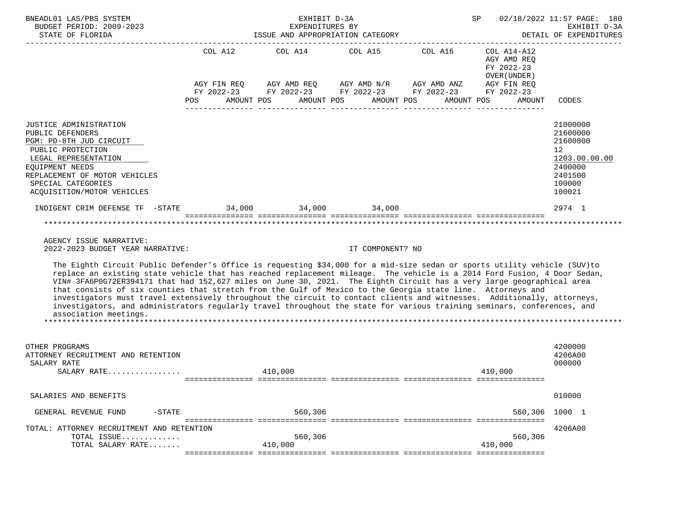| BNEADL01 LAS/PBS SYSTEM<br>BUDGET PERIOD: 2009-2023                                                                                                                                                                                                                                                                                                                                                                                                                                                                                                                                                                                                                                                                                                                                                                                         |                          | EXHIBIT D-3A<br>EXPENDITURES BY  | 02/18/2022 11:57 PAGE: 180<br>SP<br>EXHIBIT D-3A |                                                                                                                       |                                                           |                                                                                                   |
|---------------------------------------------------------------------------------------------------------------------------------------------------------------------------------------------------------------------------------------------------------------------------------------------------------------------------------------------------------------------------------------------------------------------------------------------------------------------------------------------------------------------------------------------------------------------------------------------------------------------------------------------------------------------------------------------------------------------------------------------------------------------------------------------------------------------------------------------|--------------------------|----------------------------------|--------------------------------------------------|-----------------------------------------------------------------------------------------------------------------------|-----------------------------------------------------------|---------------------------------------------------------------------------------------------------|
| STATE OF FLORIDA                                                                                                                                                                                                                                                                                                                                                                                                                                                                                                                                                                                                                                                                                                                                                                                                                            |                          | ISSUE AND APPROPRIATION CATEGORY |                                                  |                                                                                                                       |                                                           | DETAIL OF EXPENDITURES<br>. <u>.</u>                                                              |
|                                                                                                                                                                                                                                                                                                                                                                                                                                                                                                                                                                                                                                                                                                                                                                                                                                             |                          | COL A12 COL A14 COL A15 COL A16  |                                                  | AGY FIN REQ AGY AMD REQ AGY AMD N/R AGY AMD ANZ AGY FIN REQ<br>FY 2022-23 FY 2022-23 FY 2022-23 FY 2022-23 FY 2022-23 | COL A14-A12<br>AGY AMD REQ<br>FY 2022-23<br>OVER (UNDER ) |                                                                                                   |
|                                                                                                                                                                                                                                                                                                                                                                                                                                                                                                                                                                                                                                                                                                                                                                                                                                             | AMOUNT POS<br><b>POS</b> |                                  | AMOUNT POS                                       | AMOUNT POS<br>AMOUNT POS                                                                                              | AMOUNT                                                    | CODES                                                                                             |
| <b>JUSTICE ADMINISTRATION</b><br>PUBLIC DEFENDERS<br>PGM: PD-8TH JUD CIRCUIT<br>PUBLIC PROTECTION<br>LEGAL REPRESENTATION<br>EQUIPMENT NEEDS<br>REPLACEMENT OF MOTOR VEHICLES<br>SPECIAL CATEGORIES<br>ACQUISITION/MOTOR VEHICLES                                                                                                                                                                                                                                                                                                                                                                                                                                                                                                                                                                                                           |                          |                                  |                                                  |                                                                                                                       |                                                           | 21000000<br>21600000<br>21600800<br>12<br>1203.00.00.00<br>2400000<br>2401500<br>100000<br>100021 |
| INDIGENT CRIM DEFENSE TF -STATE 34,000 34,000 34,000                                                                                                                                                                                                                                                                                                                                                                                                                                                                                                                                                                                                                                                                                                                                                                                        |                          |                                  |                                                  |                                                                                                                       |                                                           | 2974 1                                                                                            |
| AGENCY ISSUE NARRATIVE:<br>2022-2023 BUDGET YEAR NARRATIVE:<br>The Eighth Circuit Public Defender's Office is requesting \$34,000 for a mid-size sedan or sports utility vehicle (SUV)to<br>replace an existing state vehicle that has reached replacement mileage. The vehicle is a 2014 Ford Fusion, 4 Door Sedan,<br>VIN# 3FA6P0G72ER394171 that had 152,627 miles on June 30, 2021. The Eighth Circuit has a very large geographical area<br>that consists of six counties that stretch from the Gulf of Mexico to the Georgia state line. Attorneys and<br>investigators must travel extensively throughout the circuit to contact clients and witnesses. Additionally, attorneys,<br>investigators, and administrators regularly travel throughout the state for various training seminars, conferences, and<br>association meetings. |                          |                                  | IT COMPONENT? NO                                 |                                                                                                                       |                                                           |                                                                                                   |
| OTHER PROGRAMS<br>ATTORNEY RECRUITMENT AND RETENTION<br>SALARY RATE<br>SALARY RATE                                                                                                                                                                                                                                                                                                                                                                                                                                                                                                                                                                                                                                                                                                                                                          |                          | 410,000                          |                                                  |                                                                                                                       | 410,000                                                   | 4200000<br>4206A00<br>000000                                                                      |
| SALARIES AND BENEFITS                                                                                                                                                                                                                                                                                                                                                                                                                                                                                                                                                                                                                                                                                                                                                                                                                       |                          |                                  |                                                  |                                                                                                                       |                                                           | 010000                                                                                            |
| GENERAL REVENUE FUND<br>$-STATE$                                                                                                                                                                                                                                                                                                                                                                                                                                                                                                                                                                                                                                                                                                                                                                                                            |                          | 560,306                          |                                                  |                                                                                                                       | 560,306                                                   | 1000 1                                                                                            |
| TOTAL: ATTORNEY RECRUITMENT AND RETENTION<br>TOTAL ISSUE<br>TOTAL SALARY RATE                                                                                                                                                                                                                                                                                                                                                                                                                                                                                                                                                                                                                                                                                                                                                               |                          | 560,306<br>410,000               |                                                  |                                                                                                                       | 560,306<br>410,000                                        | 4206A00                                                                                           |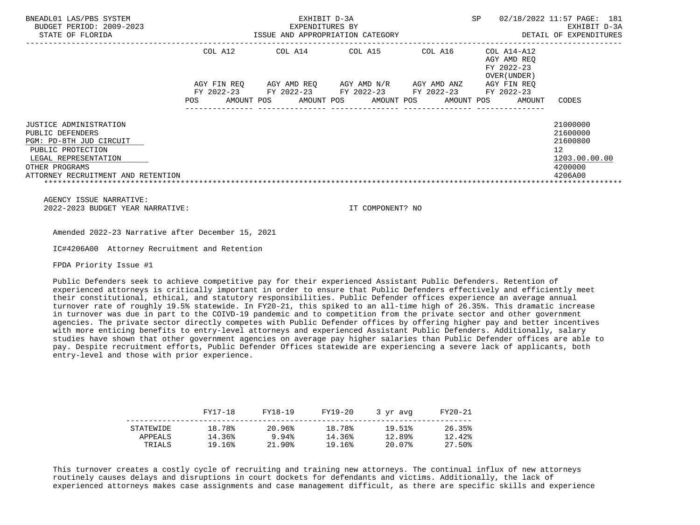| BNEADL01 LAS/PBS SYSTEM<br>BUDGET PERIOD: 2009-2023<br>STATE OF FLORIDA |                                        | EXHIBIT D-3A<br>EXPENDITURES BY<br>ISSUE AND APPROPRIATION CATEGORY | <b>SP</b>                | 02/18/2022 11:57 PAGE: 181<br>EXHIBIT D-3A<br>DETAIL OF EXPENDITURES |                                                          |                     |
|-------------------------------------------------------------------------|----------------------------------------|---------------------------------------------------------------------|--------------------------|----------------------------------------------------------------------|----------------------------------------------------------|---------------------|
|                                                                         | COL A12                                | COL A14                                                             | COL A15                  | COL A16                                                              | COL A14-A12<br>AGY AMD REO<br>FY 2022-23<br>OVER (UNDER) |                     |
|                                                                         | AGY FIN REO                            | AGY AMD REO                                                         | AGY AMD N/R              | AGY AMD ANZ                                                          | AGY FIN REO                                              |                     |
|                                                                         | FY 2022-23<br>AMOUNT POS<br><b>POS</b> | FY 2022-23<br>AMOUNT POS                                            | FY 2022-23<br>AMOUNT POS | FY 2022-23<br>AMOUNT POS                                             | FY 2022-23<br>AMOUNT                                     | CODES               |
| JUSTICE ADMINISTRATION                                                  |                                        |                                                                     |                          |                                                                      |                                                          | 21000000            |
| PUBLIC DEFENDERS                                                        |                                        |                                                                     |                          |                                                                      |                                                          | 21600000            |
| PGM: PD-8TH JUD CIRCUIT                                                 |                                        |                                                                     |                          |                                                                      |                                                          | 21600800            |
| PUBLIC PROTECTION<br>LEGAL REPRESENTATION                               |                                        |                                                                     |                          |                                                                      |                                                          | 12<br>1203.00.00.00 |
| OTHER PROGRAMS                                                          |                                        |                                                                     |                          |                                                                      |                                                          | 4200000             |
| ATTORNEY RECRUITMENT AND RETENTION                                      |                                        |                                                                     |                          |                                                                      |                                                          | 4206A00             |

Amended 2022-23 Narrative after December 15, 2021

IC#4206A00 Attorney Recruitment and Retention

FPDA Priority Issue #1

 Public Defenders seek to achieve competitive pay for their experienced Assistant Public Defenders. Retention of experienced attorneys is critically important in order to ensure that Public Defenders effectively and efficiently meet their constitutional, ethical, and statutory responsibilities. Public Defender offices experience an average annual turnover rate of roughly 19.5% statewide. In FY20-21, this spiked to an all-time high of 26.35%. This dramatic increase in turnover was due in part to the COIVD-19 pandemic and to competition from the private sector and other government agencies. The private sector directly competes with Public Defender offices by offering higher pay and better incentives with more enticing benefits to entry-level attorneys and experienced Assistant Public Defenders. Additionally, salary studies have shown that other government agencies on average pay higher salaries than Public Defender offices are able to pay. Despite recruitment efforts, Public Defender Offices statewide are experiencing a severe lack of applicants, both entry-level and those with prior experience.

|                      | FY17-18          | FY18-19         | FY19-20          | 3 vr avg         | FY20-21          |
|----------------------|------------------|-----------------|------------------|------------------|------------------|
| STATEWIDE<br>APPEALS | 18.78%<br>14.36% | 20.96%<br>9.94% | 18.78%<br>14.36% | 19.51%<br>12.89% | 26.35%<br>12.42% |
| TRIALS               | 19.16%           | 21.90%          | 19.16%           | 20.07%           | 27.50%           |

 This turnover creates a costly cycle of recruiting and training new attorneys. The continual influx of new attorneys routinely causes delays and disruptions in court dockets for defendants and victims. Additionally, the lack of experienced attorneys makes case assignments and case management difficult, as there are specific skills and experience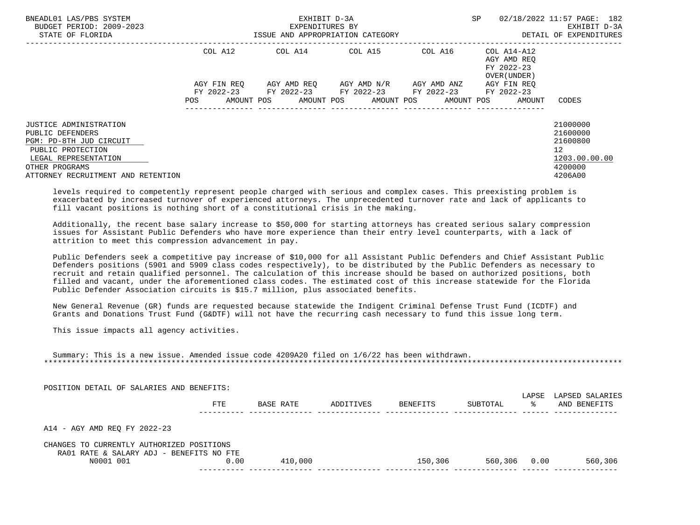| BNEADL01 LAS/PBS SYSTEM<br>BUDGET PERIOD: 2009-2023<br>STATE OF FLORIDA |             | EXHIBIT D-3A<br>EXPENDITURES BY<br>ISSUE AND APPROPRIATION CATEGORY | SP                               | 02/18/2022 11:57 PAGE: 182<br>EXHIBIT D-3A<br>DETAIL OF EXPENDITURES |                                           |                 |
|-------------------------------------------------------------------------|-------------|---------------------------------------------------------------------|----------------------------------|----------------------------------------------------------------------|-------------------------------------------|-----------------|
|                                                                         | COL A12     |                                                                     |                                  |                                                                      | AGY AMD REO<br>FY 2022-23<br>OVER (UNDER) |                 |
|                                                                         | AGY FIN REO |                                                                     | AGY AMD REQ       AGY AMD N/R    | AGY AMD ANZ                                                          | AGY FIN REO                               |                 |
|                                                                         | POS         | FY 2022-23 FY 2022-23 FY 2022-23 FY 2022-23<br>AMOUNT POS           | AMOUNT POS AMOUNT POS AMOUNT POS |                                                                      | FY 2022-23<br>AMOUNT                      | CODES           |
| <b>JUSTICE ADMINISTRATION</b>                                           |             |                                                                     |                                  |                                                                      |                                           | 21000000        |
| PUBLIC DEFENDERS                                                        |             |                                                                     |                                  |                                                                      |                                           | 21600000        |
| PGM: PD-8TH JUD CIRCUIT                                                 |             |                                                                     |                                  |                                                                      |                                           | 21600800        |
| PUBLIC PROTECTION                                                       |             |                                                                     |                                  |                                                                      |                                           | 12 <sup>°</sup> |
| LEGAL REPRESENTATION                                                    |             |                                                                     |                                  |                                                                      |                                           | 1203.00.00.00   |
| OTHER PROGRAMS                                                          |             |                                                                     |                                  |                                                                      |                                           | 4200000         |
| ATTORNEY RECRUITMENT AND RETENTION                                      |             |                                                                     |                                  |                                                                      |                                           | 4206A00         |

 levels required to competently represent people charged with serious and complex cases. This preexisting problem is exacerbated by increased turnover of experienced attorneys. The unprecedented turnover rate and lack of applicants to fill vacant positions is nothing short of a constitutional crisis in the making.

 Additionally, the recent base salary increase to \$50,000 for starting attorneys has created serious salary compression issues for Assistant Public Defenders who have more experience than their entry level counterparts, with a lack of attrition to meet this compression advancement in pay.

 Public Defenders seek a competitive pay increase of \$10,000 for all Assistant Public Defenders and Chief Assistant Public Defenders positions (5901 and 5909 class codes respectively), to be distributed by the Public Defenders as necessary to recruit and retain qualified personnel. The calculation of this increase should be based on authorized positions, both filled and vacant, under the aforementioned class codes. The estimated cost of this increase statewide for the Florida Public Defender Association circuits is \$15.7 million, plus associated benefits.

 New General Revenue (GR) funds are requested because statewide the Indigent Criminal Defense Trust Fund (ICDTF) and Grants and Donations Trust Fund (G&DTF) will not have the recurring cash necessary to fund this issue long term.

This issue impacts all agency activities.

 Summary: This is a new issue. Amended issue code 4209A20 filed on 1/6/22 has been withdrawn. \*\*\*\*\*\*\*\*\*\*\*\*\*\*\*\*\*\*\*\*\*\*\*\*\*\*\*\*\*\*\*\*\*\*\*\*\*\*\*\*\*\*\*\*\*\*\*\*\*\*\*\*\*\*\*\*\*\*\*\*\*\*\*\*\*\*\*\*\*\*\*\*\*\*\*\*\*\*\*\*\*\*\*\*\*\*\*\*\*\*\*\*\*\*\*\*\*\*\*\*\*\*\*\*\*\*\*\*\*\*\*\*\*\*\*\*\*\*\*\*\*\*\*\*\*\*\*

POSITION DETAIL OF SALARIES AND BENEFITS:

|                                           | FTE  | BASE RATE | ADDITIVES | BENEFITS | SUBTOTAL | LAPSE<br>ႜႜ | LAPSED SALARIES<br>AND BENEFITS |
|-------------------------------------------|------|-----------|-----------|----------|----------|-------------|---------------------------------|
|                                           |      |           |           |          |          |             |                                 |
| A14 - AGY AMD REO FY 2022-23              |      |           |           |          |          |             |                                 |
| CHANGES TO CURRENTLY AUTHORIZED POSITIONS |      |           |           |          |          |             |                                 |
| RA01 RATE & SALARY ADJ - BENEFITS NO FTE  |      |           |           |          |          |             |                                 |
| N0001 001                                 | 0.00 | 410,000   |           | 150,306  | 560,306  | 0.00        | 560,306                         |
|                                           |      |           |           |          |          |             |                                 |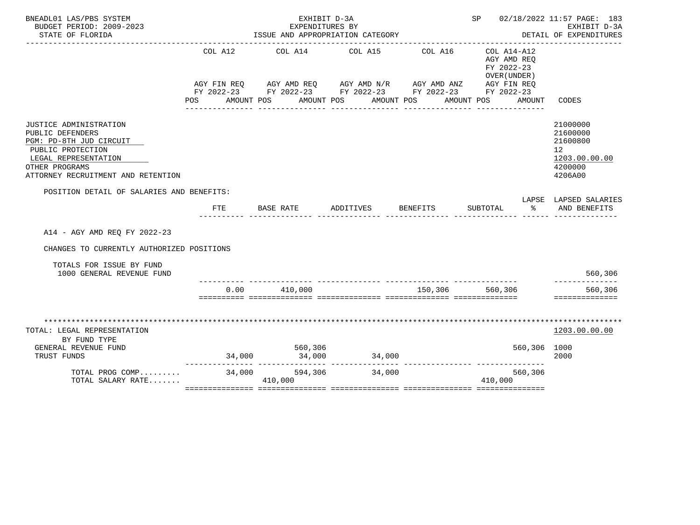| BNEADL01 LAS/PBS SYSTEM<br>BUDGET PERIOD: 2009-2023<br>STATE OF FLORIDA                                                                                                    |                       | EXHIBIT D-3A<br>EXPENDITURES BY | ISSUE AND APPROPRIATION CATEGORY                                                                                                                                                               |                                                                                | SP 02/18/2022 11:57 PAGE: 183                                                    | EXHIBIT D-3A<br>DETAIL OF EXPENDITURES                                        |
|----------------------------------------------------------------------------------------------------------------------------------------------------------------------------|-----------------------|---------------------------------|------------------------------------------------------------------------------------------------------------------------------------------------------------------------------------------------|--------------------------------------------------------------------------------|----------------------------------------------------------------------------------|-------------------------------------------------------------------------------|
|                                                                                                                                                                            | COL A12<br><b>POS</b> | AMOUNT POS                      | COL A14 COL A15<br>AGY FIN REQ AGY AMD REQ AGY AMD N/R AGY AMD ANZ AGY FIN REQ<br>FY 2022-23 FY 2022-23 FY 2022-23 FY 2022-23 FY 2022-23<br>AMOUNT POS<br>____________________________________ | __________________________________<br>COL A16<br>AMOUNT POS<br>_______________ | COL A14-A12<br>AGY AMD REO<br>FY 2022-23<br>OVER (UNDER)<br>AMOUNT POS<br>AMOUNT | CODES                                                                         |
| JUSTICE ADMINISTRATION<br>PUBLIC DEFENDERS<br>PGM: PD-8TH JUD CIRCUIT<br>PUBLIC PROTECTION<br>LEGAL REPRESENTATION<br>OTHER PROGRAMS<br>ATTORNEY RECRUITMENT AND RETENTION |                       |                                 |                                                                                                                                                                                                |                                                                                |                                                                                  | 21000000<br>21600000<br>21600800<br>12<br>1203.00.00.00<br>4200000<br>4206A00 |
| POSITION DETAIL OF SALARIES AND BENEFITS:                                                                                                                                  |                       |                                 |                                                                                                                                                                                                |                                                                                |                                                                                  | LAPSE LAPSED SALARIES                                                         |
|                                                                                                                                                                            | <b>FTE</b>            | BASE RATE                       | ADDITIVES                                                                                                                                                                                      | BENEFITS                                                                       | $\frac{8}{3}$<br>SUBTOTAL                                                        | AND BENEFITS                                                                  |
| A14 - AGY AMD REO FY 2022-23                                                                                                                                               |                       |                                 |                                                                                                                                                                                                |                                                                                |                                                                                  |                                                                               |
| CHANGES TO CURRENTLY AUTHORIZED POSITIONS                                                                                                                                  |                       |                                 |                                                                                                                                                                                                |                                                                                |                                                                                  |                                                                               |
| TOTALS FOR ISSUE BY FUND<br>1000 GENERAL REVENUE FUND                                                                                                                      |                       |                                 |                                                                                                                                                                                                |                                                                                |                                                                                  | 560,306                                                                       |
|                                                                                                                                                                            |                       | $0.00$ 410,000                  |                                                                                                                                                                                                | 150,306 560,306                                                                |                                                                                  | 560,306<br>==============                                                     |
| TOTAL: LEGAL REPRESENTATION<br>BY FUND TYPE<br>GENERAL REVENUE FUND<br>TRUST FUNDS                                                                                         |                       | 560,306                         | $34,000$ $34,000$ $34,000$                                                                                                                                                                     |                                                                                | 560,306 1000                                                                     | 1203.00.00.00<br>2000                                                         |
| TOTAL PROG COMP<br>TOTAL SALARY RATE                                                                                                                                       | 34,000                | 594,306<br>410,000              | 34,000                                                                                                                                                                                         |                                                                                | --------------- ----------------<br>560,306<br>410,000                           |                                                                               |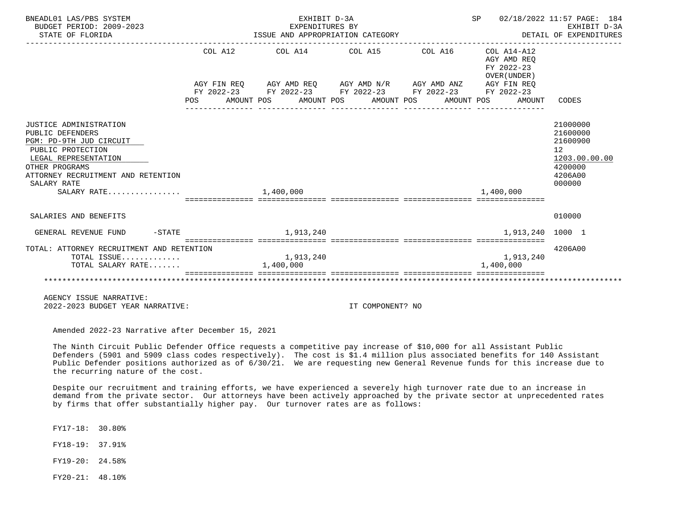| BNEADL01 LAS/PBS SYSTEM<br>BUDGET PERIOD: 2009-2023<br>STATE OF FLORIDA                                                                                                                                  | EXHIBIT D-3A<br>EXPENDITURES BY                   | ISSUE AND APPROPRIATION CATEGORY                                                                                                                                               |                                                                                                     | SP 02/18/2022 11:57 PAGE: 184<br>EXHIBIT D-3A<br>DETAIL OF EXPENDITURES                              |
|----------------------------------------------------------------------------------------------------------------------------------------------------------------------------------------------------------|---------------------------------------------------|--------------------------------------------------------------------------------------------------------------------------------------------------------------------------------|-----------------------------------------------------------------------------------------------------|------------------------------------------------------------------------------------------------------|
|                                                                                                                                                                                                          |                                                   | $COL A12$ $COL A14$ $COL A15$ $COL A16$ $COL A14-A12$<br>AGY FIN REQ AGY AMD REQ AGY AMD N/R AGY AMD ANZ AGY FIN REQ<br>FY 2022-23 FY 2022-23 FY 2022-23 FY 2022-23 FY 2022-23 | AGY AMD REQ<br>FY 2022-23<br>OVER (UNDER)<br>POS AMOUNT POS AMOUNT POS AMOUNT POS AMOUNT POS AMOUNT | CODES                                                                                                |
| JUSTICE ADMINISTRATION<br>PUBLIC DEFENDERS<br>PGM: PD-9TH JUD CIRCUIT<br>PUBLIC PROTECTION<br>LEGAL REPRESENTATION<br>OTHER PROGRAMS<br>ATTORNEY RECRUITMENT AND RETENTION<br>SALARY RATE<br>SALARY RATE | 1,400,000                                         |                                                                                                                                                                                | 1,400,000                                                                                           | 21000000<br>21600000<br>21600900<br>12 <sup>°</sup><br>1203.00.00.00<br>4200000<br>4206A00<br>000000 |
| SALARIES AND BENEFITS                                                                                                                                                                                    |                                                   |                                                                                                                                                                                |                                                                                                     | 010000                                                                                               |
| $-STATE$<br>GENERAL REVENUE FUND                                                                                                                                                                         | 1,913,240                                         |                                                                                                                                                                                | 1,913,240 1000 1                                                                                    |                                                                                                      |
| TOTAL: ATTORNEY RECRUITMENT AND RETENTION<br>TOTAL ISSUE<br>TOTAL SALARY RATE                                                                                                                            | 1,913,240<br>1,400,000<br>======================= |                                                                                                                                                                                | 1,913,240<br>1,400,000                                                                              | 4206A00                                                                                              |
|                                                                                                                                                                                                          |                                                   |                                                                                                                                                                                |                                                                                                     |                                                                                                      |
| AGENCY ISSUE NARRATIVE:<br>2022-2023 BUDGET YEAR NARRATIVE:                                                                                                                                              |                                                   | IT COMPONENT? NO                                                                                                                                                               |                                                                                                     |                                                                                                      |

 The Ninth Circuit Public Defender Office requests a competitive pay increase of \$10,000 for all Assistant Public Defenders (5901 and 5909 class codes respectively). The cost is \$1.4 million plus associated benefits for 140 Assistant Public Defender positions authorized as of 6/30/21. We are requesting new General Revenue funds for this increase due to the recurring nature of the cost.

 Despite our recruitment and training efforts, we have experienced a severely high turnover rate due to an increase in demand from the private sector. Our attorneys have been actively approached by the private sector at unprecedented rates by firms that offer substantially higher pay. Our turnover rates are as follows:

FY17-18: 30.80%

FY18-19: 37.91%

FY19-20: 24.58%

FY20-21: 48.10%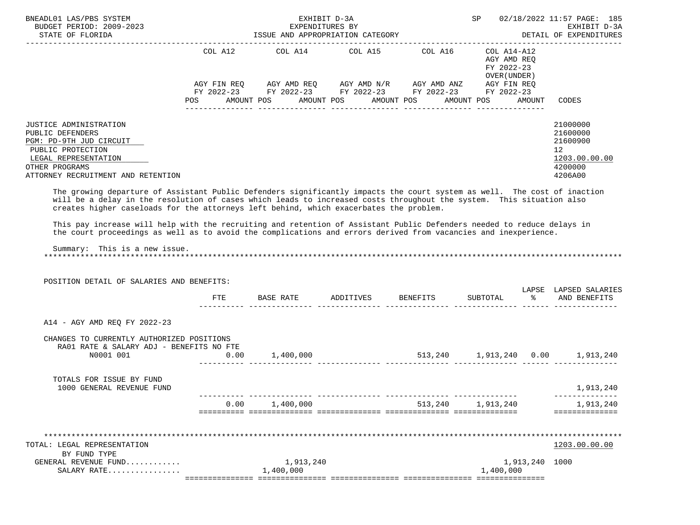| BNEADL01 LAS/PBS SYSTEM<br>BUDGET PERIOD: 2009-2023<br>STATE OF FLORIDA                                                                                                                                                                                                                                                                                                                                                                                              | ISSUE AND APPROPRIATION CATEGORY | SP 02/18/2022 11:57 PAGE: 185<br>EXHIBIT D-3A<br>DETAIL OF EXPENDITURES                                                                                                                                             |  |                                           |        |                                                                                            |
|----------------------------------------------------------------------------------------------------------------------------------------------------------------------------------------------------------------------------------------------------------------------------------------------------------------------------------------------------------------------------------------------------------------------------------------------------------------------|----------------------------------|---------------------------------------------------------------------------------------------------------------------------------------------------------------------------------------------------------------------|--|-------------------------------------------|--------|--------------------------------------------------------------------------------------------|
|                                                                                                                                                                                                                                                                                                                                                                                                                                                                      | POS                              | COL A12 COL A14 COL A15 COL A16 COL A14-A12<br>AGY FIN REQ AGY AMD REQ AGY AMD N/R AGY AMD ANZ AGY FIN REQ<br>FY 2022-23 FY 2022-23 FY 2022-23 FY 2022-23 FY 2022-23<br>AMOUNT POS AMOUNT POS AMOUNT POS AMOUNT POS |  | AGY AMD REO<br>FY 2022-23<br>OVER (UNDER) | AMOUNT | CODES                                                                                      |
| JUSTICE ADMINISTRATION<br>PUBLIC DEFENDERS<br>PGM: PD-9TH JUD CIRCUIT<br>PUBLIC PROTECTION<br>LEGAL REPRESENTATION<br>OTHER PROGRAMS<br>ATTORNEY RECRUITMENT AND RETENTION                                                                                                                                                                                                                                                                                           |                                  |                                                                                                                                                                                                                     |  |                                           |        | 21000000<br>21600000<br>21600900<br>12 <sup>°</sup><br>1203.00.00.00<br>4200000<br>4206A00 |
| The growing departure of Assistant Public Defenders significantly impacts the court system as well. The cost of inaction<br>will be a delay in the resolution of cases which leads to increased costs throughout the system. This situation also<br>creates higher caseloads for the attorneys left behind, which exacerbates the problem.<br>This pay increase will help with the recruiting and retention of Assistant Public Defenders needed to reduce delays in |                                  |                                                                                                                                                                                                                     |  |                                           |        |                                                                                            |
| the court proceedings as well as to avoid the complications and errors derived from vacancies and inexperience.<br>Summary: This is a new issue.                                                                                                                                                                                                                                                                                                                     |                                  |                                                                                                                                                                                                                     |  |                                           |        |                                                                                            |
| POSITION DETAIL OF SALARIES AND BENEFITS:                                                                                                                                                                                                                                                                                                                                                                                                                            |                                  |                                                                                                                                                                                                                     |  |                                           |        | LAPSE LAPSED SALARIES                                                                      |
|                                                                                                                                                                                                                                                                                                                                                                                                                                                                      | FTE                              | BASE RATE ADDITIVES BENEFITS                                                                                                                                                                                        |  |                                           |        | SUBTOTAL % AND BENEFITS                                                                    |
| A14 - AGY AMD REO FY 2022-23                                                                                                                                                                                                                                                                                                                                                                                                                                         |                                  |                                                                                                                                                                                                                     |  |                                           |        |                                                                                            |
| CHANGES TO CURRENTLY AUTHORIZED POSITIONS<br>RA01 RATE & SALARY ADJ - BENEFITS NO FTE                                                                                                                                                                                                                                                                                                                                                                                |                                  |                                                                                                                                                                                                                     |  |                                           |        |                                                                                            |

| N0001 001                   | 0.00 | 1,400,000 | 513,240 | 1,913,240 | 0.00 | 1,913,240     |
|-----------------------------|------|-----------|---------|-----------|------|---------------|
| TOTALS FOR ISSUE BY FUND    |      |           |         |           |      |               |
| 1000 GENERAL REVENUE FUND   |      |           |         |           |      | 1,913,240     |
|                             | 0.00 | 1,400,000 | 513,240 | 1,913,240 |      | 1,913,240     |
|                             |      |           |         |           |      |               |
|                             |      |           |         |           |      |               |
| TOTAL: LEGAL REPRESENTATION |      |           |         |           |      | 1203.00.00.00 |
| BY FUND TYPE                |      |           |         |           |      |               |

| SALARY<br>$R^{\prime}$<br>.            | ,400,000 | ,400,000                           |
|----------------------------------------|----------|------------------------------------|
| FUNL<br>REVENUE<br>H.NF<br>'ERA1.<br>. | ' 4⊥     | 1000<br>$\Omega$ 1 $\Omega$<br>240 |
|                                        |          |                                    |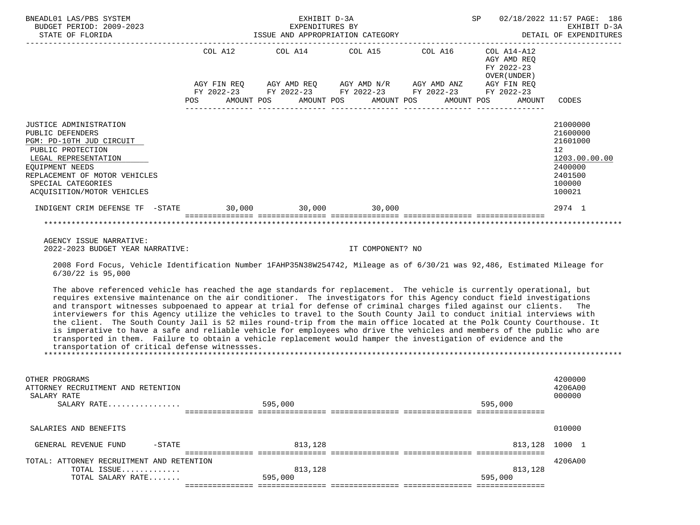| BNEADL01 LAS/PBS SYSTEM<br>BUDGET PERIOD: 2009-2023<br>STATE OF FLORIDA                                                                                                                                                            | EXHIBIT D-3A<br>EXPENDITURES BY<br>ISSUE AND APPROPRIATION CATEGORY |  |  |  |  |  | SP 02/18/2022 11:57 PAGE: 186<br>EXHIBIT D-3A<br>DETAIL OF EXPENDITURES                                                                       |                                                                        |                                                                                                                 |
|------------------------------------------------------------------------------------------------------------------------------------------------------------------------------------------------------------------------------------|---------------------------------------------------------------------|--|--|--|--|--|-----------------------------------------------------------------------------------------------------------------------------------------------|------------------------------------------------------------------------|-----------------------------------------------------------------------------------------------------------------|
|                                                                                                                                                                                                                                    |                                                                     |  |  |  |  |  | COL A12 COL A14 COL A15 COL A16<br>AGY FIN REQ AGY AMD REQ AGY AMD N/R AGY AMD ANZ AGY FIN REQ<br>FY 2022-23 FY 2022-23 FY 2022-23 FY 2022-23 | COL A14-A12<br>AGY AMD REO<br>FY 2022-23<br>OVER (UNDER)<br>FY 2022-23 |                                                                                                                 |
|                                                                                                                                                                                                                                    |                                                                     |  |  |  |  |  | POS AMOUNT POS AMOUNT POS AMOUNT POS AMOUNT POS AMOUNT                                                                                        |                                                                        | CODES                                                                                                           |
| <b>JUSTICE ADMINISTRATION</b><br>PUBLIC DEFENDERS<br>PGM: PD-10TH JUD CIRCUIT<br>PUBLIC PROTECTION<br>LEGAL REPRESENTATION<br>EQUIPMENT NEEDS<br>REPLACEMENT OF MOTOR VEHICLES<br>SPECIAL CATEGORIES<br>ACOUISITION/MOTOR VEHICLES |                                                                     |  |  |  |  |  |                                                                                                                                               |                                                                        | 21000000<br>21600000<br>21601000<br>12 <sup>12</sup><br>1203.00.00.00<br>2400000<br>2401500<br>100000<br>100021 |
| INDIGENT CRIM DEFENSE TF -STATE 30,000 30,000 30,000 30,000                                                                                                                                                                        |                                                                     |  |  |  |  |  |                                                                                                                                               |                                                                        | 2974 1                                                                                                          |
|                                                                                                                                                                                                                                    |                                                                     |  |  |  |  |  |                                                                                                                                               |                                                                        |                                                                                                                 |

 2008 Ford Focus, Vehicle Identification Number 1FAHP35N38W254742, Mileage as of 6/30/21 was 92,486, Estimated Mileage for 6/30/22 is 95,000

 The above referenced vehicle has reached the age standards for replacement. The vehicle is currently operational, but requires extensive maintenance on the air conditioner. The investigators for this Agency conduct field investigations and transport witnesses subpoenaed to appear at trial for defense of criminal charges filed against our clients. The interviewers for this Agency utilize the vehicles to travel to the South County Jail to conduct initial interviews with the client. The South County Jail is 52 miles round-trip from the main office located at the Polk County Courthouse. It is imperative to have a safe and reliable vehicle for employees who drive the vehicles and members of the public who are transported in them. Failure to obtain a vehicle replacement would hamper the investigation of evidence and the transportation of critical defense witnessses. \*\*\*\*\*\*\*\*\*\*\*\*\*\*\*\*\*\*\*\*\*\*\*\*\*\*\*\*\*\*\*\*\*\*\*\*\*\*\*\*\*\*\*\*\*\*\*\*\*\*\*\*\*\*\*\*\*\*\*\*\*\*\*\*\*\*\*\*\*\*\*\*\*\*\*\*\*\*\*\*\*\*\*\*\*\*\*\*\*\*\*\*\*\*\*\*\*\*\*\*\*\*\*\*\*\*\*\*\*\*\*\*\*\*\*\*\*\*\*\*\*\*\*\*\*\*\*

| OTHER PROGRAMS<br>ATTORNEY RECRUITMENT AND RETENTION<br>SALARY RATE<br>SALARY RATE |          | 595,000 | 595,000 | 4200000<br>4206A00<br>000000 |
|------------------------------------------------------------------------------------|----------|---------|---------|------------------------------|
|                                                                                    |          |         |         |                              |
| SALARIES AND BENEFITS                                                              |          |         |         | 010000                       |
| GENERAL REVENUE FUND                                                               | $-STATE$ | 813,128 |         | 813,128 1000 1               |
| TOTAL: ATTORNEY RECRUITMENT AND RETENTION                                          |          |         |         | 4206A00                      |
| TOTAL ISSUE                                                                        |          | 813,128 | 813,128 |                              |
| TOTAL SALARY RATE                                                                  |          | 595,000 | 595,000 |                              |
|                                                                                    |          |         |         |                              |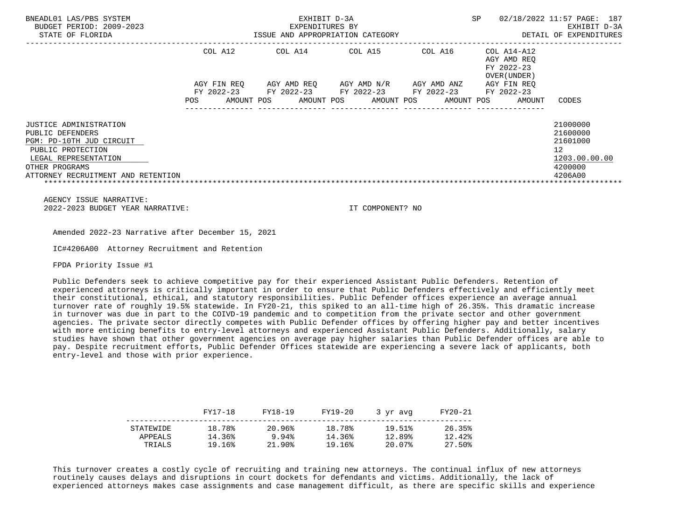| BNEADL01 LAS/PBS SYSTEM<br>BUDGET PERIOD: 2009-2023<br>STATE OF FLORIDA |                                        | EXHIBIT D-3A<br>EXPENDITURES BY<br>ISSUE AND APPROPRIATION CATEGORY | <b>SP</b>                | 02/18/2022 11:57 PAGE: 187<br>EXHIBIT D-3A<br>DETAIL OF EXPENDITURES |                                                          |                      |
|-------------------------------------------------------------------------|----------------------------------------|---------------------------------------------------------------------|--------------------------|----------------------------------------------------------------------|----------------------------------------------------------|----------------------|
|                                                                         | COL A12                                | COL A14                                                             | COL A15                  | COL A16                                                              | COL A14-A12<br>AGY AMD REO<br>FY 2022-23<br>OVER (UNDER) |                      |
|                                                                         | AGY FIN REO                            | AGY AMD REO                                                         | AGY AMD N/R              | AGY AMD ANZ                                                          | AGY FIN REO                                              |                      |
|                                                                         | FY 2022-23<br>AMOUNT POS<br><b>POS</b> | FY 2022-23<br>AMOUNT POS                                            | FY 2022-23<br>AMOUNT POS | FY 2022-23<br>AMOUNT POS                                             | FY 2022-23<br>AMOUNT                                     | CODES                |
|                                                                         |                                        |                                                                     |                          |                                                                      |                                                          |                      |
| JUSTICE ADMINISTRATION<br>PUBLIC DEFENDERS                              |                                        |                                                                     |                          |                                                                      |                                                          | 21000000<br>21600000 |
| PGM: PD-10TH JUD CIRCUIT                                                |                                        |                                                                     |                          |                                                                      |                                                          | 21601000             |
| PUBLIC PROTECTION                                                       |                                        |                                                                     |                          |                                                                      |                                                          | 12                   |
| LEGAL REPRESENTATION                                                    |                                        |                                                                     |                          |                                                                      |                                                          | 1203.00.00.00        |
| OTHER PROGRAMS                                                          |                                        |                                                                     |                          |                                                                      |                                                          | 4200000              |
| ATTORNEY RECRUITMENT AND RETENTION                                      |                                        |                                                                     |                          |                                                                      |                                                          | 4206A00              |
|                                                                         |                                        |                                                                     |                          |                                                                      |                                                          |                      |

Amended 2022-23 Narrative after December 15, 2021

IC#4206A00 Attorney Recruitment and Retention

FPDA Priority Issue #1

 Public Defenders seek to achieve competitive pay for their experienced Assistant Public Defenders. Retention of experienced attorneys is critically important in order to ensure that Public Defenders effectively and efficiently meet their constitutional, ethical, and statutory responsibilities. Public Defender offices experience an average annual turnover rate of roughly 19.5% statewide. In FY20-21, this spiked to an all-time high of 26.35%. This dramatic increase in turnover was due in part to the COIVD-19 pandemic and to competition from the private sector and other government agencies. The private sector directly competes with Public Defender offices by offering higher pay and better incentives with more enticing benefits to entry-level attorneys and experienced Assistant Public Defenders. Additionally, salary studies have shown that other government agencies on average pay higher salaries than Public Defender offices are able to pay. Despite recruitment efforts, Public Defender Offices statewide are experiencing a severe lack of applicants, both entry-level and those with prior experience.

|                      | FY17-18          | FY18-19         | FY19-20          | 3 vr avg         | FY20-21          |
|----------------------|------------------|-----------------|------------------|------------------|------------------|
| STATEWIDE<br>APPEALS | 18.78%<br>14.36% | 20.96%<br>9.94% | 18.78%<br>14.36% | 19.51%<br>12.89% | 26.35%<br>12.42% |
| TRIALS               | 19.16%           | 21.90%          | 19.16%           | 20.07%           | 27.50%           |

 This turnover creates a costly cycle of recruiting and training new attorneys. The continual influx of new attorneys routinely causes delays and disruptions in court dockets for defendants and victims. Additionally, the lack of experienced attorneys makes case assignments and case management difficult, as there are specific skills and experience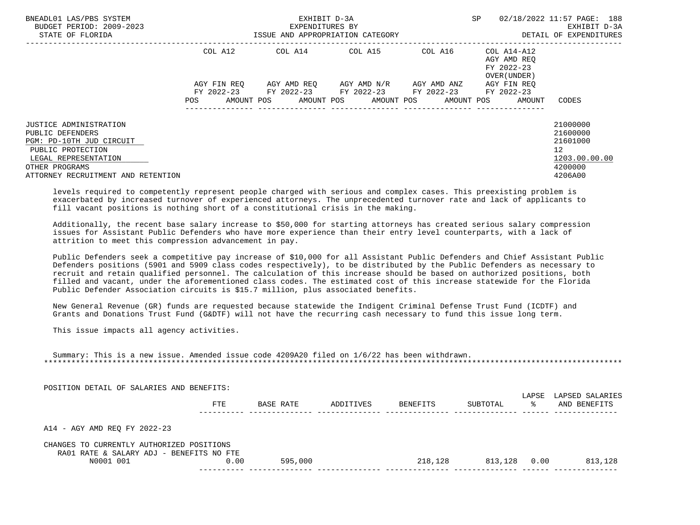| BNEADL01 LAS/PBS SYSTEM<br>BUDGET PERIOD: 2009-2023<br>STATE OF FLORIDA | EXHIBIT D-3A<br>EXPENDITURES BY<br>ISSUE AND APPROPRIATION CATEGORY |            |  |                                             |  |                         |  |                     |  |                                           | 02/18/2022 11:57 PAGE: 188<br>EXHIBIT D-3A<br>DETAIL OF EXPENDITURES |
|-------------------------------------------------------------------------|---------------------------------------------------------------------|------------|--|---------------------------------------------|--|-------------------------|--|---------------------|--|-------------------------------------------|----------------------------------------------------------------------|
|                                                                         | COL A12                                                             |            |  | COL A14                                     |  | COL A15                 |  | COL A16 COL A14-A12 |  | AGY AMD REO<br>FY 2022-23<br>OVER (UNDER) |                                                                      |
|                                                                         | AGY FIN REO                                                         |            |  | FY 2022-23 FY 2022-23 FY 2022-23 FY 2022-23 |  | AGY AMD REO AGY AMD N/R |  | AGY AMD ANZ         |  | AGY FIN REO                               |                                                                      |
|                                                                         | POS                                                                 | AMOUNT POS |  |                                             |  | AMOUNT POS AMOUNT POS   |  | AMOUNT POS          |  | FY 2022-23<br>AMOUNT                      | CODES                                                                |
| JUSTICE ADMINISTRATION                                                  |                                                                     |            |  |                                             |  |                         |  |                     |  |                                           | 21000000                                                             |
| PUBLIC DEFENDERS                                                        |                                                                     |            |  |                                             |  |                         |  |                     |  |                                           | 21600000                                                             |
| PGM: PD-10TH JUD CIRCUIT                                                |                                                                     |            |  |                                             |  |                         |  |                     |  |                                           | 21601000                                                             |
| PUBLIC PROTECTION                                                       |                                                                     |            |  |                                             |  |                         |  |                     |  |                                           | 12 <sup>°</sup>                                                      |
| LEGAL REPRESENTATION                                                    |                                                                     |            |  |                                             |  |                         |  |                     |  |                                           | 1203.00.00.00                                                        |
| OTHER PROGRAMS                                                          |                                                                     |            |  |                                             |  |                         |  |                     |  |                                           | 4200000                                                              |
| ATTORNEY RECRUITMENT AND RETENTION                                      |                                                                     |            |  |                                             |  |                         |  |                     |  |                                           | 4206A00                                                              |

 levels required to competently represent people charged with serious and complex cases. This preexisting problem is exacerbated by increased turnover of experienced attorneys. The unprecedented turnover rate and lack of applicants to fill vacant positions is nothing short of a constitutional crisis in the making.

 Additionally, the recent base salary increase to \$50,000 for starting attorneys has created serious salary compression issues for Assistant Public Defenders who have more experience than their entry level counterparts, with a lack of attrition to meet this compression advancement in pay.

 Public Defenders seek a competitive pay increase of \$10,000 for all Assistant Public Defenders and Chief Assistant Public Defenders positions (5901 and 5909 class codes respectively), to be distributed by the Public Defenders as necessary to recruit and retain qualified personnel. The calculation of this increase should be based on authorized positions, both filled and vacant, under the aforementioned class codes. The estimated cost of this increase statewide for the Florida Public Defender Association circuits is \$15.7 million, plus associated benefits.

 New General Revenue (GR) funds are requested because statewide the Indigent Criminal Defense Trust Fund (ICDTF) and Grants and Donations Trust Fund (G&DTF) will not have the recurring cash necessary to fund this issue long term.

This issue impacts all agency activities.

|  |  |  |  | Summary: This is a new issue. Amended issue code 4209A20 filed on 1/6/22 has been withdrawn. |  |  |
|--|--|--|--|----------------------------------------------------------------------------------------------|--|--|
|  |  |  |  |                                                                                              |  |  |

POSITION DETAIL OF SALARIES AND BENEFITS:

|                                                                                       | FTE  | BASE RATE | ADDITIVES | BENEFITS | SUBTOTAL | LAPSE<br>°≈ | LAPSED SALARIES<br>AND BENEFITS |
|---------------------------------------------------------------------------------------|------|-----------|-----------|----------|----------|-------------|---------------------------------|
| A14 - AGY AMD REO FY 2022-23                                                          |      |           |           |          |          |             |                                 |
| CHANGES TO CURRENTLY AUTHORIZED POSITIONS<br>RA01 RATE & SALARY ADJ - BENEFITS NO FTE |      |           |           |          |          |             |                                 |
| N0001 001                                                                             | 0.00 | 595,000   |           | 218,128  | 813,128  | 0.00        | 813,128                         |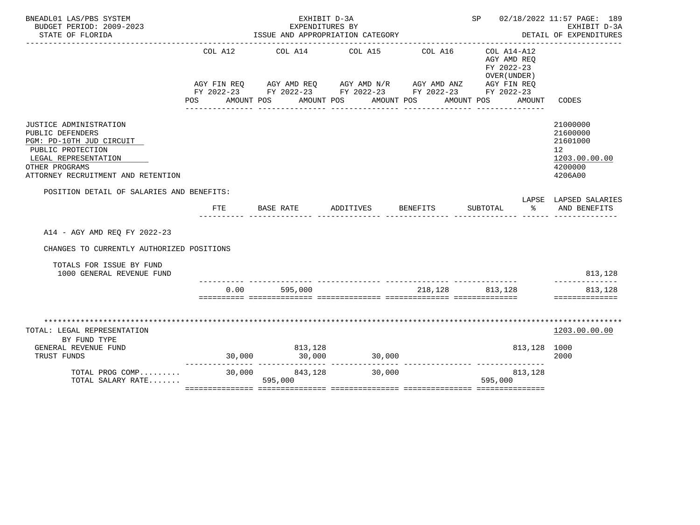| BNEADL01 LAS/PBS SYSTEM<br>BUDGET PERIOD: 2009-2023                                                                                                                         |                | EXHIBIT D-3A<br>EXPENDITURES BY           | SP 02/18/2022 11:57 PAGE: 189                                                                                                                               | EXHIBIT D-3A                                                                    |                                                                                  |                                                                               |
|-----------------------------------------------------------------------------------------------------------------------------------------------------------------------------|----------------|-------------------------------------------|-------------------------------------------------------------------------------------------------------------------------------------------------------------|---------------------------------------------------------------------------------|----------------------------------------------------------------------------------|-------------------------------------------------------------------------------|
| STATE OF FLORIDA                                                                                                                                                            |                | ISSUE AND APPROPRIATION CATEGORY          |                                                                                                                                                             | DETAIL OF EXPENDITURES                                                          |                                                                                  |                                                                               |
|                                                                                                                                                                             | COL A12<br>POS | AMOUNT POS AMOUNT POS<br>---------------- | COL A14 COL A15<br>AGY FIN REQ AGY AMD REQ AGY AMD N/R AGY AMD ANZ AGY FIN REQ<br>FY 2022-23 FY 2022-23 FY 2022-23 FY 2022-23 FY 2022-23<br>_______________ | -----------------------------------<br>COL A16<br>AMOUNT POS<br>_______________ | COL A14-A12<br>AGY AMD REO<br>FY 2022-23<br>OVER (UNDER)<br>AMOUNT POS<br>AMOUNT | CODES                                                                         |
| JUSTICE ADMINISTRATION<br>PUBLIC DEFENDERS<br>PGM: PD-10TH JUD CIRCUIT<br>PUBLIC PROTECTION<br>LEGAL REPRESENTATION<br>OTHER PROGRAMS<br>ATTORNEY RECRUITMENT AND RETENTION |                |                                           |                                                                                                                                                             |                                                                                 |                                                                                  | 21000000<br>21600000<br>21601000<br>12<br>1203.00.00.00<br>4200000<br>4206A00 |
| POSITION DETAIL OF SALARIES AND BENEFITS:                                                                                                                                   |                |                                           |                                                                                                                                                             |                                                                                 |                                                                                  |                                                                               |
|                                                                                                                                                                             | FTE            | BASE RATE                                 | ADDITIVES                                                                                                                                                   | <b>BENEFITS</b>                                                                 | $\sim$<br>SUBTOTAL                                                               | LAPSE LAPSED SALARIES<br>AND BENEFITS                                         |
| A14 - AGY AMD REO FY 2022-23                                                                                                                                                |                |                                           |                                                                                                                                                             |                                                                                 |                                                                                  |                                                                               |
| CHANGES TO CURRENTLY AUTHORIZED POSITIONS                                                                                                                                   |                |                                           |                                                                                                                                                             |                                                                                 |                                                                                  |                                                                               |
| TOTALS FOR ISSUE BY FUND<br>1000 GENERAL REVENUE FUND                                                                                                                       |                |                                           |                                                                                                                                                             |                                                                                 |                                                                                  | 813,128                                                                       |
|                                                                                                                                                                             | 0.00           | 595,000                                   | <u>sisisisis sisisisisisis sisisisisisis sisisisisisis sisisisisisis</u>                                                                                    |                                                                                 | 218,128 813,128                                                                  | 813,128<br>==============                                                     |
| TOTAL: LEGAL REPRESENTATION<br>BY FUND TYPE<br>GENERAL REVENUE FUND<br>TRUST FUNDS<br>TOTAL PROG COMP 30,000 843,128<br>TOTAL SALARY RATE                                   |                | 813,128<br>595,000                        | $30,000$ $30,000$ $30,000$ $30,000$<br>30,000                                                                                                               |                                                                                 | 813,128 1000<br>____________________________________<br>813,128<br>595,000       | 1203.00.00.00<br>2000                                                         |
|                                                                                                                                                                             |                |                                           |                                                                                                                                                             |                                                                                 |                                                                                  |                                                                               |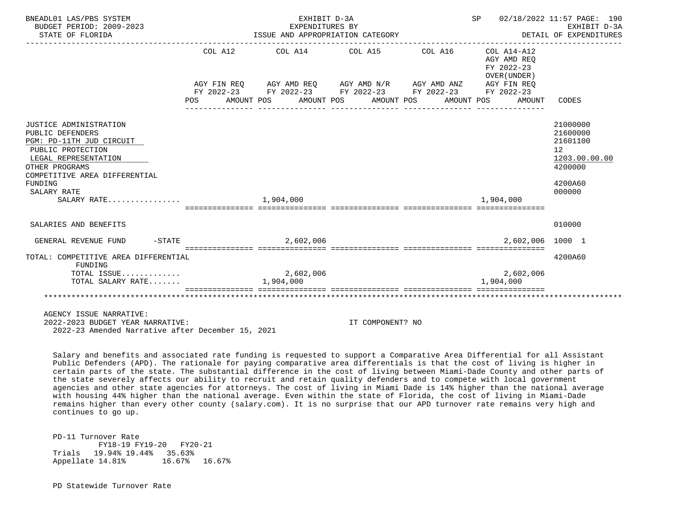| BNEADL01 LAS/PBS SYSTEM<br>BUDGET PERIOD: 2009-2023<br>STATE OF FLORIDA                                                                                                                          | ISSUE AND APPROPRIATION CATEGORY | SP 02/18/2022 11:57 PAGE: 190<br>EXHIBIT D-3A<br>DETAIL OF EXPENDITURES                                                                                              |                  |                                       |                                           |                                                                                                      |
|--------------------------------------------------------------------------------------------------------------------------------------------------------------------------------------------------|----------------------------------|----------------------------------------------------------------------------------------------------------------------------------------------------------------------|------------------|---------------------------------------|-------------------------------------------|------------------------------------------------------------------------------------------------------|
|                                                                                                                                                                                                  |                                  | COL A12 COL A14 COL A15 COL A16 COL A14-A12<br>AGY FIN REQ AGY AMD REQ AGY AMD N/R AGY AMD ANZ AGY FIN REQ<br>FY 2022-23 FY 2022-23 FY 2022-23 FY 2022-23 FY 2022-23 |                  | ------------------------------------- | AGY AMD REO<br>FY 2022-23<br>OVER (UNDER) |                                                                                                      |
|                                                                                                                                                                                                  | POS                              | AMOUNT POS AMOUNT POS AMOUNT POS                                                                                                                                     |                  | AMOUNT POS                            | AMOUNT                                    | CODES                                                                                                |
| JUSTICE ADMINISTRATION<br>PUBLIC DEFENDERS<br>PGM: PD-11TH JUD CIRCUIT<br>PUBLIC PROTECTION<br>LEGAL REPRESENTATION<br>OTHER PROGRAMS<br>COMPETITIVE AREA DIFFERENTIAL<br>FUNDING<br>SALARY RATE |                                  |                                                                                                                                                                      |                  |                                       |                                           | 21000000<br>21600000<br>21601100<br>12 <sup>°</sup><br>1203.00.00.00<br>4200000<br>4200A60<br>000000 |
| SALARY RATE                                                                                                                                                                                      |                                  | 1,904,000                                                                                                                                                            |                  |                                       | 1,904,000                                 |                                                                                                      |
|                                                                                                                                                                                                  |                                  |                                                                                                                                                                      |                  |                                       |                                           |                                                                                                      |
| SALARIES AND BENEFITS                                                                                                                                                                            |                                  |                                                                                                                                                                      |                  |                                       |                                           | 010000                                                                                               |
| GENERAL REVENUE FUND                                                                                                                                                                             | $-$ STATE                        | 2,602,006                                                                                                                                                            |                  |                                       | 2,602,006 1000 1                          |                                                                                                      |
| TOTAL: COMPETITIVE AREA DIFFERENTIAL<br>FUNDING<br>TOTAL ISSUE                                                                                                                                   |                                  | 2,602,006                                                                                                                                                            |                  |                                       | 2,602,006                                 | 4200A60                                                                                              |
| TOTAL SALARY RATE                                                                                                                                                                                |                                  | 1,904,000                                                                                                                                                            |                  |                                       | 1,904,000                                 |                                                                                                      |
|                                                                                                                                                                                                  |                                  |                                                                                                                                                                      |                  |                                       |                                           |                                                                                                      |
| AGENCY ISSUE NARRATIVE:<br>2022-2023 BUDGET YEAR NARRATIVE:<br>2022-23 Amended Narrative after December 15, 2021                                                                                 |                                  |                                                                                                                                                                      | IT COMPONENT? NO |                                       |                                           |                                                                                                      |

 Salary and benefits and associated rate funding is requested to support a Comparative Area Differential for all Assistant Public Defenders (APD). The rationale for paying comparative area differentials is that the cost of living is higher in certain parts of the state. The substantial difference in the cost of living between Miami-Dade County and other parts of the state severely affects our ability to recruit and retain quality defenders and to compete with local government agencies and other state agencies for attorneys. The cost of living in Miami Dade is 14% higher than the national average with housing 44% higher than the national average. Even within the state of Florida, the cost of living in Miami-Dade remains higher than every other county (salary.com). It is no surprise that our APD turnover rate remains very high and continues to go up.

 PD-11 Turnover Rate FY18-19 FY19-20 FY20-21 Trials 19.94% 19.44% 35.63%<br>Appellate 14.81% 16.67% 16.67% Appellate 14.81%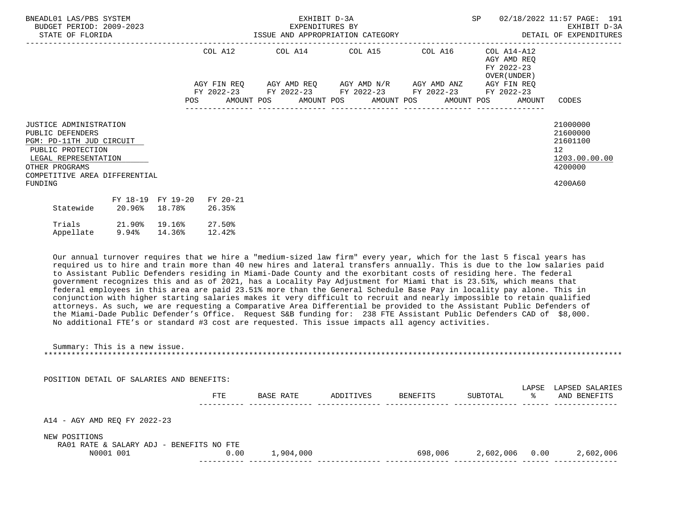| BNEADL01 LAS/PBS SYSTEM<br>BUDGET PERIOD: 2009-2023<br>STATE OF FLORIDA                                                                                                           |                            | EXHIBIT D-3A<br>EXPENDITURES BY<br>EXHIBIT D-3A EXHIBIT D-3A EXHIBIT D-3A<br>ISSUE AND APPROPRIATION CATEGORY SAND AND APPROPRIATION CATEGORY |                     |  |  |  |                                                                                                                       |  |  | SP 02/18/2022 11:57 PAGE: 191<br>EXHIBIT D-3A                |                                                                                            |
|-----------------------------------------------------------------------------------------------------------------------------------------------------------------------------------|----------------------------|-----------------------------------------------------------------------------------------------------------------------------------------------|---------------------|--|--|--|-----------------------------------------------------------------------------------------------------------------------|--|--|--------------------------------------------------------------|--------------------------------------------------------------------------------------------|
|                                                                                                                                                                                   |                            |                                                                                                                                               |                     |  |  |  | COL A12 COL A14 COL A15 COL A16 COL A14-A12                                                                           |  |  | AGY AMD REO<br>FY 2022-23<br>OVER (UNDER )                   |                                                                                            |
|                                                                                                                                                                                   |                            |                                                                                                                                               |                     |  |  |  | AGY FIN REQ AGY AMD REQ AGY AMD N/R AGY AMD ANZ AGY FIN REQ<br>FY 2022-23 FY 2022-23 FY 2022-23 FY 2022-23 FY 2022-23 |  |  | POS AMOUNT POS AMOUNT POS AMOUNT POS AMOUNT POS AMOUNT CODES |                                                                                            |
| JUSTICE ADMINISTRATION<br>PUBLIC DEFENDERS<br>PGM: PD-11TH JUD CIRCUIT<br>PUBLIC PROTECTION<br>LEGAL REPRESENTATION<br>OTHER PROGRAMS<br>COMPETITIVE AREA DIFFERENTIAL<br>FUNDING |                            |                                                                                                                                               |                     |  |  |  |                                                                                                                       |  |  |                                                              | 21000000<br>21600000<br>21601100<br>12 <sup>1</sup><br>1203.00.00.00<br>4200000<br>4200A60 |
| Statewide 20.96% 18.78%                                                                                                                                                           | FY 18-19 FY 19-20 FY 20-21 |                                                                                                                                               | 26.35%              |  |  |  |                                                                                                                       |  |  |                                                              |                                                                                            |
| Trials 21.90% 19.16%<br>Appellate 9.94% 14.36%                                                                                                                                    |                            |                                                                                                                                               | $27.50\%$<br>12.42% |  |  |  |                                                                                                                       |  |  |                                                              |                                                                                            |

 Our annual turnover requires that we hire a "medium-sized law firm" every year, which for the last 5 fiscal years has required us to hire and train more than 40 new hires and lateral transfers annually. This is due to the low salaries paid to Assistant Public Defenders residing in Miami-Dade County and the exorbitant costs of residing here. The federal government recognizes this and as of 2021, has a Locality Pay Adjustment for Miami that is 23.51%, which means that federal employees in this area are paid 23.51% more than the General Schedule Base Pay in locality pay alone. This in conjunction with higher starting salaries makes it very difficult to recruit and nearly impossible to retain qualified attorneys. As such, we are requesting a Comparative Area Differential be provided to the Assistant Public Defenders of the Miami-Dade Public Defender's Office. Request S&B funding for: 238 FTE Assistant Public Defenders CAD of \$8,000. No additional FTE's or standard #3 cost are requested. This issue impacts all agency activities.

 Summary: This is a new issue. \*\*\*\*\*\*\*\*\*\*\*\*\*\*\*\*\*\*\*\*\*\*\*\*\*\*\*\*\*\*\*\*\*\*\*\*\*\*\*\*\*\*\*\*\*\*\*\*\*\*\*\*\*\*\*\*\*\*\*\*\*\*\*\*\*\*\*\*\*\*\*\*\*\*\*\*\*\*\*\*\*\*\*\*\*\*\*\*\*\*\*\*\*\*\*\*\*\*\*\*\*\*\*\*\*\*\*\*\*\*\*\*\*\*\*\*\*\*\*\*\*\*\*\*\*\*\*

POSITION DETAIL OF SALARIES AND BENEFITS:

|                                                           | FTE  | BASE RATE | ADDITIVES | BENEFITS | SUBTOTAL  | LAPSE<br>°≈ | LAPSED SALARIES<br>AND BENEFITS |
|-----------------------------------------------------------|------|-----------|-----------|----------|-----------|-------------|---------------------------------|
| A14 - AGY AMD REQ FY 2022-23                              |      |           |           |          |           |             |                                 |
| NEW POSITIONS<br>RA01 RATE & SALARY ADJ - BENEFITS NO FTE |      |           |           |          |           |             |                                 |
| N0001 001                                                 | 0.00 | 1,904,000 |           | 698,006  | 2,602,006 | 0.00        | 2,602,006                       |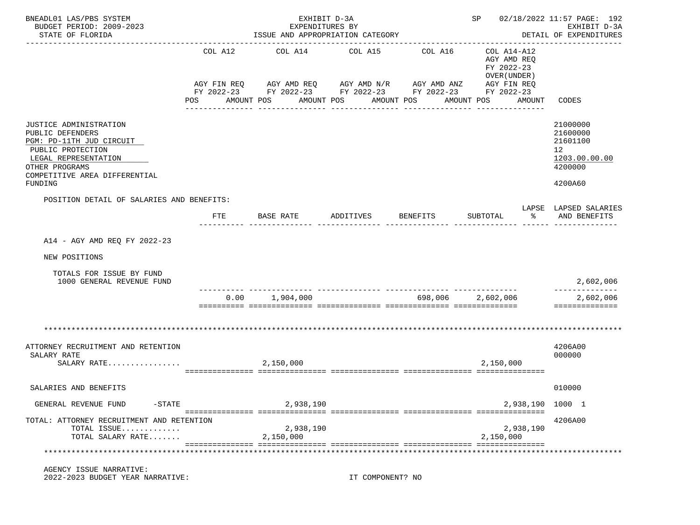| BNEADL01 LAS/PBS SYSTEM<br>BUDGET PERIOD: 2009-2023                                                                                                                               |                | EXHIBIT D-3A<br>EXPENDITURES BY                   |                                                                                                                                                                | SP 02/18/2022 11:57 PAGE: 192<br>EXHIBIT D-3A |                                                                                                                 |                                                                               |
|-----------------------------------------------------------------------------------------------------------------------------------------------------------------------------------|----------------|---------------------------------------------------|----------------------------------------------------------------------------------------------------------------------------------------------------------------|-----------------------------------------------|-----------------------------------------------------------------------------------------------------------------|-------------------------------------------------------------------------------|
| STATE OF FLORIDA                                                                                                                                                                  |                |                                                   | ISSUE AND APPROPRIATION CATEGORY                                                                                                                               |                                               |                                                                                                                 | DETAIL OF EXPENDITURES                                                        |
|                                                                                                                                                                                   | COL A12<br>POS | COL A14<br>AMOUNT POS<br>AMOUNT POS               | COL A15<br>AGY FIN REQ AGY AMD REQ AGY AMD N/R AGY AMD ANZ AGY FIN REQ<br>FY 2022-23 FY 2022-23 FY 2022-23 FY 2022-23 FY 2022-23<br>AMOUNT POS<br>------------ | COL A16<br>----------                         | COL A14-A12<br>AGY AMD REO<br>FY 2022-23<br>OVER (UNDER)<br>AMOUNT POS<br>AMOUNT<br><u> Le Belese Belese Be</u> | <b>CODES</b>                                                                  |
| JUSTICE ADMINISTRATION<br>PUBLIC DEFENDERS<br>PGM: PD-11TH JUD CIRCUIT<br>PUBLIC PROTECTION<br>LEGAL REPRESENTATION<br>OTHER PROGRAMS<br>COMPETITIVE AREA DIFFERENTIAL<br>FUNDING |                |                                                   |                                                                                                                                                                |                                               |                                                                                                                 | 21000000<br>21600000<br>21601100<br>12<br>1203.00.00.00<br>4200000<br>4200A60 |
| POSITION DETAIL OF SALARIES AND BENEFITS:                                                                                                                                         |                |                                                   |                                                                                                                                                                |                                               |                                                                                                                 | LAPSE LAPSED SALARIES                                                         |
|                                                                                                                                                                                   | <b>FTE</b>     | BASE RATE                                         | ADDITIVES                                                                                                                                                      | <b>BENEFITS</b>                               | SUBTOTAL<br>°≈                                                                                                  | AND BENEFITS                                                                  |
| NEW POSITIONS<br>TOTALS FOR ISSUE BY FUND<br>1000 GENERAL REVENUE FUND                                                                                                            |                |                                                   |                                                                                                                                                                |                                               |                                                                                                                 | 2,602,006                                                                     |
|                                                                                                                                                                                   |                | -------------------------------<br>0.00 1,904,000 |                                                                                                                                                                |                                               | 698,006 2,602,006                                                                                               | 2,602,006<br>==============                                                   |
| ATTORNEY RECRUITMENT AND RETENTION<br>SALARY RATE<br>SALARY RATE                                                                                                                  |                | 2,150,000                                         |                                                                                                                                                                |                                               | 2,150,000                                                                                                       | 4206A00<br>000000                                                             |
| SALARIES AND BENEFITS                                                                                                                                                             |                |                                                   |                                                                                                                                                                |                                               |                                                                                                                 | 010000                                                                        |
| GENERAL REVENUE FUND<br>$-$ STATE                                                                                                                                                 |                | 2,938,190                                         |                                                                                                                                                                |                                               | 2,938,190 1000 1                                                                                                |                                                                               |
| TOTAL: ATTORNEY RECRUITMENT AND RETENTION<br>TOTAL ISSUE<br>TOTAL SALARY RATE                                                                                                     |                | 2,938,190<br>2,150,000                            |                                                                                                                                                                |                                               | 2,938,190<br>2,150,000                                                                                          | 4206A00                                                                       |
| AGENCY ISSUE NARRATIVE:<br>2022-2023 BUDGET YEAR NARRATIVE:                                                                                                                       |                |                                                   | IT COMPONENT? NO                                                                                                                                               |                                               |                                                                                                                 |                                                                               |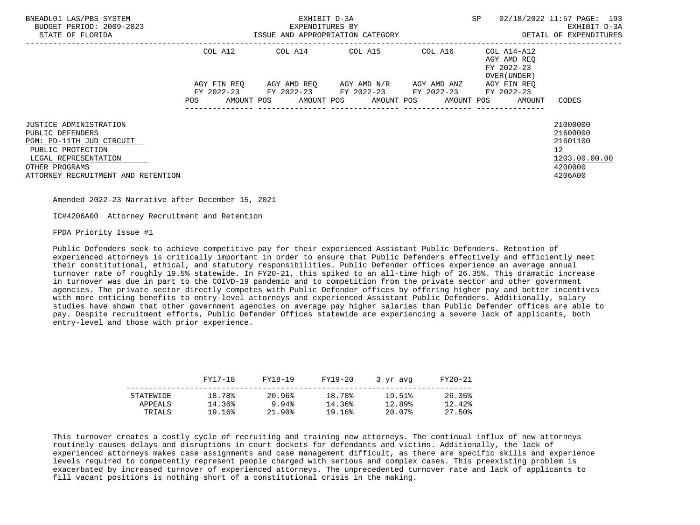| BNEADL01 LAS/PBS SYSTEM<br>BUDGET PERIOD: 2009-2023<br>STATE OF FLORIDA | EXHIBIT D-3A<br>EXPENDITURES BY<br>ISSUE AND APPROPRIATION CATEGORY |             |  |  |  |                                                                                                   |  |                     | <b>SP</b> |                                            | 02/18/2022 11:57 PAGE: 193<br>EXHIBIT D-3A<br>DETAIL OF EXPENDITURES |
|-------------------------------------------------------------------------|---------------------------------------------------------------------|-------------|--|--|--|---------------------------------------------------------------------------------------------------|--|---------------------|-----------|--------------------------------------------|----------------------------------------------------------------------|
|                                                                         |                                                                     | COL A12     |  |  |  | COL A14 COL A15                                                                                   |  | COL A16 COL A14-A12 |           | AGY AMD REO<br>FY 2022-23<br>OVER (UNDER ) |                                                                      |
|                                                                         |                                                                     | AGY FIN REO |  |  |  | AGY AMD REO      AGY AMD N/R      AGY AMD ANZ                                                     |  |                     |           | AGY FIN REO                                |                                                                      |
|                                                                         | POS                                                                 |             |  |  |  | FY 2022-23 FY 2022-23 FY 2022-23 FY 2022-23<br>AMOUNT POS AMOUNT POS AMOUNT POS AMOUNT POS AMOUNT |  |                     |           | FY 2022-23                                 | CODES                                                                |
| JUSTICE ADMINISTRATION<br>PUBLIC DEFENDERS<br>PGM: PD-11TH JUD CIRCUIT  |                                                                     |             |  |  |  |                                                                                                   |  |                     |           |                                            | 21000000<br>21600000<br>21601100                                     |
| PUBLIC PROTECTION<br>LEGAL REPRESENTATION                               |                                                                     |             |  |  |  |                                                                                                   |  |                     |           |                                            | 12 <sup>°</sup><br>1203.00.00.00                                     |
| OTHER PROGRAMS                                                          |                                                                     |             |  |  |  |                                                                                                   |  |                     |           |                                            | 4200000                                                              |
| ATTORNEY RECRUITMENT AND RETENTION                                      |                                                                     |             |  |  |  |                                                                                                   |  |                     |           |                                            | 4206A00                                                              |

IC#4206A00 Attorney Recruitment and Retention

FPDA Priority Issue #1

 Public Defenders seek to achieve competitive pay for their experienced Assistant Public Defenders. Retention of experienced attorneys is critically important in order to ensure that Public Defenders effectively and efficiently meet their constitutional, ethical, and statutory responsibilities. Public Defender offices experience an average annual turnover rate of roughly 19.5% statewide. In FY20-21, this spiked to an all-time high of 26.35%. This dramatic increase in turnover was due in part to the COIVD-19 pandemic and to competition from the private sector and other government agencies. The private sector directly competes with Public Defender offices by offering higher pay and better incentives with more enticing benefits to entry-level attorneys and experienced Assistant Public Defenders. Additionally, salary studies have shown that other government agencies on average pay higher salaries than Public Defender offices are able to pay. Despite recruitment efforts, Public Defender Offices statewide are experiencing a severe lack of applicants, both entry-level and those with prior experience.

|           | FY17-18 | FY18-19 | FY19-20 | 3 vr avg | FY20-21 |
|-----------|---------|---------|---------|----------|---------|
| STATEWIDE | 18.78%  | 20.96%  | 18.78%  | 19.51%   | 26.35%  |
| APPEALS   | 14.36%  | 9.94%   | 14.36%  | 12.89%   | 12.42%  |
| TRIALS    | 19.16%  | 21.90%  | 19.16%  | 20.07%   | 27.50%  |

 This turnover creates a costly cycle of recruiting and training new attorneys. The continual influx of new attorneys routinely causes delays and disruptions in court dockets for defendants and victims. Additionally, the lack of experienced attorneys makes case assignments and case management difficult, as there are specific skills and experience levels required to competently represent people charged with serious and complex cases. This preexisting problem is exacerbated by increased turnover of experienced attorneys. The unprecedented turnover rate and lack of applicants to fill vacant positions is nothing short of a constitutional crisis in the making.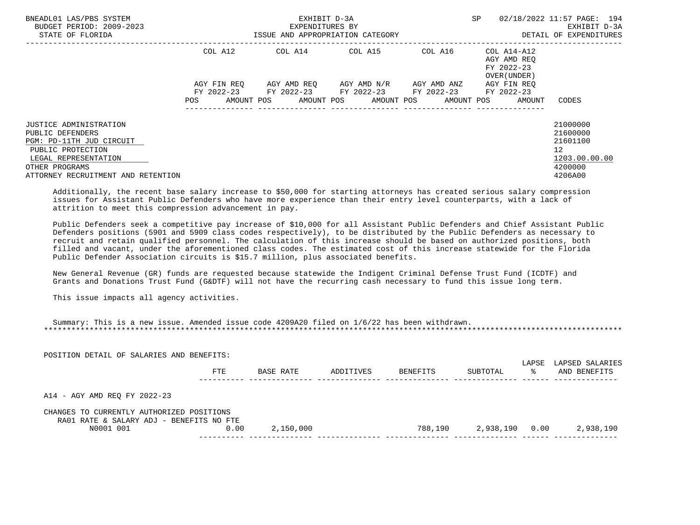| BNEADL01 LAS/PBS SYSTEM<br>BUDGET PERIOD: 2009-2023<br>STATE OF FLORIDA | EXHIBIT D-3A<br>EXPENDITURES BY<br>ISSUE AND APPROPRIATION CATEGORY |             |  |                                                        |  |                         |  |             | SP |                                           | 02/18/2022 11:57 PAGE: 194<br>EXHIBIT D-3A<br>DETAIL OF EXPENDITURES |
|-------------------------------------------------------------------------|---------------------------------------------------------------------|-------------|--|--------------------------------------------------------|--|-------------------------|--|-------------|----|-------------------------------------------|----------------------------------------------------------------------|
|                                                                         |                                                                     | COL A12     |  |                                                        |  |                         |  |             |    | AGY AMD REO<br>FY 2022-23<br>OVER (UNDER) |                                                                      |
|                                                                         |                                                                     | AGY FIN REO |  | FY 2022-23 FY 2022-23 FY 2022-23 FY 2022-23 FY 2022-23 |  | AGY AMD REO AGY AMD N/R |  | AGY AMD ANZ |    | AGY FIN REO                               |                                                                      |
|                                                                         | <b>POS</b>                                                          | AMOUNT POS  |  | AMOUNT POS AMOUNT POS                                  |  |                         |  | AMOUNT POS  |    | AMOUNT                                    | CODES                                                                |
| JUSTICE ADMINISTRATION                                                  |                                                                     |             |  |                                                        |  |                         |  |             |    |                                           | 21000000                                                             |
| PUBLIC DEFENDERS                                                        |                                                                     |             |  |                                                        |  |                         |  |             |    |                                           | 21600000                                                             |
| PGM: PD-11TH JUD CIRCUIT                                                |                                                                     |             |  |                                                        |  |                         |  |             |    |                                           | 21601100                                                             |
| PUBLIC PROTECTION                                                       |                                                                     |             |  |                                                        |  |                         |  |             |    |                                           | 12 <sup>°</sup>                                                      |
| LEGAL REPRESENTATION                                                    |                                                                     |             |  |                                                        |  |                         |  |             |    |                                           | 1203.00.00.00                                                        |
| OTHER PROGRAMS                                                          |                                                                     |             |  |                                                        |  |                         |  |             |    |                                           | 4200000                                                              |
| ATTORNEY RECRUITMENT AND RETENTION                                      |                                                                     |             |  |                                                        |  |                         |  |             |    |                                           | 4206A00                                                              |

 Additionally, the recent base salary increase to \$50,000 for starting attorneys has created serious salary compression issues for Assistant Public Defenders who have more experience than their entry level counterparts, with a lack of attrition to meet this compression advancement in pay.

 Public Defenders seek a competitive pay increase of \$10,000 for all Assistant Public Defenders and Chief Assistant Public Defenders positions (5901 and 5909 class codes respectively), to be distributed by the Public Defenders as necessary to recruit and retain qualified personnel. The calculation of this increase should be based on authorized positions, both filled and vacant, under the aforementioned class codes. The estimated cost of this increase statewide for the Florida Public Defender Association circuits is \$15.7 million, plus associated benefits.

 New General Revenue (GR) funds are requested because statewide the Indigent Criminal Defense Trust Fund (ICDTF) and Grants and Donations Trust Fund (G&DTF) will not have the recurring cash necessary to fund this issue long term.

This issue impacts all agency activities.

| Summary: This is a new issue. Amended issue code 4209A20 filed on 1/6/22 has been withdrawn. |  |
|----------------------------------------------------------------------------------------------|--|
|                                                                                              |  |

| POSITION DETAIL OF SALARIES AND BENEFITS:                                             |      |           |           |          |           |             |                                 |
|---------------------------------------------------------------------------------------|------|-----------|-----------|----------|-----------|-------------|---------------------------------|
|                                                                                       | FTE  | BASE RATE | ADDITIVES | BENEFITS | SUBTOTAL  | LAPSE<br>°≈ | LAPSED SALARIES<br>AND BENEFITS |
| A14 - AGY AMD REQ FY 2022-23                                                          |      |           |           |          |           |             |                                 |
| CHANGES TO CURRENTLY AUTHORIZED POSITIONS<br>RA01 RATE & SALARY ADJ - BENEFITS NO FTE |      |           |           |          |           |             |                                 |
| N0001 001                                                                             | 0.00 | 2,150,000 |           | 788,190  | 2,938,190 | 0.00        | 2,938,190                       |
|                                                                                       |      |           |           |          |           |             |                                 |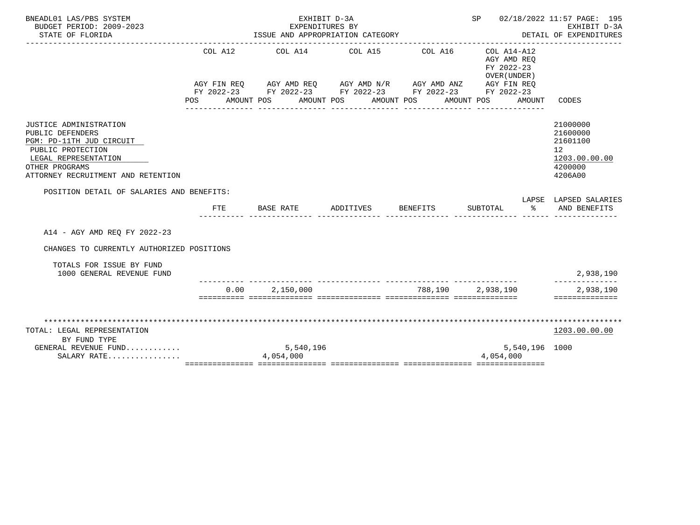| BNEADL01 LAS/PBS SYSTEM<br>BUDGET PERIOD: 2009-2023                                                                                                                                |                | EXPENDITURES BY                                                                                 | EXHIBIT D-3A                  |         |                                                                                                                                                 | SP 02/18/2022 11:57 PAGE: 195<br>EXHIBIT D-3A                                 |
|------------------------------------------------------------------------------------------------------------------------------------------------------------------------------------|----------------|-------------------------------------------------------------------------------------------------|-------------------------------|---------|-------------------------------------------------------------------------------------------------------------------------------------------------|-------------------------------------------------------------------------------|
| STATE OF FLORIDA                                                                                                                                                                   |                | ISSUE AND APPROPRIATION CATEGORY                                                                |                               |         |                                                                                                                                                 | DETAIL OF EXPENDITURES                                                        |
|                                                                                                                                                                                    | COL A12<br>POS | FY 2022-23 FY 2022-23 FY 2022-23 FY 2022-23 FY 2022-23<br>AMOUNT POS AMOUNT POS                 | COL A14 COL A15<br>AMOUNT POS | COL A16 | COL A14-A12<br>AGY AMD REO<br>FY 2022-23<br>OVER (UNDER)<br>AGY FIN REQ AGY AMD REQ AGY AMD N/R AGY AMD ANZ AGY FIN REQ<br>AMOUNT POS<br>AMOUNT | CODES                                                                         |
| <b>JUSTICE ADMINISTRATION</b><br>PUBLIC DEFENDERS<br>PGM: PD-11TH JUD CIRCUIT<br>PUBLIC PROTECTION<br>LEGAL REPRESENTATION<br>OTHER PROGRAMS<br>ATTORNEY RECRUITMENT AND RETENTION |                |                                                                                                 |                               |         |                                                                                                                                                 | 21000000<br>21600000<br>21601100<br>12<br>1203.00.00.00<br>4200000<br>4206A00 |
| POSITION DETAIL OF SALARIES AND BENEFITS:                                                                                                                                          |                |                                                                                                 |                               |         |                                                                                                                                                 |                                                                               |
|                                                                                                                                                                                    | FTE            | BASE RATE                                                                                       | ADDITIVES BENEFITS            |         | SUBTOTAL<br>ႜ                                                                                                                                   | LAPSE LAPSED SALARIES<br>AND BENEFITS                                         |
| A14 - AGY AMD REQ FY 2022-23                                                                                                                                                       |                |                                                                                                 |                               |         |                                                                                                                                                 |                                                                               |
| CHANGES TO CURRENTLY AUTHORIZED POSITIONS                                                                                                                                          |                |                                                                                                 |                               |         |                                                                                                                                                 |                                                                               |
| TOTALS FOR ISSUE BY FUND<br>1000 GENERAL REVENUE FUND                                                                                                                              |                |                                                                                                 |                               |         |                                                                                                                                                 | 2,938,190                                                                     |
|                                                                                                                                                                                    |                | $0.00$ 2.150.000<br><u>sisisisis sisisisisisis sisisisisisi sisisisisisisi sisisisisisisisi</u> |                               |         | 788,190 2,938,190                                                                                                                               | 2,938,190<br>==============                                                   |
|                                                                                                                                                                                    |                |                                                                                                 |                               |         |                                                                                                                                                 |                                                                               |
| TOTAL: LEGAL REPRESENTATION                                                                                                                                                        |                |                                                                                                 |                               |         |                                                                                                                                                 | 1203.00.00.00                                                                 |
| BY FUND TYPE                                                                                                                                                                       |                |                                                                                                 |                               |         |                                                                                                                                                 |                                                                               |
| GENERAL REVENUE FUND<br>SALARY RATE                                                                                                                                                |                | 5,540,196<br>4,054,000                                                                          |                               |         | 5,540,196 1000<br>4,054,000                                                                                                                     |                                                                               |
|                                                                                                                                                                                    |                |                                                                                                 |                               |         |                                                                                                                                                 |                                                                               |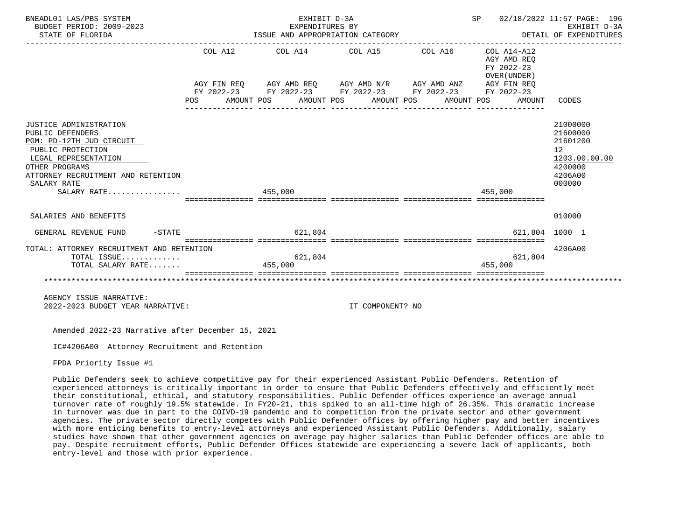| BNEADL01 LAS/PBS SYSTEM<br>BUDGET PERIOD: 2009-2023<br>STATE OF FLORIDA                                                                                                                                   |  |         | EXHIBIT D-3A<br>EXPENDITURES BY<br>ISSUE AND APPROPRIATION CATEGORY<br>------------------------------------                                                                                                                       |                  | SP 02/18/2022 11:57 PAGE: 196<br>DETAIL OF EXPENDITURES |         | EXHIBIT D-3A                                        |                                                                                     |               |
|-----------------------------------------------------------------------------------------------------------------------------------------------------------------------------------------------------------|--|---------|-----------------------------------------------------------------------------------------------------------------------------------------------------------------------------------------------------------------------------------|------------------|---------------------------------------------------------|---------|-----------------------------------------------------|-------------------------------------------------------------------------------------|---------------|
|                                                                                                                                                                                                           |  |         | $COL A12$ $COL A14$ $COL A15$ $COL A16$ $COL A14-A12$<br>AGY FIN REQ AGY AMD REQ AGY AMD N/R AGY AMD ANZ AGY FIN REQ<br>FY 2022-23 FY 2022-23 FY 2022-23 FY 2022-23 FY 2022-23<br>POS AMOUNT POS AMOUNT POS AMOUNT POS AMOUNT POS |                  |                                                         |         | AGY AMD REO<br>FY 2022-23<br>OVER (UNDER)<br>AMOUNT | CODES                                                                               |               |
| JUSTICE ADMINISTRATION<br>PUBLIC DEFENDERS<br>PGM: PD-12TH JUD CIRCUIT<br>PUBLIC PROTECTION<br>LEGAL REPRESENTATION<br>OTHER PROGRAMS<br>ATTORNEY RECRUITMENT AND RETENTION<br>SALARY RATE<br>SALARY RATE |  | 455,000 |                                                                                                                                                                                                                                   |                  |                                                         | 455.000 |                                                     | 21000000<br>21600000<br>21601200<br>12 <sup>°</sup><br>4200000<br>4206A00<br>000000 | 1203.00.00.00 |
| SALARIES AND BENEFITS                                                                                                                                                                                     |  |         |                                                                                                                                                                                                                                   |                  |                                                         |         |                                                     | 010000                                                                              |               |
| $-STATE$<br>GENERAL REVENUE FUND                                                                                                                                                                          |  |         | 621,804                                                                                                                                                                                                                           |                  |                                                         |         | 621,804 1000 1                                      |                                                                                     |               |
| TOTAL: ATTORNEY RECRUITMENT AND RETENTION<br>TOTAL ISSUE<br>TOTAL SALARY RATE                                                                                                                             |  | 455,000 | 621,804                                                                                                                                                                                                                           |                  |                                                         |         | 621,804<br>455,000                                  | 4206A00                                                                             |               |
| AGENCY ISSUE NARRATIVE:<br>2022-2023 BUDGET YEAR NARRATIVE:                                                                                                                                               |  |         |                                                                                                                                                                                                                                   | IT COMPONENT? NO |                                                         |         |                                                     |                                                                                     |               |

IC#4206A00 Attorney Recruitment and Retention

FPDA Priority Issue #1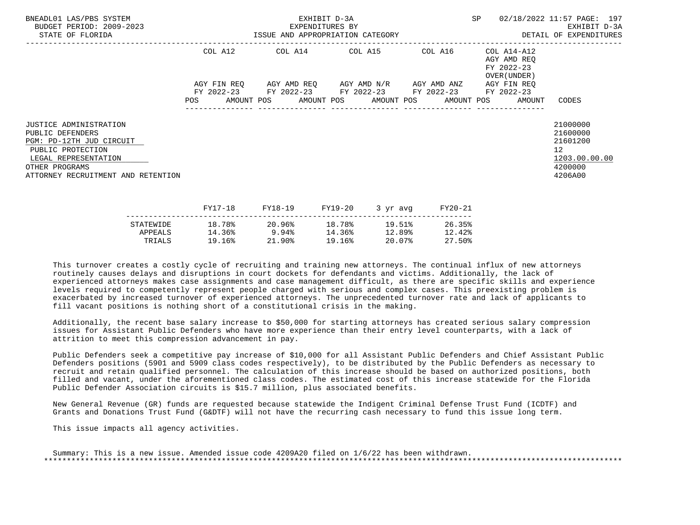| BNEADL01 LAS/PBS SYSTEM<br>BUDGET PERIOD: 2009-2023<br>STATE OF FLORIDA                                                                                                            |     |             | EXHIBIT D-3A<br>EXPENDITURES BY |         | ISSUE AND APPROPRIATION CATEGORY                |         | SP |                                                                  | 02/18/2022 11:57 PAGE: 197<br>EXHIBIT D-3A<br>DETAIL OF EXPENDITURES                       |
|------------------------------------------------------------------------------------------------------------------------------------------------------------------------------------|-----|-------------|---------------------------------|---------|-------------------------------------------------|---------|----|------------------------------------------------------------------|--------------------------------------------------------------------------------------------|
|                                                                                                                                                                                    |     | COL A12     |                                 |         | COL A14 COL A15 COL A16                         |         |    | COL A14-A12<br>AGY AMD REO<br>FY 2022-23<br>OVER (UNDER )        |                                                                                            |
|                                                                                                                                                                                    |     | AGY FIN REO |                                 |         | AGY AMD REQ       AGY AMD N/R       AGY AMD ANZ |         |    | AGY FIN REO                                                      |                                                                                            |
|                                                                                                                                                                                    | POS |             |                                 |         | FY 2022-23 FY 2022-23 FY 2022-23 FY 2022-23     |         |    | FY 2022-23<br>AMOUNT POS AMOUNT POS AMOUNT POS AMOUNT POS AMOUNT | CODES                                                                                      |
| <b>JUSTICE ADMINISTRATION</b><br>PUBLIC DEFENDERS<br>PGM: PD-12TH JUD CIRCUIT<br>PUBLIC PROTECTION<br>LEGAL REPRESENTATION<br>OTHER PROGRAMS<br>ATTORNEY RECRUITMENT AND RETENTION |     |             |                                 |         |                                                 |         |    |                                                                  | 21000000<br>21600000<br>21601200<br>12 <sup>°</sup><br>1203.00.00.00<br>4200000<br>4206A00 |
|                                                                                                                                                                                    |     | FY17-18     | FY18-19                         | FY19-20 | 3 yr avg                                        | FY20-21 |    |                                                                  |                                                                                            |

|           | - - - <i>-</i> - - - | ----- <b>---</b> | ---- <i>-</i> -- | $J \rightarrow J + U V T$ | ------ |
|-----------|----------------------|------------------|------------------|---------------------------|--------|
| STATEWIDE | 18.78%               | 20.96%           | 18.78%           | 19.51%                    | 26.35% |
| APPEALS   | 14.36%               | 9.94%            | 14.36%           | 12.89%                    | 12.42% |
| TRIALS    | 19.16%               | 21.90%           | 19.16%           | 20.07%                    | 27.50% |
|           |                      |                  |                  |                           |        |

 Additionally, the recent base salary increase to \$50,000 for starting attorneys has created serious salary compression issues for Assistant Public Defenders who have more experience than their entry level counterparts, with a lack of attrition to meet this compression advancement in pay.

 Public Defenders seek a competitive pay increase of \$10,000 for all Assistant Public Defenders and Chief Assistant Public Defenders positions (5901 and 5909 class codes respectively), to be distributed by the Public Defenders as necessary to recruit and retain qualified personnel. The calculation of this increase should be based on authorized positions, both filled and vacant, under the aforementioned class codes. The estimated cost of this increase statewide for the Florida Public Defender Association circuits is \$15.7 million, plus associated benefits.

 New General Revenue (GR) funds are requested because statewide the Indigent Criminal Defense Trust Fund (ICDTF) and Grants and Donations Trust Fund (G&DTF) will not have the recurring cash necessary to fund this issue long term.

This issue impacts all agency activities.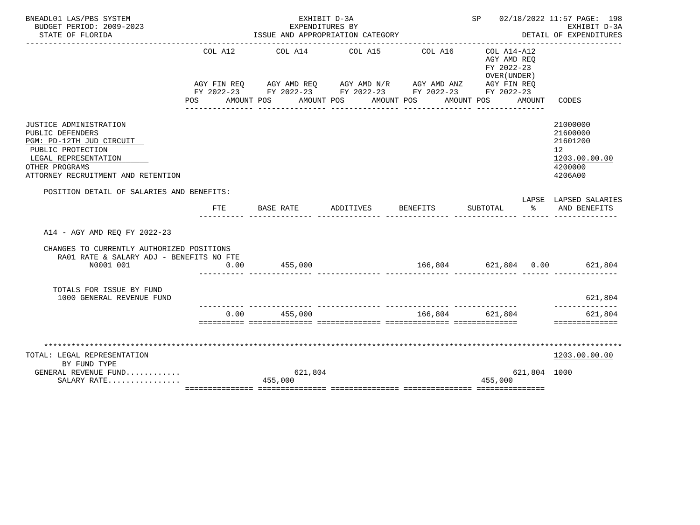| BNEADL01 LAS/PBS SYSTEM                                                                                                                                                     |         | EXHIBIT D-3A                                                                                                          |                                       |                                      |                                                          |               | SP 02/18/2022 11:57 PAGE: 198                                                 |  |
|-----------------------------------------------------------------------------------------------------------------------------------------------------------------------------|---------|-----------------------------------------------------------------------------------------------------------------------|---------------------------------------|--------------------------------------|----------------------------------------------------------|---------------|-------------------------------------------------------------------------------|--|
| BUDGET PERIOD: 2009-2023<br>STATE OF FLORIDA                                                                                                                                |         | EXPENDITURES BY<br>ISSUE AND APPROPRIATION CATEGORY                                                                   |                                       |                                      |                                                          |               | EXHIBIT D-3A<br>DETAIL OF EXPENDITURES                                        |  |
|                                                                                                                                                                             |         |                                                                                                                       |                                       |                                      |                                                          |               |                                                                               |  |
|                                                                                                                                                                             | COL A12 | AGY FIN REQ AGY AMD REQ AGY AMD N/R AGY AMD ANZ AGY FIN REQ<br>FY 2022-23 FY 2022-23 FY 2022-23 FY 2022-23 FY 2022-23 | COL A14 COL A15                       | COL A16                              | COL A14-A12<br>AGY AMD REO<br>FY 2022-23<br>OVER (UNDER) |               |                                                                               |  |
|                                                                                                                                                                             |         | POS AMOUNT POS AMOUNT POS AMOUNT POS                                                                                  | _____________________________________ | ________________                     | AMOUNT POS<br>_______________                            | AMOUNT        | CODES                                                                         |  |
| JUSTICE ADMINISTRATION<br>PUBLIC DEFENDERS<br>PGM: PD-12TH JUD CIRCUIT<br>PUBLIC PROTECTION<br>LEGAL REPRESENTATION<br>OTHER PROGRAMS<br>ATTORNEY RECRUITMENT AND RETENTION |         |                                                                                                                       |                                       |                                      |                                                          |               | 21000000<br>21600000<br>21601200<br>12<br>1203.00.00.00<br>4200000<br>4206A00 |  |
| POSITION DETAIL OF SALARIES AND BENEFITS:                                                                                                                                   |         |                                                                                                                       |                                       |                                      |                                                          |               |                                                                               |  |
|                                                                                                                                                                             | FTE     | BASE RATE                                                                                                             | ADDITIVES                             | <b>BENEFITS</b>                      | SUBTOTAL                                                 | $\sim$ $\sim$ | LAPSE LAPSED SALARIES<br>AND BENEFITS                                         |  |
| A14 - AGY AMD REO FY 2022-23                                                                                                                                                |         |                                                                                                                       |                                       |                                      |                                                          |               |                                                                               |  |
| CHANGES TO CURRENTLY AUTHORIZED POSITIONS<br>RA01 RATE & SALARY ADJ - BENEFITS NO FTE                                                                                       |         |                                                                                                                       |                                       |                                      |                                                          |               |                                                                               |  |
| N0001 001                                                                                                                                                                   | 0.00    | 455,000                                                                                                               |                                       | $166,804$ $621,804$ $0.00$ $621,804$ |                                                          |               |                                                                               |  |
| TOTALS FOR ISSUE BY FUND<br>1000 GENERAL REVENUE FUND                                                                                                                       |         |                                                                                                                       |                                       |                                      |                                                          |               | 621,804<br>--------------                                                     |  |
|                                                                                                                                                                             |         | $0.00$ 455,000                                                                                                        |                                       | 166,804 621,804                      |                                                          |               | 621,804<br>==============                                                     |  |
|                                                                                                                                                                             |         |                                                                                                                       |                                       |                                      |                                                          |               |                                                                               |  |
| TOTAL: LEGAL REPRESENTATION                                                                                                                                                 |         |                                                                                                                       |                                       |                                      |                                                          |               | 1203.00.00.00                                                                 |  |
| BY FUND TYPE                                                                                                                                                                |         |                                                                                                                       |                                       |                                      |                                                          |               |                                                                               |  |
| GENERAL REVENUE FUND<br>SALARY RATE                                                                                                                                         |         | 621,804<br>455,000                                                                                                    |                                       |                                      | 455,000                                                  | 621,804 1000  |                                                                               |  |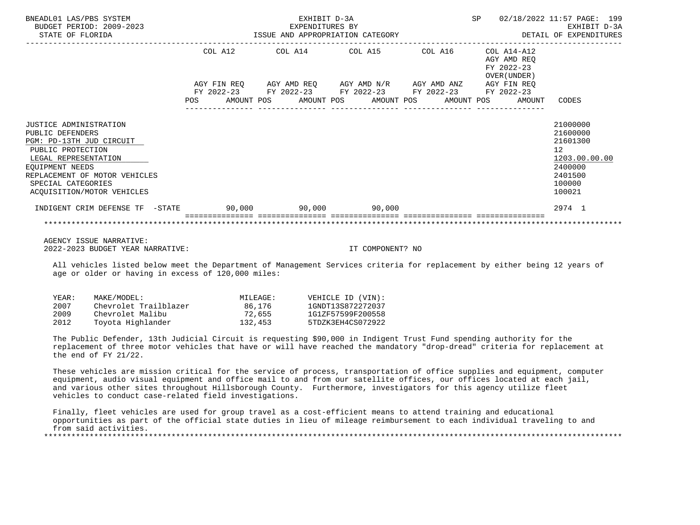| BNEADL01 LAS/PBS SYSTEM<br>BUDGET PERIOD: 2009-2023<br>STATE OF FLORIDA                                                                                                                                                            |     |  | EXHIBIT D-3A<br>EXPENDITURES BY | ISSUE AND APPROPRIATION CATEGORY                                                                                                                                                                        |  | SP |                                                                     | 02/18/2022 11:57 PAGE: 199<br>EXHIBIT D-3A<br>DETAIL OF EXPENDITURES                                           |  |
|------------------------------------------------------------------------------------------------------------------------------------------------------------------------------------------------------------------------------------|-----|--|---------------------------------|---------------------------------------------------------------------------------------------------------------------------------------------------------------------------------------------------------|--|----|---------------------------------------------------------------------|----------------------------------------------------------------------------------------------------------------|--|
|                                                                                                                                                                                                                                    | POS |  |                                 | COL A12 COL A14 COL A15 COL A16<br>AGY FIN REQ AGY AMD REQ AGY AMD N/R AGY AMD ANZ AGY FIN REQ<br>FY 2022-23 FY 2022-23 FY 2022-23 FY 2022-23 FY 2022-23<br>AMOUNT POS AMOUNT POS AMOUNT POS AMOUNT POS |  |    | COL A14-A12<br>AGY AMD REO<br>FY 2022-23<br>OVER (UNDER )<br>AMOUNT | CODES                                                                                                          |  |
| <b>JUSTICE ADMINISTRATION</b><br>PUBLIC DEFENDERS<br>PGM: PD-13TH JUD CIRCUIT<br>PUBLIC PROTECTION<br>LEGAL REPRESENTATION<br>EOUIPMENT NEEDS<br>REPLACEMENT OF MOTOR VEHICLES<br>SPECIAL CATEGORIES<br>ACQUISITION/MOTOR VEHICLES |     |  |                                 |                                                                                                                                                                                                         |  |    |                                                                     | 21000000<br>21600000<br>21601300<br>12 <sup>°</sup><br>1203.00.00.00<br>2400000<br>2401500<br>100000<br>100021 |  |
| INDIGENT CRIM DEFENSE TF -STATE 90,000 90,000 90,000                                                                                                                                                                               |     |  |                                 |                                                                                                                                                                                                         |  |    |                                                                     | 2974 1                                                                                                         |  |
|                                                                                                                                                                                                                                    |     |  |                                 |                                                                                                                                                                                                         |  |    |                                                                     |                                                                                                                |  |

 All vehicles listed below meet the Department of Management Services criteria for replacement by either being 12 years of age or older or having in excess of 120,000 miles:

| YEAR: | MAKE/MODEL:           | MILEAGE: | VEHICLE ID (VIN): |
|-------|-----------------------|----------|-------------------|
| 2007  | Chevrolet Trailblazer | 86,176   | 1GNDT13S872272037 |
| 2009  | Chevrolet Malibu      | 72,655   | 1G1ZF57599F200558 |
| 2012  | Toyota Hiqhlander     | 132,453  | 5TDZK3EH4CS072922 |

 The Public Defender, 13th Judicial Circuit is requesting \$90,000 in Indigent Trust Fund spending authority for the replacement of three motor vehicles that have or will have reached the mandatory "drop-dread" criteria for replacement at the end of FY 21/22.

 These vehicles are mission critical for the service of process, transportation of office supplies and equipment, computer equipment, audio visual equipment and office mail to and from our satellite offices, our offices located at each jail, and various other sites throughout Hillsborough County. Furthermore, investigators for this agency utilize fleet vehicles to conduct case-related field investigations.

 Finally, fleet vehicles are used for group travel as a cost-efficient means to attend training and educational opportunities as part of the official state duties in lieu of mileage reimbursement to each individual traveling to and from said activities.<br>\*\*\*\*\*\*\*\*\*\*\*\*\*\*\*\*\*\*\*\*\*\*\*\*\*\*\*\*\*\*\*\*

\*\*\*\*\*\*\*\*\*\*\*\*\*\*\*\*\*\*\*\*\*\*\*\*\*\*\*\*\*\*\*\*\*\*\*\*\*\*\*\*\*\*\*\*\*\*\*\*\*\*\*\*\*\*\*\*\*\*\*\*\*\*\*\*\*\*\*\*\*\*\*\*\*\*\*\*\*\*\*\*\*\*\*\*\*\*\*\*\*\*\*\*\*\*\*\*\*\*\*\*\*\*\*\*\*\*\*\*\*\*\*\*\*\*\*\*\*\*\*\*\*\*\*\*\*\*\*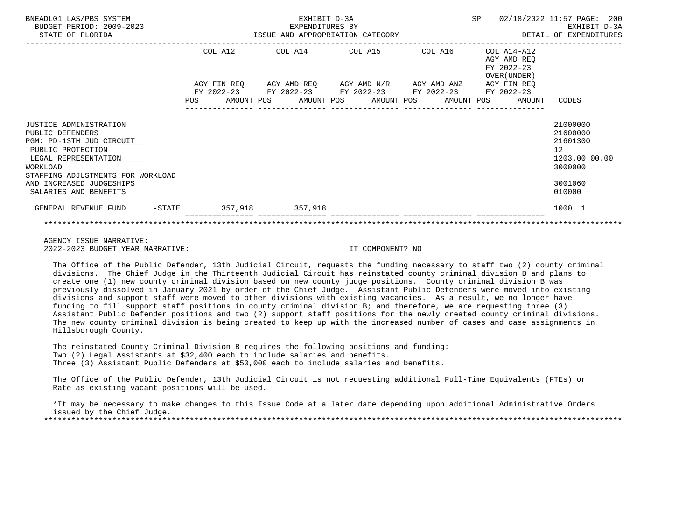| BNEADL01 LAS/PBS SYSTEM<br>BUDGET PERIOD: 2009-2023<br>STATE OF FLORIDA                                                                                                                                                   |  |                        | EXHIBIT D-3A<br>EXPENDITURES BY |                                                                            | ISSUE AND APPROPRIATION CATEGORY                                                                          |  |  | SP                                                        |        | 02/18/2022 11:57 PAGE: 200<br>EXHIBIT D-3A<br>DETAIL OF EXPENDITURES                                 |
|---------------------------------------------------------------------------------------------------------------------------------------------------------------------------------------------------------------------------|--|------------------------|---------------------------------|----------------------------------------------------------------------------|-----------------------------------------------------------------------------------------------------------|--|--|-----------------------------------------------------------|--------|------------------------------------------------------------------------------------------------------|
|                                                                                                                                                                                                                           |  | COL A12<br>AGY FIN REO |                                 | COL A14 COL A15 COL A16<br>AGY AMD REQ AGY AMD N/R AGY AMD ANZ AGY FIN REQ |                                                                                                           |  |  | COL A14-A12<br>AGY AMD REO<br>FY 2022-23<br>OVER (UNDER ) |        |                                                                                                      |
|                                                                                                                                                                                                                           |  |                        |                                 |                                                                            | FY 2022-23 FY 2022-23 FY 2022-23 FY 2022-23 FY 2022-23<br>POS AMOUNT POS AMOUNT POS AMOUNT POS AMOUNT POS |  |  |                                                           | AMOUNT | CODES                                                                                                |
| JUSTICE ADMINISTRATION<br>PUBLIC DEFENDERS<br>PGM: PD-13TH JUD CIRCUIT<br>PUBLIC PROTECTION<br>LEGAL REPRESENTATION<br>WORKLOAD<br>STAFFING ADJUSTMENTS FOR WORKLOAD<br>AND INCREASED JUDGESHIPS<br>SALARIES AND BENEFITS |  |                        |                                 |                                                                            |                                                                                                           |  |  |                                                           |        | 21000000<br>21600000<br>21601300<br>12 <sup>°</sup><br>1203.00.00.00<br>3000000<br>3001060<br>010000 |
| GENERAL REVENUE FUND                                                                                                                                                                                                      |  |                        | -STATE 357,918 357,918          |                                                                            |                                                                                                           |  |  |                                                           |        | 1000 1                                                                                               |
|                                                                                                                                                                                                                           |  |                        |                                 |                                                                            |                                                                                                           |  |  |                                                           |        |                                                                                                      |

 The Office of the Public Defender, 13th Judicial Circuit, requests the funding necessary to staff two (2) county criminal divisions. The Chief Judge in the Thirteenth Judicial Circuit has reinstated county criminal division B and plans to create one (1) new county criminal division based on new county judge positions. County criminal division B was previously dissolved in January 2021 by order of the Chief Judge. Assistant Public Defenders were moved into existing divisions and support staff were moved to other divisions with existing vacancies. As a result, we no longer have funding to fill support staff positions in county criminal division B; and therefore, we are requesting three (3) Assistant Public Defender positions and two (2) support staff positions for the newly created county criminal divisions. The new county criminal division is being created to keep up with the increased number of cases and case assignments in Hillsborough County.

 The reinstated County Criminal Division B requires the following positions and funding: Two (2) Legal Assistants at \$32,400 each to include salaries and benefits. Three (3) Assistant Public Defenders at \$50,000 each to include salaries and benefits.

 The Office of the Public Defender, 13th Judicial Circuit is not requesting additional Full-Time Equivalents (FTEs) or Rate as existing vacant positions will be used.

 \*It may be necessary to make changes to this Issue Code at a later date depending upon additional Administrative Orders issued by the Chief Judge. \*\*\*\*\*\*\*\*\*\*\*\*\*\*\*\*\*\*\*\*\*\*\*\*\*\*\*\*\*\*\*\*\*\*\*\*\*\*\*\*\*\*\*\*\*\*\*\*\*\*\*\*\*\*\*\*\*\*\*\*\*\*\*\*\*\*\*\*\*\*\*\*\*\*\*\*\*\*\*\*\*\*\*\*\*\*\*\*\*\*\*\*\*\*\*\*\*\*\*\*\*\*\*\*\*\*\*\*\*\*\*\*\*\*\*\*\*\*\*\*\*\*\*\*\*\*\*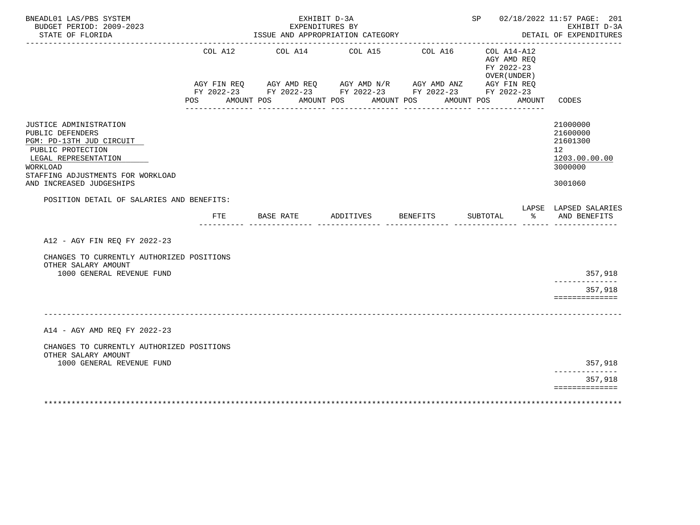| BNEADL01 LAS/PBS SYSTEM<br>BUDGET PERIOD: 2009-2023<br>STATE OF FLORIDA                                                                                                                          |                                   |            |           | EXHIBIT D-3A<br>EXPENDITURES BY<br>ISSUE AND APPROPRIATION CATEGORY                                              |            |            |                    |            |          |                                                                                      | SP 02/18/2022 11:57 PAGE: 201<br>EXHIBIT D-3A<br>DETAIL OF EXPENDITURES<br><u>u dia dia dia dia dia 4</u> |
|--------------------------------------------------------------------------------------------------------------------------------------------------------------------------------------------------|-----------------------------------|------------|-----------|------------------------------------------------------------------------------------------------------------------|------------|------------|--------------------|------------|----------|--------------------------------------------------------------------------------------|-----------------------------------------------------------------------------------------------------------|
|                                                                                                                                                                                                  | COL A12<br>AGY FIN REQ<br>POS FOR | AMOUNT POS |           | COL A14 COL A15<br>AGY AMD REQ AGY AMD N/R AGY AMD ANZ<br>FY 2022-23 FY 2022-23 FY 2022-23 FY 2022-23 FY 2022-23 | AMOUNT POS | AMOUNT POS | COL A16            | AMOUNT POS |          | $COL A14- A12$<br>AGY AMD REO<br>FY 2022-23<br>OVER (UNDER)<br>AGY FIN REQ<br>AMOUNT | CODES                                                                                                     |
| JUSTICE ADMINISTRATION<br>PUBLIC DEFENDERS<br>PGM: PD-13TH JUD CIRCUIT<br>PUBLIC PROTECTION<br>LEGAL REPRESENTATION<br>WORKLOAD<br>STAFFING ADJUSTMENTS FOR WORKLOAD<br>AND INCREASED JUDGESHIPS |                                   |            |           |                                                                                                                  |            |            |                    |            |          |                                                                                      | 21000000<br>21600000<br>21601300<br>12 <sup>12</sup><br>1203.00.00.00<br>3000000<br>3001060               |
| POSITION DETAIL OF SALARIES AND BENEFITS:                                                                                                                                                        | FTE                               |            | BASE RATE |                                                                                                                  |            |            | ADDITIVES BENEFITS |            | SUBTOTAL | ွေ                                                                                   | LAPSE LAPSED SALARIES<br>AND BENEFITS                                                                     |
| A12 - AGY FIN REO FY 2022-23                                                                                                                                                                     |                                   |            |           |                                                                                                                  |            |            |                    |            |          |                                                                                      |                                                                                                           |
| CHANGES TO CURRENTLY AUTHORIZED POSITIONS<br>OTHER SALARY AMOUNT                                                                                                                                 |                                   |            |           |                                                                                                                  |            |            |                    |            |          |                                                                                      |                                                                                                           |
| 1000 GENERAL REVENUE FUND                                                                                                                                                                        |                                   |            |           |                                                                                                                  |            |            |                    |            |          |                                                                                      | 357,918<br>-------------                                                                                  |
|                                                                                                                                                                                                  |                                   |            |           |                                                                                                                  |            |            |                    |            |          |                                                                                      | 357,918<br>==============                                                                                 |
| A14 - AGY AMD REQ FY 2022-23                                                                                                                                                                     |                                   |            |           |                                                                                                                  |            |            |                    |            |          |                                                                                      |                                                                                                           |
| CHANGES TO CURRENTLY AUTHORIZED POSITIONS<br>OTHER SALARY AMOUNT                                                                                                                                 |                                   |            |           |                                                                                                                  |            |            |                    |            |          |                                                                                      |                                                                                                           |
| 1000 GENERAL REVENUE FUND                                                                                                                                                                        |                                   |            |           |                                                                                                                  |            |            |                    |            |          |                                                                                      | 357,918<br>. _ _ _ _ _ _ _ _ _ _ .                                                                        |
|                                                                                                                                                                                                  |                                   |            |           |                                                                                                                  |            |            |                    |            |          |                                                                                      | 357,918<br>==============                                                                                 |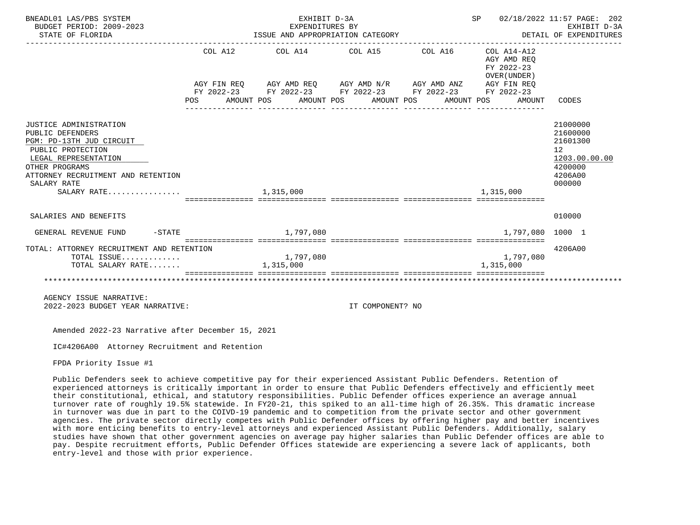| BNEADL01 LAS/PBS SYSTEM<br>BUDGET PERIOD: 2009-2023<br>STATE OF FLORIDA                                                                                                                                   | EXHIBIT D-3A<br>EXPENDITURES BY<br>ISSUE AND APPROPRIATION CATEGORY                                                                                                                                                     |                  | SP 02/18/2022 11:57 PAGE: 202<br>EXHIBIT D-3A<br>DETAIL OF EXPENDITURES |                                                                                                      |
|-----------------------------------------------------------------------------------------------------------------------------------------------------------------------------------------------------------|-------------------------------------------------------------------------------------------------------------------------------------------------------------------------------------------------------------------------|------------------|-------------------------------------------------------------------------|------------------------------------------------------------------------------------------------------|
|                                                                                                                                                                                                           | COL A12 COL A14 COL A15 COL A16 COL A14-A12<br>AGY FIN REQ AGY AMD REQ AGY AMD N/R AGY AMD ANZ AGY FIN REQ<br>FY 2022-23 FY 2022-23 FY 2022-23 FY 2022-23 FY 2022-23<br>POS AMOUNT POS AMOUNT POS AMOUNT POS AMOUNT POS |                  | AGY AMD REO<br>FY 2022-23<br>OVER (UNDER)<br>AMOUNT                     | CODES                                                                                                |
| JUSTICE ADMINISTRATION<br>PUBLIC DEFENDERS<br>PGM: PD-13TH JUD CIRCUIT<br>PUBLIC PROTECTION<br>LEGAL REPRESENTATION<br>OTHER PROGRAMS<br>ATTORNEY RECRUITMENT AND RETENTION<br>SALARY RATE<br>SALARY RATE | 1,315,000                                                                                                                                                                                                               |                  | 1,315,000                                                               | 21000000<br>21600000<br>21601300<br>12 <sup>°</sup><br>1203.00.00.00<br>4200000<br>4206A00<br>000000 |
| SALARIES AND BENEFITS                                                                                                                                                                                     |                                                                                                                                                                                                                         |                  |                                                                         | 010000                                                                                               |
| $-STATE$<br>GENERAL REVENUE FUND                                                                                                                                                                          | 1,797,080                                                                                                                                                                                                               |                  | 1,797,080 1000 1                                                        |                                                                                                      |
| TOTAL: ATTORNEY RECRUITMENT AND RETENTION<br>TOTAL ISSUE<br>TOTAL SALARY RATE                                                                                                                             | 1,797,080<br>1,315,000                                                                                                                                                                                                  |                  | 1,797,080<br>1,315,000                                                  | 4206A00                                                                                              |
| AGENCY ISSUE NARRATIVE:<br>2022-2023 BUDGET YEAR NARRATIVE:                                                                                                                                               |                                                                                                                                                                                                                         | IT COMPONENT? NO |                                                                         |                                                                                                      |

IC#4206A00 Attorney Recruitment and Retention

FPDA Priority Issue #1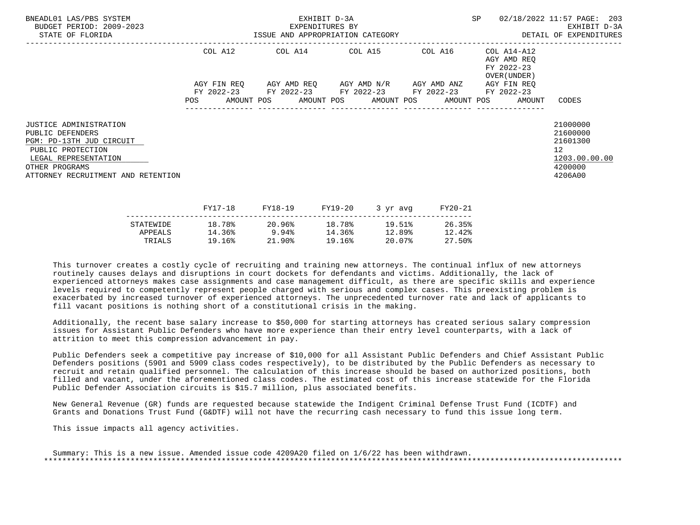| BNEADL01 LAS/PBS SYSTEM<br>BUDGET PERIOD: 2009-2023<br>STATE OF FLORIDA                                                                                                            | EXHIBIT D-3A<br>EXPENDITURES BY<br>ISSUE AND APPROPRIATION CATEGORY <b>Experience CONTA</b> DETAIL OF EXPENDITURES |  |  |         |                         |                                                                                                           |          |         |                                                           | SP 02/18/2022 11:57 PAGE: 203<br>EXHIBIT D-3A                         |                                                                                            |  |
|------------------------------------------------------------------------------------------------------------------------------------------------------------------------------------|--------------------------------------------------------------------------------------------------------------------|--|--|---------|-------------------------|-----------------------------------------------------------------------------------------------------------|----------|---------|-----------------------------------------------------------|-----------------------------------------------------------------------|--------------------------------------------------------------------------------------------|--|
|                                                                                                                                                                                    | COL A12                                                                                                            |  |  |         | COL A14 COL A15 COL A16 |                                                                                                           |          |         | COL A14-A12<br>AGY AMD REQ<br>FY 2022-23<br>OVER (UNDER ) |                                                                       |                                                                                            |  |
|                                                                                                                                                                                    |                                                                                                                    |  |  |         |                         | AGY FIN REO AGY AMD REO AGY AMD N/R AGY AMD ANZ<br>FY 2022-23 FY 2022-23 FY 2022-23 FY 2022-23 FY 2022-23 |          |         |                                                           | AGY FIN REO<br>POS AMOUNT POS AMOUNT POS AMOUNT POS AMOUNT POS AMOUNT | CODES                                                                                      |  |
| <b>JUSTICE ADMINISTRATION</b><br>PUBLIC DEFENDERS<br>PGM: PD-13TH JUD CIRCUIT<br>PUBLIC PROTECTION<br>LEGAL REPRESENTATION<br>OTHER PROGRAMS<br>ATTORNEY RECRUITMENT AND RETENTION |                                                                                                                    |  |  |         |                         |                                                                                                           |          |         |                                                           |                                                                       | 21000000<br>21600000<br>21601300<br>12 <sup>°</sup><br>1203.00.00.00<br>4200000<br>4206A00 |  |
|                                                                                                                                                                                    | FY17-18                                                                                                            |  |  | FY18-19 | FY19-20                 |                                                                                                           | 3 yr avg | FY20-21 |                                                           |                                                                       |                                                                                            |  |

|           | - - - <i>-</i> - - - | ----- <b>---</b> | ---- <i>-</i> -- | $J + M + M$ | ------ |
|-----------|----------------------|------------------|------------------|-------------|--------|
| STATEWIDE | 18.78%               | 20.96%           | 18.78%           | 19.51%      | 26.35% |
| APPEALS   | 14.36%               | 9.94%            | 14.36%           | 12.89%      | 12.42% |
| TRIALS    | 19.16%               | $21.90\%$        | 19.16%           | 20.07%      | 27.50% |
|           |                      |                  |                  |             |        |

 Additionally, the recent base salary increase to \$50,000 for starting attorneys has created serious salary compression issues for Assistant Public Defenders who have more experience than their entry level counterparts, with a lack of attrition to meet this compression advancement in pay.

 Public Defenders seek a competitive pay increase of \$10,000 for all Assistant Public Defenders and Chief Assistant Public Defenders positions (5901 and 5909 class codes respectively), to be distributed by the Public Defenders as necessary to recruit and retain qualified personnel. The calculation of this increase should be based on authorized positions, both filled and vacant, under the aforementioned class codes. The estimated cost of this increase statewide for the Florida Public Defender Association circuits is \$15.7 million, plus associated benefits.

 New General Revenue (GR) funds are requested because statewide the Indigent Criminal Defense Trust Fund (ICDTF) and Grants and Donations Trust Fund (G&DTF) will not have the recurring cash necessary to fund this issue long term.

This issue impacts all agency activities.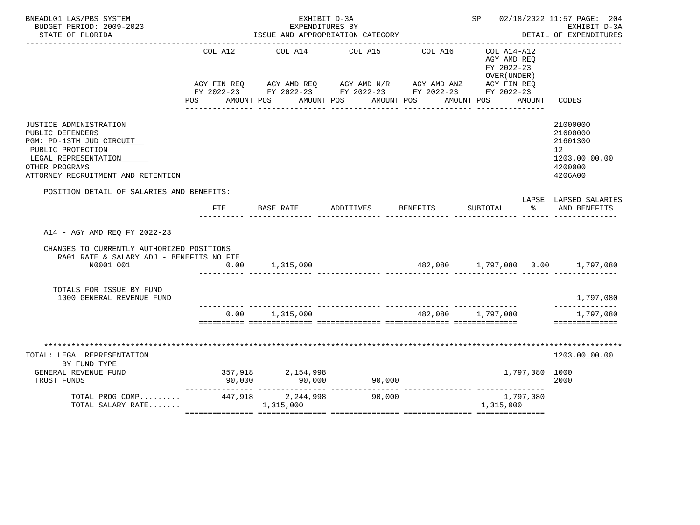| BNEADL01 LAS/PBS SYSTEM<br>BUDGET PERIOD: 2009-2023<br>STATE OF FLORIDA                                                                                                     |                | EXHIBIT D-3A<br>EXPENDITURES BY<br>ISSUE AND APPROPRIATION CATEGORY |                                                                                                                                                                                                       | SP 02/18/2022 11:57 PAGE: 204 | EXHIBIT D-3A<br>DETAIL OF EXPENDITURES                                                                                                                                                                                                           |                                                                                             |
|-----------------------------------------------------------------------------------------------------------------------------------------------------------------------------|----------------|---------------------------------------------------------------------|-------------------------------------------------------------------------------------------------------------------------------------------------------------------------------------------------------|-------------------------------|--------------------------------------------------------------------------------------------------------------------------------------------------------------------------------------------------------------------------------------------------|---------------------------------------------------------------------------------------------|
|                                                                                                                                                                             | COL A12<br>POS |                                                                     | COL A14 COL A15<br>AGY FIN REQ AGY AMD REQ AGY AMD N/R AGY AMD ANZ AGY FIN REQ<br>FY 2022-23 FY 2022-23 FY 2022-23 FY 2022-23 FY 2022-23<br>AMOUNT POS      AMOUNT POS      AMOUNT POS     AMOUNT POS | COL A16                       | $COL A14- A12$<br>AGY AMD REQ<br>FY 2022-23<br>OVER (UNDER)<br>AMOUNT                                                                                                                                                                            | CODES                                                                                       |
| JUSTICE ADMINISTRATION<br>PUBLIC DEFENDERS<br>PGM: PD-13TH JUD CIRCUIT<br>PUBLIC PROTECTION<br>LEGAL REPRESENTATION<br>OTHER PROGRAMS<br>ATTORNEY RECRUITMENT AND RETENTION |                |                                                                     |                                                                                                                                                                                                       |                               |                                                                                                                                                                                                                                                  | 21000000<br>21600000<br>21601300<br>12 <sup>12</sup><br>1203.00.00.00<br>4200000<br>4206A00 |
| POSITION DETAIL OF SALARIES AND BENEFITS:                                                                                                                                   | FTE            | BASE RATE                                                           | ADDITIVES                                                                                                                                                                                             | BENEFITS                      | SUBTOTAL<br>$\sim$ $\sim$                                                                                                                                                                                                                        | LAPSE LAPSED SALARIES<br>AND BENEFITS                                                       |
| A14 - AGY AMD REQ FY 2022-23                                                                                                                                                |                |                                                                     |                                                                                                                                                                                                       |                               |                                                                                                                                                                                                                                                  |                                                                                             |
| CHANGES TO CURRENTLY AUTHORIZED POSITIONS<br>RA01 RATE & SALARY ADJ - BENEFITS NO FTE<br>N0001 001                                                                          | 0.00           | 1,315,000                                                           |                                                                                                                                                                                                       |                               | 482,080 1,797,080 0.00 1,797,080                                                                                                                                                                                                                 |                                                                                             |
| TOTALS FOR ISSUE BY FUND<br>1000 GENERAL REVENUE FUND                                                                                                                       |                |                                                                     |                                                                                                                                                                                                       |                               |                                                                                                                                                                                                                                                  | 1,797,080                                                                                   |
|                                                                                                                                                                             |                | $0.00$ 1,315,000                                                    |                                                                                                                                                                                                       |                               |                                                                                                                                                                                                                                                  | ______________<br>1,797,080<br>==============                                               |
| *********************************<br>TOTAL: LEGAL REPRESENTATION<br>BY FUND TYPE<br>GENERAL REVENUE FUND<br>TRUST FUNDS                                                     |                | 357,918 2,154,998                                                   |                                                                                                                                                                                                       |                               | 1,797,080 1000<br>90,000 90,000 90,000 90,000 90,000 90,000 90,000 90,000 90,000 expressional extension of the state of the state of the state of the state of the state of the state of the state of the state of the state of the state of the | ****************<br>1203.00.00.00<br>2000                                                   |
| TOTAL PROG COMP 447,918 2,244,998<br>TOTAL SALARY RATE 1,315,000                                                                                                            |                |                                                                     | 90,000                                                                                                                                                                                                |                               | 1,797,080<br>1,315,000                                                                                                                                                                                                                           |                                                                                             |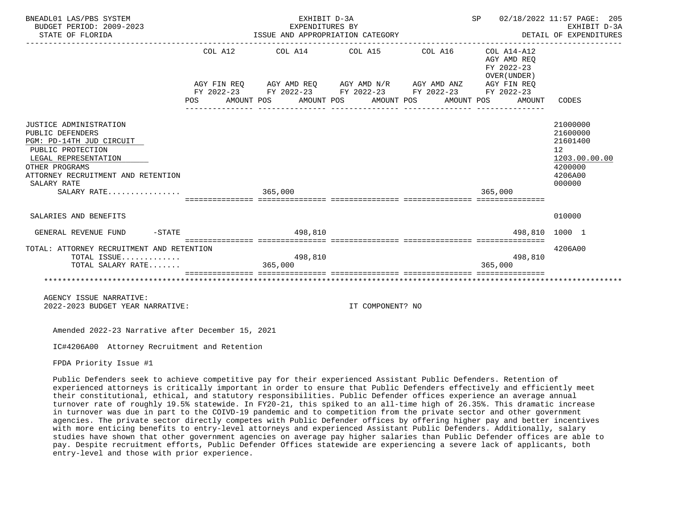| BNEADL01 LAS/PBS SYSTEM<br>BUDGET PERIOD: 2009-2023<br>STATE OF FLORIDA                                                                                                                                   |     | EXHIBIT D-3A<br>EXPENDITURES BY<br>ISSUE AND APPROPRIATION CATEGORY                                                                                                                                                                                                                                       |  | SP 02/18/2022 11:57 PAGE: 205<br>DETAIL OF EXPENDITURES<br>________________________________ | EXHIBIT D-3A                                                       |                                                                                                      |
|-----------------------------------------------------------------------------------------------------------------------------------------------------------------------------------------------------------|-----|-----------------------------------------------------------------------------------------------------------------------------------------------------------------------------------------------------------------------------------------------------------------------------------------------------------|--|---------------------------------------------------------------------------------------------|--------------------------------------------------------------------|------------------------------------------------------------------------------------------------------|
|                                                                                                                                                                                                           | POS | COL A12 COL A14 COL A15 COL A16<br>$\verb AGY\text{ FIN REQ} \qquad \verb AGY\text{ AMD REQ} \qquad \verb AGY\text{ AMD N/R} \qquad \verb AGY\text{ AMD ANZ} \qquad \verb AGY\text{ FIN REQ} \qquad \qquad$<br>FY 2022-23 FY 2022-23 FY 2022-23 FY 2022-23 FY 2022-23<br>AMOUNT POS AMOUNT POS AMOUNT POS |  | AMOUNT POS                                                                                  | COL A14-A12<br>AGY AMD REO<br>FY 2022-23<br>OVER (UNDER)<br>AMOUNT | CODES                                                                                                |
| JUSTICE ADMINISTRATION<br>PUBLIC DEFENDERS<br>PGM: PD-14TH JUD CIRCUIT<br>PUBLIC PROTECTION<br>LEGAL REPRESENTATION<br>OTHER PROGRAMS<br>ATTORNEY RECRUITMENT AND RETENTION<br>SALARY RATE<br>SALARY RATE |     | 365,000<br>==================================                                                                                                                                                                                                                                                             |  |                                                                                             | 365,000<br>==========================                              | 21000000<br>21600000<br>21601400<br>12 <sup>°</sup><br>1203.00.00.00<br>4200000<br>4206A00<br>000000 |
|                                                                                                                                                                                                           |     |                                                                                                                                                                                                                                                                                                           |  |                                                                                             |                                                                    |                                                                                                      |
| SALARIES AND BENEFITS                                                                                                                                                                                     |     |                                                                                                                                                                                                                                                                                                           |  |                                                                                             |                                                                    | 010000                                                                                               |
| $-STATE$<br>GENERAL REVENUE FUND                                                                                                                                                                          |     | 498,810                                                                                                                                                                                                                                                                                                   |  |                                                                                             | 498,810 1000 1                                                     |                                                                                                      |
| TOTAL: ATTORNEY RECRUITMENT AND RETENTION<br>TOTAL ISSUE<br>TOTAL SALARY RATE                                                                                                                             |     | 498,810<br>365,000                                                                                                                                                                                                                                                                                        |  |                                                                                             | 498,810<br>365,000                                                 | 4206A00                                                                                              |
|                                                                                                                                                                                                           |     |                                                                                                                                                                                                                                                                                                           |  |                                                                                             |                                                                    |                                                                                                      |
| AGENCY ISSUE NARRATIVE:                                                                                                                                                                                   |     |                                                                                                                                                                                                                                                                                                           |  |                                                                                             |                                                                    |                                                                                                      |

2022-2023 BUDGET YEAR NARRATIVE: IT COMPONENT? NO

Amended 2022-23 Narrative after December 15, 2021

IC#4206A00 Attorney Recruitment and Retention

FPDA Priority Issue #1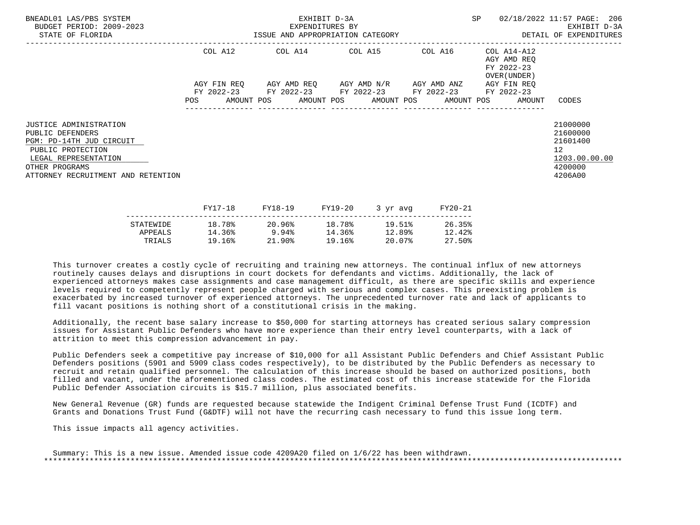| BNEADL01 LAS/PBS SYSTEM<br>BUDGET PERIOD: 2009-2023<br>STATE OF FLORIDA                                                                                                            |         | EXHIBIT D-3A<br>EXPENDITURES BY<br>ISSUE AND APPROPRIATION CATEGORY <b>Experience ASSESS</b> DETAIL OF EXPENDITURES |  |                         |         |                                                                                                           |          |                                                           |  | SP                                                                    | 02/18/2022 11:57 PAGE: 206<br>EXHIBIT D-3A                                                 |  |
|------------------------------------------------------------------------------------------------------------------------------------------------------------------------------------|---------|---------------------------------------------------------------------------------------------------------------------|--|-------------------------|---------|-----------------------------------------------------------------------------------------------------------|----------|-----------------------------------------------------------|--|-----------------------------------------------------------------------|--------------------------------------------------------------------------------------------|--|
|                                                                                                                                                                                    | COL A12 |                                                                                                                     |  | COL A14 COL A15 COL A16 |         |                                                                                                           |          | COL A14-A12<br>AGY AMD REQ<br>FY 2022-23<br>OVER (UNDER ) |  |                                                                       |                                                                                            |  |
|                                                                                                                                                                                    |         |                                                                                                                     |  |                         |         | AGY FIN REO AGY AMD REO AGY AMD N/R AGY AMD ANZ<br>FY 2022-23 FY 2022-23 FY 2022-23 FY 2022-23 FY 2022-23 |          |                                                           |  | AGY FIN REO<br>POS AMOUNT POS AMOUNT POS AMOUNT POS AMOUNT POS AMOUNT | CODES                                                                                      |  |
| <b>JUSTICE ADMINISTRATION</b><br>PUBLIC DEFENDERS<br>PGM: PD-14TH JUD CIRCUIT<br>PUBLIC PROTECTION<br>LEGAL REPRESENTATION<br>OTHER PROGRAMS<br>ATTORNEY RECRUITMENT AND RETENTION |         |                                                                                                                     |  |                         |         |                                                                                                           |          |                                                           |  |                                                                       | 21000000<br>21600000<br>21601400<br>12 <sup>°</sup><br>1203.00.00.00<br>4200000<br>4206A00 |  |
|                                                                                                                                                                                    | FY17-18 |                                                                                                                     |  | FY18-19                 | FY19-20 |                                                                                                           | 3 yr avg | FY20-21                                                   |  |                                                                       |                                                                                            |  |

|           |        | 1110 12  | 111 <i>1</i> 40 | $J = \mu \nu$ | 1140 AT |
|-----------|--------|----------|-----------------|---------------|---------|
| STATEWIDE | 18.78% | 20.96%   | 18.78%          | 19.51%        | 26.35%  |
| APPEALS   | 14.36% | 9.94%    | 14.36%          | 12.89%        | 12.42%  |
| TRIALS    | 19.16% | $21.90*$ | 19.16%          | 20.07%        | 27.50%  |
|           |        |          |                 |               |         |

 Additionally, the recent base salary increase to \$50,000 for starting attorneys has created serious salary compression issues for Assistant Public Defenders who have more experience than their entry level counterparts, with a lack of attrition to meet this compression advancement in pay.

 Public Defenders seek a competitive pay increase of \$10,000 for all Assistant Public Defenders and Chief Assistant Public Defenders positions (5901 and 5909 class codes respectively), to be distributed by the Public Defenders as necessary to recruit and retain qualified personnel. The calculation of this increase should be based on authorized positions, both filled and vacant, under the aforementioned class codes. The estimated cost of this increase statewide for the Florida Public Defender Association circuits is \$15.7 million, plus associated benefits.

 New General Revenue (GR) funds are requested because statewide the Indigent Criminal Defense Trust Fund (ICDTF) and Grants and Donations Trust Fund (G&DTF) will not have the recurring cash necessary to fund this issue long term.

This issue impacts all agency activities.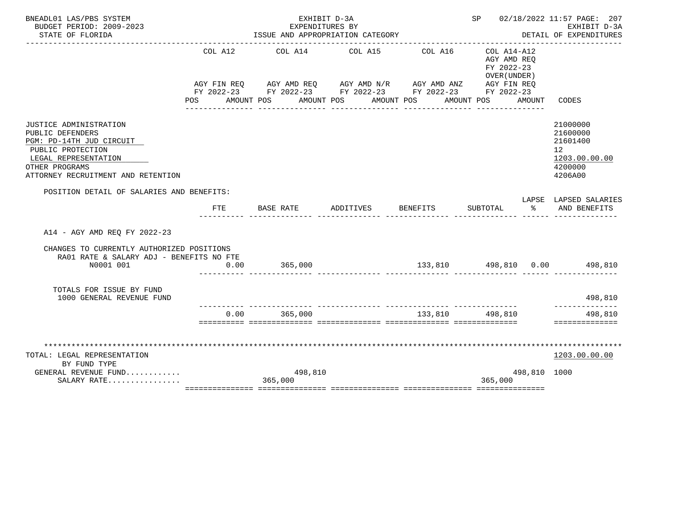| BNEADL01 LAS/PBS SYSTEM                                                                                                                                                     | EXHIBIT D-3A |                                                                                                                                                                                   |                                     |                              |                                                                                           |                      |                                                                               |  |  |  |
|-----------------------------------------------------------------------------------------------------------------------------------------------------------------------------|--------------|-----------------------------------------------------------------------------------------------------------------------------------------------------------------------------------|-------------------------------------|------------------------------|-------------------------------------------------------------------------------------------|----------------------|-------------------------------------------------------------------------------|--|--|--|
| BUDGET PERIOD: 2009-2023                                                                                                                                                    |              | EXPENDITURES BY                                                                                                                                                                   |                                     |                              |                                                                                           |                      | EXHIBIT D-3A<br>DETAIL OF EXPENDITURES                                        |  |  |  |
| STATE OF FLORIDA                                                                                                                                                            |              | ISSUE AND APPROPRIATION CATEGORY                                                                                                                                                  |                                     |                              |                                                                                           |                      |                                                                               |  |  |  |
|                                                                                                                                                                             | COL A12      | AGY FIN REQ AGY AMD REQ AGY AMD N/R AGY AMD ANZ AGY FIN REQ<br>FY 2022-23 FY 2022-23 FY 2022-23 FY 2022-23 FY 2022-23<br>POS AMOUNT POS AMOUNT POS AMOUNT POS<br>---------------- | COL A14 COL A15<br>________________ | COL A16<br>_______________   | COL A14-A12<br>AGY AMD REO<br>FY 2022-23<br>OVER (UNDER)<br>AMOUNT POS<br>--------------- | AMOUNT               | CODES                                                                         |  |  |  |
| JUSTICE ADMINISTRATION<br>PUBLIC DEFENDERS<br>PGM: PD-14TH JUD CIRCUIT<br>PUBLIC PROTECTION<br>LEGAL REPRESENTATION<br>OTHER PROGRAMS<br>ATTORNEY RECRUITMENT AND RETENTION |              |                                                                                                                                                                                   |                                     |                              |                                                                                           |                      | 21000000<br>21600000<br>21601400<br>12<br>1203.00.00.00<br>4200000<br>4206A00 |  |  |  |
| POSITION DETAIL OF SALARIES AND BENEFITS:                                                                                                                                   |              |                                                                                                                                                                                   |                                     |                              |                                                                                           |                      |                                                                               |  |  |  |
|                                                                                                                                                                             | FTE          | BASE RATE                                                                                                                                                                         | ADDITIVES                           | <b>BENEFITS</b>              | SUBTOTAL                                                                                  | $\sim$ $\sim$ $\sim$ | LAPSE LAPSED SALARIES<br>AND BENEFITS                                         |  |  |  |
| A14 - AGY AMD REO FY 2022-23                                                                                                                                                |              |                                                                                                                                                                                   |                                     |                              |                                                                                           |                      |                                                                               |  |  |  |
| CHANGES TO CURRENTLY AUTHORIZED POSITIONS<br>RA01 RATE & SALARY ADJ - BENEFITS NO FTE                                                                                       |              |                                                                                                                                                                                   |                                     |                              |                                                                                           |                      |                                                                               |  |  |  |
| N0001 001                                                                                                                                                                   | 0.00         | 365,000                                                                                                                                                                           |                                     | 133,810 498,810 0.00 498,810 |                                                                                           |                      |                                                                               |  |  |  |
| TOTALS FOR ISSUE BY FUND<br>1000 GENERAL REVENUE FUND                                                                                                                       |              |                                                                                                                                                                                   |                                     |                              |                                                                                           |                      | 498,810<br>--------------                                                     |  |  |  |
|                                                                                                                                                                             | 0.00         | 365,000                                                                                                                                                                           |                                     | 133,810 498,810              |                                                                                           |                      | 498,810<br>==============                                                     |  |  |  |
|                                                                                                                                                                             |              |                                                                                                                                                                                   |                                     |                              |                                                                                           |                      |                                                                               |  |  |  |
| TOTAL: LEGAL REPRESENTATION<br>BY FUND TYPE                                                                                                                                 |              |                                                                                                                                                                                   |                                     |                              |                                                                                           |                      | 1203.00.00.00                                                                 |  |  |  |
| GENERAL REVENUE FUND<br>SALARY RATE                                                                                                                                         |              | 498,810<br>365,000                                                                                                                                                                |                                     |                              | 365,000                                                                                   | 498,810 1000         |                                                                               |  |  |  |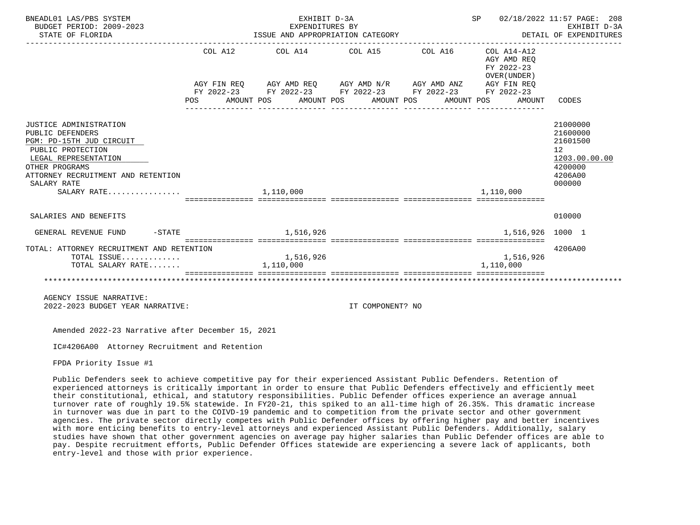| BNEADL01 LAS/PBS SYSTEM<br>BUDGET PERIOD: 2009-2023<br>STATE OF FLORIDA                                                                                                                                   | EXHIBIT D-3A<br>EXPENDITURES BY<br>ISSUE AND APPROPRIATION CATEGORY |  |           |           |  |                  |  |                                                                                                                                                                                                                         |  | SP 02/18/2022 11:57 PAGE: 208<br>DETAIL OF EXPENDITURES |                                                                                     | EXHIBIT D-3A  |
|-----------------------------------------------------------------------------------------------------------------------------------------------------------------------------------------------------------|---------------------------------------------------------------------|--|-----------|-----------|--|------------------|--|-------------------------------------------------------------------------------------------------------------------------------------------------------------------------------------------------------------------------|--|---------------------------------------------------------|-------------------------------------------------------------------------------------|---------------|
|                                                                                                                                                                                                           |                                                                     |  |           |           |  |                  |  | COL A12 COL A14 COL A15 COL A16 COL A14-A12<br>AGY FIN REQ AGY AMD REQ AGY AMD N/R AGY AMD ANZ AGY FIN REQ<br>FY 2022-23 FY 2022-23 FY 2022-23 FY 2022-23 FY 2022-23<br>POS AMOUNT POS AMOUNT POS AMOUNT POS AMOUNT POS |  | AGY AMD REO<br>FY 2022-23<br>OVER (UNDER)<br>AMOUNT     | CODES                                                                               |               |
| JUSTICE ADMINISTRATION<br>PUBLIC DEFENDERS<br>PGM: PD-15TH JUD CIRCUIT<br>PUBLIC PROTECTION<br>LEGAL REPRESENTATION<br>OTHER PROGRAMS<br>ATTORNEY RECRUITMENT AND RETENTION<br>SALARY RATE<br>SALARY RATE |                                                                     |  | 1,110,000 |           |  |                  |  |                                                                                                                                                                                                                         |  | 1,110,000                                               | 21000000<br>21600000<br>21601500<br>12 <sup>°</sup><br>4200000<br>4206A00<br>000000 | 1203.00.00.00 |
| SALARIES AND BENEFITS                                                                                                                                                                                     |                                                                     |  |           |           |  |                  |  |                                                                                                                                                                                                                         |  |                                                         | 010000                                                                              |               |
| $-STATE$<br>GENERAL REVENUE FUND                                                                                                                                                                          |                                                                     |  |           | 1,516,926 |  |                  |  |                                                                                                                                                                                                                         |  | 1,516,926 1000 1                                        |                                                                                     |               |
| TOTAL: ATTORNEY RECRUITMENT AND RETENTION<br>TOTAL ISSUE<br>TOTAL SALARY RATE                                                                                                                             |                                                                     |  | 1,110,000 | 1,516,926 |  |                  |  |                                                                                                                                                                                                                         |  | 1,516,926<br>1,110,000                                  | 4206A00                                                                             |               |
| AGENCY ISSUE NARRATIVE:<br>2022-2023 BUDGET YEAR NARRATIVE:                                                                                                                                               |                                                                     |  |           |           |  | IT COMPONENT? NO |  |                                                                                                                                                                                                                         |  |                                                         |                                                                                     |               |

IC#4206A00 Attorney Recruitment and Retention

FPDA Priority Issue #1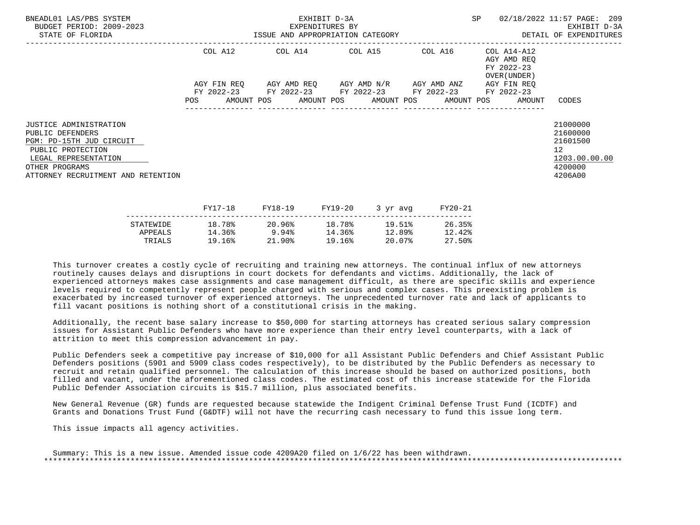| BNEADL01 LAS/PBS SYSTEM<br>BUDGET PERIOD: 2009-2023<br>STATE OF FLORIDA                                                                                                            | EXHIBIT D-3A<br>EXPENDITURES BY<br>ISSUE AND APPROPRIATION CATEGORY |             |  |         |         |                                                 |                                                           | SP      |  | 02/18/2022 11:57 PAGE: 209<br>EXHIBIT D-3A<br>DETAIL OF EXPENDITURES |                                                                                            |
|------------------------------------------------------------------------------------------------------------------------------------------------------------------------------------|---------------------------------------------------------------------|-------------|--|---------|---------|-------------------------------------------------|-----------------------------------------------------------|---------|--|----------------------------------------------------------------------|--------------------------------------------------------------------------------------------|
|                                                                                                                                                                                    | COL A14 COL A15 COL A16<br>COL A12                                  |             |  |         |         |                                                 | COL A14-A12<br>AGY AMD REO<br>FY 2022-23<br>OVER (UNDER ) |         |  |                                                                      |                                                                                            |
|                                                                                                                                                                                    |                                                                     | AGY FIN REO |  |         |         | AGY AMD REQ       AGY AMD N/R       AGY AMD ANZ |                                                           |         |  | AGY FIN REO                                                          |                                                                                            |
|                                                                                                                                                                                    | POS                                                                 |             |  |         |         | FY 2022-23 FY 2022-23 FY 2022-23 FY 2022-23     |                                                           |         |  | FY 2022-23<br>AMOUNT POS AMOUNT POS AMOUNT POS AMOUNT POS AMOUNT     | CODES                                                                                      |
| <b>JUSTICE ADMINISTRATION</b><br>PUBLIC DEFENDERS<br>PGM: PD-15TH JUD CIRCUIT<br>PUBLIC PROTECTION<br>LEGAL REPRESENTATION<br>OTHER PROGRAMS<br>ATTORNEY RECRUITMENT AND RETENTION |                                                                     |             |  |         |         |                                                 |                                                           |         |  |                                                                      | 21000000<br>21600000<br>21601500<br>12 <sup>°</sup><br>1203.00.00.00<br>4200000<br>4206A00 |
|                                                                                                                                                                                    |                                                                     | FY17-18     |  | FY18-19 | FY19-20 | 3 yr avg                                        |                                                           | FY20-21 |  |                                                                      |                                                                                            |

|           | - - - <i>-</i> - - - | ----- <b>---</b> | ---- <i>-</i> -- | $J \rightarrow J + U V T$ | ------ |
|-----------|----------------------|------------------|------------------|---------------------------|--------|
| STATEWIDE | 18.78%               | 20.96%           | 18.78%           | 19.51%                    | 26.35% |
| APPEALS   | 14.36%               | 9.94%            | 14.36%           | 12.89%                    | 12.42% |
| TRIALS    | 19.16%               | 21.90%           | 19.16%           | 20.07%                    | 27.50% |
|           |                      |                  |                  |                           |        |

 Additionally, the recent base salary increase to \$50,000 for starting attorneys has created serious salary compression issues for Assistant Public Defenders who have more experience than their entry level counterparts, with a lack of attrition to meet this compression advancement in pay.

 Public Defenders seek a competitive pay increase of \$10,000 for all Assistant Public Defenders and Chief Assistant Public Defenders positions (5901 and 5909 class codes respectively), to be distributed by the Public Defenders as necessary to recruit and retain qualified personnel. The calculation of this increase should be based on authorized positions, both filled and vacant, under the aforementioned class codes. The estimated cost of this increase statewide for the Florida Public Defender Association circuits is \$15.7 million, plus associated benefits.

 New General Revenue (GR) funds are requested because statewide the Indigent Criminal Defense Trust Fund (ICDTF) and Grants and Donations Trust Fund (G&DTF) will not have the recurring cash necessary to fund this issue long term.

This issue impacts all agency activities.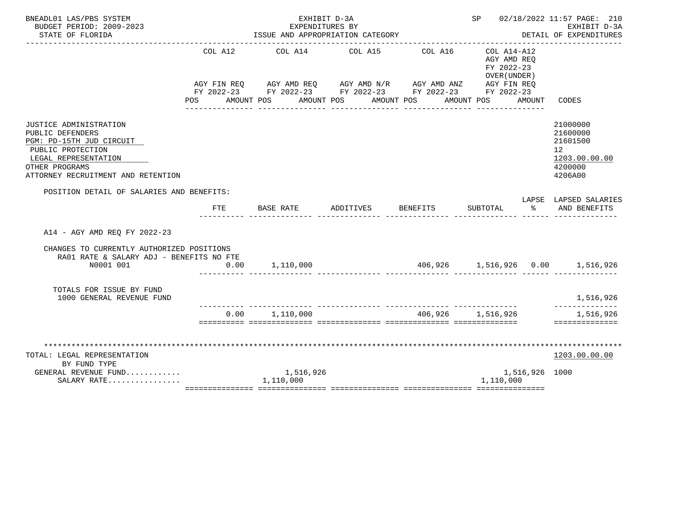| BNEADL01 LAS/PBS SYSTEM                                                                                                                                                     |         |                                                                                                                                                                          |                 | SP 02/18/2022 11:57 PAGE: 210          |                                                          |                |                                                                               |
|-----------------------------------------------------------------------------------------------------------------------------------------------------------------------------|---------|--------------------------------------------------------------------------------------------------------------------------------------------------------------------------|-----------------|----------------------------------------|----------------------------------------------------------|----------------|-------------------------------------------------------------------------------|
| BUDGET PERIOD: 2009-2023<br>STATE OF FLORIDA                                                                                                                                |         | EXPENDITURES BY<br>ISSUE AND APPROPRIATION CATEGORY                                                                                                                      |                 |                                        |                                                          |                | EXHIBIT D-3A<br>DETAIL OF EXPENDITURES                                        |
|                                                                                                                                                                             | COL A12 | AGY FIN REQ AGY AMD REQ AGY AMD N/R AGY AMD ANZ AGY FIN REQ<br>FY 2022-23 FY 2022-23 FY 2022-23 FY 2022-23 FY 2022-23<br>POS AMOUNT POS AMOUNT POS AMOUNT POS AMOUNT POS | COL A14 COL A15 | COL A16                                | COL A14-A12<br>AGY AMD REO<br>FY 2022-23<br>OVER (UNDER) | AMOUNT         | CODES                                                                         |
| JUSTICE ADMINISTRATION<br>PUBLIC DEFENDERS<br>PGM: PD-15TH JUD CIRCUIT<br>PUBLIC PROTECTION<br>LEGAL REPRESENTATION<br>OTHER PROGRAMS<br>ATTORNEY RECRUITMENT AND RETENTION |         |                                                                                                                                                                          |                 |                                        |                                                          |                | 21000000<br>21600000<br>21601500<br>12<br>1203.00.00.00<br>4200000<br>4206A00 |
| POSITION DETAIL OF SALARIES AND BENEFITS:                                                                                                                                   |         |                                                                                                                                                                          |                 |                                        |                                                          |                |                                                                               |
|                                                                                                                                                                             | FTE     | BASE RATE                                                                                                                                                                | ADDITIVES       | BENEFITS                               | SUBTOTAL                                                 | $\sim$ $\sim$  | LAPSE LAPSED SALARIES<br>AND BENEFITS                                         |
| A14 - AGY AMD REO FY 2022-23                                                                                                                                                |         |                                                                                                                                                                          |                 |                                        |                                                          |                |                                                                               |
| CHANGES TO CURRENTLY AUTHORIZED POSITIONS<br>RA01 RATE & SALARY ADJ - BENEFITS NO FTE                                                                                       |         |                                                                                                                                                                          |                 |                                        |                                                          |                |                                                                               |
| N0001 001                                                                                                                                                                   | 0.00    | 1,110,000                                                                                                                                                                |                 | 406,926   1,516,926   0.00   1,516,926 |                                                          |                |                                                                               |
| TOTALS FOR ISSUE BY FUND<br>1000 GENERAL REVENUE FUND                                                                                                                       |         |                                                                                                                                                                          |                 |                                        |                                                          |                | 1,516,926<br>______________                                                   |
|                                                                                                                                                                             |         | 0.00 1,110,000                                                                                                                                                           |                 | 406,926 1,516,926                      |                                                          |                | 1,516,926<br>==============                                                   |
|                                                                                                                                                                             |         |                                                                                                                                                                          |                 |                                        |                                                          |                |                                                                               |
| TOTAL: LEGAL REPRESENTATION                                                                                                                                                 |         |                                                                                                                                                                          |                 |                                        |                                                          |                | 1203.00.00.00                                                                 |
| BY FUND TYPE                                                                                                                                                                |         |                                                                                                                                                                          |                 |                                        |                                                          |                |                                                                               |
| GENERAL REVENUE FUND<br>SALARY RATE                                                                                                                                         |         | 1,516,926<br>1,110,000                                                                                                                                                   |                 |                                        | 1,110,000                                                | 1,516,926 1000 |                                                                               |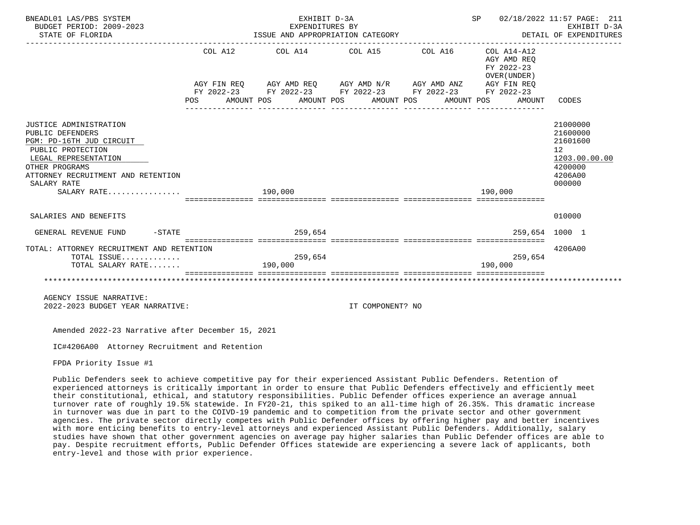| BNEADL01 LAS/PBS SYSTEM<br>BUDGET PERIOD: 2009-2023<br>STATE OF FLORIDA                                                                                                                                   |                                                 |         | EXHIBIT D-3A<br>EXPENDITURES BY<br>ISSUE AND APPROPRIATION CATEGORY<br>------------------------------------                                                                    |                  | SP 02/18/2022 11:57 PAGE: 211<br>DETAIL OF EXPENDITURES |         | EXHIBIT D-3A                                        |                                                                                     |               |
|-----------------------------------------------------------------------------------------------------------------------------------------------------------------------------------------------------------|-------------------------------------------------|---------|--------------------------------------------------------------------------------------------------------------------------------------------------------------------------------|------------------|---------------------------------------------------------|---------|-----------------------------------------------------|-------------------------------------------------------------------------------------|---------------|
|                                                                                                                                                                                                           | POS AMOUNT POS AMOUNT POS AMOUNT POS AMOUNT POS |         | $COL A12$ $COL A14$ $COL A15$ $COL A16$ $COL A14-A12$<br>AGY FIN REQ AGY AMD REQ AGY AMD N/R AGY AMD ANZ AGY FIN REQ<br>FY 2022-23 FY 2022-23 FY 2022-23 FY 2022-23 FY 2022-23 |                  |                                                         |         | AGY AMD REO<br>FY 2022-23<br>OVER (UNDER)<br>AMOUNT | CODES                                                                               |               |
| JUSTICE ADMINISTRATION<br>PUBLIC DEFENDERS<br>PGM: PD-16TH JUD CIRCUIT<br>PUBLIC PROTECTION<br>LEGAL REPRESENTATION<br>OTHER PROGRAMS<br>ATTORNEY RECRUITMENT AND RETENTION<br>SALARY RATE<br>SALARY RATE |                                                 | 190,000 |                                                                                                                                                                                |                  |                                                         | 190.000 |                                                     | 21000000<br>21600000<br>21601600<br>12 <sup>°</sup><br>4200000<br>4206A00<br>000000 | 1203.00.00.00 |
| SALARIES AND BENEFITS                                                                                                                                                                                     |                                                 |         |                                                                                                                                                                                |                  |                                                         |         |                                                     | 010000                                                                              |               |
| $-STATE$<br>GENERAL REVENUE FUND                                                                                                                                                                          |                                                 |         | 259,654                                                                                                                                                                        |                  |                                                         |         | 259,654 1000 1                                      |                                                                                     |               |
| TOTAL: ATTORNEY RECRUITMENT AND RETENTION<br>TOTAL ISSUE<br>TOTAL SALARY RATE                                                                                                                             |                                                 | 190,000 | 259,654                                                                                                                                                                        |                  |                                                         | 190,000 | 259,654                                             | 4206A00                                                                             |               |
| AGENCY ISSUE NARRATIVE:<br>2022-2023 BUDGET YEAR NARRATIVE:                                                                                                                                               |                                                 |         |                                                                                                                                                                                | IT COMPONENT? NO |                                                         |         |                                                     |                                                                                     |               |

IC#4206A00 Attorney Recruitment and Retention

FPDA Priority Issue #1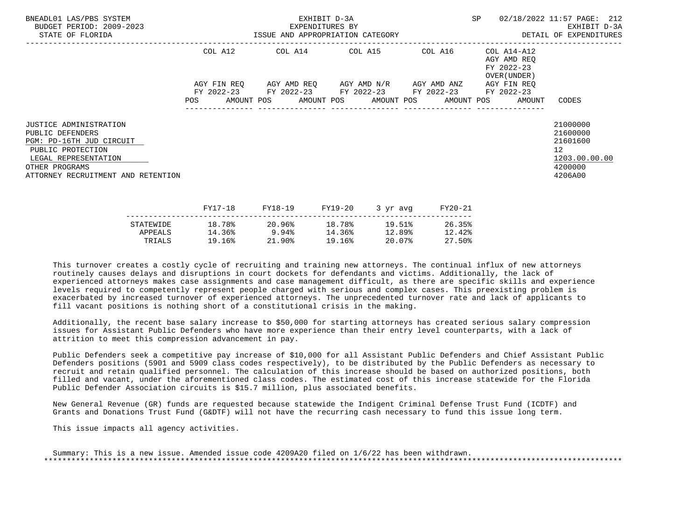| BNEADL01 LAS/PBS SYSTEM<br>BUDGET PERIOD: 2009-2023<br>STATE OF FLORIDA                                                                                                            | EXHIBIT D-3A<br>EXPENDITURES BY<br>ISSUE AND APPROPRIATION CATEGORY |  |  |         |         |                                                                                                | SP      |  | 02/18/2022 11:57 PAGE: 212<br>EXHIBIT D-3A<br>DETAIL OF EXPENDITURES |                                                                                            |
|------------------------------------------------------------------------------------------------------------------------------------------------------------------------------------|---------------------------------------------------------------------|--|--|---------|---------|------------------------------------------------------------------------------------------------|---------|--|----------------------------------------------------------------------|--------------------------------------------------------------------------------------------|
|                                                                                                                                                                                    | COL A12                                                             |  |  |         |         | COL A14 COL A15 COL A16                                                                        |         |  | COL A14-A12<br>AGY AMD REO<br>FY 2022-23<br>OVER (UNDER )            |                                                                                            |
|                                                                                                                                                                                    | AGY FIN REO                                                         |  |  |         |         | AGY AMD REQ       AGY AMD N/R       AGY AMD ANZ<br>FY 2022-23 FY 2022-23 FY 2022-23 FY 2022-23 |         |  | AGY FIN REO<br>FY 2022-23                                            |                                                                                            |
|                                                                                                                                                                                    | POS                                                                 |  |  |         |         |                                                                                                |         |  | AMOUNT POS AMOUNT POS AMOUNT POS AMOUNT POS AMOUNT                   | CODES                                                                                      |
| <b>JUSTICE ADMINISTRATION</b><br>PUBLIC DEFENDERS<br>PGM: PD-16TH JUD CIRCUIT<br>PUBLIC PROTECTION<br>LEGAL REPRESENTATION<br>OTHER PROGRAMS<br>ATTORNEY RECRUITMENT AND RETENTION |                                                                     |  |  |         |         |                                                                                                |         |  |                                                                      | 21000000<br>21600000<br>21601600<br>12 <sup>°</sup><br>1203.00.00.00<br>4200000<br>4206A00 |
|                                                                                                                                                                                    | FY17-18                                                             |  |  | FY18-19 | FY19-20 | 3 yr avg                                                                                       | FY20-21 |  |                                                                      |                                                                                            |

|           |        | 1110 12  | 111 <i>1</i> 40 | $J = \mu \nu$ | 1140 AT |
|-----------|--------|----------|-----------------|---------------|---------|
| STATEWIDE | 18.78% | 20.96%   | 18.78%          | 19.51%        | 26.35%  |
| APPEALS   | 14.36% | 9.94%    | 14.36%          | 12.89%        | 12.42%  |
| TRIALS    | 19.16% | $21.90*$ | 19.16%          | 20.07%        | 27.50%  |
|           |        |          |                 |               |         |

 Additionally, the recent base salary increase to \$50,000 for starting attorneys has created serious salary compression issues for Assistant Public Defenders who have more experience than their entry level counterparts, with a lack of attrition to meet this compression advancement in pay.

 Public Defenders seek a competitive pay increase of \$10,000 for all Assistant Public Defenders and Chief Assistant Public Defenders positions (5901 and 5909 class codes respectively), to be distributed by the Public Defenders as necessary to recruit and retain qualified personnel. The calculation of this increase should be based on authorized positions, both filled and vacant, under the aforementioned class codes. The estimated cost of this increase statewide for the Florida Public Defender Association circuits is \$15.7 million, plus associated benefits.

 New General Revenue (GR) funds are requested because statewide the Indigent Criminal Defense Trust Fund (ICDTF) and Grants and Donations Trust Fund (G&DTF) will not have the recurring cash necessary to fund this issue long term.

This issue impacts all agency activities.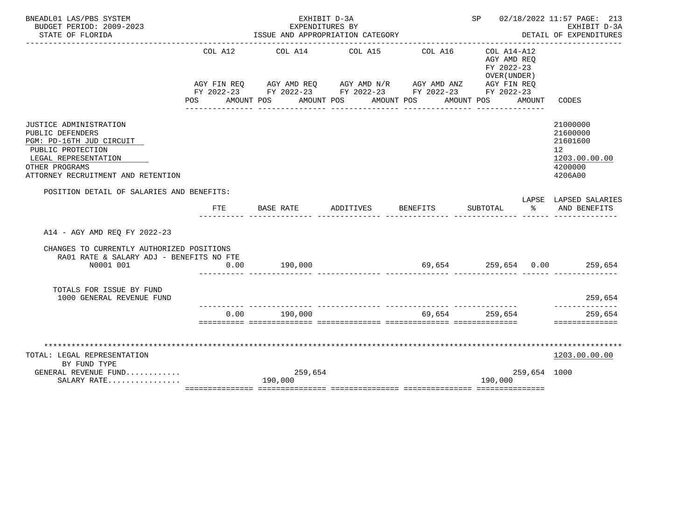| BNEADL01 LAS/PBS SYSTEM                                                               |         | EXHIBIT D-3A                                                |           |                  | SP 02/18/2022 11:57 PAGE: 213<br>EXHIBIT D-3A<br>DETAIL OF EXPENDITURES |               |                                       |
|---------------------------------------------------------------------------------------|---------|-------------------------------------------------------------|-----------|------------------|-------------------------------------------------------------------------|---------------|---------------------------------------|
| BUDGET PERIOD: 2009-2023<br>STATE OF FLORIDA                                          |         | EXPENDITURES BY<br>ISSUE AND APPROPRIATION CATEGORY         |           |                  |                                                                         |               |                                       |
|                                                                                       |         |                                                             |           |                  |                                                                         |               |                                       |
|                                                                                       | COL A12 | COL A14 COL A15                                             |           | COL A16          | COL A14-A12<br>AGY AMD REO<br>FY 2022-23                                |               |                                       |
|                                                                                       |         |                                                             |           |                  | OVER (UNDER )                                                           |               |                                       |
|                                                                                       |         | AGY FIN REQ AGY AMD REQ AGY AMD N/R AGY AMD ANZ AGY FIN REQ |           |                  |                                                                         |               |                                       |
|                                                                                       |         | FY 2022-23 FY 2022-23 FY 2022-23 FY 2022-23 FY 2022-23      |           |                  |                                                                         |               |                                       |
|                                                                                       |         | POS AMOUNT POS AMOUNT POS AMOUNT POS AMOUNT POS             |           | ________________ | _______________                                                         | AMOUNT        | CODES                                 |
| JUSTICE ADMINISTRATION                                                                |         |                                                             |           |                  |                                                                         |               | 21000000                              |
| PUBLIC DEFENDERS                                                                      |         |                                                             |           |                  |                                                                         |               | 21600000                              |
| PGM: PD-16TH JUD CIRCUIT                                                              |         |                                                             |           |                  |                                                                         |               | 21601600                              |
| PUBLIC PROTECTION                                                                     |         |                                                             |           |                  |                                                                         |               | 12                                    |
| LEGAL REPRESENTATION                                                                  |         |                                                             |           |                  |                                                                         |               | 1203.00.00.00                         |
| OTHER PROGRAMS                                                                        |         |                                                             |           |                  |                                                                         |               | 4200000                               |
| ATTORNEY RECRUITMENT AND RETENTION                                                    |         |                                                             |           |                  |                                                                         |               | 4206A00                               |
| POSITION DETAIL OF SALARIES AND BENEFITS:                                             |         |                                                             |           |                  |                                                                         |               |                                       |
|                                                                                       | FTE     | BASE RATE                                                   | ADDITIVES | BENEFITS         | SUBTOTAL                                                                | $\sim$ $\sim$ | LAPSE LAPSED SALARIES<br>AND BENEFITS |
| A14 - AGY AMD REO FY 2022-23                                                          |         |                                                             |           |                  |                                                                         |               |                                       |
| CHANGES TO CURRENTLY AUTHORIZED POSITIONS<br>RA01 RATE & SALARY ADJ - BENEFITS NO FTE |         |                                                             |           |                  |                                                                         |               |                                       |
| N0001 001                                                                             | 0.00    | 190,000                                                     |           |                  |                                                                         |               | 69,654  259,654  0.00  259,654        |
|                                                                                       |         |                                                             |           |                  |                                                                         |               |                                       |
| TOTALS FOR ISSUE BY FUND                                                              |         |                                                             |           |                  |                                                                         |               |                                       |
| 1000 GENERAL REVENUE FUND                                                             |         |                                                             |           |                  |                                                                         |               | 259,654<br>--------------             |
|                                                                                       |         | $0.00$ 190.000                                              |           |                  | 69,654 259,654                                                          |               | 259,654                               |
|                                                                                       |         |                                                             |           |                  |                                                                         |               | ==============                        |
|                                                                                       |         |                                                             |           |                  |                                                                         |               |                                       |
| TOTAL: LEGAL REPRESENTATION                                                           |         |                                                             |           |                  |                                                                         |               | 1203.00.00.00                         |
| BY FUND TYPE                                                                          |         |                                                             |           |                  |                                                                         |               |                                       |
| GENERAL REVENUE FUND                                                                  |         | 259,654                                                     |           |                  |                                                                         | 259,654 1000  |                                       |
| SALARY RATE                                                                           |         | 190,000                                                     |           |                  | 190,000                                                                 |               |                                       |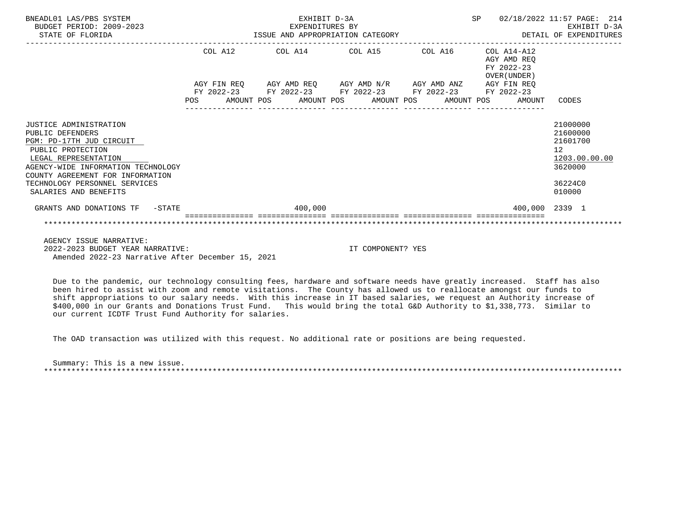| BNEADL01 LAS/PBS SYSTEM<br>BUDGET PERIOD: 2009-2023<br>STATE OF FLORIDA                                                                                                                                                                                 | EXHIBIT D-3A<br>EXPENDITURES BY<br>ISSUE AND APPROPRIATION CATEGORY |         |  |                                                                                                                                                          |  |  | <b>SP</b> |  | 02/18/2022 11:57 PAGE:<br>EXHIBIT D-3A<br>DETAIL OF EXPENDITURES | 214                                                                                     |  |
|---------------------------------------------------------------------------------------------------------------------------------------------------------------------------------------------------------------------------------------------------------|---------------------------------------------------------------------|---------|--|----------------------------------------------------------------------------------------------------------------------------------------------------------|--|--|-----------|--|------------------------------------------------------------------|-----------------------------------------------------------------------------------------|--|
|                                                                                                                                                                                                                                                         |                                                                     | COL A12 |  | COL A14 COL A15 COL A16                                                                                                                                  |  |  |           |  | COL A14-A12<br>AGY AMD REO<br>FY 2022-23<br>OVER (UNDER)         |                                                                                         |  |
|                                                                                                                                                                                                                                                         | POS                                                                 |         |  | AGY FIN REO AGY AMD REO AGY AMD N/R AGY AMD ANZ<br>FY 2022-23 FY 2022-23 FY 2022-23 FY 2022-23 FY 2022-23<br>AMOUNT POS AMOUNT POS AMOUNT POS AMOUNT POS |  |  |           |  | AGY FIN REO<br>AMOUNT                                            | CODES                                                                                   |  |
| JUSTICE ADMINISTRATION<br>PUBLIC DEFENDERS<br>PGM: PD-17TH JUD CIRCUIT<br>PUBLIC PROTECTION<br>LEGAL REPRESENTATION<br>AGENCY-WIDE INFORMATION TECHNOLOGY<br>COUNTY AGREEMENT FOR INFORMATION<br>TECHNOLOGY PERSONNEL SERVICES<br>SALARIES AND BENEFITS |                                                                     |         |  |                                                                                                                                                          |  |  |           |  |                                                                  | 21000000<br>21600000<br>21601700<br>12<br>1203.00.00.00<br>3620000<br>36224C0<br>010000 |  |
| GRANTS AND DONATIONS TF -STATE                                                                                                                                                                                                                          |                                                                     |         |  | 400,000                                                                                                                                                  |  |  |           |  |                                                                  | 400.000 2339 1                                                                          |  |
|                                                                                                                                                                                                                                                         |                                                                     |         |  |                                                                                                                                                          |  |  |           |  |                                                                  |                                                                                         |  |
| AGENCY ISSUE NARRATIVE:                                                                                                                                                                                                                                 |                                                                     |         |  |                                                                                                                                                          |  |  |           |  |                                                                  |                                                                                         |  |

 2022-2023 BUDGET YEAR NARRATIVE: IT COMPONENT? YES Amended 2022-23 Narrative After December 15, 2021

 Due to the pandemic, our technology consulting fees, hardware and software needs have greatly increased. Staff has also been hired to assist with zoom and remote visitations. The County has allowed us to reallocate amongst our funds to shift appropriations to our salary needs. With this increase in IT based salaries, we request an Authority increase of \$400,000 in our Grants and Donations Trust Fund. This would bring the total G&D Authority to \$1,338,773. Similar to our current ICDTF Trust Fund Authority for salaries.

The OAD transaction was utilized with this request. No additional rate or positions are being requested.

 Summary: This is a new issue. \*\*\*\*\*\*\*\*\*\*\*\*\*\*\*\*\*\*\*\*\*\*\*\*\*\*\*\*\*\*\*\*\*\*\*\*\*\*\*\*\*\*\*\*\*\*\*\*\*\*\*\*\*\*\*\*\*\*\*\*\*\*\*\*\*\*\*\*\*\*\*\*\*\*\*\*\*\*\*\*\*\*\*\*\*\*\*\*\*\*\*\*\*\*\*\*\*\*\*\*\*\*\*\*\*\*\*\*\*\*\*\*\*\*\*\*\*\*\*\*\*\*\*\*\*\*\*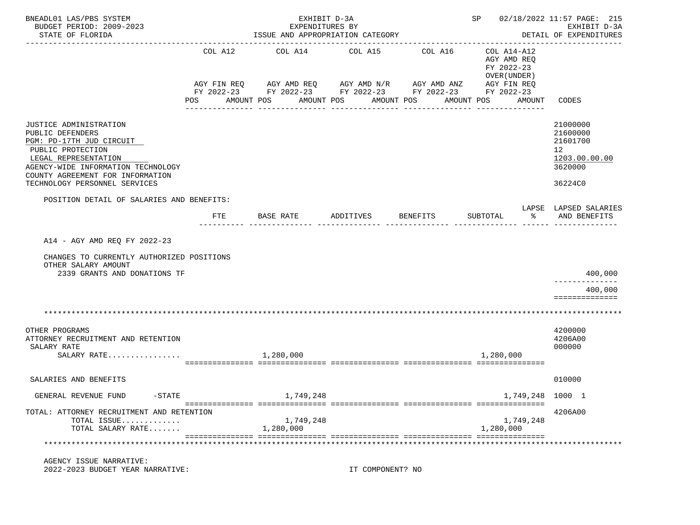| BNEADL01 LAS/PBS SYSTEM<br>BUDGET PERIOD: 2009-2023                                                                                                                                                                            |         | EXHIBIT D-3A<br>EXPENDITURES BY                                                                                             | SP 02/18/2022 11:57 PAGE: 215 | EXHIBIT D-3A               |                                                                         |                                                                                            |
|--------------------------------------------------------------------------------------------------------------------------------------------------------------------------------------------------------------------------------|---------|-----------------------------------------------------------------------------------------------------------------------------|-------------------------------|----------------------------|-------------------------------------------------------------------------|--------------------------------------------------------------------------------------------|
| STATE OF FLORIDA                                                                                                                                                                                                               |         | ISSUE AND APPROPRIATION CATEGORY                                                                                            |                               |                            |                                                                         | DETAIL OF EXPENDITURES                                                                     |
|                                                                                                                                                                                                                                | COL A12 | COL A14<br>AGY FIN REQ 6 AGY AMD REQ 6 AGY AMD N/R 66 AGY AMD ANZ<br>FY 2022-23 FY 2022-23 FY 2022-23 FY 2022-23 FY 2022-23 | COL A15                       | COL A16                    | COL A14-A12<br>AGY AMD REQ<br>FY 2022-23<br>OVER (UNDER)<br>AGY FIN REQ |                                                                                            |
|                                                                                                                                                                                                                                |         | POS AMOUNT POS AMOUNT POS<br>_____________                                                                                  | _____________                 | AMOUNT POS<br>------------ | AMOUNT<br>AMOUNT POS<br>---------------                                 | CODES                                                                                      |
| JUSTICE ADMINISTRATION<br>PUBLIC DEFENDERS<br>PGM: PD-17TH JUD CIRCUIT<br>PUBLIC PROTECTION<br>LEGAL REPRESENTATION<br>AGENCY-WIDE INFORMATION TECHNOLOGY<br>COUNTY AGREEMENT FOR INFORMATION<br>TECHNOLOGY PERSONNEL SERVICES |         |                                                                                                                             |                               |                            |                                                                         | 21000000<br>21600000<br>21601700<br>12 <sup>°</sup><br>1203.00.00.00<br>3620000<br>36224C0 |
|                                                                                                                                                                                                                                |         |                                                                                                                             |                               |                            |                                                                         |                                                                                            |
| POSITION DETAIL OF SALARIES AND BENEFITS:                                                                                                                                                                                      | FTE     | BASE RATE                                                                                                                   | ADDITIVES                     | BENEFITS                   | SUBTOTAL<br>ႜ                                                           | LAPSE LAPSED SALARIES<br>AND BENEFITS                                                      |
| A14 - AGY AMD REQ FY 2022-23<br>CHANGES TO CURRENTLY AUTHORIZED POSITIONS<br>OTHER SALARY AMOUNT                                                                                                                               |         |                                                                                                                             |                               |                            |                                                                         |                                                                                            |
| 2339 GRANTS AND DONATIONS TF                                                                                                                                                                                                   |         |                                                                                                                             |                               |                            |                                                                         | 400,000                                                                                    |
|                                                                                                                                                                                                                                |         |                                                                                                                             |                               |                            |                                                                         | 400,000<br>==============                                                                  |
|                                                                                                                                                                                                                                |         |                                                                                                                             |                               |                            |                                                                         |                                                                                            |
| OTHER PROGRAMS<br>ATTORNEY RECRUITMENT AND RETENTION<br>SALARY RATE<br>SALARY RATE                                                                                                                                             |         | 1,280,000                                                                                                                   |                               |                            | 1,280,000                                                               | 4200000<br>4206A00<br>000000                                                               |
| SALARIES AND BENEFITS                                                                                                                                                                                                          |         |                                                                                                                             |                               |                            |                                                                         | 010000                                                                                     |
| GENERAL REVENUE FUND<br>$-$ STATE                                                                                                                                                                                              |         | ,749,248                                                                                                                    |                               |                            | 1,749,248                                                               | 1000 1                                                                                     |
| TOTAL: ATTORNEY RECRUITMENT AND RETENTION<br>TOTAL ISSUE<br>TOTAL SALARY RATE                                                                                                                                                  |         | 1,749,248<br>1,280,000                                                                                                      |                               |                            | 1,749,248<br>1,280,000                                                  | 4206A00                                                                                    |
|                                                                                                                                                                                                                                |         |                                                                                                                             |                               |                            |                                                                         |                                                                                            |
| AGENCY ISSUE NARRATIVE:<br>2022-2023 BUDGET YEAR NARRATIVE:                                                                                                                                                                    |         |                                                                                                                             | IT COMPONENT? NO              |                            |                                                                         |                                                                                            |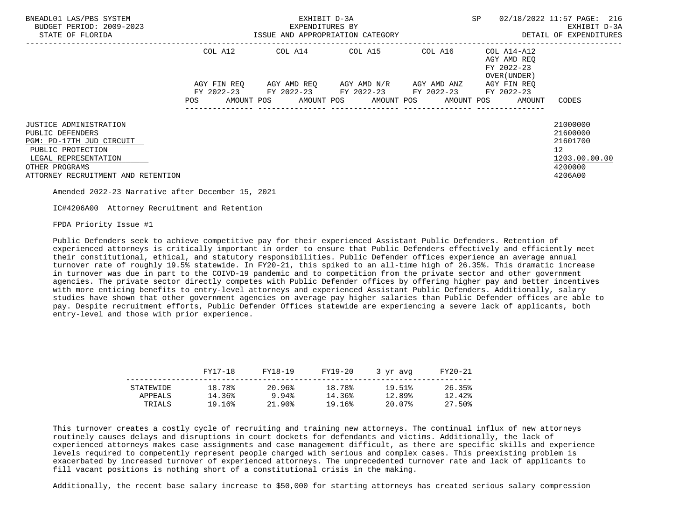| BNEADL01 LAS/PBS SYSTEM<br>BUDGET PERIOD: 2009-2023<br>STATE OF FLORIDA                                                                                                            |                                                                                                                               | EXHIBIT D-3A<br>EXPENDITURES BY<br>ISSUE AND APPROPRIATION CATEGORY                        | <b>SP</b>                           | 02/18/2022 11:57 PAGE: 216<br>EXHIBIT D-3A<br>DETAIL OF EXPENDITURES |                                                          |                                                                                             |
|------------------------------------------------------------------------------------------------------------------------------------------------------------------------------------|-------------------------------------------------------------------------------------------------------------------------------|--------------------------------------------------------------------------------------------|-------------------------------------|----------------------------------------------------------------------|----------------------------------------------------------|---------------------------------------------------------------------------------------------|
|                                                                                                                                                                                    | COL A12                                                                                                                       | COL A14 COL A15 COL A16                                                                    |                                     |                                                                      | COL A14-A12<br>AGY AMD REO<br>FY 2022-23<br>OVER (UNDER) |                                                                                             |
|                                                                                                                                                                                    | AGY FIN REO<br>POS FOR THE POST OF THE POST OF THE POST OF THE POST OF THE POST OF THE POST OF THE POST OF THE POST OF THE PO | FY 2022-23 FY 2022-23 FY 2022-23 FY 2022-23<br>AMOUNT POS AMOUNT POS AMOUNT POS AMOUNT POS | AGY AMD REO AGY AMD N/R AGY AMD ANZ |                                                                      | AGY FIN REO<br>FY 2022-23<br>AMOUNT                      | CODES                                                                                       |
| <b>JUSTICE ADMINISTRATION</b><br>PUBLIC DEFENDERS<br>PGM: PD-17TH JUD CIRCUIT<br>PUBLIC PROTECTION<br>LEGAL REPRESENTATION<br>OTHER PROGRAMS<br>ATTORNEY RECRUITMENT AND RETENTION |                                                                                                                               |                                                                                            |                                     |                                                                      |                                                          | 21000000<br>21600000<br>21601700<br>12 <sup>12</sup><br>1203.00.00.00<br>4200000<br>4206A00 |

IC#4206A00 Attorney Recruitment and Retention

FPDA Priority Issue #1

 Public Defenders seek to achieve competitive pay for their experienced Assistant Public Defenders. Retention of experienced attorneys is critically important in order to ensure that Public Defenders effectively and efficiently meet their constitutional, ethical, and statutory responsibilities. Public Defender offices experience an average annual turnover rate of roughly 19.5% statewide. In FY20-21, this spiked to an all-time high of 26.35%. This dramatic increase in turnover was due in part to the COIVD-19 pandemic and to competition from the private sector and other government agencies. The private sector directly competes with Public Defender offices by offering higher pay and better incentives with more enticing benefits to entry-level attorneys and experienced Assistant Public Defenders. Additionally, salary studies have shown that other government agencies on average pay higher salaries than Public Defender offices are able to pay. Despite recruitment efforts, Public Defender Offices statewide are experiencing a severe lack of applicants, both entry-level and those with prior experience.

|           | FY17-18 | FY18-19 | FY19-20 | 3 yr avg | FY20-21 |
|-----------|---------|---------|---------|----------|---------|
| STATEWIDE | 18.78%  | 20.96%  | 18.78%  | 19.51%   | 26.35%  |
| APPEALS   | 14.36%  | 9.94%   | 14.36%  | 12.89%   | 12.42%  |
| TRIALS    | 19.16%  | 21.90%  | 19.16%  | 20.07%   | 27.50%  |

 This turnover creates a costly cycle of recruiting and training new attorneys. The continual influx of new attorneys routinely causes delays and disruptions in court dockets for defendants and victims. Additionally, the lack of experienced attorneys makes case assignments and case management difficult, as there are specific skills and experience levels required to competently represent people charged with serious and complex cases. This preexisting problem is exacerbated by increased turnover of experienced attorneys. The unprecedented turnover rate and lack of applicants to fill vacant positions is nothing short of a constitutional crisis in the making.

Additionally, the recent base salary increase to \$50,000 for starting attorneys has created serious salary compression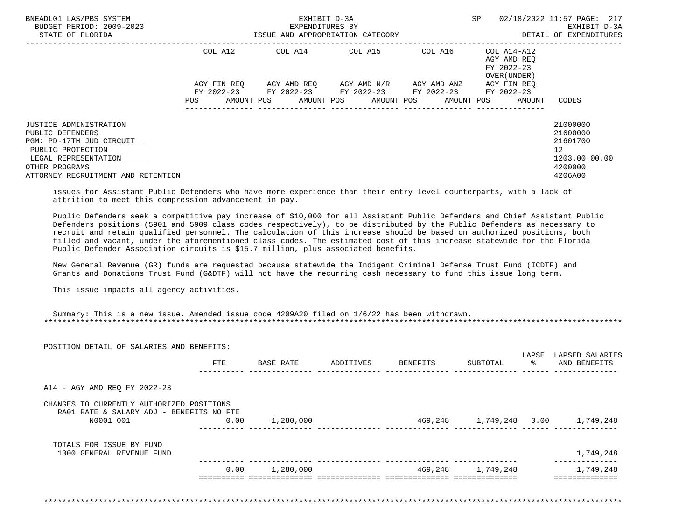| BNEADL01 LAS/PBS SYSTEM<br>BUDGET PERIOD: 2009-2023<br>STATE OF FLORIDA                                                                                                     |             | EXHIBIT D-3A<br>EXPENDITURES BY<br>ISSUE AND APPROPRIATION CATEGORY |                                     |                     | SP                                        | 02/18/2022 11:57 PAGE: 217<br>EXHIBIT D-3A<br>DETAIL OF EXPENDITURES          |
|-----------------------------------------------------------------------------------------------------------------------------------------------------------------------------|-------------|---------------------------------------------------------------------|-------------------------------------|---------------------|-------------------------------------------|-------------------------------------------------------------------------------|
|                                                                                                                                                                             | COL A12     | COL A14 COL A15                                                     |                                     | COL A16 COL A14-A12 | AGY AMD REO<br>FY 2022-23<br>OVER (UNDER) |                                                                               |
|                                                                                                                                                                             | AGY FIN REO | FY 2022-23 FY 2022-23 FY 2022-23 FY 2022-23 FY 2022-23              | AGY AMD REO AGY AMD N/R AGY AMD ANZ |                     | AGY FIN REO                               |                                                                               |
|                                                                                                                                                                             | POS.        | AMOUNT POS                                                          | AMOUNT POS AMOUNT POS AMOUNT POS    |                     | AMOUNT                                    | CODES                                                                         |
| JUSTICE ADMINISTRATION<br>PUBLIC DEFENDERS<br>PGM: PD-17TH JUD CIRCUIT<br>PUBLIC PROTECTION<br>LEGAL REPRESENTATION<br>OTHER PROGRAMS<br>ATTORNEY RECRUITMENT AND RETENTION |             |                                                                     |                                     |                     |                                           | 21000000<br>21600000<br>21601700<br>12<br>1203.00.00.00<br>4200000<br>4206A00 |

 issues for Assistant Public Defenders who have more experience than their entry level counterparts, with a lack of attrition to meet this compression advancement in pay.

 Public Defenders seek a competitive pay increase of \$10,000 for all Assistant Public Defenders and Chief Assistant Public Defenders positions (5901 and 5909 class codes respectively), to be distributed by the Public Defenders as necessary to recruit and retain qualified personnel. The calculation of this increase should be based on authorized positions, both filled and vacant, under the aforementioned class codes. The estimated cost of this increase statewide for the Florida Public Defender Association circuits is \$15.7 million, plus associated benefits.

 New General Revenue (GR) funds are requested because statewide the Indigent Criminal Defense Trust Fund (ICDTF) and Grants and Donations Trust Fund (G&DTF) will not have the recurring cash necessary to fund this issue long term.

This issue impacts all agency activities.

|                                                       | <b>FTE</b> | BASE RATE | ADDITIVES | BENEFITS | SUBTOTAL          | LAPSE<br>ႜႂ | LAPSED SALARIES<br>AND BENEFITS |
|-------------------------------------------------------|------------|-----------|-----------|----------|-------------------|-------------|---------------------------------|
|                                                       |            |           |           |          |                   |             |                                 |
| A14 - AGY AMD REQ FY 2022-23                          |            |           |           |          |                   |             |                                 |
| CHANGES TO CURRENTLY AUTHORIZED POSITIONS             |            |           |           |          |                   |             |                                 |
| RA01 RATE & SALARY ADJ - BENEFITS NO FTE<br>N0001 001 | 0.00       | 1,280,000 |           | 469,248  | 1,749,248 0.00    |             | 1,749,248                       |
|                                                       |            |           |           |          |                   |             |                                 |
| TOTALS FOR ISSUE BY FUND<br>1000 GENERAL REVENUE FUND |            |           |           |          |                   |             | 1,749,248                       |
|                                                       | 0.00       | 1,280,000 |           |          | 469,248 1,749,248 |             | 1,749,248                       |
|                                                       |            |           |           |          |                   |             |                                 |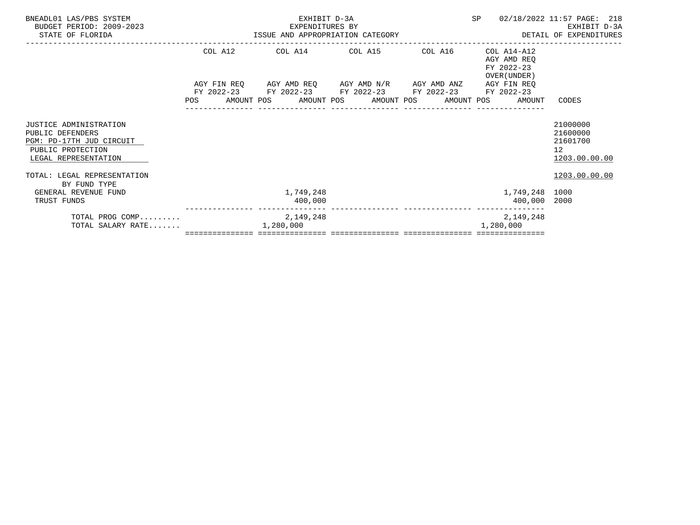| BNEADL01 LAS/PBS SYSTEM<br>BUDGET PERIOD: 2009-2023<br>EXPENDITURES BY<br>ISSUE AND APPROPRIATION CATEGORY<br>STATE OF FLORIDA |  |           | EXHIBIT D-3A<br>EXPENDITURES BY |                                                                                                                        |  | SP |                                                                                       | 02/18/2022 11:57 PAGE: 218<br>EXHIBIT D-3A<br>DETAIL OF EXPENDITURES |
|--------------------------------------------------------------------------------------------------------------------------------|--|-----------|---------------------------------|------------------------------------------------------------------------------------------------------------------------|--|----|---------------------------------------------------------------------------------------|----------------------------------------------------------------------|
|                                                                                                                                |  |           |                                 | COL A12 COL A14 COL A15 COL A16                                                                                        |  |    | COL A14-A12<br>AGY AMD REO<br>FY 2022-23                                              |                                                                      |
|                                                                                                                                |  |           |                                 | AGY FIN REQ      AGY AMD REQ     AGY AMD N/R     AGY AMD ANZ<br>FY 2022-23 FY 2022-23 FY 2022-23 FY 2022-23 FY 2022-23 |  |    | OVER (UNDER)<br>AGY FIN REO<br>POS AMOUNT POS AMOUNT POS AMOUNT POS AMOUNT POS AMOUNT | CODES                                                                |
|                                                                                                                                |  |           |                                 |                                                                                                                        |  |    |                                                                                       |                                                                      |
| JUSTICE ADMINISTRATION<br>PUBLIC DEFENDERS<br>PGM: PD-17TH JUD CIRCUIT<br>PUBLIC PROTECTION<br>LEGAL REPRESENTATION            |  |           |                                 |                                                                                                                        |  |    |                                                                                       | 21000000<br>21600000<br>21601700<br>12 <sup>°</sup><br>1203.00.00.00 |
| TOTAL: LEGAL REPRESENTATION<br>BY FUND TYPE                                                                                    |  |           |                                 |                                                                                                                        |  |    |                                                                                       | 1203.00.00.00                                                        |
| GENERAL REVENUE FUND<br>TRUST FUNDS                                                                                            |  |           | 1,749,248<br>400,000            |                                                                                                                        |  |    | 1,749,248 1000<br>400,000 2000                                                        |                                                                      |
| TOTAL PROG COMP<br>TOTAL SALARY RATE                                                                                           |  | 1,280,000 | 2, 149, 248                     |                                                                                                                        |  |    | 2,149,248<br>1,280,000                                                                |                                                                      |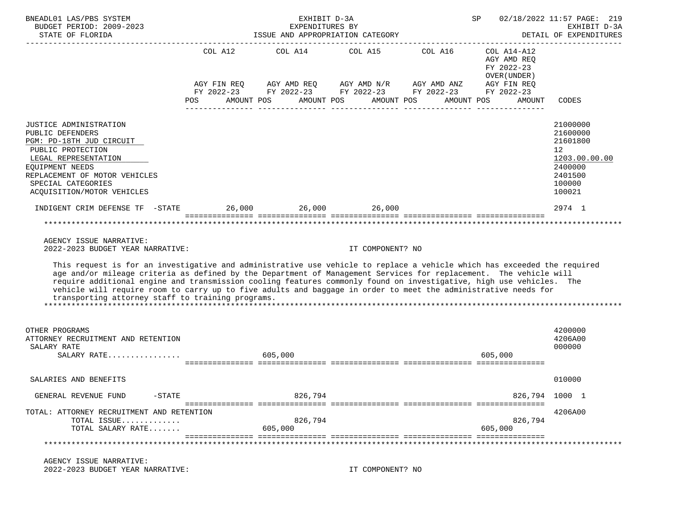| BNEADL01 LAS/PBS SYSTEM<br>BUDGET PERIOD: 2009-2023<br>STATE OF FLORIDA                                                                                                                                                                                                                                                                                                                                                                                                                                                                                                                                    | 02/18/2022 11:57 PAGE: 219<br>EXHIBIT D-3A<br>SP<br>EXPENDITURES BY<br>ISSUE AND APPROPRIATION CATEGORY<br>DETAIL OF EXPENDITURES |                                 |                  |                                                                                    |                                                          |                                                                                                                  |  |
|------------------------------------------------------------------------------------------------------------------------------------------------------------------------------------------------------------------------------------------------------------------------------------------------------------------------------------------------------------------------------------------------------------------------------------------------------------------------------------------------------------------------------------------------------------------------------------------------------------|-----------------------------------------------------------------------------------------------------------------------------------|---------------------------------|------------------|------------------------------------------------------------------------------------|----------------------------------------------------------|------------------------------------------------------------------------------------------------------------------|--|
|                                                                                                                                                                                                                                                                                                                                                                                                                                                                                                                                                                                                            |                                                                                                                                   | COL A12 COL A14 COL A15 COL A16 |                  | AGY FIN REQ AGY AMD REQ AGY AMD N/R AGY AMD ANZ AGY FIN REQ                        | COL A14-A12<br>AGY AMD REQ<br>FY 2022-23<br>OVER (UNDER) |                                                                                                                  |  |
|                                                                                                                                                                                                                                                                                                                                                                                                                                                                                                                                                                                                            | POS                                                                                                                               | AMOUNT POS                      | AMOUNT POS       | FY 2022-23 FY 2022-23 FY 2022-23 FY 2022-23 FY 2022-23<br>AMOUNT POS<br>AMOUNT POS | AMOUNT                                                   | CODES                                                                                                            |  |
| JUSTICE ADMINISTRATION<br>PUBLIC DEFENDERS<br>PGM: PD-18TH JUD CIRCUIT<br>PUBLIC PROTECTION<br>LEGAL REPRESENTATION<br>EQUIPMENT NEEDS<br>REPLACEMENT OF MOTOR VEHICLES<br>SPECIAL CATEGORIES<br>ACQUISITION/MOTOR VEHICLES                                                                                                                                                                                                                                                                                                                                                                                |                                                                                                                                   |                                 |                  |                                                                                    |                                                          | 21000000<br>21600000<br>21601800<br>$12 \overline{ }$<br>1203.00.00.00<br>2400000<br>2401500<br>100000<br>100021 |  |
| INDIGENT CRIM DEFENSE TF -STATE $26,000$ 26,000 26,000                                                                                                                                                                                                                                                                                                                                                                                                                                                                                                                                                     |                                                                                                                                   |                                 |                  |                                                                                    |                                                          | 2974 1                                                                                                           |  |
| AGENCY ISSUE NARRATIVE:<br>2022-2023 BUDGET YEAR NARRATIVE:<br>This request is for an investigative and administrative use vehicle to replace a vehicle which has exceeded the required<br>age and/or mileage criteria as defined by the Department of Management Services for replacement. The vehicle will<br>require additional engine and transmission cooling features commonly found on investigative, high use vehicles. The<br>vehicle will require room to carry up to five adults and baggage in order to meet the administrative needs for<br>transporting attorney staff to training programs. |                                                                                                                                   |                                 | IT COMPONENT? NO |                                                                                    |                                                          |                                                                                                                  |  |
| OTHER PROGRAMS<br>ATTORNEY RECRUITMENT AND RETENTION<br>SALARY RATE<br>SALARY RATE                                                                                                                                                                                                                                                                                                                                                                                                                                                                                                                         |                                                                                                                                   | 605,000                         |                  |                                                                                    | 605.000                                                  | 4200000<br>4206A00<br>000000                                                                                     |  |
| SALARIES AND BENEFITS                                                                                                                                                                                                                                                                                                                                                                                                                                                                                                                                                                                      |                                                                                                                                   |                                 |                  |                                                                                    |                                                          | 010000                                                                                                           |  |
| GENERAL REVENUE FUND<br>$-$ STATE                                                                                                                                                                                                                                                                                                                                                                                                                                                                                                                                                                          |                                                                                                                                   | 826,794                         |                  |                                                                                    |                                                          | 826,794 1000 1                                                                                                   |  |
| TOTAL: ATTORNEY RECRUITMENT AND RETENTION<br>TOTAL ISSUE<br>TOTAL SALARY RATE                                                                                                                                                                                                                                                                                                                                                                                                                                                                                                                              |                                                                                                                                   | 826,794<br>605,000              |                  |                                                                                    | 826,794<br>605,000                                       | 4206A00                                                                                                          |  |
|                                                                                                                                                                                                                                                                                                                                                                                                                                                                                                                                                                                                            |                                                                                                                                   |                                 |                  |                                                                                    |                                                          |                                                                                                                  |  |
| AGENCY ISSUE NARRATIVE:<br>2022-2023 BUDGET YEAR NARRATIVE:                                                                                                                                                                                                                                                                                                                                                                                                                                                                                                                                                |                                                                                                                                   |                                 | IT COMPONENT? NO |                                                                                    |                                                          |                                                                                                                  |  |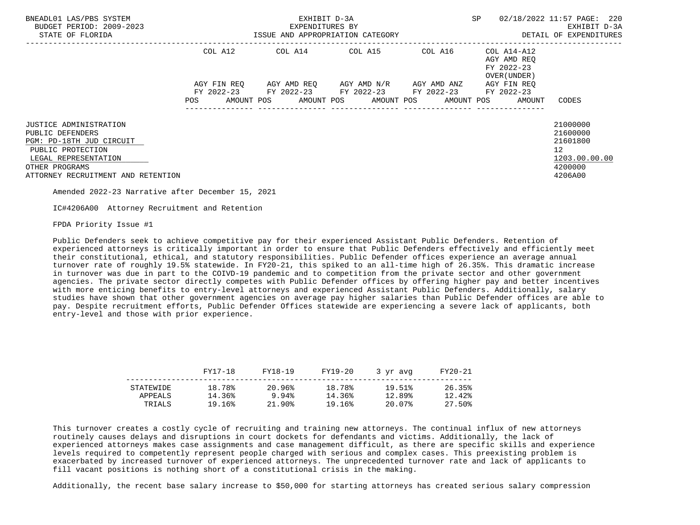| BNEADL01 LAS/PBS SYSTEM<br>BUDGET PERIOD: 2009-2023<br>STATE OF FLORIDA                                                                                                            |                                                                                                                | EXHIBIT D-3A<br>EXPENDITURES BY<br>ISSUE AND APPROPRIATION CATEGORY | <b>SP</b>                                                                                                                                     | 02/18/2022 11:57 PAGE: 220<br>EXHIBIT D-3A<br>DETAIL OF EXPENDITURES |                                                          |                                                                               |
|------------------------------------------------------------------------------------------------------------------------------------------------------------------------------------|----------------------------------------------------------------------------------------------------------------|---------------------------------------------------------------------|-----------------------------------------------------------------------------------------------------------------------------------------------|----------------------------------------------------------------------|----------------------------------------------------------|-------------------------------------------------------------------------------|
|                                                                                                                                                                                    | COL A12                                                                                                        |                                                                     | COL A14 COL A15                                                                                                                               | COL A16                                                              | COL A14-A12<br>AGY AMD REO<br>FY 2022-23<br>OVER (UNDER) |                                                                               |
|                                                                                                                                                                                    | POS FOR THE POST OF THE STATE STATE STATE STATE STATE STATE STATE STATE STATE STATE STATE STATE STATE STATE ST |                                                                     | AGY FIN REO AGY AMD REO AGY AMD N/R AGY AMD ANZ<br>FY 2022-23 FY 2022-23 FY 2022-23 FY 2022-23<br>AMOUNT POS AMOUNT POS AMOUNT POS AMOUNT POS |                                                                      | AGY FIN REO<br>FY 2022-23<br>AMOUNT                      | CODES                                                                         |
| <b>JUSTICE ADMINISTRATION</b><br>PUBLIC DEFENDERS<br>PGM: PD-18TH JUD CIRCUIT<br>PUBLIC PROTECTION<br>LEGAL REPRESENTATION<br>OTHER PROGRAMS<br>ATTORNEY RECRUITMENT AND RETENTION |                                                                                                                |                                                                     |                                                                                                                                               |                                                                      |                                                          | 21000000<br>21600000<br>21601800<br>12<br>1203.00.00.00<br>4200000<br>4206A00 |

IC#4206A00 Attorney Recruitment and Retention

FPDA Priority Issue #1

 Public Defenders seek to achieve competitive pay for their experienced Assistant Public Defenders. Retention of experienced attorneys is critically important in order to ensure that Public Defenders effectively and efficiently meet their constitutional, ethical, and statutory responsibilities. Public Defender offices experience an average annual turnover rate of roughly 19.5% statewide. In FY20-21, this spiked to an all-time high of 26.35%. This dramatic increase in turnover was due in part to the COIVD-19 pandemic and to competition from the private sector and other government agencies. The private sector directly competes with Public Defender offices by offering higher pay and better incentives with more enticing benefits to entry-level attorneys and experienced Assistant Public Defenders. Additionally, salary studies have shown that other government agencies on average pay higher salaries than Public Defender offices are able to pay. Despite recruitment efforts, Public Defender Offices statewide are experiencing a severe lack of applicants, both entry-level and those with prior experience.

|           | FY17-18           | FY18-19 | FY19-20 | 3 yr avg | FY20-21 |
|-----------|-------------------|---------|---------|----------|---------|
| STATEWIDE | 18.78%            | 20.96%  | 18.78%  | 19.51%   | 26.35%  |
|           | 14.36%<br>APPEALS | 9.94%   | 14.36%  | 12.89%   | 12.42%  |
|           | 19.16%<br>TRIALS  | 21.90%  | !9.16%  | 20.07%   | 27.50%  |

 This turnover creates a costly cycle of recruiting and training new attorneys. The continual influx of new attorneys routinely causes delays and disruptions in court dockets for defendants and victims. Additionally, the lack of experienced attorneys makes case assignments and case management difficult, as there are specific skills and experience levels required to competently represent people charged with serious and complex cases. This preexisting problem is exacerbated by increased turnover of experienced attorneys. The unprecedented turnover rate and lack of applicants to fill vacant positions is nothing short of a constitutional crisis in the making.

Additionally, the recent base salary increase to \$50,000 for starting attorneys has created serious salary compression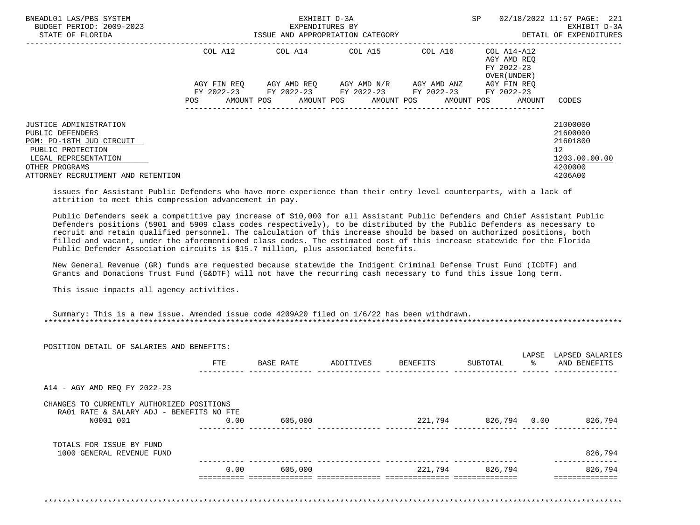| BNEADL01 LAS/PBS SYSTEM<br>BUDGET PERIOD: 2009-2023<br>STATE OF FLORIDA                                                                      |     |             | EXHIBIT D-3A<br>EXPENDITURES BY | ISSUE AND APPROPRIATION CATEGORY                                                |                     | SP |                                            | 02/18/2022 11:57 PAGE: 221<br>EXHIBIT D-3A<br>DETAIL OF EXPENDITURES |  |
|----------------------------------------------------------------------------------------------------------------------------------------------|-----|-------------|---------------------------------|---------------------------------------------------------------------------------|---------------------|----|--------------------------------------------|----------------------------------------------------------------------|--|
|                                                                                                                                              |     | COL A12     | COL A14 COL A15                 |                                                                                 | COL A16 COL A14-A12 |    | AGY AMD REO<br>FY 2022-23<br>OVER (UNDER ) |                                                                      |  |
|                                                                                                                                              |     | AGY FIN REO |                                 | AGY AMD REO AGY AMD N/R AGY AMD ANZ                                             |                     |    | AGY FIN REO                                |                                                                      |  |
|                                                                                                                                              | POS | AMOUNT POS  |                                 | FY 2022-23 FY 2022-23 FY 2022-23 FY 2022-23 FY 2022-23<br>AMOUNT POS AMOUNT POS | AMOUNT POS          |    | AMOUNT                                     | CODES                                                                |  |
| <b>JUSTICE ADMINISTRATION</b><br>PUBLIC DEFENDERS<br>PGM: PD-18TH JUD CIRCUIT<br>PUBLIC PROTECTION<br>LEGAL REPRESENTATION<br>OTHER PROGRAMS |     |             |                                 |                                                                                 |                     |    |                                            | 21000000<br>21600000<br>21601800<br>12<br>1203.00.00.00<br>4200000   |  |
| ATTORNEY RECRUITMENT AND RETENTION                                                                                                           |     |             |                                 |                                                                                 |                     |    |                                            | 4206A00                                                              |  |

 issues for Assistant Public Defenders who have more experience than their entry level counterparts, with a lack of attrition to meet this compression advancement in pay.

 Public Defenders seek a competitive pay increase of \$10,000 for all Assistant Public Defenders and Chief Assistant Public Defenders positions (5901 and 5909 class codes respectively), to be distributed by the Public Defenders as necessary to recruit and retain qualified personnel. The calculation of this increase should be based on authorized positions, both filled and vacant, under the aforementioned class codes. The estimated cost of this increase statewide for the Florida Public Defender Association circuits is \$15.7 million, plus associated benefits.

 New General Revenue (GR) funds are requested because statewide the Indigent Criminal Defense Trust Fund (ICDTF) and Grants and Donations Trust Fund (G&DTF) will not have the recurring cash necessary to fund this issue long term.

This issue impacts all agency activities.

|                                                       | <b>FTE</b> | BASE RATE | ADDITIVES | BENEFITS | SUBTOTAL        | LAPSE<br>ႜၟ | LAPSED SALARIES<br>AND BENEFITS |
|-------------------------------------------------------|------------|-----------|-----------|----------|-----------------|-------------|---------------------------------|
|                                                       |            |           |           |          |                 |             |                                 |
| A14 - AGY AMD REQ FY 2022-23                          |            |           |           |          |                 |             |                                 |
| CHANGES TO CURRENTLY AUTHORIZED POSITIONS             |            |           |           |          |                 |             |                                 |
| RA01 RATE & SALARY ADJ - BENEFITS NO FTE<br>N0001 001 | 0.00       | 605,000   |           | 221,794  | 826,794 0.00    |             | 826,794                         |
|                                                       |            |           |           |          |                 |             |                                 |
| TOTALS FOR ISSUE BY FUND<br>1000 GENERAL REVENUE FUND |            |           |           |          |                 |             | 826,794                         |
|                                                       | 0.00       | 605,000   |           |          | 221,794 826,794 |             | 826,794                         |
|                                                       |            |           |           |          |                 |             |                                 |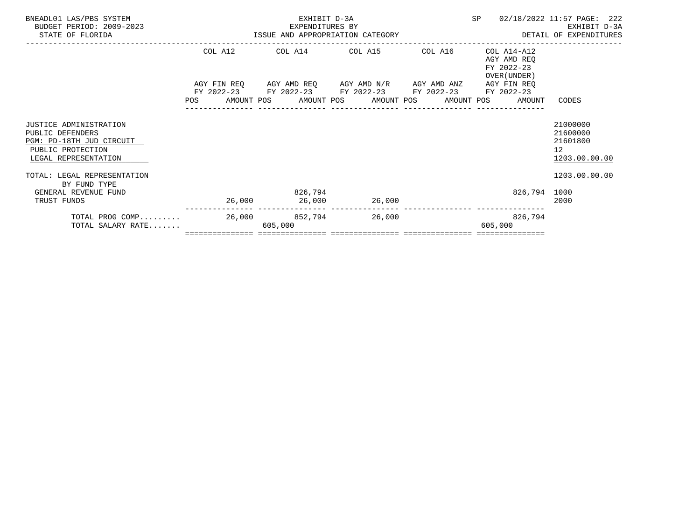| TOTAL PROG COMP<br>TOTAL SALARY RATE                                                                                            |                                                     | 26,000 852,794<br>605,000       | 26,000                                                                                         |         | 826,794<br>605,000                                                                                                               |                                                                      |
|---------------------------------------------------------------------------------------------------------------------------------|-----------------------------------------------------|---------------------------------|------------------------------------------------------------------------------------------------|---------|----------------------------------------------------------------------------------------------------------------------------------|----------------------------------------------------------------------|
| PUBLIC PROTECTION<br>LEGAL REPRESENTATION<br>TOTAL: LEGAL REPRESENTATION<br>BY FUND TYPE<br>GENERAL REVENUE FUND<br>TRUST FUNDS |                                                     | 826,794                         | 26,000 26,000 26,000                                                                           |         | 826,794 1000                                                                                                                     | 12 <sup>°</sup><br>1203.00.00.00<br>1203.00.00.00<br>2000            |
| <b>JUSTICE ADMINISTRATION</b><br>PUBLIC DEFENDERS<br>PGM: PD-18TH JUD CIRCUIT                                                   |                                                     |                                 |                                                                                                |         |                                                                                                                                  | 21000000<br>21600000<br>21601800                                     |
|                                                                                                                                 |                                                     |                                 | AGY FIN REQ AGY AMD REQ AGY AMD N/R AGY AMD ANZ<br>FY 2022-23 FY 2022-23 FY 2022-23 FY 2022-23 |         | AGY AMD REO<br>FY 2022-23<br>OVER (UNDER)<br>AGY FIN REO<br>FY 2022-23<br>POS AMOUNT POS AMOUNT POS AMOUNT POS AMOUNT POS AMOUNT | CODES                                                                |
|                                                                                                                                 | COL A12                                             |                                 | COL A14 COL A15                                                                                | COL A16 | COL A14-A12                                                                                                                      |                                                                      |
| BNEADL01 LAS/PBS SYSTEM<br>BUDGET PERIOD: 2009-2023<br>STATE OF FLORIDA                                                         | EXPENDITURES BY<br>ISSUE AND APPROPRIATION CATEGORY | EXHIBIT D-3A<br>EXPENDITURES BY |                                                                                                |         | SP                                                                                                                               | 02/18/2022 11:57 PAGE: 222<br>EXHIBIT D-3A<br>DETAIL OF EXPENDITURES |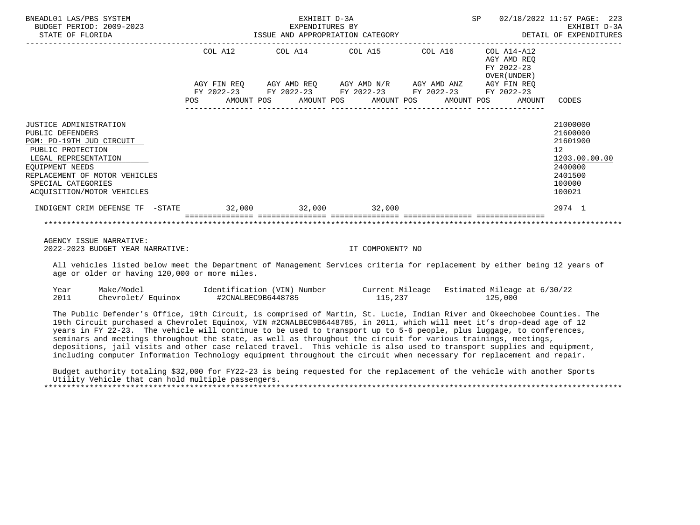| BNEADL01 LAS/PBS SYSTEM<br>BUDGET PERIOD: 2009-2023<br>STATE OF FLORIDA                                                                                                                                                            |                                                                                                                | EXHIBIT D-3A<br>EXPENDITURES BY | ISSUE AND APPROPRIATION CATEGORY                                                                                                                                     | SP                                                                                               | 02/18/2022 11:57 PAGE: 223<br>EXHIBIT D-3A<br>DETAIL OF EXPENDITURES                                           |
|------------------------------------------------------------------------------------------------------------------------------------------------------------------------------------------------------------------------------------|----------------------------------------------------------------------------------------------------------------|---------------------------------|----------------------------------------------------------------------------------------------------------------------------------------------------------------------|--------------------------------------------------------------------------------------------------|----------------------------------------------------------------------------------------------------------------|
|                                                                                                                                                                                                                                    | POS FOR THE POST OF THE STATE STATE STATE STATE STATE STATE STATE STATE STATE STATE STATE STATE STATE STATE ST |                                 | COL A12 COL A14 COL A15 COL A16 COL A14-A12<br>AGY FIN REQ AGY AMD REQ AGY AMD N/R AGY AMD ANZ AGY FIN REQ<br>FY 2022-23 FY 2022-23 FY 2022-23 FY 2022-23 FY 2022-23 | AGY AMD REO<br>FY 2022-23<br>OVER (UNDER )<br>AMOUNT POS AMOUNT POS AMOUNT POS AMOUNT POS AMOUNT | CODES                                                                                                          |
| <b>JUSTICE ADMINISTRATION</b><br>PUBLIC DEFENDERS<br>PGM: PD-19TH JUD CIRCUIT<br>PUBLIC PROTECTION<br>LEGAL REPRESENTATION<br>EOUIPMENT NEEDS<br>REPLACEMENT OF MOTOR VEHICLES<br>SPECIAL CATEGORIES<br>ACQUISITION/MOTOR VEHICLES |                                                                                                                |                                 |                                                                                                                                                                      |                                                                                                  | 21000000<br>21600000<br>21601900<br>12 <sup>°</sup><br>1203.00.00.00<br>2400000<br>2401500<br>100000<br>100021 |
| INDIGENT CRIM DEFENSE TF -STATE 32,000 32,000 32,000 32,000                                                                                                                                                                        |                                                                                                                |                                 |                                                                                                                                                                      |                                                                                                  | 2974 1                                                                                                         |
|                                                                                                                                                                                                                                    |                                                                                                                |                                 |                                                                                                                                                                      |                                                                                                  |                                                                                                                |

 AGENCY ISSUE NARRATIVE: 2022-2023 BUDGET YEAR NARRATIVE: IT COMPONENT? NO

 All vehicles listed below meet the Department of Management Services criteria for replacement by either being 12 years of age or older or having 120,000 or more miles.

| Year | Make/Model         | Identification (VIN) Number |         | Current Mileage Estimated Mileage at 6/30/22 |
|------|--------------------|-----------------------------|---------|----------------------------------------------|
| 2011 | Chevrolet/ Equinox | #2CNALBEC9B6448785          | 115,237 | 125,000                                      |

 The Public Defender's Office, 19th Circuit, is comprised of Martin, St. Lucie, Indian River and Okeechobee Counties. The 19th Circuit purchased a Chevrolet Equinox, VIN #2CNALBEC9B6448785, in 2011, which will meet it's drop-dead age of 12 years in FY 22-23. The vehicle will continue to be used to transport up to 5-6 people, plus luggage, to conferences, seminars and meetings throughout the state, as well as throughout the circuit for various trainings, meetings, depositions, jail visits and other case related travel. This vehicle is also used to transport supplies and equipment, including computer Information Technology equipment throughout the circuit when necessary for replacement and repair.

 Budget authority totaling \$32,000 for FY22-23 is being requested for the replacement of the vehicle with another Sports Utility Vehicle that can hold multiple passengers. \*\*\*\*\*\*\*\*\*\*\*\*\*\*\*\*\*\*\*\*\*\*\*\*\*\*\*\*\*\*\*\*\*\*\*\*\*\*\*\*\*\*\*\*\*\*\*\*\*\*\*\*\*\*\*\*\*\*\*\*\*\*\*\*\*\*\*\*\*\*\*\*\*\*\*\*\*\*\*\*\*\*\*\*\*\*\*\*\*\*\*\*\*\*\*\*\*\*\*\*\*\*\*\*\*\*\*\*\*\*\*\*\*\*\*\*\*\*\*\*\*\*\*\*\*\*\*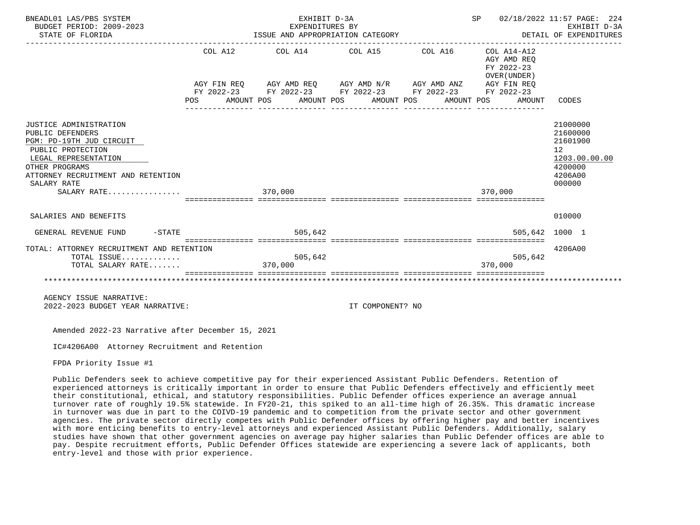| BNEADL01 LAS/PBS SYSTEM<br>BUDGET PERIOD: 2009-2023<br>STATE OF FLORIDA                                                                                                                    |     | EXHIBIT D-3A<br>EXPENDITURES BY<br>EXPENDITURES BY<br>ISSUE AND APPROPRIATION CATEGORY                                                                                                       |            | SP<br>DETAIL OF EXPENDITURES                                       | 02/18/2022 11:57 PAGE: 224<br>EXHIBIT D-3A                                              |
|--------------------------------------------------------------------------------------------------------------------------------------------------------------------------------------------|-----|----------------------------------------------------------------------------------------------------------------------------------------------------------------------------------------------|------------|--------------------------------------------------------------------|-----------------------------------------------------------------------------------------|
|                                                                                                                                                                                            | POS | COL A12 COL A14 COL A15 COL A16<br>AGY FIN REQ AGY AMD REQ AGY AMD N/R AGY AMD ANZ AGY FIN REQ<br>FY 2022-23 FY 2022-23 FY 2022-23 FY 2022-23 FY 2022-23<br>AMOUNT POS AMOUNT POS AMOUNT POS | AMOUNT POS | COL A14-A12<br>AGY AMD REO<br>FY 2022-23<br>OVER (UNDER)<br>AMOUNT | CODES                                                                                   |
| JUSTICE ADMINISTRATION<br>PUBLIC DEFENDERS<br>PGM: PD-19TH JUD CIRCUIT<br>PUBLIC PROTECTION<br>LEGAL REPRESENTATION<br>OTHER PROGRAMS<br>ATTORNEY RECRUITMENT AND RETENTION<br>SALARY RATE |     |                                                                                                                                                                                              |            |                                                                    | 21000000<br>21600000<br>21601900<br>12<br>1203.00.00.00<br>4200000<br>4206A00<br>000000 |
| SALARY RATE                                                                                                                                                                                |     | 370,000                                                                                                                                                                                      |            | 370,000                                                            |                                                                                         |
| SALARIES AND BENEFITS                                                                                                                                                                      |     |                                                                                                                                                                                              |            |                                                                    | 010000                                                                                  |
| $-$ STATE<br>GENERAL REVENUE FUND                                                                                                                                                          |     | 505,642                                                                                                                                                                                      |            |                                                                    | 505,642 1000 1                                                                          |
| TOTAL: ATTORNEY RECRUITMENT AND RETENTION<br>TOTAL ISSUE<br>TOTAL SALARY RATE                                                                                                              |     | 505,642<br>370,000                                                                                                                                                                           |            | 505,642<br>370,000                                                 | 4206A00                                                                                 |
|                                                                                                                                                                                            |     |                                                                                                                                                                                              |            |                                                                    |                                                                                         |
| AGENCY ISSUE NARRATIVE:                                                                                                                                                                    |     |                                                                                                                                                                                              |            |                                                                    |                                                                                         |

2022-2023 BUDGET YEAR NARRATIVE: IT COMPONENT? NO

Amended 2022-23 Narrative after December 15, 2021

IC#4206A00 Attorney Recruitment and Retention

FPDA Priority Issue #1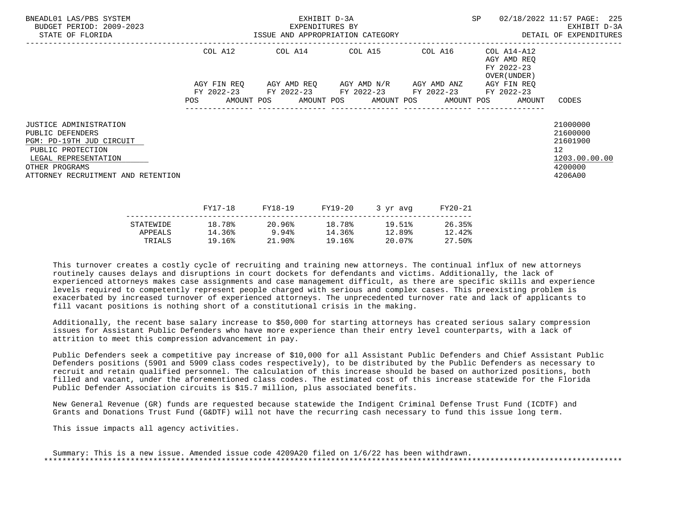| BNEADL01 LAS/PBS SYSTEM<br>BUDGET PERIOD: 2009-2023<br>STATE OF FLORIDA                                                                                                            | EXHIBIT D-3A<br>EXPENDITURES BY<br>ISSUE AND APPROPRIATION CATEGORY <b>Experience CONTA</b> DETAIL OF EXPENDITURES |  |  |         |         |                                                                                                           |          |         | SP |                                                                       | 02/18/2022 11:57 PAGE: 225<br>EXHIBIT D-3A                                                 |  |
|------------------------------------------------------------------------------------------------------------------------------------------------------------------------------------|--------------------------------------------------------------------------------------------------------------------|--|--|---------|---------|-----------------------------------------------------------------------------------------------------------|----------|---------|----|-----------------------------------------------------------------------|--------------------------------------------------------------------------------------------|--|
|                                                                                                                                                                                    | COL A12                                                                                                            |  |  |         |         | COL A14 COL A15 COL A16                                                                                   |          |         |    | COL A14-A12<br>AGY AMD REQ<br>FY 2022-23<br>OVER (UNDER )             |                                                                                            |  |
|                                                                                                                                                                                    |                                                                                                                    |  |  |         |         | AGY FIN REO AGY AMD REO AGY AMD N/R AGY AMD ANZ<br>FY 2022-23 FY 2022-23 FY 2022-23 FY 2022-23 FY 2022-23 |          |         |    | AGY FIN REO<br>POS AMOUNT POS AMOUNT POS AMOUNT POS AMOUNT POS AMOUNT | CODES                                                                                      |  |
| <b>JUSTICE ADMINISTRATION</b><br>PUBLIC DEFENDERS<br>PGM: PD-19TH JUD CIRCUIT<br>PUBLIC PROTECTION<br>LEGAL REPRESENTATION<br>OTHER PROGRAMS<br>ATTORNEY RECRUITMENT AND RETENTION |                                                                                                                    |  |  |         |         |                                                                                                           |          |         |    |                                                                       | 21000000<br>21600000<br>21601900<br>12 <sup>°</sup><br>1203.00.00.00<br>4200000<br>4206A00 |  |
|                                                                                                                                                                                    | FY17-18                                                                                                            |  |  | FY18-19 | FY19-20 |                                                                                                           | 3 yr avg | FY20-21 |    |                                                                       |                                                                                            |  |

|           |        | 1110 12  | 111 <i>1</i> 40 | $J = \mu \nu$ | 1140 AT |
|-----------|--------|----------|-----------------|---------------|---------|
| STATEWIDE | 18.78% | 20.96%   | 18.78%          | 19.51%        | 26.35%  |
| APPEALS   | 14.36% | 9.94%    | 14.36%          | 12.89%        | 12.42%  |
| TRIALS    | 19.16% | $21.90*$ | 19.16%          | 20.07%        | 27.50%  |
|           |        |          |                 |               |         |

 Additionally, the recent base salary increase to \$50,000 for starting attorneys has created serious salary compression issues for Assistant Public Defenders who have more experience than their entry level counterparts, with a lack of attrition to meet this compression advancement in pay.

 Public Defenders seek a competitive pay increase of \$10,000 for all Assistant Public Defenders and Chief Assistant Public Defenders positions (5901 and 5909 class codes respectively), to be distributed by the Public Defenders as necessary to recruit and retain qualified personnel. The calculation of this increase should be based on authorized positions, both filled and vacant, under the aforementioned class codes. The estimated cost of this increase statewide for the Florida Public Defender Association circuits is \$15.7 million, plus associated benefits.

 New General Revenue (GR) funds are requested because statewide the Indigent Criminal Defense Trust Fund (ICDTF) and Grants and Donations Trust Fund (G&DTF) will not have the recurring cash necessary to fund this issue long term.

This issue impacts all agency activities.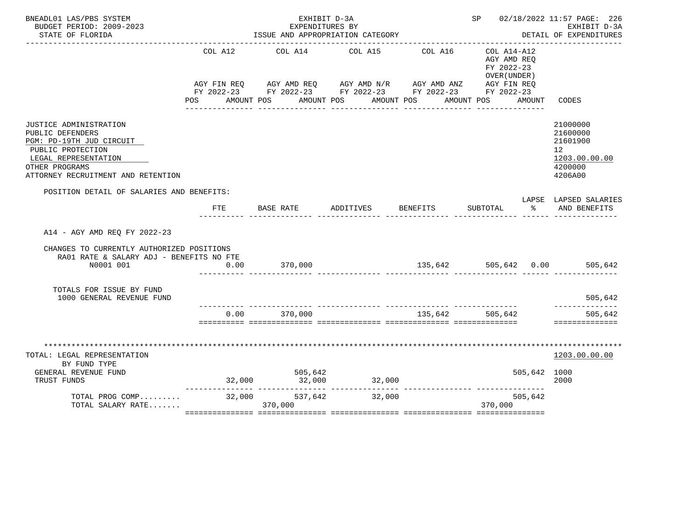| BNEADL01 LAS/PBS SYSTEM<br>BUDGET PERIOD: 2009-2023<br>STATE OF FLORIDA                                                                                                     |                | EXHIBIT D-3A<br>EXPENDITURES BY<br>ISSUE AND APPROPRIATION CATEGORY                                                                                       | SP 02/18/2022 11:57 PAGE: 226 | EXHIBIT D-3A<br>DETAIL OF EXPENDITURES |                                                                                     |                                                                               |
|-----------------------------------------------------------------------------------------------------------------------------------------------------------------------------|----------------|-----------------------------------------------------------------------------------------------------------------------------------------------------------|-------------------------------|----------------------------------------|-------------------------------------------------------------------------------------|-------------------------------------------------------------------------------|
|                                                                                                                                                                             | COL A12<br>POS | AGY FIN REQ AGY AMD REQ AGY AMD N/R AGY AMD ANZ AGY FIN REQ<br>FY 2022-23 FY 2022-23 FY 2022-23 FY 2022-23 FY 2022-23<br>AMOUNT POS AMOUNT POS AMOUNT POS | COL A14 COL A15               | COL A16                                | $COL A14- A12$<br>AGY AMD REQ<br>FY 2022-23<br>OVER (UNDER)<br>AMOUNT POS<br>AMOUNT | CODES                                                                         |
| JUSTICE ADMINISTRATION<br>PUBLIC DEFENDERS<br>PGM: PD-19TH JUD CIRCUIT<br>PUBLIC PROTECTION<br>LEGAL REPRESENTATION<br>OTHER PROGRAMS<br>ATTORNEY RECRUITMENT AND RETENTION |                |                                                                                                                                                           |                               |                                        |                                                                                     | 21000000<br>21600000<br>21601900<br>12<br>1203.00.00.00<br>4200000<br>4206A00 |
| POSITION DETAIL OF SALARIES AND BENEFITS:                                                                                                                                   | FTE            | BASE RATE                                                                                                                                                 | ADDITIVES                     | BENEFITS                               | SUBTOTAL<br>$\sim$ $\sim$                                                           | LAPSE LAPSED SALARIES<br>AND BENEFITS                                         |
| A14 - AGY AMD REQ FY 2022-23<br>CHANGES TO CURRENTLY AUTHORIZED POSITIONS<br>RA01 RATE & SALARY ADJ - BENEFITS NO FTE<br>N0001 001                                          | 0.00           | 370,000                                                                                                                                                   |                               |                                        | 135,642 505,642 0.00 505,642                                                        |                                                                               |
| TOTALS FOR ISSUE BY FUND<br>1000 GENERAL REVENUE FUND                                                                                                                       |                |                                                                                                                                                           |                               |                                        |                                                                                     | 505,642                                                                       |
|                                                                                                                                                                             |                | $0.00$ 370,000                                                                                                                                            |                               | 135,642 505,642                        |                                                                                     | ------------<br>505,642<br>==============                                     |
| **************************************<br>TOTAL: LEGAL REPRESENTATION<br>BY FUND TYPE<br>GENERAL REVENUE FUND<br>TRUST FUNDS                                                |                | 505,642<br>32,000 32,000                                                                                                                                  | 32,000                        |                                        | 505,642 1000                                                                        | ****************<br>1203.00.00.00<br>2000                                     |
| TOTAL PROG COMP<br>TOTAL SALARY RATE                                                                                                                                        |                | $32,000$ $537,642$<br>$370,000$<br>370,000                                                                                                                | 32,000                        |                                        | 505,642<br>370,000                                                                  |                                                                               |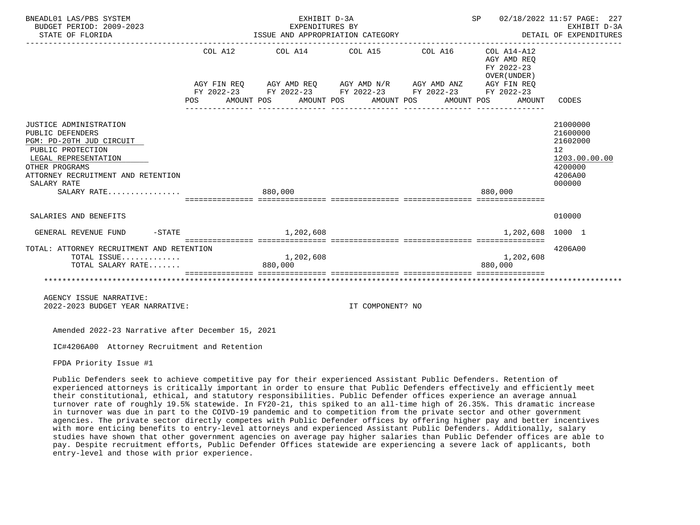| BNEADL01 LAS/PBS SYSTEM<br>BUDGET PERIOD: 2009-2023<br>STATE OF FLORIDA                                                                                                                                   |     | EXHIBIT D-3A<br>EXPENDITURES BY<br>ISSUE AND APPROPRIATION CATEGORY                                                                                                                                      |  | SP 02/18/2022 11:57 PAGE: 227<br>EARLBII D-3A<br>DETAIL OF EXPENDITURES<br>---------------------------------- | EXHIBIT D-3A                                        |                                                                                         |
|-----------------------------------------------------------------------------------------------------------------------------------------------------------------------------------------------------------|-----|----------------------------------------------------------------------------------------------------------------------------------------------------------------------------------------------------------|--|---------------------------------------------------------------------------------------------------------------|-----------------------------------------------------|-----------------------------------------------------------------------------------------|
|                                                                                                                                                                                                           | POS | COL A12 COL A14 COL A15 COL A16 COL A14-A12<br>AGY FIN REQ AGY AMD REQ AGY AMD N/R AGY AMD ANZ AGY FIN REQ<br>FY 2022-23 FY 2022-23 FY 2022-23 FY 2022-23 FY 2022-23<br>AMOUNT POS AMOUNT POS AMOUNT POS |  | AMOUNT POS                                                                                                    | AGY AMD REO<br>FY 2022-23<br>OVER (UNDER)<br>AMOUNT | CODES                                                                                   |
| JUSTICE ADMINISTRATION<br>PUBLIC DEFENDERS<br>PGM: PD-20TH JUD CIRCUIT<br>PUBLIC PROTECTION<br>LEGAL REPRESENTATION<br>OTHER PROGRAMS<br>ATTORNEY RECRUITMENT AND RETENTION<br>SALARY RATE<br>SALARY RATE |     | 880,000                                                                                                                                                                                                  |  |                                                                                                               | 880,000                                             | 21000000<br>21600000<br>21602000<br>12<br>1203.00.00.00<br>4200000<br>4206A00<br>000000 |
|                                                                                                                                                                                                           |     | , ----------- ---------------                                                                                                                                                                            |  |                                                                                                               |                                                     |                                                                                         |
| SALARIES AND BENEFITS                                                                                                                                                                                     |     |                                                                                                                                                                                                          |  |                                                                                                               |                                                     | 010000                                                                                  |
| $-STATE$<br>GENERAL REVENUE FUND                                                                                                                                                                          |     | 1,202,608                                                                                                                                                                                                |  |                                                                                                               | 1,202,608 1000 1                                    |                                                                                         |
| TOTAL: ATTORNEY RECRUITMENT AND RETENTION<br>TOTAL ISSUE<br>TOTAL SALARY RATE                                                                                                                             |     | 1,202,608<br>880,000                                                                                                                                                                                     |  |                                                                                                               | 1,202,608<br>880,000                                | 4206A00                                                                                 |
|                                                                                                                                                                                                           |     |                                                                                                                                                                                                          |  |                                                                                                               |                                                     |                                                                                         |
| AGENCY ISSUE NARRATIVE:                                                                                                                                                                                   |     |                                                                                                                                                                                                          |  |                                                                                                               |                                                     |                                                                                         |

2022-2023 BUDGET YEAR NARRATIVE: IT COMPONENT? NO

Amended 2022-23 Narrative after December 15, 2021

IC#4206A00 Attorney Recruitment and Retention

FPDA Priority Issue #1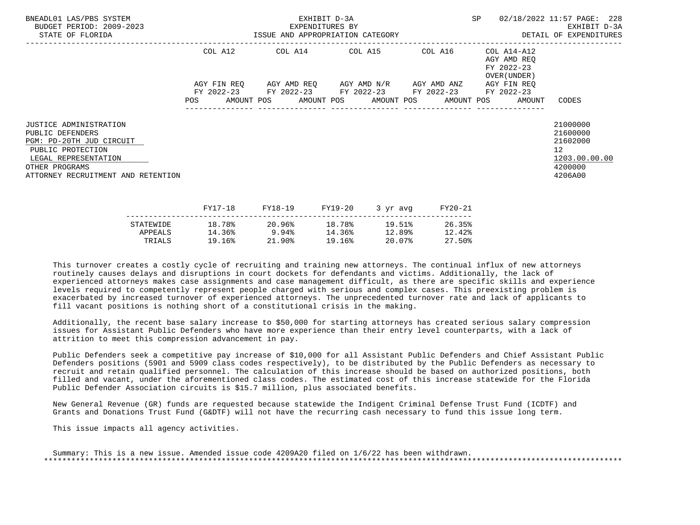| BNEADL01 LAS/PBS SYSTEM<br>BUDGET PERIOD: 2009-2023<br>STATE OF FLORIDA                                                                                                            | EXHIBIT D-3A<br>EXPENDITURES BY<br>ISSUE AND APPROPRIATION CATEGORY |             |  |         |         |                                                 |  | SP      |  | 02/18/2022 11:57 PAGE: 228<br>EXHIBIT D-3A<br>DETAIL OF EXPENDITURES |                                                                                            |
|------------------------------------------------------------------------------------------------------------------------------------------------------------------------------------|---------------------------------------------------------------------|-------------|--|---------|---------|-------------------------------------------------|--|---------|--|----------------------------------------------------------------------|--------------------------------------------------------------------------------------------|
|                                                                                                                                                                                    |                                                                     | COL A12     |  |         |         | COL A14 COL A15 COL A16                         |  |         |  | COL A14-A12<br>AGY AMD REO<br>FY 2022-23<br>OVER (UNDER )            |                                                                                            |
|                                                                                                                                                                                    |                                                                     | AGY FIN REO |  |         |         | AGY AMD REQ       AGY AMD N/R       AGY AMD ANZ |  |         |  | AGY FIN REO                                                          |                                                                                            |
|                                                                                                                                                                                    | POS                                                                 |             |  |         |         | FY 2022-23 FY 2022-23 FY 2022-23 FY 2022-23     |  |         |  | FY 2022-23<br>AMOUNT POS AMOUNT POS AMOUNT POS AMOUNT POS AMOUNT     | CODES                                                                                      |
| <b>JUSTICE ADMINISTRATION</b><br>PUBLIC DEFENDERS<br>PGM: PD-20TH JUD CIRCUIT<br>PUBLIC PROTECTION<br>LEGAL REPRESENTATION<br>OTHER PROGRAMS<br>ATTORNEY RECRUITMENT AND RETENTION |                                                                     |             |  |         |         |                                                 |  |         |  |                                                                      | 21000000<br>21600000<br>21602000<br>12 <sup>°</sup><br>1203.00.00.00<br>4200000<br>4206A00 |
|                                                                                                                                                                                    |                                                                     | FY17-18     |  | FY18-19 | FY19-20 | 3 yr avg                                        |  | FY20-21 |  |                                                                      |                                                                                            |

|           | - - - <i>-</i> - - - | ----- <b>---</b> | ---- <i>-</i> -- | $J \rightarrow J + \alpha V +$ | ------ |
|-----------|----------------------|------------------|------------------|--------------------------------|--------|
| STATEWIDE | 18.78%               | 20.96%           | 18.78%           | 19.51%                         | 26.35% |
| APPEALS   | 14.36%               | 9.94%            | 14.36%           | 12.89%                         | 12.42% |
| TRIALS    | 19.16%               | 21.90%           | 19.16%           | 20.07%                         | 27.50% |
|           |                      |                  |                  |                                |        |

 Additionally, the recent base salary increase to \$50,000 for starting attorneys has created serious salary compression issues for Assistant Public Defenders who have more experience than their entry level counterparts, with a lack of attrition to meet this compression advancement in pay.

 Public Defenders seek a competitive pay increase of \$10,000 for all Assistant Public Defenders and Chief Assistant Public Defenders positions (5901 and 5909 class codes respectively), to be distributed by the Public Defenders as necessary to recruit and retain qualified personnel. The calculation of this increase should be based on authorized positions, both filled and vacant, under the aforementioned class codes. The estimated cost of this increase statewide for the Florida Public Defender Association circuits is \$15.7 million, plus associated benefits.

 New General Revenue (GR) funds are requested because statewide the Indigent Criminal Defense Trust Fund (ICDTF) and Grants and Donations Trust Fund (G&DTF) will not have the recurring cash necessary to fund this issue long term.

This issue impacts all agency activities.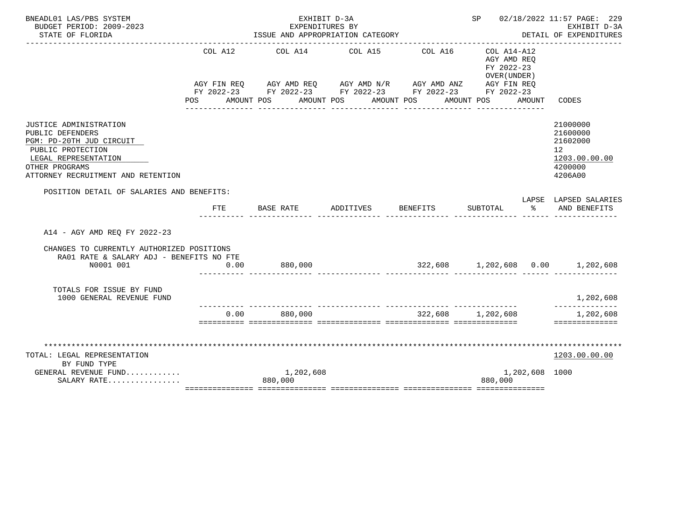| BNEADL01 LAS/PBS SYSTEM                                                                                                                                                     |         | EXHIBIT D-3A                                                                                                                                                                                |           |                   | SP 02/18/2022 11:57 PAGE: 229                            |                |                                                                               |
|-----------------------------------------------------------------------------------------------------------------------------------------------------------------------------|---------|---------------------------------------------------------------------------------------------------------------------------------------------------------------------------------------------|-----------|-------------------|----------------------------------------------------------|----------------|-------------------------------------------------------------------------------|
| BUDGET PERIOD: 2009-2023<br>STATE OF FLORIDA                                                                                                                                |         | EXPENDITURES BY<br>ISSUE AND APPROPRIATION CATEGORY                                                                                                                                         |           |                   |                                                          |                | EXHIBIT D-3A<br>DETAIL OF EXPENDITURES                                        |
|                                                                                                                                                                             | COL A12 | COL A14 COL A15<br>AGY FIN REQ AGY AMD REQ AGY AMD N/R AGY AMD ANZ AGY FIN REQ<br>FY 2022-23 FY 2022-23 FY 2022-23 FY 2022-23 FY 2022-23<br>POS AMOUNT POS AMOUNT POS AMOUNT POS AMOUNT POS |           | COL A16           | COL A14-A12<br>AGY AMD REO<br>FY 2022-23<br>OVER (UNDER) | AMOUNT         | CODES                                                                         |
| JUSTICE ADMINISTRATION<br>PUBLIC DEFENDERS<br>PGM: PD-20TH JUD CIRCUIT<br>PUBLIC PROTECTION<br>LEGAL REPRESENTATION<br>OTHER PROGRAMS<br>ATTORNEY RECRUITMENT AND RETENTION |         |                                                                                                                                                                                             |           |                   | _______________                                          |                | 21000000<br>21600000<br>21602000<br>12<br>1203.00.00.00<br>4200000<br>4206A00 |
| POSITION DETAIL OF SALARIES AND BENEFITS:                                                                                                                                   |         |                                                                                                                                                                                             |           |                   |                                                          |                |                                                                               |
|                                                                                                                                                                             | FTE     | BASE RATE                                                                                                                                                                                   | ADDITIVES | BENEFITS          | SUBTOTAL                                                 | $\sim$ $\sim$  | LAPSE LAPSED SALARIES<br>AND BENEFITS                                         |
| A14 - AGY AMD REO FY 2022-23                                                                                                                                                |         |                                                                                                                                                                                             |           |                   |                                                          |                |                                                                               |
| CHANGES TO CURRENTLY AUTHORIZED POSITIONS<br>RA01 RATE & SALARY ADJ - BENEFITS NO FTE                                                                                       |         |                                                                                                                                                                                             |           |                   |                                                          |                |                                                                               |
| N0001 001                                                                                                                                                                   | 0.00    | 880,000                                                                                                                                                                                     |           |                   |                                                          |                | $322,608$ $1,202,608$ $0.00$ $1,202,608$                                      |
| TOTALS FOR ISSUE BY FUND<br>1000 GENERAL REVENUE FUND                                                                                                                       |         |                                                                                                                                                                                             |           |                   |                                                          |                | 1,202,608<br>--------------                                                   |
|                                                                                                                                                                             | 0.00    | 880,000                                                                                                                                                                                     |           | 322,608 1,202,608 |                                                          |                | 1,202,608<br>==============                                                   |
|                                                                                                                                                                             |         |                                                                                                                                                                                             |           |                   |                                                          |                |                                                                               |
| TOTAL: LEGAL REPRESENTATION                                                                                                                                                 |         |                                                                                                                                                                                             |           |                   |                                                          |                | 1203.00.00.00                                                                 |
| BY FUND TYPE                                                                                                                                                                |         |                                                                                                                                                                                             |           |                   |                                                          |                |                                                                               |
| GENERAL REVENUE FUND<br>SALARY RATE                                                                                                                                         |         | 1,202,608<br>880,000                                                                                                                                                                        |           |                   | 880,000                                                  | 1,202,608 1000 |                                                                               |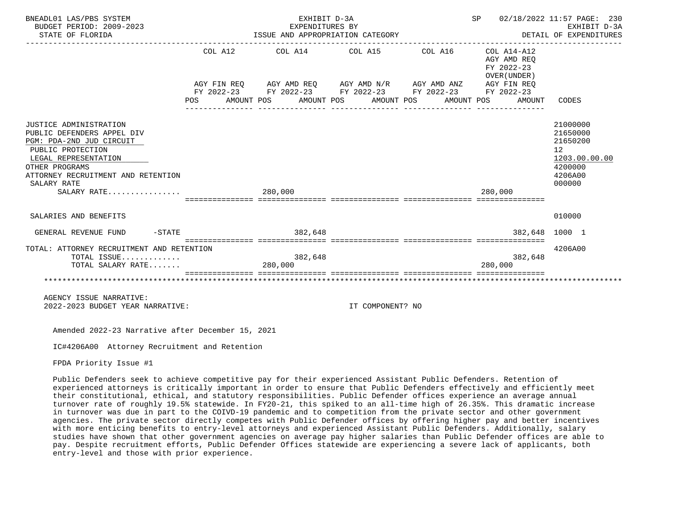| BNEADL01 LAS/PBS SYSTEM<br>BUDGET PERIOD: 2009-2023<br>STATE OF FLORIDA                                                                                                                                             |     | EXHIBIT D-3A<br>EXPENDITURES BY<br>ISSUE AND APPROPRIATION CATEGORY                                                                                                                                      | SP 02/18/2022 11:57 PAGE: 230<br>DETAIL OF EXPENDITURES<br>---------------------------------- | EXHIBIT D-3A                                        |                                                                                         |
|---------------------------------------------------------------------------------------------------------------------------------------------------------------------------------------------------------------------|-----|----------------------------------------------------------------------------------------------------------------------------------------------------------------------------------------------------------|-----------------------------------------------------------------------------------------------|-----------------------------------------------------|-----------------------------------------------------------------------------------------|
|                                                                                                                                                                                                                     | POS | COL A12 COL A14 COL A15 COL A16 COL A14-A12<br>AGY FIN REQ AGY AMD REQ AGY AMD N/R AGY AMD ANZ AGY FIN REQ<br>FY 2022-23 FY 2022-23 FY 2022-23 FY 2022-23 FY 2022-23<br>AMOUNT POS AMOUNT POS AMOUNT POS | AMOUNT POS                                                                                    | AGY AMD REO<br>FY 2022-23<br>OVER (UNDER)<br>AMOUNT | CODES                                                                                   |
| JUSTICE ADMINISTRATION<br>PUBLIC DEFENDERS APPEL DIV<br>PGM: PDA-2ND JUD CIRCUIT<br>PUBLIC PROTECTION<br>LEGAL REPRESENTATION<br>OTHER PROGRAMS<br>ATTORNEY RECRUITMENT AND RETENTION<br>SALARY RATE<br>SALARY RATE |     | 280,000                                                                                                                                                                                                  |                                                                                               | 280,000                                             | 21000000<br>21650000<br>21650200<br>12<br>1203.00.00.00<br>4200000<br>4206A00<br>000000 |
|                                                                                                                                                                                                                     |     | :===========================                                                                                                                                                                             |                                                                                               |                                                     |                                                                                         |
| SALARIES AND BENEFITS                                                                                                                                                                                               |     |                                                                                                                                                                                                          |                                                                                               |                                                     | 010000                                                                                  |
| $-STATE$<br>GENERAL REVENUE FUND                                                                                                                                                                                    |     | 382,648                                                                                                                                                                                                  |                                                                                               |                                                     | 382,648 1000 1                                                                          |
| TOTAL: ATTORNEY RECRUITMENT AND RETENTION<br>TOTAL ISSUE<br>TOTAL SALARY RATE                                                                                                                                       |     | 382,648<br>280,000                                                                                                                                                                                       |                                                                                               | 382,648<br>280,000                                  | 4206A00                                                                                 |
|                                                                                                                                                                                                                     |     |                                                                                                                                                                                                          |                                                                                               |                                                     |                                                                                         |
| AGENCY ISSUE NARRATIVE:                                                                                                                                                                                             |     |                                                                                                                                                                                                          |                                                                                               |                                                     |                                                                                         |

2022-2023 BUDGET YEAR NARRATIVE: IT COMPONENT? NO

Amended 2022-23 Narrative after December 15, 2021

IC#4206A00 Attorney Recruitment and Retention

FPDA Priority Issue #1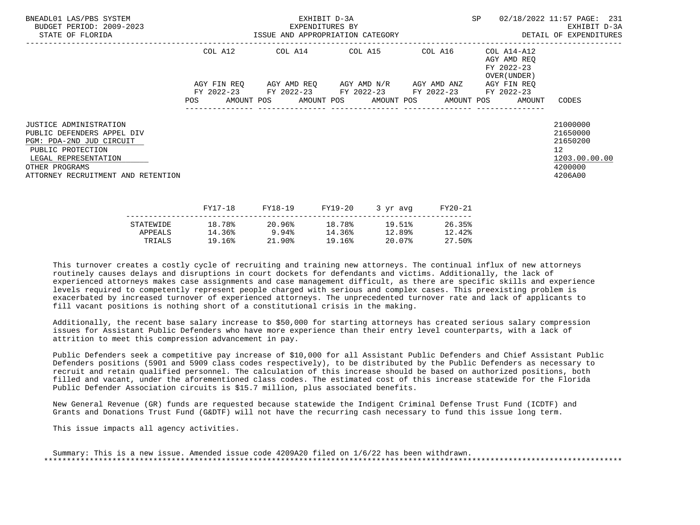| BNEADL01 LAS/PBS SYSTEM<br>BUDGET PERIOD: 2009-2023<br>STATE OF FLORIDA                                                                                                               | EXHIBIT D-3A<br>EXPENDITURES BY<br>ISSUE AND APPROPRIATION CATEGORY <b>Experience CONTA</b> DETAIL OF EXPENDITURES |  |  |         |         |                                                                                                                 |          |         | SP 02/18/2022 11:57 PAGE: 231                                               | EXHIBIT D-3A                                                                  |  |
|---------------------------------------------------------------------------------------------------------------------------------------------------------------------------------------|--------------------------------------------------------------------------------------------------------------------|--|--|---------|---------|-----------------------------------------------------------------------------------------------------------------|----------|---------|-----------------------------------------------------------------------------|-------------------------------------------------------------------------------|--|
|                                                                                                                                                                                       |                                                                                                                    |  |  |         |         | COL A12 COL A14 COL A15 COL A16                                                                                 |          |         | COL A14-A12<br>AGY AMD REO<br>FY 2022-23<br>OVER (UNDER )                   |                                                                               |  |
|                                                                                                                                                                                       |                                                                                                                    |  |  |         |         | AGY FIN REQ 6 AGY AMD REQ 6 AGY AMD N/R 6 AGY AMD ANZ<br>FY 2022-23 FY 2022-23 FY 2022-23 FY 2022-23 FY 2022-23 |          |         | AGY FIN REO<br>POS AMOUNT POS AMOUNT POS AMOUNT POS AMOUNT POS AMOUNT CODES |                                                                               |  |
| JUSTICE ADMINISTRATION<br>PUBLIC DEFENDERS APPEL DIV<br>PGM: PDA-2ND JUD CIRCUIT<br>PUBLIC PROTECTION<br>LEGAL REPRESENTATION<br>OTHER PROGRAMS<br>ATTORNEY RECRUITMENT AND RETENTION |                                                                                                                    |  |  |         |         |                                                                                                                 |          |         |                                                                             | 21000000<br>21650000<br>21650200<br>12<br>1203.00.00.00<br>4200000<br>4206A00 |  |
|                                                                                                                                                                                       | FY17-18                                                                                                            |  |  | FY18-19 | FY19-20 |                                                                                                                 | 3 yr avg | FY20-21 |                                                                             |                                                                               |  |

|           | ------ | -----    | --------- | $\sim$ $\sim$ $\sim$ $\sim$ $\sim$ $\sim$ $\sim$ | ------ |
|-----------|--------|----------|-----------|--------------------------------------------------|--------|
| STATEWIDE | 18.78% | 20.96%   | 18.78%    | 19.51%                                           | 26.35% |
| APPEALS   | 14.36% | 9.94%    | 14.36%    | 12.89%                                           | 12.42% |
| TRIALS    | 19.16% | $21.90*$ | 19.16%    | 20.07%                                           | 27.50% |
|           |        |          |           |                                                  |        |

 Additionally, the recent base salary increase to \$50,000 for starting attorneys has created serious salary compression issues for Assistant Public Defenders who have more experience than their entry level counterparts, with a lack of attrition to meet this compression advancement in pay.

 Public Defenders seek a competitive pay increase of \$10,000 for all Assistant Public Defenders and Chief Assistant Public Defenders positions (5901 and 5909 class codes respectively), to be distributed by the Public Defenders as necessary to recruit and retain qualified personnel. The calculation of this increase should be based on authorized positions, both filled and vacant, under the aforementioned class codes. The estimated cost of this increase statewide for the Florida Public Defender Association circuits is \$15.7 million, plus associated benefits.

 New General Revenue (GR) funds are requested because statewide the Indigent Criminal Defense Trust Fund (ICDTF) and Grants and Donations Trust Fund (G&DTF) will not have the recurring cash necessary to fund this issue long term.

This issue impacts all agency activities.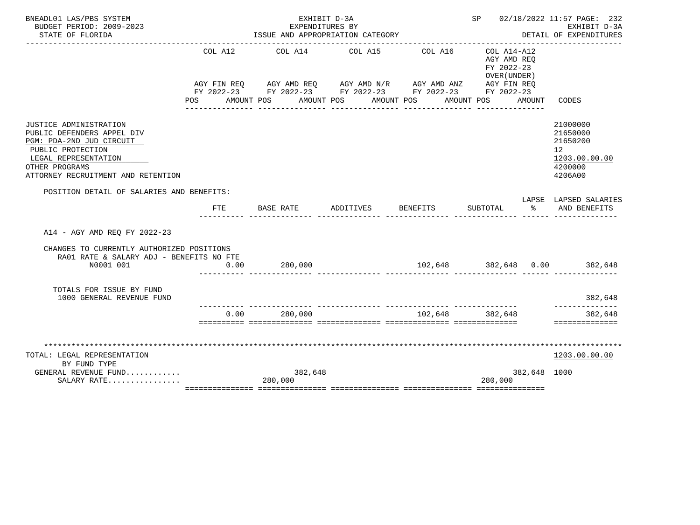| BNEADL01 LAS/PBS SYSTEM                                                                                                                                                                      |            | EXHIBIT D-3A                                                                                                                                                                                 |                                     |                              | SP 02/18/2022 11:57 PAGE: 232<br>EXHIBIT D-3A                               |              |                                                                               |
|----------------------------------------------------------------------------------------------------------------------------------------------------------------------------------------------|------------|----------------------------------------------------------------------------------------------------------------------------------------------------------------------------------------------|-------------------------------------|------------------------------|-----------------------------------------------------------------------------|--------------|-------------------------------------------------------------------------------|
| BUDGET PERIOD: 2009-2023<br>STATE OF FLORIDA                                                                                                                                                 |            | EXPENDITURES BY<br>ISSUE AND APPROPRIATION CATEGORY                                                                                                                                          |                                     |                              |                                                                             |              | DETAIL OF EXPENDITURES                                                        |
|                                                                                                                                                                                              | COL A12    | AGY FIN REQ AGY AMD REQ AGY AMD N/R AGY AMD ANZ AGY FIN REQ<br>FY 2022-23 FY 2022-23 FY 2022-23 FY 2022-23 FY 2022-23<br>POS AMOUNT POS AMOUNT POS AMOUNT POS AMOUNT POS<br>---------------- | COL A14 COL A15<br>________________ | COL A16<br>________________  | COL A14-A12<br>AGY AMD REO<br>FY 2022-23<br>OVER (UNDER)<br>_______________ | AMOUNT       | CODES                                                                         |
| <b>JUSTICE ADMINISTRATION</b><br>PUBLIC DEFENDERS APPEL DIV<br>PGM: PDA-2ND JUD CIRCUIT<br>PUBLIC PROTECTION<br>LEGAL REPRESENTATION<br>OTHER PROGRAMS<br>ATTORNEY RECRUITMENT AND RETENTION |            |                                                                                                                                                                                              |                                     |                              |                                                                             |              | 21000000<br>21650000<br>21650200<br>12<br>1203.00.00.00<br>4200000<br>4206A00 |
| POSITION DETAIL OF SALARIES AND BENEFITS:                                                                                                                                                    |            |                                                                                                                                                                                              |                                     |                              |                                                                             |              | LAPSE LAPSED SALARIES                                                         |
|                                                                                                                                                                                              | <b>FTE</b> | BASE RATE                                                                                                                                                                                    | ADDITIVES                           | <b>BENEFITS</b>              | SUBTOTAL                                                                    | $rac{1}{2}$  | AND BENEFITS                                                                  |
| A14 - AGY AMD REO FY 2022-23                                                                                                                                                                 |            |                                                                                                                                                                                              |                                     |                              |                                                                             |              |                                                                               |
| CHANGES TO CURRENTLY AUTHORIZED POSITIONS<br>RA01 RATE & SALARY ADJ - BENEFITS NO FTE                                                                                                        |            |                                                                                                                                                                                              |                                     |                              |                                                                             |              |                                                                               |
| N0001 001                                                                                                                                                                                    | 0.00       | 280,000                                                                                                                                                                                      |                                     | 102,648 382,648 0.00 382,648 |                                                                             |              |                                                                               |
| TOTALS FOR ISSUE BY FUND<br>1000 GENERAL REVENUE FUND                                                                                                                                        |            |                                                                                                                                                                                              |                                     |                              |                                                                             |              | 382,648<br>--------------                                                     |
|                                                                                                                                                                                              | 0.00       | 280,000                                                                                                                                                                                      |                                     | 102,648 382,648              |                                                                             |              | 382,648<br>==============                                                     |
|                                                                                                                                                                                              |            |                                                                                                                                                                                              |                                     |                              |                                                                             |              |                                                                               |
| TOTAL: LEGAL REPRESENTATION                                                                                                                                                                  |            |                                                                                                                                                                                              |                                     |                              |                                                                             |              | 1203.00.00.00                                                                 |
| BY FUND TYPE                                                                                                                                                                                 |            |                                                                                                                                                                                              |                                     |                              |                                                                             |              |                                                                               |
| GENERAL REVENUE FUND                                                                                                                                                                         |            | 382,648                                                                                                                                                                                      |                                     |                              |                                                                             | 382,648 1000 |                                                                               |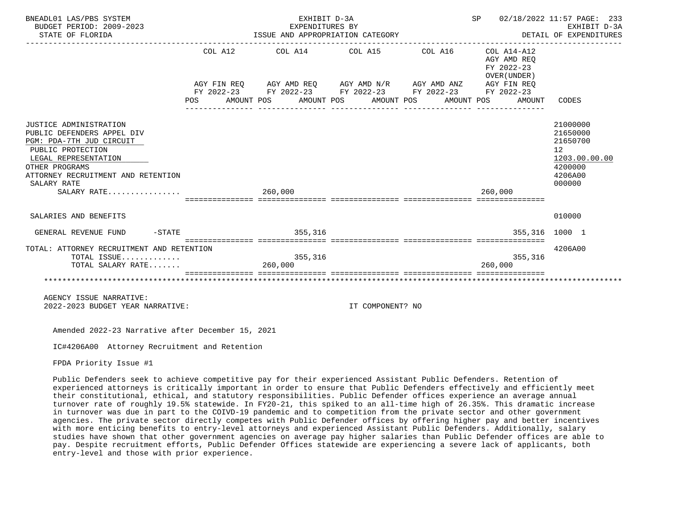| BNEADL01 LAS/PBS SYSTEM<br>BUDGET PERIOD: 2009-2023<br>STATE OF FLORIDA                                                                                                                                             |            |         | EXHIBIT D-3A<br>EXPENDITURES BY<br>ISSUE AND APPROPRIATION CATEGORY<br>------------------------------------                                                                                                                   |                  | SP 02/18/2022 11:57 PAGE: 233<br>EXHIBIT D-3A<br>EXHIBII D-3A<br>DETAIL OF EXPENDITURES |                                                     |                                                                                     |               |
|---------------------------------------------------------------------------------------------------------------------------------------------------------------------------------------------------------------------|------------|---------|-------------------------------------------------------------------------------------------------------------------------------------------------------------------------------------------------------------------------------|------------------|-----------------------------------------------------------------------------------------|-----------------------------------------------------|-------------------------------------------------------------------------------------|---------------|
|                                                                                                                                                                                                                     | <b>POS</b> |         | $COL A12$ $COL A14$ $COL A15$ $COL A16$ $COL A14-A12$<br>AGY FIN REQ AGY AMD REQ AGY AMD N/R AGY AMD ANZ AGY FIN REQ<br>FY 2022-23 FY 2022-23 FY 2022-23 FY 2022-23 FY 2022-23<br>AMOUNT POS AMOUNT POS AMOUNT POS AMOUNT POS |                  |                                                                                         | AGY AMD REO<br>FY 2022-23<br>OVER (UNDER)<br>AMOUNT | CODES                                                                               |               |
| JUSTICE ADMINISTRATION<br>PUBLIC DEFENDERS APPEL DIV<br>PGM: PDA-7TH JUD CIRCUIT<br>PUBLIC PROTECTION<br>LEGAL REPRESENTATION<br>OTHER PROGRAMS<br>ATTORNEY RECRUITMENT AND RETENTION<br>SALARY RATE<br>SALARY RATE |            | 260,000 |                                                                                                                                                                                                                               |                  |                                                                                         | 260.000                                             | 21000000<br>21650000<br>21650700<br>12 <sup>°</sup><br>4200000<br>4206A00<br>000000 | 1203.00.00.00 |
| SALARIES AND BENEFITS                                                                                                                                                                                               |            |         |                                                                                                                                                                                                                               |                  |                                                                                         |                                                     | 010000                                                                              |               |
| $-STATE$<br>GENERAL REVENUE FUND                                                                                                                                                                                    |            |         | 355,316                                                                                                                                                                                                                       |                  |                                                                                         | 355,316 1000 1                                      |                                                                                     |               |
| TOTAL: ATTORNEY RECRUITMENT AND RETENTION<br>TOTAL ISSUE<br>TOTAL SALARY RATE                                                                                                                                       |            | 260,000 | 355,316                                                                                                                                                                                                                       |                  |                                                                                         | 355,316<br>260,000                                  | 4206A00                                                                             |               |
| AGENCY ISSUE NARRATIVE:<br>2022-2023 BUDGET YEAR NARRATIVE:                                                                                                                                                         |            |         |                                                                                                                                                                                                                               | IT COMPONENT? NO |                                                                                         |                                                     |                                                                                     |               |

IC#4206A00 Attorney Recruitment and Retention

FPDA Priority Issue #1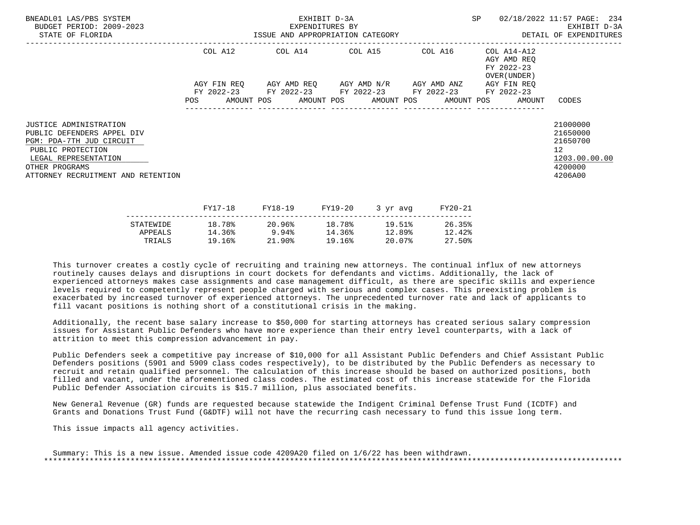| BNEADL01 LAS/PBS SYSTEM<br>BUDGET PERIOD: 2009-2023<br>STATE OF FLORIDA                                                                                                               | EXHIBIT D-3A<br>EXPENDITURES BY<br>ISSUE AND APPROPRIATION CATEGORY |  |  |                 |  |                                                                                                | SP      |  | 02/18/2022 11:57 PAGE: 234<br>EXHIBIT D-3A<br>DETAIL OF EXPENDITURES                |                                                                                            |
|---------------------------------------------------------------------------------------------------------------------------------------------------------------------------------------|---------------------------------------------------------------------|--|--|-----------------|--|------------------------------------------------------------------------------------------------|---------|--|-------------------------------------------------------------------------------------|--------------------------------------------------------------------------------------------|
|                                                                                                                                                                                       | COL A12                                                             |  |  |                 |  | COL A14 COL A15 COL A16                                                                        |         |  | COL A14-A12<br>AGY AMD REQ<br>FY 2022-23<br>OVER (UNDER )                           |                                                                                            |
|                                                                                                                                                                                       |                                                                     |  |  |                 |  | AGY FIN REQ AGY AMD REQ AGY AMD N/R AGY AMD ANZ<br>FY 2022-23 FY 2022-23 FY 2022-23 FY 2022-23 |         |  | AGY FIN REO<br>FY 2022-23<br>POS AMOUNT POS AMOUNT POS AMOUNT POS AMOUNT POS AMOUNT | CODES                                                                                      |
| JUSTICE ADMINISTRATION<br>PUBLIC DEFENDERS APPEL DIV<br>PGM: PDA-7TH JUD CIRCUIT<br>PUBLIC PROTECTION<br>LEGAL REPRESENTATION<br>OTHER PROGRAMS<br>ATTORNEY RECRUITMENT AND RETENTION |                                                                     |  |  |                 |  |                                                                                                |         |  |                                                                                     | 21000000<br>21650000<br>21650700<br>12 <sup>7</sup><br>1203.00.00.00<br>4200000<br>4206A00 |
|                                                                                                                                                                                       | FY17-18                                                             |  |  | FY18-19 FY19-20 |  | 3 yr avg                                                                                       | FY20-21 |  |                                                                                     |                                                                                            |

|           | - - - <i>-</i> - - - | ----- <b>---</b> | ---- <i>-</i> -- | $J + M + M$ | ------ |
|-----------|----------------------|------------------|------------------|-------------|--------|
| STATEWIDE | 18.78%               | 20.96%           | 18.78%           | 19.51%      | 26.35% |
| APPEALS   | 14.36%               | 9.94%            | 14.36%           | 12.89%      | 12.42% |
| TRIALS    | 19.16%               | $21.90\%$        | 19.16%           | 20.07%      | 27.50% |
|           |                      |                  |                  |             |        |

 Additionally, the recent base salary increase to \$50,000 for starting attorneys has created serious salary compression issues for Assistant Public Defenders who have more experience than their entry level counterparts, with a lack of attrition to meet this compression advancement in pay.

 Public Defenders seek a competitive pay increase of \$10,000 for all Assistant Public Defenders and Chief Assistant Public Defenders positions (5901 and 5909 class codes respectively), to be distributed by the Public Defenders as necessary to recruit and retain qualified personnel. The calculation of this increase should be based on authorized positions, both filled and vacant, under the aforementioned class codes. The estimated cost of this increase statewide for the Florida Public Defender Association circuits is \$15.7 million, plus associated benefits.

 New General Revenue (GR) funds are requested because statewide the Indigent Criminal Defense Trust Fund (ICDTF) and Grants and Donations Trust Fund (G&DTF) will not have the recurring cash necessary to fund this issue long term.

This issue impacts all agency activities.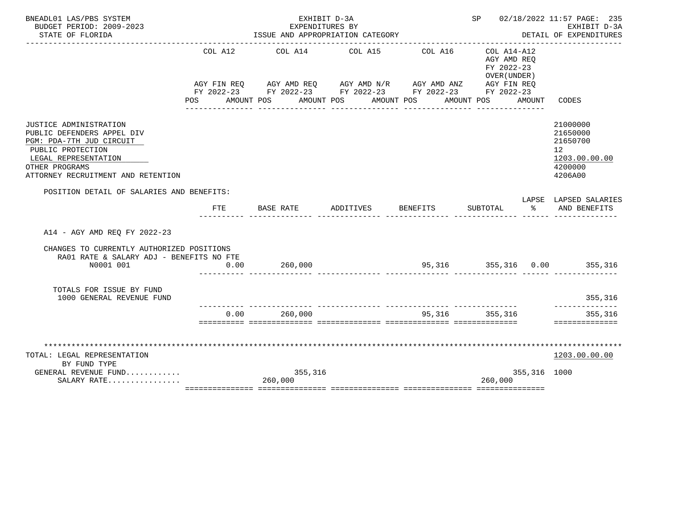| BNEADL01 LAS/PBS SYSTEM<br>BUDGET PERIOD: 2009-2023                                                                                                                                   |         | EXHIBIT D-3A<br>EXPENDITURES BY                                                                                                                                                           |                                    |                             | SP 02/18/2022 11:57 PAGE: 235<br>EXHIBIT D-3A                               |              |                                                                                            |
|---------------------------------------------------------------------------------------------------------------------------------------------------------------------------------------|---------|-------------------------------------------------------------------------------------------------------------------------------------------------------------------------------------------|------------------------------------|-----------------------------|-----------------------------------------------------------------------------|--------------|--------------------------------------------------------------------------------------------|
| STATE OF FLORIDA                                                                                                                                                                      |         | ISSUE AND APPROPRIATION CATEGORY                                                                                                                                                          |                                    |                             | DETAIL OF EXPENDITURES                                                      |              |                                                                                            |
|                                                                                                                                                                                       | COL A12 | AGY FIN REQ AGY AMD REQ AGY AMD N/R AGY AMD ANZ AGY FIN REQ<br>FY 2022-23 FY 2022-23 FY 2022-23 FY 2022-23 FY 2022-23<br>POS AMOUNT POS AMOUNT POS AMOUNT POS AMOUNT POS<br>------------- | COL A14 COL A15<br>_______________ | COL A16<br>_______________  | COL A14-A12<br>AGY AMD REO<br>FY 2022-23<br>OVER (UNDER)<br>--------------- | AMOUNT       | CODES                                                                                      |
| JUSTICE ADMINISTRATION<br>PUBLIC DEFENDERS APPEL DIV<br>PGM: PDA-7TH JUD CIRCUIT<br>PUBLIC PROTECTION<br>LEGAL REPRESENTATION<br>OTHER PROGRAMS<br>ATTORNEY RECRUITMENT AND RETENTION |         |                                                                                                                                                                                           |                                    |                             |                                                                             |              | 21000000<br>21650000<br>21650700<br>12 <sup>°</sup><br>1203.00.00.00<br>4200000<br>4206A00 |
| POSITION DETAIL OF SALARIES AND BENEFITS:                                                                                                                                             |         |                                                                                                                                                                                           |                                    |                             |                                                                             |              | LAPSE LAPSED SALARIES                                                                      |
|                                                                                                                                                                                       | FTE     | BASE RATE                                                                                                                                                                                 | ADDITIVES                          | <b>BENEFITS</b>             | SUBTOTAL %                                                                  |              | AND BENEFITS                                                                               |
| A14 - AGY AMD REO FY 2022-23                                                                                                                                                          |         |                                                                                                                                                                                           |                                    |                             |                                                                             |              |                                                                                            |
| CHANGES TO CURRENTLY AUTHORIZED POSITIONS<br>RA01 RATE & SALARY ADJ - BENEFITS NO FTE                                                                                                 |         |                                                                                                                                                                                           |                                    |                             |                                                                             |              |                                                                                            |
| N0001 001                                                                                                                                                                             | 0.00    | 260,000                                                                                                                                                                                   |                                    | 95,316 355,316 0.00 355,316 |                                                                             |              |                                                                                            |
| TOTALS FOR ISSUE BY FUND<br>1000 GENERAL REVENUE FUND                                                                                                                                 |         |                                                                                                                                                                                           |                                    |                             |                                                                             |              | 355,316<br>--------------                                                                  |
|                                                                                                                                                                                       | 0.00    | 260,000                                                                                                                                                                                   |                                    |                             | 95,316 355,316                                                              |              | 355,316<br>==============                                                                  |
|                                                                                                                                                                                       |         |                                                                                                                                                                                           |                                    |                             |                                                                             |              |                                                                                            |
| TOTAL: LEGAL REPRESENTATION                                                                                                                                                           |         |                                                                                                                                                                                           |                                    |                             |                                                                             |              | 1203.00.00.00                                                                              |
| BY FUND TYPE                                                                                                                                                                          |         |                                                                                                                                                                                           |                                    |                             |                                                                             |              |                                                                                            |
| GENERAL REVENUE FUND<br>SALARY RATE                                                                                                                                                   |         | 355,316<br>260,000                                                                                                                                                                        |                                    |                             | 260,000                                                                     | 355,316 1000 |                                                                                            |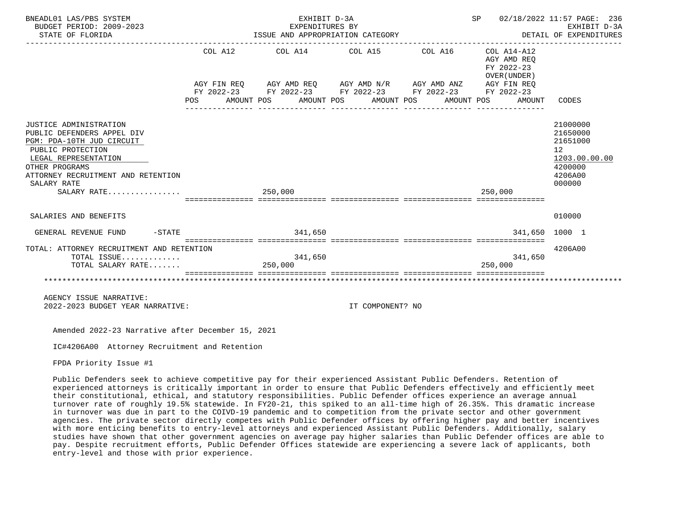| BNEADL01 LAS/PBS SYSTEM<br>BUDGET PERIOD: 2009-2023<br>STATE OF FLORIDA                                                                                                                                              | EXHIBIT D-3A<br>EXPENDITURES BY<br>ISSUE AND APPROPRIATION CATEGORY<br>------------------------------------                                                                                                                       | SP 02/18/2022 11:57 PAGE: 236<br>DETAIL OF EXPENDITURES<br>--------------------------------- | EXHIBIT D-3A                                        |                                                                                                      |
|----------------------------------------------------------------------------------------------------------------------------------------------------------------------------------------------------------------------|-----------------------------------------------------------------------------------------------------------------------------------------------------------------------------------------------------------------------------------|----------------------------------------------------------------------------------------------|-----------------------------------------------------|------------------------------------------------------------------------------------------------------|
|                                                                                                                                                                                                                      | $COL A12$ $COL A14$ $COL A15$ $COL A16$ $COL A14-A12$<br>AGY FIN REQ AGY AMD REQ AGY AMD N/R AGY AMD ANZ AGY FIN REQ<br>FY 2022-23 FY 2022-23 FY 2022-23 FY 2022-23 FY 2022-23<br>POS AMOUNT POS AMOUNT POS AMOUNT POS AMOUNT POS |                                                                                              | AGY AMD REO<br>FY 2022-23<br>OVER (UNDER)<br>AMOUNT | CODES                                                                                                |
| JUSTICE ADMINISTRATION<br>PUBLIC DEFENDERS APPEL DIV<br>PGM: PDA-10TH JUD CIRCUIT<br>PUBLIC PROTECTION<br>LEGAL REPRESENTATION<br>OTHER PROGRAMS<br>ATTORNEY RECRUITMENT AND RETENTION<br>SALARY RATE<br>SALARY RATE | 250,000                                                                                                                                                                                                                           |                                                                                              | 250,000                                             | 21000000<br>21650000<br>21651000<br>12 <sup>°</sup><br>1203.00.00.00<br>4200000<br>4206A00<br>000000 |
| SALARIES AND BENEFITS                                                                                                                                                                                                |                                                                                                                                                                                                                                   |                                                                                              |                                                     | 010000                                                                                               |
| $-STATE$<br>GENERAL REVENUE FUND                                                                                                                                                                                     | 341,650                                                                                                                                                                                                                           |                                                                                              | 341,650 1000 1                                      |                                                                                                      |
| TOTAL: ATTORNEY RECRUITMENT AND RETENTION<br>TOTAL ISSUE<br>TOTAL SALARY RATE                                                                                                                                        | 341,650<br>250,000                                                                                                                                                                                                                |                                                                                              | 341,650<br>250,000                                  | 4206A00                                                                                              |
| AGENCY ISSUE NARRATIVE:<br>2022-2023 BUDGET YEAR NARRATIVE:                                                                                                                                                          |                                                                                                                                                                                                                                   | IT COMPONENT? NO                                                                             |                                                     |                                                                                                      |

IC#4206A00 Attorney Recruitment and Retention

FPDA Priority Issue #1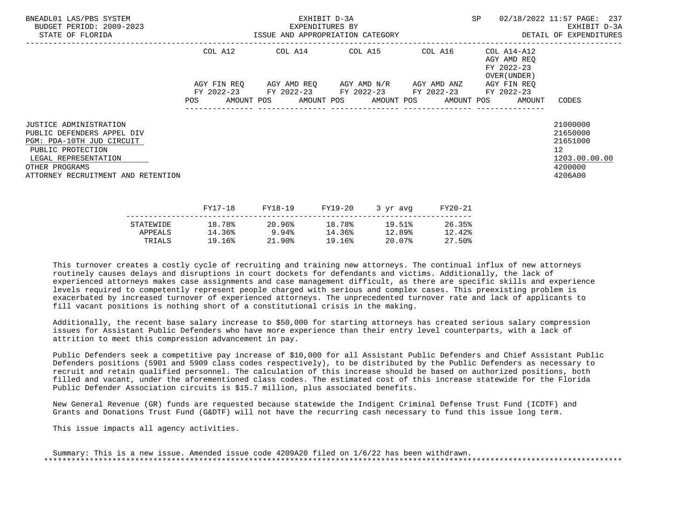| BNEADL01 LAS/PBS SYSTEM<br>BUDGET PERIOD: 2009-2023<br>STATE OF FLORIDA                                                                                                                | EXHIBIT D-3A<br>EXPENDITURES BY<br>ISSUE AND APPROPRIATION CATEGORY |         |  |  |  |                                                                                                |         | SP 02/18/2022 11:57 PAGE: 237<br>EXHIBIT D-3A<br>DETAIL OF EXPENDITURES                   |                                                                               |
|----------------------------------------------------------------------------------------------------------------------------------------------------------------------------------------|---------------------------------------------------------------------|---------|--|--|--|------------------------------------------------------------------------------------------------|---------|-------------------------------------------------------------------------------------------|-------------------------------------------------------------------------------|
|                                                                                                                                                                                        |                                                                     |         |  |  |  | COL A12 COL A14 COL A15 COL A16                                                                |         | COL A14-A12<br>AGY AMD REO<br>FY 2022-23<br>OVER (UNDER )                                 |                                                                               |
|                                                                                                                                                                                        |                                                                     |         |  |  |  | AGY FIN REO AGY AMD REO AGY AMD N/R AGY AMD ANZ<br>FY 2022-23 FY 2022-23 FY 2022-23 FY 2022-23 |         | AGY FIN REO<br>FY 2022-23<br>POS AMOUNT POS AMOUNT POS AMOUNT POS AMOUNT POS AMOUNT CODES |                                                                               |
| JUSTICE ADMINISTRATION<br>PUBLIC DEFENDERS APPEL DIV<br>PGM: PDA-10TH JUD CIRCUIT<br>PUBLIC PROTECTION<br>LEGAL REPRESENTATION<br>OTHER PROGRAMS<br>ATTORNEY RECRUITMENT AND RETENTION |                                                                     |         |  |  |  |                                                                                                |         |                                                                                           | 21000000<br>21650000<br>21651000<br>12<br>1203.00.00.00<br>4200000<br>4206A00 |
|                                                                                                                                                                                        |                                                                     | FY17-18 |  |  |  | FY18-19 FY19-20 3 yr avq                                                                       | FY20-21 |                                                                                           |                                                                               |

|           | ------ | -----  | --------- | $\sim$ $\sim$ $\sim$ $\sim$ $\sim$ $\sim$ $\sim$ | ------ |
|-----------|--------|--------|-----------|--------------------------------------------------|--------|
| STATEWIDE | 18.78% | 20.96% | 18.78%    | 19.51%                                           | 26.35% |
| APPEALS   | 14.36% | 9.94%  | 14.36%    | 12.89%                                           | 12.42% |
| TRIALS    | 19.16% | 21.90% | 19.16%    | 20.07%                                           | 27.50% |
|           |        |        |           |                                                  |        |

 Additionally, the recent base salary increase to \$50,000 for starting attorneys has created serious salary compression issues for Assistant Public Defenders who have more experience than their entry level counterparts, with a lack of attrition to meet this compression advancement in pay.

 Public Defenders seek a competitive pay increase of \$10,000 for all Assistant Public Defenders and Chief Assistant Public Defenders positions (5901 and 5909 class codes respectively), to be distributed by the Public Defenders as necessary to recruit and retain qualified personnel. The calculation of this increase should be based on authorized positions, both filled and vacant, under the aforementioned class codes. The estimated cost of this increase statewide for the Florida Public Defender Association circuits is \$15.7 million, plus associated benefits.

 New General Revenue (GR) funds are requested because statewide the Indigent Criminal Defense Trust Fund (ICDTF) and Grants and Donations Trust Fund (G&DTF) will not have the recurring cash necessary to fund this issue long term.

This issue impacts all agency activities.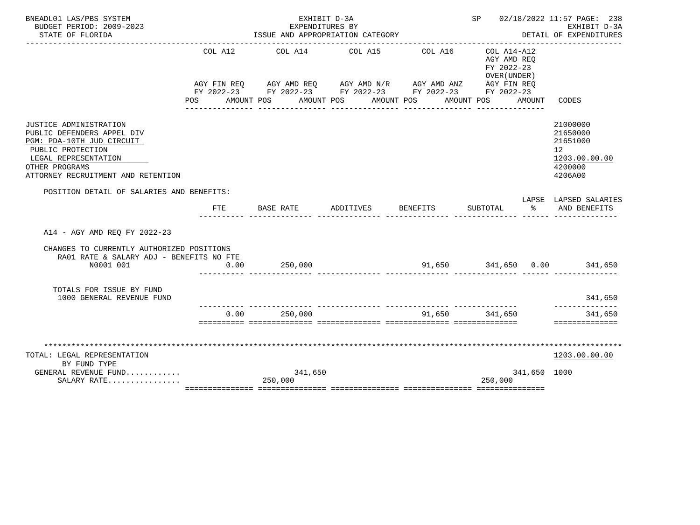| BNEADL01 LAS/PBS SYSTEM<br>BUDGET PERIOD: 2009-2023                                                                                                                                           |            | EXHIBIT D-3A<br>EXPENDITURES BY                                                                                                                                                              |                                     |                             | SP 02/18/2022 11:57 PAGE: 238<br>EXHIBIT D-3A                               |               |                                                                               |
|-----------------------------------------------------------------------------------------------------------------------------------------------------------------------------------------------|------------|----------------------------------------------------------------------------------------------------------------------------------------------------------------------------------------------|-------------------------------------|-----------------------------|-----------------------------------------------------------------------------|---------------|-------------------------------------------------------------------------------|
| STATE OF FLORIDA                                                                                                                                                                              |            | ISSUE AND APPROPRIATION CATEGORY                                                                                                                                                             |                                     |                             |                                                                             |               | DETAIL OF EXPENDITURES                                                        |
|                                                                                                                                                                                               | COL A12    | AGY FIN REQ AGY AMD REQ AGY AMD N/R AGY AMD ANZ AGY FIN REQ<br>FY 2022-23 FY 2022-23 FY 2022-23 FY 2022-23 FY 2022-23<br>POS AMOUNT POS AMOUNT POS AMOUNT POS AMOUNT POS<br>---------------- | COL A14 COL A15<br>________________ | COL A16<br>________________ | COL A14-A12<br>AGY AMD REO<br>FY 2022-23<br>OVER (UNDER)<br>_______________ | AMOUNT        | CODES                                                                         |
| <b>JUSTICE ADMINISTRATION</b><br>PUBLIC DEFENDERS APPEL DIV<br>PGM: PDA-10TH JUD CIRCUIT<br>PUBLIC PROTECTION<br>LEGAL REPRESENTATION<br>OTHER PROGRAMS<br>ATTORNEY RECRUITMENT AND RETENTION |            |                                                                                                                                                                                              |                                     |                             |                                                                             |               | 21000000<br>21650000<br>21651000<br>12<br>1203.00.00.00<br>4200000<br>4206A00 |
| POSITION DETAIL OF SALARIES AND BENEFITS:                                                                                                                                                     |            |                                                                                                                                                                                              |                                     |                             |                                                                             |               | LAPSE LAPSED SALARIES                                                         |
|                                                                                                                                                                                               | <b>FTE</b> | BASE RATE                                                                                                                                                                                    | ADDITIVES                           | <b>BENEFITS</b>             | SUBTOTAL                                                                    | $\sim$ $\sim$ | AND BENEFITS                                                                  |
| A14 - AGY AMD REO FY 2022-23                                                                                                                                                                  |            |                                                                                                                                                                                              |                                     |                             |                                                                             |               |                                                                               |
| CHANGES TO CURRENTLY AUTHORIZED POSITIONS<br>RA01 RATE & SALARY ADJ - BENEFITS NO FTE                                                                                                         |            |                                                                                                                                                                                              |                                     |                             |                                                                             |               |                                                                               |
| N0001 001                                                                                                                                                                                     | 0.00       | 250,000                                                                                                                                                                                      |                                     |                             |                                                                             |               | 91,650 341,650 0.00 341,650                                                   |
| TOTALS FOR ISSUE BY FUND<br>1000 GENERAL REVENUE FUND                                                                                                                                         |            | .i ililililililili titulilililili tuttililililili titulilililili                                                                                                                             |                                     |                             |                                                                             |               | 341,650<br>--------------                                                     |
|                                                                                                                                                                                               | 0.00       | 250,000                                                                                                                                                                                      |                                     |                             | 91,650 341,650                                                              |               | 341,650<br>==============                                                     |
|                                                                                                                                                                                               |            |                                                                                                                                                                                              |                                     |                             |                                                                             |               |                                                                               |
| TOTAL: LEGAL REPRESENTATION                                                                                                                                                                   |            |                                                                                                                                                                                              |                                     |                             |                                                                             |               | 1203.00.00.00                                                                 |
| BY FUND TYPE                                                                                                                                                                                  |            |                                                                                                                                                                                              |                                     |                             |                                                                             |               |                                                                               |
| GENERAL REVENUE FUND<br>SALARY RATE                                                                                                                                                           |            | 341,650<br>250,000                                                                                                                                                                           |                                     |                             | 250,000                                                                     | 341,650 1000  |                                                                               |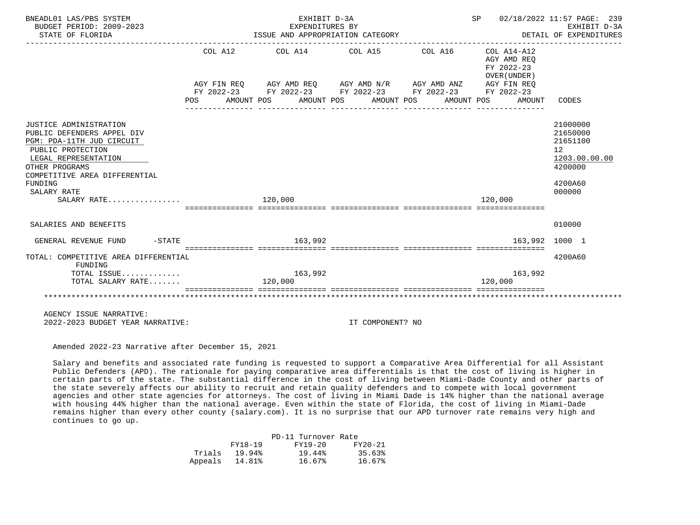| BNEADL01 LAS/PBS SYSTEM<br>BUDGET PERIOD: 2009-2023<br>STATE OF FLORIDA      |     |         |         | EXHIBIT D-3A<br>EXPENDITURES BY | ISSUE AND APPROPRIATION CATEGORY |                                                             | SP      |                                                          | 02/18/2022 11:57 PAGE: 239<br>EXHIBIT D-3A<br>DETAIL OF EXPENDITURES |
|------------------------------------------------------------------------------|-----|---------|---------|---------------------------------|----------------------------------|-------------------------------------------------------------|---------|----------------------------------------------------------|----------------------------------------------------------------------|
|                                                                              |     |         |         |                                 |                                  |                                                             |         |                                                          |                                                                      |
|                                                                              |     |         |         |                                 |                                  | COL A12 COL A14 COL A15 COL A16                             |         | COL A14-A12<br>AGY AMD REO<br>FY 2022-23<br>OVER (UNDER) |                                                                      |
|                                                                              |     |         |         |                                 |                                  | AGY FIN REQ AGY AMD REQ AGY AMD N/R AGY AMD ANZ AGY FIN REQ |         |                                                          |                                                                      |
|                                                                              | POS |         |         |                                 | AMOUNT POS AMOUNT POS AMOUNT POS | FY 2022-23 FY 2022-23 FY 2022-23 FY 2022-23<br>AMOUNT POS   |         | FY 2022-23<br>AMOUNT                                     | CODES                                                                |
| JUSTICE ADMINISTRATION                                                       |     |         |         |                                 |                                  |                                                             |         |                                                          | 21000000                                                             |
| PUBLIC DEFENDERS APPEL DIV<br>PGM: PDA-11TH JUD CIRCUIT<br>PUBLIC PROTECTION |     |         |         |                                 |                                  |                                                             |         |                                                          | 21650000<br>21651100<br>12                                           |
| LEGAL REPRESENTATION<br>OTHER PROGRAMS                                       |     |         |         |                                 |                                  |                                                             |         |                                                          | 1203.00.00.00<br>4200000                                             |
| COMPETITIVE AREA DIFFERENTIAL<br>FUNDING                                     |     |         |         |                                 |                                  |                                                             |         |                                                          | 4200A60                                                              |
| SALARY RATE<br>SALARY RATE                                                   |     | 120,000 |         |                                 |                                  |                                                             | 120,000 |                                                          | 000000                                                               |
|                                                                              |     |         |         |                                 |                                  |                                                             |         |                                                          |                                                                      |
| SALARIES AND BENEFITS                                                        |     |         |         |                                 |                                  |                                                             |         |                                                          | 010000                                                               |
| GENERAL REVENUE FUND<br>$-$ STATE                                            |     |         |         | 163,992                         |                                  |                                                             |         | 163.992                                                  | 1000 1                                                               |
| TOTAL: COMPETITIVE AREA DIFFERENTIAL<br>FUNDING                              |     |         |         |                                 |                                  |                                                             |         |                                                          | 4200A60                                                              |
| TOTAL ISSUE<br>TOTAL SALARY RATE                                             |     |         | 120,000 | 163,992                         |                                  |                                                             | 120,000 | 163,992                                                  |                                                                      |
|                                                                              |     |         |         |                                 |                                  |                                                             |         |                                                          |                                                                      |
| AGENCY ISSUE NARRATIVE:                                                      |     |         |         |                                 |                                  |                                                             |         |                                                          |                                                                      |
| 2022-2023 BUDGET YEAR NARRATIVE:                                             |     |         |         |                                 | IT COMPONENT? NO                 |                                                             |         |                                                          |                                                                      |

 Salary and benefits and associated rate funding is requested to support a Comparative Area Differential for all Assistant Public Defenders (APD). The rationale for paying comparative area differentials is that the cost of living is higher in certain parts of the state. The substantial difference in the cost of living between Miami-Dade County and other parts of the state severely affects our ability to recruit and retain quality defenders and to compete with local government agencies and other state agencies for attorneys. The cost of living in Miami Dade is 14% higher than the national average with housing 44% higher than the national average. Even within the state of Florida, the cost of living in Miami-Dade remains higher than every other county (salary.com). It is no surprise that our APD turnover rate remains very high and continues to go up.

|                | PD-11 Turnover Rate |         |
|----------------|---------------------|---------|
| FY18-19        | FY19-20             | FY20-21 |
| Trials 19.94%  | 19.44%              | 35.63%  |
| Appeals 14.81% | 16.67%              | 16.67%  |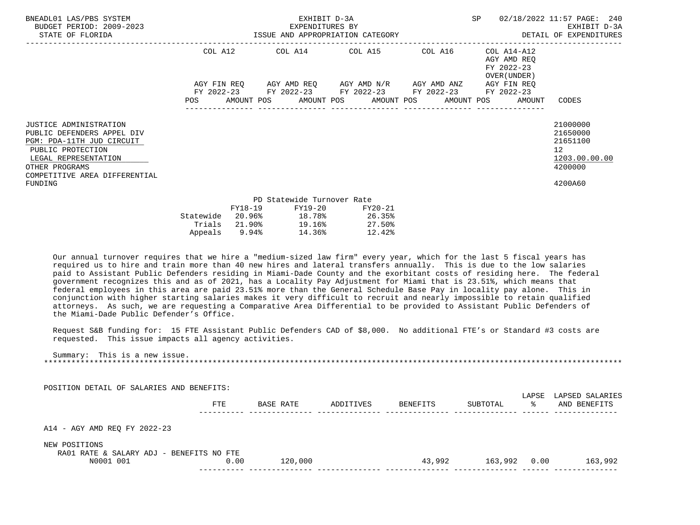| BNEADL01 LAS/PBS SYSTEM<br>BUDGET PERIOD: 2009-2023<br>STATE OF FLORIDA                                                                                                                             |                        |                   | EXHIBIT D-3A<br>EXPENDITURES BY | ISSUE AND APPROPRIATION CATEGORY                                                |            | SP |                                                                         | 02/18/2022 11:57 PAGE: 240<br>EXHIBIT D-3A<br>DETAIL OF EXPENDITURES                       |
|-----------------------------------------------------------------------------------------------------------------------------------------------------------------------------------------------------|------------------------|-------------------|---------------------------------|---------------------------------------------------------------------------------|------------|----|-------------------------------------------------------------------------|--------------------------------------------------------------------------------------------|
|                                                                                                                                                                                                     | COL A12<br>AGY FIN REO |                   |                                 | COL A14 COL A15 COL A16<br>AGY AMD REQ        AGY AMD N/R        AGY AMD ANZ    |            |    | COL A14-A12<br>AGY AMD REO<br>FY 2022-23<br>OVER (UNDER)<br>AGY FIN REO |                                                                                            |
|                                                                                                                                                                                                     | POS                    |                   |                                 | FY 2022-23 FY 2022-23 FY 2022-23 FY 2022-23<br>AMOUNT POS AMOUNT POS AMOUNT POS | AMOUNT POS |    | FY 2022-23<br>AMOUNT                                                    | CODES                                                                                      |
| <b>JUSTICE ADMINISTRATION</b><br>PUBLIC DEFENDERS APPEL DIV<br>PGM: PDA-11TH JUD CIRCUIT<br>PUBLIC PROTECTION<br>LEGAL REPRESENTATION<br>OTHER PROGRAMS<br>COMPETITIVE AREA DIFFERENTIAL<br>FUNDING |                        |                   |                                 |                                                                                 |            |    |                                                                         | 21000000<br>21650000<br>21651100<br>12 <sup>°</sup><br>1203.00.00.00<br>4200000<br>4200A60 |
|                                                                                                                                                                                                     |                        |                   | PD Statewide Turnover Rate      |                                                                                 |            |    |                                                                         |                                                                                            |
|                                                                                                                                                                                                     | Statewide<br>Trials    | FY18-19<br>21.90% | FY19-20<br>19.16%               | FY20-21<br>$20.96\%$ 18.78% 26.35%<br>27.50%                                    |            |    |                                                                         |                                                                                            |

 Our annual turnover requires that we hire a "medium-sized law firm" every year, which for the last 5 fiscal years has required us to hire and train more than 40 new hires and lateral transfers annually. This is due to the low salaries paid to Assistant Public Defenders residing in Miami-Dade County and the exorbitant costs of residing here. The federal government recognizes this and as of 2021, has a Locality Pay Adjustment for Miami that is 23.51%, which means that federal employees in this area are paid 23.51% more than the General Schedule Base Pay in locality pay alone. This in conjunction with higher starting salaries makes it very difficult to recruit and nearly impossible to retain qualified attorneys. As such, we are requesting a Comparative Area Differential to be provided to Assistant Public Defenders of the Miami-Dade Public Defender's Office.

Appeals 9.94% 14.36% 12.42%

 Request S&B funding for: 15 FTE Assistant Public Defenders CAD of \$8,000. No additional FTE's or Standard #3 costs are requested. This issue impacts all agency activities.

 Summary: This is a new issue. \*\*\*\*\*\*\*\*\*\*\*\*\*\*\*\*\*\*\*\*\*\*\*\*\*\*\*\*\*\*\*\*\*\*\*\*\*\*\*\*\*\*\*\*\*\*\*\*\*\*\*\*\*\*\*\*\*\*\*\*\*\*\*\*\*\*\*\*\*\*\*\*\*\*\*\*\*\*\*\*\*\*\*\*\*\*\*\*\*\*\*\*\*\*\*\*\*\*\*\*\*\*\*\*\*\*\*\*\*\*\*\*\*\*\*\*\*\*\*\*\*\*\*\*\*\*\*

POSITION DETAIL OF SALARIES AND BENEFITS:

|                                               | FTE  | BASE RATE | ADDITIVES | BENEFITS | SUBTOTAL | LAPSE<br>°≈ | LAPSED SALARIES<br>AND BENEFITS |
|-----------------------------------------------|------|-----------|-----------|----------|----------|-------------|---------------------------------|
|                                               |      |           |           |          |          |             |                                 |
| A14 - AGY AMD REQ FY 2022-23<br>NEW POSITIONS |      |           |           |          |          |             |                                 |
| RA01 RATE & SALARY ADJ - BENEFITS NO FTE      |      |           |           |          |          |             |                                 |
| N0001 001                                     | 0.00 | 120,000   |           | 43,992   | 163,992  | 0.00        | 163,992                         |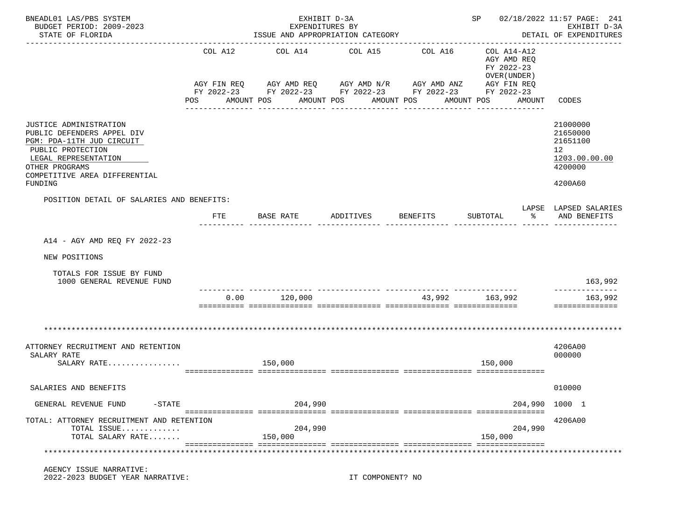| BNEADL01 LAS/PBS SYSTEM<br>BUDGET PERIOD: 2009-2023<br>STATE OF FLORIDA                                                                                                                      |                | ISSUE AND APPROPRIATION CATEGORY                                                                                                                        | EXHIBIT D-3A<br>EXPENDITURES BY  |          |                                                                                                 | SP 02/18/2022 11:57 PAGE: 241<br>EXHIBIT D-3A<br>DETAIL OF EXPENDITURES                    |
|----------------------------------------------------------------------------------------------------------------------------------------------------------------------------------------------|----------------|---------------------------------------------------------------------------------------------------------------------------------------------------------|----------------------------------|----------|-------------------------------------------------------------------------------------------------|--------------------------------------------------------------------------------------------|
|                                                                                                                                                                                              | COL A12<br>POS | COL A14<br>AGY FIN REQ        AGY AMD REQ        AGY AMD N/R        AGY AMD ANZ<br>FY 2022-23 FY 2022-23 FY 2022-23 FY 2022-23 FY 2022-23<br>AMOUNT POS | COL A15<br>AMOUNT POS AMOUNT POS | COL A16  | COL A14-A12<br>AGY AMD REQ<br>FY 2022-23<br>OVER (UNDER)<br>AGY FIN REQ<br>AMOUNT<br>AMOUNT POS | CODES                                                                                      |
| JUSTICE ADMINISTRATION<br>PUBLIC DEFENDERS APPEL DIV<br>PGM: PDA-11TH JUD CIRCUIT<br>PUBLIC PROTECTION<br>LEGAL REPRESENTATION<br>OTHER PROGRAMS<br>COMPETITIVE AREA DIFFERENTIAL<br>FUNDING |                |                                                                                                                                                         |                                  |          |                                                                                                 | 21000000<br>21650000<br>21651100<br>12 <sup>°</sup><br>1203.00.00.00<br>4200000<br>4200A60 |
| POSITION DETAIL OF SALARIES AND BENEFITS:                                                                                                                                                    | FTE            | BASE RATE                                                                                                                                               | ADDITIVES                        | BENEFITS | SUBTOTAL<br>ႜ                                                                                   | LAPSE LAPSED SALARIES<br>AND BENEFITS                                                      |
| A14 - AGY AMD REQ FY 2022-23<br>NEW POSITIONS<br>TOTALS FOR ISSUE BY FUND<br>1000 GENERAL REVENUE FUND                                                                                       |                |                                                                                                                                                         |                                  |          |                                                                                                 | 163,992                                                                                    |
|                                                                                                                                                                                              | 0.00           | 120,000                                                                                                                                                 |                                  |          | 43,992 163,992                                                                                  | 163,992<br>==============                                                                  |
| ATTORNEY RECRUITMENT AND RETENTION<br>SALARY RATE<br>SALARY RATE                                                                                                                             |                | 150,000                                                                                                                                                 |                                  |          | 150,000                                                                                         | 4206A00<br>000000                                                                          |
| SALARIES AND BENEFITS                                                                                                                                                                        |                |                                                                                                                                                         |                                  |          |                                                                                                 | 010000                                                                                     |
| GENERAL REVENUE FUND<br>$-$ STATE                                                                                                                                                            |                | 204,990                                                                                                                                                 |                                  |          |                                                                                                 | 204,990 1000 1                                                                             |
| TOTAL: ATTORNEY RECRUITMENT AND RETENTION<br>TOTAL ISSUE<br>TOTAL SALARY RATE                                                                                                                |                | 204,990<br>150,000                                                                                                                                      |                                  |          | 204,990<br>150,000                                                                              | 4206A00                                                                                    |
|                                                                                                                                                                                              |                |                                                                                                                                                         |                                  |          |                                                                                                 | ******************                                                                         |
| AGENCY ISSUE NARRATIVE:<br>2022-2023 BUDGET YEAR NARRATIVE:                                                                                                                                  |                |                                                                                                                                                         | IT COMPONENT? NO                 |          |                                                                                                 |                                                                                            |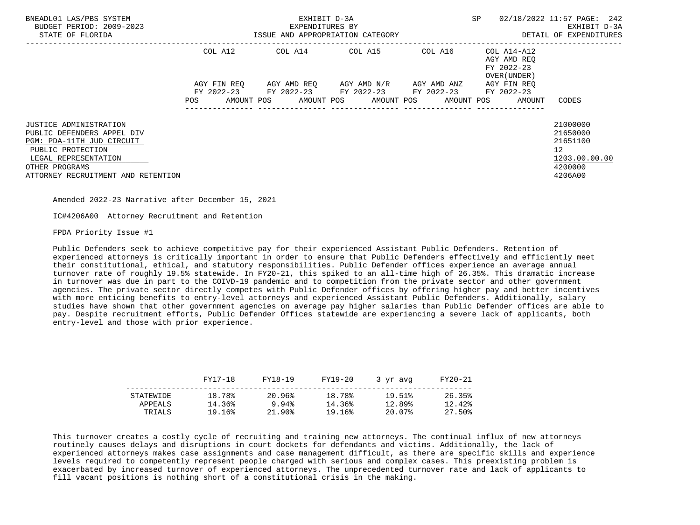| BNEADL01 LAS/PBS SYSTEM<br>BUDGET PERIOD: 2009-2023<br>STATE OF FLORIDA | EXHIBIT D-3A<br>EXPENDITURES BY<br>ISSUE AND APPROPRIATION CATEGORY |             |  |  |  |                                                                                                              |  | SP |                                           | 02/18/2022 11:57 PAGE: 242<br>EXHIBIT D-3A<br>DETAIL OF EXPENDITURES |  |
|-------------------------------------------------------------------------|---------------------------------------------------------------------|-------------|--|--|--|--------------------------------------------------------------------------------------------------------------|--|----|-------------------------------------------|----------------------------------------------------------------------|--|
|                                                                         |                                                                     | COL A12     |  |  |  |                                                                                                              |  |    | AGY AMD REO<br>FY 2022-23<br>OVER (UNDER) |                                                                      |  |
|                                                                         |                                                                     | AGY FIN REO |  |  |  | AGY AMD REO      AGY AMD N/R      AGY AMD ANZ                                                                |  |    | AGY FIN REO                               |                                                                      |  |
|                                                                         | POS FOR                                                             |             |  |  |  | FY 2022-23 FY 2022-23 FY 2022-23 FY 2022-23 FY 2022-23<br>AMOUNT POS AMOUNT POS AMOUNT POS AMOUNT POS AMOUNT |  |    |                                           | CODES                                                                |  |
| <b>JUSTICE ADMINISTRATION</b>                                           |                                                                     |             |  |  |  |                                                                                                              |  |    |                                           | 21000000                                                             |  |
| PUBLIC DEFENDERS APPEL DIV                                              |                                                                     |             |  |  |  |                                                                                                              |  |    |                                           | 21650000                                                             |  |
| PGM: PDA-11TH JUD CIRCUIT                                               |                                                                     |             |  |  |  |                                                                                                              |  |    |                                           | 21651100                                                             |  |
| PUBLIC PROTECTION                                                       |                                                                     |             |  |  |  |                                                                                                              |  |    |                                           | 12 <sup>°</sup>                                                      |  |
| LEGAL REPRESENTATION                                                    |                                                                     |             |  |  |  |                                                                                                              |  |    |                                           | 1203.00.00.00                                                        |  |
| OTHER PROGRAMS                                                          |                                                                     |             |  |  |  |                                                                                                              |  |    |                                           | 4200000                                                              |  |
| ATTORNEY RECRUITMENT AND RETENTION                                      |                                                                     |             |  |  |  |                                                                                                              |  |    |                                           | 4206A00                                                              |  |

IC#4206A00 Attorney Recruitment and Retention

FPDA Priority Issue #1

 Public Defenders seek to achieve competitive pay for their experienced Assistant Public Defenders. Retention of experienced attorneys is critically important in order to ensure that Public Defenders effectively and efficiently meet their constitutional, ethical, and statutory responsibilities. Public Defender offices experience an average annual turnover rate of roughly 19.5% statewide. In FY20-21, this spiked to an all-time high of 26.35%. This dramatic increase in turnover was due in part to the COIVD-19 pandemic and to competition from the private sector and other government agencies. The private sector directly competes with Public Defender offices by offering higher pay and better incentives with more enticing benefits to entry-level attorneys and experienced Assistant Public Defenders. Additionally, salary studies have shown that other government agencies on average pay higher salaries than Public Defender offices are able to pay. Despite recruitment efforts, Public Defender Offices statewide are experiencing a severe lack of applicants, both entry-level and those with prior experience.

|           | FY17-18 | FY18-19 | FY19-20 | 3 vr avg | FY20-21 |
|-----------|---------|---------|---------|----------|---------|
| STATEWIDE | 18.78%  | 20.96%  | 18.78%  | 19.51%   | 26.35%  |
| APPEALS   | 14.36%  | 9.94%   | 14.36%  | 12.89%   | 12.42%  |
| TRIALS    | 19.16%  | 21.90%  | 19.16%  | 20.07%   | 27.50%  |

 This turnover creates a costly cycle of recruiting and training new attorneys. The continual influx of new attorneys routinely causes delays and disruptions in court dockets for defendants and victims. Additionally, the lack of experienced attorneys makes case assignments and case management difficult, as there are specific skills and experience levels required to competently represent people charged with serious and complex cases. This preexisting problem is exacerbated by increased turnover of experienced attorneys. The unprecedented turnover rate and lack of applicants to fill vacant positions is nothing short of a constitutional crisis in the making.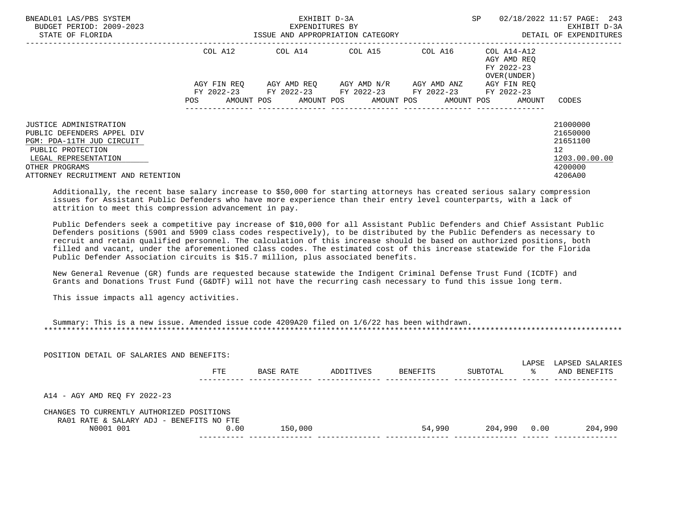| BNEADL01 LAS/PBS SYSTEM<br>BUDGET PERIOD: 2009-2023<br>STATE OF FLORIDA | EXHIBIT D-3A<br>EXPENDITURES BY<br>ISSUE AND APPROPRIATION CATEGORY |             |  |                                                                                 |  |  | SP          |            | 02/18/2022 11:57 PAGE: 243<br>EXHIBIT D-3A<br>DETAIL OF EXPENDITURES |                                           |                   |
|-------------------------------------------------------------------------|---------------------------------------------------------------------|-------------|--|---------------------------------------------------------------------------------|--|--|-------------|------------|----------------------------------------------------------------------|-------------------------------------------|-------------------|
|                                                                         |                                                                     | COL A12     |  |                                                                                 |  |  |             |            |                                                                      | AGY AMD REO<br>FY 2022-23<br>OVER (UNDER) |                   |
|                                                                         |                                                                     | AGY FIN REO |  | AGY AMD REO AGY AMD N/R                                                         |  |  | AGY AMD ANZ |            |                                                                      | AGY FIN REO                               |                   |
|                                                                         | POS                                                                 | AMOUNT POS  |  | FY 2022-23 FY 2022-23 FY 2022-23 FY 2022-23 FY 2022-23<br>AMOUNT POS AMOUNT POS |  |  |             | AMOUNT POS |                                                                      | AMOUNT                                    | CODES             |
| <b>JUSTICE ADMINISTRATION</b>                                           |                                                                     |             |  |                                                                                 |  |  |             |            |                                                                      |                                           | 21000000          |
| PUBLIC DEFENDERS APPEL DIV                                              |                                                                     |             |  |                                                                                 |  |  |             |            |                                                                      |                                           | 21650000          |
| PGM: PDA-11TH JUD CIRCUIT                                               |                                                                     |             |  |                                                                                 |  |  |             |            |                                                                      |                                           | 21651100          |
| PUBLIC PROTECTION                                                       |                                                                     |             |  |                                                                                 |  |  |             |            |                                                                      |                                           | $12 \overline{ }$ |
| LEGAL REPRESENTATION                                                    |                                                                     |             |  |                                                                                 |  |  |             |            |                                                                      |                                           | 1203.00.00.00     |
| OTHER PROGRAMS                                                          |                                                                     |             |  |                                                                                 |  |  |             |            |                                                                      |                                           | 4200000           |
| ATTORNEY RECRUITMENT AND RETENTION                                      |                                                                     |             |  |                                                                                 |  |  |             |            |                                                                      |                                           | 4206A00           |

 Additionally, the recent base salary increase to \$50,000 for starting attorneys has created serious salary compression issues for Assistant Public Defenders who have more experience than their entry level counterparts, with a lack of attrition to meet this compression advancement in pay.

 Public Defenders seek a competitive pay increase of \$10,000 for all Assistant Public Defenders and Chief Assistant Public Defenders positions (5901 and 5909 class codes respectively), to be distributed by the Public Defenders as necessary to recruit and retain qualified personnel. The calculation of this increase should be based on authorized positions, both filled and vacant, under the aforementioned class codes. The estimated cost of this increase statewide for the Florida Public Defender Association circuits is \$15.7 million, plus associated benefits.

 New General Revenue (GR) funds are requested because statewide the Indigent Criminal Defense Trust Fund (ICDTF) and Grants and Donations Trust Fund (G&DTF) will not have the recurring cash necessary to fund this issue long term.

This issue impacts all agency activities.

POSITION DETAIL OF SALARIES AND BENEFITS:

| Summary: This is a new issue. Amended issue code 4209A20 filed on 1/6/22 has been withdrawn. |  |
|----------------------------------------------------------------------------------------------|--|
|                                                                                              |  |

| LODILION DUINIU OL DNUMINIUD IMVO DUNULIIO'                                           | FTE  | BASE RATE | ADDITIVES | BENEFITS | SUBTOTAL | LAPSE<br>°≈ | LAPSED SALARIES<br>AND BENEFITS |
|---------------------------------------------------------------------------------------|------|-----------|-----------|----------|----------|-------------|---------------------------------|
| A14 - AGY AMD REO FY 2022-23                                                          |      |           |           |          |          |             |                                 |
| CHANGES TO CURRENTLY AUTHORIZED POSITIONS<br>RA01 RATE & SALARY ADJ - BENEFITS NO FTE |      |           |           |          |          |             |                                 |
| N0001 001                                                                             | 0.00 | 150,000   |           | 54,990   | 204,990  | 0.00        | 204,990                         |
|                                                                                       |      |           |           |          |          |             |                                 |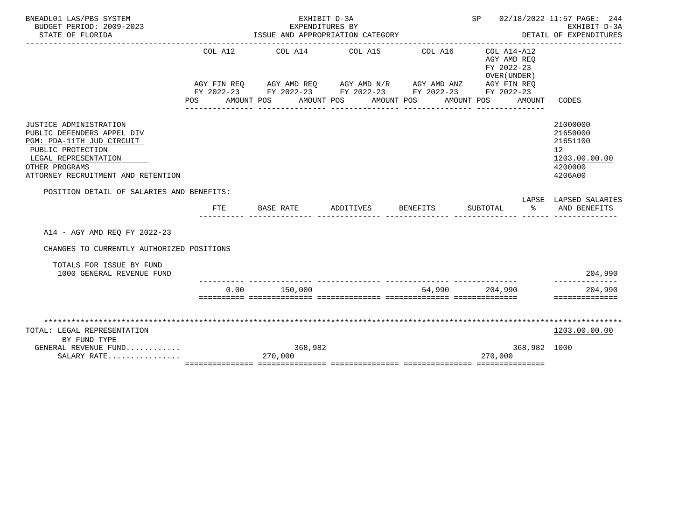| BNEADL01 LAS/PBS SYSTEM<br>BUDGET PERIOD: 2009-2023<br>STATE OF FLORIDA                                                                                                                |                | EXHIBIT D-3A<br>EXPENDITURES BY<br>ISSUE AND APPROPRIATION CATEGORY                                                                                    |                          |                       | SP 02/18/2022 11:57 PAGE: 244                                                                                   | EXHIBIT D-3A<br>DETAIL OF EXPENDITURES                                        |
|----------------------------------------------------------------------------------------------------------------------------------------------------------------------------------------|----------------|--------------------------------------------------------------------------------------------------------------------------------------------------------|--------------------------|-----------------------|-----------------------------------------------------------------------------------------------------------------|-------------------------------------------------------------------------------|
|                                                                                                                                                                                        | COL A12<br>POS | COL A14 COL A15<br>AGY FIN REQ AGY AMD REQ AGY AMD N/R AGY AMD ANZ AGY FIN REQ<br>FY 2022-23 FY 2022-23 FY 2022-23 FY 2022-23 FY 2022-23<br>AMOUNT POS | AMOUNT POS<br>AMOUNT POS | COL A16<br>AMOUNT POS | COL A14-A12<br>AGY AMD REO<br>FY 2022-23<br>OVER (UNDER)<br>AMOUNT                                              | CODES                                                                         |
| JUSTICE ADMINISTRATION<br>PUBLIC DEFENDERS APPEL DIV<br>PGM: PDA-11TH JUD CIRCUIT<br>PUBLIC PROTECTION<br>LEGAL REPRESENTATION<br>OTHER PROGRAMS<br>ATTORNEY RECRUITMENT AND RETENTION |                |                                                                                                                                                        |                          |                       |                                                                                                                 | 21000000<br>21650000<br>21651100<br>12<br>1203.00.00.00<br>4200000<br>4206A00 |
| POSITION DETAIL OF SALARIES AND BENEFITS:                                                                                                                                              | FTE            | <b>BASE RATE</b>                                                                                                                                       | ADDITIVES BENEFITS       |                       | SUBTOTAL<br>ာ အောက် အောက် အောက် အောက် အောက် အောက် အောက် အောက် အောက် အောက် အောက် အောက် အောက် အောက် အောက် အောက် အ | LAPSE LAPSED SALARIES<br>AND BENEFITS                                         |
|                                                                                                                                                                                        |                |                                                                                                                                                        |                          |                       |                                                                                                                 |                                                                               |
| A14 - AGY AMD REO FY 2022-23                                                                                                                                                           |                |                                                                                                                                                        |                          |                       |                                                                                                                 |                                                                               |
| CHANGES TO CURRENTLY AUTHORIZED POSITIONS                                                                                                                                              |                |                                                                                                                                                        |                          |                       |                                                                                                                 |                                                                               |
| TOTALS FOR ISSUE BY FUND<br>1000 GENERAL REVENUE FUND                                                                                                                                  |                |                                                                                                                                                        |                          |                       |                                                                                                                 | 204,990                                                                       |
|                                                                                                                                                                                        | 0.00           | 150,000                                                                                                                                                |                          |                       | 54,990 204,990                                                                                                  | 204,990                                                                       |
|                                                                                                                                                                                        |                |                                                                                                                                                        |                          |                       |                                                                                                                 | ==============                                                                |
| TOTAL: LEGAL REPRESENTATION<br>BY FUND TYPE                                                                                                                                            |                |                                                                                                                                                        |                          |                       |                                                                                                                 | 1203.00.00.00                                                                 |
| GENERAL REVENUE FUND<br>SALARY RATE                                                                                                                                                    |                | 368,982<br>270,000                                                                                                                                     |                          |                       | 368,982 1000<br>270,000                                                                                         |                                                                               |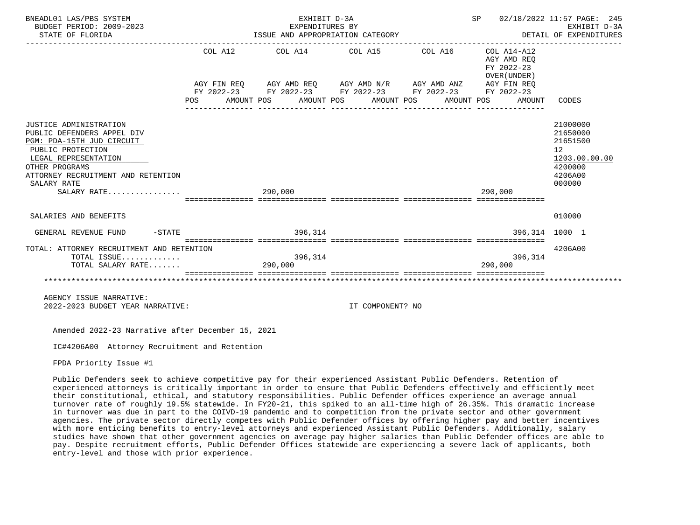| BNEADL01 LAS/PBS SYSTEM<br>BUDGET PERIOD: 2009-2023<br>STATE OF FLORIDA                                                                                                                                              | EXHIBIT D-3A<br>EXPENDITURES BY<br>ISSUE AND APPROPRIATION CATEGORY<br>------------------------------------                                                                                                                       |                  | SP 02/18/2022 11:57 PAGE: 245<br>DETAIL OF EXPENDITURES | EXHIBIT D-3A                                                                                         |
|----------------------------------------------------------------------------------------------------------------------------------------------------------------------------------------------------------------------|-----------------------------------------------------------------------------------------------------------------------------------------------------------------------------------------------------------------------------------|------------------|---------------------------------------------------------|------------------------------------------------------------------------------------------------------|
|                                                                                                                                                                                                                      | $COL A12$ $COL A14$ $COL A15$ $COL A16$ $COL A14-A12$<br>AGY FIN REQ AGY AMD REQ AGY AMD N/R AGY AMD ANZ AGY FIN REQ<br>FY 2022-23 FY 2022-23 FY 2022-23 FY 2022-23 FY 2022-23<br>POS AMOUNT POS AMOUNT POS AMOUNT POS AMOUNT POS |                  | AGY AMD REO<br>FY 2022-23<br>OVER (UNDER)<br>AMOUNT     | CODES                                                                                                |
| JUSTICE ADMINISTRATION<br>PUBLIC DEFENDERS APPEL DIV<br>PGM: PDA-15TH JUD CIRCUIT<br>PUBLIC PROTECTION<br>LEGAL REPRESENTATION<br>OTHER PROGRAMS<br>ATTORNEY RECRUITMENT AND RETENTION<br>SALARY RATE<br>SALARY RATE | 290,000                                                                                                                                                                                                                           |                  | 290.000                                                 | 21000000<br>21650000<br>21651500<br>12 <sup>°</sup><br>1203.00.00.00<br>4200000<br>4206A00<br>000000 |
| SALARIES AND BENEFITS                                                                                                                                                                                                |                                                                                                                                                                                                                                   |                  |                                                         | 010000                                                                                               |
| $-STATE$<br>GENERAL REVENUE FUND                                                                                                                                                                                     | 396,314                                                                                                                                                                                                                           |                  | 396,314 1000 1                                          |                                                                                                      |
| TOTAL: ATTORNEY RECRUITMENT AND RETENTION<br>TOTAL ISSUE<br>TOTAL SALARY RATE                                                                                                                                        | 396,314<br>290,000                                                                                                                                                                                                                |                  | 396,314<br>290,000                                      | 4206A00                                                                                              |
| AGENCY ISSUE NARRATIVE:<br>2022-2023 BUDGET YEAR NARRATIVE:                                                                                                                                                          |                                                                                                                                                                                                                                   | IT COMPONENT? NO |                                                         |                                                                                                      |

IC#4206A00 Attorney Recruitment and Retention

FPDA Priority Issue #1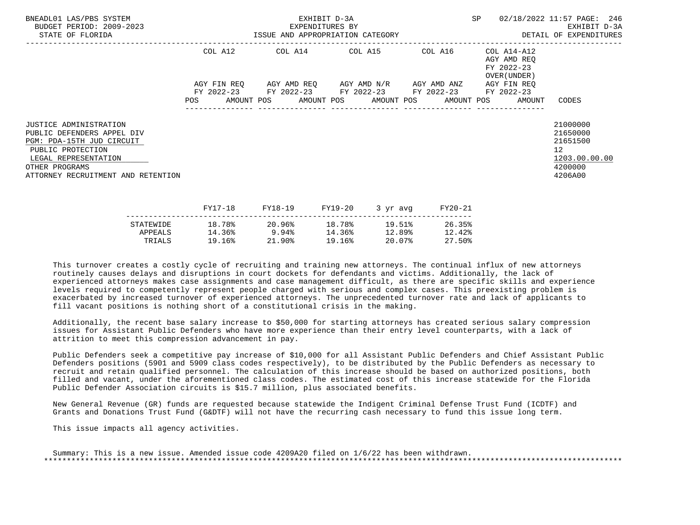| BNEADL01 LAS/PBS SYSTEM<br>BUDGET PERIOD: 2009-2023<br>STATE OF FLORIDA                                                                                                                       | EXHIBIT D-3A<br>EXPENDITURES BY<br>ISSUE AND APPROPRIATION CATEGORY |  |  |  |  |                                                                                                                       |  |         | SP 02/18/2022 11:57 PAGE: 246<br>EXHIBIT D-3A<br>DETAIL OF EXPENDITURES |                                                                               |
|-----------------------------------------------------------------------------------------------------------------------------------------------------------------------------------------------|---------------------------------------------------------------------|--|--|--|--|-----------------------------------------------------------------------------------------------------------------------|--|---------|-------------------------------------------------------------------------|-------------------------------------------------------------------------------|
|                                                                                                                                                                                               |                                                                     |  |  |  |  | COL A12 COL A14 COL A15 COL A16                                                                                       |  |         | COL A14-A12<br>AGY AMD REQ<br>FY 2022-23<br>OVER (UNDER )               |                                                                               |
|                                                                                                                                                                                               |                                                                     |  |  |  |  | AGY FIN REO AGY AMD REO AGY AMD N/R AGY AMD ANZ AGY FIN REO<br>FY 2022-23 FY 2022-23 FY 2022-23 FY 2022-23 FY 2022-23 |  |         | POS AMOUNT POS AMOUNT POS AMOUNT POS AMOUNT POS AMOUNT CODES            |                                                                               |
| <b>JUSTICE ADMINISTRATION</b><br>PUBLIC DEFENDERS APPEL DIV<br>PGM: PDA-15TH JUD CIRCUIT<br>PUBLIC PROTECTION<br>LEGAL REPRESENTATION<br>OTHER PROGRAMS<br>ATTORNEY RECRUITMENT AND RETENTION |                                                                     |  |  |  |  |                                                                                                                       |  |         |                                                                         | 21000000<br>21650000<br>21651500<br>12<br>1203.00.00.00<br>4200000<br>4206A00 |
|                                                                                                                                                                                               | FY17-18                                                             |  |  |  |  | FY18-19 FY19-20 3 yr avq                                                                                              |  | FY20-21 |                                                                         |                                                                               |

|           | ------ | -----  | --------- | $\sim$ $\sim$ $\sim$ $\sim$ $\sim$ $\sim$ $\sim$ | ------ |
|-----------|--------|--------|-----------|--------------------------------------------------|--------|
| STATEWIDE | 18.78% | 20.96% | 18.78%    | 19.51%                                           | 26.35% |
| APPEALS   | 14.36% | 9.94%  | 14.36%    | 12.89%                                           | 12.42% |
| TRIALS    | 19.16% | 21.90% | 19.16%    | 20.07%                                           | 27.50% |
|           |        |        |           |                                                  |        |

 Additionally, the recent base salary increase to \$50,000 for starting attorneys has created serious salary compression issues for Assistant Public Defenders who have more experience than their entry level counterparts, with a lack of attrition to meet this compression advancement in pay.

 Public Defenders seek a competitive pay increase of \$10,000 for all Assistant Public Defenders and Chief Assistant Public Defenders positions (5901 and 5909 class codes respectively), to be distributed by the Public Defenders as necessary to recruit and retain qualified personnel. The calculation of this increase should be based on authorized positions, both filled and vacant, under the aforementioned class codes. The estimated cost of this increase statewide for the Florida Public Defender Association circuits is \$15.7 million, plus associated benefits.

 New General Revenue (GR) funds are requested because statewide the Indigent Criminal Defense Trust Fund (ICDTF) and Grants and Donations Trust Fund (G&DTF) will not have the recurring cash necessary to fund this issue long term.

This issue impacts all agency activities.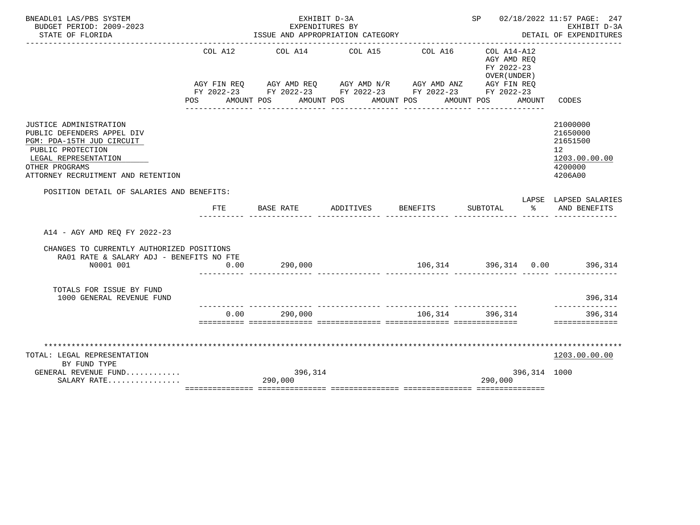| BNEADL01 LAS/PBS SYSTEM<br>BUDGET PERIOD: 2009-2023                                                                                                                                           |            | EXHIBIT D-3A<br>EXPENDITURES BY                                                                                                                                                              |                                     |                                      | SP 02/18/2022 11:57 PAGE: 247<br>EXHIBIT D-3A |                                                                                       |                                                                               |
|-----------------------------------------------------------------------------------------------------------------------------------------------------------------------------------------------|------------|----------------------------------------------------------------------------------------------------------------------------------------------------------------------------------------------|-------------------------------------|--------------------------------------|-----------------------------------------------|---------------------------------------------------------------------------------------|-------------------------------------------------------------------------------|
| STATE OF FLORIDA                                                                                                                                                                              |            | ISSUE AND APPROPRIATION CATEGORY                                                                                                                                                             |                                     |                                      | DETAIL OF EXPENDITURES                        |                                                                                       |                                                                               |
|                                                                                                                                                                                               | COL A12    | AGY FIN REQ AGY AMD REQ AGY AMD N/R AGY AMD ANZ AGY FIN REQ<br>FY 2022-23 FY 2022-23 FY 2022-23 FY 2022-23 FY 2022-23<br>POS AMOUNT POS AMOUNT POS AMOUNT POS AMOUNT POS<br>---------------- | COL A14 COL A15<br>________________ | COL A16<br>________________          |                                               | COL A14-A12<br>AGY AMD REO<br>FY 2022-23<br>OVER (UNDER)<br>AMOUNT<br>_______________ | CODES                                                                         |
| <b>JUSTICE ADMINISTRATION</b><br>PUBLIC DEFENDERS APPEL DIV<br>PGM: PDA-15TH JUD CIRCUIT<br>PUBLIC PROTECTION<br>LEGAL REPRESENTATION<br>OTHER PROGRAMS<br>ATTORNEY RECRUITMENT AND RETENTION |            |                                                                                                                                                                                              |                                     |                                      |                                               |                                                                                       | 21000000<br>21650000<br>21651500<br>12<br>1203.00.00.00<br>4200000<br>4206A00 |
| POSITION DETAIL OF SALARIES AND BENEFITS:                                                                                                                                                     |            |                                                                                                                                                                                              |                                     |                                      |                                               |                                                                                       | LAPSE LAPSED SALARIES                                                         |
|                                                                                                                                                                                               | <b>FTE</b> | BASE RATE                                                                                                                                                                                    | ADDITIVES                           | <b>BENEFITS</b>                      | SUBTOTAL                                      | $\sim$ $\sim$                                                                         | AND BENEFITS                                                                  |
| A14 - AGY AMD REO FY 2022-23                                                                                                                                                                  |            |                                                                                                                                                                                              |                                     |                                      |                                               |                                                                                       |                                                                               |
| CHANGES TO CURRENTLY AUTHORIZED POSITIONS<br>RA01 RATE & SALARY ADJ - BENEFITS NO FTE                                                                                                         |            |                                                                                                                                                                                              |                                     |                                      |                                               |                                                                                       |                                                                               |
| N0001 001                                                                                                                                                                                     | 0.00       | 290,000                                                                                                                                                                                      |                                     | $106,314$ $396,314$ $0.00$ $396,314$ |                                               |                                                                                       |                                                                               |
| TOTALS FOR ISSUE BY FUND<br>1000 GENERAL REVENUE FUND                                                                                                                                         |            |                                                                                                                                                                                              |                                     |                                      |                                               |                                                                                       | 396,314<br>--------------                                                     |
|                                                                                                                                                                                               | 0.00       | 290,000                                                                                                                                                                                      |                                     | 106,314 396,314                      |                                               |                                                                                       | 396,314<br>==============                                                     |
|                                                                                                                                                                                               |            |                                                                                                                                                                                              |                                     |                                      |                                               |                                                                                       |                                                                               |
| TOTAL: LEGAL REPRESENTATION                                                                                                                                                                   |            |                                                                                                                                                                                              |                                     |                                      |                                               |                                                                                       | 1203.00.00.00                                                                 |
| BY FUND TYPE                                                                                                                                                                                  |            |                                                                                                                                                                                              |                                     |                                      |                                               |                                                                                       |                                                                               |
| GENERAL REVENUE FUND<br>SALARY RATE                                                                                                                                                           |            | 396,314<br>290,000                                                                                                                                                                           |                                     |                                      | 290,000                                       | 396,314 1000                                                                          |                                                                               |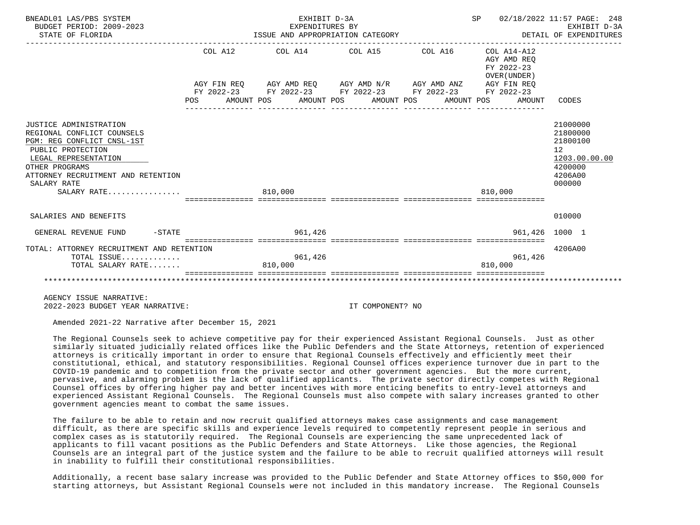| BNEADL01 LAS/PBS SYSTEM<br>BUDGET PERIOD: 2009-2023<br>STATE OF FLORIDA                                                                                                                                               |         | EXHIBIT D-3A<br>EXPENDITURES BY | ISSUE AND APPROPRIATION CATEGORY                                                                                                                                         | SP 02/18/2022 11:57 PAGE: 248<br>DETAIL OF EXPENDITURES | EXHIBIT D-3A                                                                            |
|-----------------------------------------------------------------------------------------------------------------------------------------------------------------------------------------------------------------------|---------|---------------------------------|--------------------------------------------------------------------------------------------------------------------------------------------------------------------------|---------------------------------------------------------|-----------------------------------------------------------------------------------------|
|                                                                                                                                                                                                                       | COL A12 |                                 | $COL A14$ $COL A15$ $COL A16$ $COL A14-A12$                                                                                                                              | AGY AMD REO<br>FY 2022-23<br>OVER (UNDER)               |                                                                                         |
|                                                                                                                                                                                                                       |         |                                 | AGY FIN REQ AGY AMD REQ AGY AMD N/R AGY AMD ANZ AGY FIN REQ<br>FY 2022-23 FY 2022-23 FY 2022-23 FY 2022-23 FY 2022-23<br>POS AMOUNT POS AMOUNT POS AMOUNT POS AMOUNT POS | AMOUNT                                                  | CODES                                                                                   |
| JUSTICE ADMINISTRATION<br>REGIONAL CONFLICT COUNSELS<br>PGM: REG CONFLICT CNSL-1ST<br>PUBLIC PROTECTION<br>LEGAL REPRESENTATION<br>OTHER PROGRAMS<br>ATTORNEY RECRUITMENT AND RETENTION<br>SALARY RATE<br>SALARY RATE |         | ----------------<br>810,000     |                                                                                                                                                                          | 810.000                                                 | 21000000<br>21800000<br>21800100<br>12<br>1203.00.00.00<br>4200000<br>4206A00<br>000000 |
| SALARIES AND BENEFITS                                                                                                                                                                                                 |         |                                 |                                                                                                                                                                          |                                                         | 010000                                                                                  |
| GENERAL REVENUE FUND -STATE                                                                                                                                                                                           |         | 961,426                         |                                                                                                                                                                          | 961,426 1000 1<br>------------ ----------------         |                                                                                         |
| TOTAL: ATTORNEY RECRUITMENT AND RETENTION<br>TOTAL ISSUE<br>TOTAL SALARY RATE                                                                                                                                         |         | 961,426<br>810,000              |                                                                                                                                                                          | 961,426<br>810.000                                      | 4206A00                                                                                 |
|                                                                                                                                                                                                                       |         |                                 |                                                                                                                                                                          |                                                         |                                                                                         |

 AGENCY ISSUE NARRATIVE: 2022-2023 BUDGET YEAR NARRATIVE: IT COMPONENT? NO

Amended 2021-22 Narrative after December 15, 2021

 The Regional Counsels seek to achieve competitive pay for their experienced Assistant Regional Counsels. Just as other similarly situated judicially related offices like the Public Defenders and the State Attorneys, retention of experienced attorneys is critically important in order to ensure that Regional Counsels effectively and efficiently meet their constitutional, ethical, and statutory responsibilities. Regional Counsel offices experience turnover due in part to the COVID-19 pandemic and to competition from the private sector and other government agencies. But the more current, pervasive, and alarming problem is the lack of qualified applicants. The private sector directly competes with Regional Counsel offices by offering higher pay and better incentives with more enticing benefits to entry-level attorneys and experienced Assistant Regional Counsels. The Regional Counsels must also compete with salary increases granted to other government agencies meant to combat the same issues.

 The failure to be able to retain and now recruit qualified attorneys makes case assignments and case management difficult, as there are specific skills and experience levels required to competently represent people in serious and complex cases as is statutorily required. The Regional Counsels are experiencing the same unprecedented lack of applicants to fill vacant positions as the Public Defenders and State Attorneys. Like those agencies, the Regional Counsels are an integral part of the justice system and the failure to be able to recruit qualified attorneys will result in inability to fulfill their constitutional responsibilities.

 Additionally, a recent base salary increase was provided to the Public Defender and State Attorney offices to \$50,000 for starting attorneys, but Assistant Regional Counsels were not included in this mandatory increase. The Regional Counsels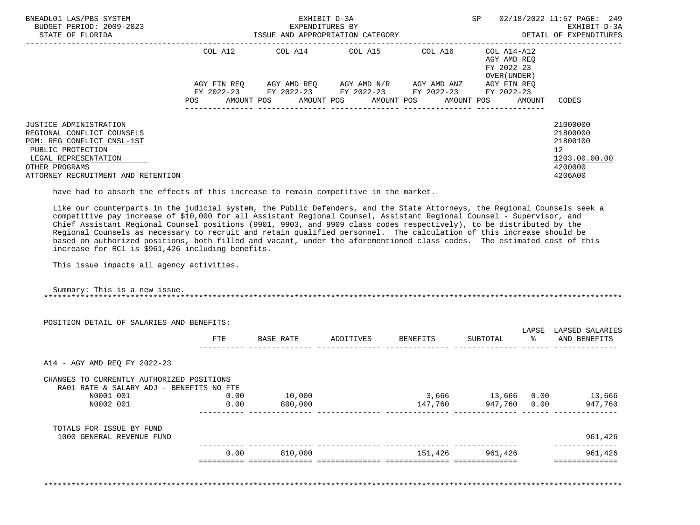| BNEADL01 LAS/PBS SYSTEM<br>BUDGET PERIOD: 2009-2023<br>STATE OF FLORIDA                                                                                                                        | ISSUE AND APPROPRIATION CATEGORY | EXHIBIT D-3A<br>EXPENDITURES BY                                                                   | SP                                  | 02/18/2022 11:57 PAGE: 249<br>EXHIBIT D-3A<br>DETAIL OF EXPENDITURES |                                                          |                                                                                            |
|------------------------------------------------------------------------------------------------------------------------------------------------------------------------------------------------|----------------------------------|---------------------------------------------------------------------------------------------------|-------------------------------------|----------------------------------------------------------------------|----------------------------------------------------------|--------------------------------------------------------------------------------------------|
|                                                                                                                                                                                                | COL A12                          |                                                                                                   | COL A14 COL A15                     | COL A16                                                              | COL A14-A12<br>AGY AMD REO<br>FY 2022-23<br>OVER (UNDER) |                                                                                            |
|                                                                                                                                                                                                | AGY FIN REO<br><b>POS</b>        | FY 2022-23 FY 2022-23 FY 2022-23 FY 2022-23<br>AMOUNT POS AMOUNT POS AMOUNT POS AMOUNT POS AMOUNT | AGY AMD REO AGY AMD N/R AGY AMD ANZ |                                                                      | AGY FIN REO<br>FY 2022-23                                | CODES                                                                                      |
| <b>JUSTICE ADMINISTRATION</b><br>REGIONAL CONFLICT COUNSELS<br>PGM: REG CONFLICT CNSL-1ST<br>PUBLIC PROTECTION<br>LEGAL REPRESENTATION<br>OTHER PROGRAMS<br>ATTORNEY RECRUITMENT AND RETENTION |                                  |                                                                                                   |                                     |                                                                      |                                                          | 21000000<br>21800000<br>21800100<br>12 <sup>°</sup><br>1203.00.00.00<br>4200000<br>4206A00 |

have had to absorb the effects of this increase to remain competitive in the market.

 Like our counterparts in the judicial system, the Public Defenders, and the State Attorneys, the Regional Counsels seek a competitive pay increase of \$10,000 for all Assistant Regional Counsel, Assistant Regional Counsel - Supervisor, and Chief Assistant Regional Counsel positions (9901, 9903, and 9909 class codes respectively), to be distributed by the Regional Counsels as necessary to recruit and retain qualified personnel. The calculation of this increase should be based on authorized positions, both filled and vacant, under the aforementioned class codes. The estimated cost of this increase for RC1 is \$961,426 including benefits.

This issue impacts all agency activities.

 Summary: This is a new issue. \*\*\*\*\*\*\*\*\*\*\*\*\*\*\*\*\*\*\*\*\*\*\*\*\*\*\*\*\*\*\*\*\*\*\*\*\*\*\*\*\*\*\*\*\*\*\*\*\*\*\*\*\*\*\*\*\*\*\*\*\*\*\*\*\*\*\*\*\*\*\*\*\*\*\*\*\*\*\*\*\*\*\*\*\*\*\*\*\*\*\*\*\*\*\*\*\*\*\*\*\*\*\*\*\*\*\*\*\*\*\*\*\*\*\*\*\*\*\*\*\*\*\*\*\*\*\*

| POSITION DETAIL OF SALARIES AND BENEFITS:             |      |           |           |          |             |            |                                 |
|-------------------------------------------------------|------|-----------|-----------|----------|-------------|------------|---------------------------------|
|                                                       | FTE  | BASE RATE | ADDITIVES | BENEFITS | SUBTOTAL    | LAPSE<br>ိ | LAPSED SALARIES<br>AND BENEFITS |
| A14 - AGY AMD REO FY 2022-23                          |      |           |           |          |             |            |                                 |
| CHANGES TO CURRENTLY AUTHORIZED POSITIONS             |      |           |           |          |             |            |                                 |
| RA01 RATE & SALARY ADJ - BENEFITS NO FTE<br>N0001 001 | 0.00 | 10,000    |           | 3,666    | 13,666 0.00 |            | 13,666                          |
| N0002 001                                             | 0.00 | 800,000   |           | 147,760  | 947,760     | 0.00       | 947,760                         |
| TOTALS FOR ISSUE BY FUND                              |      |           |           |          |             |            |                                 |
| 1000 GENERAL REVENUE FUND                             |      |           |           |          |             |            | 961,426                         |
|                                                       |      |           |           |          |             |            |                                 |

\*\*\*\*\*\*\*\*\*\*\*\*\*\*\*\*\*\*\*\*\*\*\*\*\*\*\*\*\*\*\*\*\*\*\*\*\*\*\*\*\*\*\*\*\*\*\*\*\*\*\*\*\*\*\*\*\*\*\*\*\*\*\*\*\*\*\*\*\*\*\*\*\*\*\*\*\*\*\*\*\*\*\*\*\*\*\*\*\*\*\*\*\*\*\*\*\*\*\*\*\*\*\*\*\*\*\*\*\*\*\*\*\*\*\*\*\*\*\*\*\*\*\*\*\*\*\*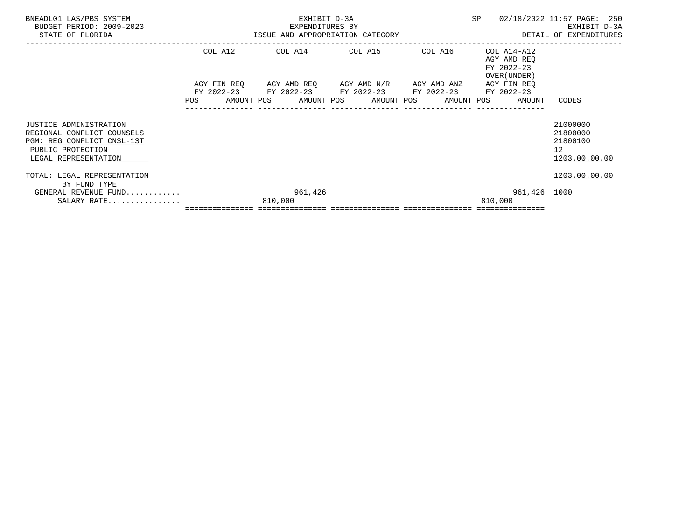| BNEADL01 LAS/PBS SYSTEM<br>BUDGET PERIOD: 2009-2023<br>STATE OF FLORIDA                                                         |                                                                                                                | EXHIBIT D-3A<br>EXPENDITURES BY<br>ISSUE AND APPROPRIATION CATEGORY | SP                                                                                                                                                              |         | 02/18/2022 11:57 PAGE: 250<br>EXHIBIT D-3A<br>DETAIL OF EXPENDITURES |              |                                                                      |
|---------------------------------------------------------------------------------------------------------------------------------|----------------------------------------------------------------------------------------------------------------|---------------------------------------------------------------------|-----------------------------------------------------------------------------------------------------------------------------------------------------------------|---------|----------------------------------------------------------------------|--------------|----------------------------------------------------------------------|
|                                                                                                                                 | COL A12                                                                                                        |                                                                     | COL A14 COL A15                                                                                                                                                 | COL A16 | COL A14-A12<br>AGY AMD REO<br>FY 2022-23<br>OVER (UNDER )            |              |                                                                      |
|                                                                                                                                 | POS FOR THE POST OF THE STATE STATE STATE STATE STATE STATE STATE STATE STATE STATE STATE STATE STATE STATE ST |                                                                     | AGY FIN REQ 6 AGY AMD REQ 6 AGY AMD N/R 66 AGY AMD ANZ<br>FY 2022-23 FY 2022-23 FY 2022-23 FY 2022-23 FY 2022-23<br>AMOUNT POS AMOUNT POS AMOUNT POS AMOUNT POS |         | AGY FIN REO                                                          | AMOUNT       | CODES                                                                |
| JUSTICE ADMINISTRATION<br>REGIONAL CONFLICT COUNSELS<br>PGM: REG CONFLICT CNSL-1ST<br>PUBLIC PROTECTION<br>LEGAL REPRESENTATION |                                                                                                                |                                                                     |                                                                                                                                                                 |         |                                                                      |              | 21000000<br>21800000<br>21800100<br>12 <sup>°</sup><br>1203.00.00.00 |
| TOTAL: LEGAL REPRESENTATION<br>BY FUND TYPE<br>GENERAL REVENUE FUND<br>SALARY RATE                                              |                                                                                                                | 961,426<br>810,000                                                  |                                                                                                                                                                 |         | 810,000                                                              | 961,426 1000 | 1203.00.00.00                                                        |
|                                                                                                                                 |                                                                                                                |                                                                     |                                                                                                                                                                 |         |                                                                      |              |                                                                      |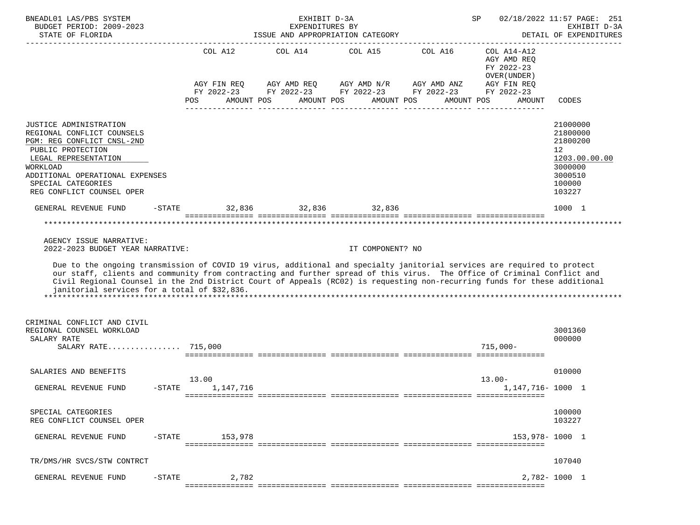| BNEADL01 LAS/PBS SYSTEM<br>BUDGET PERIOD: 2009-2023<br>STATE OF FLORIDA                                                                                                                                                                                                                                                                                                                                                         |           |                                                |            |  | EXHIBIT D-3A<br>EXPENDITURES BY |            | ISSUE AND APPROPRIATION CATEGORY               |            | SP          |                                                                         | 02/18/2022 11:57 PAGE: 251<br>EXHIBIT D-3A<br>DETAIL OF EXPENDITURES<br>-------------------------------- |  |
|---------------------------------------------------------------------------------------------------------------------------------------------------------------------------------------------------------------------------------------------------------------------------------------------------------------------------------------------------------------------------------------------------------------------------------|-----------|------------------------------------------------|------------|--|---------------------------------|------------|------------------------------------------------|------------|-------------|-------------------------------------------------------------------------|----------------------------------------------------------------------------------------------------------|--|
|                                                                                                                                                                                                                                                                                                                                                                                                                                 |           | COL A12 COL A14 COL A15 COL A16<br>AGY FIN REQ |            |  |                                 |            | AGY AMD REQ AGY AMD N/R AGY AMD ANZ            |            |             | COL A14-A12<br>AGY AMD REQ<br>FY 2022-23<br>OVER (UNDER)<br>AGY FIN REQ |                                                                                                          |  |
|                                                                                                                                                                                                                                                                                                                                                                                                                                 |           | FY 2022-23<br>POS                              | AMOUNT POS |  |                                 | AMOUNT POS | FY 2022-23 FY 2022-23 FY 2022-23<br>AMOUNT POS | AMOUNT POS |             | FY 2022-23<br>AMOUNT                                                    | CODES                                                                                                    |  |
| JUSTICE ADMINISTRATION<br>REGIONAL CONFLICT COUNSELS<br>PGM: REG CONFLICT CNSL-2ND<br>PUBLIC PROTECTION<br>LEGAL REPRESENTATION<br>WORKLOAD<br>ADDITIONAL OPERATIONAL EXPENSES<br>SPECIAL CATEGORIES<br>REG CONFLICT COUNSEL OPER                                                                                                                                                                                               |           |                                                |            |  |                                 |            |                                                |            |             |                                                                         | 21000000<br>21800000<br>21800200<br>12<br>1203.00.00.00<br>3000000<br>3000510<br>100000<br>103227        |  |
| GENERAL REVENUE FUND                                                                                                                                                                                                                                                                                                                                                                                                            | $-$ STATE | $32.836$ $32.836$ $32.836$                     |            |  |                                 |            |                                                |            |             |                                                                         | 1000 1                                                                                                   |  |
|                                                                                                                                                                                                                                                                                                                                                                                                                                 |           |                                                |            |  |                                 |            |                                                |            |             |                                                                         |                                                                                                          |  |
| AGENCY ISSUE NARRATIVE:<br>2022-2023 BUDGET YEAR NARRATIVE:                                                                                                                                                                                                                                                                                                                                                                     |           |                                                |            |  |                                 |            | IT COMPONENT? NO                               |            |             |                                                                         |                                                                                                          |  |
| Due to the ongoing transmission of COVID 19 virus, additional and specialty janitorial services are required to protect<br>our staff, clients and community from contracting and further spread of this virus. The Office of Criminal Conflict and<br>Civil Regional Counsel in the 2nd District Court of Appeals (RCO2) is requesting non-recurring funds for these additional<br>janitorial services for a total of \$32,836. |           |                                                |            |  |                                 |            |                                                |            |             |                                                                         |                                                                                                          |  |
| CRIMINAL CONFLICT AND CIVIL<br>REGIONAL COUNSEL WORKLOAD<br>SALARY RATE                                                                                                                                                                                                                                                                                                                                                         |           |                                                |            |  |                                 |            |                                                |            |             |                                                                         | 3001360<br>000000                                                                                        |  |
| SALARY RATE 715,000                                                                                                                                                                                                                                                                                                                                                                                                             |           |                                                |            |  |                                 |            |                                                |            | $715.000 -$ |                                                                         |                                                                                                          |  |
| SALARIES AND BENEFITS                                                                                                                                                                                                                                                                                                                                                                                                           |           |                                                |            |  |                                 |            |                                                |            |             |                                                                         | 010000                                                                                                   |  |
| GENERAL REVENUE FUND                                                                                                                                                                                                                                                                                                                                                                                                            | $-$ STATE | 13.00                                          | 1,147,716  |  |                                 |            |                                                |            | $13.00 -$   | 1, 147, 716 - 1000 1                                                    |                                                                                                          |  |
| SPECIAL CATEGORIES<br>REG CONFLICT COUNSEL OPER                                                                                                                                                                                                                                                                                                                                                                                 |           |                                                |            |  |                                 |            |                                                |            |             |                                                                         | 100000<br>103227                                                                                         |  |
| GENERAL REVENUE FUND                                                                                                                                                                                                                                                                                                                                                                                                            | $-$ STATE |                                                | 153,978    |  |                                 |            |                                                |            |             | 153,978-1000 1                                                          |                                                                                                          |  |
| TR/DMS/HR SVCS/STW CONTRCT                                                                                                                                                                                                                                                                                                                                                                                                      |           |                                                |            |  |                                 |            |                                                |            |             |                                                                         | 107040                                                                                                   |  |
| GENERAL REVENUE FUND                                                                                                                                                                                                                                                                                                                                                                                                            | $-$ STATE |                                                | 2,782      |  |                                 |            |                                                |            |             |                                                                         | 2,782-1000 1                                                                                             |  |
|                                                                                                                                                                                                                                                                                                                                                                                                                                 |           |                                                |            |  |                                 |            |                                                |            |             |                                                                         |                                                                                                          |  |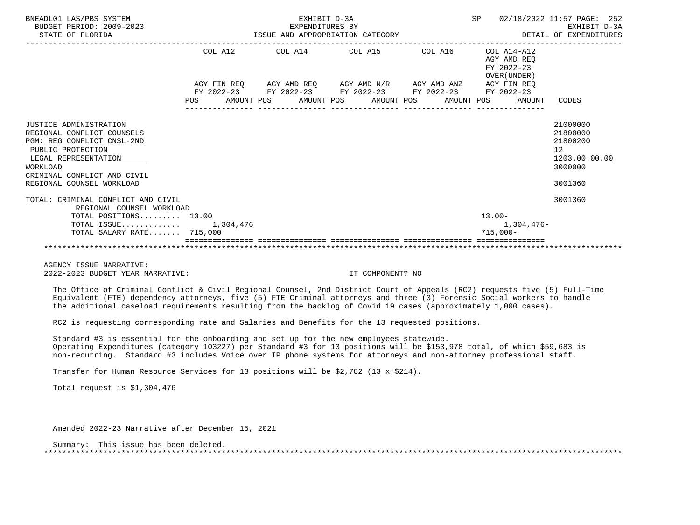| BNEADL01 LAS/PBS SYSTEM<br>BUDGET PERIOD: 2009-2023<br>STATE OF FLORIDA                                                                                                                                               | EXHIBIT D-3A<br>EXPENDITURES BY<br>ISSUE AND APPROPRIATION CATEGORY |  |  |                                                                                                                                                                                                                                                                                                                                                                                                                                                            |                                 |  |  |  |            |                                                          | SP 02/18/2022 11:57 PAGE: 252<br>EXHIBIT D-3A<br>DETAIL OF EXPENDITURES       |
|-----------------------------------------------------------------------------------------------------------------------------------------------------------------------------------------------------------------------|---------------------------------------------------------------------|--|--|------------------------------------------------------------------------------------------------------------------------------------------------------------------------------------------------------------------------------------------------------------------------------------------------------------------------------------------------------------------------------------------------------------------------------------------------------------|---------------------------------|--|--|--|------------|----------------------------------------------------------|-------------------------------------------------------------------------------|
|                                                                                                                                                                                                                       |                                                                     |  |  |                                                                                                                                                                                                                                                                                                                                                                                                                                                            | COL A12 COL A14 COL A15 COL A16 |  |  |  |            | COL A14-A12<br>AGY AMD REO<br>FY 2022-23<br>OVER (UNDER) |                                                                               |
|                                                                                                                                                                                                                       |                                                                     |  |  | $\verb AGY FIN REQ  \qquad \verb AGY AMD REQ  \qquad \verb AGY AMD N/R  \qquad \verb AGY AMD ANZ  \qquad \verb AGY FIN REQ  \qquad \verb AGY AMD ANZ  \qquad \verb AGY FIN REQ  \qquad \verb AGY AMD ANZ  \qquad \verb AGY EN REQ  \qquad \verb AGY AMD ANZ  \qquad \verb AGY EN REQ  \qquad \verb AGY AMD ANZ  \qquad \verb AGY EN REQ  \qquad \verb AdS: ASSR  \qquad \verb AdS: ASSR  \qquad \verb AdS: ASSR  \qquad \verb AdS: ASSR  \qquad \verb AdS$ |                                 |  |  |  |            |                                                          |                                                                               |
|                                                                                                                                                                                                                       |                                                                     |  |  | FY 2022-23 FY 2022-23 FY 2022-23 FY 2022-23 FY 2022-23<br>POS AMOUNT POS AMOUNT POS AMOUNT POS AMOUNT POS AMOUNT CODES<br>________________                                                                                                                                                                                                                                                                                                                 |                                 |  |  |  |            |                                                          |                                                                               |
| <b>JUSTICE ADMINISTRATION</b><br>REGIONAL CONFLICT COUNSELS<br>PGM: REG CONFLICT CNSL-2ND<br>PUBLIC PROTECTION<br>LEGAL REPRESENTATION<br><b>WORKLOAD</b><br>CRIMINAL CONFLICT AND CIVIL<br>REGIONAL COUNSEL WORKLOAD |                                                                     |  |  |                                                                                                                                                                                                                                                                                                                                                                                                                                                            |                                 |  |  |  |            |                                                          | 21000000<br>21800000<br>21800200<br>12<br>1203.00.00.00<br>3000000<br>3001360 |
| TOTAL: CRIMINAL CONFLICT AND CIVIL<br>REGIONAL COUNSEL WORKLOAD                                                                                                                                                       |                                                                     |  |  |                                                                                                                                                                                                                                                                                                                                                                                                                                                            |                                 |  |  |  |            |                                                          | 3001360                                                                       |
| TOTAL POSITIONS 13.00                                                                                                                                                                                                 |                                                                     |  |  |                                                                                                                                                                                                                                                                                                                                                                                                                                                            |                                 |  |  |  | $13.00 -$  |                                                          |                                                                               |
| TOTAL ISSUE $1,304,476$                                                                                                                                                                                               |                                                                     |  |  |                                                                                                                                                                                                                                                                                                                                                                                                                                                            |                                 |  |  |  |            | 1,304,476-                                               |                                                                               |
| $TOTAL$ SALARY RATE $715.000$                                                                                                                                                                                         |                                                                     |  |  |                                                                                                                                                                                                                                                                                                                                                                                                                                                            |                                 |  |  |  | $715,000-$ |                                                          |                                                                               |
|                                                                                                                                                                                                                       |                                                                     |  |  |                                                                                                                                                                                                                                                                                                                                                                                                                                                            |                                 |  |  |  |            |                                                          |                                                                               |

 AGENCY ISSUE NARRATIVE: 2022-2023 BUDGET YEAR NARRATIVE: IT COMPONENT? NO

 The Office of Criminal Conflict & Civil Regional Counsel, 2nd District Court of Appeals (RC2) requests five (5) Full-Time Equivalent (FTE) dependency attorneys, five (5) FTE Criminal attorneys and three (3) Forensic Social workers to handle the additional caseload requirements resulting from the backlog of Covid 19 cases (approximately 1,000 cases).

RC2 is requesting corresponding rate and Salaries and Benefits for the 13 requested positions.

 Standard #3 is essential for the onboarding and set up for the new employees statewide. Operating Expenditures (category 103227) per Standard #3 for 13 positions will be \$153,978 total, of which \$59,683 is non-recurring. Standard #3 includes Voice over IP phone systems for attorneys and non-attorney professional staff.

Transfer for Human Resource Services for 13 positions will be \$2,782 (13 x \$214).

Total request is \$1,304,476

Amended 2022-23 Narrative after December 15, 2021

 Summary: This issue has been deleted. \*\*\*\*\*\*\*\*\*\*\*\*\*\*\*\*\*\*\*\*\*\*\*\*\*\*\*\*\*\*\*\*\*\*\*\*\*\*\*\*\*\*\*\*\*\*\*\*\*\*\*\*\*\*\*\*\*\*\*\*\*\*\*\*\*\*\*\*\*\*\*\*\*\*\*\*\*\*\*\*\*\*\*\*\*\*\*\*\*\*\*\*\*\*\*\*\*\*\*\*\*\*\*\*\*\*\*\*\*\*\*\*\*\*\*\*\*\*\*\*\*\*\*\*\*\*\*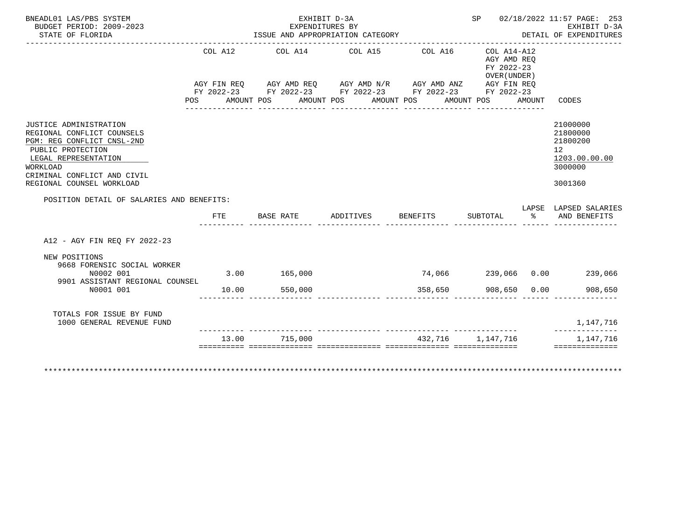| BUDGET PERIOD: 2009-2023<br>STATE OF FLORIDA                                                                                                                                                                   |                | EXHIBIT D-3A<br>ISSUE AND APPROPRIATION CATEGORY                                                                                                                  | EXPENDITURES BY    |                                  |                                                          |             | SP 02/18/2022 11:57 PAGE: 253<br>EXHIBIT D-3A<br>DETAIL OF EXPENDITURES                    |
|----------------------------------------------------------------------------------------------------------------------------------------------------------------------------------------------------------------|----------------|-------------------------------------------------------------------------------------------------------------------------------------------------------------------|--------------------|----------------------------------|----------------------------------------------------------|-------------|--------------------------------------------------------------------------------------------|
|                                                                                                                                                                                                                | COL A12<br>POS | COL A14 COL A15<br>AGY FIN REQ AGY AMD REQ AGY AMD N/R AGY AMD ANZ AGY FIN REQ<br>FY 2022-23 FY 2022-23 FY 2022-23 FY 2022-23 FY 2022-23<br>AMOUNT POS AMOUNT POS |                    | COL A16<br>AMOUNT POS AMOUNT POS | COL A14-A12<br>AGY AMD REO<br>FY 2022-23<br>OVER (UNDER) | AMOUNT      | CODES                                                                                      |
| <b>JUSTICE ADMINISTRATION</b><br>REGIONAL CONFLICT COUNSELS<br>PGM: REG CONFLICT CNSL-2ND<br>PUBLIC PROTECTION<br>LEGAL REPRESENTATION<br>WORKLOAD<br>CRIMINAL CONFLICT AND CIVIL<br>REGIONAL COUNSEL WORKLOAD |                |                                                                                                                                                                   |                    |                                  |                                                          |             | 21000000<br>21800000<br>21800200<br>12 <sup>°</sup><br>1203.00.00.00<br>3000000<br>3001360 |
| POSITION DETAIL OF SALARIES AND BENEFITS:                                                                                                                                                                      |                |                                                                                                                                                                   |                    |                                  |                                                          |             |                                                                                            |
|                                                                                                                                                                                                                |                |                                                                                                                                                                   |                    |                                  |                                                          |             | LAPSE LAPSED SALARIES                                                                      |
|                                                                                                                                                                                                                | <b>FTE</b>     | BASE RATE                                                                                                                                                         | ADDITIVES BENEFITS |                                  | SUBTOTAL                                                 | $rac{8}{6}$ | AND BENEFITS                                                                               |
| A12 - AGY FIN REO FY 2022-23<br>NEW POSITIONS<br>9668 FORENSIC SOCIAL WORKER<br>N0002 001<br>9901 ASSISTANT REGIONAL COUNSEL                                                                                   | 3.00 165,000   |                                                                                                                                                                   |                    |                                  |                                                          |             | 74,066  239,066  0.00  239,066                                                             |
| N0001 001<br>TOTALS FOR ISSUE BY FUND<br>1000 GENERAL REVENUE FUND                                                                                                                                             | 10.00          | 550,000                                                                                                                                                           |                    | 358,650                          | 908,650 0.00                                             |             | 908,650<br>1,147,716<br>--------------                                                     |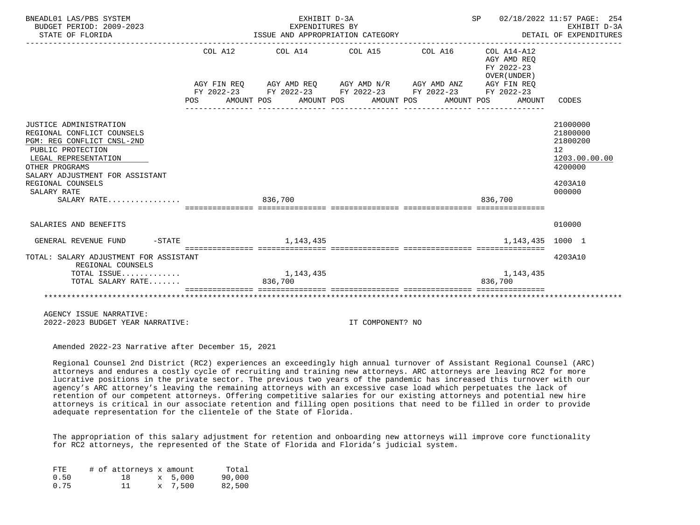| BNEADL01 LAS/PBS SYSTEM<br>BUDGET PERIOD: 2009-2023                                                                                                                                                                                     |            | EXHIBIT D-3A<br>EXPENDITURES BY                                                                            |                  |            | SP 02/18/2022 11:57 PAGE: 254             | EXHIBIT D-3A                                                                            |  |  |  |
|-----------------------------------------------------------------------------------------------------------------------------------------------------------------------------------------------------------------------------------------|------------|------------------------------------------------------------------------------------------------------------|------------------|------------|-------------------------------------------|-----------------------------------------------------------------------------------------|--|--|--|
| STATE OF FLORIDA                                                                                                                                                                                                                        |            | ISSUE AND APPROPRIATION CATEGORY<br>DETAIL OF EXPENDITURES                                                 |                  |            |                                           |                                                                                         |  |  |  |
|                                                                                                                                                                                                                                         |            | COL A12 COL A14 COL A15 COL A16 COL A14-A12<br>AGY FIN REQ AGY AMD REQ AGY AMD N/R AGY AMD ANZ AGY FIN REQ |                  |            | AGY AMD REO<br>FY 2022-23<br>OVER (UNDER) |                                                                                         |  |  |  |
|                                                                                                                                                                                                                                         | <b>POS</b> | FY 2022-23 FY 2022-23 FY 2022-23 FY 2022-23 FY 2022-23<br>AMOUNT POS AMOUNT POS AMOUNT POS                 |                  | AMOUNT POS | AMOUNT                                    | CODES                                                                                   |  |  |  |
|                                                                                                                                                                                                                                         |            |                                                                                                            |                  |            |                                           |                                                                                         |  |  |  |
| JUSTICE ADMINISTRATION<br>REGIONAL CONFLICT COUNSELS<br>PGM: REG CONFLICT CNSL-2ND<br>PUBLIC PROTECTION<br>LEGAL REPRESENTATION<br>OTHER PROGRAMS<br>SALARY ADJUSTMENT FOR ASSISTANT<br>REGIONAL COUNSELS<br>SALARY RATE<br>SALARY RATE |            | 836,700                                                                                                    |                  |            | 836,700                                   | 21000000<br>21800000<br>21800200<br>12<br>1203.00.00.00<br>4200000<br>4203A10<br>000000 |  |  |  |
|                                                                                                                                                                                                                                         |            |                                                                                                            |                  |            |                                           |                                                                                         |  |  |  |
| SALARIES AND BENEFITS                                                                                                                                                                                                                   |            |                                                                                                            |                  |            |                                           | 010000                                                                                  |  |  |  |
| $-$ STATE<br>GENERAL REVENUE FUND                                                                                                                                                                                                       |            | 1, 143, 435                                                                                                |                  |            | 1,143,435                                 | 1000 1                                                                                  |  |  |  |
| TOTAL: SALARY ADJUSTMENT FOR ASSISTANT<br>REGIONAL COUNSELS                                                                                                                                                                             |            |                                                                                                            |                  |            |                                           | 4203A10                                                                                 |  |  |  |
| TOTAL ISSUE<br>TOTAL SALARY RATE                                                                                                                                                                                                        |            | 1,143,435<br>836,700                                                                                       |                  |            | 1,143,435<br>836,700                      |                                                                                         |  |  |  |
|                                                                                                                                                                                                                                         |            |                                                                                                            |                  |            |                                           |                                                                                         |  |  |  |
| AGENCY ISSUE NARRATIVE:<br>2022-2023 BUDGET YEAR NARRATIVE:                                                                                                                                                                             |            |                                                                                                            | IT COMPONENT? NO |            |                                           |                                                                                         |  |  |  |

Amended 2022-23 Narrative after December 15, 2021

 Regional Counsel 2nd District (RC2) experiences an exceedingly high annual turnover of Assistant Regional Counsel (ARC) attorneys and endures a costly cycle of recruiting and training new attorneys. ARC attorneys are leaving RC2 for more lucrative positions in the private sector. The previous two years of the pandemic has increased this turnover with our agency's ARC attorney's leaving the remaining attorneys with an excessive case load which perpetuates the lack of retention of our competent attorneys. Offering competitive salaries for our existing attorneys and potential new hire attorneys is critical in our associate retention and filling open positions that need to be filled in order to provide adequate representation for the clientele of the State of Florida.

 The appropriation of this salary adjustment for retention and onboarding new attorneys will improve core functionality for RC2 attorneys, the represented of the State of Florida and Florida's judicial system.

| FTE  |  | # of attorneys x amount |         | Total  |
|------|--|-------------------------|---------|--------|
| 0.50 |  | 18                      | x 5,000 | 90,000 |
| 0.75 |  | 11                      | x 7,500 | 82,500 |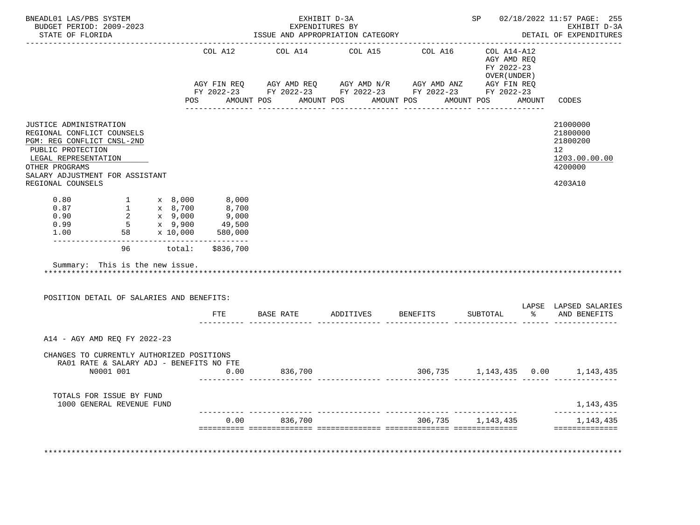| COL A12<br>JUSTICE ADMINISTRATION<br>REGIONAL CONFLICT COUNSELS<br>PGM: REG CONFLICT CNSL-2ND<br>PUBLIC PROTECTION<br>LEGAL REPRESENTATION<br>OTHER PROGRAMS<br>SALARY ADJUSTMENT FOR ASSISTANT<br>REGIONAL COUNSELS<br>$0.80$ $1$ $x$ $8,000$ $8,000$<br>96 total: \$836,700<br>Summary: This is the new issue.<br>POSITION DETAIL OF SALARIES AND BENEFITS:<br>FTE | 8,700<br>9,000<br>49,500<br>580,000 |         | COL A14 COL A15 COL A16<br>AGY FIN REQ AGY AMD REQ AGY AMD N/R AGY AMD ANZ AGY FIN REQ<br>FY 2022-23 FY 2022-23 FY 2022-23 FY 2022-23 FY 2022-23<br>POS AMOUNT POS AMOUNT POS AMOUNT POS AMOUNT POS AMOUNT CODES | COL A14-A12<br>AGY AMD REQ<br>FY 2022-23<br>OVER (UNDER ) | 21000000<br>21800000<br>21800200<br>12 <sup>°</sup><br>1203.00.00.00<br>4200000<br>4203A10 |
|----------------------------------------------------------------------------------------------------------------------------------------------------------------------------------------------------------------------------------------------------------------------------------------------------------------------------------------------------------------------|-------------------------------------|---------|------------------------------------------------------------------------------------------------------------------------------------------------------------------------------------------------------------------|-----------------------------------------------------------|--------------------------------------------------------------------------------------------|
|                                                                                                                                                                                                                                                                                                                                                                      |                                     |         |                                                                                                                                                                                                                  |                                                           |                                                                                            |
|                                                                                                                                                                                                                                                                                                                                                                      |                                     |         |                                                                                                                                                                                                                  |                                                           |                                                                                            |
|                                                                                                                                                                                                                                                                                                                                                                      |                                     |         |                                                                                                                                                                                                                  |                                                           |                                                                                            |
|                                                                                                                                                                                                                                                                                                                                                                      |                                     |         |                                                                                                                                                                                                                  |                                                           |                                                                                            |
|                                                                                                                                                                                                                                                                                                                                                                      |                                     |         |                                                                                                                                                                                                                  |                                                           |                                                                                            |
|                                                                                                                                                                                                                                                                                                                                                                      |                                     |         |                                                                                                                                                                                                                  |                                                           |                                                                                            |
|                                                                                                                                                                                                                                                                                                                                                                      |                                     |         |                                                                                                                                                                                                                  |                                                           |                                                                                            |
|                                                                                                                                                                                                                                                                                                                                                                      |                                     |         |                                                                                                                                                                                                                  |                                                           |                                                                                            |
|                                                                                                                                                                                                                                                                                                                                                                      |                                     |         | BASE RATE ADDITIVES BENEFITS                                                                                                                                                                                     | SUBTOTAL                                                  | LAPSE LAPSED SALARIES<br>% AND BENEFITS                                                    |
| A14 - AGY AMD REQ FY 2022-23                                                                                                                                                                                                                                                                                                                                         |                                     |         |                                                                                                                                                                                                                  |                                                           |                                                                                            |
| CHANGES TO CURRENTLY AUTHORIZED POSITIONS<br>RA01 RATE & SALARY ADJ - BENEFITS NO FTE<br>N0001 001<br>0.00                                                                                                                                                                                                                                                           |                                     | 836,700 | $306,735$ 1,143,435 0.00 1,143,435                                                                                                                                                                               |                                                           |                                                                                            |
|                                                                                                                                                                                                                                                                                                                                                                      |                                     |         |                                                                                                                                                                                                                  |                                                           |                                                                                            |
| TOTALS FOR ISSUE BY FUND<br>1000 GENERAL REVENUE FUND                                                                                                                                                                                                                                                                                                                |                                     |         |                                                                                                                                                                                                                  |                                                           | 1,143,435                                                                                  |
|                                                                                                                                                                                                                                                                                                                                                                      | 0.00                                | 836,700 | 306,735                                                                                                                                                                                                          | 1,143,435                                                 | 1,143,435<br>==============                                                                |
|                                                                                                                                                                                                                                                                                                                                                                      |                                     |         |                                                                                                                                                                                                                  |                                                           |                                                                                            |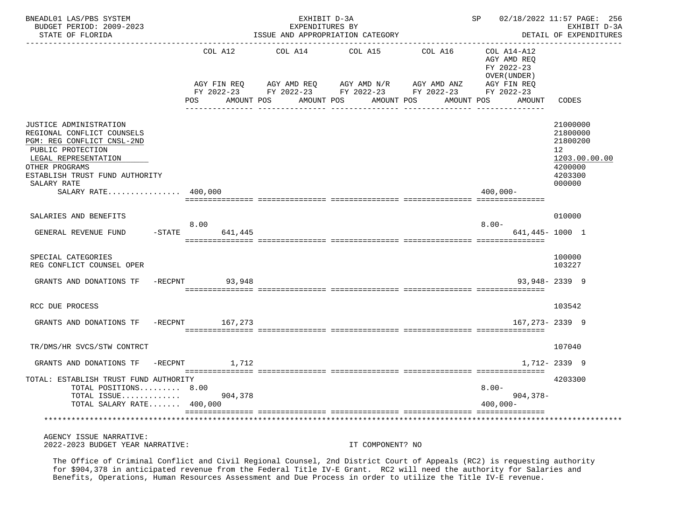| BNEADL01 LAS/PBS SYSTEM<br>BUDGET PERIOD: 2009-2023<br>STATE OF FLORIDA                                                                                                             |          |                                                                                     |         | EXHIBIT D-3A<br>EXPENDITURES BY | ISSUE AND APPROPRIATION CATEGORY                           |            |                         |                                            |                                                                           | SP 02/18/2022 11:57 PAGE: 256<br>EXHIBIT D-3A<br>DETAIL OF EXPENDITURES |
|-------------------------------------------------------------------------------------------------------------------------------------------------------------------------------------|----------|-------------------------------------------------------------------------------------|---------|---------------------------------|------------------------------------------------------------|------------|-------------------------|--------------------------------------------|---------------------------------------------------------------------------|-------------------------------------------------------------------------|
|                                                                                                                                                                                     |          | COL A12                                                                             | COL A14 |                                 | COL A15                                                    | COL A16    | FY 2022-23              | COL A14-A12<br>AGY AMD REO<br>OVER (UNDER) |                                                                           |                                                                         |
|                                                                                                                                                                                     | POS      | AGY FIN REQ<br>FY 2022-23 FY 2022-23 FY 2022-23 FY 2022-23 FY 2022-23<br>AMOUNT POS |         | AMOUNT POS                      | AGY AMD REQ      AGY AMD N/R     AGY AMD ANZ<br>AMOUNT POS | AMOUNT POS |                         | AGY FIN REQ<br>AMOUNT CODES                |                                                                           |                                                                         |
| JUSTICE ADMINISTRATION<br>REGIONAL CONFLICT COUNSELS<br>PGM: REG CONFLICT CNSL-2ND<br>PUBLIC PROTECTION<br>LEGAL REPRESENTATION<br>OTHER PROGRAMS<br>ESTABLISH TRUST FUND AUTHORITY |          |                                                                                     |         |                                 |                                                            |            |                         |                                            | 21000000<br>21800000<br>21800200<br>12 <sup>°</sup><br>4200000<br>4203300 | 1203.00.00.00                                                           |
| SALARY RATE<br>SALARY RATE $400,000$                                                                                                                                                |          |                                                                                     |         |                                 |                                                            |            | $400,000 -$             |                                            | 000000                                                                    |                                                                         |
| SALARIES AND BENEFITS                                                                                                                                                               | 8.00     |                                                                                     |         |                                 |                                                            |            | $8.00 -$                |                                            | 010000                                                                    |                                                                         |
| GENERAL REVENUE FUND                                                                                                                                                                | $-STATE$ | 641,445                                                                             |         |                                 |                                                            |            |                         | 641,445-1000 1                             |                                                                           |                                                                         |
| SPECIAL CATEGORIES<br>REG CONFLICT COUNSEL OPER                                                                                                                                     |          |                                                                                     |         |                                 |                                                            |            |                         |                                            | 100000<br>103227                                                          |                                                                         |
| GRANTS AND DONATIONS TF<br>$-{\rm RECPNT}$                                                                                                                                          |          | 93,948                                                                              |         |                                 |                                                            |            |                         | $93,948 - 2339$ 9                          |                                                                           |                                                                         |
| RCC DUE PROCESS                                                                                                                                                                     |          |                                                                                     |         |                                 |                                                            |            |                         |                                            | 103542                                                                    |                                                                         |
| GRANTS AND DONATIONS TF                                                                                                                                                             |          | -RECPNT 167,273                                                                     |         |                                 |                                                            |            |                         | 167, 273 - 2339 9                          |                                                                           |                                                                         |
| TR/DMS/HR SVCS/STW CONTRCT                                                                                                                                                          |          |                                                                                     |         |                                 |                                                            |            |                         |                                            | 107040                                                                    |                                                                         |
| GRANTS AND DONATIONS TF                                                                                                                                                             |          | $-RECPNT$ 1,712                                                                     |         |                                 |                                                            |            |                         |                                            | 1,712-2339 9                                                              |                                                                         |
| TOTAL: ESTABLISH TRUST FUND AUTHORITY<br>TOTAL POSITIONS 8.00<br>TOTAL ISSUE<br>TOTAL SALARY RATE 400,000                                                                           |          | 904,378                                                                             |         |                                 |                                                            |            | $8.00 -$<br>$400.000 -$ | $904,378-$                                 | 4203300                                                                   |                                                                         |
|                                                                                                                                                                                     |          |                                                                                     |         |                                 |                                                            |            |                         |                                            |                                                                           |                                                                         |
| AGENCY ISSUE NARRATIVE:<br>2022-2023 BUDGET YEAR NARRATIVE:                                                                                                                         |          |                                                                                     |         |                                 | IT COMPONENT? NO                                           |            |                         |                                            |                                                                           |                                                                         |

 The Office of Criminal Conflict and Civil Regional Counsel, 2nd District Court of Appeals (RC2) is requesting authority for \$904,378 in anticipated revenue from the Federal Title IV-E Grant. RC2 will need the authority for Salaries and Benefits, Operations, Human Resources Assessment and Due Process in order to utilize the Title IV-E revenue.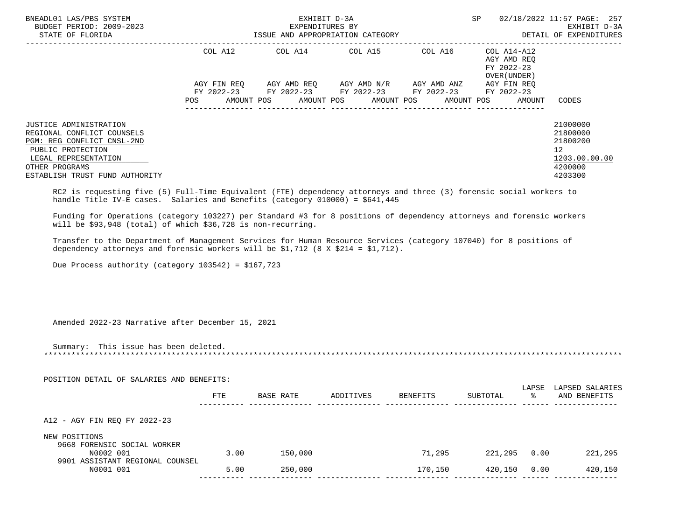| BNEADL01 LAS/PBS SYSTEM<br>BUDGET PERIOD: 2009-2023<br>STATE OF FLORIDA<br>---------------                                                                                                               |      |           | EXHIBIT D-3A<br>EXPENDITURES BY<br>ISSUE AND APPROPRIATION CATEGORY                                                                                                                                                     |                 |                                            |        | SP 02/18/2022 11:57 PAGE: 257<br>EXHIBIT D-3A<br>DETAIL OF EXPENDITURES       |
|----------------------------------------------------------------------------------------------------------------------------------------------------------------------------------------------------------|------|-----------|-------------------------------------------------------------------------------------------------------------------------------------------------------------------------------------------------------------------------|-----------------|--------------------------------------------|--------|-------------------------------------------------------------------------------|
|                                                                                                                                                                                                          |      |           | COL A12 COL A14 COL A15 COL A16 COL A14-A12<br>AGY FIN REQ AGY AMD REQ AGY AMD N/R AGY AMD ANZ AGY FIN REQ<br>FY 2022-23 FY 2022-23 FY 2022-23 FY 2022-23 FY 2022-23<br>POS AMOUNT POS AMOUNT POS AMOUNT POS AMOUNT POS |                 | AGY AMD REQ<br>FY 2022-23<br>OVER (UNDER ) | AMOUNT | <b>CODES</b>                                                                  |
| JUSTICE ADMINISTRATION<br>REGIONAL CONFLICT COUNSELS<br>PGM: REG CONFLICT CNSL-2ND<br>PUBLIC PROTECTION<br>LEGAL REPRESENTATION<br>OTHER PROGRAMS<br>ESTABLISH TRUST FUND AUTHORITY                      |      |           |                                                                                                                                                                                                                         |                 |                                            |        | 21000000<br>21800000<br>21800200<br>12<br>1203.00.00.00<br>4200000<br>4203300 |
| RC2 is requesting five (5) Full-Time Equivalent (FTE) dependency attorneys and three (3) forensic social workers to<br>handle Title IV-E cases. Salaries and Benefits (category 010000) = \$641,445      |      |           |                                                                                                                                                                                                                         |                 |                                            |        |                                                                               |
| Funding for Operations (category 103227) per Standard #3 for 8 positions of dependency attorneys and forensic workers<br>will be \$93,948 (total) of which \$36,728 is non-recurring.                    |      |           |                                                                                                                                                                                                                         |                 |                                            |        |                                                                               |
| Transfer to the Department of Management Services for Human Resource Services (category 107040) for 8 positions of<br>dependency attorneys and forensic workers will be $$1,712$ (8 X $$214 = $1,712$ ). |      |           |                                                                                                                                                                                                                         |                 |                                            |        |                                                                               |
| Due Process authority (category $103542$ ) = \$167,723                                                                                                                                                   |      |           |                                                                                                                                                                                                                         |                 |                                            |        |                                                                               |
| Amended 2022-23 Narrative after December 15, 2021                                                                                                                                                        |      |           |                                                                                                                                                                                                                         |                 |                                            |        |                                                                               |
| Summary: This issue has been deleted.                                                                                                                                                                    |      |           |                                                                                                                                                                                                                         |                 |                                            |        |                                                                               |
| POSITION DETAIL OF SALARIES AND BENEFITS:                                                                                                                                                                |      |           |                                                                                                                                                                                                                         |                 |                                            |        |                                                                               |
|                                                                                                                                                                                                          | FTE  | BASE RATE | ADDITIVES                                                                                                                                                                                                               | <b>BENEFITS</b> | SUBTOTAL                                   |        | LAPSE LAPSED SALARIES<br>AND BENEFITS                                         |
| A12 - AGY FIN REQ FY 2022-23                                                                                                                                                                             |      |           |                                                                                                                                                                                                                         |                 |                                            |        |                                                                               |
| NEW POSITIONS<br>9668 FORENSIC SOCIAL WORKER<br>N0002 001                                                                                                                                                | 3.00 | 150,000   |                                                                                                                                                                                                                         | 71,295          | 221,295 0.00                               |        | 221,295                                                                       |
| 9901 ASSISTANT REGIONAL COUNSEL<br>N0001 001                                                                                                                                                             | 5.00 | 250,000   |                                                                                                                                                                                                                         | 170,150         | 420,150                                    | 0.00   | 420,150                                                                       |
|                                                                                                                                                                                                          |      |           |                                                                                                                                                                                                                         |                 |                                            |        |                                                                               |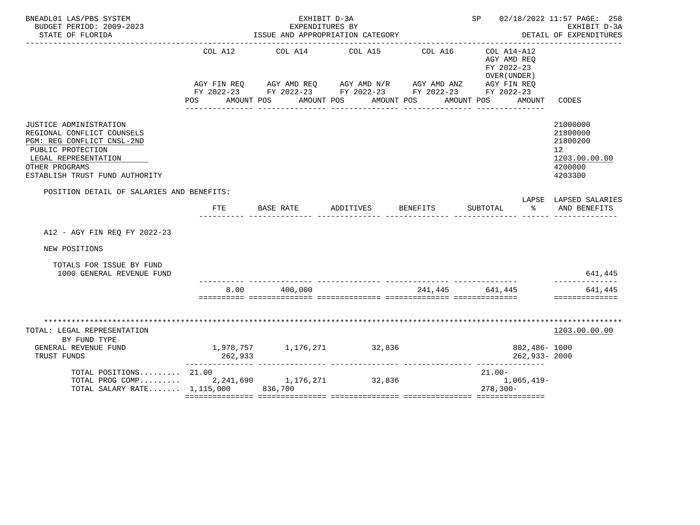| BNEADL01 LAS/PBS SYSTEM<br>BUDGET PERIOD: 2009-2023<br>STATE OF FLORIDA                                                                                                             |                    | EXHIBIT D-3A<br>EXPENDITURES BY          | ISSUE AND APPROPRIATION CATEGORY                                                                                      |                       | SP 02/18/2022 11:57 PAGE: 258                                          | EXHIBIT D-3A<br>DETAIL OF EXPENDITURES                                                     |
|-------------------------------------------------------------------------------------------------------------------------------------------------------------------------------------|--------------------|------------------------------------------|-----------------------------------------------------------------------------------------------------------------------|-----------------------|------------------------------------------------------------------------|--------------------------------------------------------------------------------------------|
|                                                                                                                                                                                     | COL A12<br>POS FOR | COL A14 COL A15<br>AMOUNT POS AMOUNT POS | AGY FIN REQ AGY AMD REQ AGY AMD N/R AGY AMD ANZ AGY FIN REQ<br>FY 2022-23 FY 2022-23 FY 2022-23 FY 2022-23 FY 2022-23 | COL A16<br>AMOUNT POS | COL A14-A12<br>AGY AMD REQ<br>FY 2022-23<br>OVER (UNDER)<br>AMOUNT POS | AMOUNT CODES                                                                               |
| JUSTICE ADMINISTRATION<br>REGIONAL CONFLICT COUNSELS<br>PGM: REG CONFLICT CNSL-2ND<br>PUBLIC PROTECTION<br>LEGAL REPRESENTATION<br>OTHER PROGRAMS<br>ESTABLISH TRUST FUND AUTHORITY |                    |                                          |                                                                                                                       |                       |                                                                        | 21000000<br>21800000<br>21800200<br>12 <sup>°</sup><br>1203.00.00.00<br>4200000<br>4203300 |
| POSITION DETAIL OF SALARIES AND BENEFITS:                                                                                                                                           |                    |                                          |                                                                                                                       |                       |                                                                        | LAPSE LAPSED SALARIES                                                                      |
|                                                                                                                                                                                     | FTE                |                                          | BASE RATE ADDITIVES BENEFITS                                                                                          |                       | SUBTOTAL % AND BENEFITS                                                |                                                                                            |
| A12 - AGY FIN REO FY 2022-23                                                                                                                                                        |                    |                                          |                                                                                                                       |                       |                                                                        |                                                                                            |
| NEW POSITIONS                                                                                                                                                                       |                    |                                          |                                                                                                                       |                       |                                                                        |                                                                                            |
| TOTALS FOR ISSUE BY FUND<br>1000 GENERAL REVENUE FUND                                                                                                                               |                    |                                          |                                                                                                                       |                       |                                                                        | 641,445                                                                                    |
|                                                                                                                                                                                     | 8.00               | 400,000                                  |                                                                                                                       | 241,445 641,445       |                                                                        | 641,445<br>==============                                                                  |
| TOTAL: LEGAL REPRESENTATION<br>BY FUND TYPE<br>GENERAL REVENUE FUND                                                                                                                 |                    |                                          | 1,978,757 1,176,271 32,836                                                                                            |                       | 802,486- 1000                                                          | 1203.00.00.00                                                                              |
| TRUST FUNDS                                                                                                                                                                         | 262,933            |                                          |                                                                                                                       |                       | 262,933- 2000                                                          |                                                                                            |
| TOTAL POSITIONS $21.00$<br>TOTAL PROG COMP 2, 241, 690 1, 176, 271 32, 836<br>TOTAL SALARY RATE 1,115,000 836,700                                                                   |                    |                                          |                                                                                                                       |                       | 21.00-<br>$1,065,419-$<br>$278, 300 -$                                 |                                                                                            |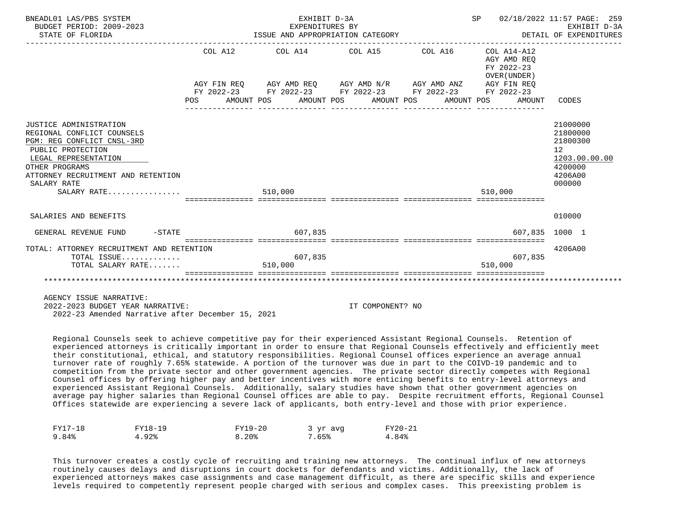| BNEADL01 LAS/PBS SYSTEM<br>BUDGET PERIOD: 2009-2023<br>STATE OF FLORIDA<br>------------------                                                                                                                           |         | EXHIBIT D-3A<br>EXPENDITURES BY | ISSUE AND APPROPRIATION CATEGORY                                                                                      | SP 02/18/2022 11:57 PAGE: 259<br>DETAIL OF EXPENDITURES  | EXHIBIT D-3A                                                                            |
|-------------------------------------------------------------------------------------------------------------------------------------------------------------------------------------------------------------------------|---------|---------------------------------|-----------------------------------------------------------------------------------------------------------------------|----------------------------------------------------------|-----------------------------------------------------------------------------------------|
|                                                                                                                                                                                                                         | COL A12 |                                 | COL A14 COL A15 COL A16                                                                                               | COL A14-A12<br>AGY AMD REO<br>FY 2022-23<br>OVER (UNDER) |                                                                                         |
|                                                                                                                                                                                                                         |         |                                 | AGY FIN REQ AGY AMD REQ AGY AMD N/R AGY AMD ANZ AGY FIN REQ<br>FY 2022-23 FY 2022-23 FY 2022-23 FY 2022-23 FY 2022-23 |                                                          |                                                                                         |
|                                                                                                                                                                                                                         | POS FOR |                                 | AMOUNT POS      AMOUNT POS      AMOUNT POS      AMOUNT POS                                                            | AMOUNT CODES                                             |                                                                                         |
| JUSTICE ADMINISTRATION<br>REGIONAL CONFLICT COUNSELS<br>PGM: REG CONFLICT CNSL-3RD<br>PUBLIC PROTECTION<br>LEGAL REPRESENTATION<br>OTHER PROGRAMS<br>ATTORNEY RECRUITMENT AND RETENTION<br>SALARY RATE<br>$SALARY$ RATE |         | 510,000                         |                                                                                                                       | 510.000                                                  | 21000000<br>21800000<br>21800300<br>12<br>1203.00.00.00<br>4200000<br>4206A00<br>000000 |
| SALARIES AND BENEFITS                                                                                                                                                                                                   |         |                                 |                                                                                                                       |                                                          | 010000                                                                                  |
| GENERAL REVENUE FUND<br>$-$ STATE                                                                                                                                                                                       |         | 607,835                         |                                                                                                                       | 607.835 1000 1                                           |                                                                                         |
| TOTAL: ATTORNEY RECRUITMENT AND RETENTION<br>TOTAL ISSUE<br>TOTAL SALARY RATE                                                                                                                                           |         | 607,835<br>510,000              |                                                                                                                       | 607,835<br>510,000                                       | 4206A00                                                                                 |
|                                                                                                                                                                                                                         |         |                                 |                                                                                                                       |                                                          |                                                                                         |
| AGENCY ISSUE NARRATIVE:                                                                                                                                                                                                 |         |                                 |                                                                                                                       |                                                          |                                                                                         |

2022-2023 BUDGET YEAR NARRATIVE: IT COMPONENT? NO

2022-23 Amended Narrative after December 15, 2021

 Regional Counsels seek to achieve competitive pay for their experienced Assistant Regional Counsels. Retention of experienced attorneys is critically important in order to ensure that Regional Counsels effectively and efficiently meet their constitutional, ethical, and statutory responsibilities. Regional Counsel offices experience an average annual turnover rate of roughly 7.65% statewide. A portion of the turnover was due in part to the COIVD-19 pandemic and to competition from the private sector and other government agencies. The private sector directly competes with Regional Counsel offices by offering higher pay and better incentives with more enticing benefits to entry-level attorneys and experienced Assistant Regional Counsels. Additionally, salary studies have shown that other government agencies on average pay higher salaries than Regional Counsel offices are able to pay. Despite recruitment efforts, Regional Counsel Offices statewide are experiencing a severe lack of applicants, both entry-level and those with prior experience.

| $FY17-18$<br>$\sim$ | FY18-19 | FY19-20<br>__             | yr avq | FV20-21 |
|---------------------|---------|---------------------------|--------|---------|
| 84 %                | 922     | 20 <sub>8</sub><br>Q<br>. | .65%   | 942     |

 This turnover creates a costly cycle of recruiting and training new attorneys. The continual influx of new attorneys routinely causes delays and disruptions in court dockets for defendants and victims. Additionally, the lack of experienced attorneys makes case assignments and case management difficult, as there are specific skills and experience levels required to competently represent people charged with serious and complex cases. This preexisting problem is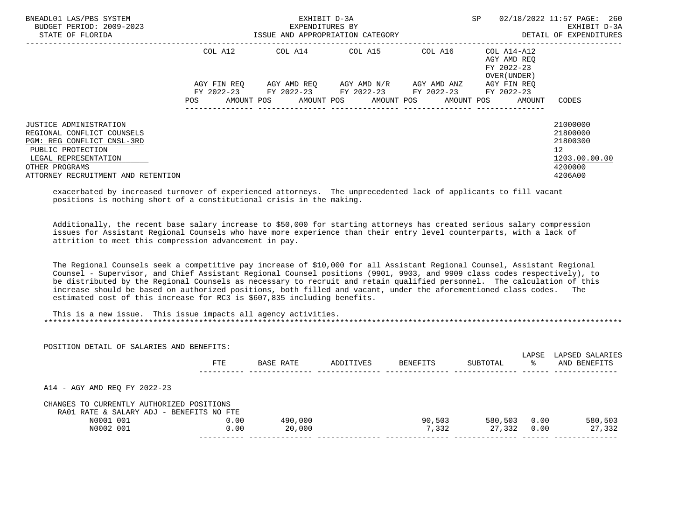| BNEADL01 LAS/PBS SYSTEM<br>BUDGET PERIOD: 2009-2023<br>STATE OF FLORIDA |             | EXHIBIT D-3A<br>EXPENDITURES BY<br>ISSUE AND APPROPRIATION CATEGORY | SP                                  | 02/18/2022 11:57 PAGE: 260<br>EXHIBIT D-3A<br>DETAIL OF EXPENDITURES |                 |
|-------------------------------------------------------------------------|-------------|---------------------------------------------------------------------|-------------------------------------|----------------------------------------------------------------------|-----------------|
|                                                                         | COL A12     | COL A14 COL A15                                                     |                                     | COL A16 COL A14-A12<br>AGY AMD REO<br>FY 2022-23<br>OVER (UNDER)     |                 |
|                                                                         | AGY FIN REO |                                                                     | AGY AMD REO AGY AMD N/R AGY AMD ANZ | AGY FIN REO                                                          |                 |
|                                                                         | POS         | FY 2022-23 FY 2022-23 FY 2022-23 FY 2022-23<br>AMOUNT POS           | AMOUNT POS AMOUNT POS AMOUNT POS    | FY 2022-23<br>AMOUNT                                                 | CODES           |
| JUSTICE ADMINISTRATION                                                  |             |                                                                     |                                     |                                                                      | 21000000        |
| REGIONAL CONFLICT COUNSELS                                              |             |                                                                     |                                     |                                                                      | 21800000        |
| PGM: REG CONFLICT CNSL-3RD                                              |             |                                                                     |                                     |                                                                      | 21800300        |
| PUBLIC PROTECTION                                                       |             |                                                                     |                                     |                                                                      | 12 <sup>°</sup> |
| LEGAL REPRESENTATION                                                    |             |                                                                     |                                     |                                                                      | 1203.00.00.00   |
| OTHER PROGRAMS                                                          |             |                                                                     |                                     |                                                                      | 4200000         |
| ATTORNEY RECRUITMENT AND RETENTION                                      |             |                                                                     |                                     |                                                                      | 4206A00         |

 exacerbated by increased turnover of experienced attorneys. The unprecedented lack of applicants to fill vacant positions is nothing short of a constitutional crisis in the making.

 Additionally, the recent base salary increase to \$50,000 for starting attorneys has created serious salary compression issues for Assistant Regional Counsels who have more experience than their entry level counterparts, with a lack of attrition to meet this compression advancement in pay.

 The Regional Counsels seek a competitive pay increase of \$10,000 for all Assistant Regional Counsel, Assistant Regional Counsel - Supervisor, and Chief Assistant Regional Counsel positions (9901, 9903, and 9909 class codes respectively), to be distributed by the Regional Counsels as necessary to recruit and retain qualified personnel. The calculation of this increase should be based on authorized positions, both filled and vacant, under the aforementioned class codes. The estimated cost of this increase for RC3 is \$607,835 including benefits.

 This is a new issue. This issue impacts all agency activities. \*\*\*\*\*\*\*\*\*\*\*\*\*\*\*\*\*\*\*\*\*\*\*\*\*\*\*\*\*\*\*\*\*\*\*\*\*\*\*\*\*\*\*\*\*\*\*\*\*\*\*\*\*\*\*\*\*\*\*\*\*\*\*\*\*\*\*\*\*\*\*\*\*\*\*\*\*\*\*\*\*\*\*\*\*\*\*\*\*\*\*\*\*\*\*\*\*\*\*\*\*\*\*\*\*\*\*\*\*\*\*\*\*\*\*\*\*\*\*\*\*\*\*\*\*\*\*

| POSITION DETAIL OF SALARIES AND BENEFITS: |      |           |           |          |          |             |                                 |
|-------------------------------------------|------|-----------|-----------|----------|----------|-------------|---------------------------------|
|                                           | FTE  | BASE RATE | ADDITIVES | BENEFITS | SUBTOTAL | LAPSE<br>°≈ | LAPSED SALARIES<br>AND BENEFITS |
| A14 - AGY AMD REQ FY 2022-23              |      |           |           |          |          |             |                                 |
| CHANGES TO CURRENTLY AUTHORIZED POSITIONS |      |           |           |          |          |             |                                 |
| RA01 RATE & SALARY ADJ - BENEFITS NO FTE  |      |           |           |          |          |             |                                 |
| N0001 001                                 | 0.00 | 490,000   |           | 90,503   | 580,503  | 0.00        | 580,503                         |
| N0002 001                                 | 0.00 | 20,000    |           | 7,332    | 27,332   | 0.00        | 27,332                          |
|                                           |      |           |           |          |          |             |                                 |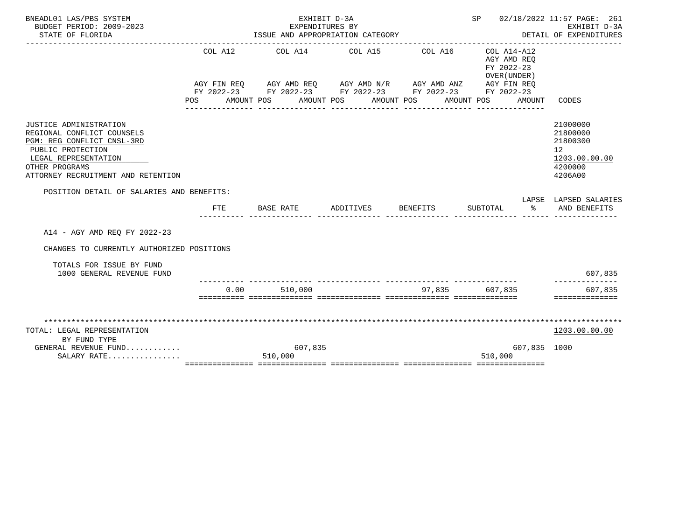|                                     |                                                                                        |                      |                                                                     |                                                                                                 | EXHIBIT D-3A<br>DETAIL OF EXPENDITURES                                                                                                                                                 |
|-------------------------------------|----------------------------------------------------------------------------------------|----------------------|---------------------------------------------------------------------|-------------------------------------------------------------------------------------------------|----------------------------------------------------------------------------------------------------------------------------------------------------------------------------------------|
| COL A12<br>POS                      |                                                                                        |                      |                                                                     | COL A14-A12<br>AGY AMD REO<br>FY 2022-23<br>OVER (UNDER)<br>AMOUNT                              | CODES                                                                                                                                                                                  |
|                                     |                                                                                        |                      |                                                                     |                                                                                                 | 21000000<br>21800000<br>21800300<br>12<br>1203.00.00.00<br>4200000<br>4206A00                                                                                                          |
| FTE                                 |                                                                                        |                      |                                                                     | SUBTOTAL<br>ႜ                                                                                   | LAPSE LAPSED SALARIES<br>AND BENEFITS                                                                                                                                                  |
|                                     |                                                                                        |                      |                                                                     |                                                                                                 |                                                                                                                                                                                        |
|                                     |                                                                                        |                      |                                                                     |                                                                                                 | 607,835                                                                                                                                                                                |
| 0.00                                |                                                                                        |                      |                                                                     |                                                                                                 | --------------<br>607,835<br>==============                                                                                                                                            |
|                                     | 510,000                                                                                |                      |                                                                     | 607,835 1000<br>510,000                                                                         | 1203.00.00.00                                                                                                                                                                          |
| GENERAL REVENUE FUND<br>SALARY RATE | POSITION DETAIL OF SALARIES AND BENEFITS:<br>CHANGES TO CURRENTLY AUTHORIZED POSITIONS | BASE RATE<br>510,000 | EXHIBIT D-3A<br>EXPENDITURES BY<br>AMOUNT POS AMOUNT POS<br>607,835 | ISSUE AND APPROPRIATION CATEGORY<br>COL A14 COL A15 COL A16<br>AMOUNT POS<br>ADDITIVES BENEFITS | SP 02/18/2022 11:57 PAGE: 261<br>AGY FIN REQ AGY AMD REQ AGY AMD N/R AGY AMD ANZ AGY FIN REQ<br>FY 2022-23 FY 2022-23 FY 2022-23 FY 2022-23 FY 2022-23<br>AMOUNT POS<br>97,835 607,835 |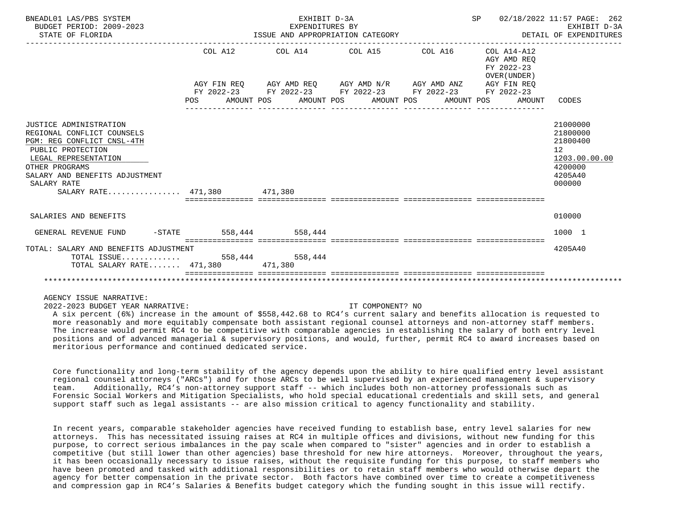| BNEADL01 LAS/PBS SYSTEM<br>BUDGET PERIOD: 2009-2023<br>STATE OF FLORIDA                                                                                                                                                           | EXHIBIT D-3A<br>EXPENDITURES BY | ISSUE AND APPROPRIATION CATEGORY                            | ------------------------------------ | SP 02/18/2022 11:57 PAGE: 262<br>DETAIL OF EXPENDITURES | EXHIBIT D-3A                                                                                         |
|-----------------------------------------------------------------------------------------------------------------------------------------------------------------------------------------------------------------------------------|---------------------------------|-------------------------------------------------------------|--------------------------------------|---------------------------------------------------------|------------------------------------------------------------------------------------------------------|
|                                                                                                                                                                                                                                   |                                 | $COL A12$ $COL A14$ $COL A15$ $COL A16$ $COL A14-A12$       |                                      | AGY AMD REO<br>FY 2022-23<br>OVER (UNDER)               |                                                                                                      |
|                                                                                                                                                                                                                                   |                                 | AGY FIN REQ AGY AMD REQ AGY AMD N/R AGY AMD ANZ AGY FIN REQ |                                      |                                                         |                                                                                                      |
|                                                                                                                                                                                                                                   |                                 | FY 2022-23 FY 2022-23 FY 2022-23 FY 2022-23 FY 2022-23      |                                      |                                                         |                                                                                                      |
|                                                                                                                                                                                                                                   |                                 |                                                             |                                      | POS AMOUNT POS AMOUNT POS AMOUNT POS AMOUNT POS AMOUNT  | CODES                                                                                                |
|                                                                                                                                                                                                                                   |                                 |                                                             |                                      |                                                         |                                                                                                      |
| JUSTICE ADMINISTRATION<br>REGIONAL CONFLICT COUNSELS<br>PGM: REG CONFLICT CNSL-4TH<br>PUBLIC PROTECTION<br>LEGAL REPRESENTATION<br>OTHER PROGRAMS<br>SALARY AND BENEFITS ADJUSTMENT<br>SALARY RATE<br>SALARY RATE 471,380 471,380 |                                 |                                                             |                                      |                                                         | 21000000<br>21800000<br>21800400<br>12 <sup>°</sup><br>1203.00.00.00<br>4200000<br>4205A40<br>000000 |
| SALARIES AND BENEFITS                                                                                                                                                                                                             |                                 |                                                             |                                      |                                                         | 010000                                                                                               |
| GENERAL REVENUE FUND -STATE 558,444 558,444                                                                                                                                                                                       |                                 |                                                             |                                      |                                                         | 1000 1                                                                                               |
| TOTAL: SALARY AND BENEFITS ADJUSTMENT<br>TOTAL SALARY RATE 471,380 471,380                                                                                                                                                        |                                 |                                                             |                                      |                                                         | 4205A40                                                                                              |
|                                                                                                                                                                                                                                   |                                 |                                                             |                                      |                                                         |                                                                                                      |

## AGENCY ISSUE NARRATIVE:

2022-2023 BUDGET YEAR NARRATIVE: IT COMPONENT? NO

 A six percent (6%) increase in the amount of \$558,442.68 to RC4's current salary and benefits allocation is requested to more reasonably and more equitably compensate both assistant regional counsel attorneys and non-attorney staff members. The increase would permit RC4 to be competitive with comparable agencies in establishing the salary of both entry level positions and of advanced managerial & supervisory positions, and would, further, permit RC4 to award increases based on meritorious performance and continued dedicated service.

 Core functionality and long-term stability of the agency depends upon the ability to hire qualified entry level assistant regional counsel attorneys ("ARCs") and for those ARCs to be well supervised by an experienced management & supervisory team. Additionally, RC4's non-attorney support staff -- which includes both non-attorney professionals such as Forensic Social Workers and Mitigation Specialists, who hold special educational credentials and skill sets, and general support staff such as legal assistants -- are also mission critical to agency functionality and stability.

 In recent years, comparable stakeholder agencies have received funding to establish base, entry level salaries for new attorneys. This has necessitated issuing raises at RC4 in multiple offices and divisions, without new funding for this purpose, to correct serious imbalances in the pay scale when compared to "sister" agencies and in order to establish a competitive (but still lower than other agencies) base threshold for new hire attorneys. Moreover, throughout the years, it has been occasionally necessary to issue raises, without the requisite funding for this purpose, to staff members who have been promoted and tasked with additional responsibilities or to retain staff members who would otherwise depart the agency for better compensation in the private sector. Both factors have combined over time to create a competitiveness and compression gap in RC4's Salaries & Benefits budget category which the funding sought in this issue will rectify.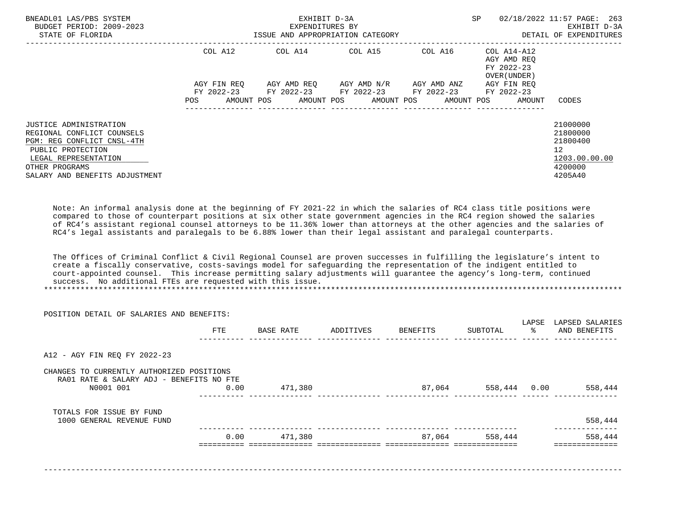| BNEADL01 LAS/PBS SYSTEM<br>BUDGET PERIOD: 2009-2023<br>STATE OF FLORIDA                                                                                                             |                           | EXHIBIT D-3A<br>EXPENDITURES BY<br>ISSUE AND APPROPRIATION CATEGORY                        | SP.                                 | 02/18/2022 11:57 PAGE: 263<br>EXHIBIT D-3A<br>DETAIL OF EXPENDITURES |                                                           |                                                                               |
|-------------------------------------------------------------------------------------------------------------------------------------------------------------------------------------|---------------------------|--------------------------------------------------------------------------------------------|-------------------------------------|----------------------------------------------------------------------|-----------------------------------------------------------|-------------------------------------------------------------------------------|
|                                                                                                                                                                                     | COL A12                   | COL A14 COL A15 COL A16                                                                    |                                     |                                                                      | COL A14-A12<br>AGY AMD REO<br>FY 2022-23<br>OVER (UNDER ) |                                                                               |
|                                                                                                                                                                                     | AGY FIN REO<br><b>POS</b> | FY 2022-23 FY 2022-23 FY 2022-23 FY 2022-23<br>AMOUNT POS AMOUNT POS AMOUNT POS AMOUNT POS | AGY AMD REO AGY AMD N/R AGY AMD ANZ |                                                                      | AGY FIN REO<br>FY 2022-23<br>AMOUNT                       | CODES                                                                         |
| JUSTICE ADMINISTRATION<br>REGIONAL CONFLICT COUNSELS<br>PGM: REG CONFLICT CNSL-4TH<br>PUBLIC PROTECTION<br>LEGAL REPRESENTATION<br>OTHER PROGRAMS<br>SALARY AND BENEFITS ADJUSTMENT |                           |                                                                                            |                                     |                                                                      |                                                           | 21000000<br>21800000<br>21800400<br>12<br>1203.00.00.00<br>4200000<br>4205A40 |

 Note: An informal analysis done at the beginning of FY 2021-22 in which the salaries of RC4 class title positions were compared to those of counterpart positions at six other state government agencies in the RC4 region showed the salaries of RC4's assistant regional counsel attorneys to be 11.36% lower than attorneys at the other agencies and the salaries of RC4's legal assistants and paralegals to be 6.88% lower than their legal assistant and paralegal counterparts.

 The Offices of Criminal Conflict & Civil Regional Counsel are proven successes in fulfilling the legislature's intent to create a fiscally conservative, costs-savings model for safeguarding the representation of the indigent entitled to court-appointed counsel. This increase permitting salary adjustments will guarantee the agency's long-term, continued success. No additional FTEs are requested with this issue. \*\*\*\*\*\*\*\*\*\*\*\*\*\*\*\*\*\*\*\*\*\*\*\*\*\*\*\*\*\*\*\*\*\*\*\*\*\*\*\*\*\*\*\*\*\*\*\*\*\*\*\*\*\*\*\*\*\*\*\*\*\*\*\*\*\*\*\*\*\*\*\*\*\*\*\*\*\*\*\*\*\*\*\*\*\*\*\*\*\*\*\*\*\*\*\*\*\*\*\*\*\*\*\*\*\*\*\*\*\*\*\*\*\*\*\*\*\*\*\*\*\*\*\*\*\*\*

| POSITION DETAIL OF SALARIES AND BENEFITS:                                             |      |           |           |          |              | LAPSE | LAPSED SALARIES       |
|---------------------------------------------------------------------------------------|------|-----------|-----------|----------|--------------|-------|-----------------------|
|                                                                                       | FTE  | BASE RATE | ADDITIVES | BENEFITS | SUBTOTAL     | ႜၟ    | AND BENEFITS          |
| A12 - AGY FIN REQ FY 2022-23                                                          |      |           |           |          |              |       |                       |
| CHANGES TO CURRENTLY AUTHORIZED POSITIONS<br>RA01 RATE & SALARY ADJ - BENEFITS NO FTE |      |           |           |          |              |       |                       |
| N0001 001                                                                             | 0.00 | 471,380   |           | 87,064   | 558,444 0.00 |       | 558,444               |
| TOTALS FOR ISSUE BY FUND                                                              |      |           |           |          |              |       |                       |
| 1000 GENERAL REVENUE FUND                                                             |      |           |           |          |              |       | 558,444<br>---------- |
|                                                                                       | 0.00 | 471,380   |           | 87,064   | 558,444      |       | 558,444               |
|                                                                                       |      |           |           |          |              |       |                       |
|                                                                                       |      |           |           |          |              |       |                       |
|                                                                                       |      |           |           |          |              |       |                       |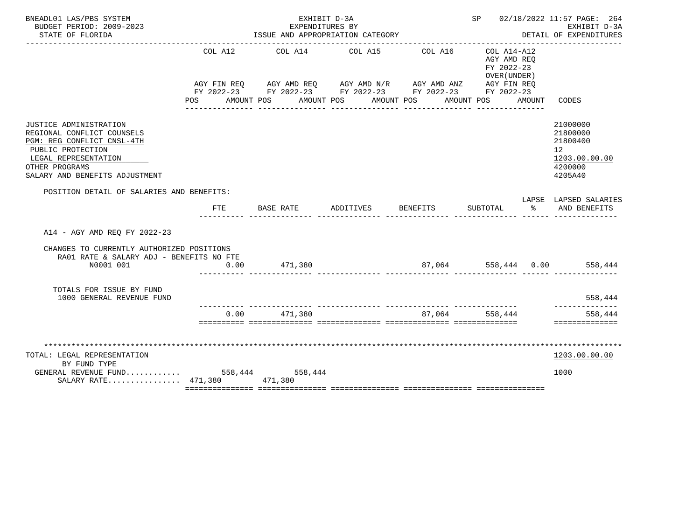| BNEADL01 LAS/PBS SYSTEM                                             |         | EXHIBIT D-3A                                                |                 |                     |                                        |        | SP 02/18/2022 11:57 PAGE: 264    |
|---------------------------------------------------------------------|---------|-------------------------------------------------------------|-----------------|---------------------|----------------------------------------|--------|----------------------------------|
| BUDGET PERIOD: 2009-2023<br>STATE OF FLORIDA                        |         | EXPENDITURES BY<br>ISSUE AND APPROPRIATION CATEGORY         |                 |                     | EXHIBIT D-3A<br>DETAIL OF EXPENDITURES |        |                                  |
|                                                                     |         |                                                             |                 |                     |                                        |        |                                  |
|                                                                     | COL A12 |                                                             | COL A14 COL A15 | COL A16             | $COL A14- A12$                         |        |                                  |
|                                                                     |         |                                                             |                 |                     | AGY AMD REO<br>FY 2022-23              |        |                                  |
|                                                                     |         |                                                             |                 |                     | OVER (UNDER)                           |        |                                  |
|                                                                     |         | AGY FIN REQ AGY AMD REQ AGY AMD N/R AGY AMD ANZ AGY FIN REQ |                 |                     |                                        |        |                                  |
|                                                                     |         | FY 2022-23 FY 2022-23 FY 2022-23 FY 2022-23 FY 2022-23      |                 |                     |                                        |        |                                  |
|                                                                     |         | POS AMOUNT POS AMOUNT POS AMOUNT POS                        | _____________   | ___________         | AMOUNT POS                             | AMOUNT | CODES                            |
|                                                                     |         |                                                             |                 |                     |                                        |        |                                  |
| JUSTICE ADMINISTRATION                                              |         |                                                             |                 |                     |                                        |        | 21000000                         |
| REGIONAL CONFLICT COUNSELS                                          |         |                                                             |                 |                     |                                        |        | 21800000                         |
| PGM: REG CONFLICT CNSL-4TH                                          |         |                                                             |                 |                     |                                        |        | 21800400                         |
| PUBLIC PROTECTION<br>LEGAL REPRESENTATION                           |         |                                                             |                 |                     |                                        |        | 12 <sup>°</sup><br>1203.00.00.00 |
| OTHER PROGRAMS                                                      |         |                                                             |                 |                     |                                        |        | 4200000                          |
| SALARY AND BENEFITS ADJUSTMENT                                      |         |                                                             |                 |                     |                                        |        | 4205A40                          |
|                                                                     |         |                                                             |                 |                     |                                        |        |                                  |
| POSITION DETAIL OF SALARIES AND BENEFITS:                           |         |                                                             |                 |                     |                                        |        | LAPSE LAPSED SALARIES            |
|                                                                     | FTE     | BASE RATE                                                   | ADDITIVES       | <b>BENEFITS</b>     | SUBTOTAL %                             |        | AND BENEFITS                     |
| A14 - AGY AMD REO FY 2022-23                                        |         |                                                             |                 |                     |                                        |        |                                  |
| CHANGES TO CURRENTLY AUTHORIZED POSITIONS                           |         |                                                             |                 |                     |                                        |        |                                  |
| RA01 RATE & SALARY ADJ - BENEFITS NO FTE                            |         |                                                             |                 |                     |                                        |        |                                  |
| N0001 001                                                           | 0.00    | 471,380                                                     |                 | 87,064 558,444 0.00 |                                        |        | 558,444                          |
| TOTALS FOR ISSUE BY FUND                                            |         |                                                             |                 |                     |                                        |        |                                  |
| 1000 GENERAL REVENUE FUND                                           |         |                                                             |                 |                     |                                        |        | 558,444<br>--------------        |
|                                                                     |         | $0.00$ 471.380                                              |                 |                     | 87,064 558,444                         |        | 558,444                          |
|                                                                     |         |                                                             |                 |                     |                                        |        | ==============                   |
|                                                                     |         |                                                             |                 |                     |                                        |        |                                  |
| TOTAL: LEGAL REPRESENTATION                                         |         |                                                             |                 |                     |                                        |        | 1203.00.00.00                    |
| BY FUND TYPE                                                        |         |                                                             |                 |                     |                                        |        |                                  |
| GENERAL REVENUE FUND 558,444 558,444<br>SALARY RATE 471,380 471,380 |         |                                                             |                 |                     |                                        |        | 1000                             |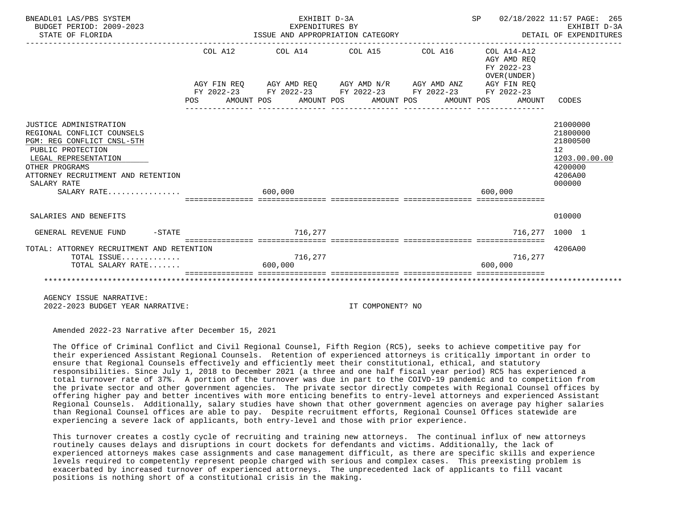| BNEADL01 LAS/PBS SYSTEM<br>BUDGET PERIOD: 2009-2023<br>STATE OF FLORIDA                                                                                                                                               |         | EXHIBIT D-3A<br>EXPENDITURES BY | ISSUE AND APPROPRIATION CATEGORY                                                                                                        | SP 02/18/2022 11:57 PAGE: 265<br>EARLBII D-3A<br>DETAIL OF EXPENDITURES | EXHIBIT D-3A                                                                            |
|-----------------------------------------------------------------------------------------------------------------------------------------------------------------------------------------------------------------------|---------|---------------------------------|-----------------------------------------------------------------------------------------------------------------------------------------|-------------------------------------------------------------------------|-----------------------------------------------------------------------------------------|
|                                                                                                                                                                                                                       |         |                                 | COL A12 COL A14 COL A15 COL A16 COL A14-A12                                                                                             | AGY AMD REO<br>FY 2022-23<br>OVER (UNDER)                               |                                                                                         |
|                                                                                                                                                                                                                       |         |                                 | $AGY \texttt{ FIN REQ} \qquad \texttt{AGY AMD REQ} \qquad \texttt{AGY AMD N/R} \qquad \texttt{AGY AMD ANZ} \qquad \texttt{AGY FIN REQ}$ |                                                                         |                                                                                         |
|                                                                                                                                                                                                                       |         |                                 | FY 2022-23 FY 2022-23 FY 2022-23 FY 2022-23 FY 2022-23                                                                                  |                                                                         |                                                                                         |
|                                                                                                                                                                                                                       |         |                                 |                                                                                                                                         | POS AMOUNT POS AMOUNT POS AMOUNT POS AMOUNT POS AMOUNT                  | CODES                                                                                   |
|                                                                                                                                                                                                                       |         |                                 |                                                                                                                                         |                                                                         |                                                                                         |
| JUSTICE ADMINISTRATION<br>REGIONAL CONFLICT COUNSELS<br>PGM: REG CONFLICT CNSL-5TH<br>PUBLIC PROTECTION<br>LEGAL REPRESENTATION<br>OTHER PROGRAMS<br>ATTORNEY RECRUITMENT AND RETENTION<br>SALARY RATE<br>SALARY RATE | 600,000 |                                 |                                                                                                                                         | 600,000                                                                 | 21000000<br>21800000<br>21800500<br>12<br>1203.00.00.00<br>4200000<br>4206A00<br>000000 |
| SALARIES AND BENEFITS                                                                                                                                                                                                 |         |                                 |                                                                                                                                         |                                                                         | 010000                                                                                  |
| $-STATE$<br>GENERAL REVENUE FUND                                                                                                                                                                                      |         | 716,277                         |                                                                                                                                         | 716.277 1000 1                                                          |                                                                                         |
|                                                                                                                                                                                                                       |         |                                 |                                                                                                                                         |                                                                         |                                                                                         |
| TOTAL: ATTORNEY RECRUITMENT AND RETENTION<br>TOTAL ISSUE                                                                                                                                                              |         | 716,277                         |                                                                                                                                         | 716,277                                                                 | 4206A00                                                                                 |
| TOTAL SALARY RATE                                                                                                                                                                                                     |         | 600,000                         |                                                                                                                                         | 600,000                                                                 |                                                                                         |
|                                                                                                                                                                                                                       |         |                                 |                                                                                                                                         |                                                                         |                                                                                         |

 AGENCY ISSUE NARRATIVE: 2022-2023 BUDGET YEAR NARRATIVE: IT COMPONENT? NO

Amended 2022-23 Narrative after December 15, 2021

 The Office of Criminal Conflict and Civil Regional Counsel, Fifth Region (RC5), seeks to achieve competitive pay for their experienced Assistant Regional Counsels. Retention of experienced attorneys is critically important in order to ensure that Regional Counsels effectively and efficiently meet their constitutional, ethical, and statutory responsibilities. Since July 1, 2018 to December 2021 (a three and one half fiscal year period) RC5 has experienced a total turnover rate of 37%. A portion of the turnover was due in part to the COIVD-19 pandemic and to competition from the private sector and other government agencies. The private sector directly competes with Regional Counsel offices by offering higher pay and better incentives with more enticing benefits to entry-level attorneys and experienced Assistant Regional Counsels. Additionally, salary studies have shown that other government agencies on average pay higher salaries than Regional Counsel offices are able to pay. Despite recruitment efforts, Regional Counsel Offices statewide are experiencing a severe lack of applicants, both entry-level and those with prior experience.

 This turnover creates a costly cycle of recruiting and training new attorneys. The continual influx of new attorneys routinely causes delays and disruptions in court dockets for defendants and victims. Additionally, the lack of experienced attorneys makes case assignments and case management difficult, as there are specific skills and experience levels required to competently represent people charged with serious and complex cases. This preexisting problem is exacerbated by increased turnover of experienced attorneys. The unprecedented lack of applicants to fill vacant positions is nothing short of a constitutional crisis in the making.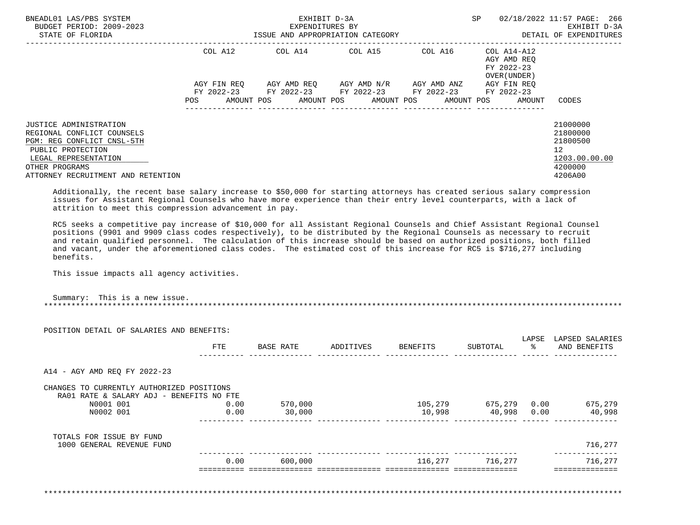| BNEADL01 LAS/PBS SYSTEM<br>BUDGET PERIOD: 2009-2023                                                                                                                                            | EXHIBIT D-3A<br>EXPENDITURES BY |                                                                       |  |                                                                                              |  |  |  |         |  |                                                          | 02/18/2022 11:57 PAGE: 266<br>EXHIBIT D-3A                                                 |
|------------------------------------------------------------------------------------------------------------------------------------------------------------------------------------------------|---------------------------------|-----------------------------------------------------------------------|--|----------------------------------------------------------------------------------------------|--|--|--|---------|--|----------------------------------------------------------|--------------------------------------------------------------------------------------------|
| STATE OF FLORIDA                                                                                                                                                                               |                                 | ISSUE AND APPROPRIATION CATEGORY                                      |  |                                                                                              |  |  |  |         |  |                                                          | DETAIL OF EXPENDITURES                                                                     |
|                                                                                                                                                                                                |                                 | COL A12                                                               |  | COL A14 COL A15                                                                              |  |  |  | COL A16 |  | COL A14-A12<br>AGY AMD REO<br>FY 2022-23<br>OVER (UNDER) |                                                                                            |
|                                                                                                                                                                                                | POS                             | AGY FIN REO<br>FY 2022-23 FY 2022-23 FY 2022-23 FY 2022-23 FY 2022-23 |  | AGY AMD REO      AGY AMD N/R      AGY AMD ANZ<br>AMOUNT POS AMOUNT POS AMOUNT POS AMOUNT POS |  |  |  |         |  | AGY FIN REO<br>AMOUNT                                    | CODES                                                                                      |
|                                                                                                                                                                                                |                                 |                                                                       |  |                                                                                              |  |  |  |         |  |                                                          |                                                                                            |
| <b>JUSTICE ADMINISTRATION</b><br>REGIONAL CONFLICT COUNSELS<br>PGM: REG CONFLICT CNSL-5TH<br>PUBLIC PROTECTION<br>LEGAL REPRESENTATION<br>OTHER PROGRAMS<br>ATTORNEY RECRUITMENT AND RETENTION |                                 |                                                                       |  |                                                                                              |  |  |  |         |  |                                                          | 21000000<br>21800000<br>21800500<br>12 <sup>°</sup><br>1203.00.00.00<br>4200000<br>4206A00 |
|                                                                                                                                                                                                |                                 |                                                                       |  |                                                                                              |  |  |  |         |  |                                                          |                                                                                            |

 Additionally, the recent base salary increase to \$50,000 for starting attorneys has created serious salary compression issues for Assistant Regional Counsels who have more experience than their entry level counterparts, with a lack of attrition to meet this compression advancement in pay.

 RC5 seeks a competitive pay increase of \$10,000 for all Assistant Regional Counsels and Chief Assistant Regional Counsel positions (9901 and 9909 class codes respectively), to be distributed by the Regional Counsels as necessary to recruit and retain qualified personnel. The calculation of this increase should be based on authorized positions, both filled and vacant, under the aforementioned class codes. The estimated cost of this increase for RC5 is \$716,277 including benefits.

This issue impacts all agency activities.

 Summary: This is a new issue. \*\*\*\*\*\*\*\*\*\*\*\*\*\*\*\*\*\*\*\*\*\*\*\*\*\*\*\*\*\*\*\*\*\*\*\*\*\*\*\*\*\*\*\*\*\*\*\*\*\*\*\*\*\*\*\*\*\*\*\*\*\*\*\*\*\*\*\*\*\*\*\*\*\*\*\*\*\*\*\*\*\*\*\*\*\*\*\*\*\*\*\*\*\*\*\*\*\*\*\*\*\*\*\*\*\*\*\*\*\*\*\*\*\*\*\*\*\*\*\*\*\*\*\*\*\*\*

| POSITION DETAIL OF SALARIES AND BENEFITS:                                             |      |           |           |          |              | LAPSE |                                 |
|---------------------------------------------------------------------------------------|------|-----------|-----------|----------|--------------|-------|---------------------------------|
|                                                                                       | FTE  | BASE RATE | ADDITIVES | BENEFITS | SUBTOTAL     | ႜၟ    | LAPSED SALARIES<br>AND BENEFITS |
| A14 - AGY AMD REQ FY 2022-23                                                          |      |           |           |          |              |       |                                 |
| CHANGES TO CURRENTLY AUTHORIZED POSITIONS<br>RA01 RATE & SALARY ADJ - BENEFITS NO FTE |      |           |           |          |              |       |                                 |
| N0001 001                                                                             | 0.00 | 570,000   |           | 105,279  | 675,279 0.00 |       | 675,279                         |
| N0002 001                                                                             | 0.00 | 30,000    |           | 10,998   | 40,998       | 0.00  | 40,998                          |
| TOTALS FOR ISSUE BY FUND                                                              |      |           |           |          |              |       |                                 |
| 1000 GENERAL REVENUE FUND                                                             |      |           |           |          |              |       | 716,277                         |
|                                                                                       |      | 600,000   |           | 116,277  | 716,277      |       | 716,277                         |

\*\*\*\*\*\*\*\*\*\*\*\*\*\*\*\*\*\*\*\*\*\*\*\*\*\*\*\*\*\*\*\*\*\*\*\*\*\*\*\*\*\*\*\*\*\*\*\*\*\*\*\*\*\*\*\*\*\*\*\*\*\*\*\*\*\*\*\*\*\*\*\*\*\*\*\*\*\*\*\*\*\*\*\*\*\*\*\*\*\*\*\*\*\*\*\*\*\*\*\*\*\*\*\*\*\*\*\*\*\*\*\*\*\*\*\*\*\*\*\*\*\*\*\*\*\*\*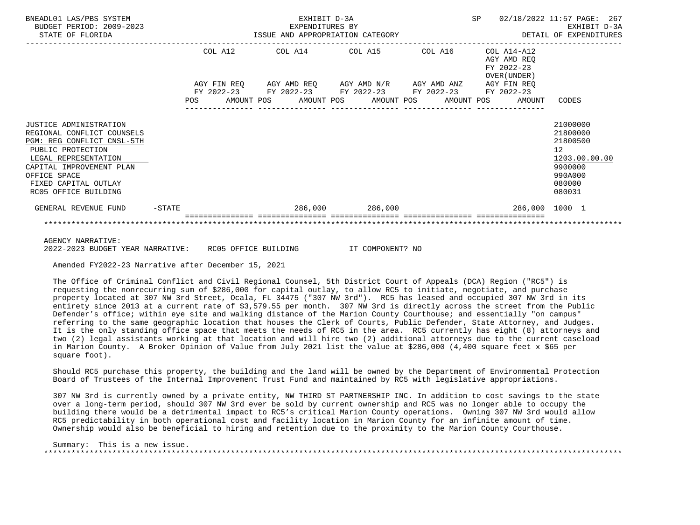| BNEADL01 LAS/PBS SYSTEM<br>BUDGET PERIOD: 2009-2023<br>STATE OF FLORIDA                                                                                                                                                     |           |     |         | EXHIBIT D-3A<br>EXPENDITURES BY<br>ISSUE AND APPROPRIATION CATEGORY                                                   |                 |         | <b>SP</b> |                                                          | 02/18/2022 11:57 PAGE: 267<br>EXHIBIT D-3A<br>DETAIL OF EXPENDITURES                              |
|-----------------------------------------------------------------------------------------------------------------------------------------------------------------------------------------------------------------------------|-----------|-----|---------|-----------------------------------------------------------------------------------------------------------------------|-----------------|---------|-----------|----------------------------------------------------------|---------------------------------------------------------------------------------------------------|
|                                                                                                                                                                                                                             |           |     | COL A12 | -------------------------------<br>COL A14 COL A15                                                                    |                 | COL A16 |           | COL A14-A12<br>AGY AMD REO<br>FY 2022-23<br>OVER (UNDER) |                                                                                                   |
|                                                                                                                                                                                                                             |           |     |         | AGY FIN REQ AGY AMD REQ AGY AMD N/R AGY AMD ANZ AGY FIN REQ<br>FY 2022-23 FY 2022-23 FY 2022-23 FY 2022-23 FY 2022-23 |                 |         |           |                                                          |                                                                                                   |
|                                                                                                                                                                                                                             |           | POS |         | AMOUNT POS AMOUNT POS AMOUNT POS AMOUNT POS                                                                           |                 |         |           | AMOUNT                                                   | CODES                                                                                             |
| JUSTICE ADMINISTRATION<br>REGIONAL CONFLICT COUNSELS<br>PGM: REG CONFLICT CNSL-5TH<br>PUBLIC PROTECTION<br>LEGAL REPRESENTATION<br>CAPITAL IMPROVEMENT PLAN<br>OFFICE SPACE<br>FIXED CAPITAL OUTLAY<br>RC05 OFFICE BUILDING |           |     |         |                                                                                                                       |                 |         |           |                                                          | 21000000<br>21800000<br>21800500<br>12<br>1203.00.00.00<br>9900000<br>990A000<br>080000<br>080031 |
| GENERAL REVENUE FUND                                                                                                                                                                                                        | $-$ STATE |     |         |                                                                                                                       | 286,000 286,000 |         |           | 286,000 1000 1                                           |                                                                                                   |
|                                                                                                                                                                                                                             |           |     |         |                                                                                                                       |                 |         |           |                                                          |                                                                                                   |
| <b>AGENCY NARRATIVE:</b>                                                                                                                                                                                                    |           |     |         |                                                                                                                       |                 |         |           |                                                          |                                                                                                   |

2022-2023 BUDGET YEAR NARRATIVE: RC05 OFFICE BUILDING IT COMPONENT? NO

Amended FY2022-23 Narrative after December 15, 2021

 The Office of Criminal Conflict and Civil Regional Counsel, 5th District Court of Appeals (DCA) Region ("RC5") is requesting the nonrecurring sum of \$286,000 for capital outlay, to allow RC5 to initiate, negotiate, and purchase property located at 307 NW 3rd Street, Ocala, FL 34475 ("307 NW 3rd"). RC5 has leased and occupied 307 NW 3rd in its entirety since 2013 at a current rate of \$3,579.55 per month. 307 NW 3rd is directly across the street from the Public Defender's office; within eye site and walking distance of the Marion County Courthouse; and essentially "on campus" referring to the same geographic location that houses the Clerk of Courts, Public Defender, State Attorney, and Judges. It is the only standing office space that meets the needs of RC5 in the area. RC5 currently has eight (8) attorneys and two (2) legal assistants working at that location and will hire two (2) additional attorneys due to the current caseload in Marion County. A Broker Opinion of Value from July 2021 list the value at \$286,000 (4,400 square feet x \$65 per square foot).

 Should RC5 purchase this property, the building and the land will be owned by the Department of Environmental Protection Board of Trustees of the Internal Improvement Trust Fund and maintained by RC5 with legislative appropriations.

 307 NW 3rd is currently owned by a private entity, NW THIRD ST PARTNERSHIP INC. In addition to cost savings to the state over a long-term period, should 307 NW 3rd ever be sold by current ownership and RC5 was no longer able to occupy the building there would be a detrimental impact to RC5's critical Marion County operations. Owning 307 NW 3rd would allow RC5 predictability in both operational cost and facility location in Marion County for an infinite amount of time. Ownership would also be beneficial to hiring and retention due to the proximity to the Marion County Courthouse.

 Summary: This is a new issue. \*\*\*\*\*\*\*\*\*\*\*\*\*\*\*\*\*\*\*\*\*\*\*\*\*\*\*\*\*\*\*\*\*\*\*\*\*\*\*\*\*\*\*\*\*\*\*\*\*\*\*\*\*\*\*\*\*\*\*\*\*\*\*\*\*\*\*\*\*\*\*\*\*\*\*\*\*\*\*\*\*\*\*\*\*\*\*\*\*\*\*\*\*\*\*\*\*\*\*\*\*\*\*\*\*\*\*\*\*\*\*\*\*\*\*\*\*\*\*\*\*\*\*\*\*\*\*